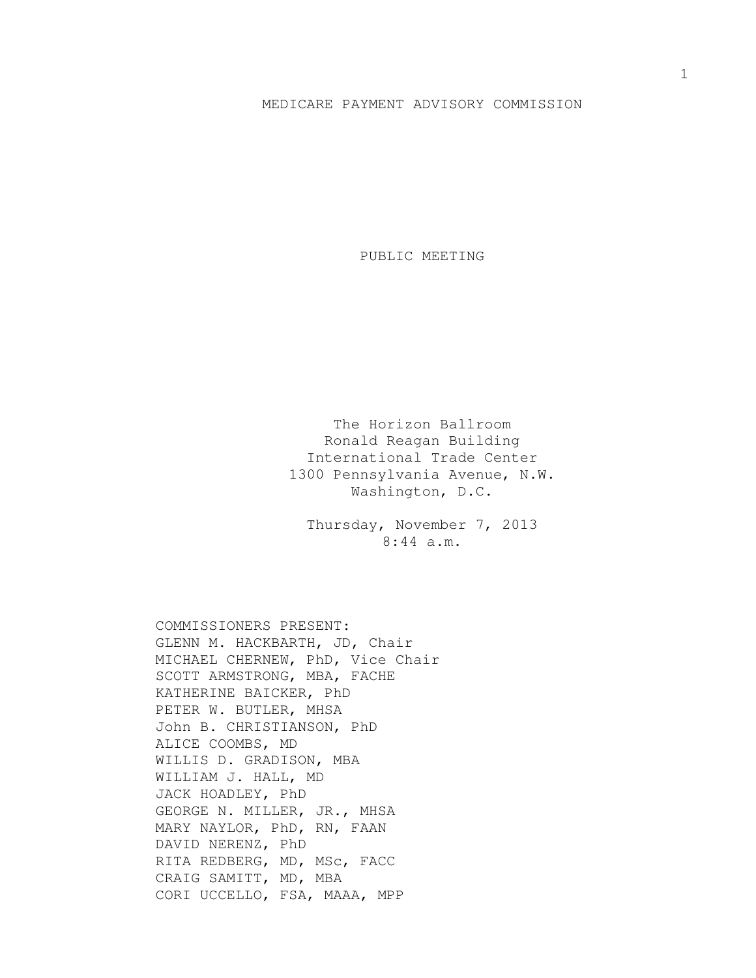## MEDICARE PAYMENT ADVISORY COMMISSION

PUBLIC MEETING

The Horizon Ballroom Ronald Reagan Building International Trade Center 1300 Pennsylvania Avenue, N.W. Washington, D.C.

Thursday, November 7, 2013 8:44 a.m.

COMMISSIONERS PRESENT: GLENN M. HACKBARTH, JD, Chair MICHAEL CHERNEW, PhD, Vice Chair SCOTT ARMSTRONG, MBA, FACHE KATHERINE BAICKER, PhD PETER W. BUTLER, MHSA John B. CHRISTIANSON, PhD ALICE COOMBS, MD WILLIS D. GRADISON, MBA WILLIAM J. HALL, MD JACK HOADLEY, PhD GEORGE N. MILLER, JR., MHSA MARY NAYLOR, PhD, RN, FAAN DAVID NERENZ, PhD RITA REDBERG, MD, MSc, FACC CRAIG SAMITT, MD, MBA CORI UCCELLO, FSA, MAAA, MPP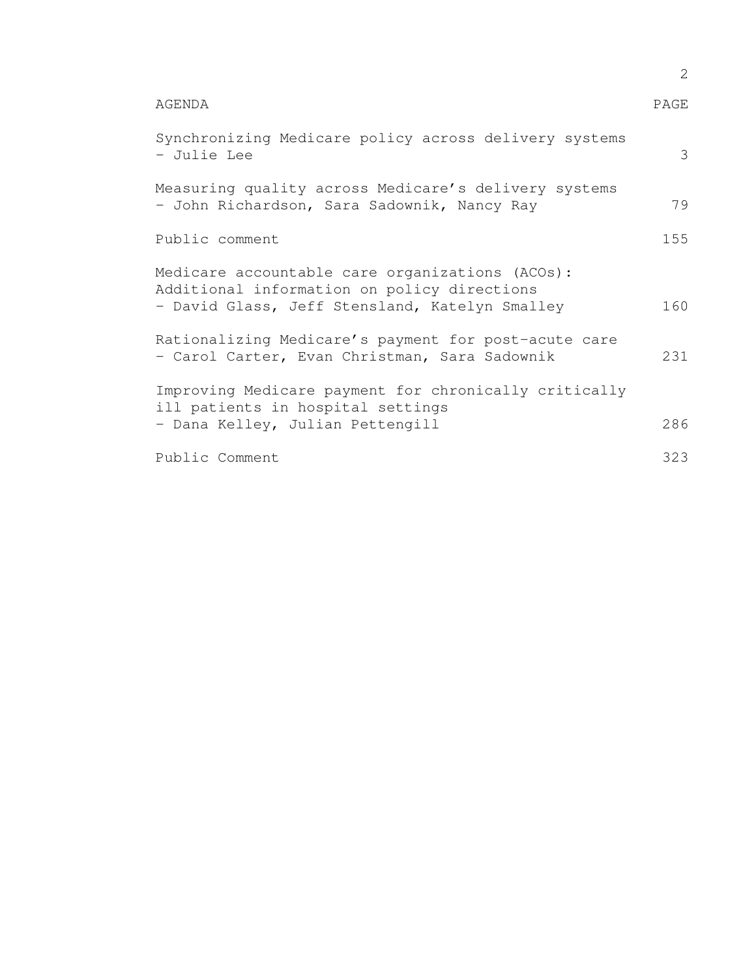|                                                                                                                                                  | 2    |
|--------------------------------------------------------------------------------------------------------------------------------------------------|------|
| AGENDA                                                                                                                                           | PAGE |
| Synchronizing Medicare policy across delivery systems<br>- Julie Lee                                                                             | 3    |
| Measuring quality across Medicare's delivery systems<br>- John Richardson, Sara Sadownik, Nancy Ray                                              | 79   |
| Public comment                                                                                                                                   | 155  |
| Medicare accountable care organizations (ACOs):<br>Additional information on policy directions<br>- David Glass, Jeff Stensland, Katelyn Smalley | 160  |
| Rationalizing Medicare's payment for post-acute care<br>- Carol Carter, Evan Christman, Sara Sadownik                                            | 231  |
| Improving Medicare payment for chronically critically<br>ill patients in hospital settings<br>- Dana Kelley, Julian Pettengill                   | 286  |
| Public Comment                                                                                                                                   | 323  |
|                                                                                                                                                  |      |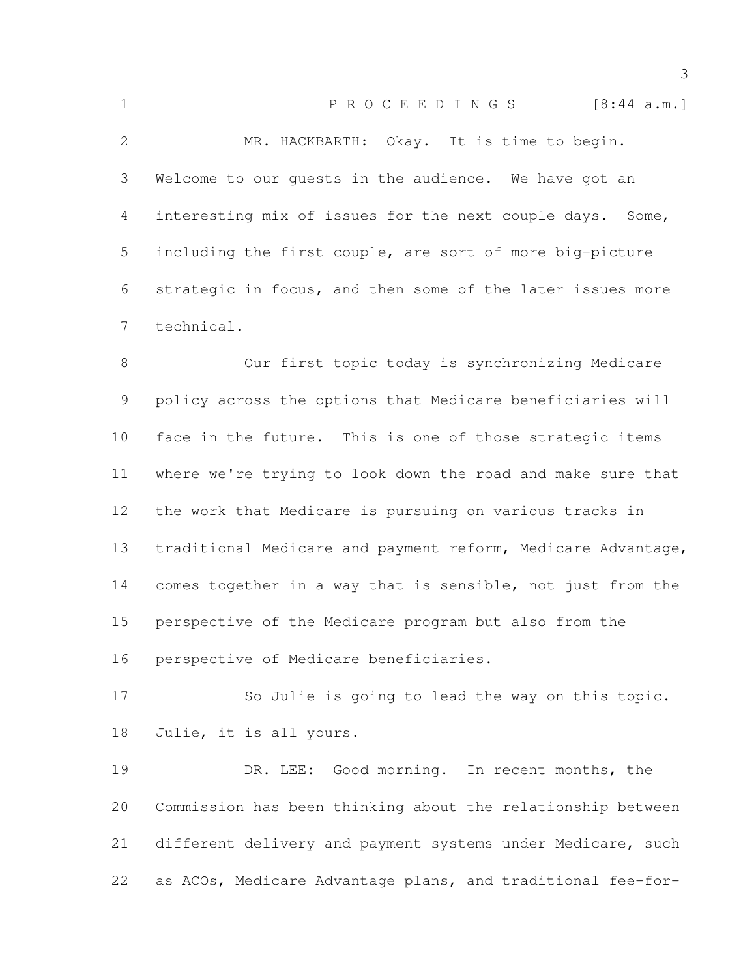| $\mathbf 1$     | P R O C E E D I N G S<br>[8:44 a.m.]                        |
|-----------------|-------------------------------------------------------------|
| $\mathcal{L}$   | MR. HACKBARTH: Okay. It is time to begin.                   |
| 3               | Welcome to our quests in the audience. We have got an       |
| 4               | interesting mix of issues for the next couple days. Some,   |
| 5               | including the first couple, are sort of more big-picture    |
| 6               | strategic in focus, and then some of the later issues more  |
| $7\overline{ }$ | technical.                                                  |
| 8               | Our first topic today is synchronizing Medicare             |
| 9               | policy across the options that Medicare beneficiaries will  |
| 10              | face in the future. This is one of those strategic items    |
| 11              | where we're trying to look down the road and make sure that |
|                 |                                                             |

 the work that Medicare is pursuing on various tracks in traditional Medicare and payment reform, Medicare Advantage, comes together in a way that is sensible, not just from the perspective of the Medicare program but also from the perspective of Medicare beneficiaries.

 So Julie is going to lead the way on this topic. Julie, it is all yours.

19 DR. LEE: Good morning. In recent months, the Commission has been thinking about the relationship between different delivery and payment systems under Medicare, such as ACOs, Medicare Advantage plans, and traditional fee-for-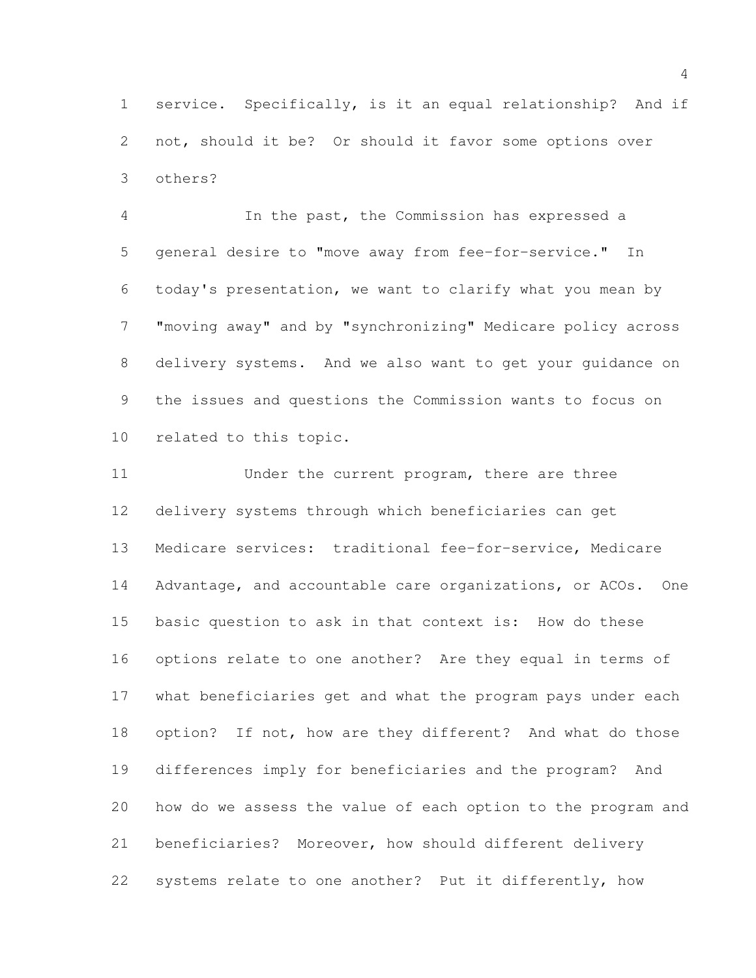service. Specifically, is it an equal relationship? And if not, should it be? Or should it favor some options over others?

 In the past, the Commission has expressed a general desire to "move away from fee-for-service." In today's presentation, we want to clarify what you mean by "moving away" and by "synchronizing" Medicare policy across delivery systems. And we also want to get your guidance on the issues and questions the Commission wants to focus on related to this topic.

11 Under the current program, there are three delivery systems through which beneficiaries can get Medicare services: traditional fee-for-service, Medicare Advantage, and accountable care organizations, or ACOs. One basic question to ask in that context is: How do these options relate to one another? Are they equal in terms of what beneficiaries get and what the program pays under each option? If not, how are they different? And what do those differences imply for beneficiaries and the program? And how do we assess the value of each option to the program and beneficiaries? Moreover, how should different delivery systems relate to one another? Put it differently, how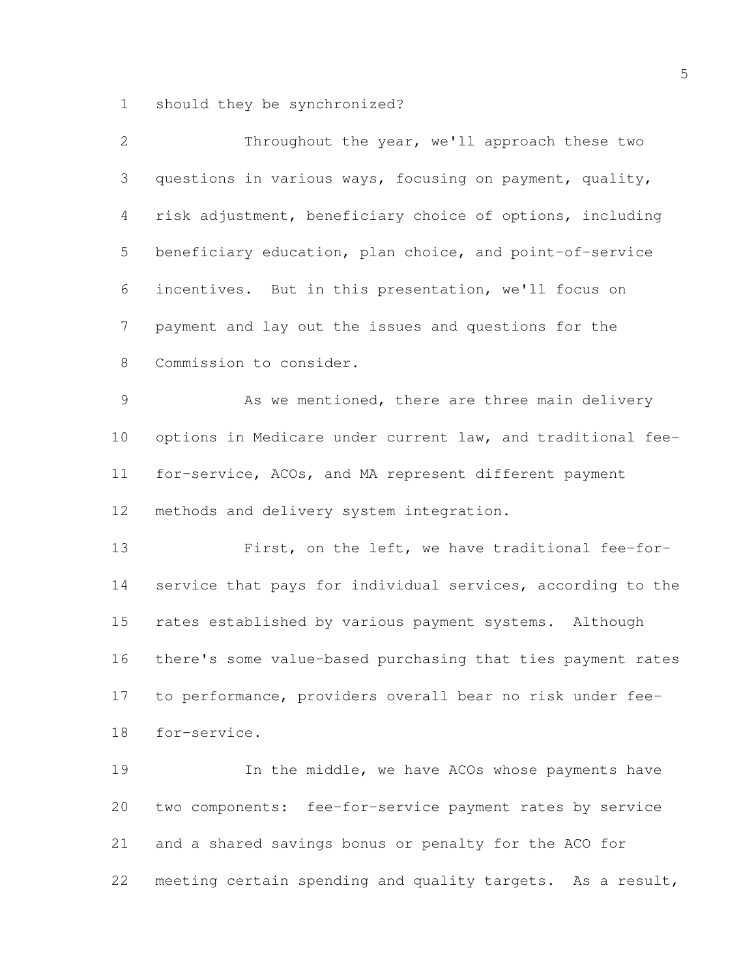should they be synchronized?

| 2               | Throughout the year, we'll approach these two               |
|-----------------|-------------------------------------------------------------|
| 3               | questions in various ways, focusing on payment, quality,    |
| 4               | risk adjustment, beneficiary choice of options, including   |
| 5               | beneficiary education, plan choice, and point-of-service    |
| 6               | incentives. But in this presentation, we'll focus on        |
| 7               | payment and lay out the issues and questions for the        |
| $8\,$           | Commission to consider.                                     |
| 9               | As we mentioned, there are three main delivery              |
| 10 <sub>o</sub> | options in Medicare under current law, and traditional fee- |
| 11              | for-service, ACOs, and MA represent different payment       |
| 12              | methods and delivery system integration.                    |
| 13              | First, on the left, we have traditional fee-for-            |
| 14              | service that pays for individual services, according to the |
| 15              | rates established by various payment systems. Although      |
| 16              | there's some value-based purchasing that ties payment rates |
| 17              | to performance, providers overall bear no risk under fee-   |
| 18              | for-service.                                                |
| 19              | In the middle, we have ACOs whose payments have             |
| 20              | two components: fee-for-service payment rates by service    |
| 21              | and a shared savings bonus or penalty for the ACO for       |
| 22              | meeting certain spending and quality targets. As a result,  |
|                 |                                                             |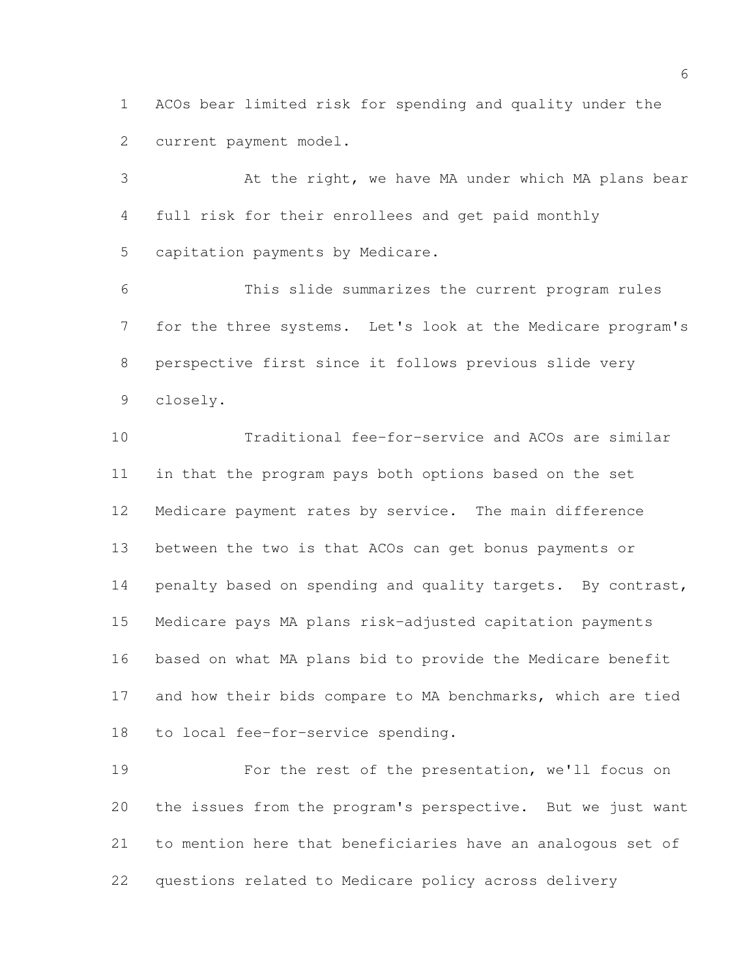ACOs bear limited risk for spending and quality under the current payment model.

 At the right, we have MA under which MA plans bear full risk for their enrollees and get paid monthly capitation payments by Medicare.

 This slide summarizes the current program rules for the three systems. Let's look at the Medicare program's perspective first since it follows previous slide very closely.

 Traditional fee-for-service and ACOs are similar in that the program pays both options based on the set Medicare payment rates by service. The main difference between the two is that ACOs can get bonus payments or 14 penalty based on spending and quality targets. By contrast, Medicare pays MA plans risk-adjusted capitation payments based on what MA plans bid to provide the Medicare benefit and how their bids compare to MA benchmarks, which are tied to local fee-for-service spending.

 For the rest of the presentation, we'll focus on the issues from the program's perspective. But we just want to mention here that beneficiaries have an analogous set of questions related to Medicare policy across delivery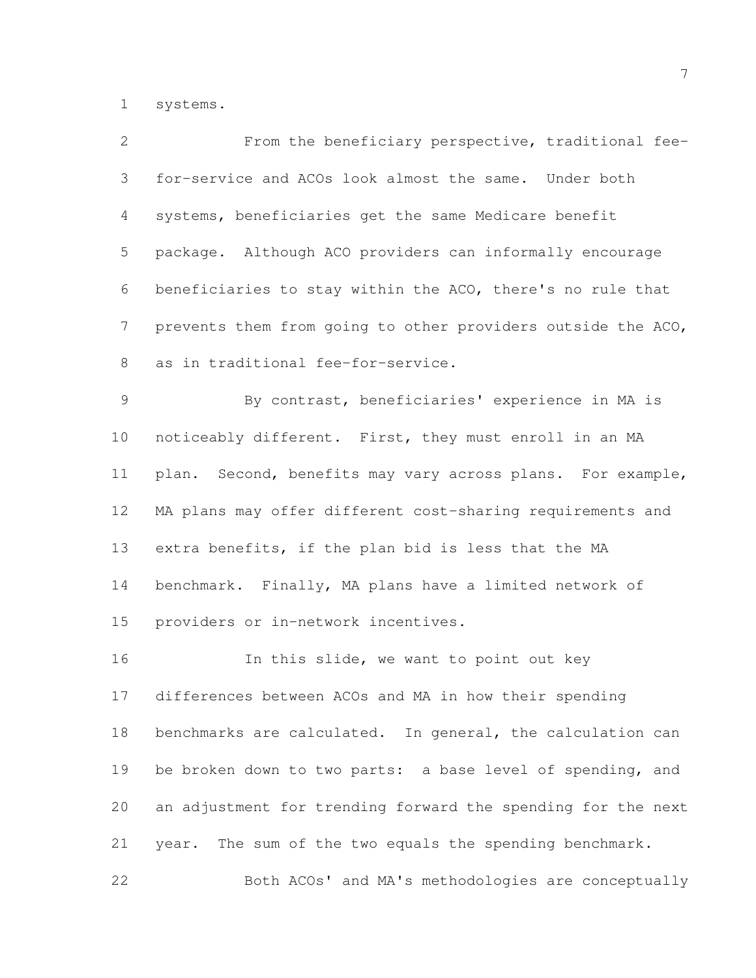systems.

| $\overline{2}$  | From the beneficiary perspective, traditional fee-           |
|-----------------|--------------------------------------------------------------|
| 3               | for-service and ACOs look almost the same. Under both        |
| 4               | systems, beneficiaries get the same Medicare benefit         |
| 5               | package. Although ACO providers can informally encourage     |
| 6               | beneficiaries to stay within the ACO, there's no rule that   |
| 7               | prevents them from going to other providers outside the ACO, |
| 8               | as in traditional fee-for-service.                           |
| $\mathcal{G}$   | By contrast, beneficiaries' experience in MA is              |
| 10 <sub>o</sub> | noticeably different. First, they must enroll in an MA       |
| 11              | plan. Second, benefits may vary across plans. For example,   |
| 12 <sup>°</sup> | MA plans may offer different cost-sharing requirements and   |
| 13              | extra benefits, if the plan bid is less that the MA          |
| 14              | benchmark. Finally, MA plans have a limited network of       |
| 15              | providers or in-network incentives.                          |
| 16              | In this slide, we want to point out key                      |
| 17              | differences between ACOs and MA in how their spending        |
| 18              | benchmarks are calculated. In general, the calculation can   |
| 19              | be broken down to two parts: a base level of spending, and   |
| 20              | an adjustment for trending forward the spending for the next |
| 21              | The sum of the two equals the spending benchmark.<br>year.   |
| 22              | Both ACOs' and MA's methodologies are conceptually           |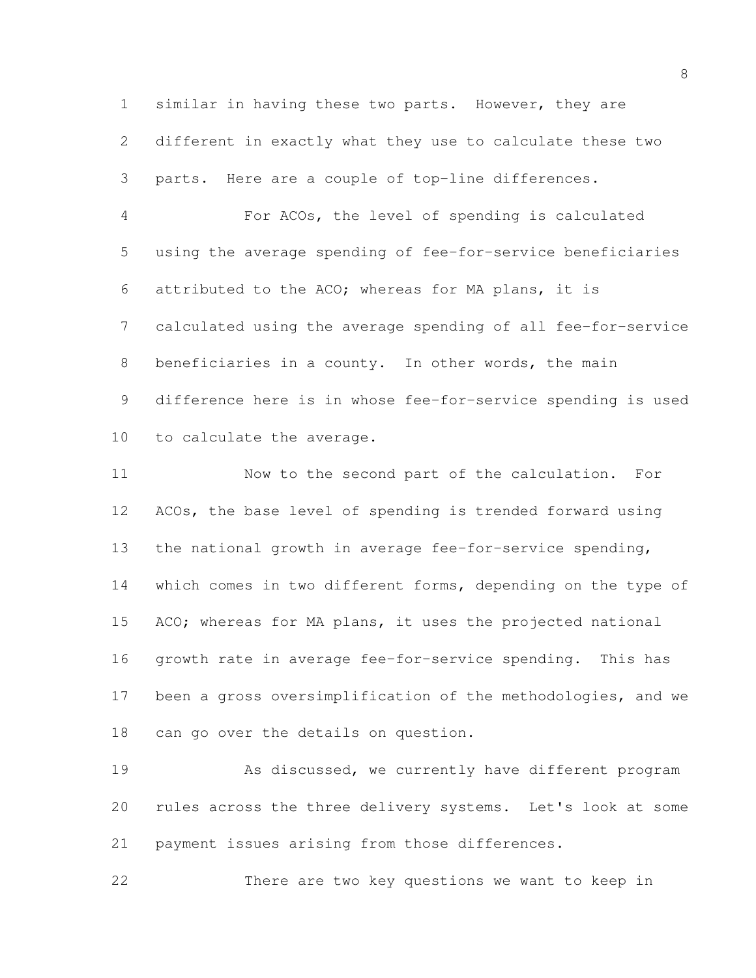similar in having these two parts. However, they are different in exactly what they use to calculate these two parts. Here are a couple of top-line differences.

 For ACOs, the level of spending is calculated using the average spending of fee-for-service beneficiaries attributed to the ACO; whereas for MA plans, it is calculated using the average spending of all fee-for-service beneficiaries in a county. In other words, the main difference here is in whose fee-for-service spending is used to calculate the average.

 Now to the second part of the calculation. For ACOs, the base level of spending is trended forward using the national growth in average fee-for-service spending, which comes in two different forms, depending on the type of ACO; whereas for MA plans, it uses the projected national growth rate in average fee-for-service spending. This has been a gross oversimplification of the methodologies, and we can go over the details on question.

19 As discussed, we currently have different program rules across the three delivery systems. Let's look at some payment issues arising from those differences.

There are two key questions we want to keep in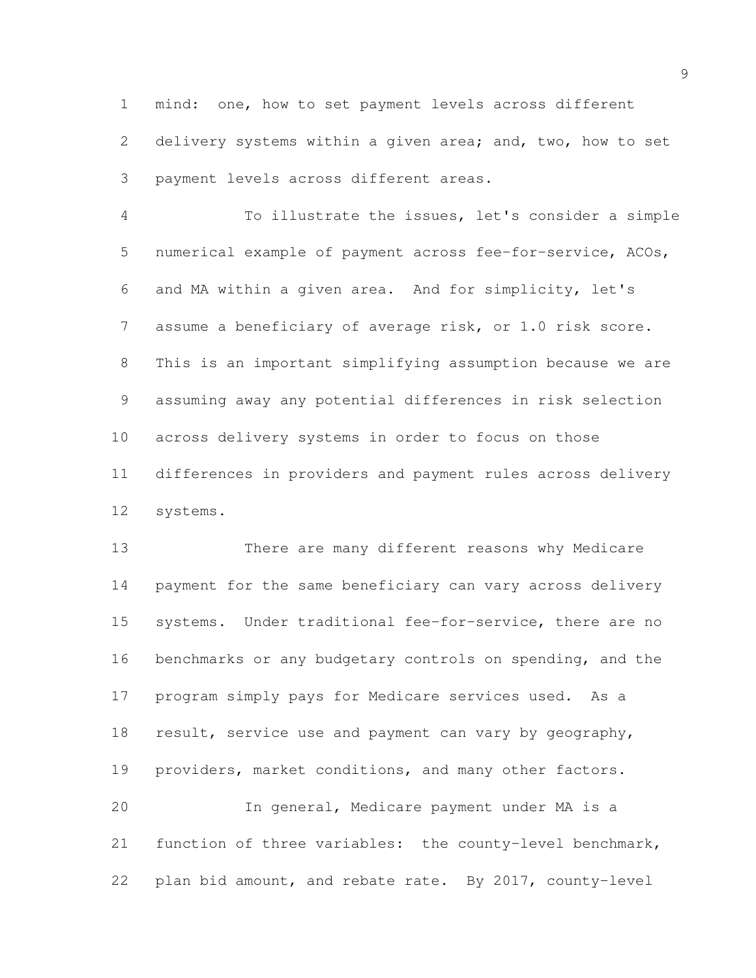mind: one, how to set payment levels across different delivery systems within a given area; and, two, how to set payment levels across different areas.

 To illustrate the issues, let's consider a simple numerical example of payment across fee-for-service, ACOs, and MA within a given area. And for simplicity, let's assume a beneficiary of average risk, or 1.0 risk score. This is an important simplifying assumption because we are assuming away any potential differences in risk selection across delivery systems in order to focus on those differences in providers and payment rules across delivery systems.

 There are many different reasons why Medicare payment for the same beneficiary can vary across delivery systems. Under traditional fee-for-service, there are no benchmarks or any budgetary controls on spending, and the program simply pays for Medicare services used. As a 18 result, service use and payment can vary by geography, providers, market conditions, and many other factors. In general, Medicare payment under MA is a function of three variables: the county-level benchmark,

plan bid amount, and rebate rate. By 2017, county-level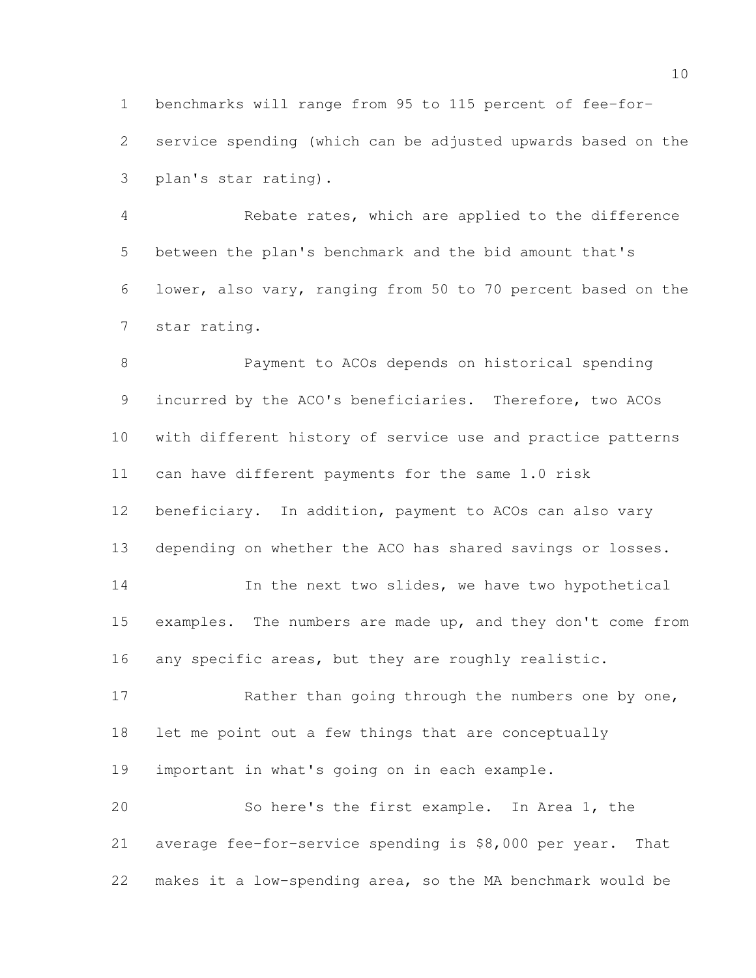benchmarks will range from 95 to 115 percent of fee-for-

 service spending (which can be adjusted upwards based on the plan's star rating).

 Rebate rates, which are applied to the difference between the plan's benchmark and the bid amount that's lower, also vary, ranging from 50 to 70 percent based on the star rating.

 Payment to ACOs depends on historical spending incurred by the ACO's beneficiaries. Therefore, two ACOs with different history of service use and practice patterns can have different payments for the same 1.0 risk beneficiary. In addition, payment to ACOs can also vary depending on whether the ACO has shared savings or losses. 14 In the next two slides, we have two hypothetical 15 examples. The numbers are made up, and they don't come from 16 any specific areas, but they are roughly realistic. 17 Rather than going through the numbers one by one,

let me point out a few things that are conceptually

important in what's going on in each example.

 So here's the first example. In Area 1, the average fee-for-service spending is \$8,000 per year. That makes it a low-spending area, so the MA benchmark would be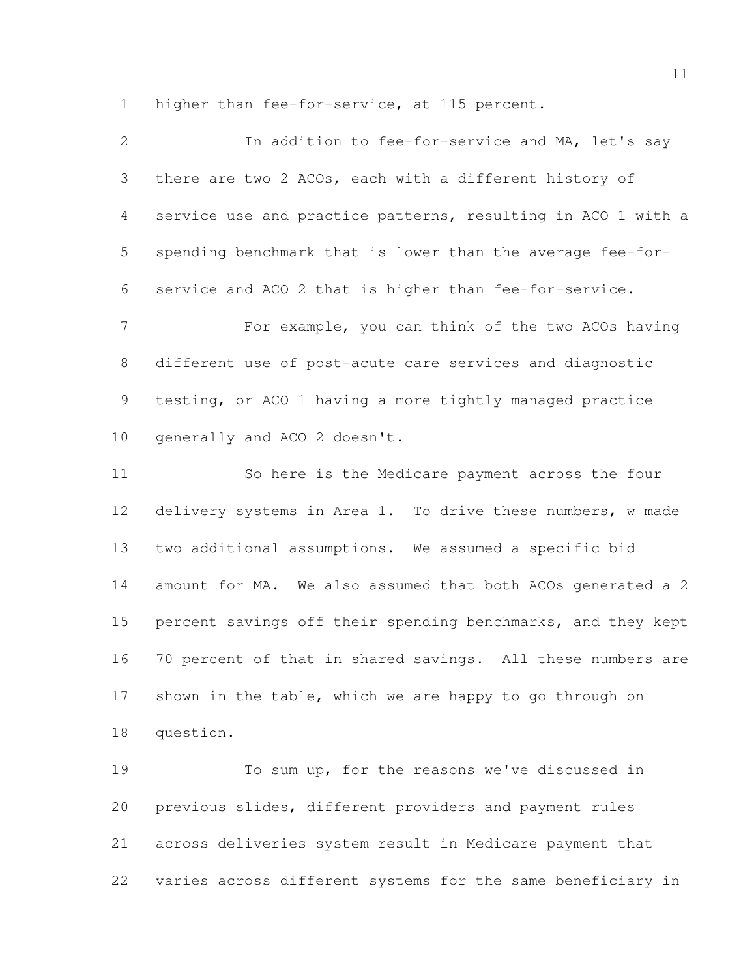higher than fee-for-service, at 115 percent.

| $\overline{2}$ | In addition to fee-for-service and MA, let's say             |
|----------------|--------------------------------------------------------------|
| 3              | there are two 2 ACOs, each with a different history of       |
| $\overline{4}$ | service use and practice patterns, resulting in ACO 1 with a |
| 5              | spending benchmark that is lower than the average fee-for-   |
| 6              | service and ACO 2 that is higher than fee-for-service.       |
| $\overline{7}$ | For example, you can think of the two ACOs having            |
| 8              | different use of post-acute care services and diagnostic     |
| 9              | testing, or ACO 1 having a more tightly managed practice     |
| 10             | generally and ACO 2 doesn't.                                 |
| 11             | So here is the Medicare payment across the four              |
| 12             | delivery systems in Area 1. To drive these numbers, w made   |
| 13             | two additional assumptions. We assumed a specific bid        |
| 14             | amount for MA. We also assumed that both ACOs generated a 2  |
| 15             | percent savings off their spending benchmarks, and they kept |
| 16             | 70 percent of that in shared savings. All these numbers are  |
| 17             | shown in the table, which we are happy to go through on      |
| 18             | question.                                                    |

 To sum up, for the reasons we've discussed in previous slides, different providers and payment rules across deliveries system result in Medicare payment that varies across different systems for the same beneficiary in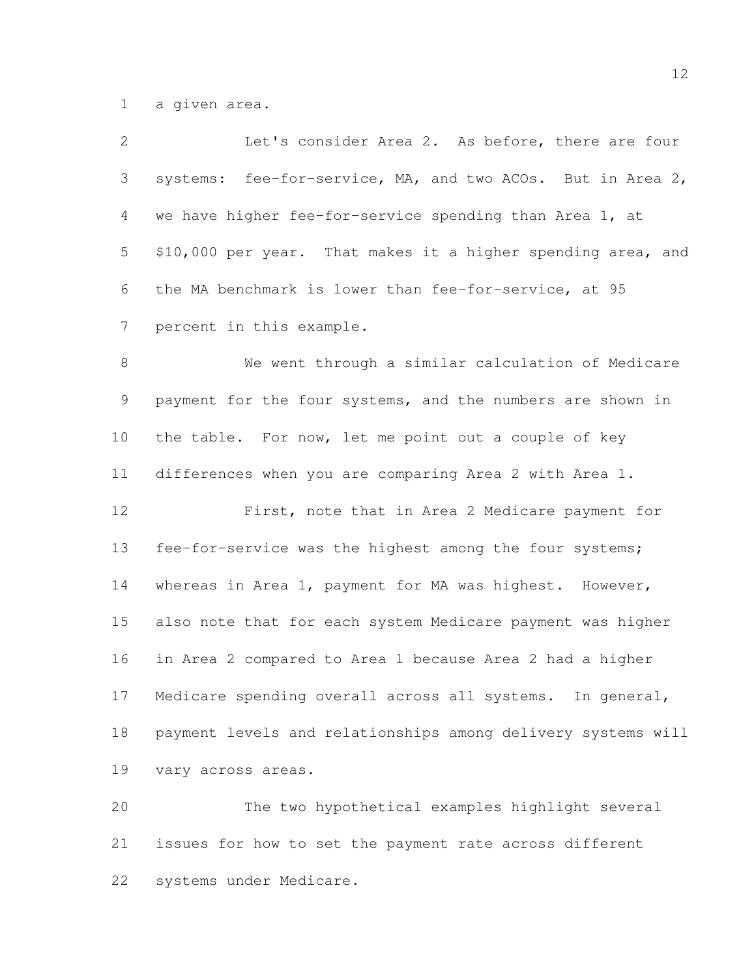a given area.

| $\mathbf{2}$    | Let's consider Area 2. As before, there are four             |
|-----------------|--------------------------------------------------------------|
| 3               | systems: fee-for-service, MA, and two ACOs. But in Area 2,   |
| 4               | we have higher fee-for-service spending than Area 1, at      |
| 5               | \$10,000 per year. That makes it a higher spending area, and |
| 6               | the MA benchmark is lower than fee-for-service, at 95        |
| $7\phantom{.0}$ | percent in this example.                                     |
| $8\,$           | We went through a similar calculation of Medicare            |
| 9               | payment for the four systems, and the numbers are shown in   |
| 10 <sup>°</sup> | the table. For now, let me point out a couple of key         |
| 11              | differences when you are comparing Area 2 with Area 1.       |
| 12              | First, note that in Area 2 Medicare payment for              |
| 13              | fee-for-service was the highest among the four systems;      |
| 14              | whereas in Area 1, payment for MA was highest. However,      |
| 15              | also note that for each system Medicare payment was higher   |
| 16              | in Area 2 compared to Area 1 because Area 2 had a higher     |
| 17              | Medicare spending overall across all systems.<br>In general, |
| 18              | payment levels and relationships among delivery systems will |
| 19              | vary across areas.                                           |
| 20              | The two hypothetical examples highlight several              |
|                 |                                                              |

 issues for how to set the payment rate across different systems under Medicare.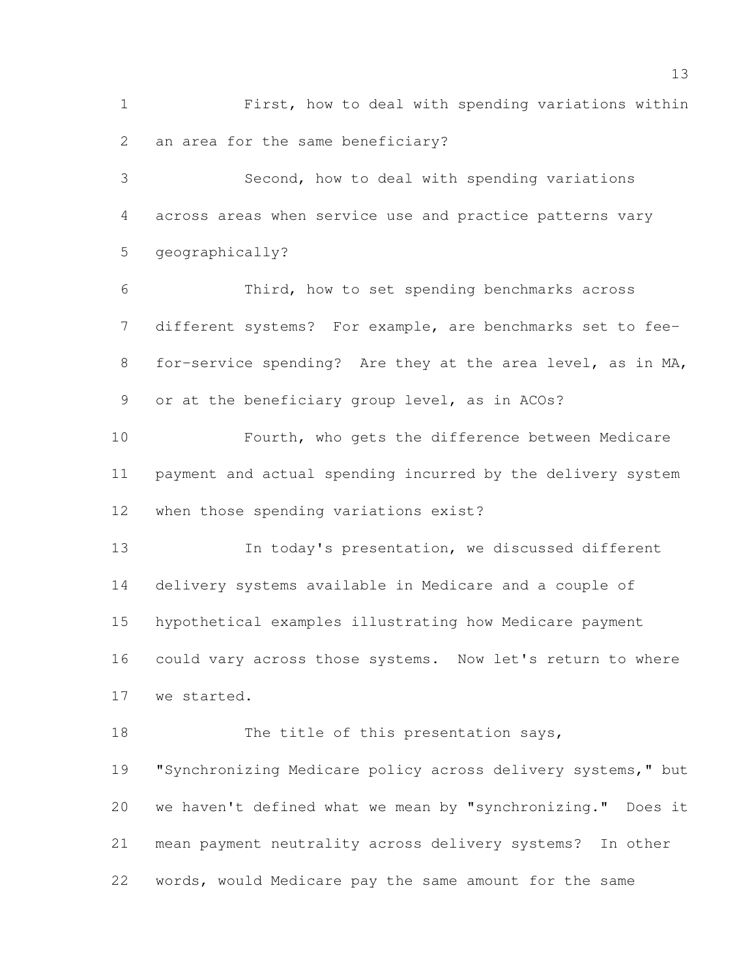First, how to deal with spending variations within an area for the same beneficiary? Second, how to deal with spending variations across areas when service use and practice patterns vary geographically? Third, how to set spending benchmarks across different systems? For example, are benchmarks set to fee- for-service spending? Are they at the area level, as in MA, or at the beneficiary group level, as in ACOs? Fourth, who gets the difference between Medicare payment and actual spending incurred by the delivery system when those spending variations exist? In today's presentation, we discussed different delivery systems available in Medicare and a couple of hypothetical examples illustrating how Medicare payment could vary across those systems. Now let's return to where we started. 18 The title of this presentation says,

 "Synchronizing Medicare policy across delivery systems," but we haven't defined what we mean by "synchronizing." Does it mean payment neutrality across delivery systems? In other words, would Medicare pay the same amount for the same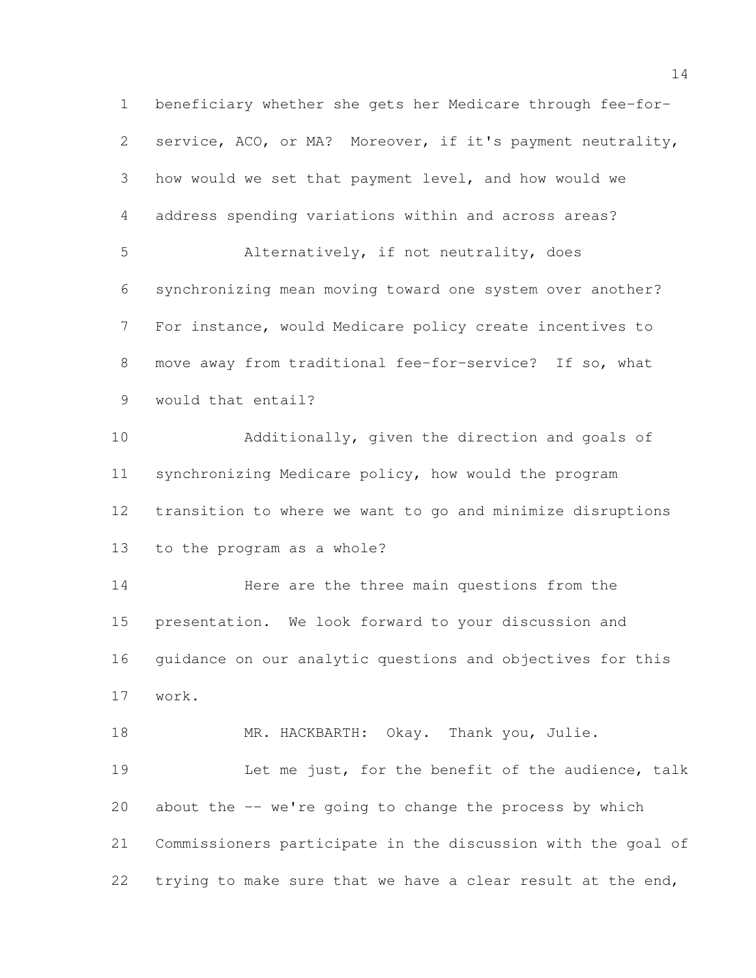beneficiary whether she gets her Medicare through fee-for- service, ACO, or MA? Moreover, if it's payment neutrality, how would we set that payment level, and how would we address spending variations within and across areas? Alternatively, if not neutrality, does synchronizing mean moving toward one system over another? For instance, would Medicare policy create incentives to move away from traditional fee-for-service? If so, what would that entail? Additionally, given the direction and goals of synchronizing Medicare policy, how would the program transition to where we want to go and minimize disruptions to the program as a whole? 14 Here are the three main questions from the presentation. We look forward to your discussion and guidance on our analytic questions and objectives for this work. 18 MR. HACKBARTH: Okay. Thank you, Julie. Let me just, for the benefit of the audience, talk about the -- we're going to change the process by which Commissioners participate in the discussion with the goal of 22 trying to make sure that we have a clear result at the end,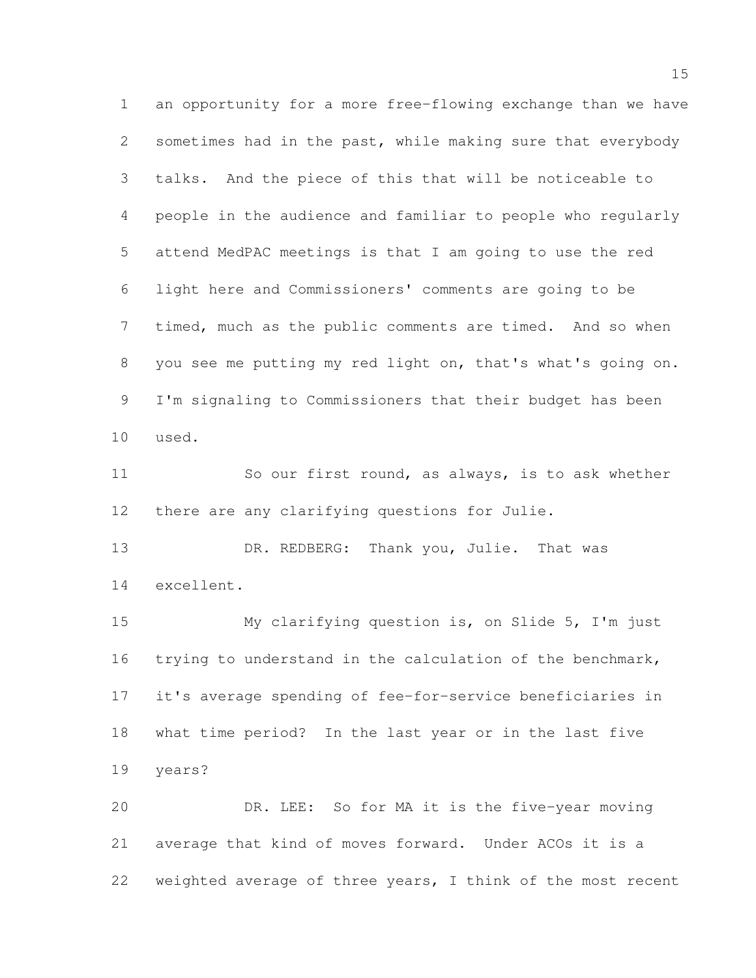an opportunity for a more free-flowing exchange than we have sometimes had in the past, while making sure that everybody talks. And the piece of this that will be noticeable to people in the audience and familiar to people who regularly attend MedPAC meetings is that I am going to use the red light here and Commissioners' comments are going to be timed, much as the public comments are timed. And so when you see me putting my red light on, that's what's going on. I'm signaling to Commissioners that their budget has been used. 11 So our first round, as always, is to ask whether there are any clarifying questions for Julie. 13 DR. REDBERG: Thank you, Julie. That was excellent. My clarifying question is, on Slide 5, I'm just trying to understand in the calculation of the benchmark, it's average spending of fee-for-service beneficiaries in what time period? In the last year or in the last five years? DR. LEE: So for MA it is the five-year moving average that kind of moves forward. Under ACOs it is a

weighted average of three years, I think of the most recent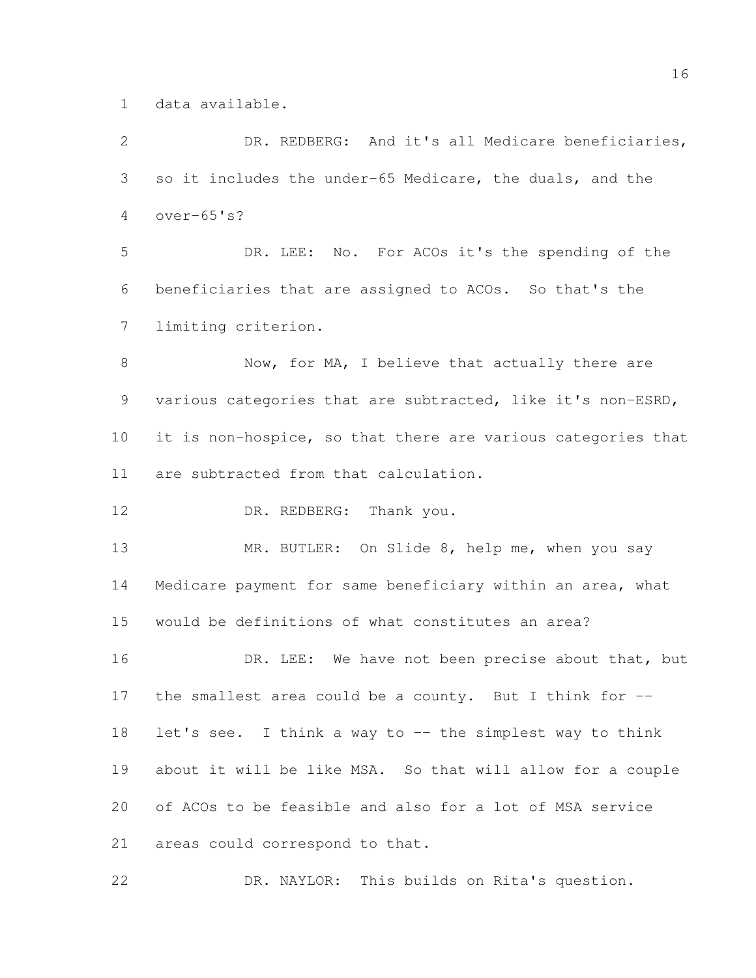data available.

 DR. REDBERG: And it's all Medicare beneficiaries, so it includes the under-65 Medicare, the duals, and the over-65's? DR. LEE: No. For ACOs it's the spending of the beneficiaries that are assigned to ACOs. So that's the limiting criterion. 8 Now, for MA, I believe that actually there are various categories that are subtracted, like it's non-ESRD, it is non-hospice, so that there are various categories that are subtracted from that calculation. 12 DR. REDBERG: Thank you. MR. BUTLER: On Slide 8, help me, when you say Medicare payment for same beneficiary within an area, what would be definitions of what constitutes an area? 16 DR. LEE: We have not been precise about that, but the smallest area could be a county. But I think for -- 18 let's see. I think a way to -- the simplest way to think about it will be like MSA. So that will allow for a couple of ACOs to be feasible and also for a lot of MSA service areas could correspond to that. DR. NAYLOR: This builds on Rita's question.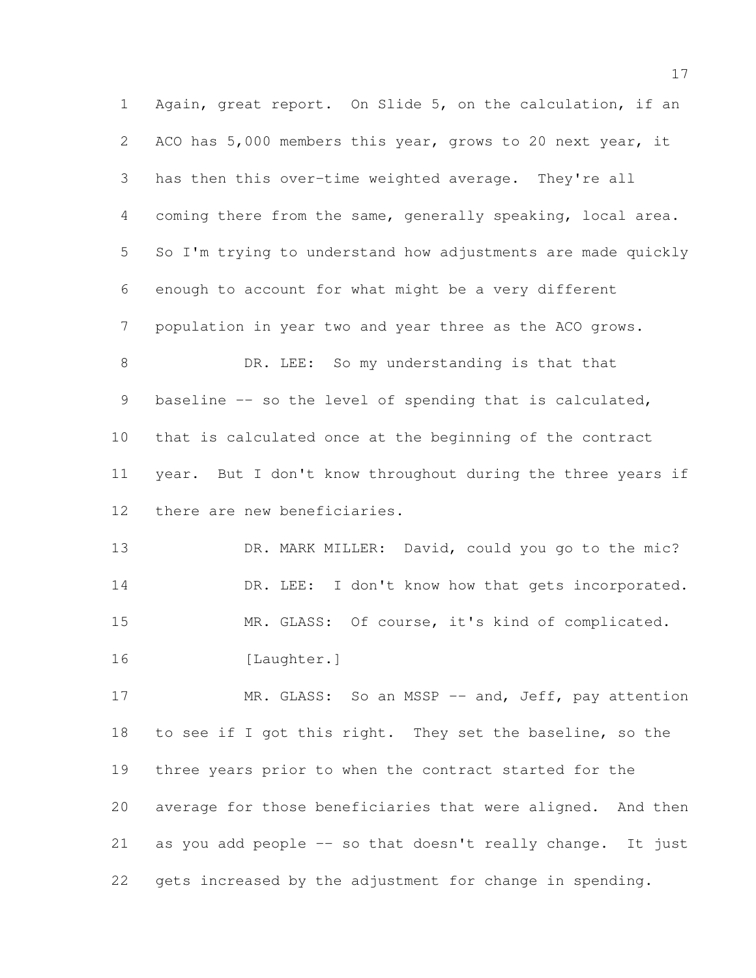Again, great report. On Slide 5, on the calculation, if an ACO has 5,000 members this year, grows to 20 next year, it has then this over-time weighted average. They're all coming there from the same, generally speaking, local area. So I'm trying to understand how adjustments are made quickly enough to account for what might be a very different population in year two and year three as the ACO grows. 8 DR. LEE: So my understanding is that that 9 baseline -- so the level of spending that is calculated, that is calculated once at the beginning of the contract year. But I don't know throughout during the three years if there are new beneficiaries. 13 DR. MARK MILLER: David, could you go to the mic? 14 DR. LEE: I don't know how that gets incorporated. MR. GLASS: Of course, it's kind of complicated. [Laughter.] 17 MR. GLASS: So an MSSP -- and, Jeff, pay attention to see if I got this right. They set the baseline, so the three years prior to when the contract started for the average for those beneficiaries that were aligned. And then as you add people -- so that doesn't really change. It just

gets increased by the adjustment for change in spending.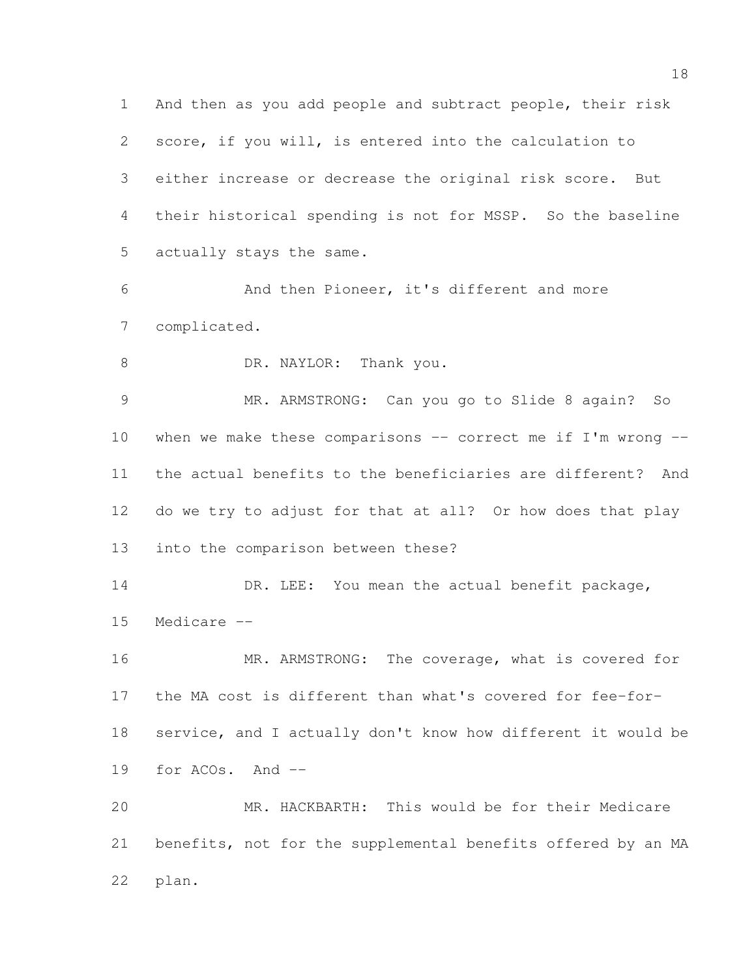And then as you add people and subtract people, their risk score, if you will, is entered into the calculation to either increase or decrease the original risk score. But their historical spending is not for MSSP. So the baseline actually stays the same. And then Pioneer, it's different and more complicated. 8 DR. NAYLOR: Thank you. MR. ARMSTRONG: Can you go to Slide 8 again? So when we make these comparisons -- correct me if I'm wrong -- the actual benefits to the beneficiaries are different? And do we try to adjust for that at all? Or how does that play into the comparison between these? 14 DR. LEE: You mean the actual benefit package, Medicare -- 16 MR. ARMSTRONG: The coverage, what is covered for the MA cost is different than what's covered for fee-for- service, and I actually don't know how different it would be for ACOs. And -- MR. HACKBARTH: This would be for their Medicare benefits, not for the supplemental benefits offered by an MA plan.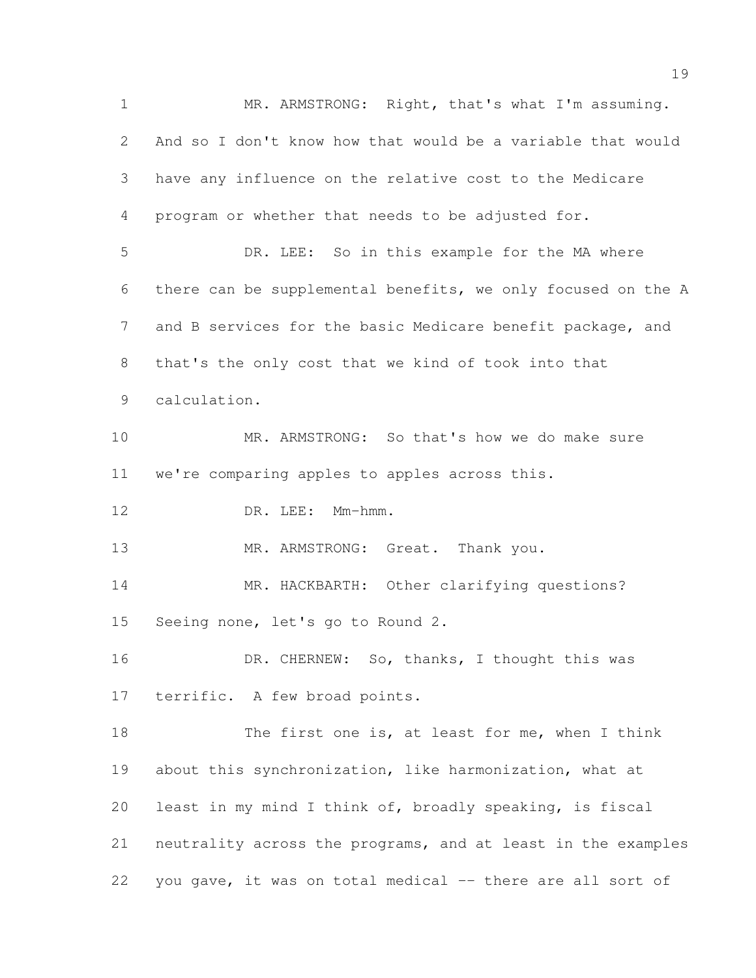MR. ARMSTRONG: Right, that's what I'm assuming. And so I don't know how that would be a variable that would have any influence on the relative cost to the Medicare program or whether that needs to be adjusted for. DR. LEE: So in this example for the MA where there can be supplemental benefits, we only focused on the A and B services for the basic Medicare benefit package, and that's the only cost that we kind of took into that calculation. MR. ARMSTRONG: So that's how we do make sure we're comparing apples to apples across this. 12 DR. LEE: Mm-hmm. 13 MR. ARMSTRONG: Great. Thank you. 14 MR. HACKBARTH: Other clarifying questions? Seeing none, let's go to Round 2. 16 DR. CHERNEW: So, thanks, I thought this was terrific. A few broad points. 18 The first one is, at least for me, when I think about this synchronization, like harmonization, what at least in my mind I think of, broadly speaking, is fiscal neutrality across the programs, and at least in the examples you gave, it was on total medical -- there are all sort of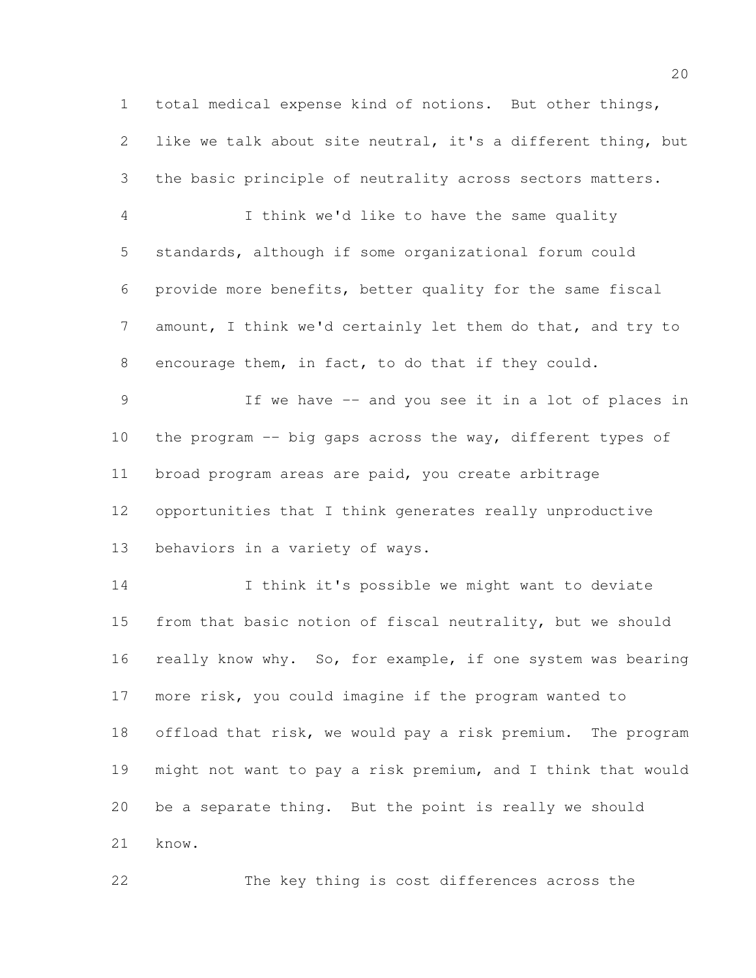total medical expense kind of notions. But other things, like we talk about site neutral, it's a different thing, but the basic principle of neutrality across sectors matters. I think we'd like to have the same quality standards, although if some organizational forum could provide more benefits, better quality for the same fiscal amount, I think we'd certainly let them do that, and try to encourage them, in fact, to do that if they could. If we have -- and you see it in a lot of places in 10 the program -- big gaps across the way, different types of broad program areas are paid, you create arbitrage opportunities that I think generates really unproductive behaviors in a variety of ways. I think it's possible we might want to deviate from that basic notion of fiscal neutrality, but we should 16 really know why. So, for example, if one system was bearing more risk, you could imagine if the program wanted to offload that risk, we would pay a risk premium. The program might not want to pay a risk premium, and I think that would be a separate thing. But the point is really we should

know.

The key thing is cost differences across the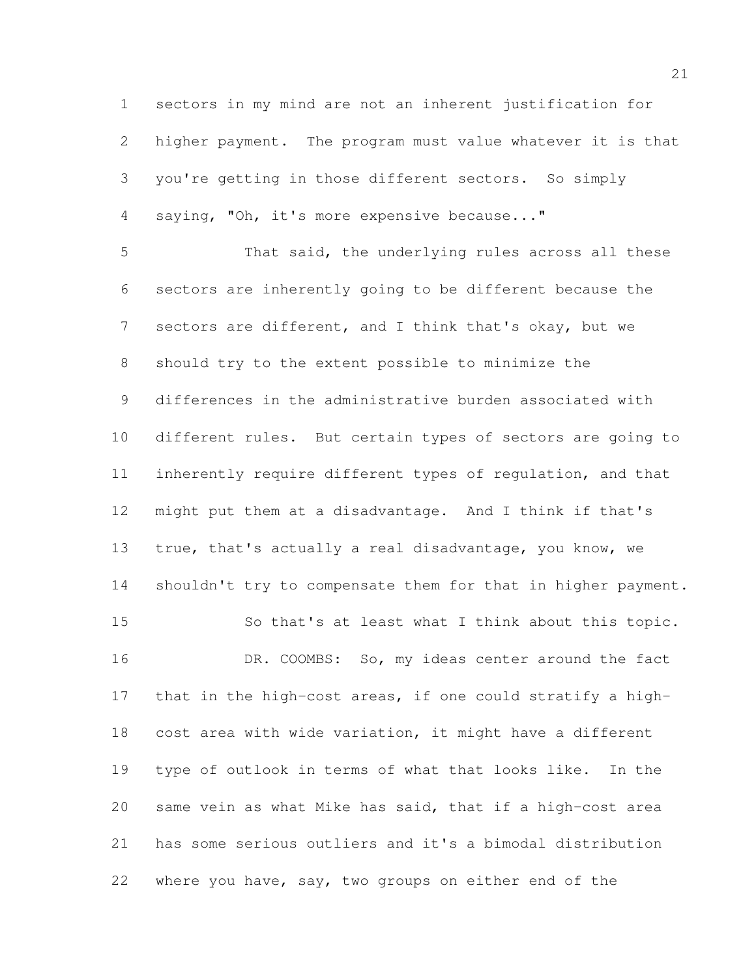sectors in my mind are not an inherent justification for higher payment. The program must value whatever it is that you're getting in those different sectors. So simply saying, "Oh, it's more expensive because..."

 That said, the underlying rules across all these sectors are inherently going to be different because the sectors are different, and I think that's okay, but we should try to the extent possible to minimize the differences in the administrative burden associated with different rules. But certain types of sectors are going to inherently require different types of regulation, and that might put them at a disadvantage. And I think if that's true, that's actually a real disadvantage, you know, we 14 shouldn't try to compensate them for that in higher payment. So that's at least what I think about this topic. 16 DR. COOMBS: So, my ideas center around the fact that in the high-cost areas, if one could stratify a high- cost area with wide variation, it might have a different type of outlook in terms of what that looks like. In the same vein as what Mike has said, that if a high-cost area has some serious outliers and it's a bimodal distribution where you have, say, two groups on either end of the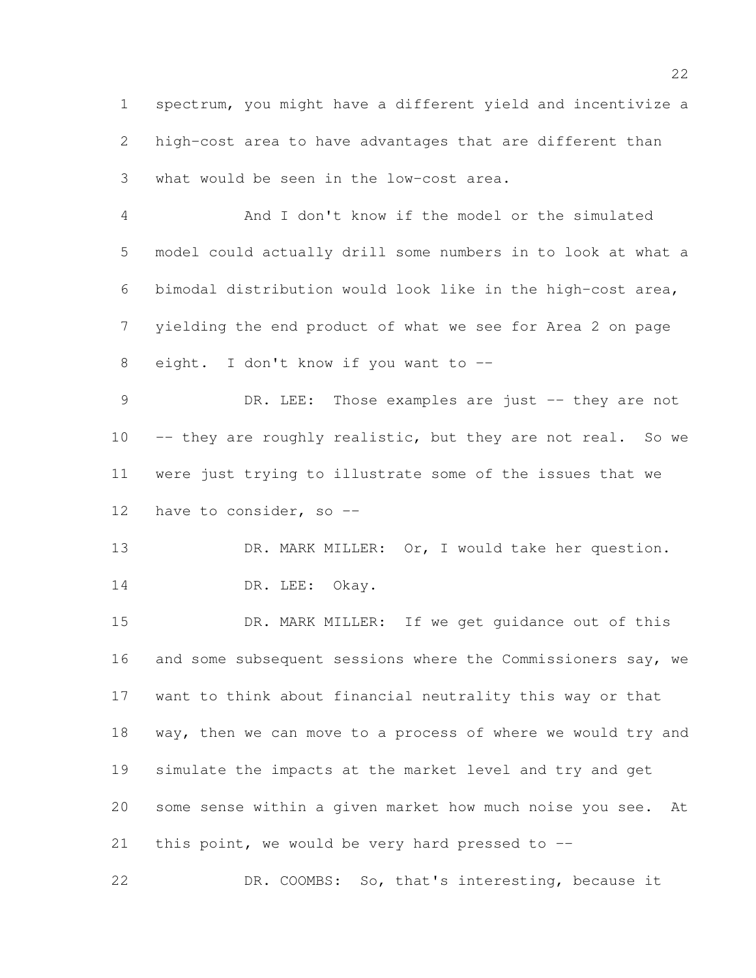spectrum, you might have a different yield and incentivize a high-cost area to have advantages that are different than what would be seen in the low-cost area.

 And I don't know if the model or the simulated model could actually drill some numbers in to look at what a bimodal distribution would look like in the high-cost area, yielding the end product of what we see for Area 2 on page eight. I don't know if you want to --

9 DR. LEE: Those examples are just -- they are not 10 -- they are roughly realistic, but they are not real. So we were just trying to illustrate some of the issues that we 12 have to consider, so --

13 DR. MARK MILLER: Or, I would take her question. 14 DR. LEE: Okay.

 DR. MARK MILLER: If we get guidance out of this 16 and some subsequent sessions where the Commissioners say, we want to think about financial neutrality this way or that way, then we can move to a process of where we would try and simulate the impacts at the market level and try and get some sense within a given market how much noise you see. At 21 this point, we would be very hard pressed to  $-$ -

DR. COOMBS: So, that's interesting, because it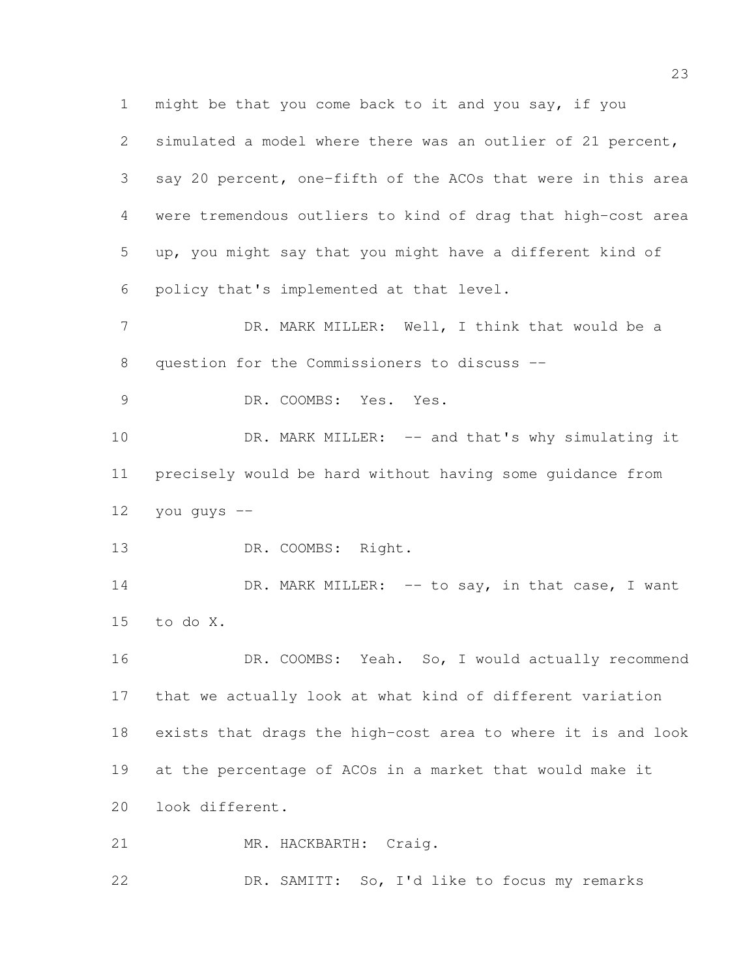might be that you come back to it and you say, if you simulated a model where there was an outlier of 21 percent, say 20 percent, one-fifth of the ACOs that were in this area were tremendous outliers to kind of drag that high-cost area up, you might say that you might have a different kind of policy that's implemented at that level. 7 DR. MARK MILLER: Well, I think that would be a question for the Commissioners to discuss -- DR. COOMBS: Yes. Yes. 10 DR. MARK MILLER: -- and that's why simulating it precisely would be hard without having some guidance from you guys  $-$  DR. COOMBS: Right. 14 DR. MARK MILLER: -- to say, in that case, I want to do X. 16 DR. COOMBS: Yeah. So, I would actually recommend that we actually look at what kind of different variation exists that drags the high-cost area to where it is and look at the percentage of ACOs in a market that would make it look different. 21 MR. HACKBARTH: Craig. DR. SAMITT: So, I'd like to focus my remarks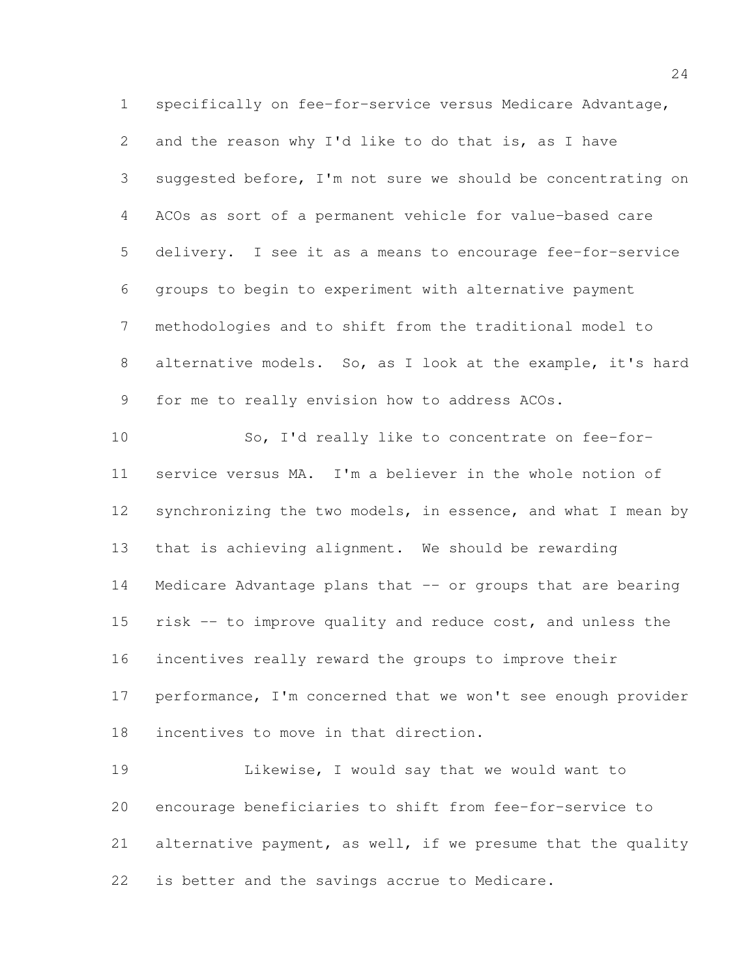specifically on fee-for-service versus Medicare Advantage, and the reason why I'd like to do that is, as I have suggested before, I'm not sure we should be concentrating on ACOs as sort of a permanent vehicle for value-based care delivery. I see it as a means to encourage fee-for-service groups to begin to experiment with alternative payment methodologies and to shift from the traditional model to alternative models. So, as I look at the example, it's hard for me to really envision how to address ACOs. So, I'd really like to concentrate on fee-for- service versus MA. I'm a believer in the whole notion of 12 synchronizing the two models, in essence, and what I mean by that is achieving alignment. We should be rewarding Medicare Advantage plans that -- or groups that are bearing risk -- to improve quality and reduce cost, and unless the incentives really reward the groups to improve their performance, I'm concerned that we won't see enough provider incentives to move in that direction. Likewise, I would say that we would want to encourage beneficiaries to shift from fee-for-service to alternative payment, as well, if we presume that the quality

is better and the savings accrue to Medicare.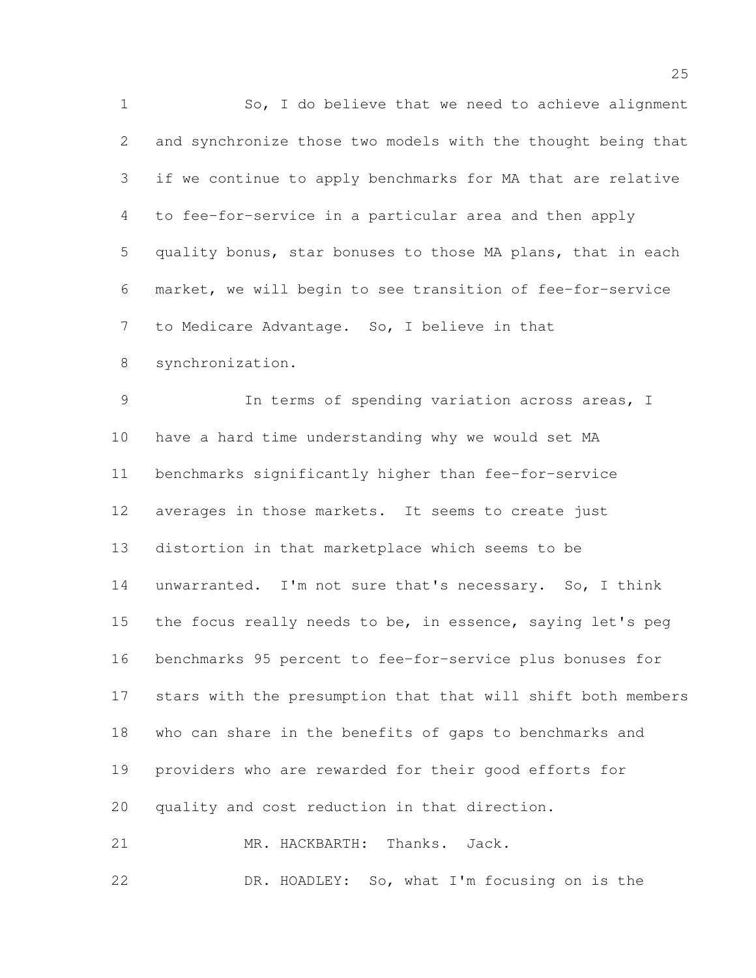So, I do believe that we need to achieve alignment and synchronize those two models with the thought being that if we continue to apply benchmarks for MA that are relative to fee-for-service in a particular area and then apply quality bonus, star bonuses to those MA plans, that in each market, we will begin to see transition of fee-for-service to Medicare Advantage. So, I believe in that synchronization. In terms of spending variation across areas, I have a hard time understanding why we would set MA benchmarks significantly higher than fee-for-service averages in those markets. It seems to create just distortion in that marketplace which seems to be unwarranted. I'm not sure that's necessary. So, I think 15 the focus really needs to be, in essence, saying let's peg benchmarks 95 percent to fee-for-service plus bonuses for stars with the presumption that that will shift both members who can share in the benefits of gaps to benchmarks and providers who are rewarded for their good efforts for quality and cost reduction in that direction. MR. HACKBARTH: Thanks. Jack.

DR. HOADLEY: So, what I'm focusing on is the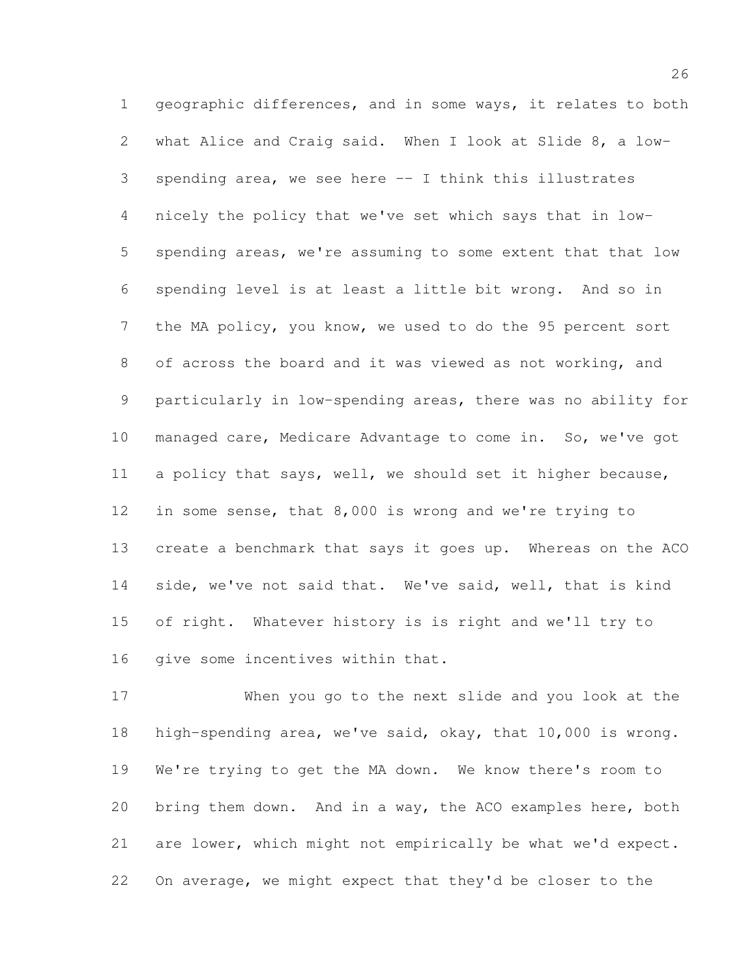geographic differences, and in some ways, it relates to both what Alice and Craig said. When I look at Slide 8, a low- spending area, we see here -- I think this illustrates nicely the policy that we've set which says that in low- spending areas, we're assuming to some extent that that low spending level is at least a little bit wrong. And so in the MA policy, you know, we used to do the 95 percent sort of across the board and it was viewed as not working, and particularly in low-spending areas, there was no ability for managed care, Medicare Advantage to come in. So, we've got a policy that says, well, we should set it higher because, in some sense, that 8,000 is wrong and we're trying to create a benchmark that says it goes up. Whereas on the ACO side, we've not said that. We've said, well, that is kind of right. Whatever history is is right and we'll try to 16 qive some incentives within that.

 When you go to the next slide and you look at the high-spending area, we've said, okay, that 10,000 is wrong. We're trying to get the MA down. We know there's room to bring them down. And in a way, the ACO examples here, both are lower, which might not empirically be what we'd expect. On average, we might expect that they'd be closer to the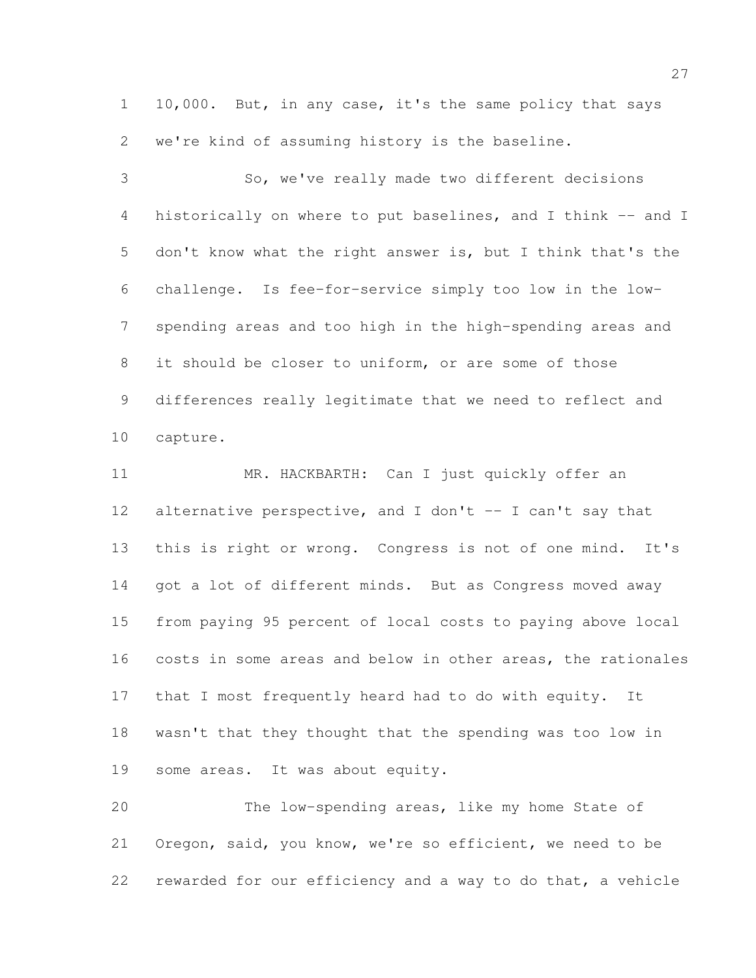10,000. But, in any case, it's the same policy that says we're kind of assuming history is the baseline.

 So, we've really made two different decisions 4 historically on where to put baselines, and I think -- and I don't know what the right answer is, but I think that's the challenge. Is fee-for-service simply too low in the low- spending areas and too high in the high-spending areas and it should be closer to uniform, or are some of those differences really legitimate that we need to reflect and capture.

 MR. HACKBARTH: Can I just quickly offer an 12 alternative perspective, and I don't -- I can't say that this is right or wrong. Congress is not of one mind. It's 14 got a lot of different minds. But as Congress moved away from paying 95 percent of local costs to paying above local costs in some areas and below in other areas, the rationales that I most frequently heard had to do with equity. It wasn't that they thought that the spending was too low in some areas. It was about equity.

 The low-spending areas, like my home State of Oregon, said, you know, we're so efficient, we need to be rewarded for our efficiency and a way to do that, a vehicle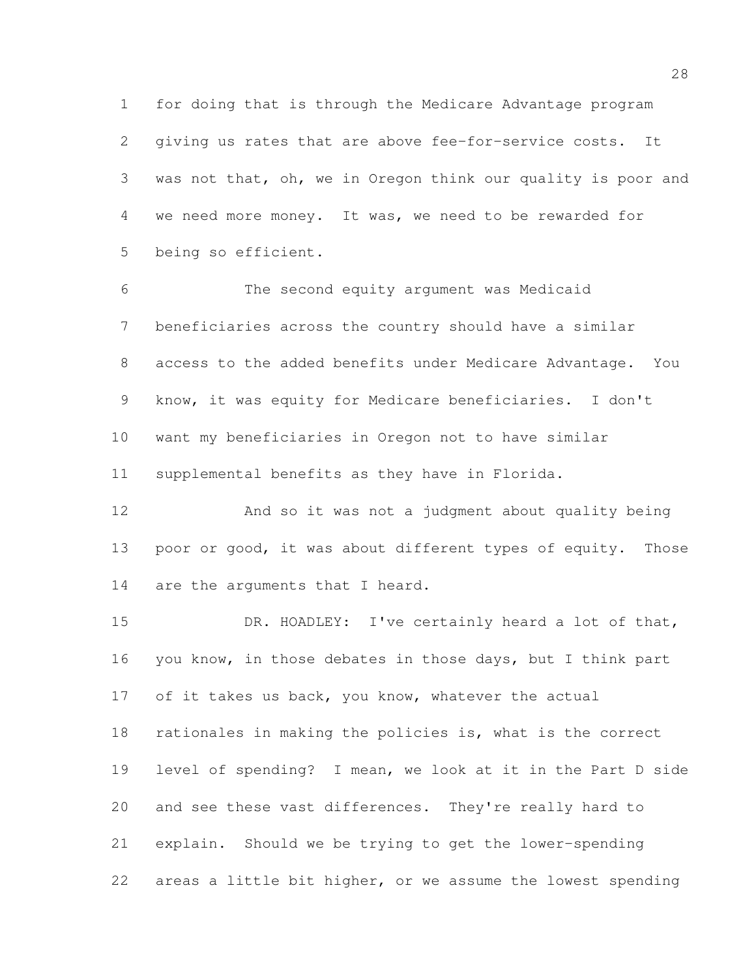for doing that is through the Medicare Advantage program giving us rates that are above fee-for-service costs. It was not that, oh, we in Oregon think our quality is poor and we need more money. It was, we need to be rewarded for being so efficient.

 The second equity argument was Medicaid beneficiaries across the country should have a similar access to the added benefits under Medicare Advantage. You know, it was equity for Medicare beneficiaries. I don't want my beneficiaries in Oregon not to have similar supplemental benefits as they have in Florida.

 And so it was not a judgment about quality being 13 poor or good, it was about different types of equity. Those 14 are the arguments that I heard.

 DR. HOADLEY: I've certainly heard a lot of that, 16 you know, in those debates in those days, but I think part 17 of it takes us back, you know, whatever the actual rationales in making the policies is, what is the correct level of spending? I mean, we look at it in the Part D side and see these vast differences. They're really hard to explain. Should we be trying to get the lower-spending areas a little bit higher, or we assume the lowest spending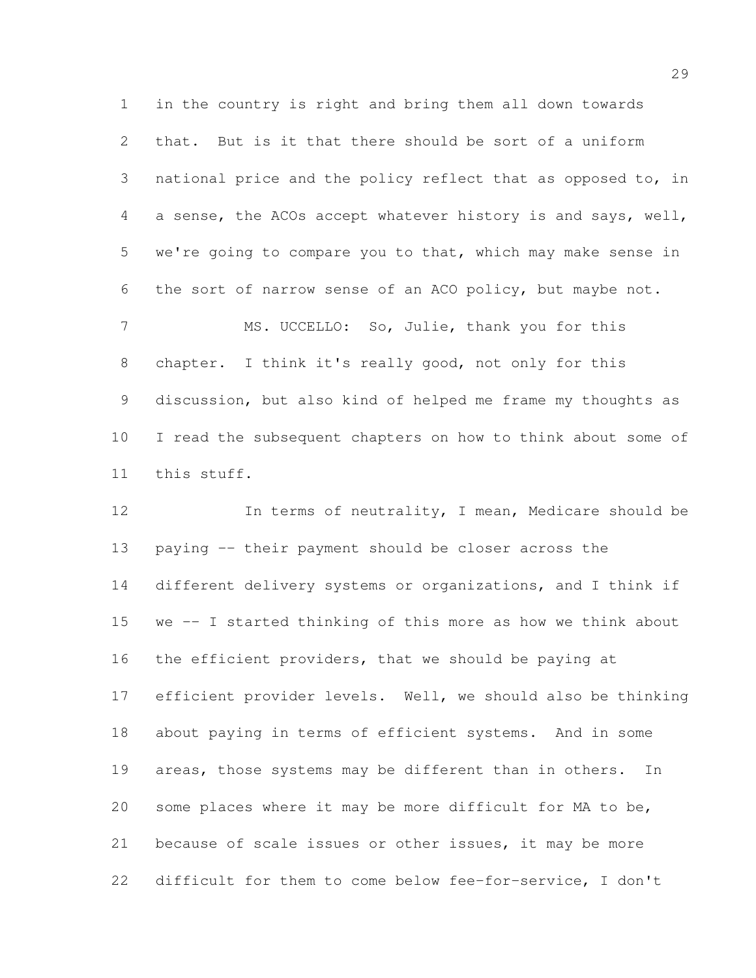in the country is right and bring them all down towards that. But is it that there should be sort of a uniform national price and the policy reflect that as opposed to, in a sense, the ACOs accept whatever history is and says, well, we're going to compare you to that, which may make sense in the sort of narrow sense of an ACO policy, but maybe not. MS. UCCELLO: So, Julie, thank you for this chapter. I think it's really good, not only for this discussion, but also kind of helped me frame my thoughts as I read the subsequent chapters on how to think about some of this stuff.

 In terms of neutrality, I mean, Medicare should be paying -- their payment should be closer across the different delivery systems or organizations, and I think if we -- I started thinking of this more as how we think about the efficient providers, that we should be paying at efficient provider levels. Well, we should also be thinking about paying in terms of efficient systems. And in some 19 areas, those systems may be different than in others. In some places where it may be more difficult for MA to be, because of scale issues or other issues, it may be more difficult for them to come below fee-for-service, I don't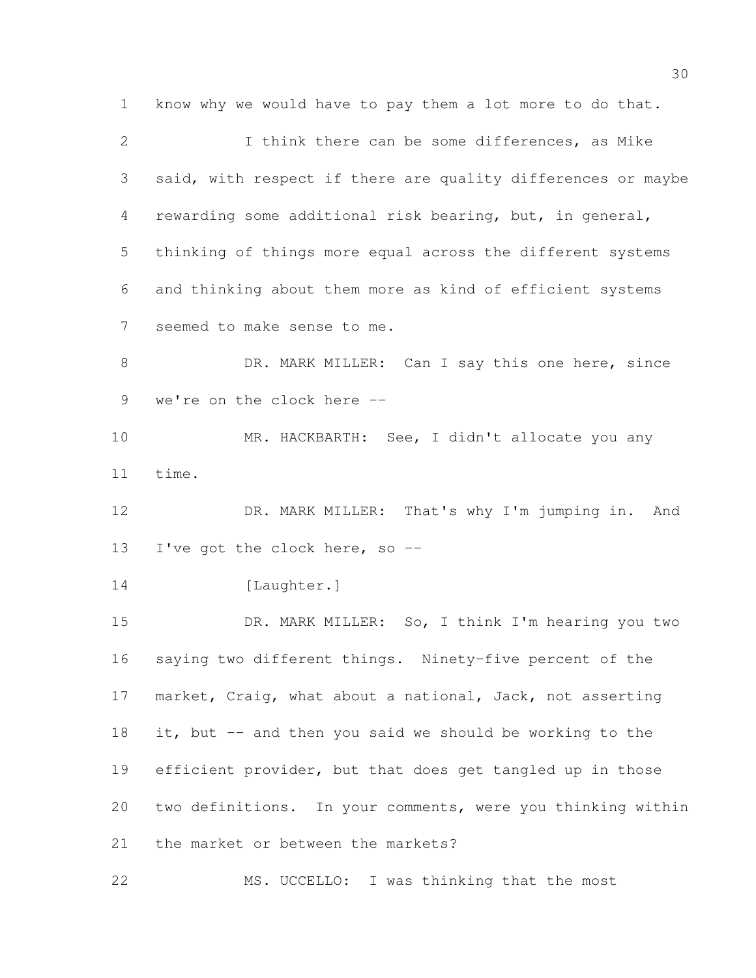know why we would have to pay them a lot more to do that. I think there can be some differences, as Mike said, with respect if there are quality differences or maybe rewarding some additional risk bearing, but, in general, thinking of things more equal across the different systems and thinking about them more as kind of efficient systems seemed to make sense to me. 8 DR. MARK MILLER: Can I say this one here, since we're on the clock here -- MR. HACKBARTH: See, I didn't allocate you any time. DR. MARK MILLER: That's why I'm jumping in. And I've got the clock here, so -- 14 [Laughter.] DR. MARK MILLER: So, I think I'm hearing you two saying two different things. Ninety-five percent of the market, Craig, what about a national, Jack, not asserting it, but -- and then you said we should be working to the efficient provider, but that does get tangled up in those two definitions. In your comments, were you thinking within the market or between the markets? MS. UCCELLO: I was thinking that the most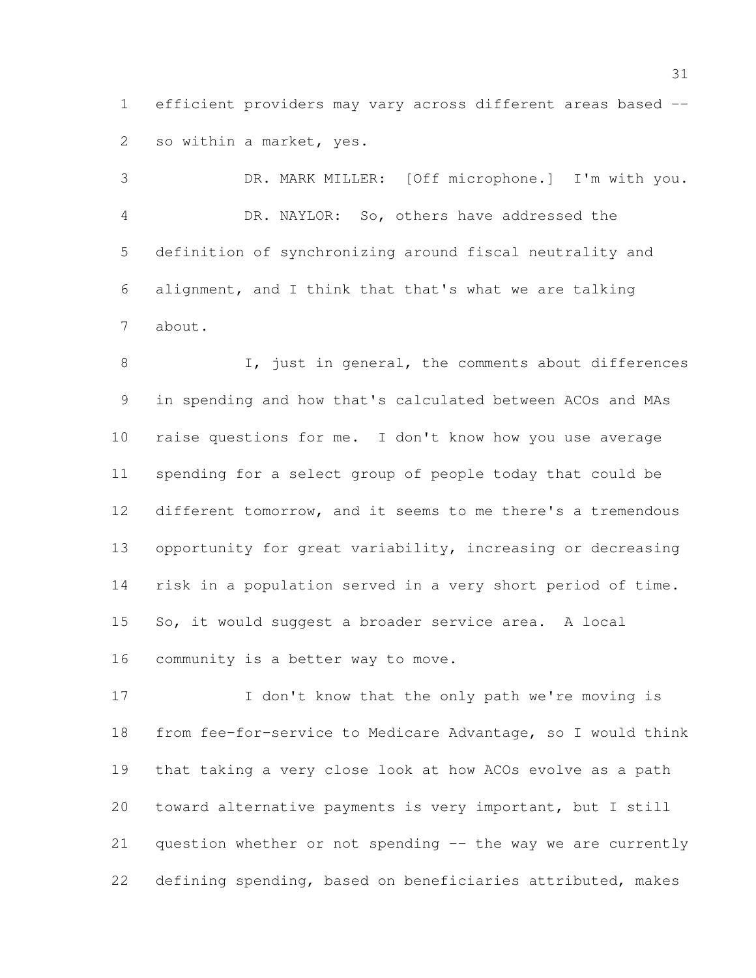efficient providers may vary across different areas based -- so within a market, yes.

 DR. MARK MILLER: [Off microphone.] I'm with you. DR. NAYLOR: So, others have addressed the definition of synchronizing around fiscal neutrality and alignment, and I think that that's what we are talking about.

8 I, just in general, the comments about differences in spending and how that's calculated between ACOs and MAs raise questions for me. I don't know how you use average spending for a select group of people today that could be different tomorrow, and it seems to me there's a tremendous opportunity for great variability, increasing or decreasing risk in a population served in a very short period of time. So, it would suggest a broader service area. A local community is a better way to move.

17 I don't know that the only path we're moving is from fee-for-service to Medicare Advantage, so I would think that taking a very close look at how ACOs evolve as a path toward alternative payments is very important, but I still question whether or not spending -- the way we are currently defining spending, based on beneficiaries attributed, makes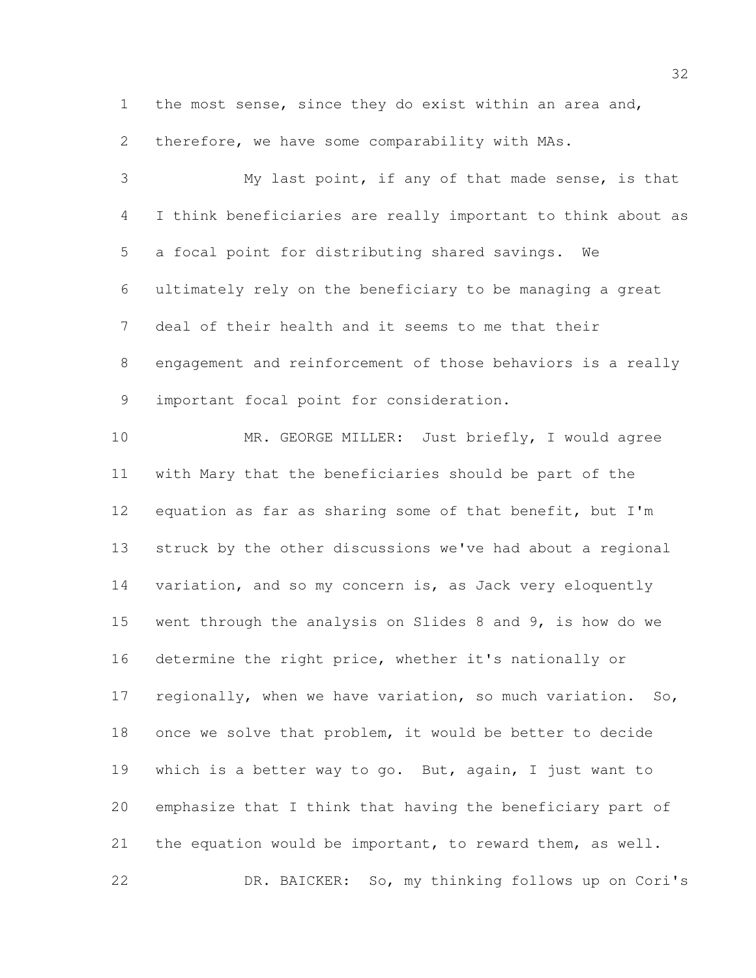the most sense, since they do exist within an area and,

therefore, we have some comparability with MAs.

 My last point, if any of that made sense, is that I think beneficiaries are really important to think about as a focal point for distributing shared savings. We ultimately rely on the beneficiary to be managing a great deal of their health and it seems to me that their engagement and reinforcement of those behaviors is a really important focal point for consideration. MR. GEORGE MILLER: Just briefly, I would agree with Mary that the beneficiaries should be part of the equation as far as sharing some of that benefit, but I'm struck by the other discussions we've had about a regional variation, and so my concern is, as Jack very eloquently went through the analysis on Slides 8 and 9, is how do we determine the right price, whether it's nationally or regionally, when we have variation, so much variation. So, once we solve that problem, it would be better to decide which is a better way to go. But, again, I just want to emphasize that I think that having the beneficiary part of the equation would be important, to reward them, as well. DR. BAICKER: So, my thinking follows up on Cori's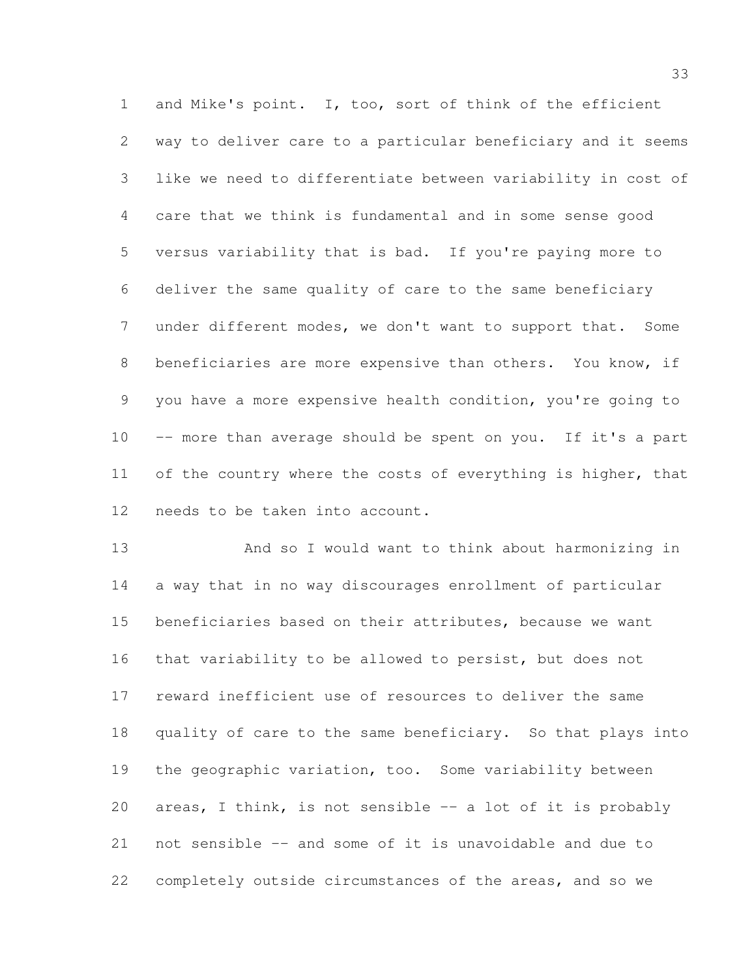and Mike's point. I, too, sort of think of the efficient way to deliver care to a particular beneficiary and it seems like we need to differentiate between variability in cost of care that we think is fundamental and in some sense good versus variability that is bad. If you're paying more to deliver the same quality of care to the same beneficiary under different modes, we don't want to support that. Some beneficiaries are more expensive than others. You know, if you have a more expensive health condition, you're going to 10 -- more than average should be spent on you. If it's a part 11 of the country where the costs of everything is higher, that needs to be taken into account.

 And so I would want to think about harmonizing in a way that in no way discourages enrollment of particular beneficiaries based on their attributes, because we want that variability to be allowed to persist, but does not reward inefficient use of resources to deliver the same quality of care to the same beneficiary. So that plays into the geographic variation, too. Some variability between 20 areas, I think, is not sensible -- a lot of it is probably not sensible -- and some of it is unavoidable and due to completely outside circumstances of the areas, and so we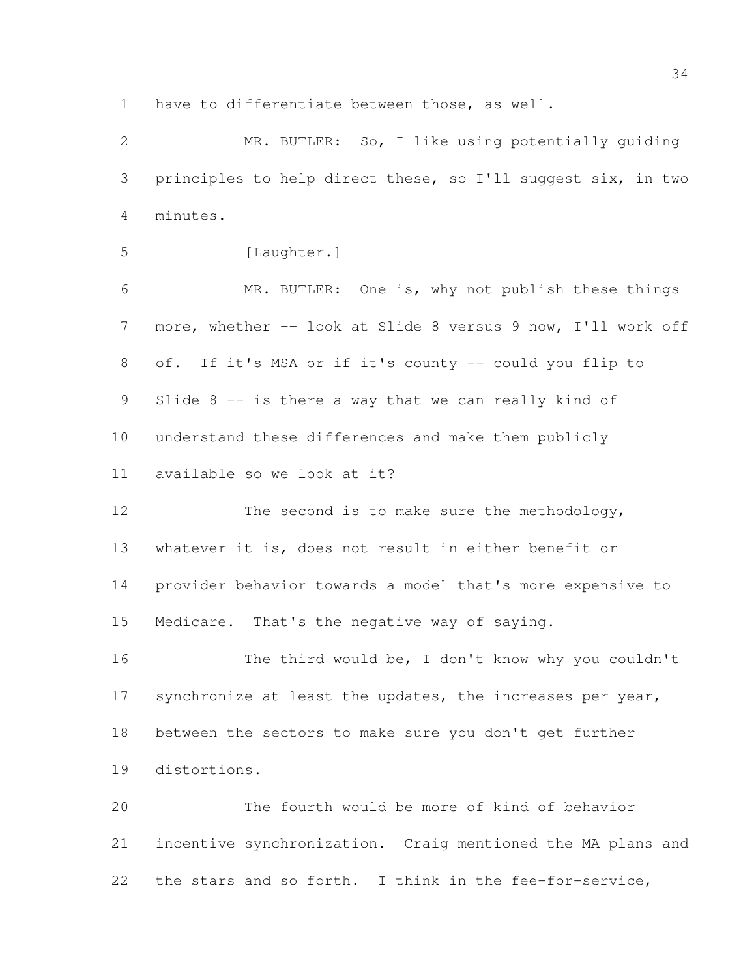have to differentiate between those, as well.

 MR. BUTLER: So, I like using potentially guiding principles to help direct these, so I'll suggest six, in two minutes.

5 [Laughter.]

 MR. BUTLER: One is, why not publish these things more, whether -- look at Slide 8 versus 9 now, I'll work off of. If it's MSA or if it's county -- could you flip to 9 Slide 8 -- is there a way that we can really kind of understand these differences and make them publicly available so we look at it?

12 The second is to make sure the methodology, whatever it is, does not result in either benefit or provider behavior towards a model that's more expensive to Medicare. That's the negative way of saying.

16 The third would be, I don't know why you couldn't 17 synchronize at least the updates, the increases per year, between the sectors to make sure you don't get further distortions.

 The fourth would be more of kind of behavior incentive synchronization. Craig mentioned the MA plans and the stars and so forth. I think in the fee-for-service,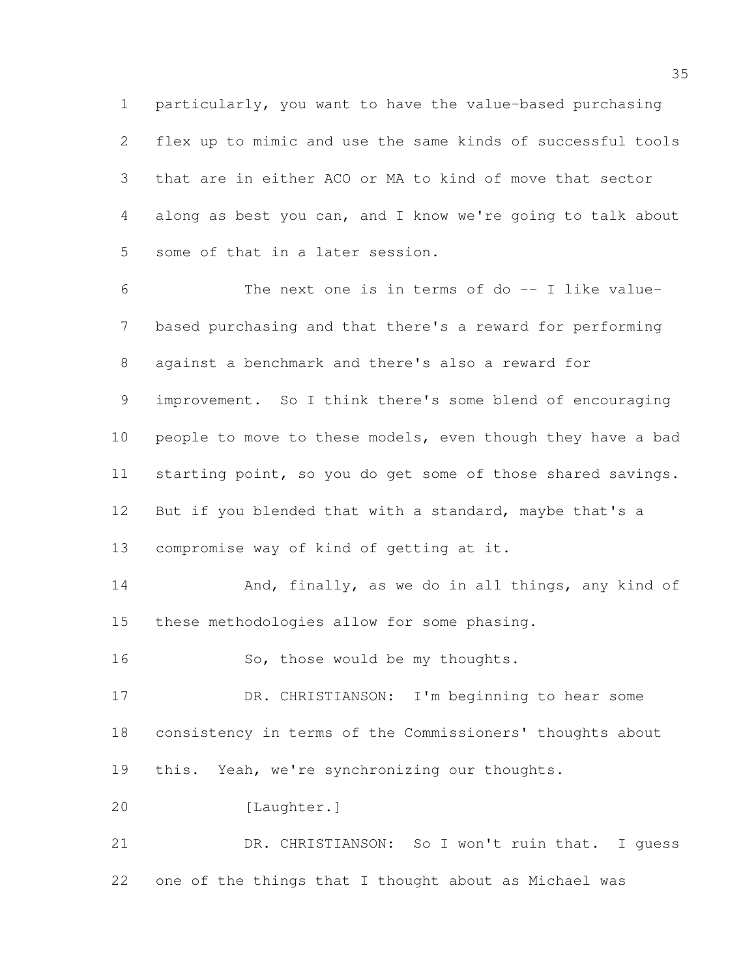particularly, you want to have the value-based purchasing flex up to mimic and use the same kinds of successful tools that are in either ACO or MA to kind of move that sector along as best you can, and I know we're going to talk about some of that in a later session.

 The next one is in terms of do -- I like value- based purchasing and that there's a reward for performing against a benchmark and there's also a reward for improvement. So I think there's some blend of encouraging 10 people to move to these models, even though they have a bad starting point, so you do get some of those shared savings. But if you blended that with a standard, maybe that's a compromise way of kind of getting at it.

14 And, finally, as we do in all things, any kind of these methodologies allow for some phasing.

16 So, those would be my thoughts.

 DR. CHRISTIANSON: I'm beginning to hear some consistency in terms of the Commissioners' thoughts about this. Yeah, we're synchronizing our thoughts.

[Laughter.]

 DR. CHRISTIANSON: So I won't ruin that. I guess one of the things that I thought about as Michael was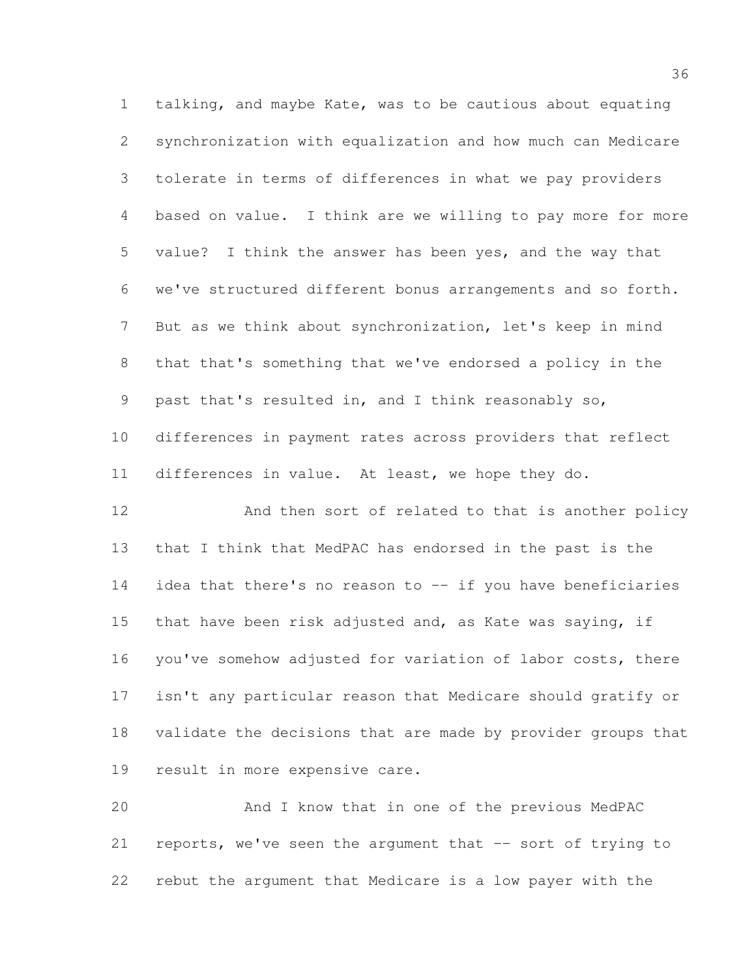talking, and maybe Kate, was to be cautious about equating synchronization with equalization and how much can Medicare tolerate in terms of differences in what we pay providers based on value. I think are we willing to pay more for more value? I think the answer has been yes, and the way that we've structured different bonus arrangements and so forth. But as we think about synchronization, let's keep in mind that that's something that we've endorsed a policy in the past that's resulted in, and I think reasonably so, differences in payment rates across providers that reflect differences in value. At least, we hope they do.

 And then sort of related to that is another policy that I think that MedPAC has endorsed in the past is the idea that there's no reason to -- if you have beneficiaries that have been risk adjusted and, as Kate was saying, if you've somehow adjusted for variation of labor costs, there isn't any particular reason that Medicare should gratify or validate the decisions that are made by provider groups that result in more expensive care.

 And I know that in one of the previous MedPAC reports, we've seen the argument that -- sort of trying to rebut the argument that Medicare is a low payer with the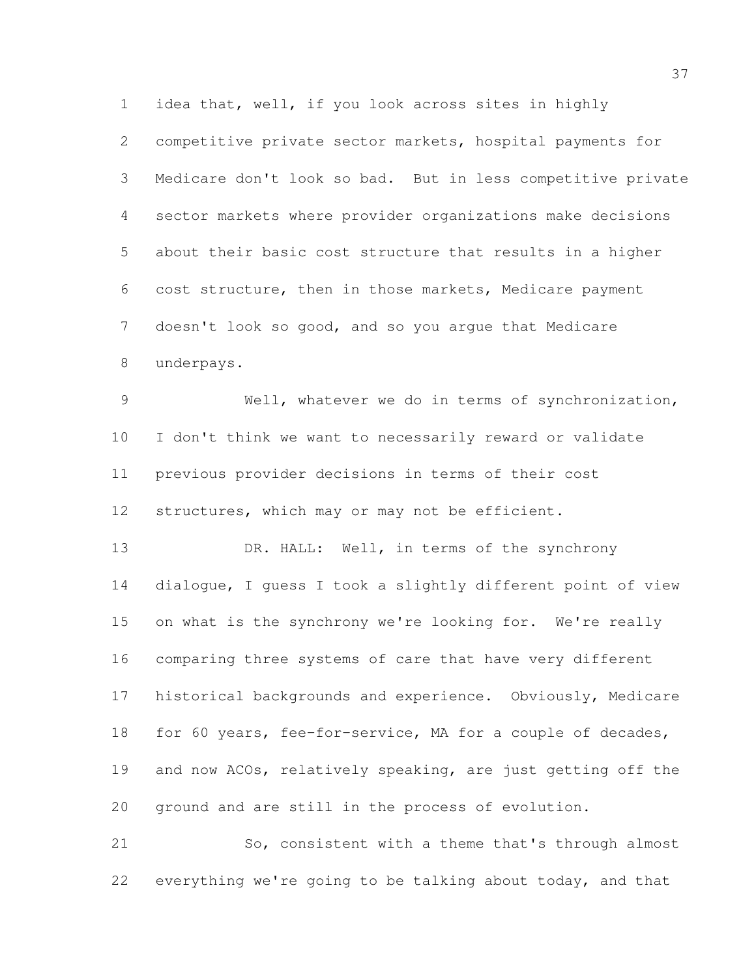competitive private sector markets, hospital payments for Medicare don't look so bad. But in less competitive private sector markets where provider organizations make decisions about their basic cost structure that results in a higher cost structure, then in those markets, Medicare payment doesn't look so good, and so you argue that Medicare underpays.

idea that, well, if you look across sites in highly

 Well, whatever we do in terms of synchronization, I don't think we want to necessarily reward or validate previous provider decisions in terms of their cost structures, which may or may not be efficient.

13 DR. HALL: Well, in terms of the synchrony dialogue, I guess I took a slightly different point of view 15 on what is the synchrony we're looking for. We're really comparing three systems of care that have very different historical backgrounds and experience. Obviously, Medicare for 60 years, fee-for-service, MA for a couple of decades, and now ACOs, relatively speaking, are just getting off the ground and are still in the process of evolution.

 So, consistent with a theme that's through almost everything we're going to be talking about today, and that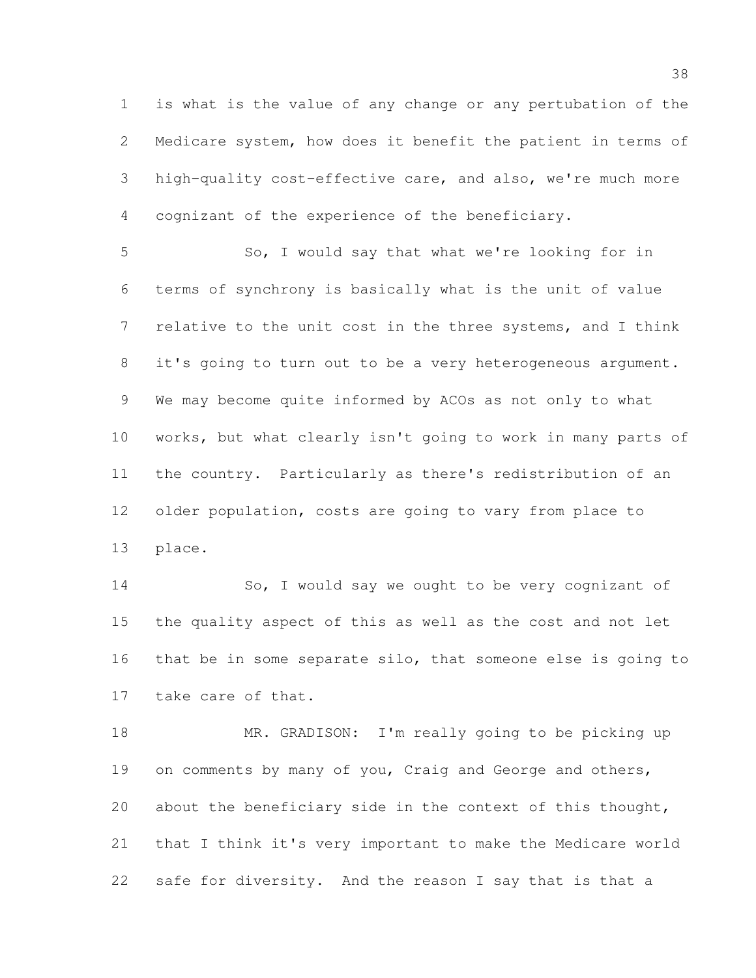is what is the value of any change or any pertubation of the Medicare system, how does it benefit the patient in terms of high-quality cost-effective care, and also, we're much more cognizant of the experience of the beneficiary.

 So, I would say that what we're looking for in terms of synchrony is basically what is the unit of value relative to the unit cost in the three systems, and I think it's going to turn out to be a very heterogeneous argument. We may become quite informed by ACOs as not only to what works, but what clearly isn't going to work in many parts of the country. Particularly as there's redistribution of an older population, costs are going to vary from place to place.

 So, I would say we ought to be very cognizant of the quality aspect of this as well as the cost and not let that be in some separate silo, that someone else is going to take care of that.

18 MR. GRADISON: I'm really going to be picking up on comments by many of you, Craig and George and others, 20 about the beneficiary side in the context of this thought, that I think it's very important to make the Medicare world safe for diversity. And the reason I say that is that a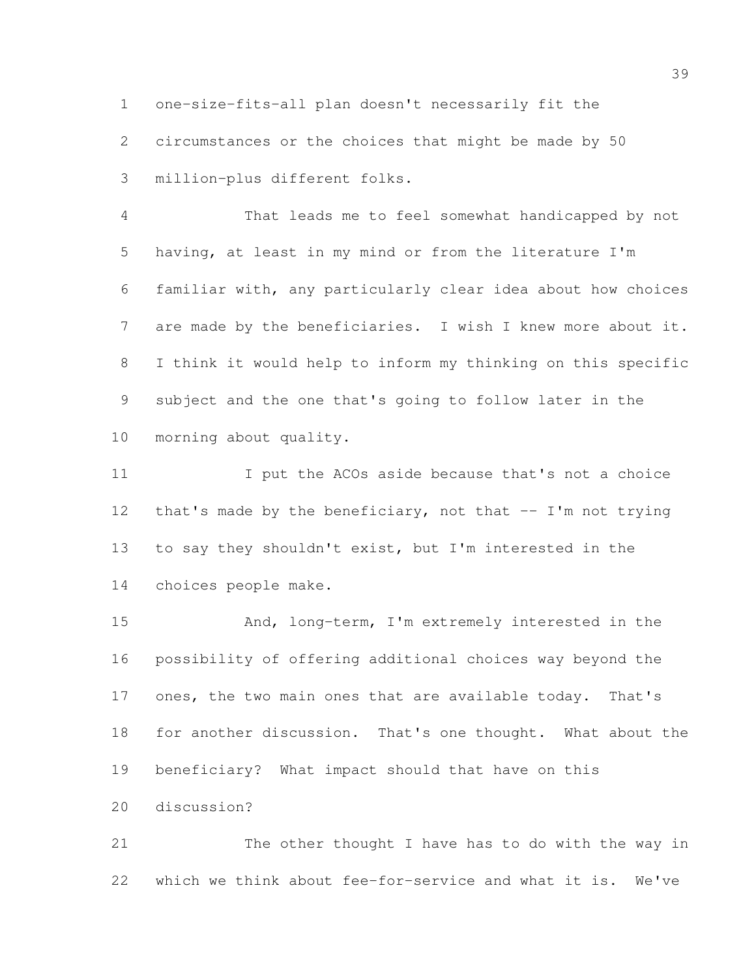one-size-fits-all plan doesn't necessarily fit the

circumstances or the choices that might be made by 50

million-plus different folks.

 That leads me to feel somewhat handicapped by not having, at least in my mind or from the literature I'm familiar with, any particularly clear idea about how choices 7 are made by the beneficiaries. I wish I knew more about it. I think it would help to inform my thinking on this specific subject and the one that's going to follow later in the morning about quality.

 I put the ACOs aside because that's not a choice 12 that's made by the beneficiary, not that -- I'm not trying to say they shouldn't exist, but I'm interested in the choices people make.

 And, long-term, I'm extremely interested in the possibility of offering additional choices way beyond the ones, the two main ones that are available today. That's for another discussion. That's one thought. What about the beneficiary? What impact should that have on this discussion?

 The other thought I have has to do with the way in which we think about fee-for-service and what it is. We've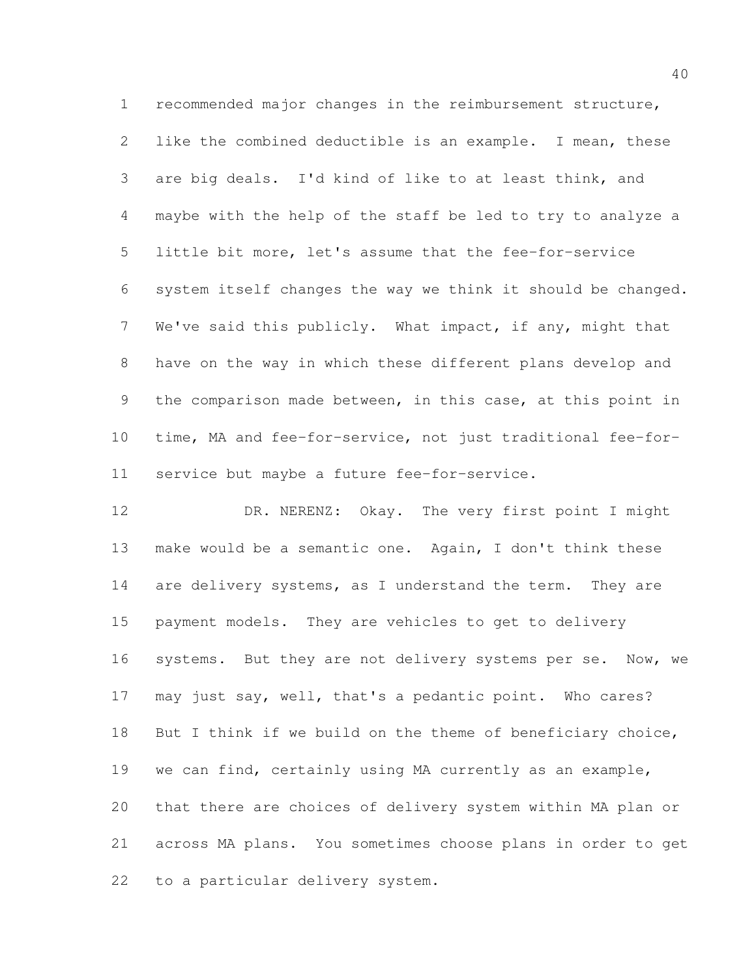recommended major changes in the reimbursement structure, like the combined deductible is an example. I mean, these are big deals. I'd kind of like to at least think, and maybe with the help of the staff be led to try to analyze a little bit more, let's assume that the fee-for-service system itself changes the way we think it should be changed. We've said this publicly. What impact, if any, might that have on the way in which these different plans develop and the comparison made between, in this case, at this point in time, MA and fee-for-service, not just traditional fee-for-service but maybe a future fee-for-service.

 DR. NERENZ: Okay. The very first point I might make would be a semantic one. Again, I don't think these 14 are delivery systems, as I understand the term. They are payment models. They are vehicles to get to delivery systems. But they are not delivery systems per se. Now, we may just say, well, that's a pedantic point. Who cares? 18 But I think if we build on the theme of beneficiary choice, we can find, certainly using MA currently as an example, that there are choices of delivery system within MA plan or across MA plans. You sometimes choose plans in order to get to a particular delivery system.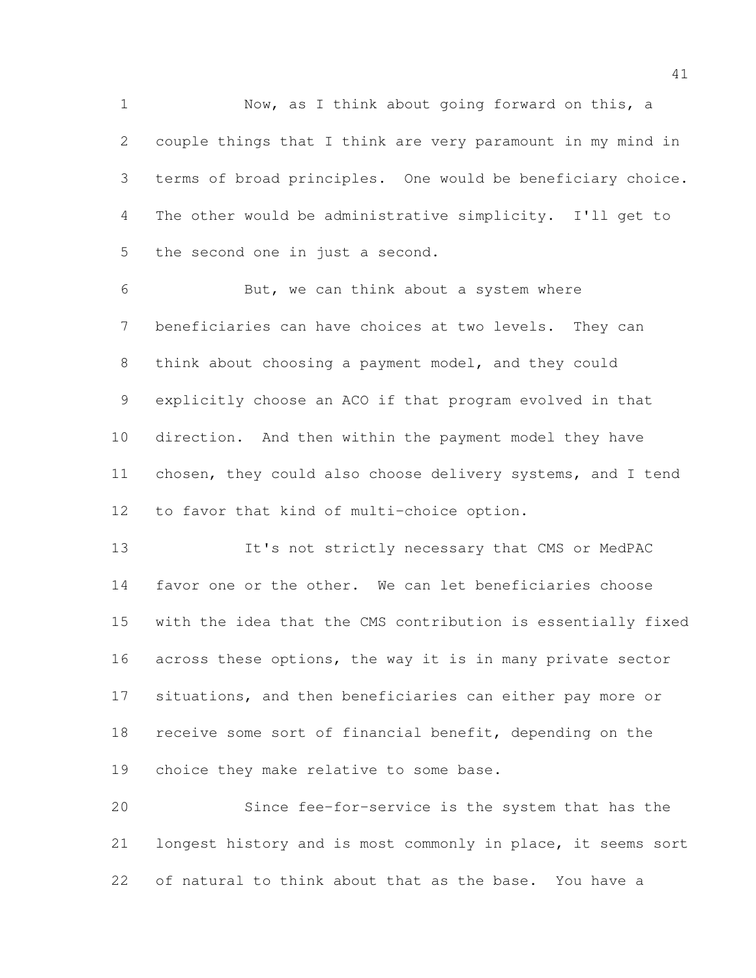Now, as I think about going forward on this, a couple things that I think are very paramount in my mind in terms of broad principles. One would be beneficiary choice. The other would be administrative simplicity. I'll get to the second one in just a second.

 But, we can think about a system where beneficiaries can have choices at two levels. They can think about choosing a payment model, and they could explicitly choose an ACO if that program evolved in that direction. And then within the payment model they have chosen, they could also choose delivery systems, and I tend to favor that kind of multi-choice option.

 It's not strictly necessary that CMS or MedPAC favor one or the other. We can let beneficiaries choose with the idea that the CMS contribution is essentially fixed 16 across these options, the way it is in many private sector situations, and then beneficiaries can either pay more or receive some sort of financial benefit, depending on the choice they make relative to some base.

 Since fee-for-service is the system that has the longest history and is most commonly in place, it seems sort of natural to think about that as the base. You have a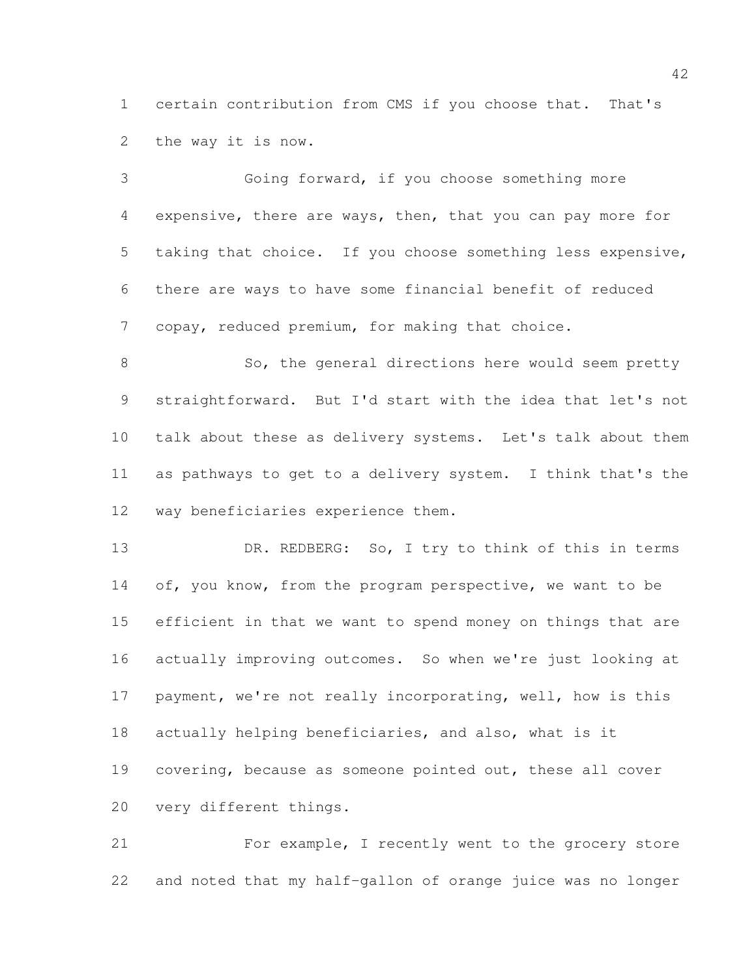certain contribution from CMS if you choose that. That's the way it is now.

 Going forward, if you choose something more expensive, there are ways, then, that you can pay more for taking that choice. If you choose something less expensive, there are ways to have some financial benefit of reduced copay, reduced premium, for making that choice.

8 So, the general directions here would seem pretty straightforward. But I'd start with the idea that let's not talk about these as delivery systems. Let's talk about them as pathways to get to a delivery system. I think that's the way beneficiaries experience them.

13 DR. REDBERG: So, I try to think of this in terms 14 of, you know, from the program perspective, we want to be efficient in that we want to spend money on things that are actually improving outcomes. So when we're just looking at 17 payment, we're not really incorporating, well, how is this actually helping beneficiaries, and also, what is it covering, because as someone pointed out, these all cover very different things.

 For example, I recently went to the grocery store and noted that my half-gallon of orange juice was no longer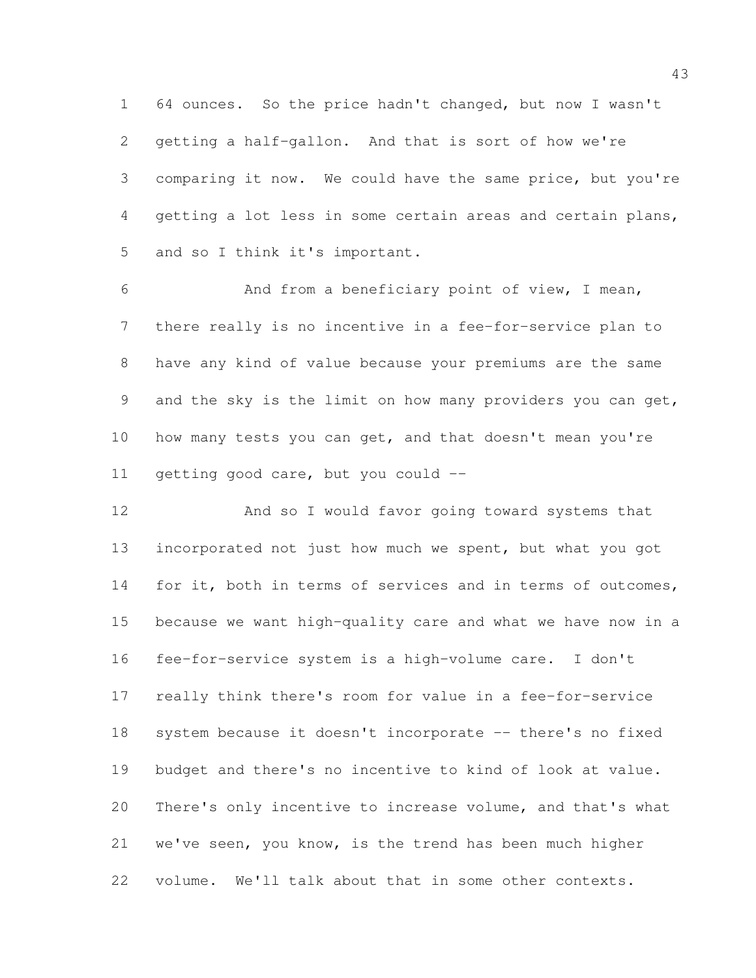64 ounces. So the price hadn't changed, but now I wasn't getting a half-gallon. And that is sort of how we're comparing it now. We could have the same price, but you're getting a lot less in some certain areas and certain plans, and so I think it's important.

 And from a beneficiary point of view, I mean, there really is no incentive in a fee-for-service plan to have any kind of value because your premiums are the same and the sky is the limit on how many providers you can get, 10 how many tests you can get, and that doesn't mean you're getting good care, but you could --

 And so I would favor going toward systems that incorporated not just how much we spent, but what you got 14 for it, both in terms of services and in terms of outcomes, because we want high-quality care and what we have now in a fee-for-service system is a high-volume care. I don't really think there's room for value in a fee-for-service system because it doesn't incorporate -- there's no fixed budget and there's no incentive to kind of look at value. There's only incentive to increase volume, and that's what we've seen, you know, is the trend has been much higher volume. We'll talk about that in some other contexts.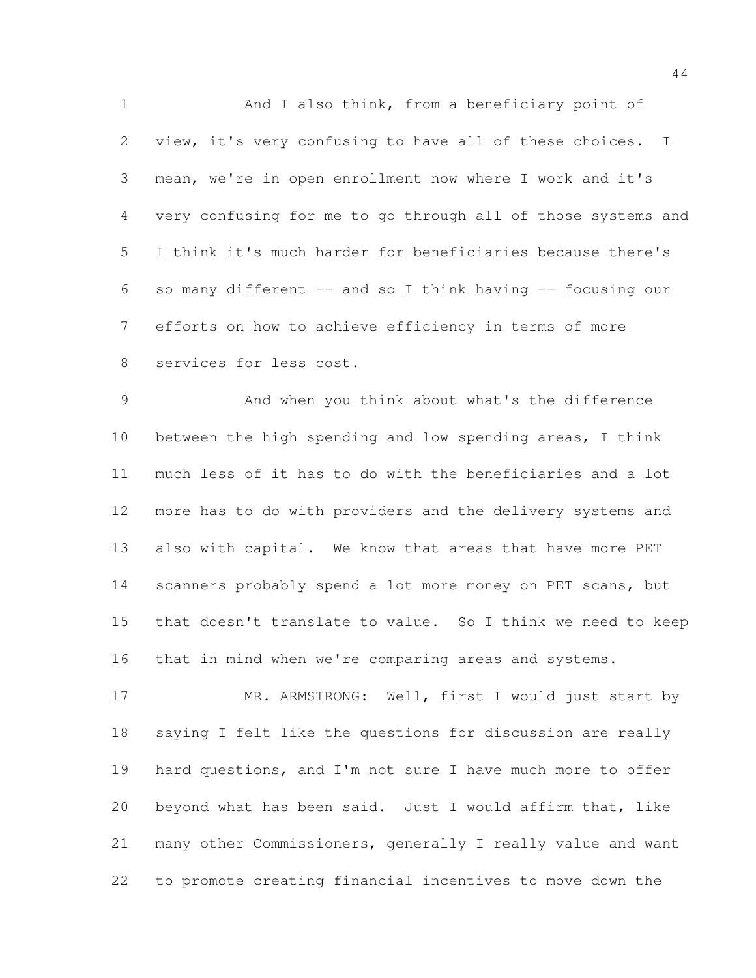And I also think, from a beneficiary point of view, it's very confusing to have all of these choices. I mean, we're in open enrollment now where I work and it's very confusing for me to go through all of those systems and I think it's much harder for beneficiaries because there's so many different -- and so I think having -- focusing our efforts on how to achieve efficiency in terms of more services for less cost.

 And when you think about what's the difference between the high spending and low spending areas, I think much less of it has to do with the beneficiaries and a lot more has to do with providers and the delivery systems and also with capital. We know that areas that have more PET 14 scanners probably spend a lot more money on PET scans, but that doesn't translate to value. So I think we need to keep that in mind when we're comparing areas and systems.

17 MR. ARMSTRONG: Well, first I would just start by saying I felt like the questions for discussion are really hard questions, and I'm not sure I have much more to offer beyond what has been said. Just I would affirm that, like many other Commissioners, generally I really value and want to promote creating financial incentives to move down the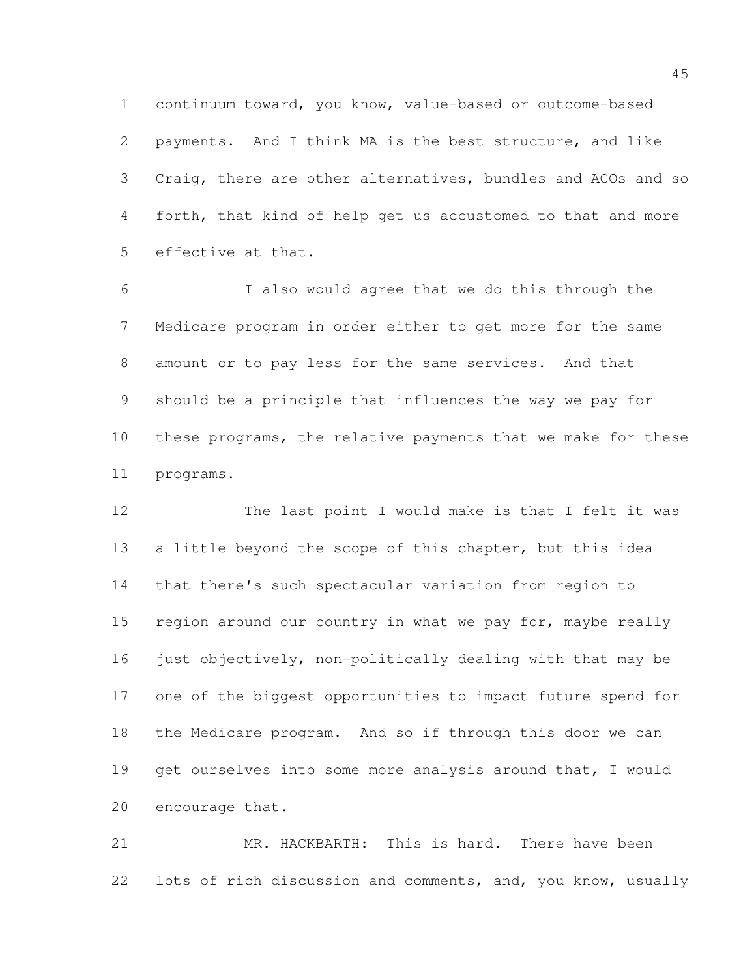continuum toward, you know, value-based or outcome-based payments. And I think MA is the best structure, and like Craig, there are other alternatives, bundles and ACOs and so forth, that kind of help get us accustomed to that and more effective at that.

 I also would agree that we do this through the Medicare program in order either to get more for the same amount or to pay less for the same services. And that should be a principle that influences the way we pay for these programs, the relative payments that we make for these programs.

 The last point I would make is that I felt it was a little beyond the scope of this chapter, but this idea that there's such spectacular variation from region to 15 region around our country in what we pay for, maybe really 16 just objectively, non-politically dealing with that may be one of the biggest opportunities to impact future spend for the Medicare program. And so if through this door we can 19 get ourselves into some more analysis around that, I would encourage that.

 MR. HACKBARTH: This is hard. There have been lots of rich discussion and comments, and, you know, usually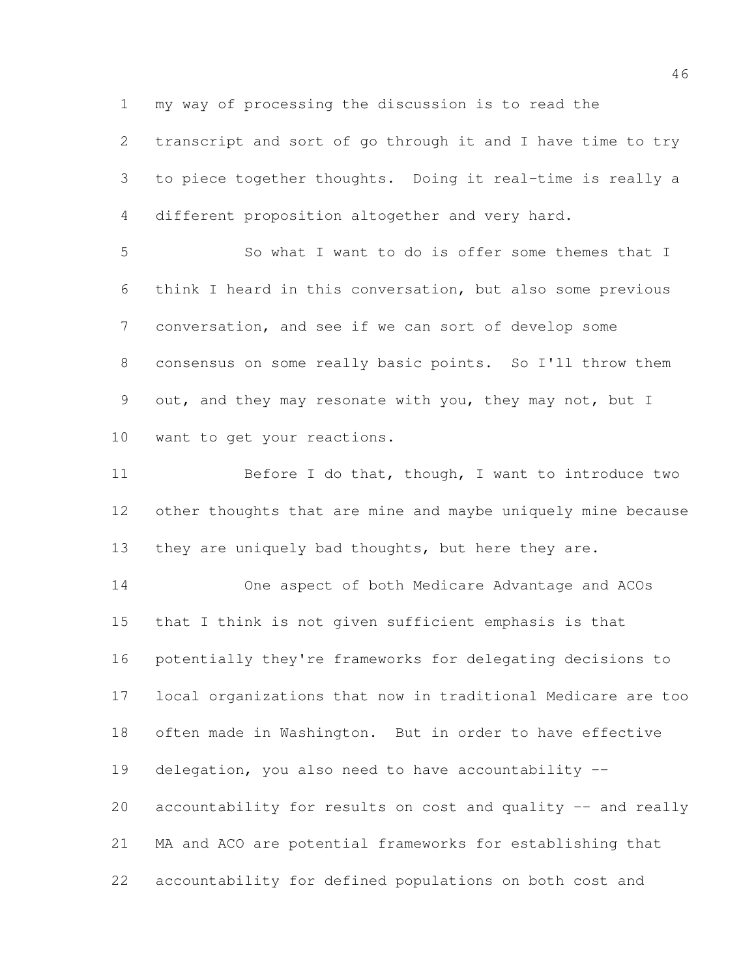my way of processing the discussion is to read the

 transcript and sort of go through it and I have time to try to piece together thoughts. Doing it real-time is really a different proposition altogether and very hard.

 So what I want to do is offer some themes that I think I heard in this conversation, but also some previous conversation, and see if we can sort of develop some consensus on some really basic points. So I'll throw them out, and they may resonate with you, they may not, but I want to get your reactions.

11 Before I do that, though, I want to introduce two other thoughts that are mine and maybe uniquely mine because 13 they are uniquely bad thoughts, but here they are.

 One aspect of both Medicare Advantage and ACOs that I think is not given sufficient emphasis is that potentially they're frameworks for delegating decisions to local organizations that now in traditional Medicare are too often made in Washington. But in order to have effective delegation, you also need to have accountability -- accountability for results on cost and quality -- and really MA and ACO are potential frameworks for establishing that accountability for defined populations on both cost and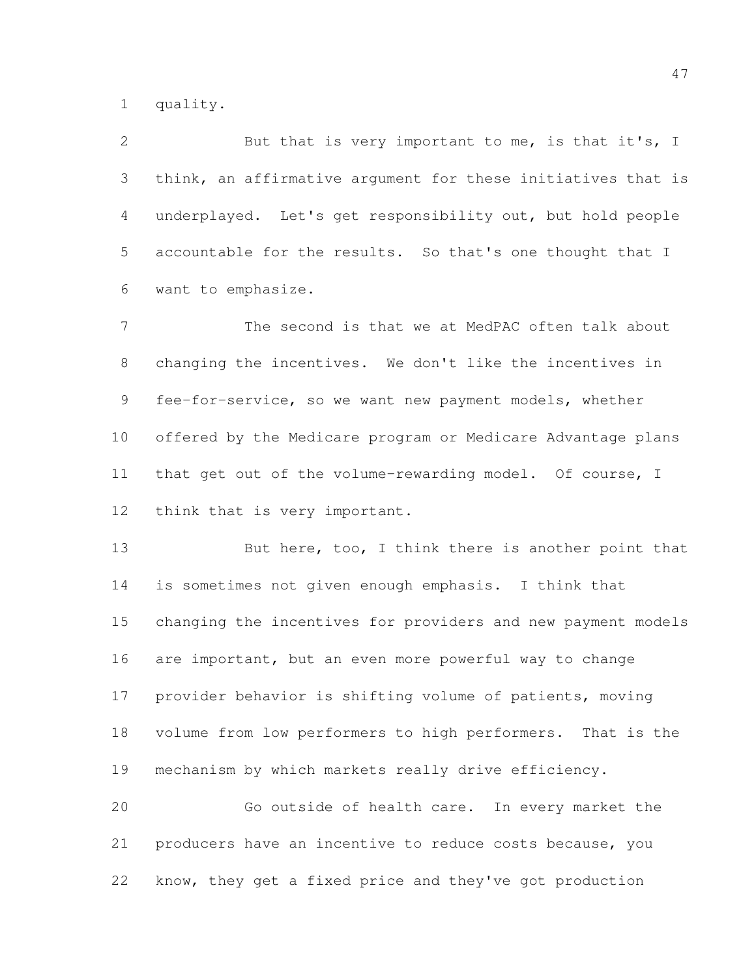quality.

 But that is very important to me, is that it's, I think, an affirmative argument for these initiatives that is underplayed. Let's get responsibility out, but hold people accountable for the results. So that's one thought that I want to emphasize.

 The second is that we at MedPAC often talk about changing the incentives. We don't like the incentives in fee-for-service, so we want new payment models, whether offered by the Medicare program or Medicare Advantage plans that get out of the volume-rewarding model. Of course, I think that is very important.

13 But here, too, I think there is another point that is sometimes not given enough emphasis. I think that changing the incentives for providers and new payment models are important, but an even more powerful way to change provider behavior is shifting volume of patients, moving volume from low performers to high performers. That is the mechanism by which markets really drive efficiency. Go outside of health care. In every market the

 producers have an incentive to reduce costs because, you know, they get a fixed price and they've got production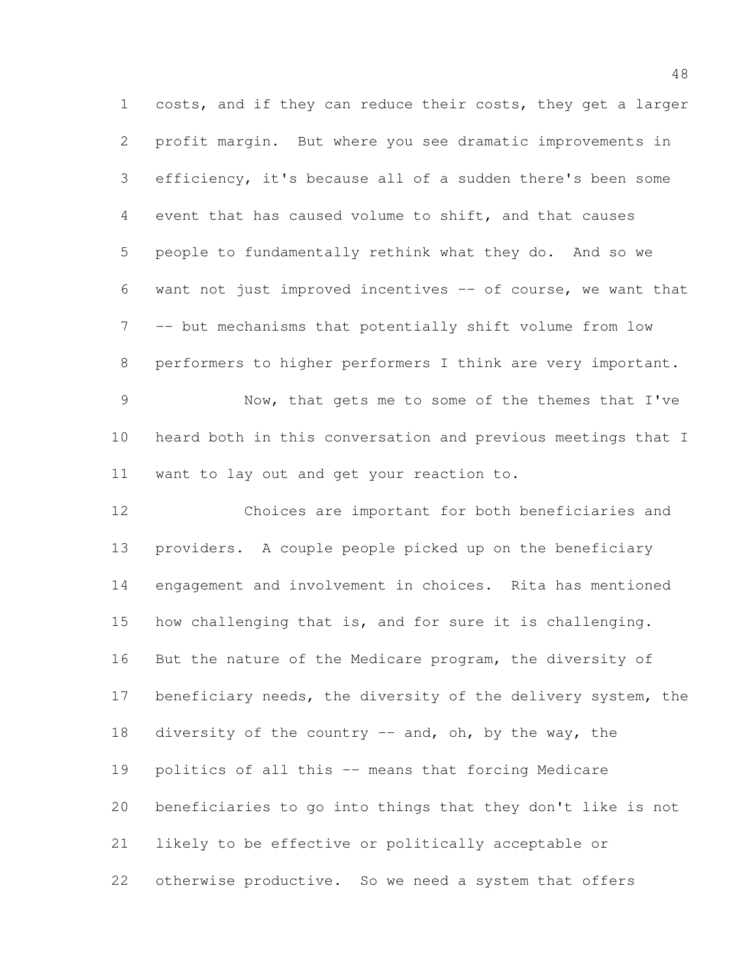costs, and if they can reduce their costs, they get a larger profit margin. But where you see dramatic improvements in efficiency, it's because all of a sudden there's been some event that has caused volume to shift, and that causes people to fundamentally rethink what they do. And so we want not just improved incentives -- of course, we want that -- but mechanisms that potentially shift volume from low performers to higher performers I think are very important. Now, that gets me to some of the themes that I've heard both in this conversation and previous meetings that I want to lay out and get your reaction to. Choices are important for both beneficiaries and providers. A couple people picked up on the beneficiary engagement and involvement in choices. Rita has mentioned how challenging that is, and for sure it is challenging. But the nature of the Medicare program, the diversity of 17 beneficiary needs, the diversity of the delivery system, the 18 diversity of the country -- and, oh, by the way, the politics of all this -- means that forcing Medicare beneficiaries to go into things that they don't like is not likely to be effective or politically acceptable or otherwise productive. So we need a system that offers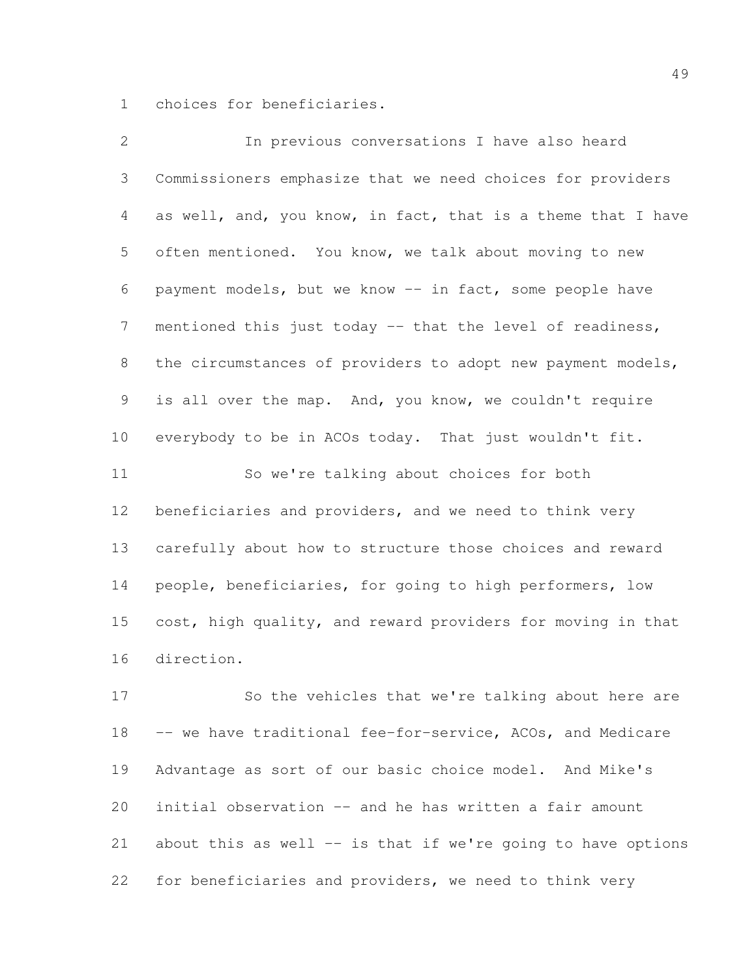choices for beneficiaries.

| $\mathbf{2}$    | In previous conversations I have also heard                  |
|-----------------|--------------------------------------------------------------|
| 3               | Commissioners emphasize that we need choices for providers   |
| 4               | as well, and, you know, in fact, that is a theme that I have |
| 5               | often mentioned. You know, we talk about moving to new       |
| 6               | payment models, but we know -- in fact, some people have     |
| $7\phantom{.0}$ | mentioned this just today -- that the level of readiness,    |
| 8               | the circumstances of providers to adopt new payment models,  |
| 9               | is all over the map. And, you know, we couldn't require      |
| 10              | everybody to be in ACOs today. That just wouldn't fit.       |
| 11              | So we're talking about choices for both                      |
| 12              | beneficiaries and providers, and we need to think very       |
| 13              | carefully about how to structure those choices and reward    |
| 14              | people, beneficiaries, for going to high performers, low     |
| 15              | cost, high quality, and reward providers for moving in that  |
| 16              | direction.                                                   |
| 17              | So the vehicles that we're talking about here are            |
|                 |                                                              |

 -- we have traditional fee-for-service, ACOs, and Medicare Advantage as sort of our basic choice model. And Mike's initial observation -- and he has written a fair amount about this as well -- is that if we're going to have options for beneficiaries and providers, we need to think very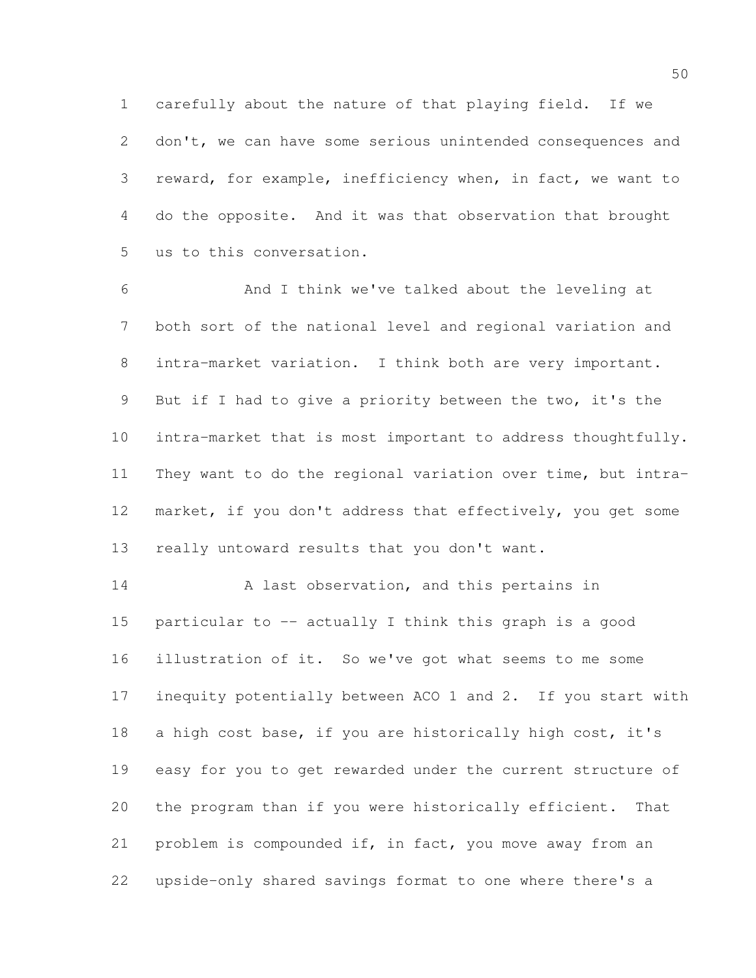carefully about the nature of that playing field. If we don't, we can have some serious unintended consequences and reward, for example, inefficiency when, in fact, we want to do the opposite. And it was that observation that brought us to this conversation.

 And I think we've talked about the leveling at both sort of the national level and regional variation and intra-market variation. I think both are very important. But if I had to give a priority between the two, it's the intra-market that is most important to address thoughtfully. They want to do the regional variation over time, but intra- market, if you don't address that effectively, you get some really untoward results that you don't want.

14 A last observation, and this pertains in particular to -- actually I think this graph is a good illustration of it. So we've got what seems to me some inequity potentially between ACO 1 and 2. If you start with a high cost base, if you are historically high cost, it's easy for you to get rewarded under the current structure of the program than if you were historically efficient. That problem is compounded if, in fact, you move away from an upside-only shared savings format to one where there's a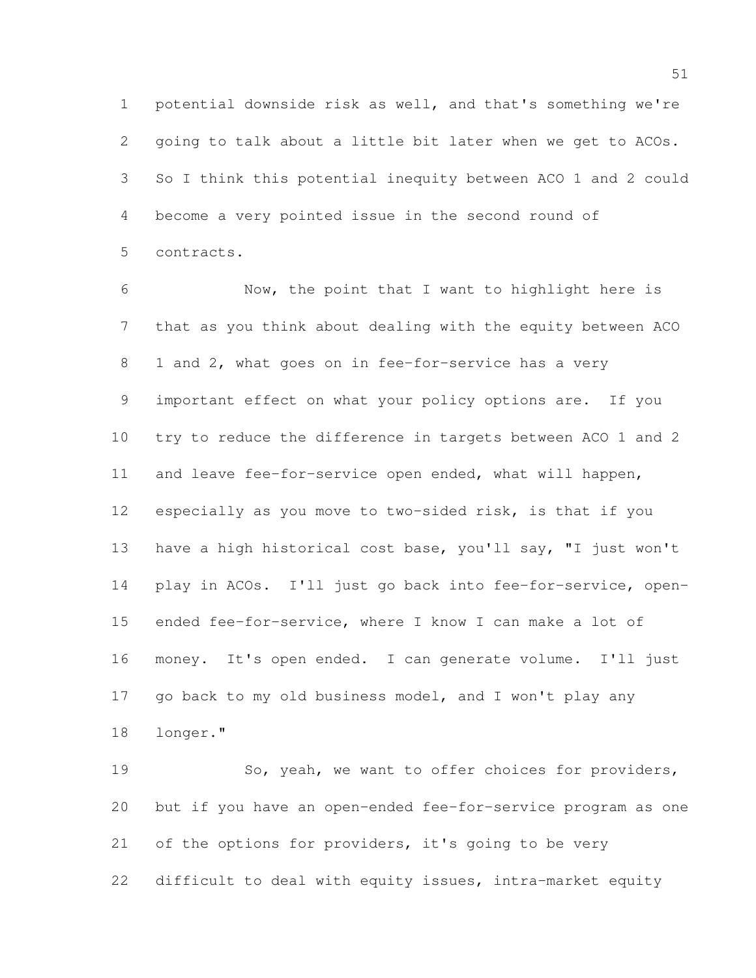potential downside risk as well, and that's something we're going to talk about a little bit later when we get to ACOs. So I think this potential inequity between ACO 1 and 2 could become a very pointed issue in the second round of contracts.

 Now, the point that I want to highlight here is that as you think about dealing with the equity between ACO 1 and 2, what goes on in fee-for-service has a very important effect on what your policy options are. If you try to reduce the difference in targets between ACO 1 and 2 and leave fee-for-service open ended, what will happen, especially as you move to two-sided risk, is that if you have a high historical cost base, you'll say, "I just won't play in ACOs. I'll just go back into fee-for-service, open- ended fee-for-service, where I know I can make a lot of money. It's open ended. I can generate volume. I'll just 17 go back to my old business model, and I won't play any longer."

 So, yeah, we want to offer choices for providers, but if you have an open-ended fee-for-service program as one of the options for providers, it's going to be very difficult to deal with equity issues, intra-market equity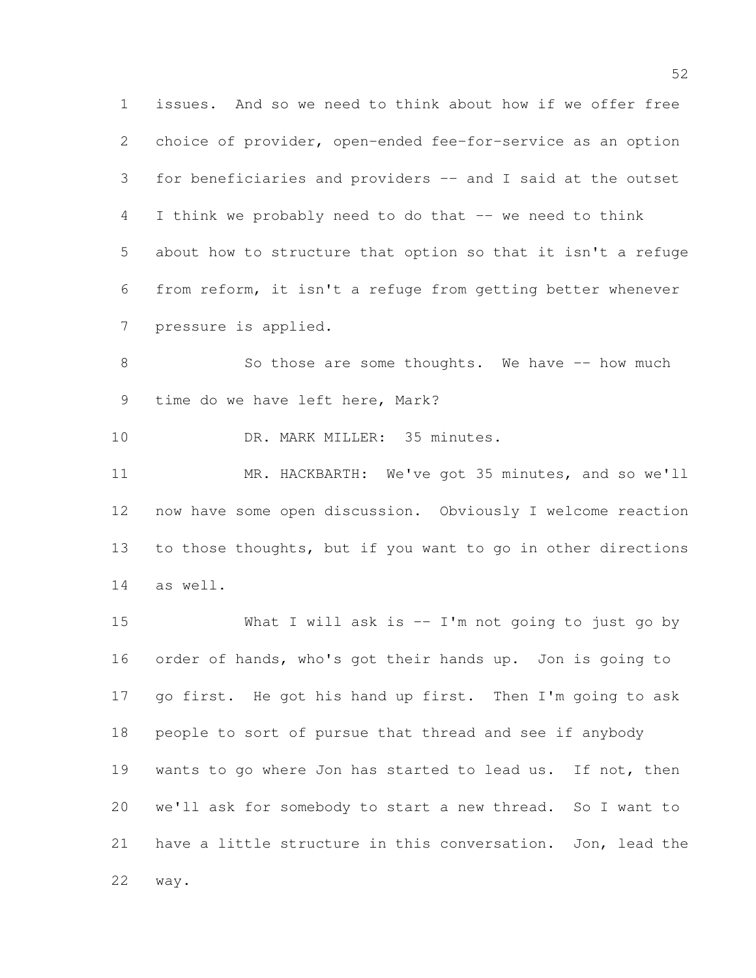issues. And so we need to think about how if we offer free choice of provider, open-ended fee-for-service as an option for beneficiaries and providers -- and I said at the outset 4 I think we probably need to do that -- we need to think about how to structure that option so that it isn't a refuge from reform, it isn't a refuge from getting better whenever pressure is applied.

8 So those are some thoughts. We have -- how much time do we have left here, Mark?

10 DR. MARK MILLER: 35 minutes.

 MR. HACKBARTH: We've got 35 minutes, and so we'll now have some open discussion. Obviously I welcome reaction to those thoughts, but if you want to go in other directions as well.

 What I will ask is -- I'm not going to just go by order of hands, who's got their hands up. Jon is going to go first. He got his hand up first. Then I'm going to ask people to sort of pursue that thread and see if anybody 19 wants to go where Jon has started to lead us. If not, then we'll ask for somebody to start a new thread. So I want to have a little structure in this conversation. Jon, lead the way.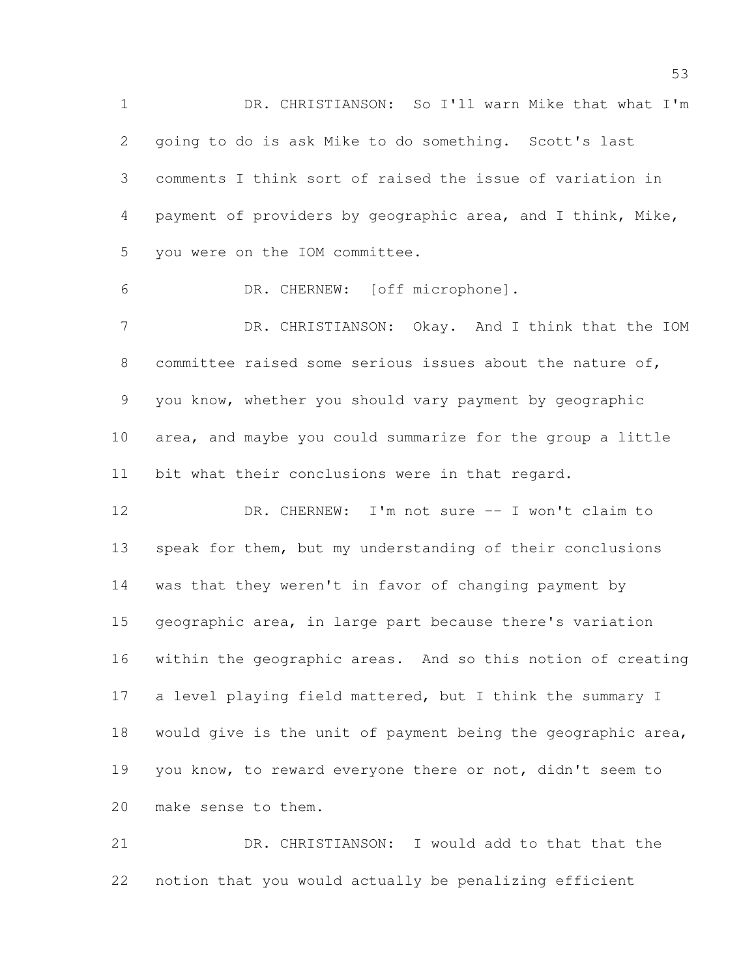DR. CHRISTIANSON: So I'll warn Mike that what I'm going to do is ask Mike to do something. Scott's last comments I think sort of raised the issue of variation in payment of providers by geographic area, and I think, Mike, you were on the IOM committee. DR. CHERNEW: [off microphone]. 7 DR. CHRISTIANSON: Okay. And I think that the IOM

 committee raised some serious issues about the nature of, you know, whether you should vary payment by geographic area, and maybe you could summarize for the group a little bit what their conclusions were in that regard.

 DR. CHERNEW: I'm not sure -- I won't claim to speak for them, but my understanding of their conclusions was that they weren't in favor of changing payment by geographic area, in large part because there's variation within the geographic areas. And so this notion of creating a level playing field mattered, but I think the summary I would give is the unit of payment being the geographic area, you know, to reward everyone there or not, didn't seem to make sense to them.

 DR. CHRISTIANSON: I would add to that that the notion that you would actually be penalizing efficient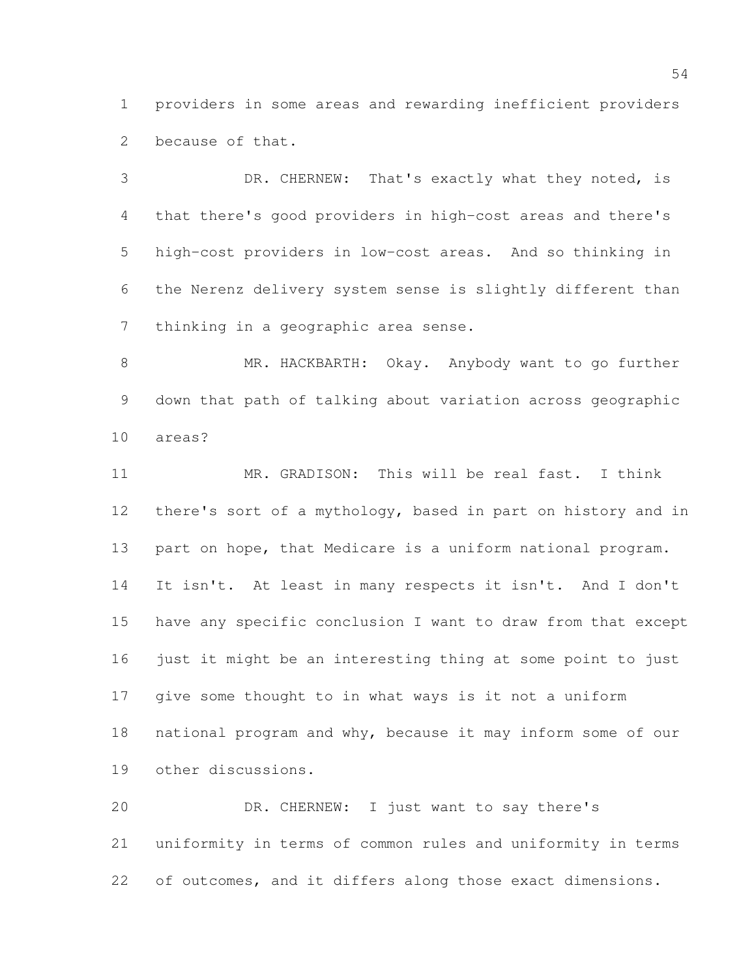providers in some areas and rewarding inefficient providers because of that.

 DR. CHERNEW: That's exactly what they noted, is that there's good providers in high-cost areas and there's high-cost providers in low-cost areas. And so thinking in the Nerenz delivery system sense is slightly different than thinking in a geographic area sense.

 MR. HACKBARTH: Okay. Anybody want to go further down that path of talking about variation across geographic areas?

 MR. GRADISON: This will be real fast. I think there's sort of a mythology, based in part on history and in 13 part on hope, that Medicare is a uniform national program. It isn't. At least in many respects it isn't. And I don't have any specific conclusion I want to draw from that except just it might be an interesting thing at some point to just give some thought to in what ways is it not a uniform national program and why, because it may inform some of our other discussions.

 DR. CHERNEW: I just want to say there's uniformity in terms of common rules and uniformity in terms of outcomes, and it differs along those exact dimensions.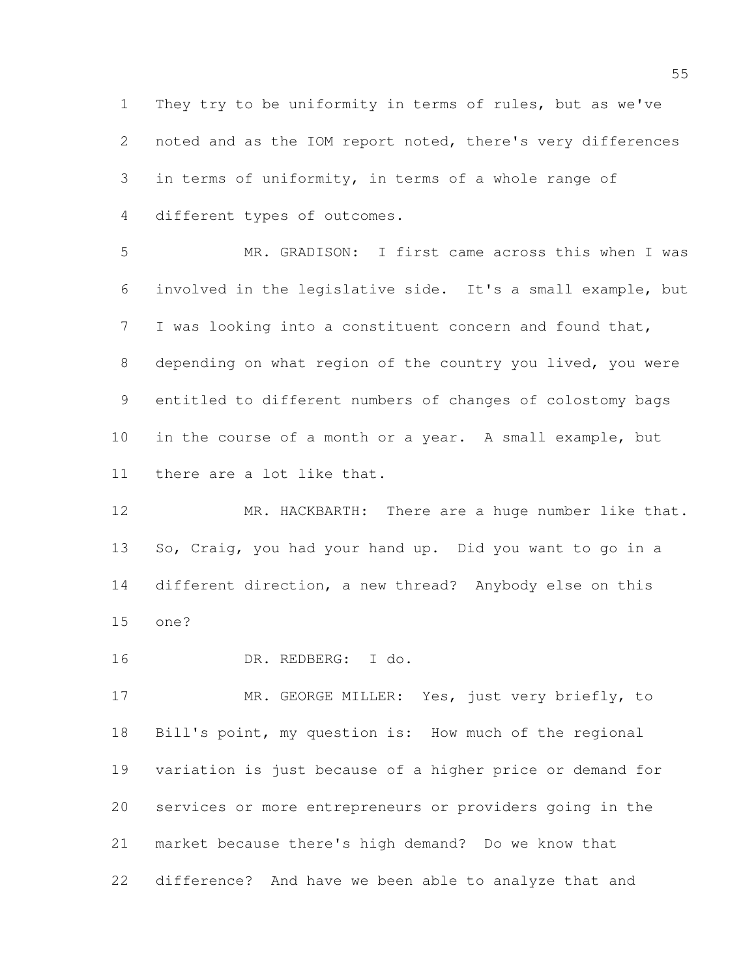They try to be uniformity in terms of rules, but as we've noted and as the IOM report noted, there's very differences in terms of uniformity, in terms of a whole range of different types of outcomes.

 MR. GRADISON: I first came across this when I was involved in the legislative side. It's a small example, but I was looking into a constituent concern and found that, depending on what region of the country you lived, you were entitled to different numbers of changes of colostomy bags in the course of a month or a year. A small example, but there are a lot like that.

 MR. HACKBARTH: There are a huge number like that. So, Craig, you had your hand up. Did you want to go in a different direction, a new thread? Anybody else on this one?

DR. REDBERG: I do.

 MR. GEORGE MILLER: Yes, just very briefly, to Bill's point, my question is: How much of the regional variation is just because of a higher price or demand for services or more entrepreneurs or providers going in the market because there's high demand? Do we know that difference? And have we been able to analyze that and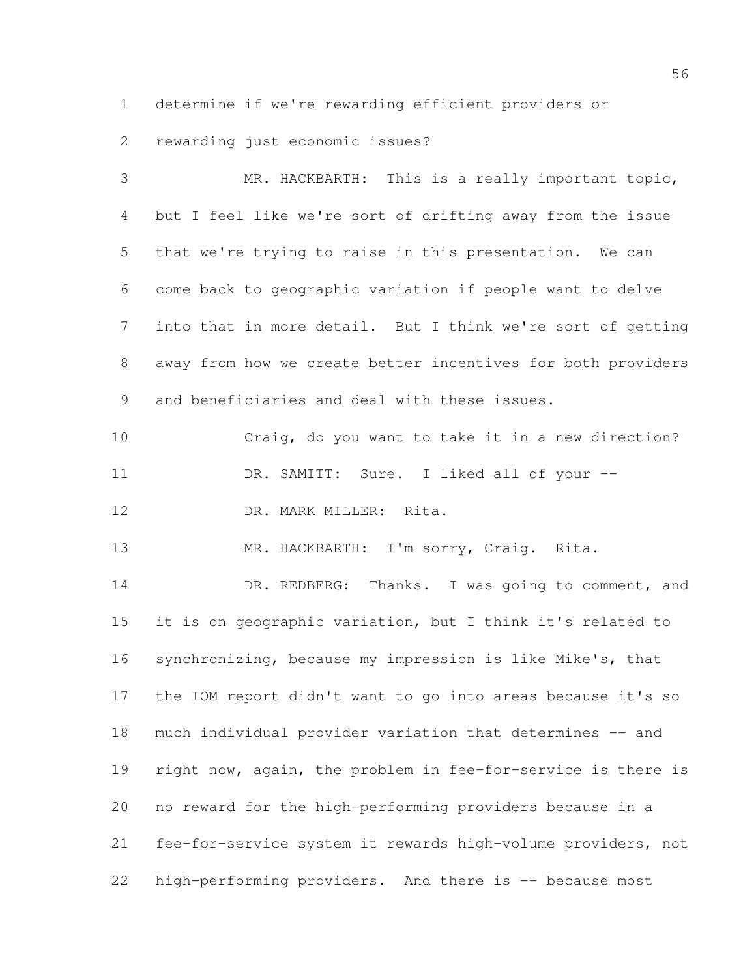determine if we're rewarding efficient providers or

rewarding just economic issues?

 MR. HACKBARTH: This is a really important topic, but I feel like we're sort of drifting away from the issue that we're trying to raise in this presentation. We can come back to geographic variation if people want to delve into that in more detail. But I think we're sort of getting away from how we create better incentives for both providers and beneficiaries and deal with these issues. Craig, do you want to take it in a new direction? 11 DR. SAMITT: Sure. I liked all of your --12 DR. MARK MILLER: Rita. MR. HACKBARTH: I'm sorry, Craig. Rita. 14 DR. REDBERG: Thanks. I was going to comment, and it is on geographic variation, but I think it's related to synchronizing, because my impression is like Mike's, that the IOM report didn't want to go into areas because it's so much individual provider variation that determines -- and right now, again, the problem in fee-for-service is there is no reward for the high-performing providers because in a fee-for-service system it rewards high-volume providers, not 22 high-performing providers. And there is -- because most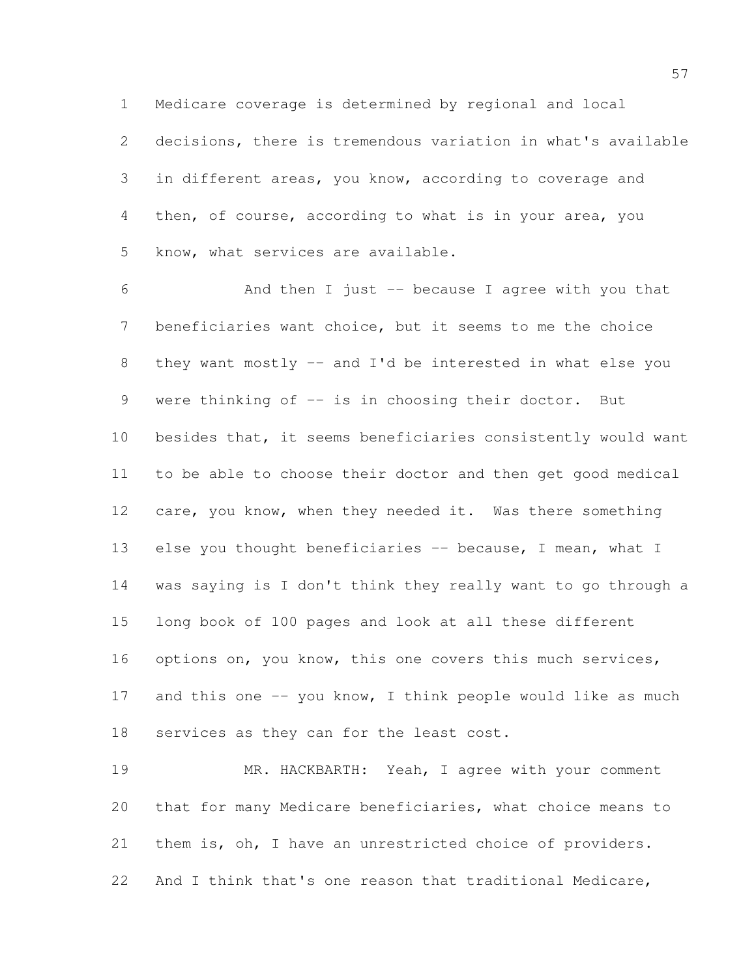Medicare coverage is determined by regional and local

 decisions, there is tremendous variation in what's available in different areas, you know, according to coverage and then, of course, according to what is in your area, you know, what services are available.

 And then I just -- because I agree with you that beneficiaries want choice, but it seems to me the choice they want mostly -- and I'd be interested in what else you 9 were thinking of -- is in choosing their doctor. But besides that, it seems beneficiaries consistently would want to be able to choose their doctor and then get good medical care, you know, when they needed it. Was there something 13 else you thought beneficiaries -- because, I mean, what I was saying is I don't think they really want to go through a long book of 100 pages and look at all these different 16 options on, you know, this one covers this much services, 17 and this one -- you know, I think people would like as much 18 services as they can for the least cost.

 MR. HACKBARTH: Yeah, I agree with your comment that for many Medicare beneficiaries, what choice means to them is, oh, I have an unrestricted choice of providers. And I think that's one reason that traditional Medicare,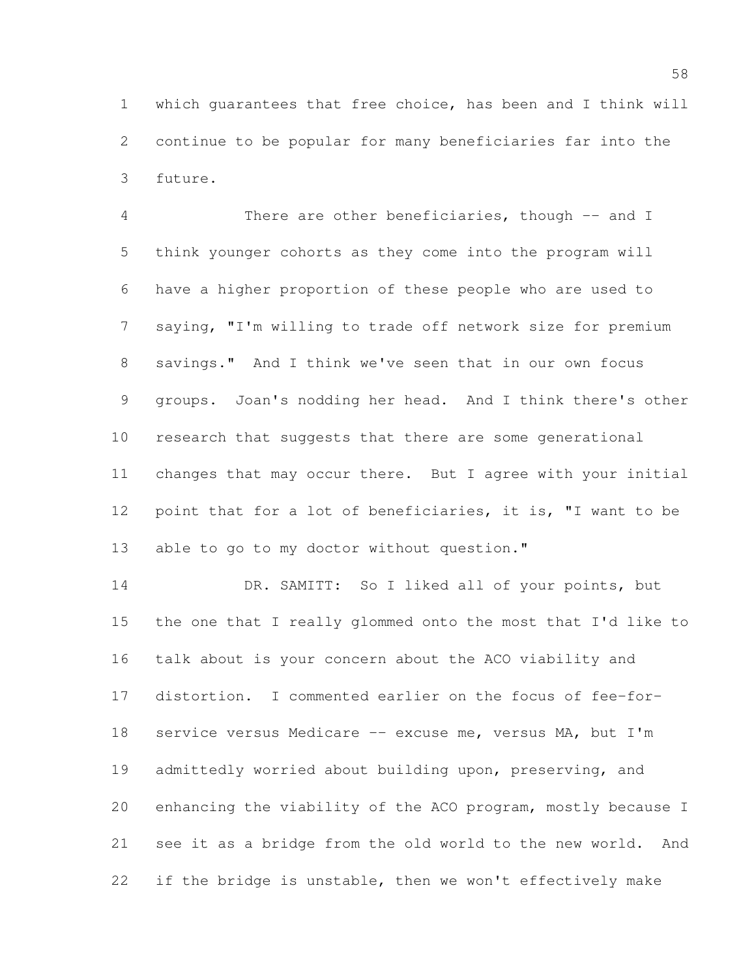which guarantees that free choice, has been and I think will continue to be popular for many beneficiaries far into the future.

 There are other beneficiaries, though -- and I think younger cohorts as they come into the program will have a higher proportion of these people who are used to saying, "I'm willing to trade off network size for premium savings." And I think we've seen that in our own focus groups. Joan's nodding her head. And I think there's other research that suggests that there are some generational changes that may occur there. But I agree with your initial 12 point that for a lot of beneficiaries, it is, "I want to be 13 able to go to my doctor without question."

 DR. SAMITT: So I liked all of your points, but the one that I really glommed onto the most that I'd like to talk about is your concern about the ACO viability and distortion. I commented earlier on the focus of fee-for-18 service versus Medicare -- excuse me, versus MA, but I'm admittedly worried about building upon, preserving, and enhancing the viability of the ACO program, mostly because I see it as a bridge from the old world to the new world. And if the bridge is unstable, then we won't effectively make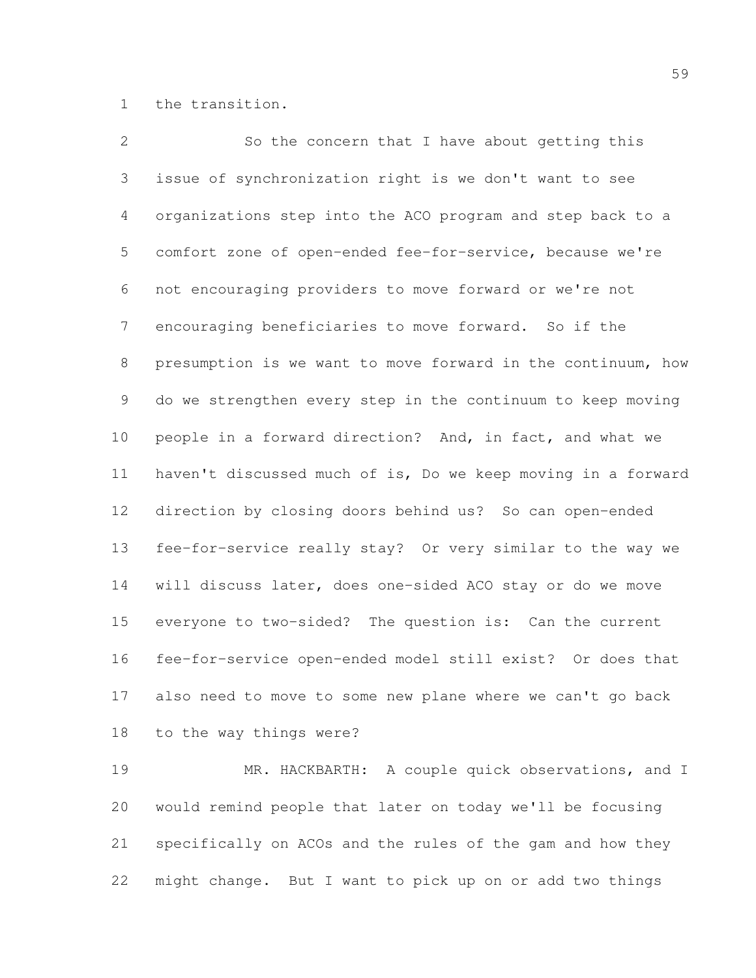the transition.

 So the concern that I have about getting this issue of synchronization right is we don't want to see organizations step into the ACO program and step back to a comfort zone of open-ended fee-for-service, because we're not encouraging providers to move forward or we're not encouraging beneficiaries to move forward. So if the presumption is we want to move forward in the continuum, how do we strengthen every step in the continuum to keep moving people in a forward direction? And, in fact, and what we haven't discussed much of is, Do we keep moving in a forward direction by closing doors behind us? So can open-ended fee-for-service really stay? Or very similar to the way we will discuss later, does one-sided ACO stay or do we move everyone to two-sided? The question is: Can the current fee-for-service open-ended model still exist? Or does that also need to move to some new plane where we can't go back to the way things were?

19 MR. HACKBARTH: A couple quick observations, and I would remind people that later on today we'll be focusing specifically on ACOs and the rules of the gam and how they might change. But I want to pick up on or add two things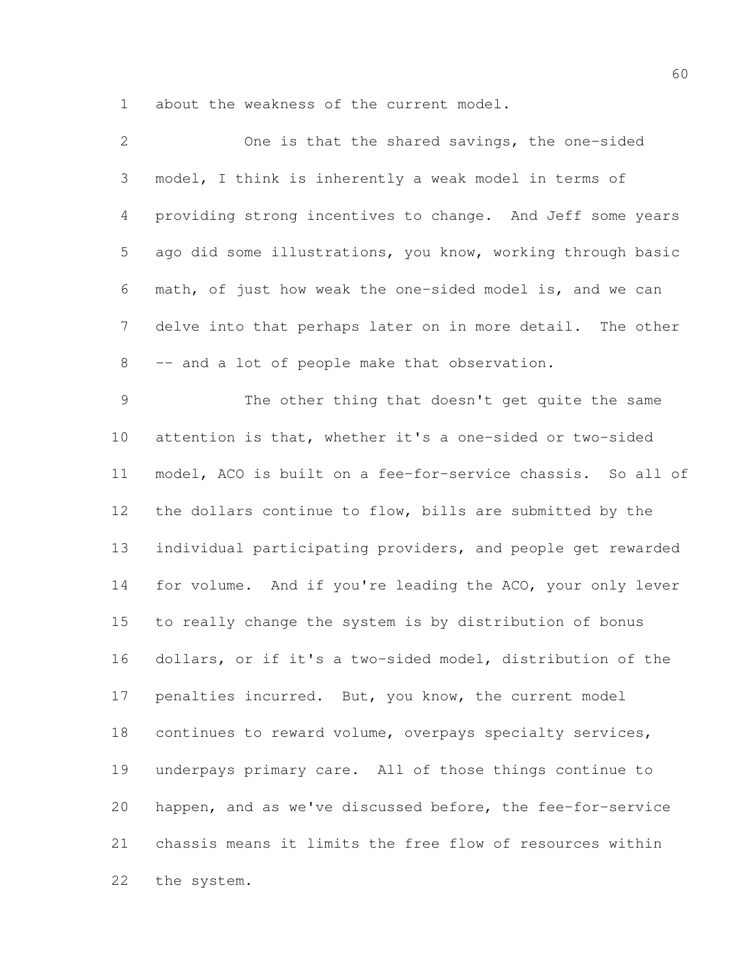about the weakness of the current model.

| $\overline{2}$ | One is that the shared savings, the one-sided               |
|----------------|-------------------------------------------------------------|
| 3              | model, I think is inherently a weak model in terms of       |
| 4              | providing strong incentives to change. And Jeff some years  |
| 5              | ago did some illustrations, you know, working through basic |
| 6              | math, of just how weak the one-sided model is, and we can   |
| $7\phantom{.}$ | delve into that perhaps later on in more detail. The other  |
| 8              | -- and a lot of people make that observation.               |
| $\mathcal{G}$  | The other thing that doesn't get quite the same             |
| 10             | attention is that, whether it's a one-sided or two-sided    |
| 11             | model, ACO is built on a fee-for-service chassis. So all of |
| 12             | the dollars continue to flow, bills are submitted by the    |
| 13             | individual participating providers, and people get rewarded |
| 14             | for volume. And if you're leading the ACO, your only lever  |
| 15             | to really change the system is by distribution of bonus     |
| 16             | dollars, or if it's a two-sided model, distribution of the  |
| 17             | penalties incurred. But, you know, the current model        |
| 18             | continues to reward volume, overpays specialty services,    |
| 19             | underpays primary care. All of those things continue to     |
| 20             | happen, and as we've discussed before, the fee-for-service  |
| 21             | chassis means it limits the free flow of resources within   |
| 22             | the system.                                                 |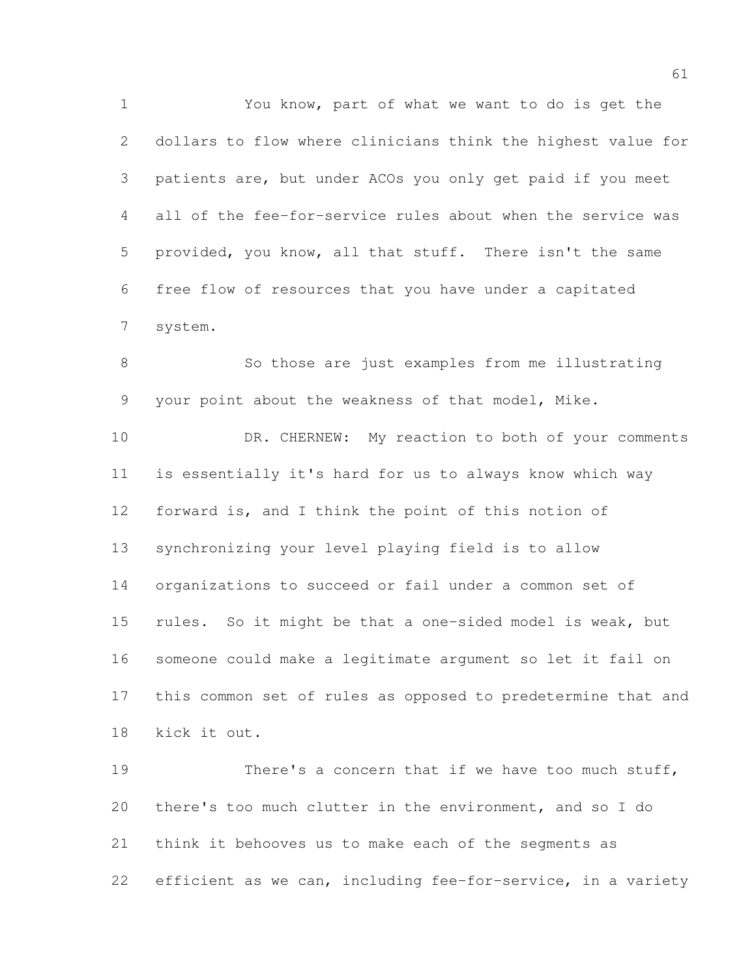You know, part of what we want to do is get the dollars to flow where clinicians think the highest value for patients are, but under ACOs you only get paid if you meet all of the fee-for-service rules about when the service was provided, you know, all that stuff. There isn't the same free flow of resources that you have under a capitated system.

 So those are just examples from me illustrating your point about the weakness of that model, Mike.

10 DR. CHERNEW: My reaction to both of your comments is essentially it's hard for us to always know which way forward is, and I think the point of this notion of synchronizing your level playing field is to allow organizations to succeed or fail under a common set of rules. So it might be that a one-sided model is weak, but someone could make a legitimate argument so let it fail on this common set of rules as opposed to predetermine that and kick it out.

 There's a concern that if we have too much stuff, there's too much clutter in the environment, and so I do think it behooves us to make each of the segments as efficient as we can, including fee-for-service, in a variety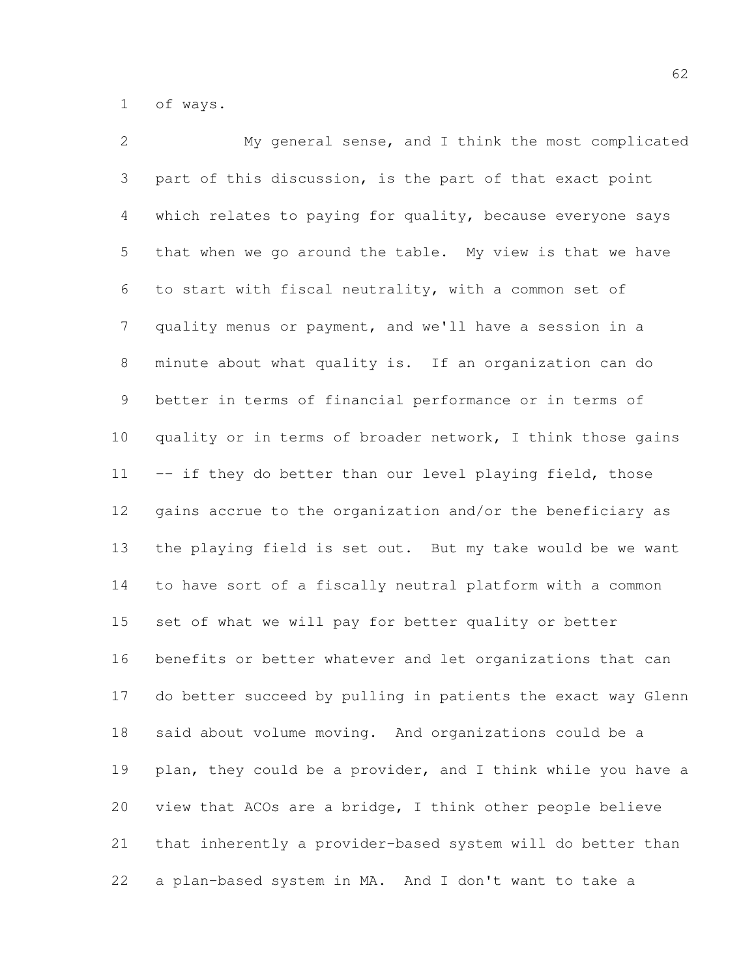of ways.

 My general sense, and I think the most complicated part of this discussion, is the part of that exact point which relates to paying for quality, because everyone says that when we go around the table. My view is that we have to start with fiscal neutrality, with a common set of quality menus or payment, and we'll have a session in a minute about what quality is. If an organization can do better in terms of financial performance or in terms of 10 quality or in terms of broader network, I think those gains 11 -- if they do better than our level playing field, those gains accrue to the organization and/or the beneficiary as the playing field is set out. But my take would be we want to have sort of a fiscally neutral platform with a common set of what we will pay for better quality or better benefits or better whatever and let organizations that can do better succeed by pulling in patients the exact way Glenn said about volume moving. And organizations could be a 19 plan, they could be a provider, and I think while you have a view that ACOs are a bridge, I think other people believe that inherently a provider-based system will do better than a plan-based system in MA. And I don't want to take a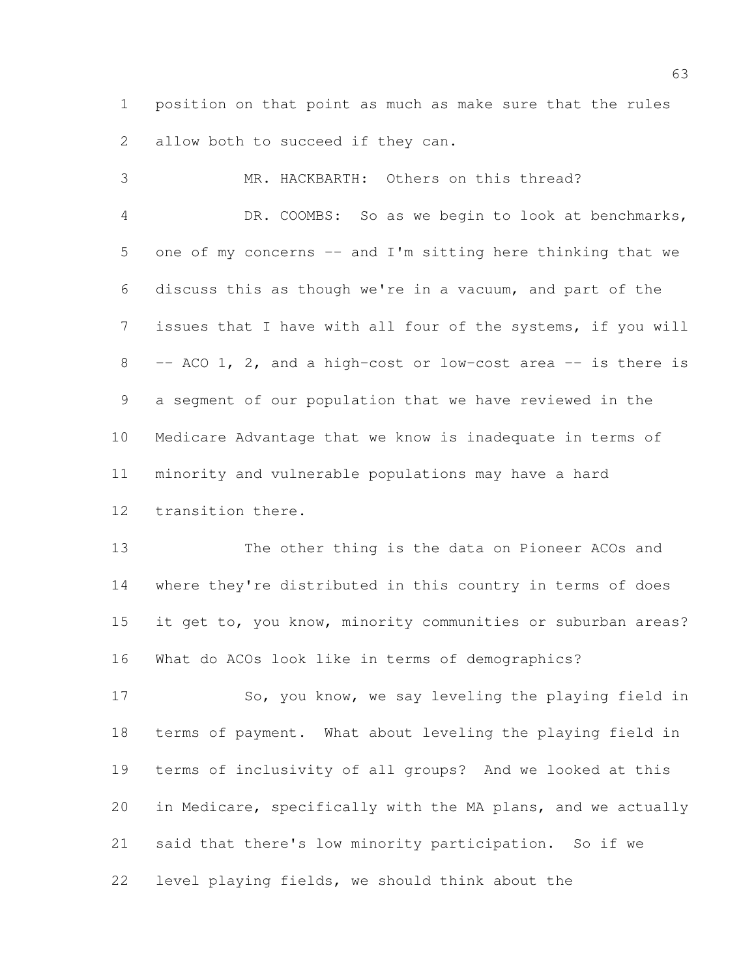position on that point as much as make sure that the rules 2 allow both to succeed if they can.

 MR. HACKBARTH: Others on this thread? DR. COOMBS: So as we begin to look at benchmarks, one of my concerns -- and I'm sitting here thinking that we discuss this as though we're in a vacuum, and part of the issues that I have with all four of the systems, if you will 8 -- ACO 1, 2, and a high-cost or low-cost area -- is there is a segment of our population that we have reviewed in the Medicare Advantage that we know is inadequate in terms of minority and vulnerable populations may have a hard transition there.

 The other thing is the data on Pioneer ACOs and where they're distributed in this country in terms of does it get to, you know, minority communities or suburban areas? What do ACOs look like in terms of demographics?

 So, you know, we say leveling the playing field in terms of payment. What about leveling the playing field in terms of inclusivity of all groups? And we looked at this in Medicare, specifically with the MA plans, and we actually said that there's low minority participation. So if we level playing fields, we should think about the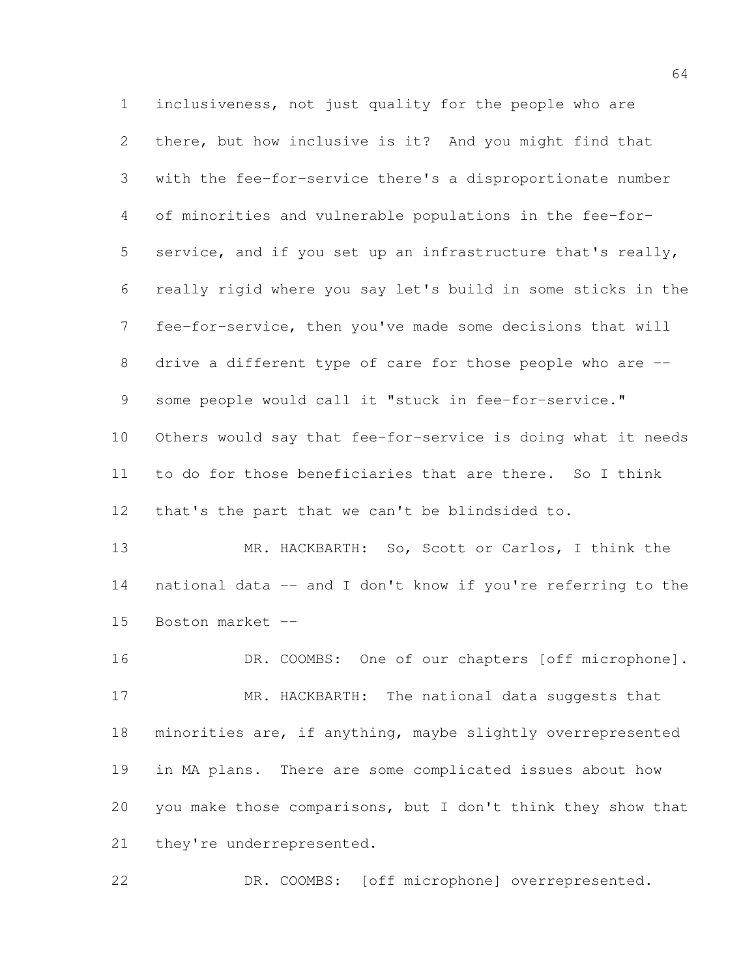inclusiveness, not just quality for the people who are there, but how inclusive is it? And you might find that with the fee-for-service there's a disproportionate number of minorities and vulnerable populations in the fee-for- service, and if you set up an infrastructure that's really, really rigid where you say let's build in some sticks in the fee-for-service, then you've made some decisions that will 8 drive a different type of care for those people who are --9 some people would call it "stuck in fee-for-service." Others would say that fee-for-service is doing what it needs to do for those beneficiaries that are there. So I think that's the part that we can't be blindsided to.

13 MR. HACKBARTH: So, Scott or Carlos, I think the national data -- and I don't know if you're referring to the Boston market --

16 DR. COOMBS: One of our chapters [off microphone]. 17 MR. HACKBARTH: The national data suggests that minorities are, if anything, maybe slightly overrepresented in MA plans. There are some complicated issues about how you make those comparisons, but I don't think they show that 21 they're underrepresented.

DR. COOMBS: [off microphone] overrepresented.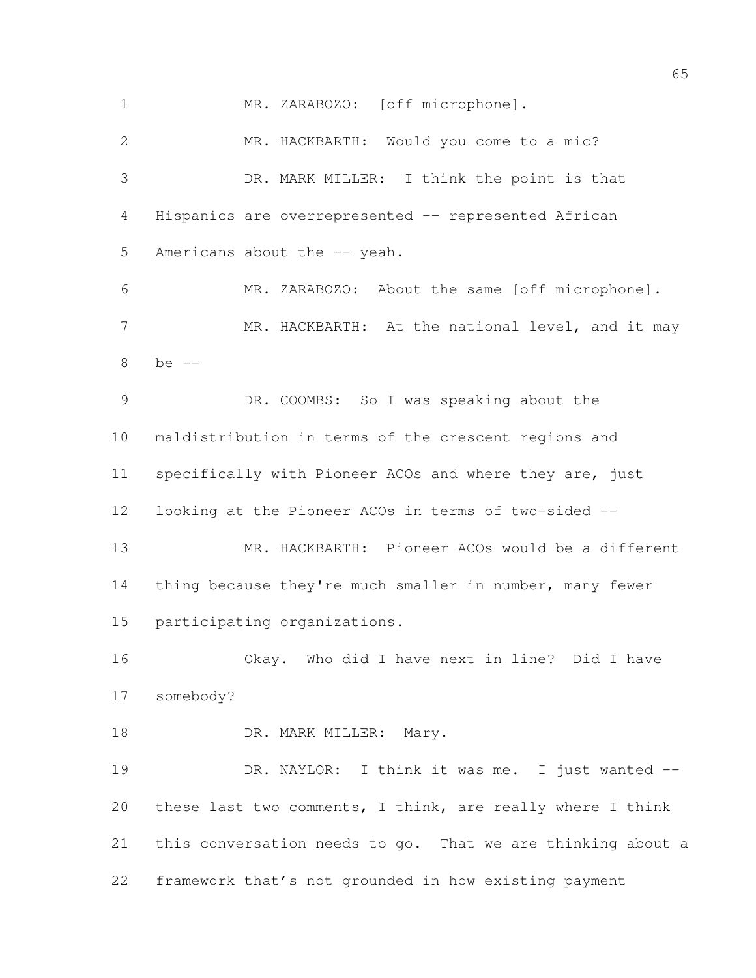MR. HACKBARTH: Would you come to a mic? DR. MARK MILLER: I think the point is that Hispanics are overrepresented -- represented African 5 Americans about the -- yeah. MR. ZARABOZO: About the same [off microphone]. 7 MR. HACKBARTH: At the national level, and it may be -- DR. COOMBS: So I was speaking about the maldistribution in terms of the crescent regions and specifically with Pioneer ACOs and where they are, just looking at the Pioneer ACOs in terms of two-sided -- MR. HACKBARTH: Pioneer ACOs would be a different 14 thing because they're much smaller in number, many fewer participating organizations. Okay. Who did I have next in line? Did I have somebody? 18 DR. MARK MILLER: Mary. 19 DR. NAYLOR: I think it was me. I just wanted -- these last two comments, I think, are really where I think this conversation needs to go. That we are thinking about a framework that's not grounded in how existing payment

1 MR. ZARABOZO: [off microphone].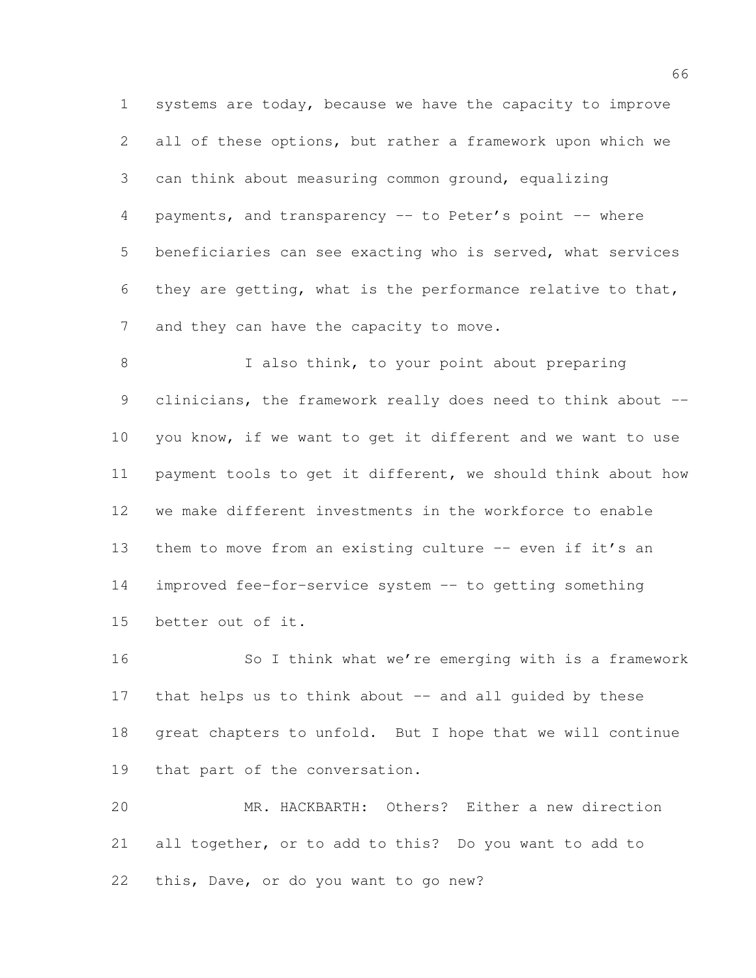systems are today, because we have the capacity to improve all of these options, but rather a framework upon which we can think about measuring common ground, equalizing 4 payments, and transparency -- to Peter's point -- where beneficiaries can see exacting who is served, what services they are getting, what is the performance relative to that, 7 and they can have the capacity to move.

8 I also think, to your point about preparing 9 clinicians, the framework really does need to think about -- you know, if we want to get it different and we want to use payment tools to get it different, we should think about how we make different investments in the workforce to enable 13 them to move from an existing culture -- even if it's an improved fee-for-service system -- to getting something better out of it.

 So I think what we're emerging with is a framework 17 that helps us to think about -- and all quided by these great chapters to unfold. But I hope that we will continue that part of the conversation.

 MR. HACKBARTH: Others? Either a new direction all together, or to add to this? Do you want to add to this, Dave, or do you want to go new?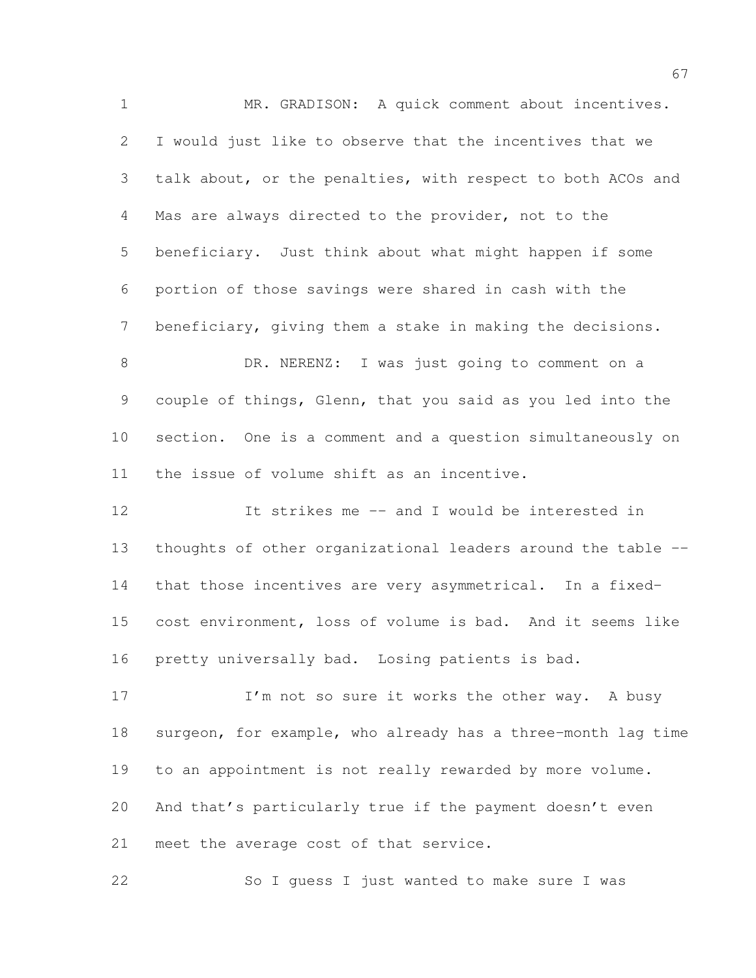MR. GRADISON: A quick comment about incentives. I would just like to observe that the incentives that we talk about, or the penalties, with respect to both ACOs and Mas are always directed to the provider, not to the beneficiary. Just think about what might happen if some portion of those savings were shared in cash with the beneficiary, giving them a stake in making the decisions. DR. NERENZ: I was just going to comment on a couple of things, Glenn, that you said as you led into the section. One is a comment and a question simultaneously on the issue of volume shift as an incentive. It strikes me -- and I would be interested in thoughts of other organizational leaders around the table -- that those incentives are very asymmetrical. In a fixed- cost environment, loss of volume is bad. And it seems like pretty universally bad. Losing patients is bad. 17 I'm not so sure it works the other way. A busy surgeon, for example, who already has a three-month lag time to an appointment is not really rewarded by more volume. And that's particularly true if the payment doesn't even

meet the average cost of that service.

So I guess I just wanted to make sure I was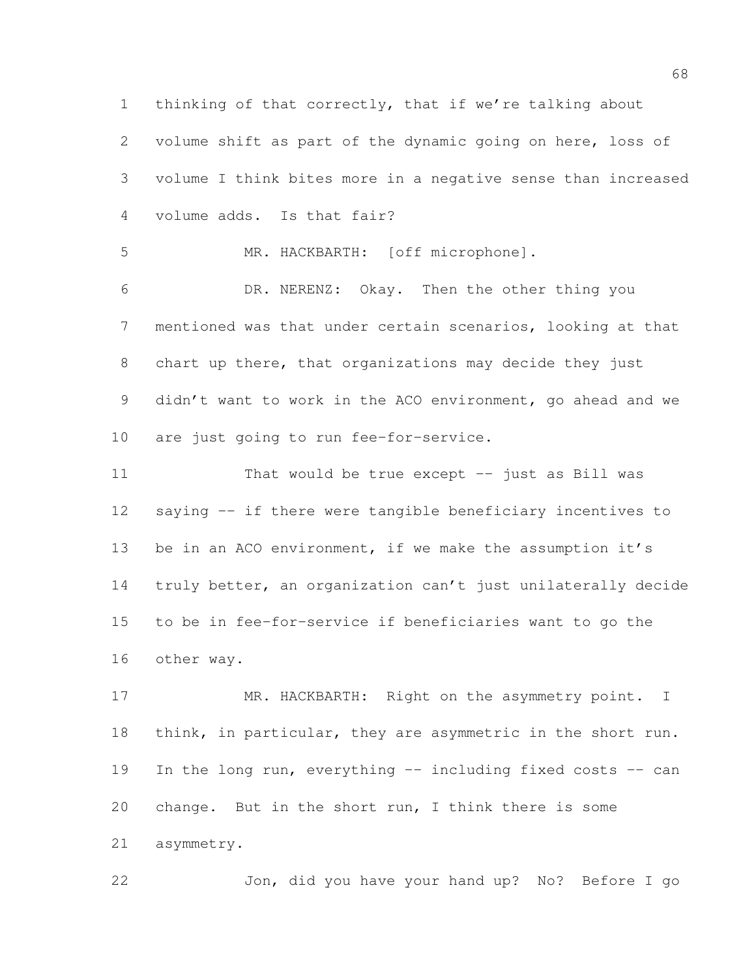thinking of that correctly, that if we're talking about volume shift as part of the dynamic going on here, loss of volume I think bites more in a negative sense than increased volume adds. Is that fair? MR. HACKBARTH: [off microphone]. DR. NERENZ: Okay. Then the other thing you mentioned was that under certain scenarios, looking at that chart up there, that organizations may decide they just didn't want to work in the ACO environment, go ahead and we are just going to run fee-for-service. That would be true except -- just as Bill was saying -- if there were tangible beneficiary incentives to be in an ACO environment, if we make the assumption it's truly better, an organization can't just unilaterally decide

 to be in fee-for-service if beneficiaries want to go the other way.

17 MR. HACKBARTH: Right on the asymmetry point. I 18 think, in particular, they are asymmetric in the short run. In the long run, everything -- including fixed costs -- can change. But in the short run, I think there is some asymmetry.

Jon, did you have your hand up? No? Before I go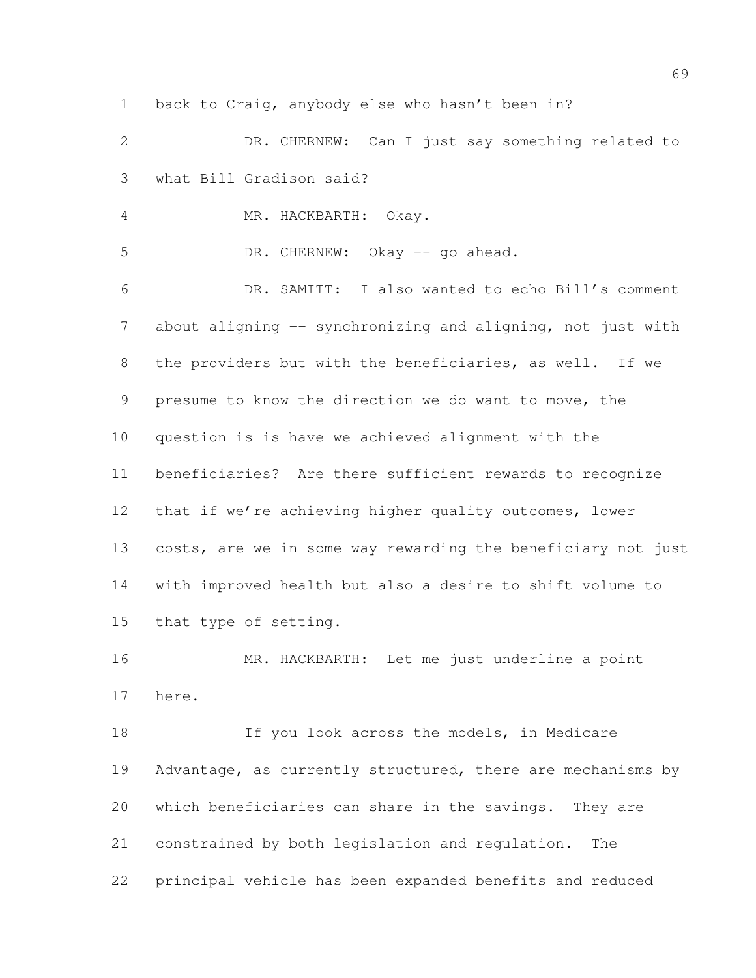back to Craig, anybody else who hasn't been in?

 DR. CHERNEW: Can I just say something related to what Bill Gradison said?

MR. HACKBARTH: Okay.

5 DR. CHERNEW: Okay -- go ahead.

 DR. SAMITT: I also wanted to echo Bill's comment about aligning -- synchronizing and aligning, not just with the providers but with the beneficiaries, as well. If we presume to know the direction we do want to move, the question is is have we achieved alignment with the beneficiaries? Are there sufficient rewards to recognize that if we're achieving higher quality outcomes, lower costs, are we in some way rewarding the beneficiary not just with improved health but also a desire to shift volume to that type of setting.

 MR. HACKBARTH: Let me just underline a point here.

18 If you look across the models, in Medicare 19 Advantage, as currently structured, there are mechanisms by which beneficiaries can share in the savings. They are constrained by both legislation and regulation. The principal vehicle has been expanded benefits and reduced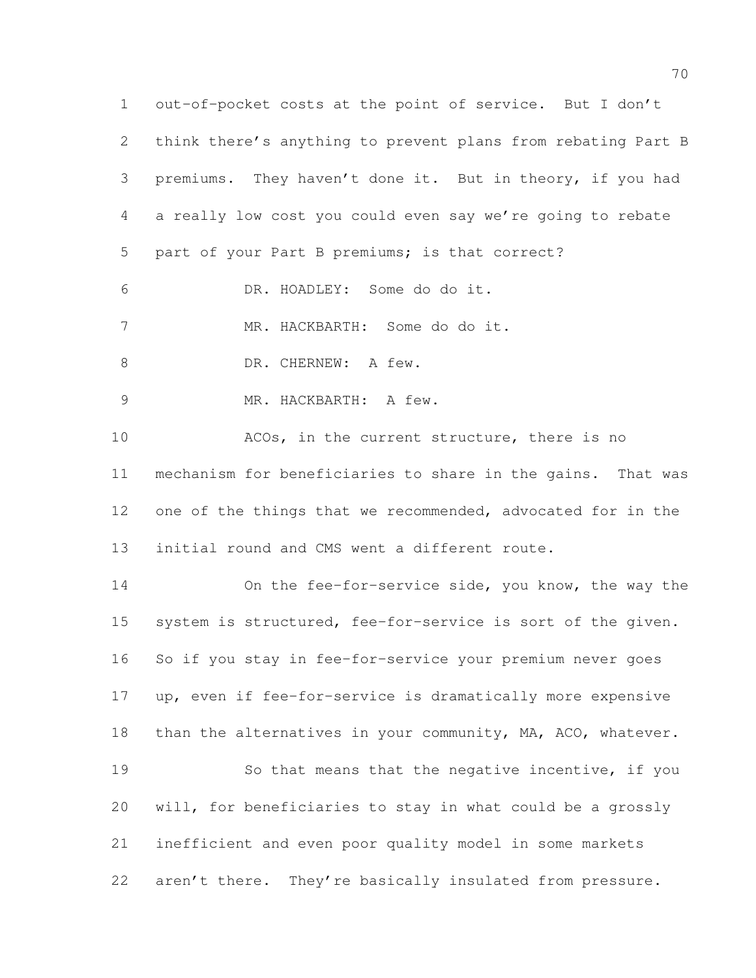out-of-pocket costs at the point of service. But I don't think there's anything to prevent plans from rebating Part B premiums. They haven't done it. But in theory, if you had a really low cost you could even say we're going to rebate part of your Part B premiums; is that correct? DR. HOADLEY: Some do do it. MR. HACKBARTH: Some do do it. 8 DR. CHERNEW: A few. MR. HACKBARTH: A few. ACOs, in the current structure, there is no mechanism for beneficiaries to share in the gains. That was 12 one of the things that we recommended, advocated for in the initial round and CMS went a different route. On the fee-for-service side, you know, the way the system is structured, fee-for-service is sort of the given. So if you stay in fee-for-service your premium never goes up, even if fee-for-service is dramatically more expensive 18 than the alternatives in your community, MA, ACO, whatever. So that means that the negative incentive, if you will, for beneficiaries to stay in what could be a grossly inefficient and even poor quality model in some markets 22 aren't there. They're basically insulated from pressure.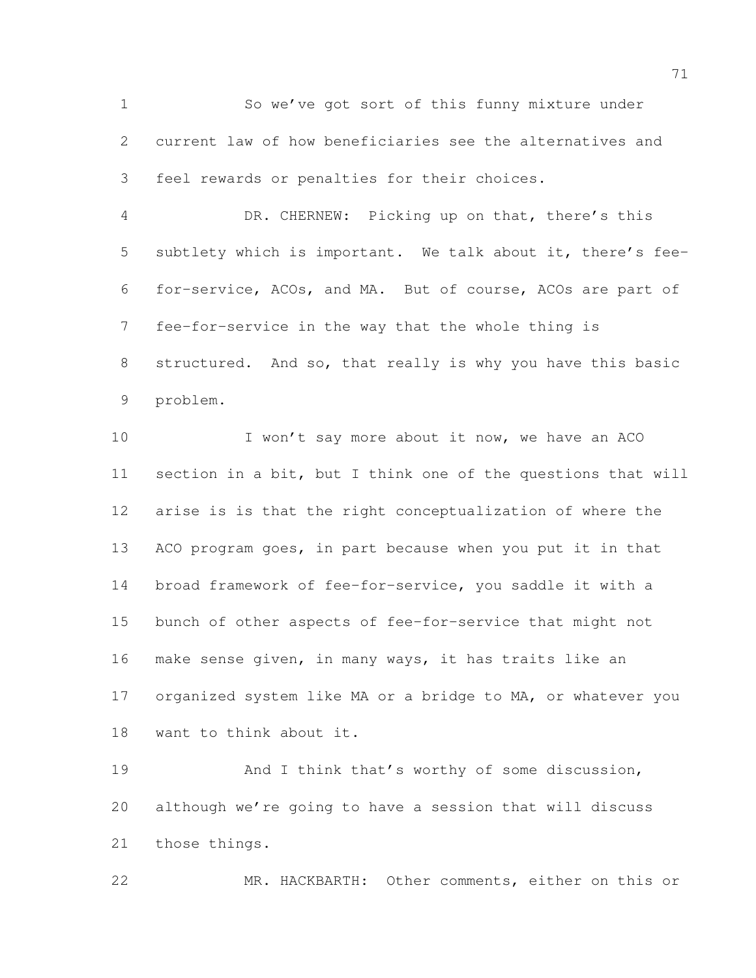So we've got sort of this funny mixture under current law of how beneficiaries see the alternatives and feel rewards or penalties for their choices.

 DR. CHERNEW: Picking up on that, there's this subtlety which is important. We talk about it, there's fee- for-service, ACOs, and MA. But of course, ACOs are part of fee-for-service in the way that the whole thing is structured. And so, that really is why you have this basic problem.

10 I won't say more about it now, we have an ACO section in a bit, but I think one of the questions that will arise is is that the right conceptualization of where the ACO program goes, in part because when you put it in that broad framework of fee-for-service, you saddle it with a bunch of other aspects of fee-for-service that might not make sense given, in many ways, it has traits like an organized system like MA or a bridge to MA, or whatever you want to think about it.

19 And I think that's worthy of some discussion, although we're going to have a session that will discuss those things.

MR. HACKBARTH: Other comments, either on this or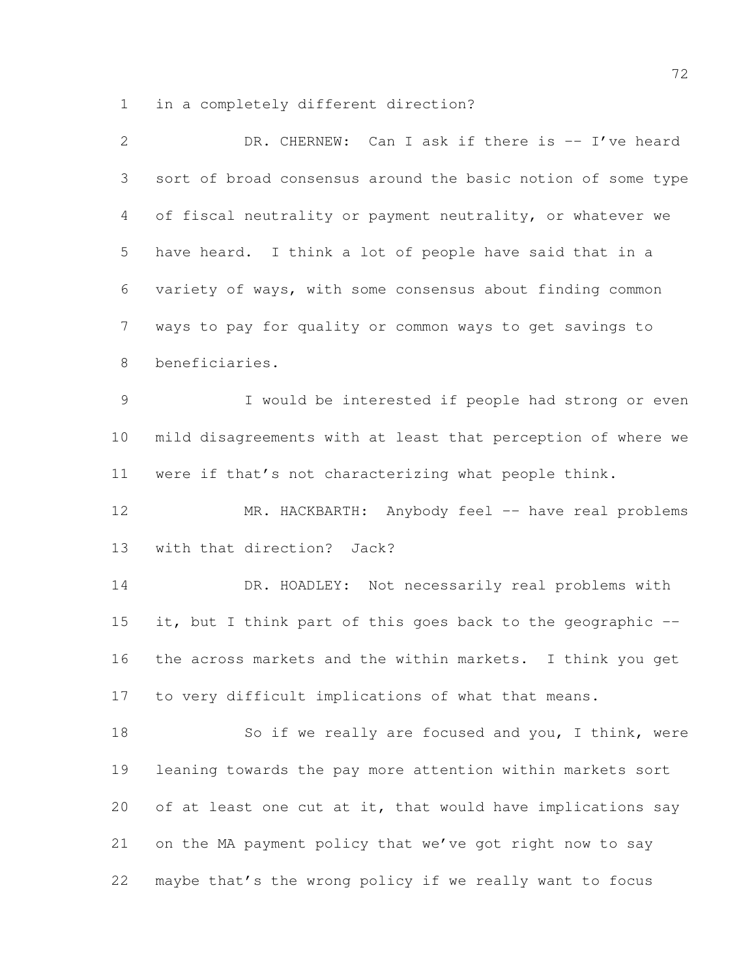in a completely different direction?

| 2              | DR. CHERNEW: Can I ask if there is -- I've heard             |
|----------------|--------------------------------------------------------------|
| 3              | sort of broad consensus around the basic notion of some type |
| 4              | of fiscal neutrality or payment neutrality, or whatever we   |
| 5              | have heard. I think a lot of people have said that in a      |
| 6              | variety of ways, with some consensus about finding common    |
| $7\phantom{.}$ | ways to pay for quality or common ways to get savings to     |
| $8\,$          | beneficiaries.                                               |
| $\mathcal{G}$  | I would be interested if people had strong or even           |
| 10             | mild disagreements with at least that perception of where we |
| 11             | were if that's not characterizing what people think.         |
| 12             | MR. HACKBARTH: Anybody feel -- have real problems            |
| 13             | with that direction? Jack?                                   |
| 14             | DR. HOADLEY: Not necessarily real problems with              |
| 15             | it, but I think part of this goes back to the geographic --  |
| 16             | the across markets and the within markets. I think you get   |
| 17             | to very difficult implications of what that means.           |
| 18             | So if we really are focused and you, I think, were           |
| 19             | leaning towards the pay more attention within markets sort   |
| 20             | of at least one cut at it, that would have implications say  |
| 21             | on the MA payment policy that we've got right now to say     |
| 22             | maybe that's the wrong policy if we really want to focus     |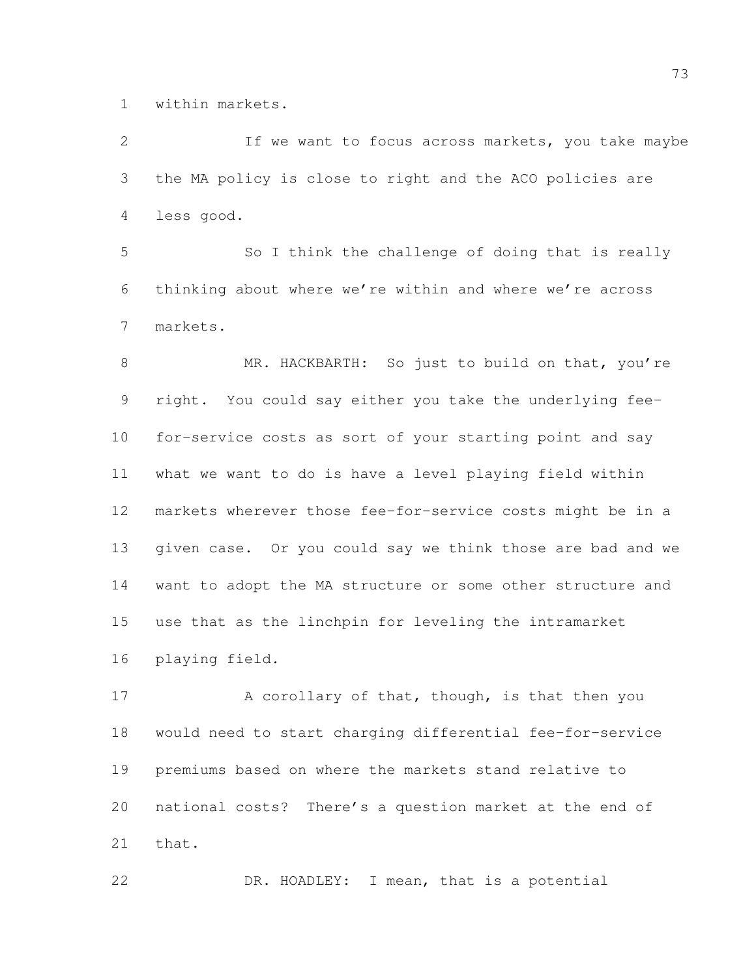within markets.

 If we want to focus across markets, you take maybe the MA policy is close to right and the ACO policies are less good.

 So I think the challenge of doing that is really thinking about where we're within and where we're across markets.

8 MR. HACKBARTH: So just to build on that, you're right. You could say either you take the underlying fee- for-service costs as sort of your starting point and say what we want to do is have a level playing field within markets wherever those fee-for-service costs might be in a given case. Or you could say we think those are bad and we want to adopt the MA structure or some other structure and use that as the linchpin for leveling the intramarket playing field.

17 A corollary of that, though, is that then you would need to start charging differential fee-for-service premiums based on where the markets stand relative to national costs? There's a question market at the end of that.

DR. HOADLEY: I mean, that is a potential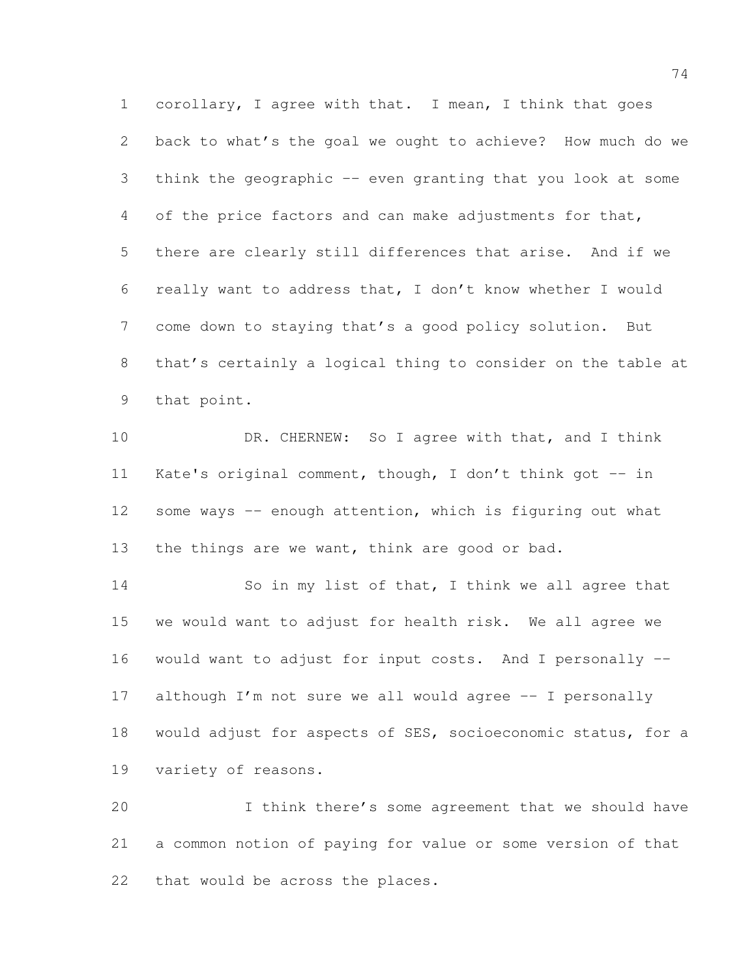corollary, I agree with that. I mean, I think that goes back to what's the goal we ought to achieve? How much do we think the geographic -- even granting that you look at some of the price factors and can make adjustments for that, there are clearly still differences that arise. And if we really want to address that, I don't know whether I would come down to staying that's a good policy solution. But that's certainly a logical thing to consider on the table at that point.

10 DR. CHERNEW: So I agree with that, and I think Kate's original comment, though, I don't think got -- in 12 some ways -- enough attention, which is figuring out what 13 the things are we want, think are good or bad.

 So in my list of that, I think we all agree that we would want to adjust for health risk. We all agree we would want to adjust for input costs. And I personally -- although I'm not sure we all would agree -- I personally would adjust for aspects of SES, socioeconomic status, for a variety of reasons.

 I think there's some agreement that we should have a common notion of paying for value or some version of that that would be across the places.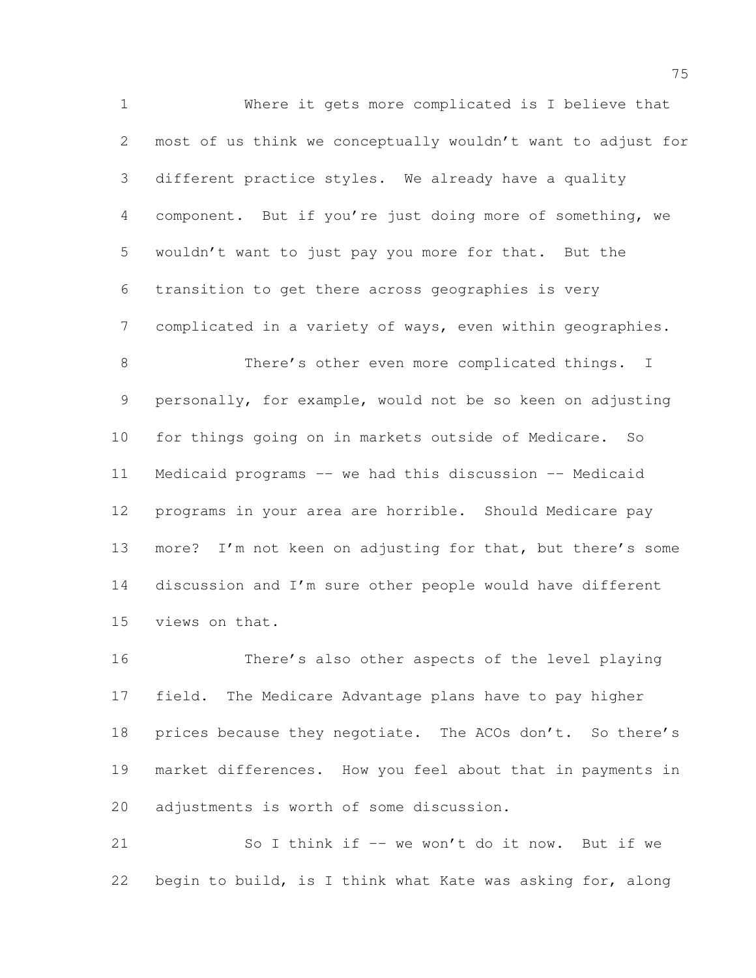Where it gets more complicated is I believe that most of us think we conceptually wouldn't want to adjust for different practice styles. We already have a quality component. But if you're just doing more of something, we wouldn't want to just pay you more for that. But the transition to get there across geographies is very complicated in a variety of ways, even within geographies. 8 There's other even more complicated things. I

 personally, for example, would not be so keen on adjusting for things going on in markets outside of Medicare. So Medicaid programs -- we had this discussion -- Medicaid programs in your area are horrible. Should Medicare pay more? I'm not keen on adjusting for that, but there's some discussion and I'm sure other people would have different views on that.

 There's also other aspects of the level playing field. The Medicare Advantage plans have to pay higher 18 prices because they negotiate. The ACOs don't. So there's market differences. How you feel about that in payments in adjustments is worth of some discussion.

 So I think if -- we won't do it now. But if we begin to build, is I think what Kate was asking for, along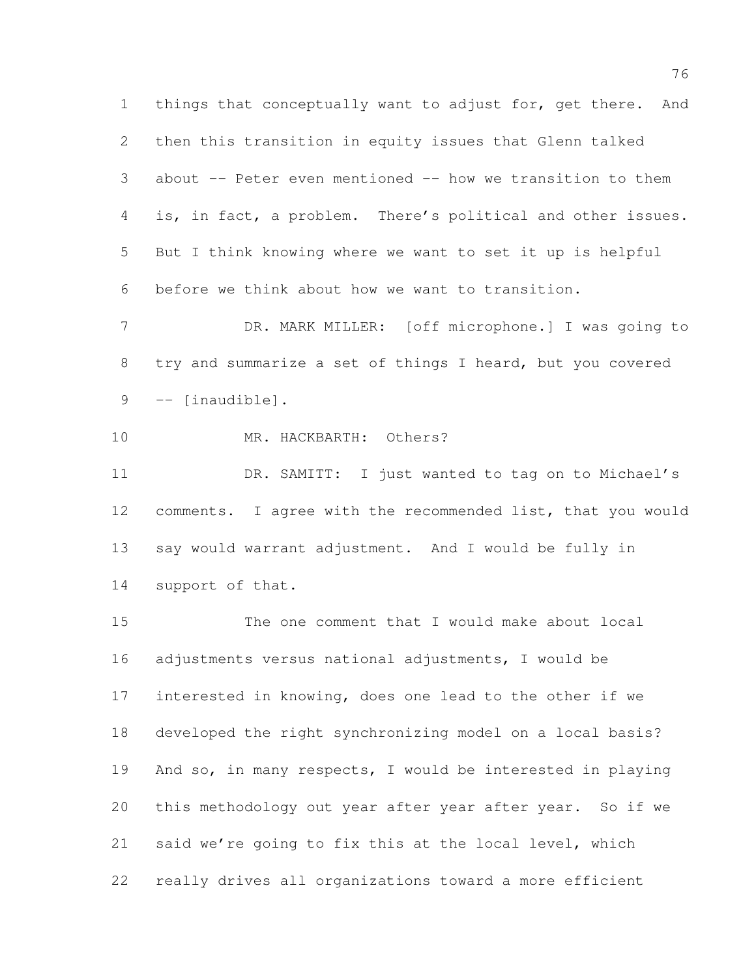things that conceptually want to adjust for, get there. And then this transition in equity issues that Glenn talked about -- Peter even mentioned -- how we transition to them is, in fact, a problem. There's political and other issues. But I think knowing where we want to set it up is helpful before we think about how we want to transition.

 DR. MARK MILLER: [off microphone.] I was going to try and summarize a set of things I heard, but you covered -- [inaudible].

10 MR. HACKBARTH: Others?

 DR. SAMITT: I just wanted to tag on to Michael's comments. I agree with the recommended list, that you would say would warrant adjustment. And I would be fully in support of that.

 The one comment that I would make about local adjustments versus national adjustments, I would be interested in knowing, does one lead to the other if we developed the right synchronizing model on a local basis? And so, in many respects, I would be interested in playing this methodology out year after year after year. So if we said we're going to fix this at the local level, which really drives all organizations toward a more efficient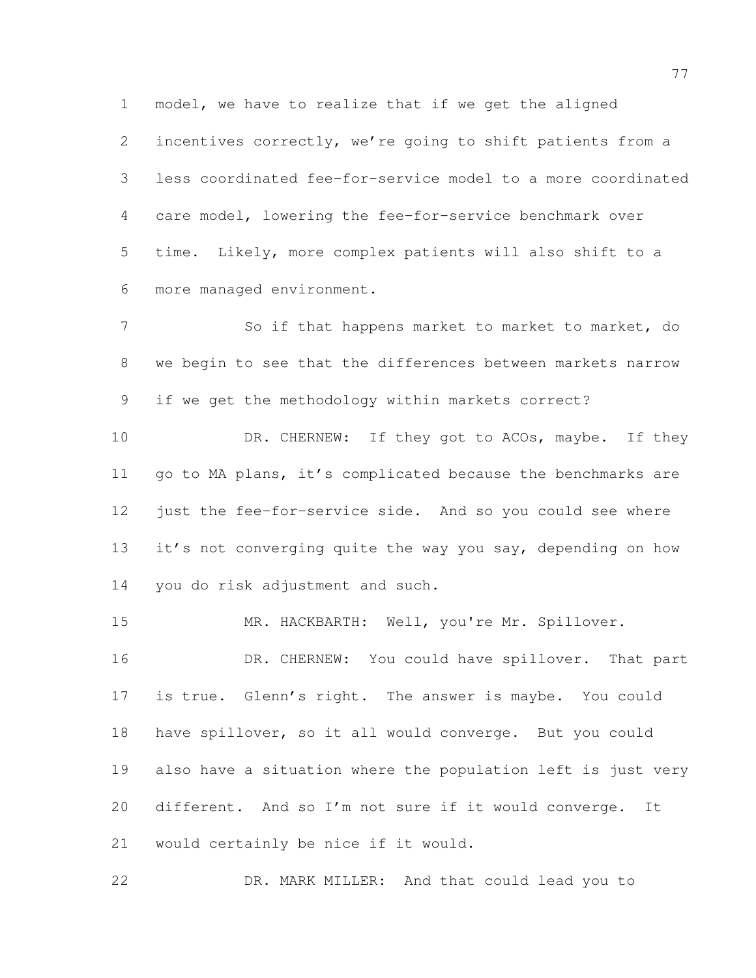incentives correctly, we're going to shift patients from a less coordinated fee-for-service model to a more coordinated care model, lowering the fee-for-service benchmark over time. Likely, more complex patients will also shift to a more managed environment.

model, we have to realize that if we get the aligned

 So if that happens market to market to market, do we begin to see that the differences between markets narrow if we get the methodology within markets correct?

10 DR. CHERNEW: If they got to ACOs, maybe. If they go to MA plans, it's complicated because the benchmarks are just the fee-for-service side. And so you could see where 13 it's not converging quite the way you say, depending on how you do risk adjustment and such.

15 MR. HACKBARTH: Well, you're Mr. Spillover. 16 DR. CHERNEW: You could have spillover. That part is true. Glenn's right. The answer is maybe. You could have spillover, so it all would converge. But you could also have a situation where the population left is just very different. And so I'm not sure if it would converge. It would certainly be nice if it would.

DR. MARK MILLER: And that could lead you to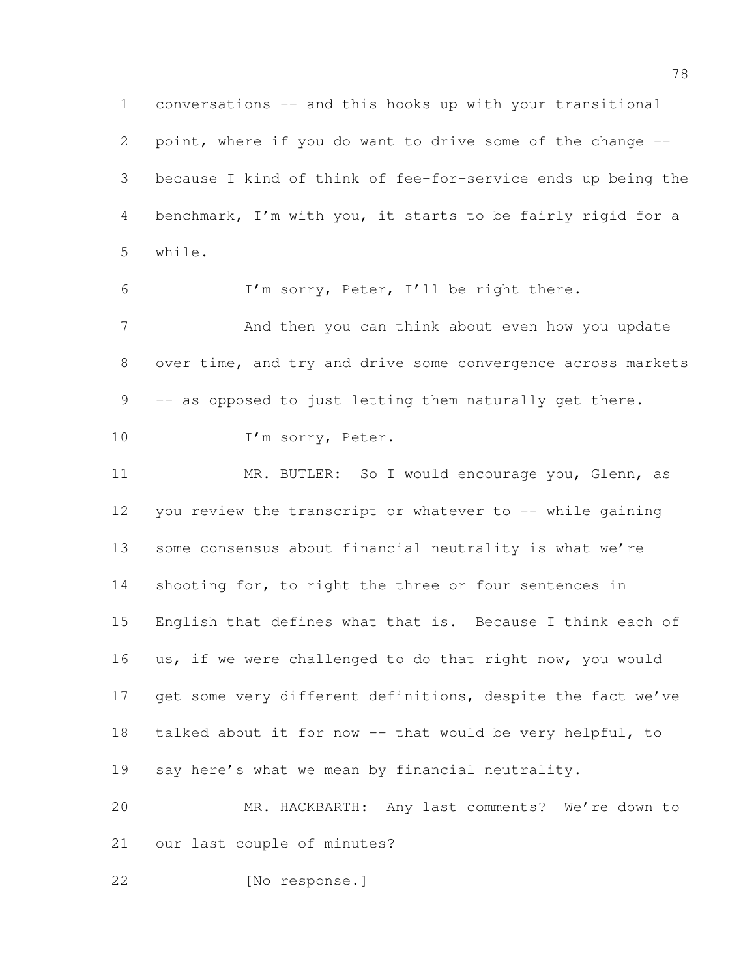conversations -- and this hooks up with your transitional point, where if you do want to drive some of the change -- because I kind of think of fee-for-service ends up being the benchmark, I'm with you, it starts to be fairly rigid for a while.

 I'm sorry, Peter, I'll be right there. 7 And then you can think about even how you update over time, and try and drive some convergence across markets 9 -- as opposed to just letting them naturally get there. 10 I'm sorry, Peter.

 MR. BUTLER: So I would encourage you, Glenn, as 12 you review the transcript or whatever to -- while gaining some consensus about financial neutrality is what we're 14 shooting for, to right the three or four sentences in English that defines what that is. Because I think each of us, if we were challenged to do that right now, you would 17 get some very different definitions, despite the fact we've talked about it for now -- that would be very helpful, to say here's what we mean by financial neutrality. MR. HACKBARTH: Any last comments? We're down to

our last couple of minutes?

[No response.]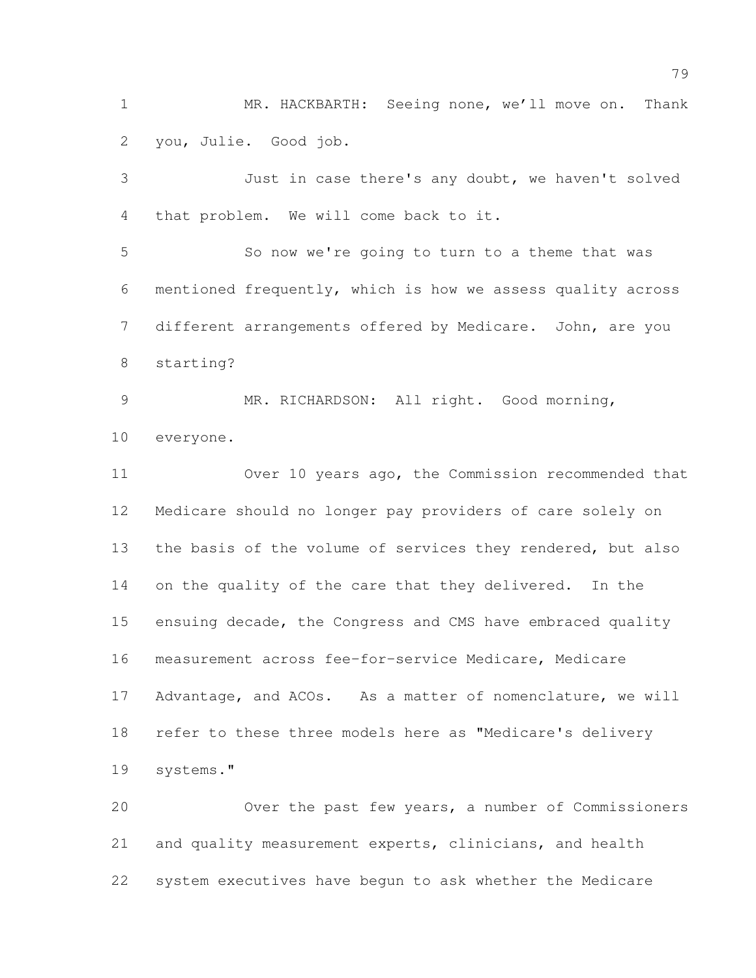MR. HACKBARTH: Seeing none, we'll move on. Thank you, Julie. Good job.

 Just in case there's any doubt, we haven't solved that problem. We will come back to it. So now we're going to turn to a theme that was mentioned frequently, which is how we assess quality across different arrangements offered by Medicare. John, are you starting? MR. RICHARDSON: All right. Good morning, everyone. Over 10 years ago, the Commission recommended that Medicare should no longer pay providers of care solely on 13 the basis of the volume of services they rendered, but also 14 on the quality of the care that they delivered. In the ensuing decade, the Congress and CMS have embraced quality measurement across fee-for-service Medicare, Medicare Advantage, and ACOs. As a matter of nomenclature, we will refer to these three models here as "Medicare's delivery systems."

 Over the past few years, a number of Commissioners and quality measurement experts, clinicians, and health system executives have begun to ask whether the Medicare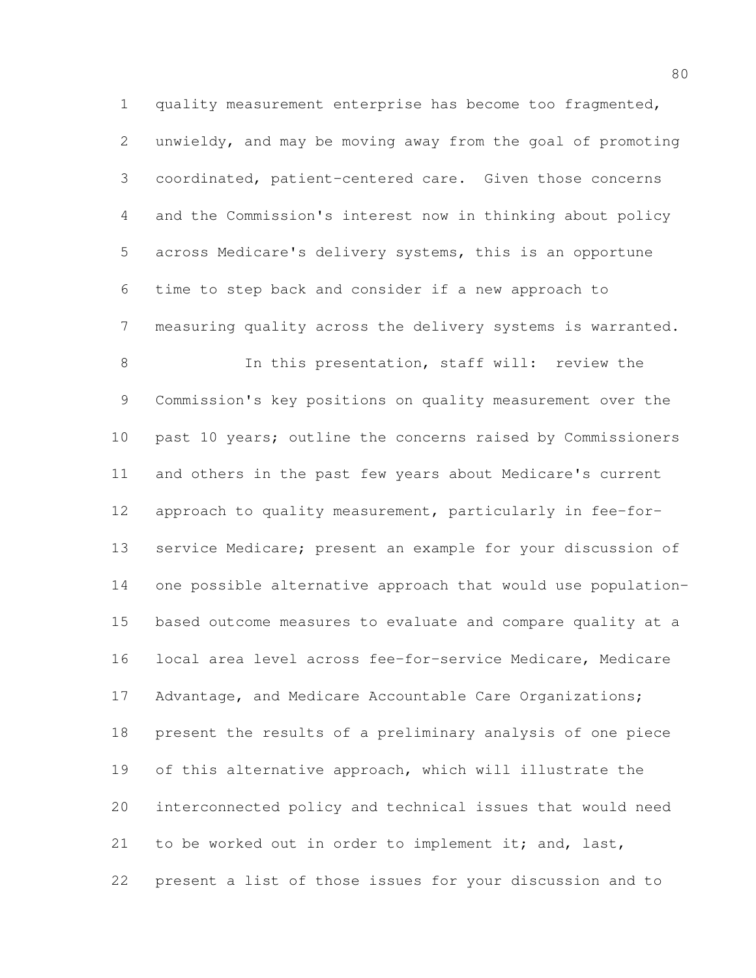quality measurement enterprise has become too fragmented, unwieldy, and may be moving away from the goal of promoting coordinated, patient-centered care. Given those concerns and the Commission's interest now in thinking about policy across Medicare's delivery systems, this is an opportune time to step back and consider if a new approach to measuring quality across the delivery systems is warranted.

 In this presentation, staff will: review the Commission's key positions on quality measurement over the 10 past 10 years; outline the concerns raised by Commissioners and others in the past few years about Medicare's current approach to quality measurement, particularly in fee-for- service Medicare; present an example for your discussion of one possible alternative approach that would use population- based outcome measures to evaluate and compare quality at a local area level across fee-for-service Medicare, Medicare 17 Advantage, and Medicare Accountable Care Organizations; present the results of a preliminary analysis of one piece 19 of this alternative approach, which will illustrate the interconnected policy and technical issues that would need 21 to be worked out in order to implement it; and, last, present a list of those issues for your discussion and to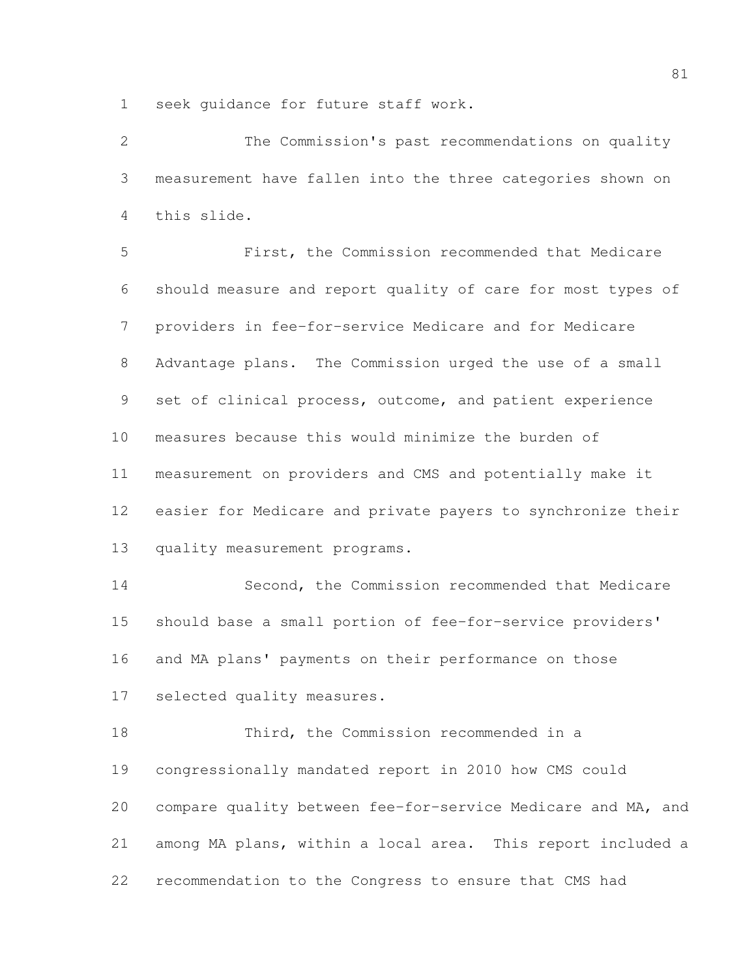seek guidance for future staff work.

 The Commission's past recommendations on quality measurement have fallen into the three categories shown on this slide.

 First, the Commission recommended that Medicare should measure and report quality of care for most types of providers in fee-for-service Medicare and for Medicare Advantage plans. The Commission urged the use of a small set of clinical process, outcome, and patient experience measures because this would minimize the burden of measurement on providers and CMS and potentially make it easier for Medicare and private payers to synchronize their 13 quality measurement programs.

 Second, the Commission recommended that Medicare should base a small portion of fee-for-service providers' and MA plans' payments on their performance on those selected quality measures.

 Third, the Commission recommended in a congressionally mandated report in 2010 how CMS could compare quality between fee-for-service Medicare and MA, and among MA plans, within a local area. This report included a recommendation to the Congress to ensure that CMS had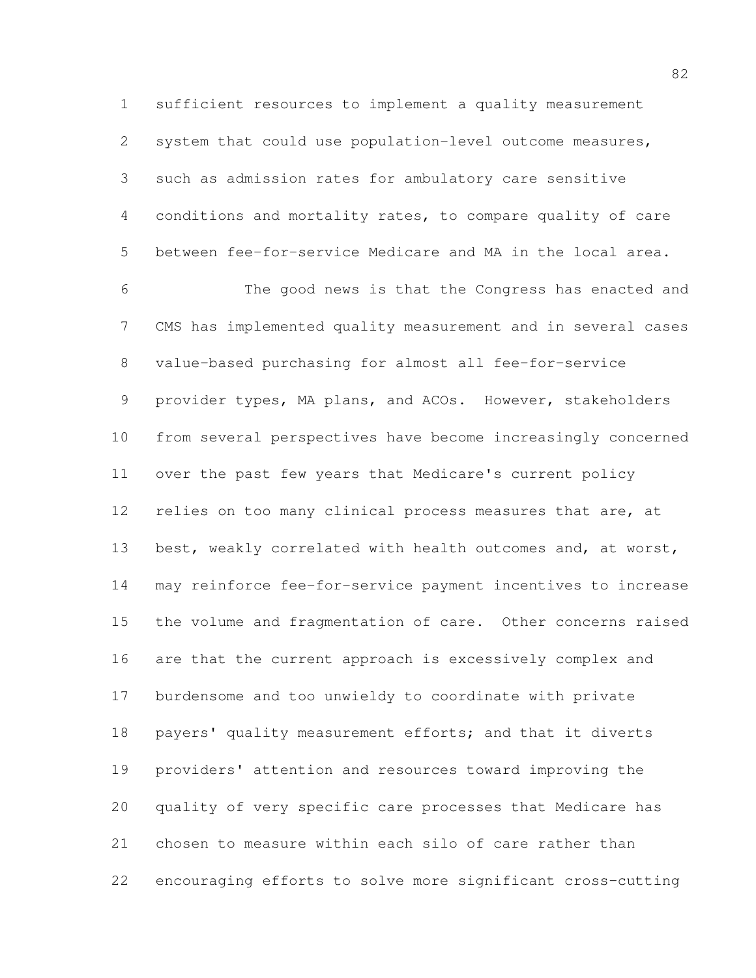sufficient resources to implement a quality measurement system that could use population-level outcome measures, such as admission rates for ambulatory care sensitive conditions and mortality rates, to compare quality of care between fee-for-service Medicare and MA in the local area. The good news is that the Congress has enacted and CMS has implemented quality measurement and in several cases value-based purchasing for almost all fee-for-service provider types, MA plans, and ACOs. However, stakeholders from several perspectives have become increasingly concerned over the past few years that Medicare's current policy 12 relies on too many clinical process measures that are, at best, weakly correlated with health outcomes and, at worst, may reinforce fee-for-service payment incentives to increase the volume and fragmentation of care. Other concerns raised are that the current approach is excessively complex and burdensome and too unwieldy to coordinate with private payers' quality measurement efforts; and that it diverts providers' attention and resources toward improving the quality of very specific care processes that Medicare has chosen to measure within each silo of care rather than encouraging efforts to solve more significant cross-cutting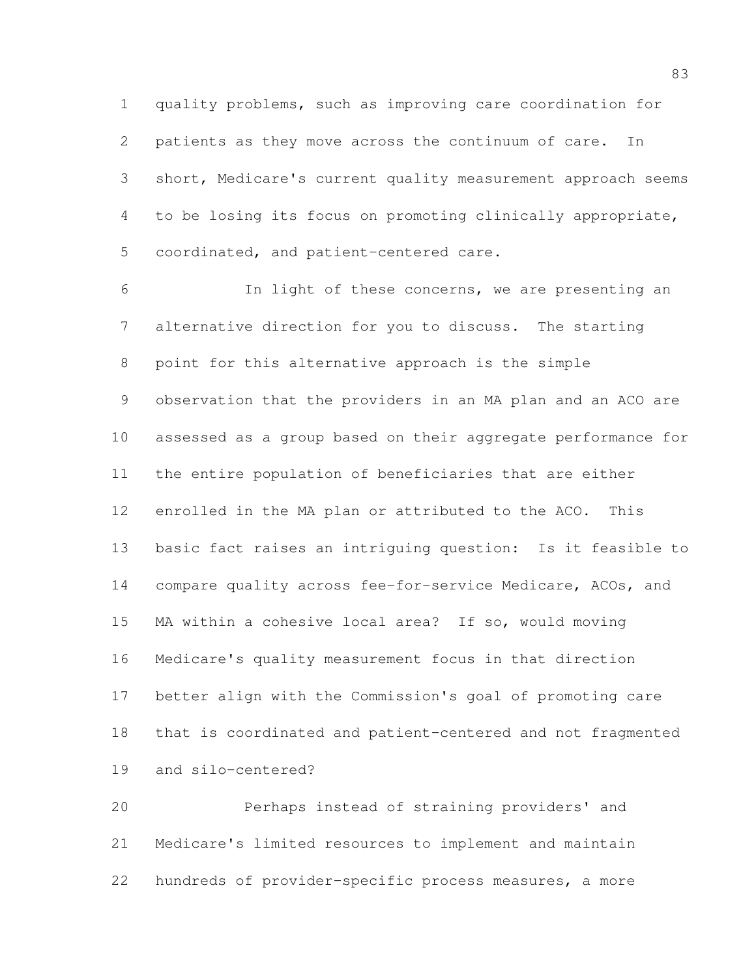quality problems, such as improving care coordination for patients as they move across the continuum of care. In short, Medicare's current quality measurement approach seems to be losing its focus on promoting clinically appropriate, coordinated, and patient-centered care.

 In light of these concerns, we are presenting an alternative direction for you to discuss. The starting point for this alternative approach is the simple observation that the providers in an MA plan and an ACO are assessed as a group based on their aggregate performance for the entire population of beneficiaries that are either enrolled in the MA plan or attributed to the ACO. This basic fact raises an intriguing question: Is it feasible to compare quality across fee-for-service Medicare, ACOs, and MA within a cohesive local area? If so, would moving Medicare's quality measurement focus in that direction better align with the Commission's goal of promoting care that is coordinated and patient-centered and not fragmented and silo-centered?

 Perhaps instead of straining providers' and Medicare's limited resources to implement and maintain hundreds of provider-specific process measures, a more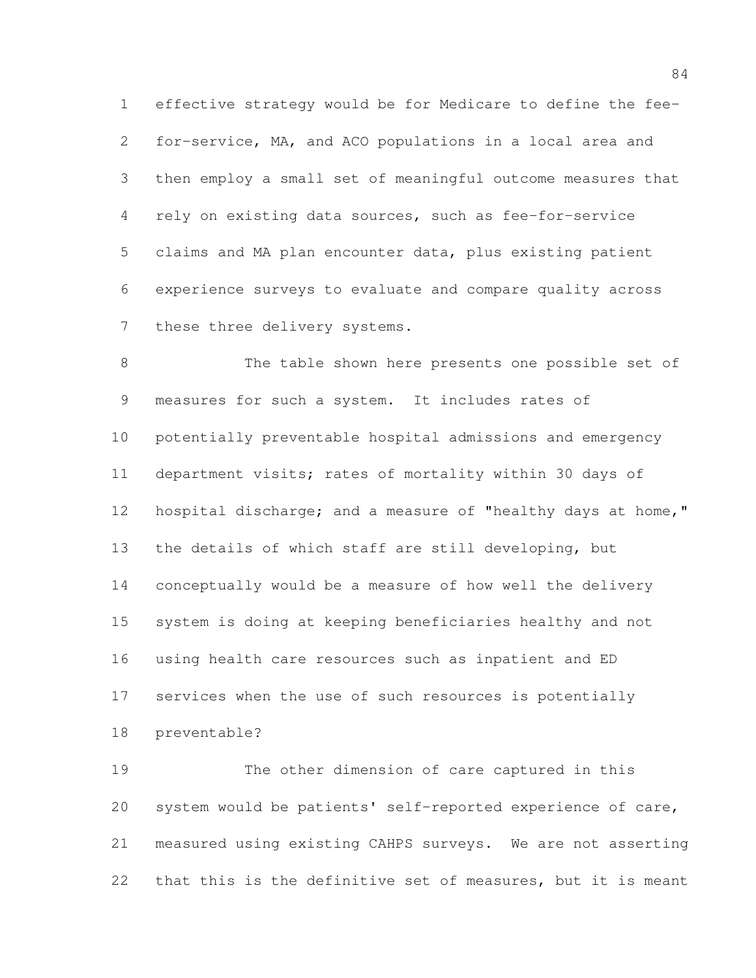effective strategy would be for Medicare to define the fee- for-service, MA, and ACO populations in a local area and then employ a small set of meaningful outcome measures that rely on existing data sources, such as fee-for-service claims and MA plan encounter data, plus existing patient experience surveys to evaluate and compare quality across 7 these three delivery systems.

 The table shown here presents one possible set of measures for such a system. It includes rates of potentially preventable hospital admissions and emergency department visits; rates of mortality within 30 days of hospital discharge; and a measure of "healthy days at home," the details of which staff are still developing, but conceptually would be a measure of how well the delivery system is doing at keeping beneficiaries healthy and not using health care resources such as inpatient and ED services when the use of such resources is potentially preventable?

 The other dimension of care captured in this system would be patients' self-reported experience of care, measured using existing CAHPS surveys. We are not asserting that this is the definitive set of measures, but it is meant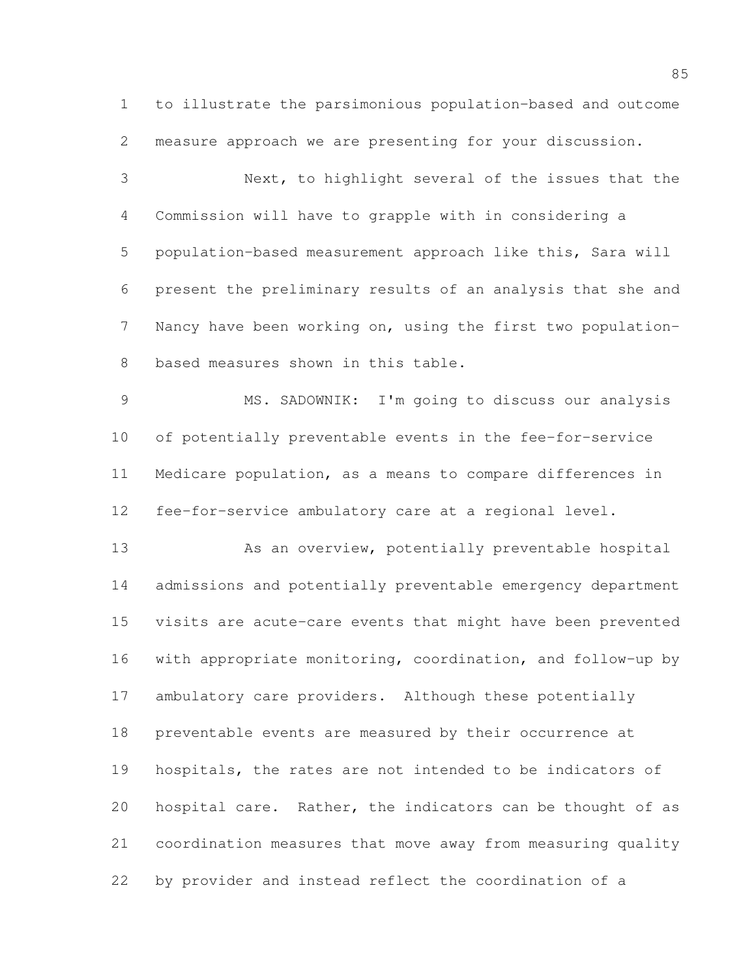to illustrate the parsimonious population-based and outcome measure approach we are presenting for your discussion.

 Next, to highlight several of the issues that the Commission will have to grapple with in considering a population-based measurement approach like this, Sara will present the preliminary results of an analysis that she and Nancy have been working on, using the first two population-based measures shown in this table.

 MS. SADOWNIK: I'm going to discuss our analysis of potentially preventable events in the fee-for-service Medicare population, as a means to compare differences in fee-for-service ambulatory care at a regional level.

13 As an overview, potentially preventable hospital admissions and potentially preventable emergency department visits are acute-care events that might have been prevented with appropriate monitoring, coordination, and follow-up by ambulatory care providers. Although these potentially preventable events are measured by their occurrence at hospitals, the rates are not intended to be indicators of hospital care. Rather, the indicators can be thought of as coordination measures that move away from measuring quality by provider and instead reflect the coordination of a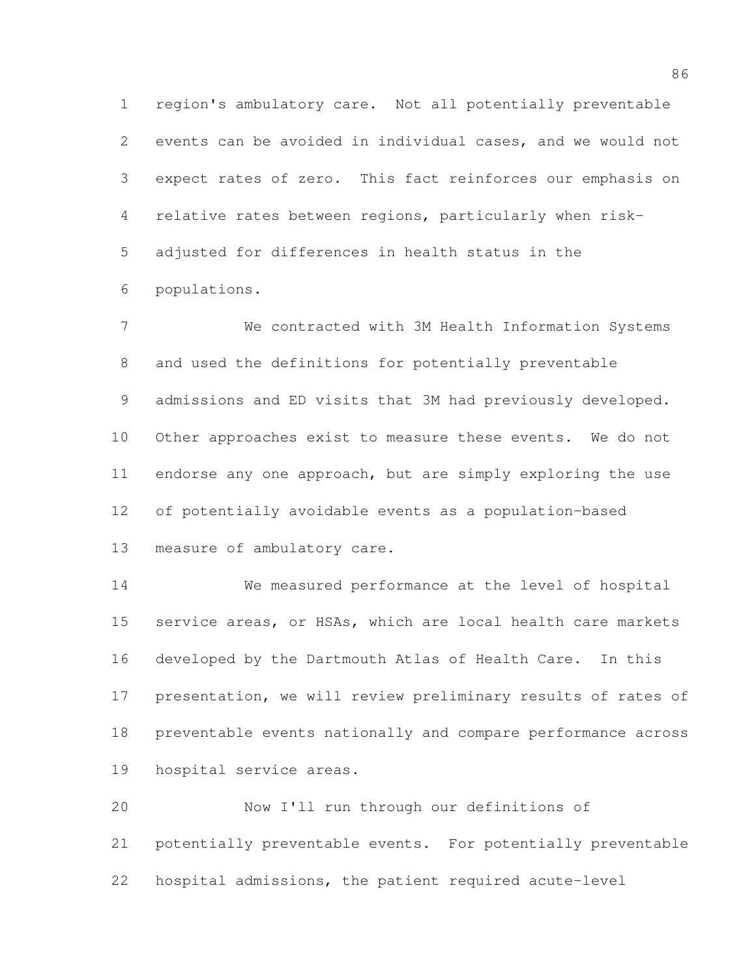region's ambulatory care. Not all potentially preventable events can be avoided in individual cases, and we would not expect rates of zero. This fact reinforces our emphasis on relative rates between regions, particularly when risk- adjusted for differences in health status in the populations.

 We contracted with 3M Health Information Systems and used the definitions for potentially preventable admissions and ED visits that 3M had previously developed. Other approaches exist to measure these events. We do not endorse any one approach, but are simply exploring the use of potentially avoidable events as a population-based measure of ambulatory care.

 We measured performance at the level of hospital service areas, or HSAs, which are local health care markets developed by the Dartmouth Atlas of Health Care. In this presentation, we will review preliminary results of rates of preventable events nationally and compare performance across hospital service areas.

 Now I'll run through our definitions of potentially preventable events. For potentially preventable hospital admissions, the patient required acute-level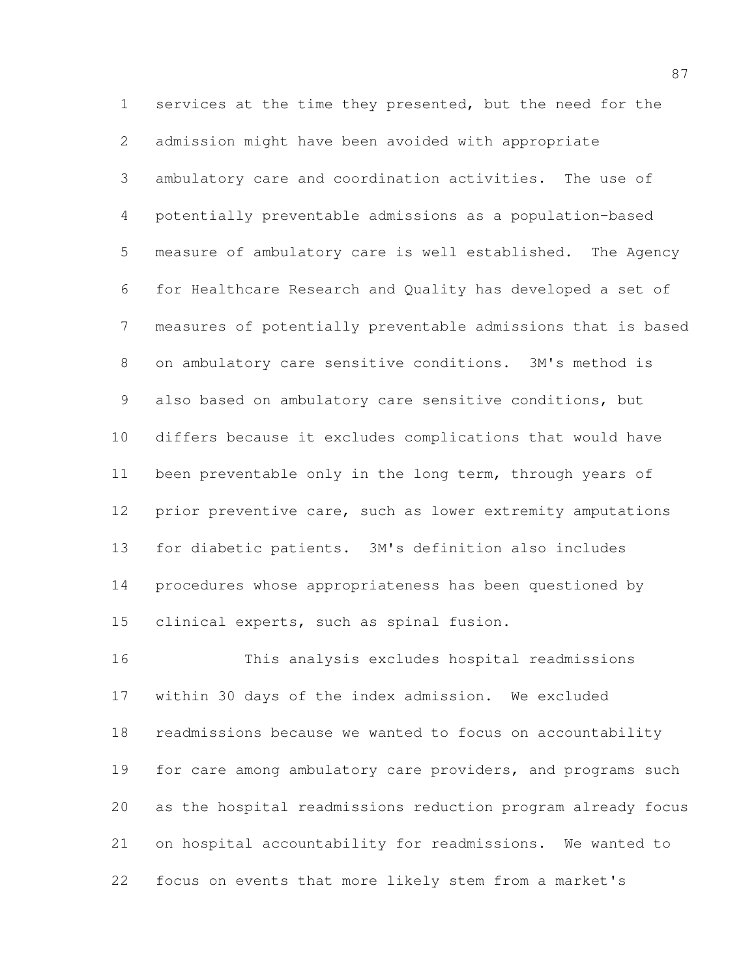services at the time they presented, but the need for the admission might have been avoided with appropriate ambulatory care and coordination activities. The use of potentially preventable admissions as a population-based measure of ambulatory care is well established. The Agency for Healthcare Research and Quality has developed a set of measures of potentially preventable admissions that is based on ambulatory care sensitive conditions. 3M's method is also based on ambulatory care sensitive conditions, but differs because it excludes complications that would have been preventable only in the long term, through years of prior preventive care, such as lower extremity amputations for diabetic patients. 3M's definition also includes procedures whose appropriateness has been questioned by clinical experts, such as spinal fusion.

 This analysis excludes hospital readmissions within 30 days of the index admission. We excluded readmissions because we wanted to focus on accountability 19 for care among ambulatory care providers, and programs such as the hospital readmissions reduction program already focus on hospital accountability for readmissions. We wanted to focus on events that more likely stem from a market's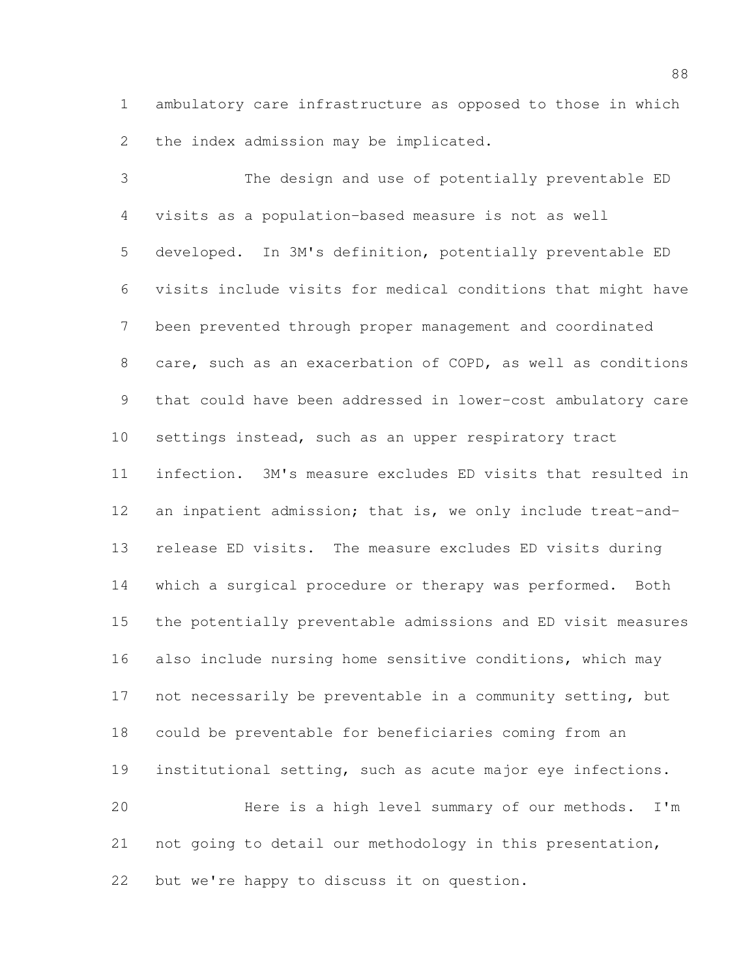ambulatory care infrastructure as opposed to those in which the index admission may be implicated.

 The design and use of potentially preventable ED visits as a population-based measure is not as well developed. In 3M's definition, potentially preventable ED visits include visits for medical conditions that might have been prevented through proper management and coordinated care, such as an exacerbation of COPD, as well as conditions that could have been addressed in lower-cost ambulatory care settings instead, such as an upper respiratory tract infection. 3M's measure excludes ED visits that resulted in 12 an inpatient admission; that is, we only include treat-and- release ED visits. The measure excludes ED visits during which a surgical procedure or therapy was performed. Both the potentially preventable admissions and ED visit measures also include nursing home sensitive conditions, which may not necessarily be preventable in a community setting, but could be preventable for beneficiaries coming from an institutional setting, such as acute major eye infections. Here is a high level summary of our methods. I'm not going to detail our methodology in this presentation, but we're happy to discuss it on question.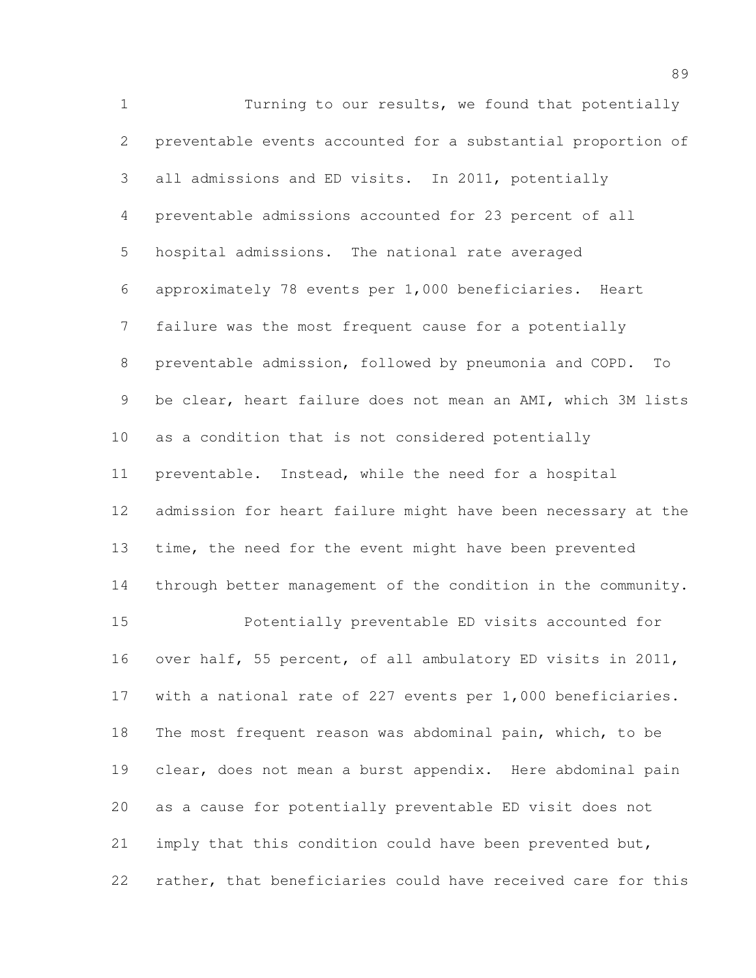Turning to our results, we found that potentially preventable events accounted for a substantial proportion of all admissions and ED visits. In 2011, potentially preventable admissions accounted for 23 percent of all hospital admissions. The national rate averaged approximately 78 events per 1,000 beneficiaries. Heart failure was the most frequent cause for a potentially preventable admission, followed by pneumonia and COPD. To be clear, heart failure does not mean an AMI, which 3M lists as a condition that is not considered potentially preventable. Instead, while the need for a hospital admission for heart failure might have been necessary at the time, the need for the event might have been prevented through better management of the condition in the community. Potentially preventable ED visits accounted for over half, 55 percent, of all ambulatory ED visits in 2011, with a national rate of 227 events per 1,000 beneficiaries. The most frequent reason was abdominal pain, which, to be clear, does not mean a burst appendix. Here abdominal pain as a cause for potentially preventable ED visit does not imply that this condition could have been prevented but, rather, that beneficiaries could have received care for this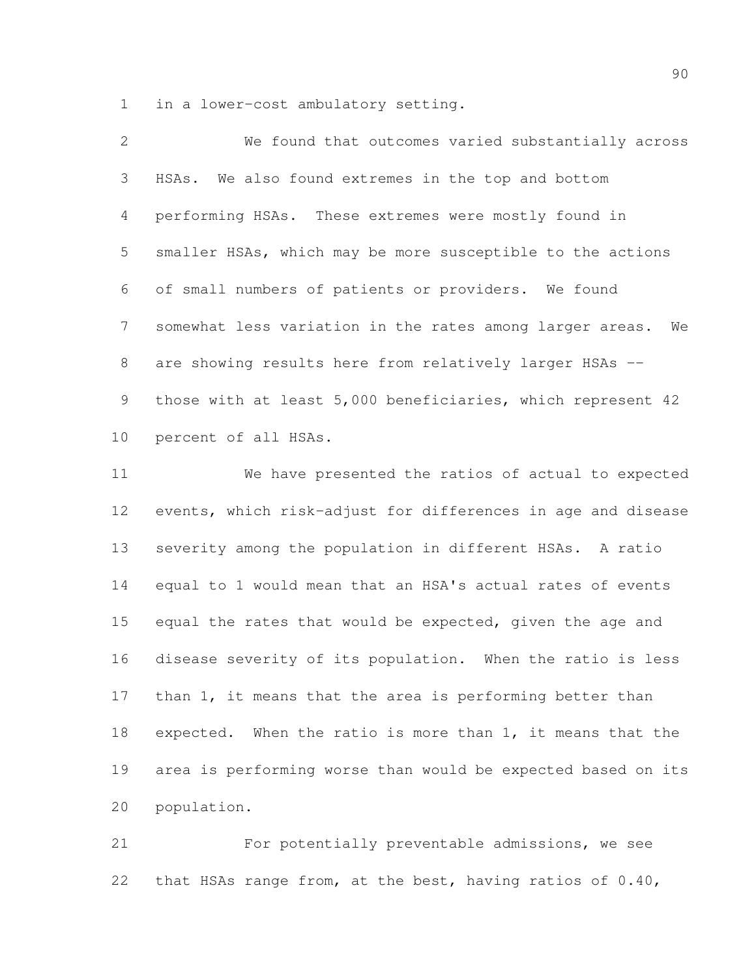in a lower-cost ambulatory setting.

| $\overline{2}$  | We found that outcomes varied substantially across             |
|-----------------|----------------------------------------------------------------|
| $3 -$           | HSAs. We also found extremes in the top and bottom             |
| $4\overline{ }$ | performing HSAs. These extremes were mostly found in           |
| 5               | smaller HSAs, which may be more susceptible to the actions     |
| 6               | of small numbers of patients or providers. We found            |
| $7\degree$      | somewhat less variation in the rates among larger areas.<br>We |
| 8               | are showing results here from relatively larger HSAs --        |
| 9               | those with at least 5,000 beneficiaries, which represent 42    |
| 10              | percent of all HSAs.                                           |

 We have presented the ratios of actual to expected events, which risk-adjust for differences in age and disease severity among the population in different HSAs. A ratio equal to 1 would mean that an HSA's actual rates of events equal the rates that would be expected, given the age and disease severity of its population. When the ratio is less than 1, it means that the area is performing better than expected. When the ratio is more than 1, it means that the area is performing worse than would be expected based on its population.

 For potentially preventable admissions, we see that HSAs range from, at the best, having ratios of 0.40,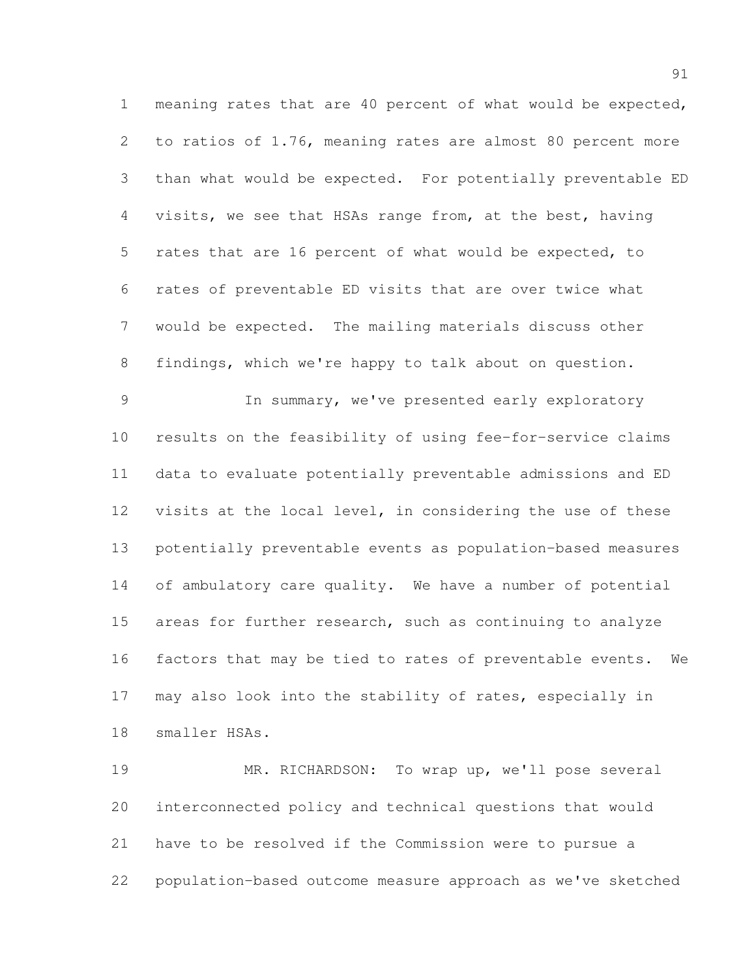meaning rates that are 40 percent of what would be expected, to ratios of 1.76, meaning rates are almost 80 percent more than what would be expected. For potentially preventable ED visits, we see that HSAs range from, at the best, having rates that are 16 percent of what would be expected, to rates of preventable ED visits that are over twice what would be expected. The mailing materials discuss other findings, which we're happy to talk about on question. In summary, we've presented early exploratory results on the feasibility of using fee-for-service claims

 data to evaluate potentially preventable admissions and ED visits at the local level, in considering the use of these potentially preventable events as population-based measures of ambulatory care quality. We have a number of potential areas for further research, such as continuing to analyze factors that may be tied to rates of preventable events. We may also look into the stability of rates, especially in smaller HSAs.

 MR. RICHARDSON: To wrap up, we'll pose several interconnected policy and technical questions that would have to be resolved if the Commission were to pursue a population-based outcome measure approach as we've sketched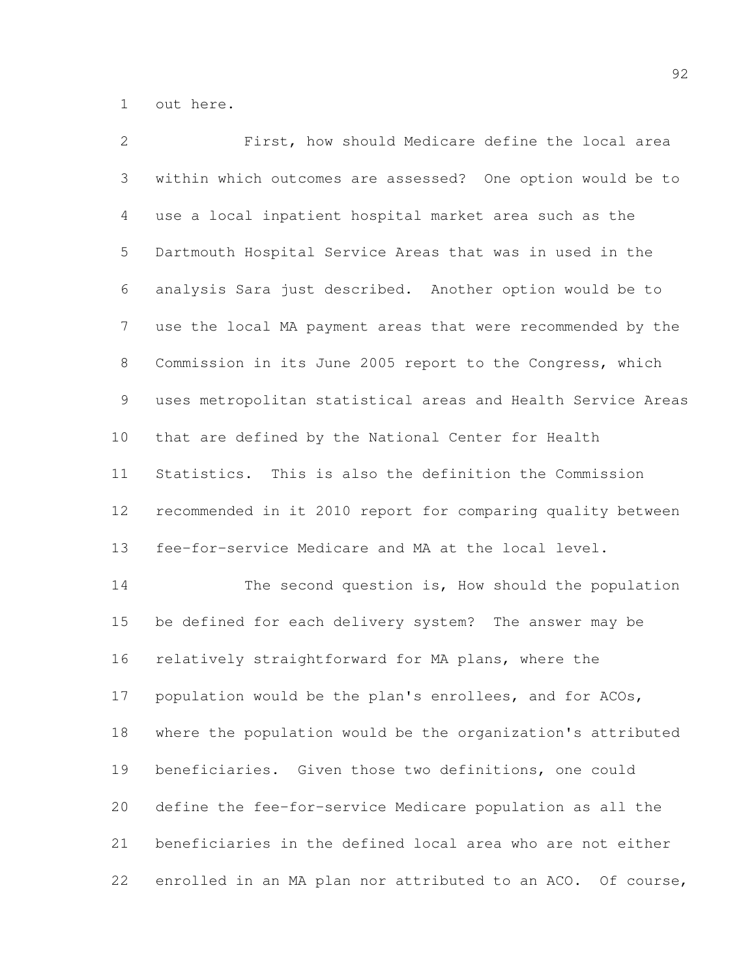out here.

| 2     | First, how should Medicare define the local area             |
|-------|--------------------------------------------------------------|
| 3     | within which outcomes are assessed? One option would be to   |
| 4     | use a local inpatient hospital market area such as the       |
| 5     | Dartmouth Hospital Service Areas that was in used in the     |
| 6     | analysis Sara just described. Another option would be to     |
| 7     | use the local MA payment areas that were recommended by the  |
| $8\,$ | Commission in its June 2005 report to the Congress, which    |
| 9     | uses metropolitan statistical areas and Health Service Areas |
| 10    | that are defined by the National Center for Health           |
| 11    | Statistics. This is also the definition the Commission       |
| 12    | recommended in it 2010 report for comparing quality between  |
| 13    | fee-for-service Medicare and MA at the local level.          |
| 14    | The second question is, How should the population            |
| 15    | be defined for each delivery system? The answer may be       |
| 16    | relatively straightforward for MA plans, where the           |
| 17    | population would be the plan's enrollees, and for ACOs,      |
| 18    | where the population would be the organization's attributed  |
| 19    | beneficiaries. Given those two definitions, one could        |
| 20    | define the fee-for-service Medicare population as all the    |
| 21    | beneficiaries in the defined local area who are not either   |
| 22    | enrolled in an MA plan nor attributed to an ACO. Of course,  |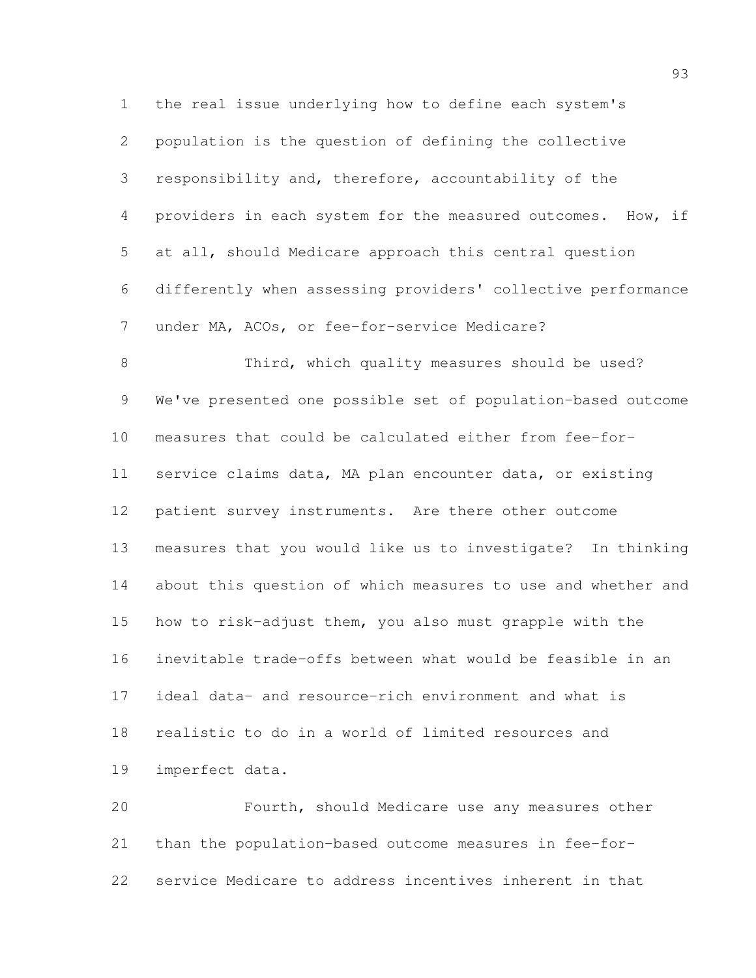the real issue underlying how to define each system's population is the question of defining the collective responsibility and, therefore, accountability of the providers in each system for the measured outcomes. How, if at all, should Medicare approach this central question differently when assessing providers' collective performance under MA, ACOs, or fee-for-service Medicare? Third, which quality measures should be used? We've presented one possible set of population-based outcome measures that could be calculated either from fee-for- service claims data, MA plan encounter data, or existing patient survey instruments. Are there other outcome measures that you would like us to investigate? In thinking about this question of which measures to use and whether and how to risk-adjust them, you also must grapple with the inevitable trade-offs between what would be feasible in an ideal data- and resource-rich environment and what is realistic to do in a world of limited resources and imperfect data. Fourth, should Medicare use any measures other

 than the population-based outcome measures in fee-for-service Medicare to address incentives inherent in that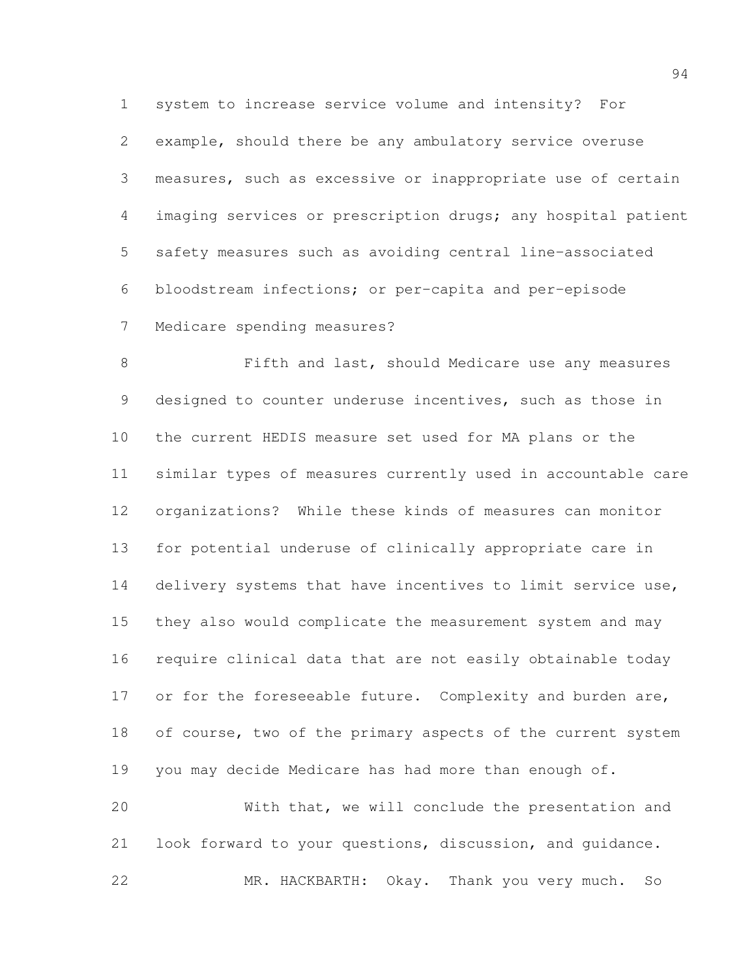system to increase service volume and intensity? For example, should there be any ambulatory service overuse measures, such as excessive or inappropriate use of certain imaging services or prescription drugs; any hospital patient safety measures such as avoiding central line-associated bloodstream infections; or per-capita and per-episode Medicare spending measures?

 Fifth and last, should Medicare use any measures designed to counter underuse incentives, such as those in the current HEDIS measure set used for MA plans or the similar types of measures currently used in accountable care organizations? While these kinds of measures can monitor for potential underuse of clinically appropriate care in 14 delivery systems that have incentives to limit service use, they also would complicate the measurement system and may require clinical data that are not easily obtainable today 17 or for the foreseeable future. Complexity and burden are, 18 of course, two of the primary aspects of the current system you may decide Medicare has had more than enough of.

 With that, we will conclude the presentation and look forward to your questions, discussion, and guidance. MR. HACKBARTH: Okay. Thank you very much. So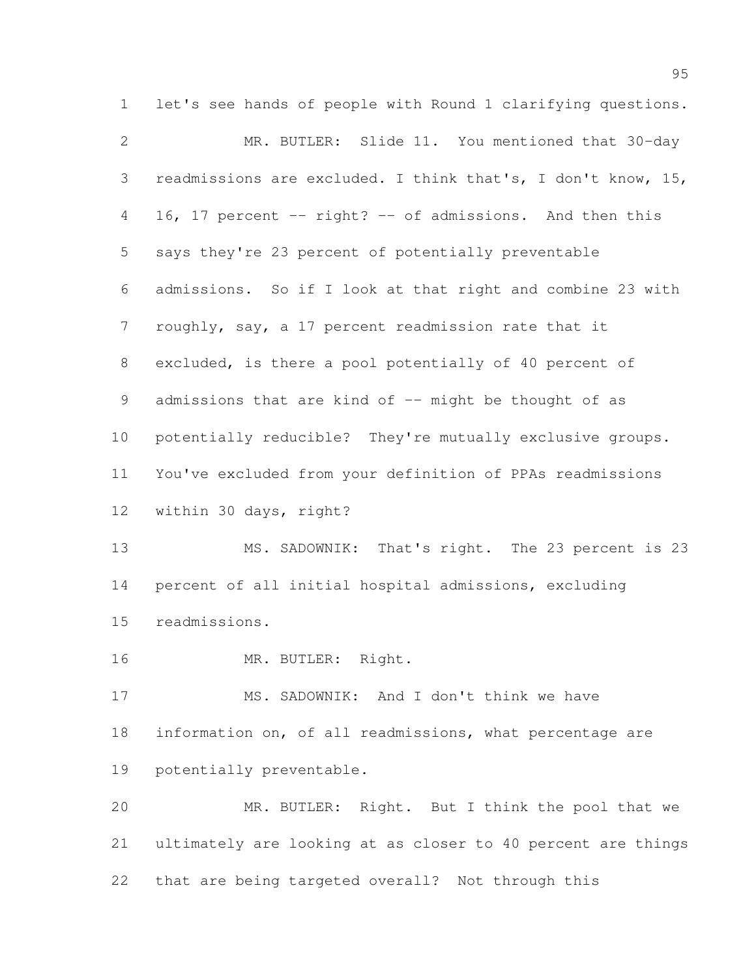let's see hands of people with Round 1 clarifying questions. MR. BUTLER: Slide 11. You mentioned that 30-day readmissions are excluded. I think that's, I don't know, 15, 16, 17 percent -- right? -- of admissions. And then this says they're 23 percent of potentially preventable admissions. So if I look at that right and combine 23 with roughly, say, a 17 percent readmission rate that it excluded, is there a pool potentially of 40 percent of 9 admissions that are kind of -- might be thought of as potentially reducible? They're mutually exclusive groups. You've excluded from your definition of PPAs readmissions within 30 days, right? MS. SADOWNIK: That's right. The 23 percent is 23 percent of all initial hospital admissions, excluding readmissions. MR. BUTLER: Right. MS. SADOWNIK: And I don't think we have information on, of all readmissions, what percentage are potentially preventable. MR. BUTLER: Right. But I think the pool that we

 ultimately are looking at as closer to 40 percent are things that are being targeted overall? Not through this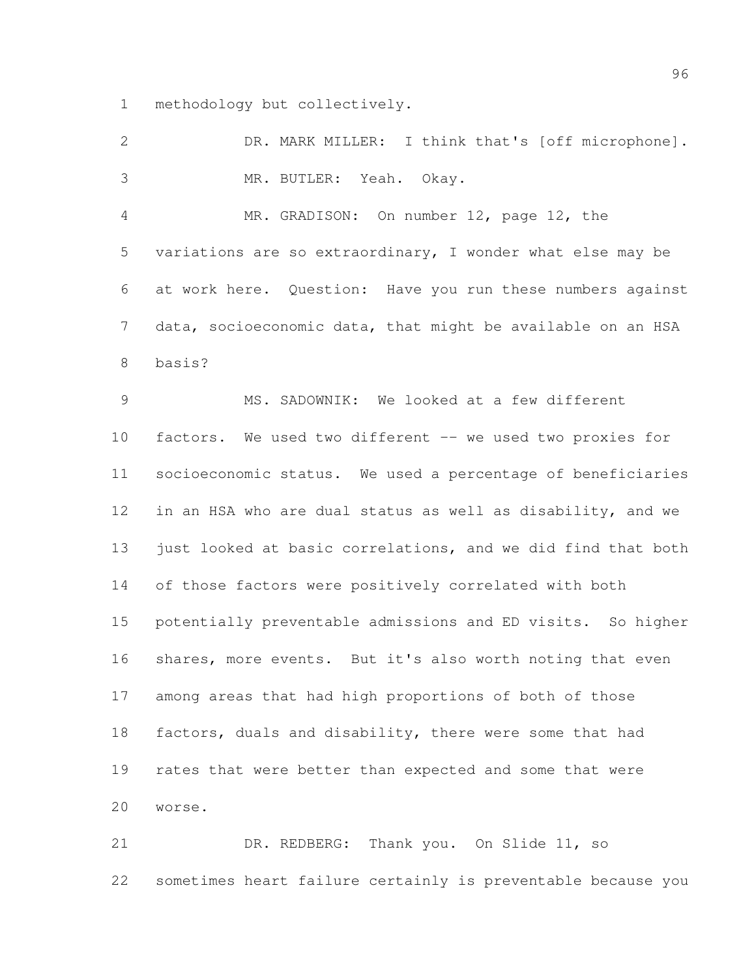methodology but collectively.

| 2              | DR. MARK MILLER: I think that's [off microphone].            |
|----------------|--------------------------------------------------------------|
| 3              | MR. BUTLER: Yeah. Okay.                                      |
| $\overline{4}$ | MR. GRADISON: On number 12, page 12, the                     |
| 5              | variations are so extraordinary, I wonder what else may be   |
| 6              | at work here. Question: Have you run these numbers against   |
| $\overline{7}$ | data, socioeconomic data, that might be available on an HSA  |
| $8\,$          | basis?                                                       |
| $\mathcal{G}$  | MS. SADOWNIK: We looked at a few different                   |
| 10             | factors. We used two different -- we used two proxies for    |
| 11             | socioeconomic status. We used a percentage of beneficiaries  |
| 12             | in an HSA who are dual status as well as disability, and we  |
| 13             | just looked at basic correlations, and we did find that both |
| 14             | of those factors were positively correlated with both        |
| 15             | potentially preventable admissions and ED visits. So higher  |
| 16             | shares, more events. But it's also worth noting that even    |
| 17             | among areas that had high proportions of both of those       |
| 18             | factors, duals and disability, there were some that had      |
| 19             | rates that were better than expected and some that were      |
| 20             | worse.                                                       |
| 21             | Thank you. On Slide 11, so<br>DR. REDBERG:                   |

sometimes heart failure certainly is preventable because you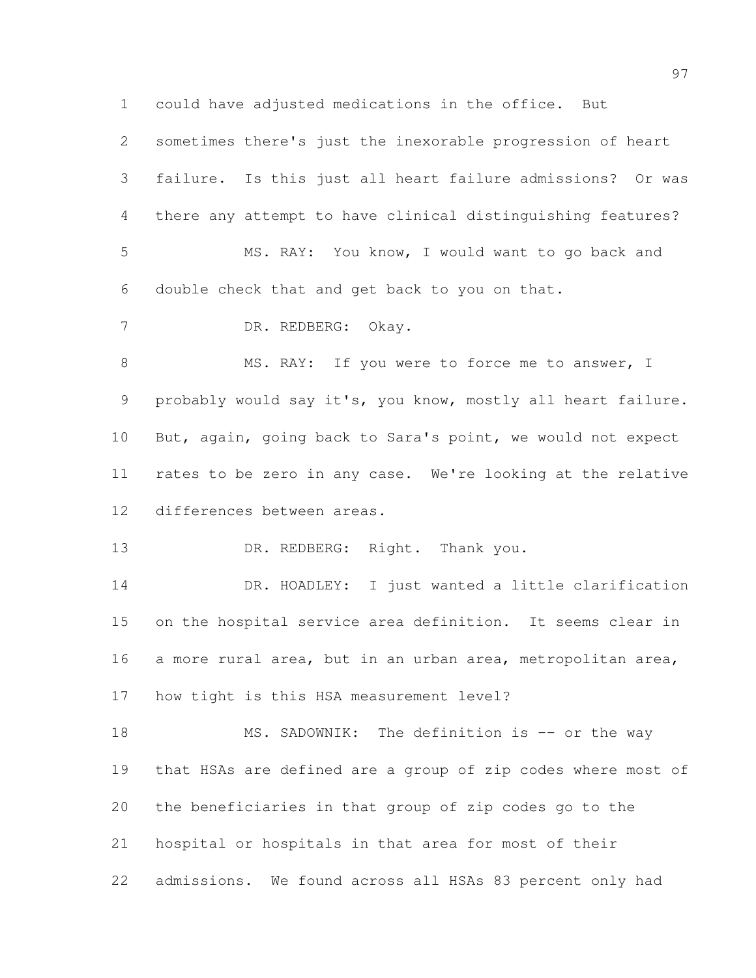could have adjusted medications in the office. But

| $\overline{2}$ | sometimes there's just the inexorable progression of heart   |
|----------------|--------------------------------------------------------------|
| 3              | failure. Is this just all heart failure admissions? Or was   |
| 4              | there any attempt to have clinical distinguishing features?  |
| 5              | MS. RAY: You know, I would want to go back and               |
| 6              | double check that and get back to you on that.               |
| $7\phantom{.}$ | DR. REDBERG: Okay.                                           |
| $\,8\,$        | MS. RAY: If you were to force me to answer, I                |
| 9              | probably would say it's, you know, mostly all heart failure. |
| 10             | But, again, going back to Sara's point, we would not expect  |
| 11             | rates to be zero in any case. We're looking at the relative  |
| 12             | differences between areas.                                   |
| 13             | DR. REDBERG: Right. Thank you.                               |
| 14             | DR. HOADLEY: I just wanted a little clarification            |
| 15             | on the hospital service area definition. It seems clear in   |
| 16             | a more rural area, but in an urban area, metropolitan area,  |
| 17             | how tight is this HSA measurement level?                     |
| 18             | MS. SADOWNIK: The definition is -- or the way                |
| 19             | that HSAs are defined are a group of zip codes where most of |
| 20             | the beneficiaries in that group of zip codes go to the       |
| 21             | hospital or hospitals in that area for most of their         |

admissions. We found across all HSAs 83 percent only had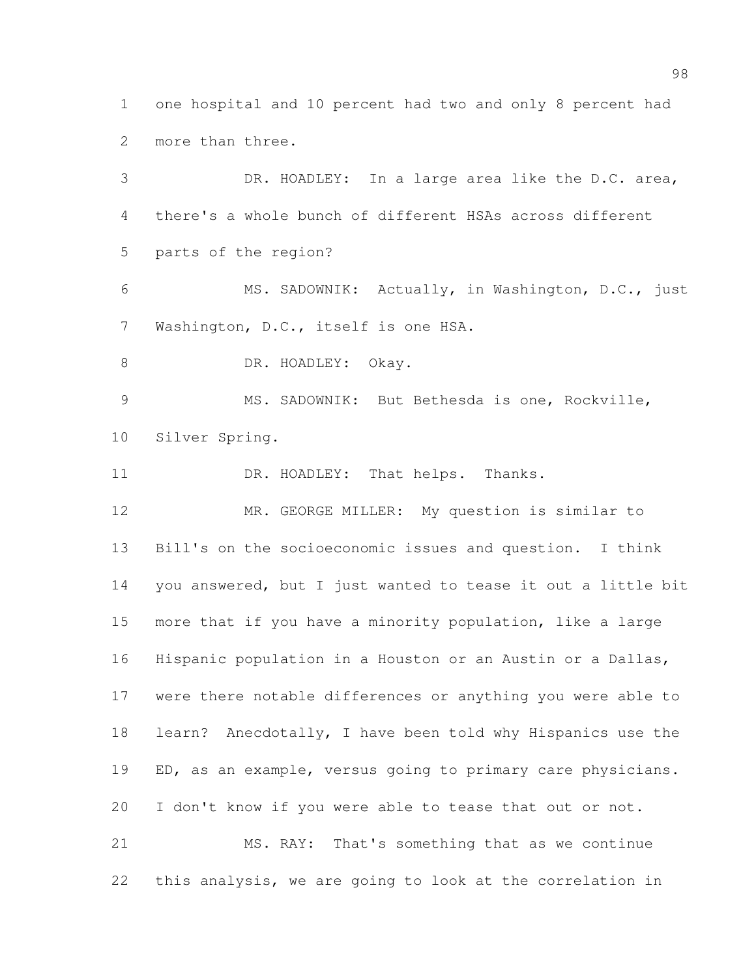one hospital and 10 percent had two and only 8 percent had more than three.

 DR. HOADLEY: In a large area like the D.C. area, there's a whole bunch of different HSAs across different parts of the region? MS. SADOWNIK: Actually, in Washington, D.C., just Washington, D.C., itself is one HSA. 8 DR. HOADLEY: Okay. MS. SADOWNIK: But Bethesda is one, Rockville, Silver Spring. 11 DR. HOADLEY: That helps. Thanks. MR. GEORGE MILLER: My question is similar to Bill's on the socioeconomic issues and question. I think you answered, but I just wanted to tease it out a little bit more that if you have a minority population, like a large Hispanic population in a Houston or an Austin or a Dallas, were there notable differences or anything you were able to learn? Anecdotally, I have been told why Hispanics use the 19 ED, as an example, versus going to primary care physicians. I don't know if you were able to tease that out or not. MS. RAY: That's something that as we continue this analysis, we are going to look at the correlation in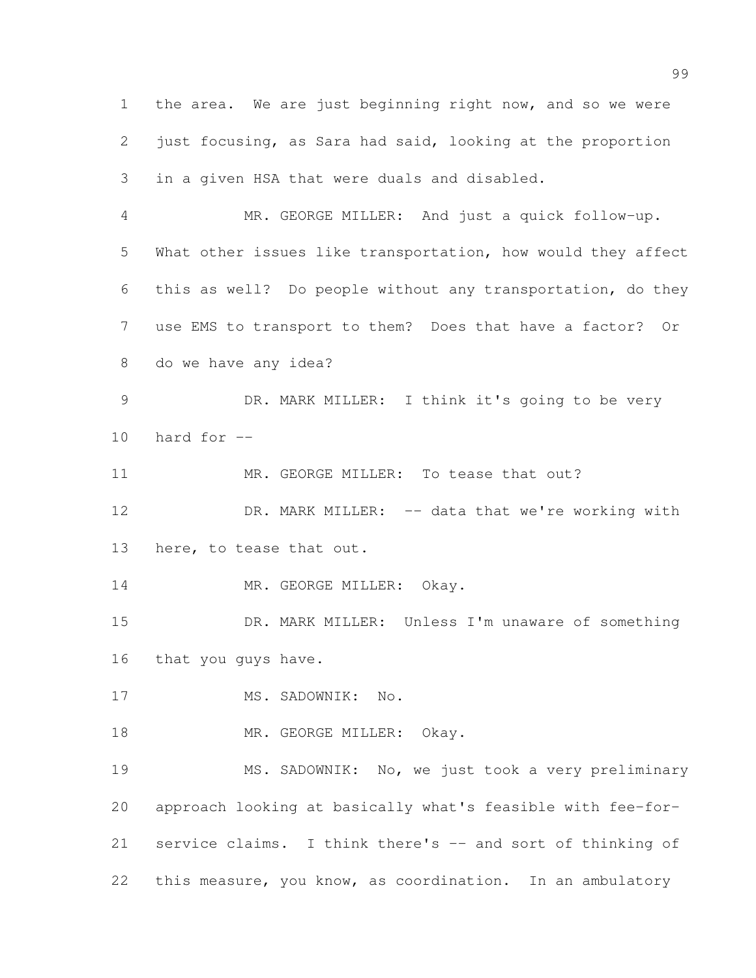the area. We are just beginning right now, and so we were just focusing, as Sara had said, looking at the proportion in a given HSA that were duals and disabled. MR. GEORGE MILLER: And just a quick follow-up. What other issues like transportation, how would they affect this as well? Do people without any transportation, do they use EMS to transport to them? Does that have a factor? Or do we have any idea? DR. MARK MILLER: I think it's going to be very 10 hard for  $-$ 11 MR. GEORGE MILLER: To tease that out? 12 DR. MARK MILLER: -- data that we're working with here, to tease that out. 14 MR. GEORGE MILLER: Okay. DR. MARK MILLER: Unless I'm unaware of something that you guys have. 17 MS. SADOWNIK: No. 18 MR. GEORGE MILLER: Okay. MS. SADOWNIK: No, we just took a very preliminary approach looking at basically what's feasible with fee-for- service claims. I think there's -- and sort of thinking of this measure, you know, as coordination. In an ambulatory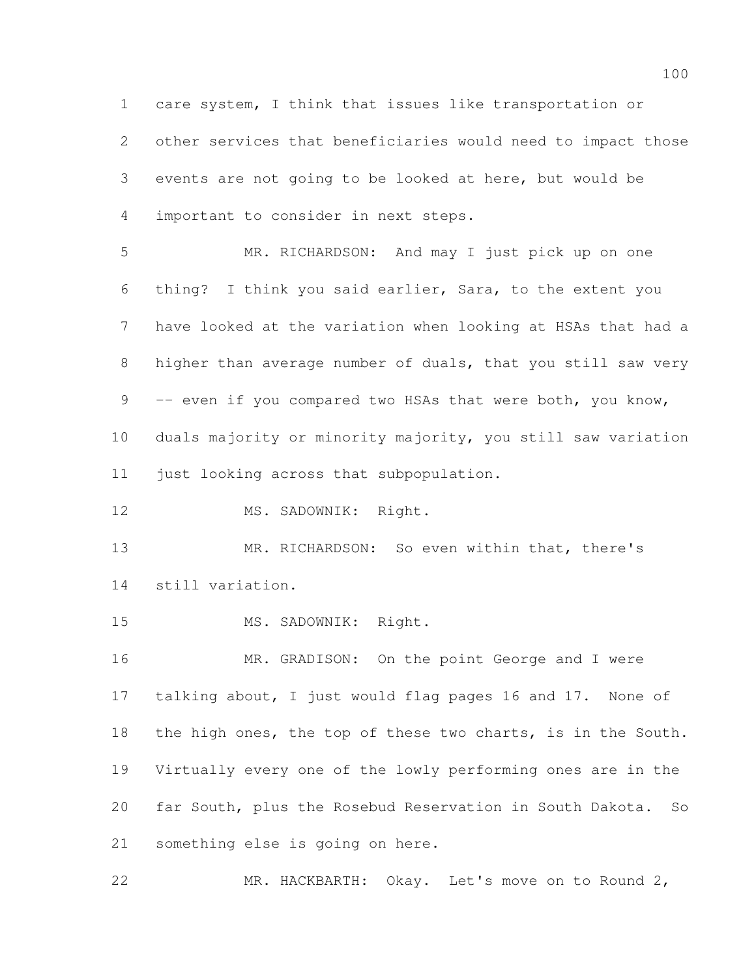care system, I think that issues like transportation or other services that beneficiaries would need to impact those events are not going to be looked at here, but would be important to consider in next steps.

 MR. RICHARDSON: And may I just pick up on one thing? I think you said earlier, Sara, to the extent you have looked at the variation when looking at HSAs that had a 8 higher than average number of duals, that you still saw very 9 -- even if you compared two HSAs that were both, you know, duals majority or minority majority, you still saw variation just looking across that subpopulation.

12 MS. SADOWNIK: Right.

 MR. RICHARDSON: So even within that, there's still variation.

15 MS. SADOWNIK: Right.

16 MR. GRADISON: On the point George and I were talking about, I just would flag pages 16 and 17. None of the high ones, the top of these two charts, is in the South. Virtually every one of the lowly performing ones are in the far South, plus the Rosebud Reservation in South Dakota. So something else is going on here.

22 MR. HACKBARTH: Okay. Let's move on to Round 2,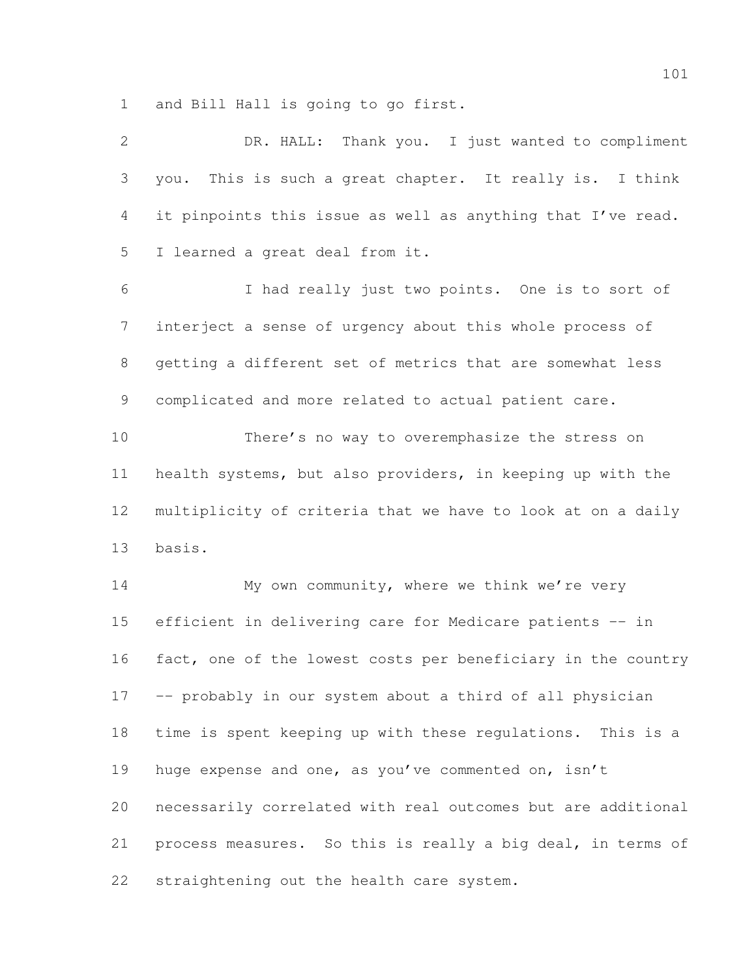and Bill Hall is going to go first.

| $\overline{2}$ | DR. HALL: Thank you. I just wanted to compliment             |
|----------------|--------------------------------------------------------------|
| 3              | This is such a great chapter. It really is. I think<br>you.  |
| 4              | it pinpoints this issue as well as anything that I've read.  |
| 5              | I learned a great deal from it.                              |
| 6              | I had really just two points. One is to sort of              |
| $\overline{7}$ | interject a sense of urgency about this whole process of     |
| 8              | getting a different set of metrics that are somewhat less    |
| 9              | complicated and more related to actual patient care.         |
| 10             | There's no way to overemphasize the stress on                |
| 11             | health systems, but also providers, in keeping up with the   |
| 12             | multiplicity of criteria that we have to look at on a daily  |
| 13             | basis.                                                       |
| 14             | My own community, where we think we're very                  |
| 15             | efficient in delivering care for Medicare patients -- in     |
| 16             | fact, one of the lowest costs per beneficiary in the country |
| 17             | -- probably in our system about a third of all physician     |
| 18             | time is spent keeping up with these requlations. This is a   |
| 19             | huge expense and one, as you've commented on, isn't          |
| 20             | necessarily correlated with real outcomes but are additional |
| 21             | process measures. So this is really a big deal, in terms of  |
| 22             | straightening out the health care system.                    |
|                |                                                              |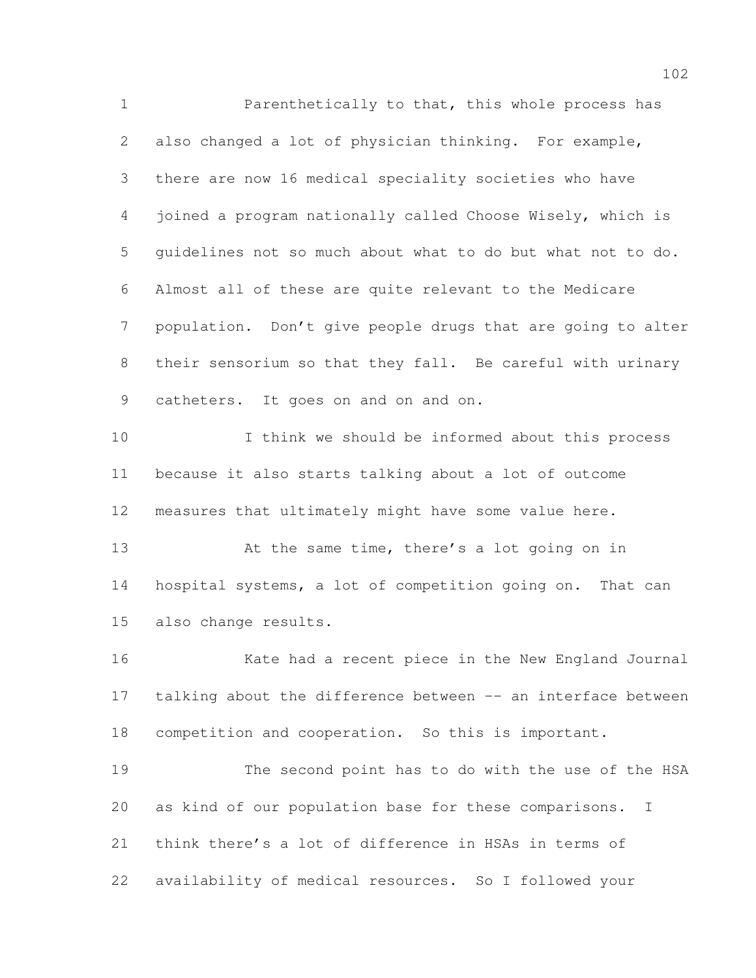Parenthetically to that, this whole process has also changed a lot of physician thinking. For example, there are now 16 medical speciality societies who have joined a program nationally called Choose Wisely, which is guidelines not so much about what to do but what not to do. Almost all of these are quite relevant to the Medicare population. Don't give people drugs that are going to alter their sensorium so that they fall. Be careful with urinary catheters. It goes on and on and on. I think we should be informed about this process

 because it also starts talking about a lot of outcome measures that ultimately might have some value here.

13 At the same time, there's a lot going on in hospital systems, a lot of competition going on. That can also change results.

 Kate had a recent piece in the New England Journal talking about the difference between -- an interface between competition and cooperation. So this is important.

 The second point has to do with the use of the HSA as kind of our population base for these comparisons. I think there's a lot of difference in HSAs in terms of availability of medical resources. So I followed your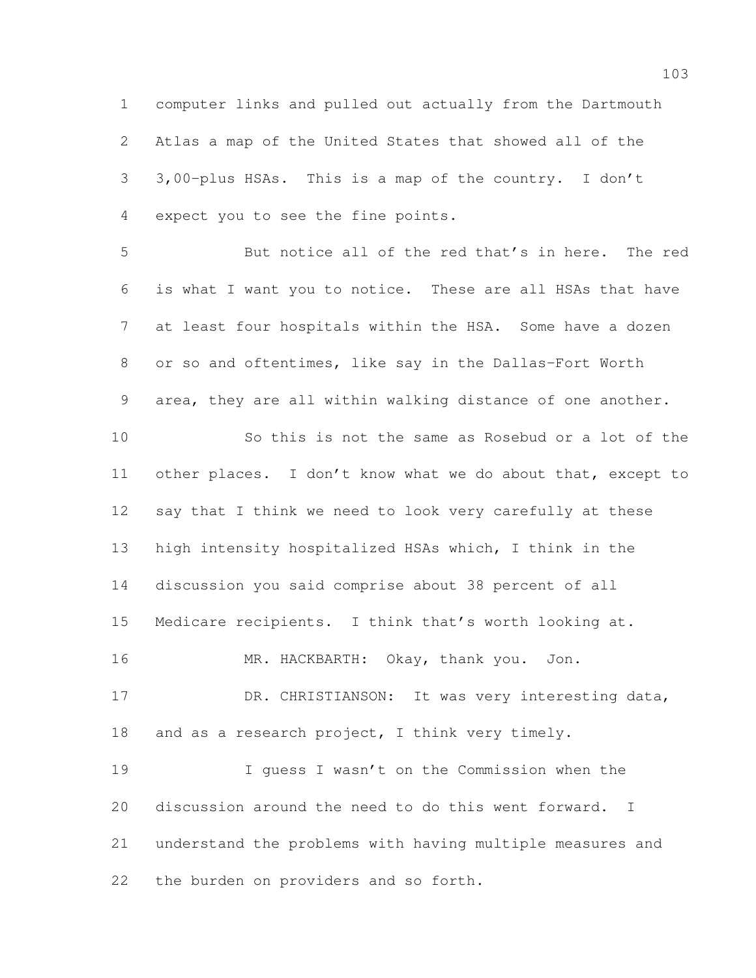computer links and pulled out actually from the Dartmouth Atlas a map of the United States that showed all of the 3,00-plus HSAs. This is a map of the country. I don't expect you to see the fine points. But notice all of the red that's in here. The red is what I want you to notice. These are all HSAs that have at least four hospitals within the HSA. Some have a dozen or so and oftentimes, like say in the Dallas-Fort Worth area, they are all within walking distance of one another. So this is not the same as Rosebud or a lot of the other places. I don't know what we do about that, except to say that I think we need to look very carefully at these high intensity hospitalized HSAs which, I think in the discussion you said comprise about 38 percent of all Medicare recipients. I think that's worth looking at. MR. HACKBARTH: Okay, thank you. Jon. 17 DR. CHRISTIANSON: It was very interesting data, 18 and as a research project, I think very timely. I guess I wasn't on the Commission when the discussion around the need to do this went forward. I understand the problems with having multiple measures and the burden on providers and so forth.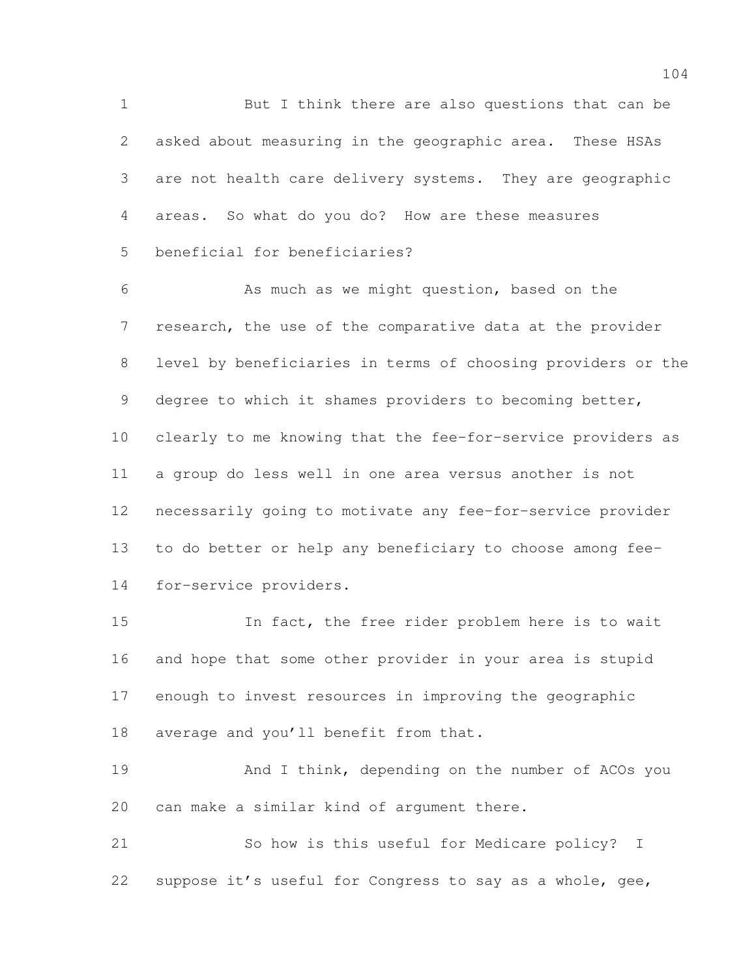But I think there are also questions that can be asked about measuring in the geographic area. These HSAs are not health care delivery systems. They are geographic areas. So what do you do? How are these measures beneficial for beneficiaries?

 As much as we might question, based on the research, the use of the comparative data at the provider level by beneficiaries in terms of choosing providers or the degree to which it shames providers to becoming better, clearly to me knowing that the fee-for-service providers as a group do less well in one area versus another is not necessarily going to motivate any fee-for-service provider to do better or help any beneficiary to choose among fee-for-service providers.

 In fact, the free rider problem here is to wait and hope that some other provider in your area is stupid enough to invest resources in improving the geographic average and you'll benefit from that.

 And I think, depending on the number of ACOs you can make a similar kind of argument there.

 So how is this useful for Medicare policy? I suppose it's useful for Congress to say as a whole, gee,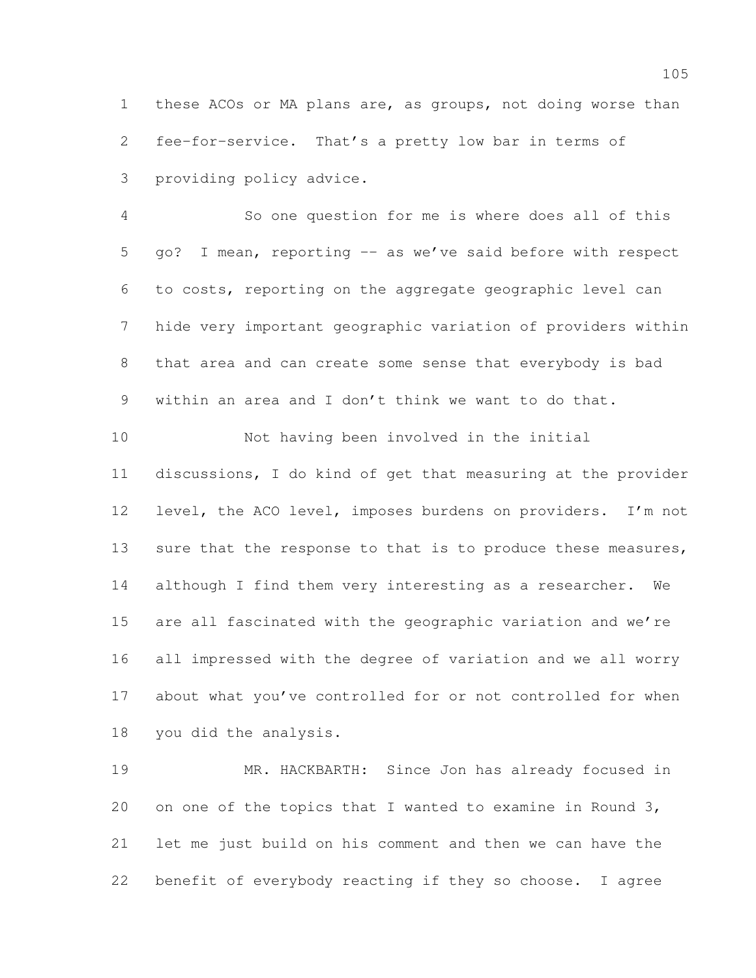these ACOs or MA plans are, as groups, not doing worse than fee-for-service. That's a pretty low bar in terms of providing policy advice.

 So one question for me is where does all of this 5 go? I mean, reporting -- as we've said before with respect to costs, reporting on the aggregate geographic level can hide very important geographic variation of providers within that area and can create some sense that everybody is bad within an area and I don't think we want to do that.

 Not having been involved in the initial discussions, I do kind of get that measuring at the provider 12 level, the ACO level, imposes burdens on providers. I'm not 13 sure that the response to that is to produce these measures, although I find them very interesting as a researcher. We are all fascinated with the geographic variation and we're all impressed with the degree of variation and we all worry about what you've controlled for or not controlled for when you did the analysis.

 MR. HACKBARTH: Since Jon has already focused in 20 on one of the topics that I wanted to examine in Round 3, let me just build on his comment and then we can have the benefit of everybody reacting if they so choose. I agree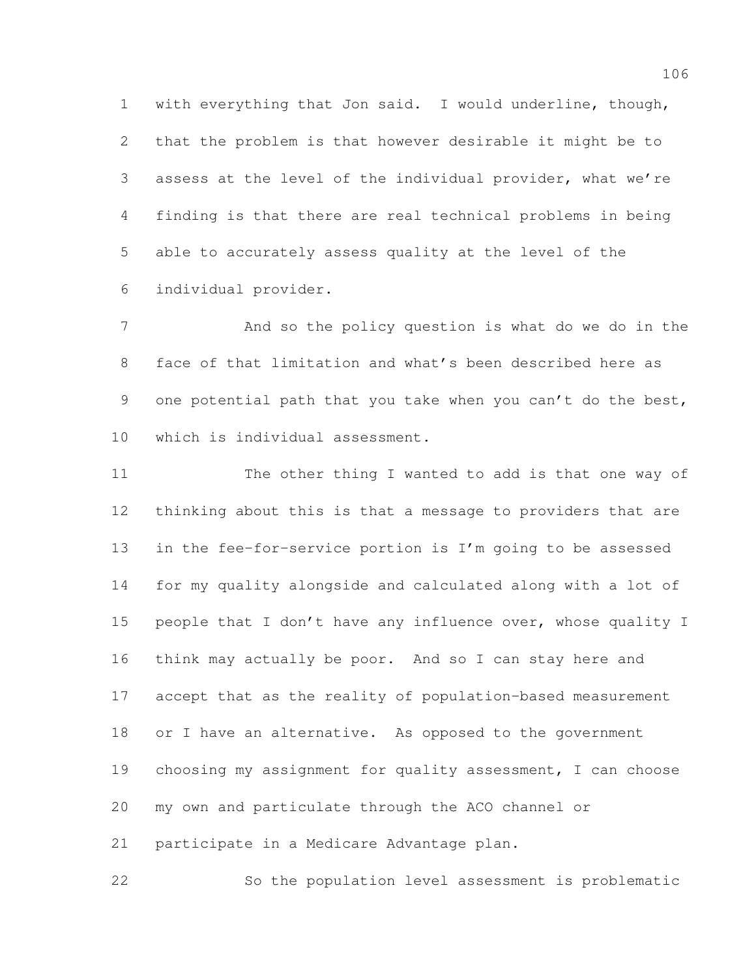with everything that Jon said. I would underline, though, that the problem is that however desirable it might be to assess at the level of the individual provider, what we're finding is that there are real technical problems in being able to accurately assess quality at the level of the individual provider.

 And so the policy question is what do we do in the face of that limitation and what's been described here as 9 one potential path that you take when you can't do the best, which is individual assessment.

 The other thing I wanted to add is that one way of thinking about this is that a message to providers that are in the fee-for-service portion is I'm going to be assessed for my quality alongside and calculated along with a lot of people that I don't have any influence over, whose quality I think may actually be poor. And so I can stay here and accept that as the reality of population-based measurement 18 or I have an alternative. As opposed to the government choosing my assignment for quality assessment, I can choose my own and particulate through the ACO channel or participate in a Medicare Advantage plan.

So the population level assessment is problematic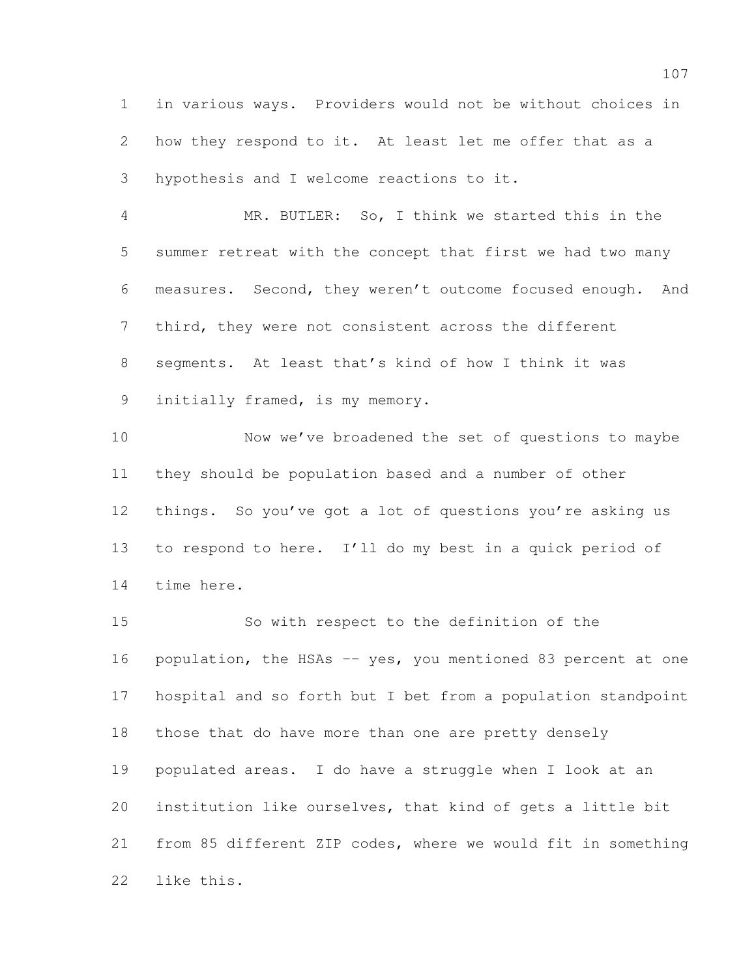in various ways. Providers would not be without choices in how they respond to it. At least let me offer that as a hypothesis and I welcome reactions to it.

 MR. BUTLER: So, I think we started this in the summer retreat with the concept that first we had two many measures. Second, they weren't outcome focused enough. And third, they were not consistent across the different segments. At least that's kind of how I think it was initially framed, is my memory.

 Now we've broadened the set of questions to maybe they should be population based and a number of other things. So you've got a lot of questions you're asking us to respond to here. I'll do my best in a quick period of time here.

 So with respect to the definition of the population, the HSAs -- yes, you mentioned 83 percent at one hospital and so forth but I bet from a population standpoint those that do have more than one are pretty densely populated areas. I do have a struggle when I look at an institution like ourselves, that kind of gets a little bit from 85 different ZIP codes, where we would fit in something like this.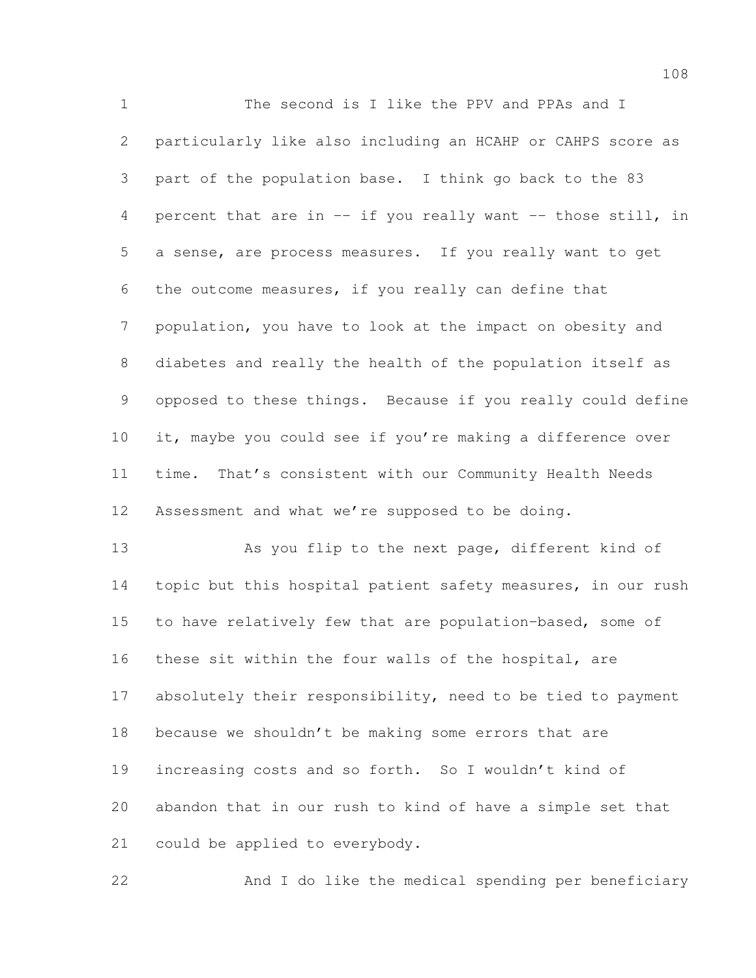The second is I like the PPV and PPAs and I particularly like also including an HCAHP or CAHPS score as part of the population base. I think go back to the 83 percent that are in -- if you really want -- those still, in a sense, are process measures. If you really want to get the outcome measures, if you really can define that population, you have to look at the impact on obesity and diabetes and really the health of the population itself as opposed to these things. Because if you really could define it, maybe you could see if you're making a difference over time. That's consistent with our Community Health Needs Assessment and what we're supposed to be doing.

 As you flip to the next page, different kind of 14 topic but this hospital patient safety measures, in our rush to have relatively few that are population-based, some of these sit within the four walls of the hospital, are 17 absolutely their responsibility, need to be tied to payment because we shouldn't be making some errors that are increasing costs and so forth. So I wouldn't kind of abandon that in our rush to kind of have a simple set that could be applied to everybody.

And I do like the medical spending per beneficiary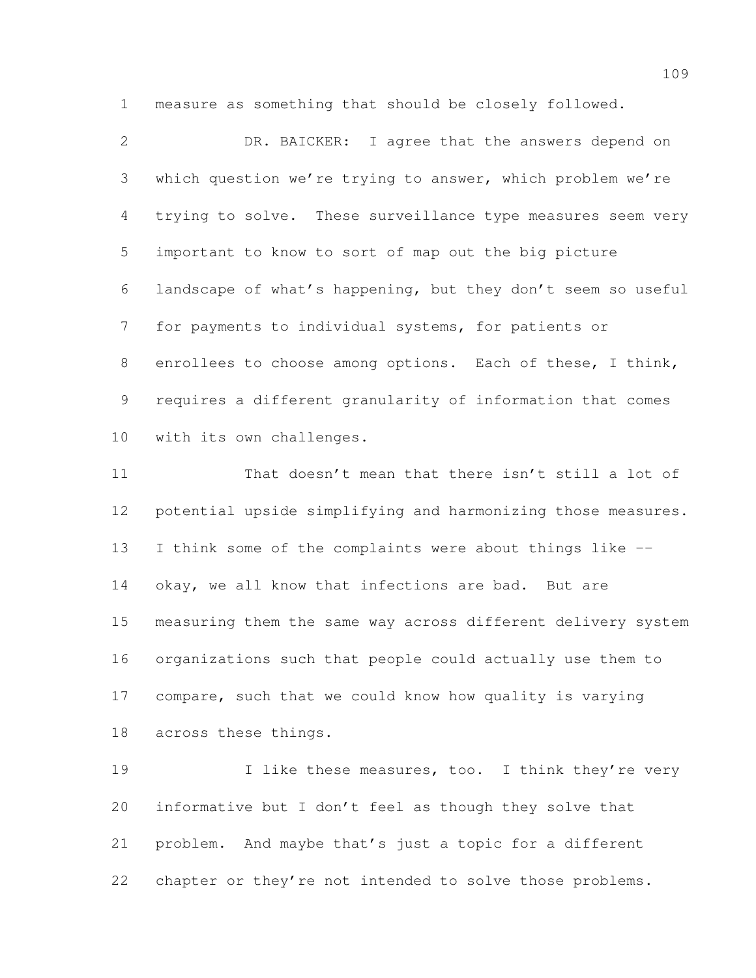measure as something that should be closely followed.

 DR. BAICKER: I agree that the answers depend on which question we're trying to answer, which problem we're trying to solve. These surveillance type measures seem very important to know to sort of map out the big picture landscape of what's happening, but they don't seem so useful for payments to individual systems, for patients or 8 enrollees to choose among options. Each of these, I think, requires a different granularity of information that comes with its own challenges.

 That doesn't mean that there isn't still a lot of potential upside simplifying and harmonizing those measures. I think some of the complaints were about things like -- okay, we all know that infections are bad. But are measuring them the same way across different delivery system organizations such that people could actually use them to compare, such that we could know how quality is varying across these things.

19 1 I like these measures, too. I think they're very informative but I don't feel as though they solve that problem. And maybe that's just a topic for a different 22 chapter or they're not intended to solve those problems.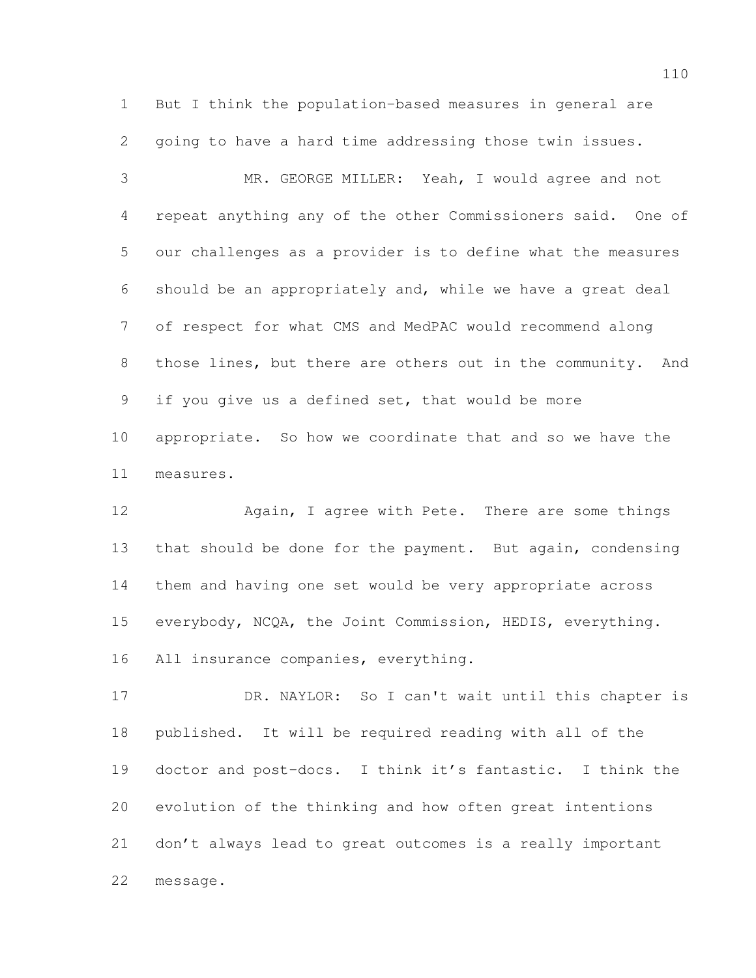But I think the population-based measures in general are going to have a hard time addressing those twin issues.

 MR. GEORGE MILLER: Yeah, I would agree and not repeat anything any of the other Commissioners said. One of our challenges as a provider is to define what the measures should be an appropriately and, while we have a great deal of respect for what CMS and MedPAC would recommend along 8 those lines, but there are others out in the community. And if you give us a defined set, that would be more appropriate. So how we coordinate that and so we have the measures.

 Again, I agree with Pete. There are some things that should be done for the payment. But again, condensing them and having one set would be very appropriate across everybody, NCQA, the Joint Commission, HEDIS, everything. All insurance companies, everything.

 DR. NAYLOR: So I can't wait until this chapter is published. It will be required reading with all of the doctor and post-docs. I think it's fantastic. I think the evolution of the thinking and how often great intentions don't always lead to great outcomes is a really important message.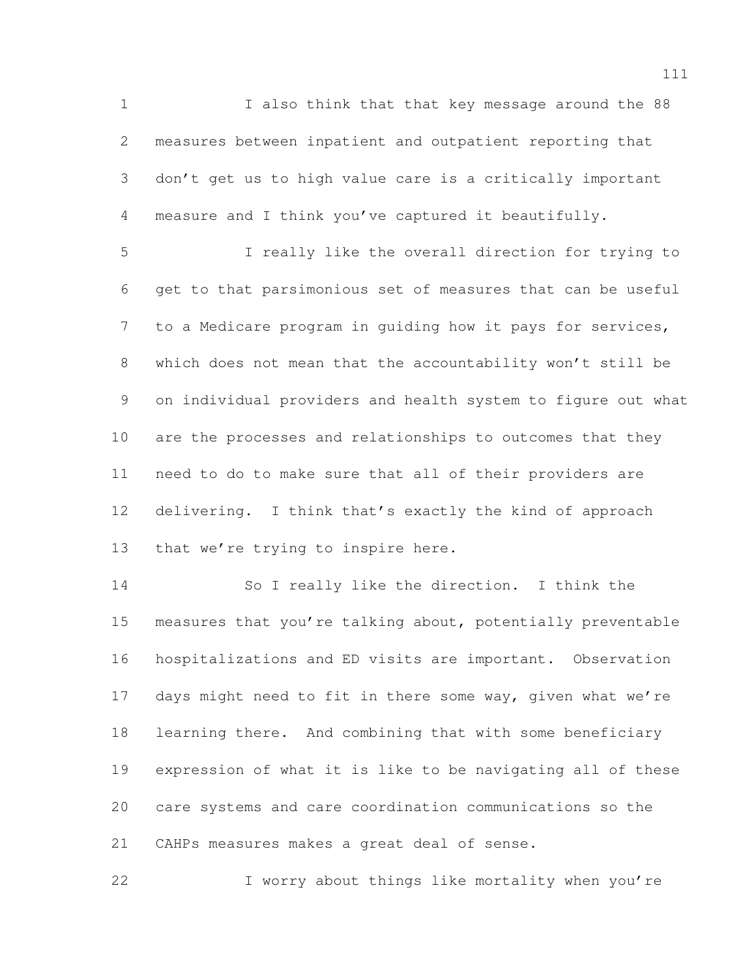I also think that that key message around the 88 measures between inpatient and outpatient reporting that don't get us to high value care is a critically important measure and I think you've captured it beautifully.

 I really like the overall direction for trying to get to that parsimonious set of measures that can be useful to a Medicare program in guiding how it pays for services, which does not mean that the accountability won't still be on individual providers and health system to figure out what are the processes and relationships to outcomes that they need to do to make sure that all of their providers are delivering. I think that's exactly the kind of approach 13 that we're trying to inspire here.

 So I really like the direction. I think the measures that you're talking about, potentially preventable hospitalizations and ED visits are important. Observation 17 days might need to fit in there some way, given what we're learning there. And combining that with some beneficiary expression of what it is like to be navigating all of these care systems and care coordination communications so the CAHPs measures makes a great deal of sense.

I worry about things like mortality when you're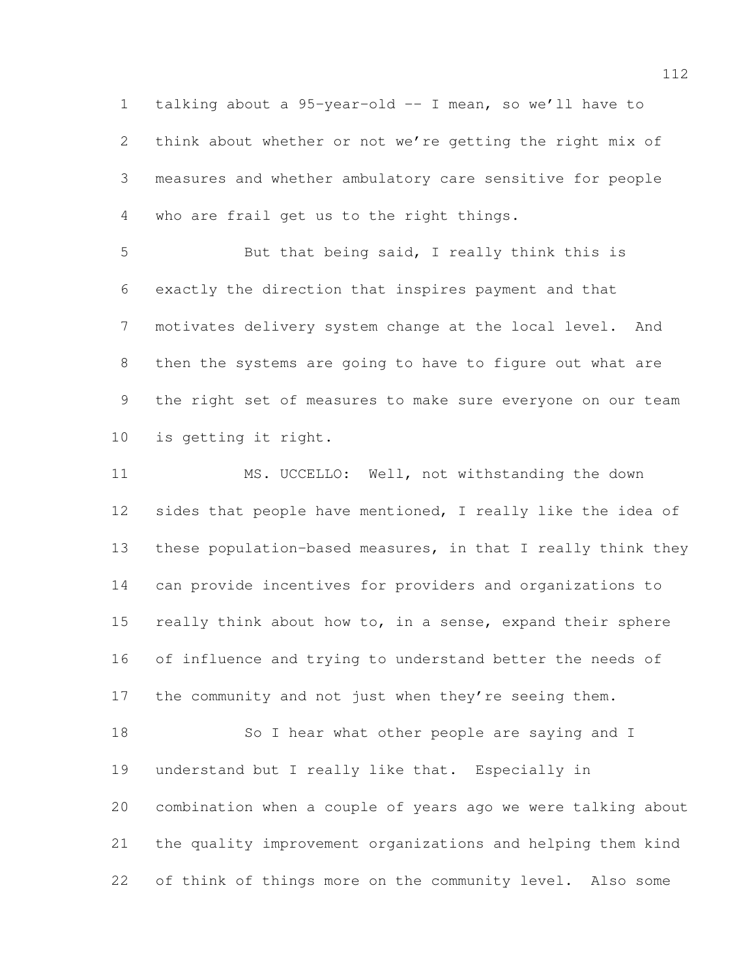talking about a 95-year-old -- I mean, so we'll have to think about whether or not we're getting the right mix of measures and whether ambulatory care sensitive for people who are frail get us to the right things.

 But that being said, I really think this is exactly the direction that inspires payment and that motivates delivery system change at the local level. And then the systems are going to have to figure out what are the right set of measures to make sure everyone on our team is getting it right.

 MS. UCCELLO: Well, not withstanding the down sides that people have mentioned, I really like the idea of these population-based measures, in that I really think they can provide incentives for providers and organizations to 15 really think about how to, in a sense, expand their sphere of influence and trying to understand better the needs of 17 the community and not just when they're seeing them. 18 So I hear what other people are saying and I understand but I really like that. Especially in

 combination when a couple of years ago we were talking about the quality improvement organizations and helping them kind of think of things more on the community level. Also some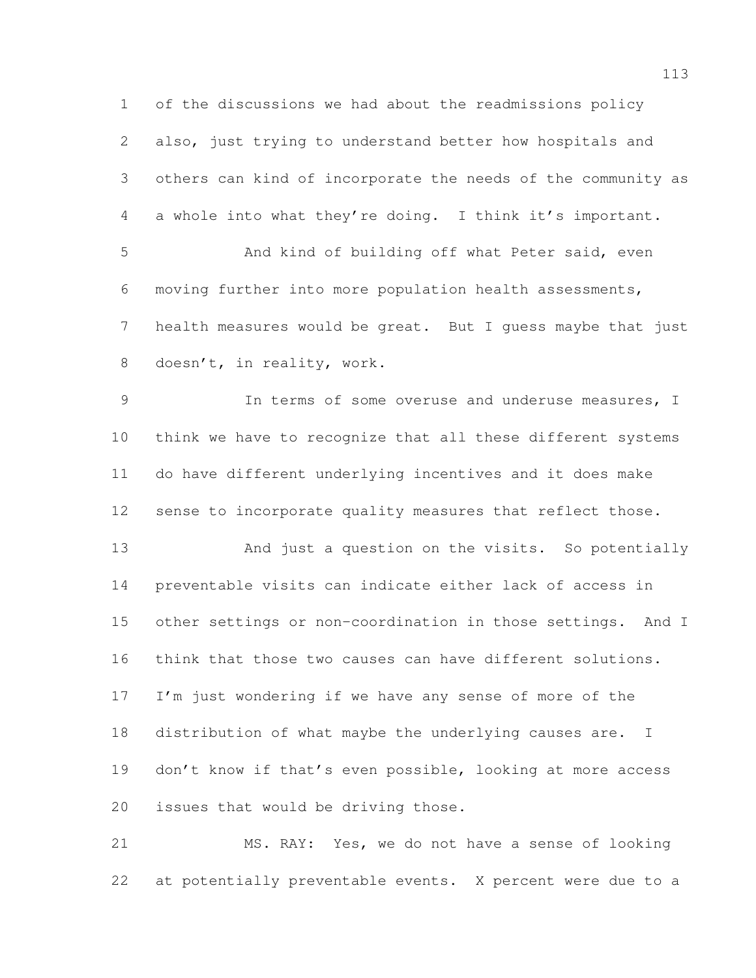of the discussions we had about the readmissions policy also, just trying to understand better how hospitals and others can kind of incorporate the needs of the community as a whole into what they're doing. I think it's important. And kind of building off what Peter said, even moving further into more population health assessments, health measures would be great. But I guess maybe that just doesn't, in reality, work. In terms of some overuse and underuse measures, I think we have to recognize that all these different systems do have different underlying incentives and it does make sense to incorporate quality measures that reflect those. And just a question on the visits. So potentially preventable visits can indicate either lack of access in other settings or non-coordination in those settings. And I think that those two causes can have different solutions. I'm just wondering if we have any sense of more of the distribution of what maybe the underlying causes are. I 19 don't know if that's even possible, looking at more access issues that would be driving those.

 MS. RAY: Yes, we do not have a sense of looking at potentially preventable events. X percent were due to a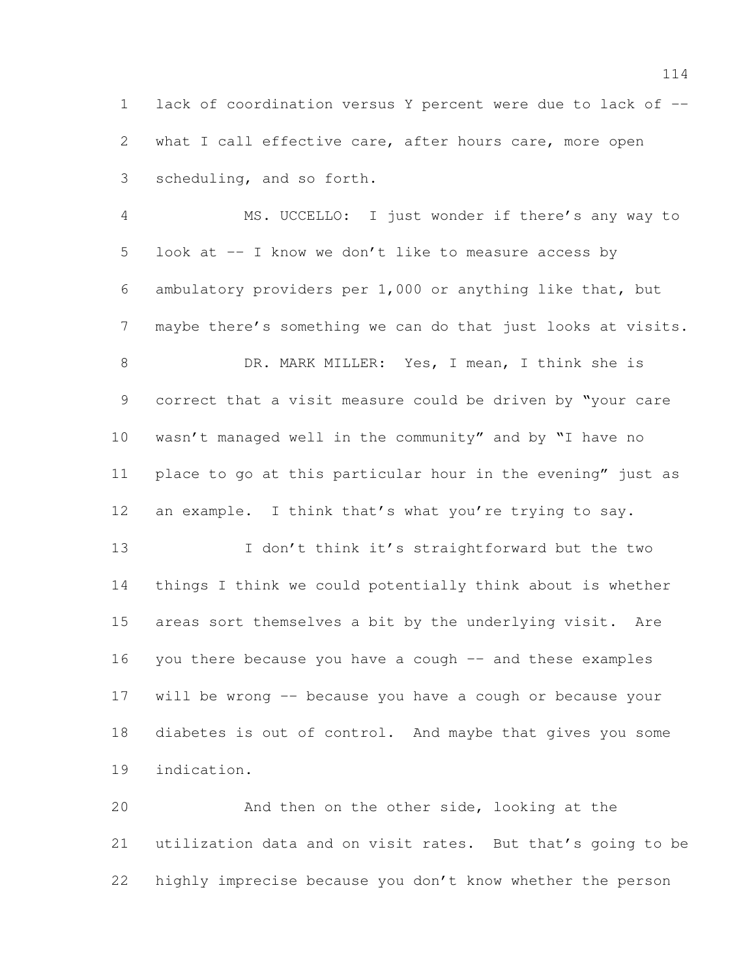lack of coordination versus Y percent were due to lack of -- what I call effective care, after hours care, more open scheduling, and so forth.

 MS. UCCELLO: I just wonder if there's any way to look at -- I know we don't like to measure access by ambulatory providers per 1,000 or anything like that, but maybe there's something we can do that just looks at visits. DR. MARK MILLER: Yes, I mean, I think she is correct that a visit measure could be driven by "your care wasn't managed well in the community" and by "I have no place to go at this particular hour in the evening" just as an example. I think that's what you're trying to say. 13 I don't think it's straightforward but the two things I think we could potentially think about is whether

 areas sort themselves a bit by the underlying visit. Are you there because you have a cough -- and these examples will be wrong -- because you have a cough or because your diabetes is out of control. And maybe that gives you some indication.

 And then on the other side, looking at the utilization data and on visit rates. But that's going to be highly imprecise because you don't know whether the person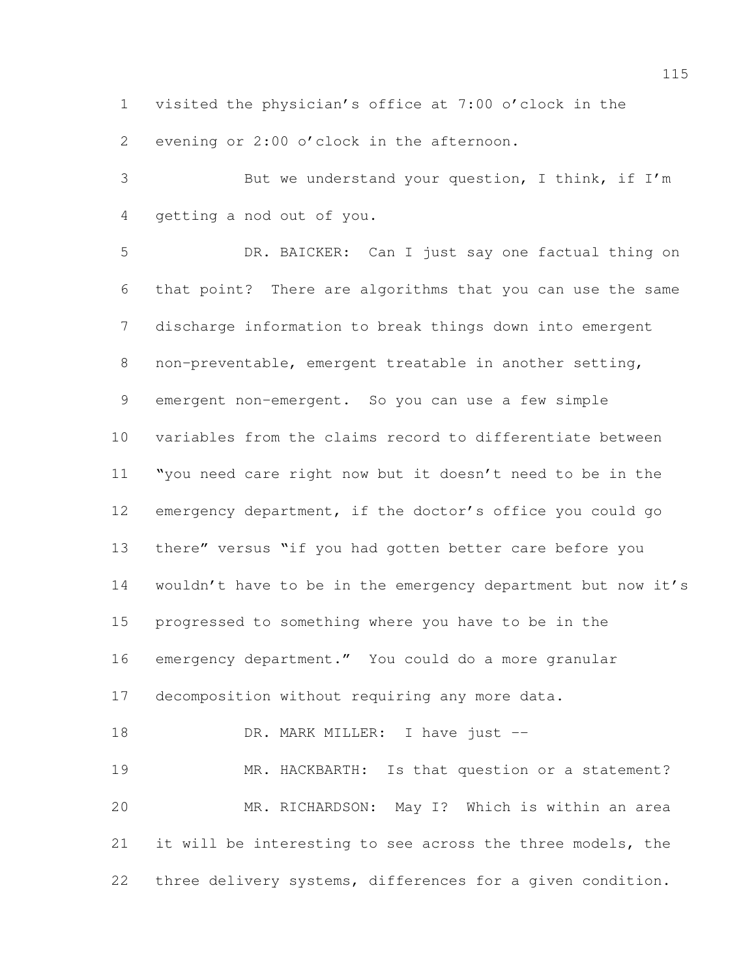visited the physician's office at 7:00 o'clock in the

evening or 2:00 o'clock in the afternoon.

 But we understand your question, I think, if I'm getting a nod out of you.

 DR. BAICKER: Can I just say one factual thing on that point? There are algorithms that you can use the same discharge information to break things down into emergent non-preventable, emergent treatable in another setting, emergent non-emergent. So you can use a few simple variables from the claims record to differentiate between "you need care right now but it doesn't need to be in the emergency department, if the doctor's office you could go there" versus "if you had gotten better care before you wouldn't have to be in the emergency department but now it's progressed to something where you have to be in the emergency department." You could do a more granular decomposition without requiring any more data. 18 DR. MARK MILLER: I have just --19 MR. HACKBARTH: Is that question or a statement?

 MR. RICHARDSON: May I? Which is within an area it will be interesting to see across the three models, the three delivery systems, differences for a given condition.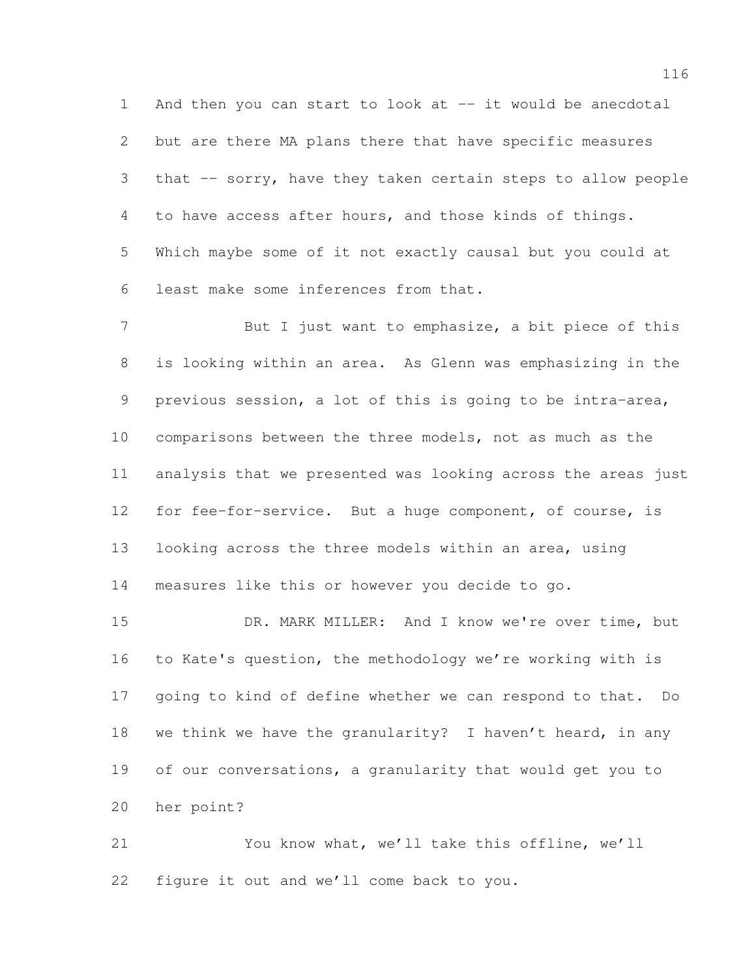And then you can start to look at -- it would be anecdotal but are there MA plans there that have specific measures that -- sorry, have they taken certain steps to allow people to have access after hours, and those kinds of things. Which maybe some of it not exactly causal but you could at least make some inferences from that.

7 But I just want to emphasize, a bit piece of this is looking within an area. As Glenn was emphasizing in the previous session, a lot of this is going to be intra-area, comparisons between the three models, not as much as the analysis that we presented was looking across the areas just for fee-for-service. But a huge component, of course, is looking across the three models within an area, using measures like this or however you decide to go.

 DR. MARK MILLER: And I know we're over time, but to Kate's question, the methodology we're working with is going to kind of define whether we can respond to that. Do we think we have the granularity? I haven't heard, in any of our conversations, a granularity that would get you to her point?

 You know what, we'll take this offline, we'll figure it out and we'll come back to you.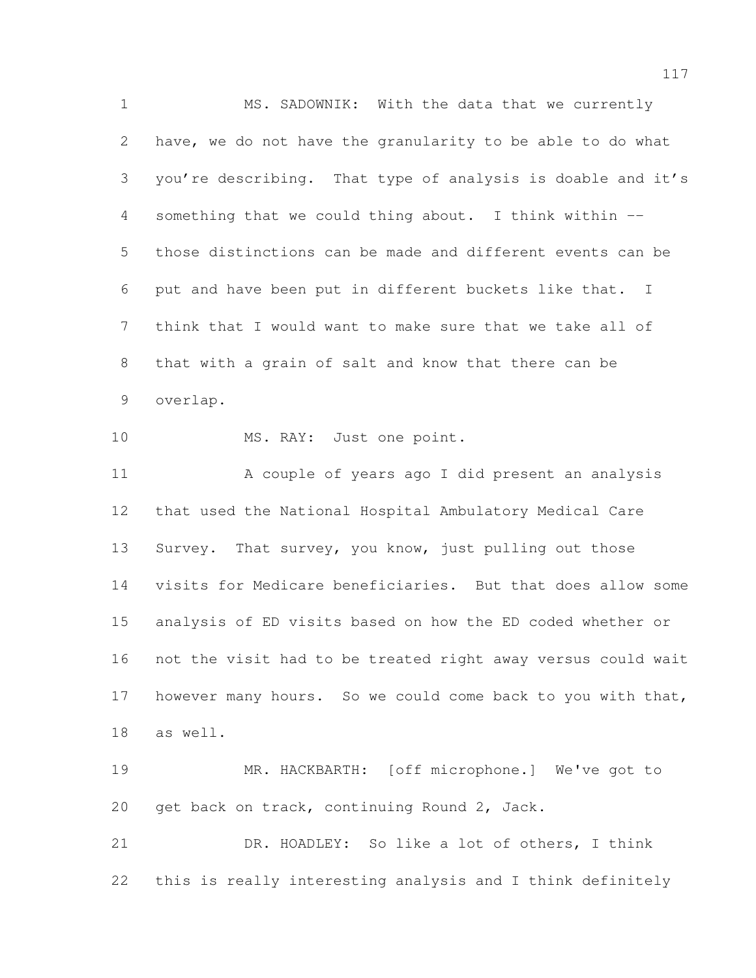MS. SADOWNIK: With the data that we currently have, we do not have the granularity to be able to do what you're describing. That type of analysis is doable and it's something that we could thing about. I think within -- those distinctions can be made and different events can be put and have been put in different buckets like that. I think that I would want to make sure that we take all of that with a grain of salt and know that there can be overlap. 10 MS. RAY: Just one point. A couple of years ago I did present an analysis that used the National Hospital Ambulatory Medical Care 13 Survey. That survey, you know, just pulling out those visits for Medicare beneficiaries. But that does allow some analysis of ED visits based on how the ED coded whether or not the visit had to be treated right away versus could wait 17 however many hours. So we could come back to you with that, as well. MR. HACKBARTH: [off microphone.] We've got to get back on track, continuing Round 2, Jack. DR. HOADLEY: So like a lot of others, I think

this is really interesting analysis and I think definitely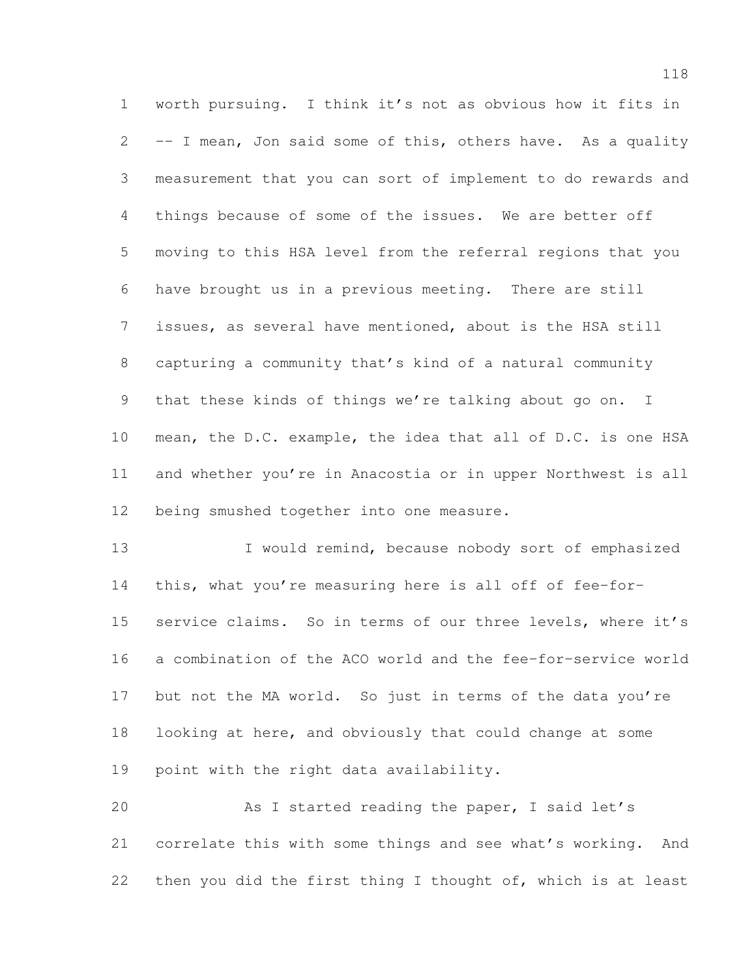worth pursuing. I think it's not as obvious how it fits in -- I mean, Jon said some of this, others have. As a quality measurement that you can sort of implement to do rewards and things because of some of the issues. We are better off moving to this HSA level from the referral regions that you have brought us in a previous meeting. There are still issues, as several have mentioned, about is the HSA still capturing a community that's kind of a natural community that these kinds of things we're talking about go on. I mean, the D.C. example, the idea that all of D.C. is one HSA and whether you're in Anacostia or in upper Northwest is all being smushed together into one measure.

13 I would remind, because nobody sort of emphasized this, what you're measuring here is all off of fee-for- service claims. So in terms of our three levels, where it's a combination of the ACO world and the fee-for-service world but not the MA world. So just in terms of the data you're looking at here, and obviously that could change at some point with the right data availability.

 As I started reading the paper, I said let's correlate this with some things and see what's working. And then you did the first thing I thought of, which is at least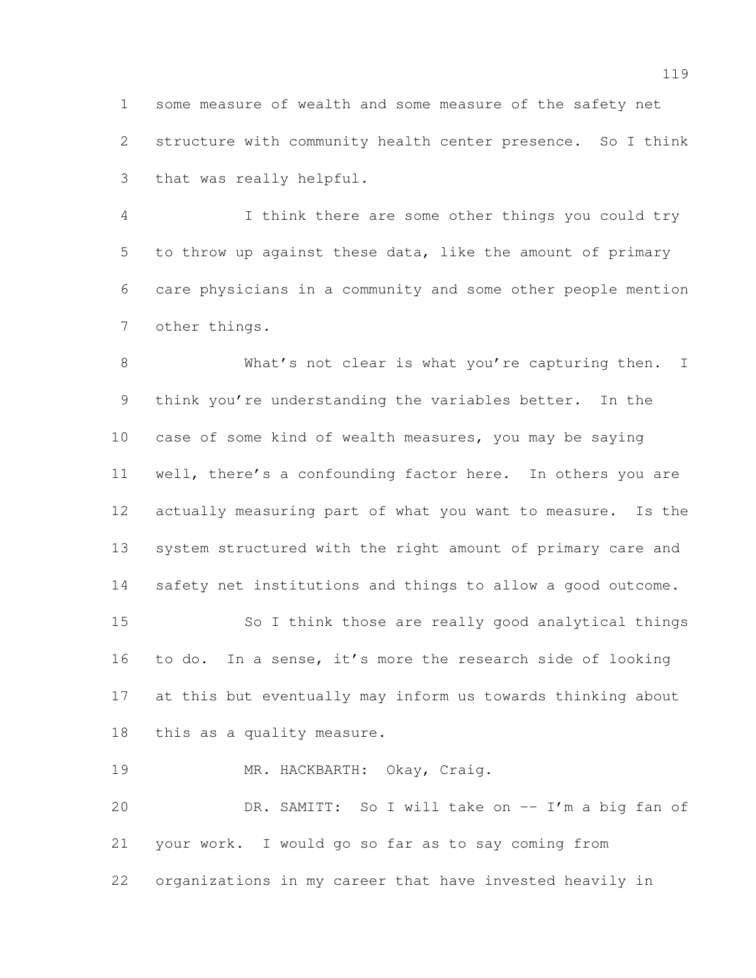some measure of wealth and some measure of the safety net structure with community health center presence. So I think that was really helpful.

 I think there are some other things you could try to throw up against these data, like the amount of primary care physicians in a community and some other people mention other things.

8 What's not clear is what you're capturing then. I think you're understanding the variables better. In the case of some kind of wealth measures, you may be saying well, there's a confounding factor here. In others you are actually measuring part of what you want to measure. Is the system structured with the right amount of primary care and safety net institutions and things to allow a good outcome. So I think those are really good analytical things to do. In a sense, it's more the research side of looking at this but eventually may inform us towards thinking about this as a quality measure.

MR. HACKBARTH: Okay, Craig.

 DR. SAMITT: So I will take on -- I'm a big fan of your work. I would go so far as to say coming from organizations in my career that have invested heavily in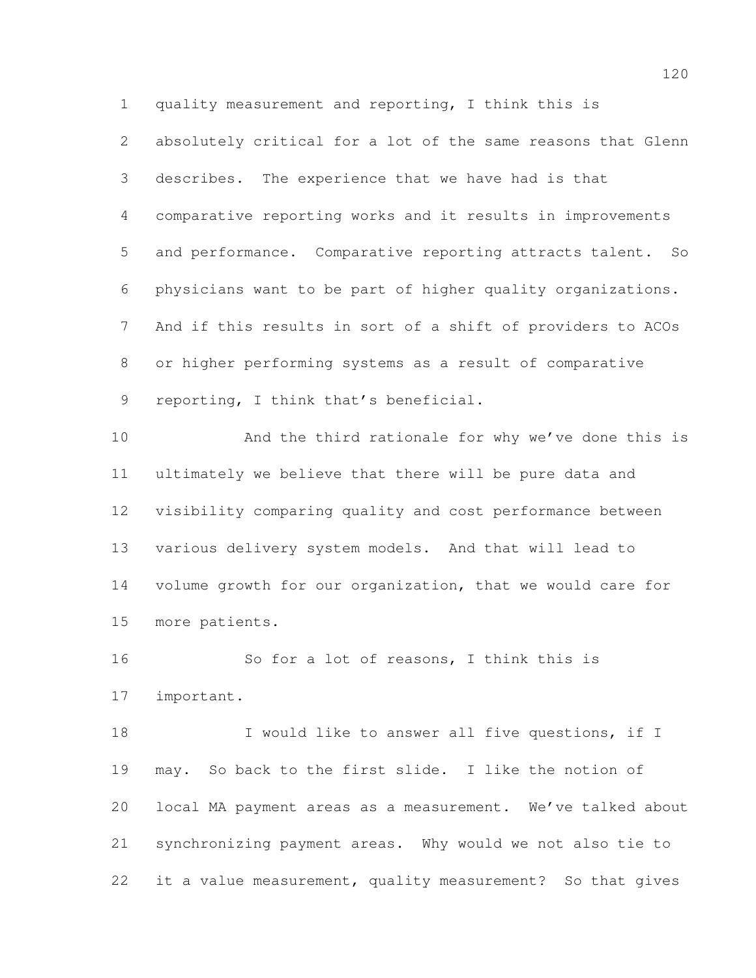quality measurement and reporting, I think this is

 absolutely critical for a lot of the same reasons that Glenn describes. The experience that we have had is that comparative reporting works and it results in improvements and performance. Comparative reporting attracts talent. So physicians want to be part of higher quality organizations. And if this results in sort of a shift of providers to ACOs or higher performing systems as a result of comparative reporting, I think that's beneficial.

 And the third rationale for why we've done this is ultimately we believe that there will be pure data and visibility comparing quality and cost performance between various delivery system models. And that will lead to volume growth for our organization, that we would care for more patients.

 So for a lot of reasons, I think this is important.

18 I would like to answer all five questions, if I may. So back to the first slide. I like the notion of local MA payment areas as a measurement. We've talked about synchronizing payment areas. Why would we not also tie to it a value measurement, quality measurement? So that gives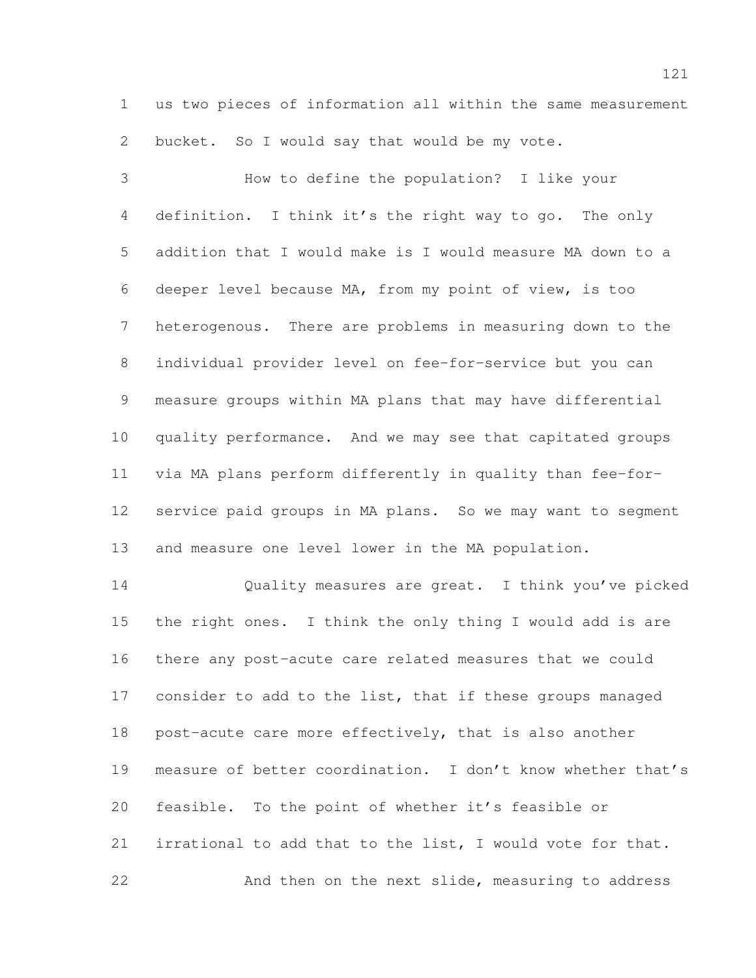us two pieces of information all within the same measurement bucket. So I would say that would be my vote.

 How to define the population? I like your definition. I think it's the right way to go. The only addition that I would make is I would measure MA down to a deeper level because MA, from my point of view, is too heterogenous. There are problems in measuring down to the individual provider level on fee-for-service but you can measure groups within MA plans that may have differential quality performance. And we may see that capitated groups via MA plans perform differently in quality than fee-for- service paid groups in MA plans. So we may want to segment and measure one level lower in the MA population.

 Quality measures are great. I think you've picked the right ones. I think the only thing I would add is are there any post-acute care related measures that we could consider to add to the list, that if these groups managed post-acute care more effectively, that is also another measure of better coordination. I don't know whether that's feasible. To the point of whether it's feasible or irrational to add that to the list, I would vote for that. And then on the next slide, measuring to address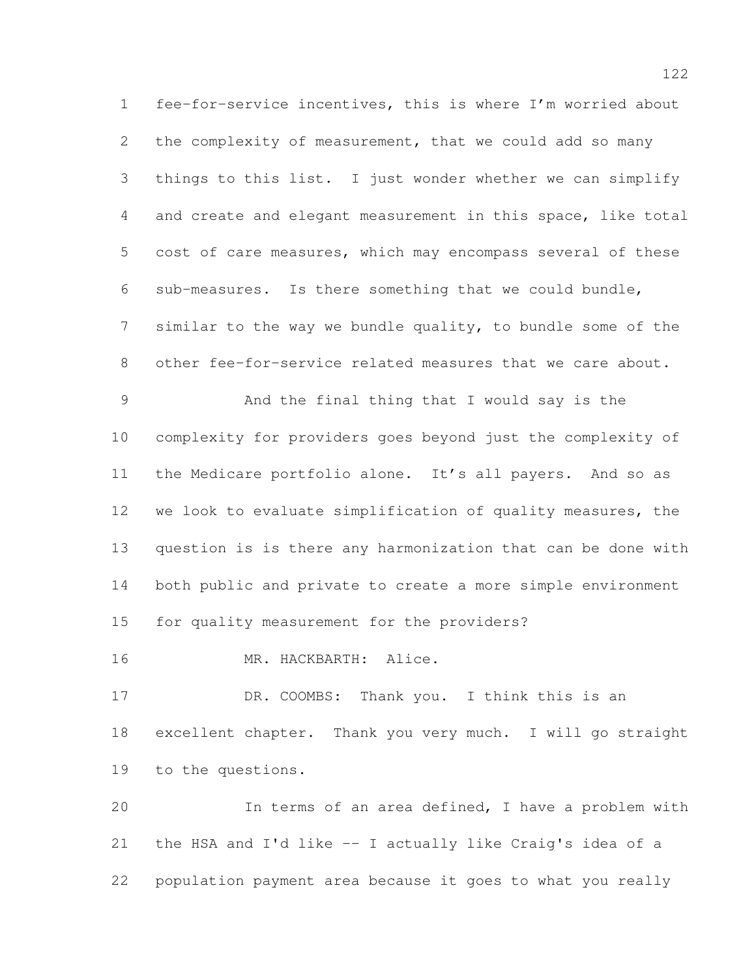fee-for-service incentives, this is where I'm worried about the complexity of measurement, that we could add so many things to this list. I just wonder whether we can simplify and create and elegant measurement in this space, like total cost of care measures, which may encompass several of these sub-measures. Is there something that we could bundle, similar to the way we bundle quality, to bundle some of the other fee-for-service related measures that we care about. And the final thing that I would say is the complexity for providers goes beyond just the complexity of the Medicare portfolio alone. It's all payers. And so as we look to evaluate simplification of quality measures, the question is is there any harmonization that can be done with both public and private to create a more simple environment for quality measurement for the providers? MR. HACKBARTH: Alice. 17 DR. COOMBS: Thank you. I think this is an excellent chapter. Thank you very much. I will go straight to the questions. In terms of an area defined, I have a problem with the HSA and I'd like -- I actually like Craig's idea of a population payment area because it goes to what you really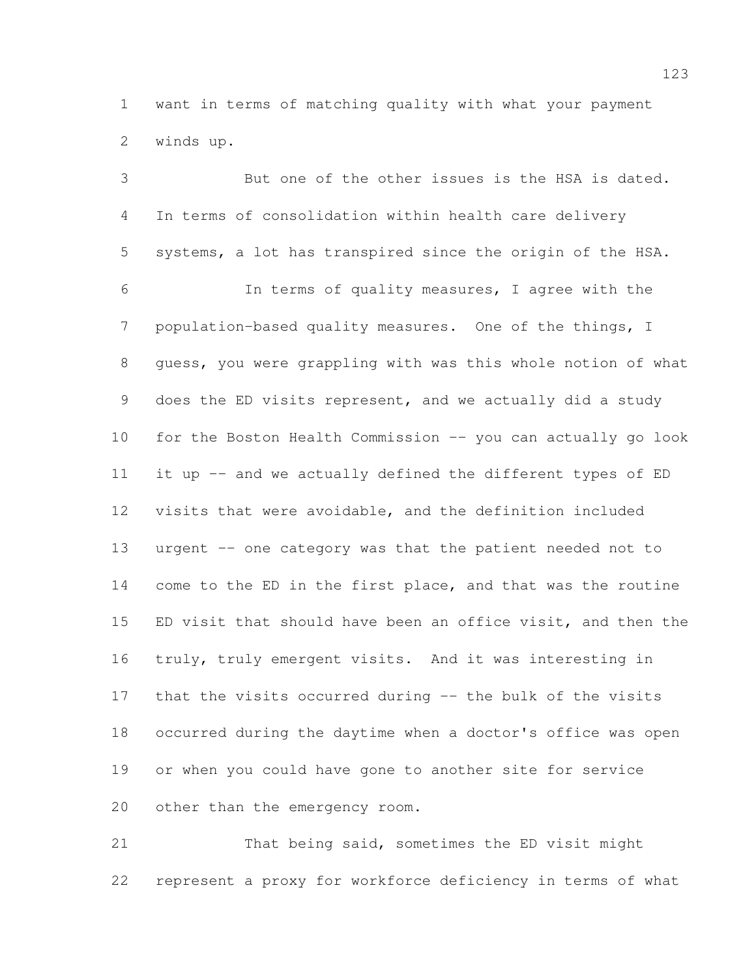want in terms of matching quality with what your payment winds up.

 But one of the other issues is the HSA is dated. In terms of consolidation within health care delivery systems, a lot has transpired since the origin of the HSA. In terms of quality measures, I agree with the population-based quality measures. One of the things, I guess, you were grappling with was this whole notion of what does the ED visits represent, and we actually did a study for the Boston Health Commission -- you can actually go look 11 it up -- and we actually defined the different types of ED visits that were avoidable, and the definition included urgent -- one category was that the patient needed not to come to the ED in the first place, and that was the routine ED visit that should have been an office visit, and then the truly, truly emergent visits. And it was interesting in that the visits occurred during -- the bulk of the visits occurred during the daytime when a doctor's office was open or when you could have gone to another site for service other than the emergency room.

 That being said, sometimes the ED visit might represent a proxy for workforce deficiency in terms of what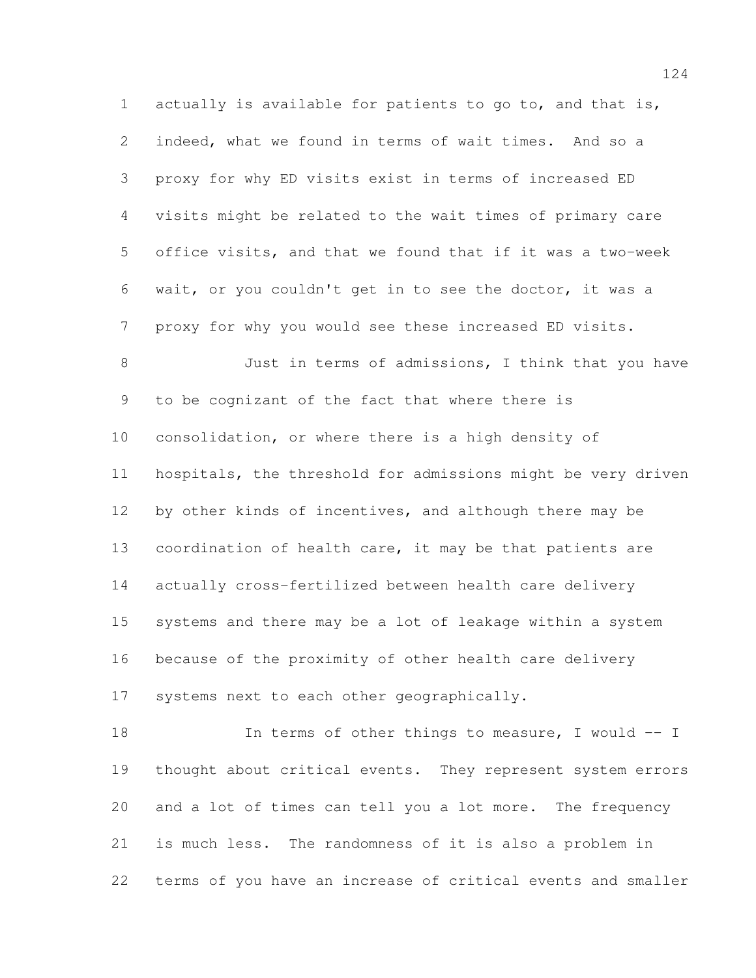actually is available for patients to go to, and that is, indeed, what we found in terms of wait times. And so a proxy for why ED visits exist in terms of increased ED visits might be related to the wait times of primary care office visits, and that we found that if it was a two-week wait, or you couldn't get in to see the doctor, it was a proxy for why you would see these increased ED visits.

 Just in terms of admissions, I think that you have to be cognizant of the fact that where there is consolidation, or where there is a high density of hospitals, the threshold for admissions might be very driven by other kinds of incentives, and although there may be 13 coordination of health care, it may be that patients are actually cross-fertilized between health care delivery systems and there may be a lot of leakage within a system because of the proximity of other health care delivery systems next to each other geographically.

18 In terms of other things to measure, I would -- I thought about critical events. They represent system errors and a lot of times can tell you a lot more. The frequency is much less. The randomness of it is also a problem in terms of you have an increase of critical events and smaller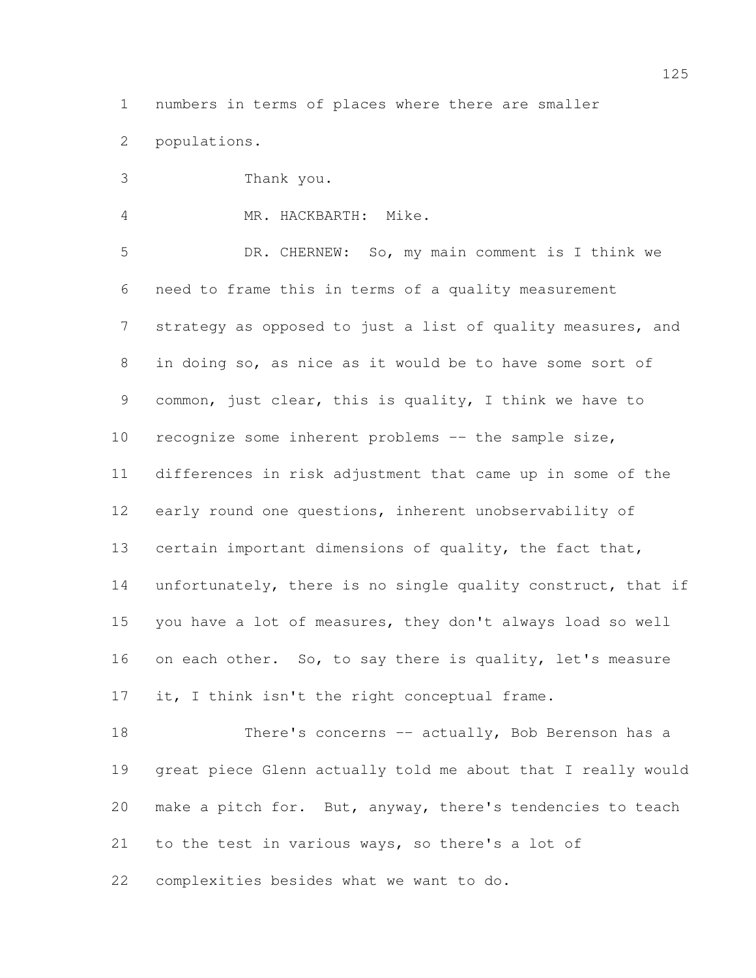numbers in terms of places where there are smaller

populations.

Thank you.

MR. HACKBARTH: Mike.

 DR. CHERNEW: So, my main comment is I think we need to frame this in terms of a quality measurement strategy as opposed to just a list of quality measures, and in doing so, as nice as it would be to have some sort of common, just clear, this is quality, I think we have to 10 recognize some inherent problems -- the sample size, differences in risk adjustment that came up in some of the early round one questions, inherent unobservability of certain important dimensions of quality, the fact that, 14 unfortunately, there is no single quality construct, that if you have a lot of measures, they don't always load so well 16 on each other. So, to say there is quality, let's measure 17 it, I think isn't the right conceptual frame.

18 There's concerns -- actually, Bob Berenson has a great piece Glenn actually told me about that I really would make a pitch for. But, anyway, there's tendencies to teach to the test in various ways, so there's a lot of complexities besides what we want to do.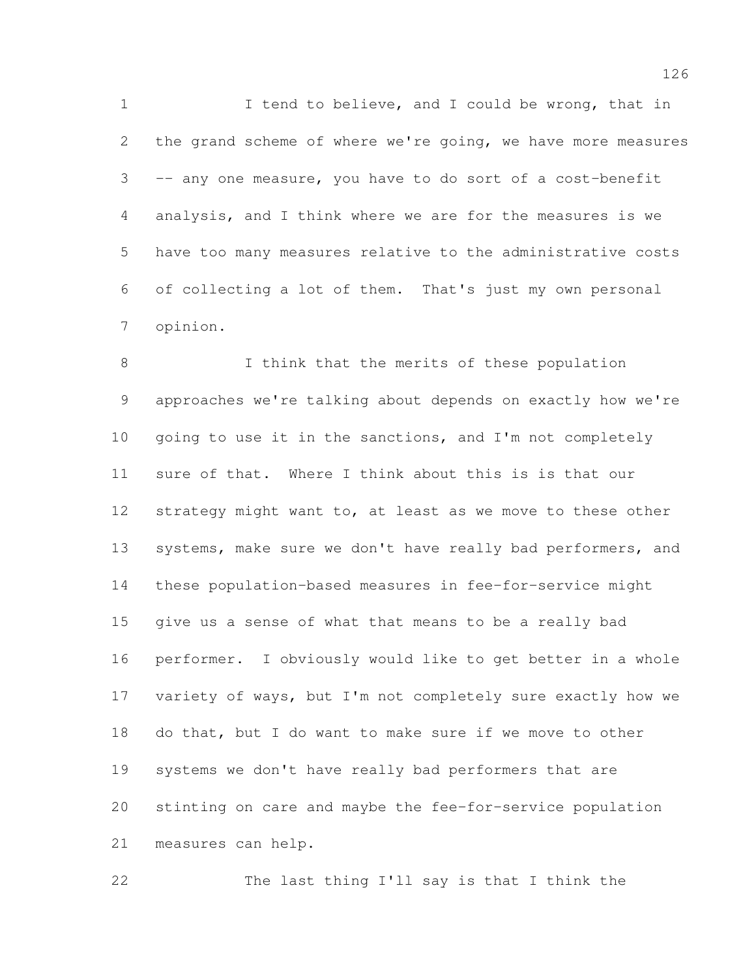1 I tend to believe, and I could be wrong, that in the grand scheme of where we're going, we have more measures -- any one measure, you have to do sort of a cost-benefit analysis, and I think where we are for the measures is we have too many measures relative to the administrative costs of collecting a lot of them. That's just my own personal opinion.

8 I think that the merits of these population approaches we're talking about depends on exactly how we're going to use it in the sanctions, and I'm not completely sure of that. Where I think about this is is that our 12 strategy might want to, at least as we move to these other 13 systems, make sure we don't have really bad performers, and these population-based measures in fee-for-service might give us a sense of what that means to be a really bad performer. I obviously would like to get better in a whole variety of ways, but I'm not completely sure exactly how we do that, but I do want to make sure if we move to other systems we don't have really bad performers that are stinting on care and maybe the fee-for-service population measures can help.

The last thing I'll say is that I think the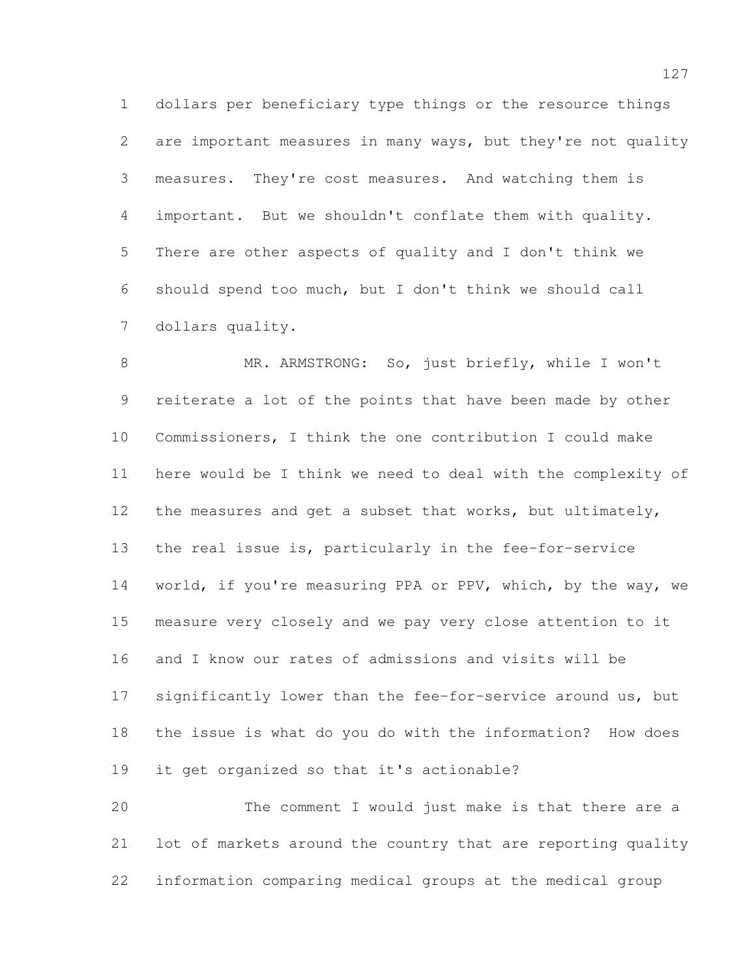dollars per beneficiary type things or the resource things are important measures in many ways, but they're not quality measures. They're cost measures. And watching them is important. But we shouldn't conflate them with quality. There are other aspects of quality and I don't think we should spend too much, but I don't think we should call dollars quality.

 MR. ARMSTRONG: So, just briefly, while I won't reiterate a lot of the points that have been made by other Commissioners, I think the one contribution I could make here would be I think we need to deal with the complexity of the measures and get a subset that works, but ultimately, the real issue is, particularly in the fee-for-service world, if you're measuring PPA or PPV, which, by the way, we measure very closely and we pay very close attention to it and I know our rates of admissions and visits will be significantly lower than the fee-for-service around us, but the issue is what do you do with the information? How does it get organized so that it's actionable?

 The comment I would just make is that there are a lot of markets around the country that are reporting quality information comparing medical groups at the medical group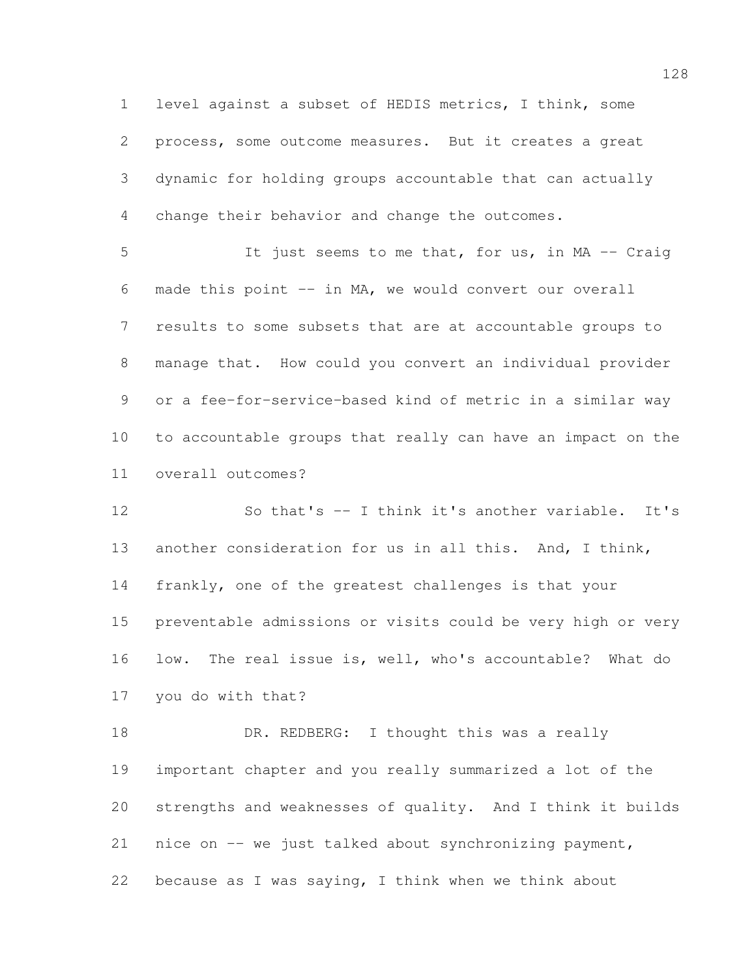level against a subset of HEDIS metrics, I think, some process, some outcome measures. But it creates a great dynamic for holding groups accountable that can actually change their behavior and change the outcomes.

 It just seems to me that, for us, in MA -- Craig made this point -- in MA, we would convert our overall results to some subsets that are at accountable groups to manage that. How could you convert an individual provider or a fee-for-service-based kind of metric in a similar way to accountable groups that really can have an impact on the overall outcomes?

12 So that's -- I think it's another variable. It's another consideration for us in all this. And, I think, frankly, one of the greatest challenges is that your preventable admissions or visits could be very high or very low. The real issue is, well, who's accountable? What do you do with that?

18 DR. REDBERG: I thought this was a really important chapter and you really summarized a lot of the strengths and weaknesses of quality. And I think it builds nice on -- we just talked about synchronizing payment, because as I was saying, I think when we think about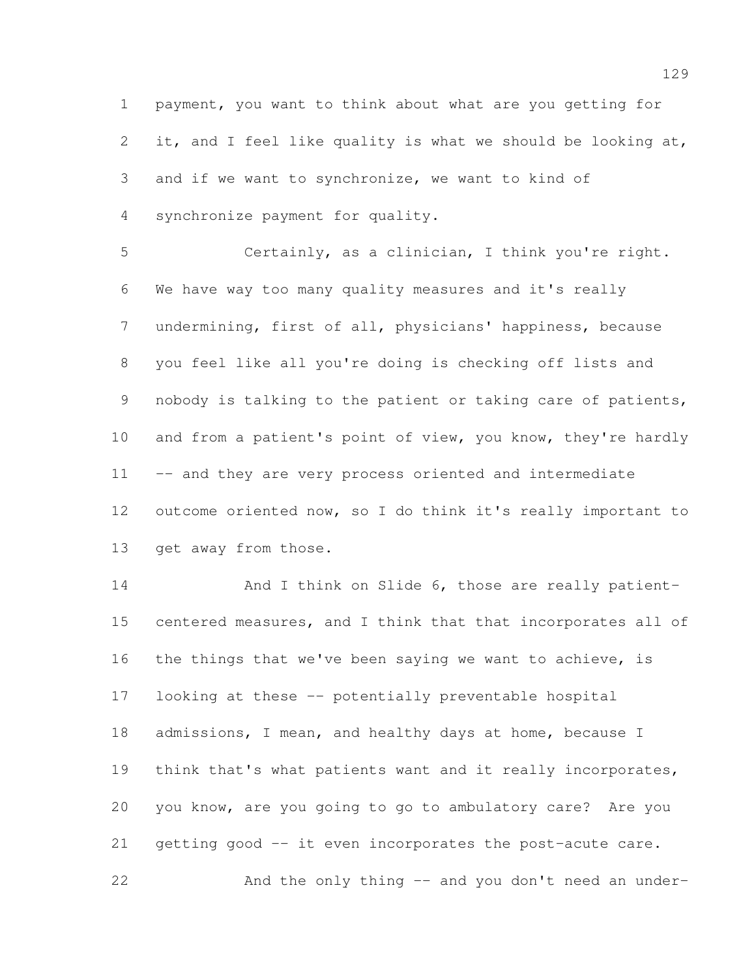payment, you want to think about what are you getting for it, and I feel like quality is what we should be looking at, and if we want to synchronize, we want to kind of synchronize payment for quality.

 Certainly, as a clinician, I think you're right. We have way too many quality measures and it's really undermining, first of all, physicians' happiness, because you feel like all you're doing is checking off lists and nobody is talking to the patient or taking care of patients, 10 and from a patient's point of view, you know, they're hardly -- and they are very process oriented and intermediate outcome oriented now, so I do think it's really important to get away from those.

14 And I think on Slide 6, those are really patient- centered measures, and I think that that incorporates all of the things that we've been saying we want to achieve, is looking at these -- potentially preventable hospital admissions, I mean, and healthy days at home, because I think that's what patients want and it really incorporates, you know, are you going to go to ambulatory care? Are you getting good -- it even incorporates the post-acute care. And the only thing -- and you don't need an under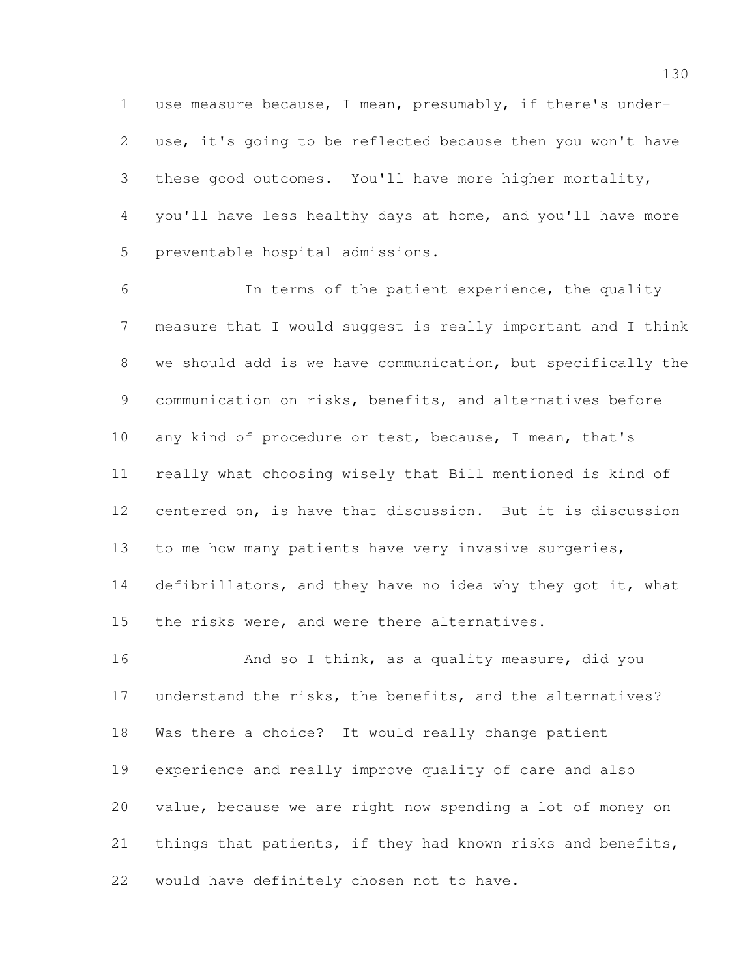use measure because, I mean, presumably, if there's under- use, it's going to be reflected because then you won't have these good outcomes. You'll have more higher mortality, you'll have less healthy days at home, and you'll have more preventable hospital admissions.

 In terms of the patient experience, the quality measure that I would suggest is really important and I think we should add is we have communication, but specifically the communication on risks, benefits, and alternatives before any kind of procedure or test, because, I mean, that's really what choosing wisely that Bill mentioned is kind of centered on, is have that discussion. But it is discussion to me how many patients have very invasive surgeries, 14 defibrillators, and they have no idea why they got it, what the risks were, and were there alternatives.

16 And so I think, as a quality measure, did you understand the risks, the benefits, and the alternatives? Was there a choice? It would really change patient experience and really improve quality of care and also value, because we are right now spending a lot of money on things that patients, if they had known risks and benefits, would have definitely chosen not to have.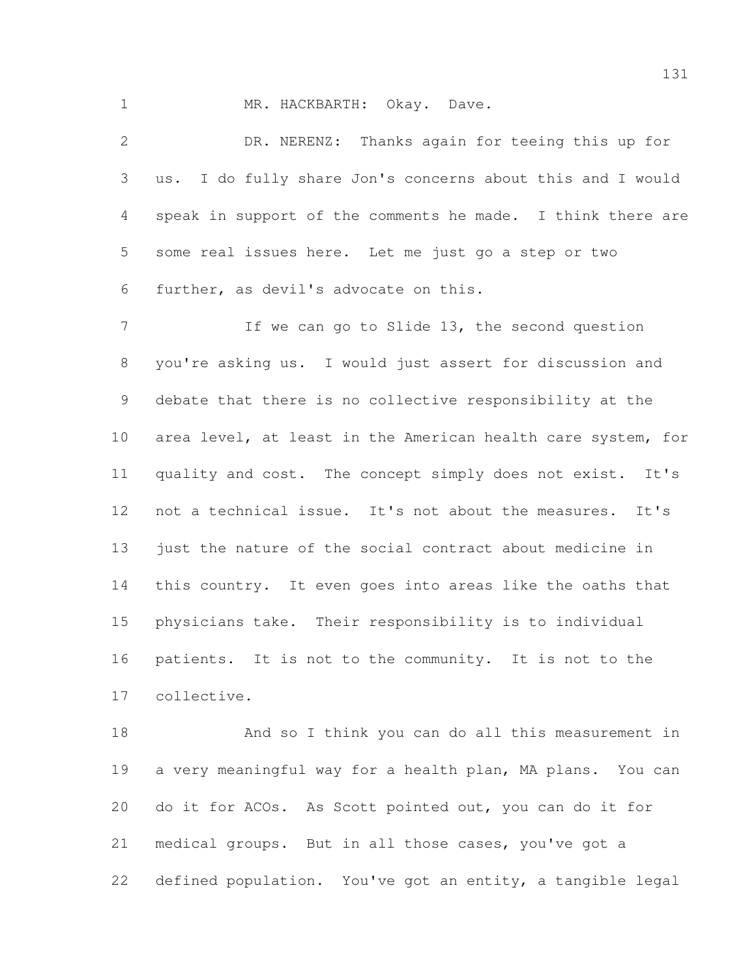1 MR. HACKBARTH: Okay. Dave.

 DR. NERENZ: Thanks again for teeing this up for us. I do fully share Jon's concerns about this and I would speak in support of the comments he made. I think there are some real issues here. Let me just go a step or two further, as devil's advocate on this.

 If we can go to Slide 13, the second question you're asking us. I would just assert for discussion and debate that there is no collective responsibility at the area level, at least in the American health care system, for quality and cost. The concept simply does not exist. It's not a technical issue. It's not about the measures. It's just the nature of the social contract about medicine in this country. It even goes into areas like the oaths that physicians take. Their responsibility is to individual patients. It is not to the community. It is not to the collective.

 And so I think you can do all this measurement in a very meaningful way for a health plan, MA plans. You can do it for ACOs. As Scott pointed out, you can do it for medical groups. But in all those cases, you've got a defined population. You've got an entity, a tangible legal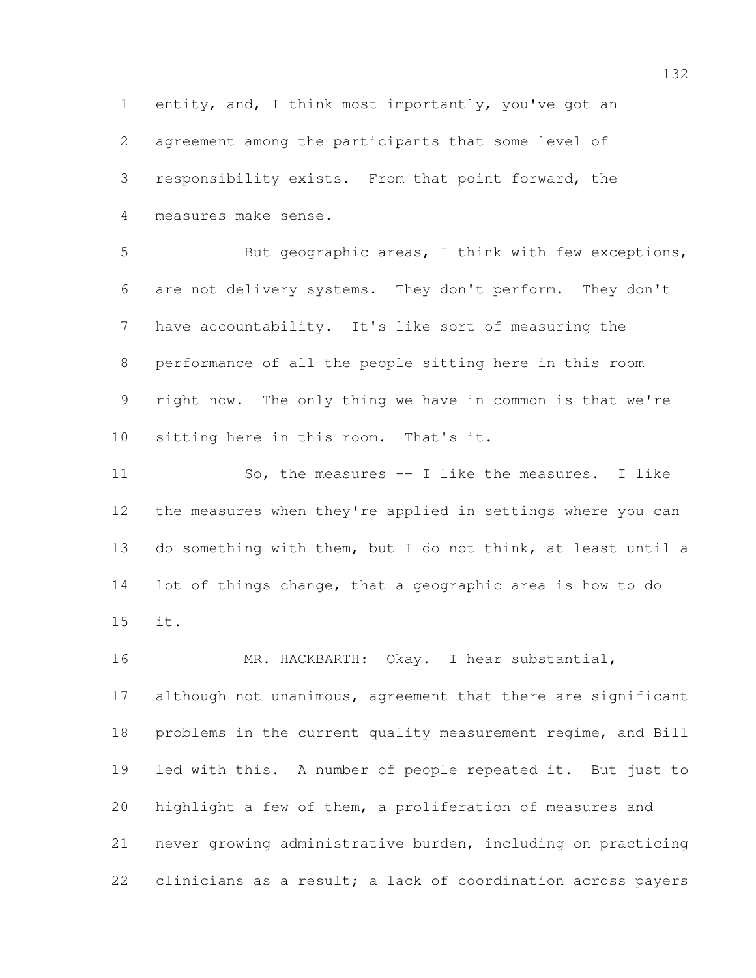entity, and, I think most importantly, you've got an agreement among the participants that some level of responsibility exists. From that point forward, the measures make sense.

5 But geographic areas, I think with few exceptions, are not delivery systems. They don't perform. They don't have accountability. It's like sort of measuring the performance of all the people sitting here in this room right now. The only thing we have in common is that we're sitting here in this room. That's it.

 So, the measures -- I like the measures. I like the measures when they're applied in settings where you can do something with them, but I do not think, at least until a lot of things change, that a geographic area is how to do it.

16 MR. HACKBARTH: Okay. I hear substantial, although not unanimous, agreement that there are significant problems in the current quality measurement regime, and Bill led with this. A number of people repeated it. But just to highlight a few of them, a proliferation of measures and never growing administrative burden, including on practicing clinicians as a result; a lack of coordination across payers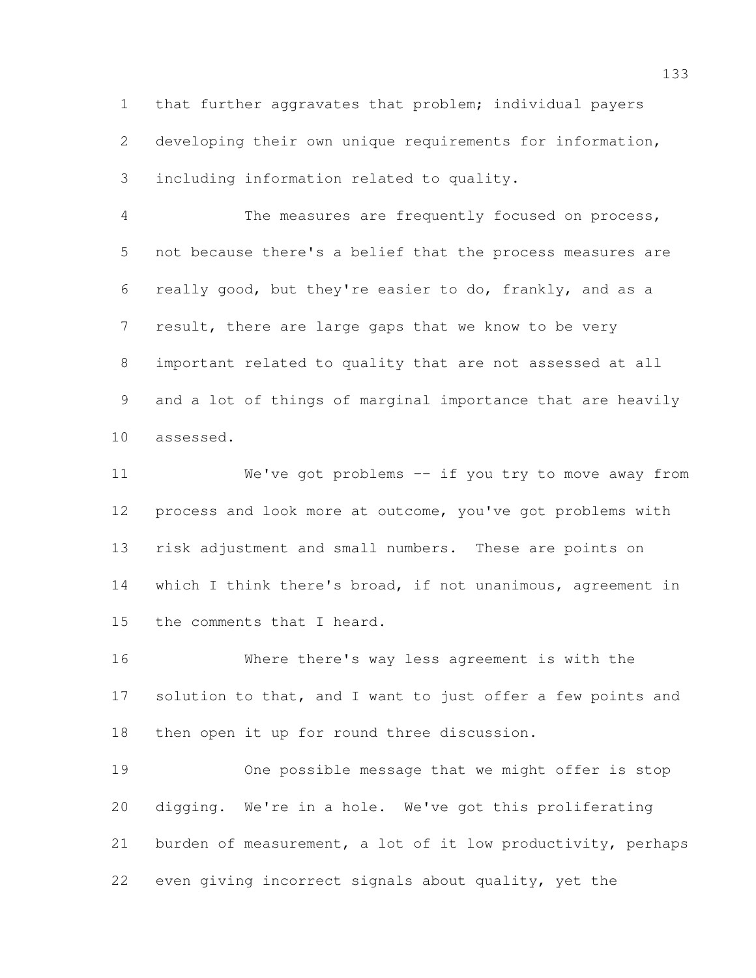that further aggravates that problem; individual payers developing their own unique requirements for information, including information related to quality.

 The measures are frequently focused on process, not because there's a belief that the process measures are really good, but they're easier to do, frankly, and as a result, there are large gaps that we know to be very important related to quality that are not assessed at all and a lot of things of marginal importance that are heavily assessed.

 We've got problems -- if you try to move away from process and look more at outcome, you've got problems with risk adjustment and small numbers. These are points on which I think there's broad, if not unanimous, agreement in the comments that I heard.

 Where there's way less agreement is with the 17 solution to that, and I want to just offer a few points and then open it up for round three discussion.

 One possible message that we might offer is stop digging. We're in a hole. We've got this proliferating burden of measurement, a lot of it low productivity, perhaps even giving incorrect signals about quality, yet the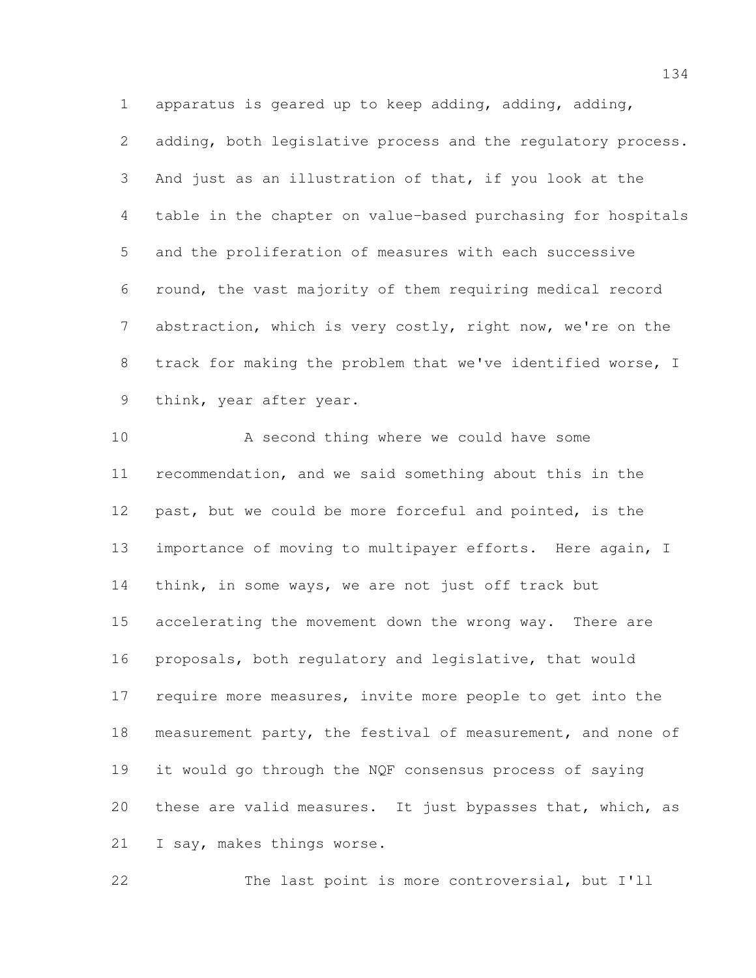apparatus is geared up to keep adding, adding, adding, adding, both legislative process and the regulatory process. And just as an illustration of that, if you look at the table in the chapter on value-based purchasing for hospitals and the proliferation of measures with each successive round, the vast majority of them requiring medical record abstraction, which is very costly, right now, we're on the track for making the problem that we've identified worse, I think, year after year.

10 A second thing where we could have some recommendation, and we said something about this in the past, but we could be more forceful and pointed, is the importance of moving to multipayer efforts. Here again, I 14 think, in some ways, we are not just off track but accelerating the movement down the wrong way. There are proposals, both regulatory and legislative, that would require more measures, invite more people to get into the measurement party, the festival of measurement, and none of it would go through the NQF consensus process of saying these are valid measures. It just bypasses that, which, as I say, makes things worse.

The last point is more controversial, but I'll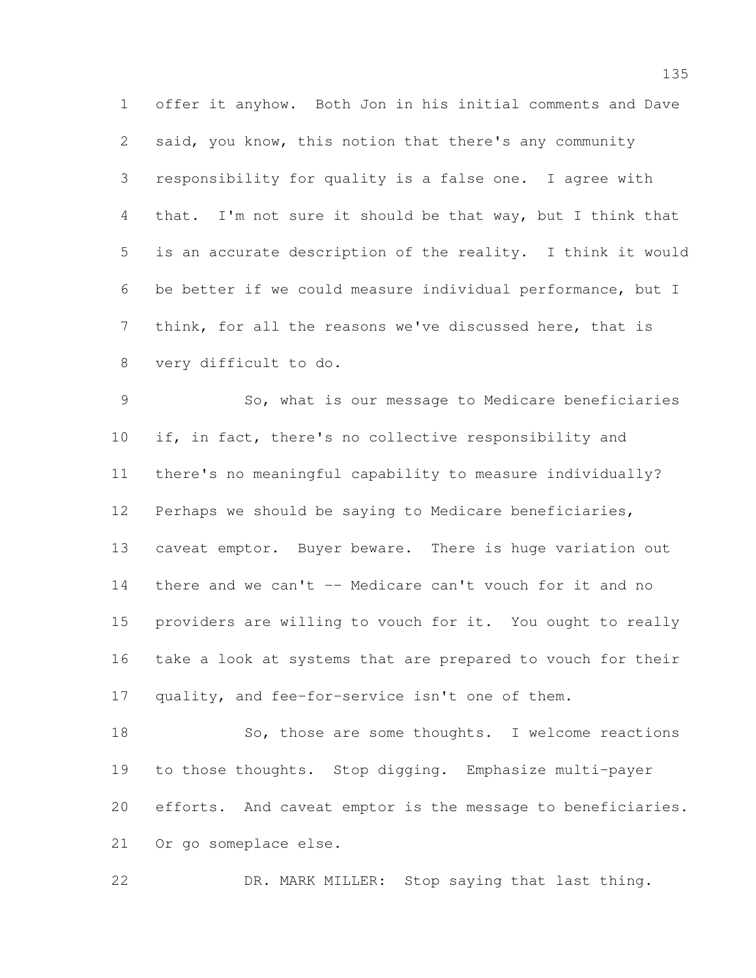offer it anyhow. Both Jon in his initial comments and Dave said, you know, this notion that there's any community responsibility for quality is a false one. I agree with that. I'm not sure it should be that way, but I think that is an accurate description of the reality. I think it would be better if we could measure individual performance, but I think, for all the reasons we've discussed here, that is very difficult to do.

 So, what is our message to Medicare beneficiaries if, in fact, there's no collective responsibility and there's no meaningful capability to measure individually? Perhaps we should be saying to Medicare beneficiaries, caveat emptor. Buyer beware. There is huge variation out there and we can't -- Medicare can't vouch for it and no providers are willing to vouch for it. You ought to really take a look at systems that are prepared to vouch for their quality, and fee-for-service isn't one of them.

18 So, those are some thoughts. I welcome reactions to those thoughts. Stop digging. Emphasize multi-payer efforts. And caveat emptor is the message to beneficiaries. Or go someplace else.

DR. MARK MILLER: Stop saying that last thing.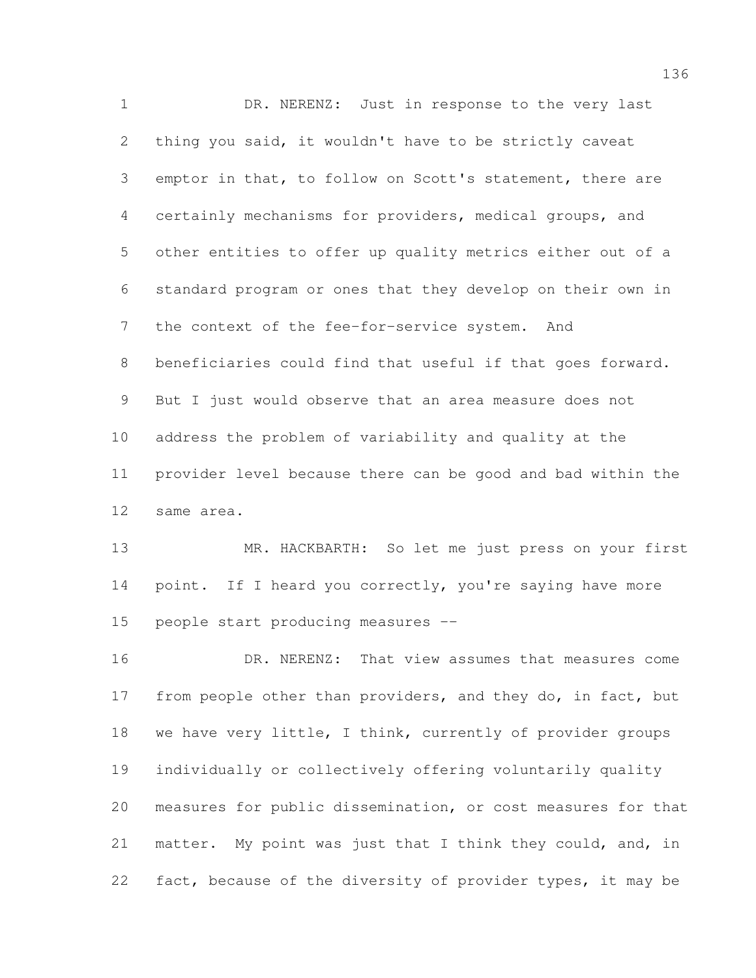DR. NERENZ: Just in response to the very last thing you said, it wouldn't have to be strictly caveat emptor in that, to follow on Scott's statement, there are certainly mechanisms for providers, medical groups, and other entities to offer up quality metrics either out of a standard program or ones that they develop on their own in the context of the fee-for-service system. And beneficiaries could find that useful if that goes forward. But I just would observe that an area measure does not address the problem of variability and quality at the provider level because there can be good and bad within the same area.

 MR. HACKBARTH: So let me just press on your first 14 point. If I heard you correctly, you're saying have more people start producing measures --

 DR. NERENZ: That view assumes that measures come 17 from people other than providers, and they do, in fact, but 18 we have very little, I think, currently of provider groups individually or collectively offering voluntarily quality measures for public dissemination, or cost measures for that 21 matter. My point was just that I think they could, and, in fact, because of the diversity of provider types, it may be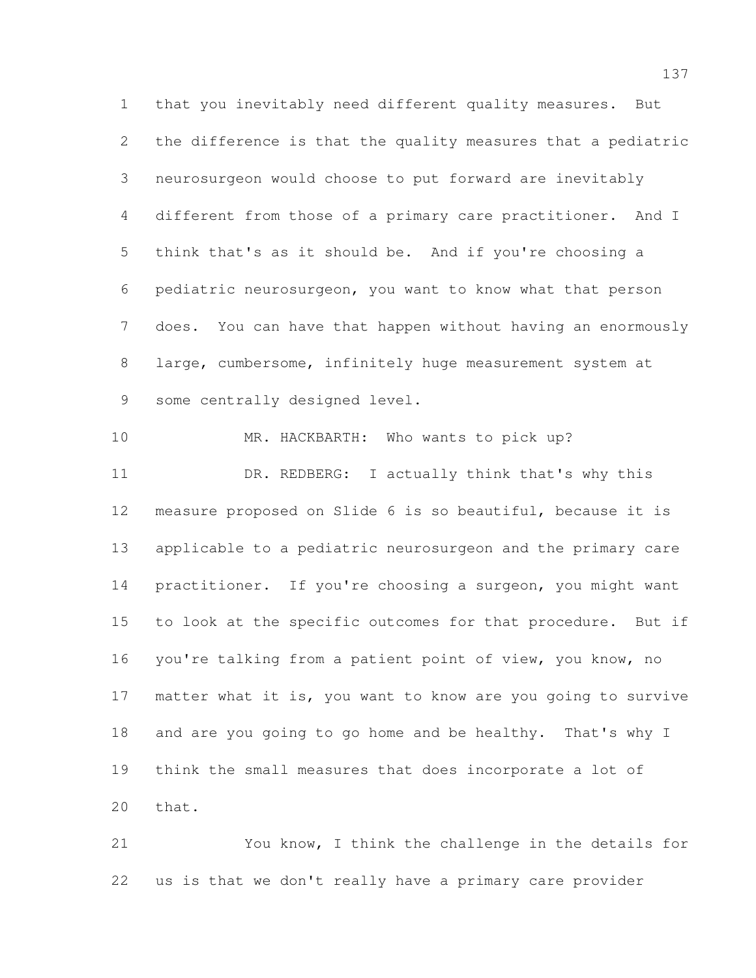that you inevitably need different quality measures. But the difference is that the quality measures that a pediatric neurosurgeon would choose to put forward are inevitably different from those of a primary care practitioner. And I think that's as it should be. And if you're choosing a pediatric neurosurgeon, you want to know what that person does. You can have that happen without having an enormously large, cumbersome, infinitely huge measurement system at 9 some centrally designed level.

 MR. HACKBARTH: Who wants to pick up? DR. REDBERG: I actually think that's why this measure proposed on Slide 6 is so beautiful, because it is applicable to a pediatric neurosurgeon and the primary care practitioner. If you're choosing a surgeon, you might want to look at the specific outcomes for that procedure. But if you're talking from a patient point of view, you know, no matter what it is, you want to know are you going to survive and are you going to go home and be healthy. That's why I think the small measures that does incorporate a lot of that.

 You know, I think the challenge in the details for us is that we don't really have a primary care provider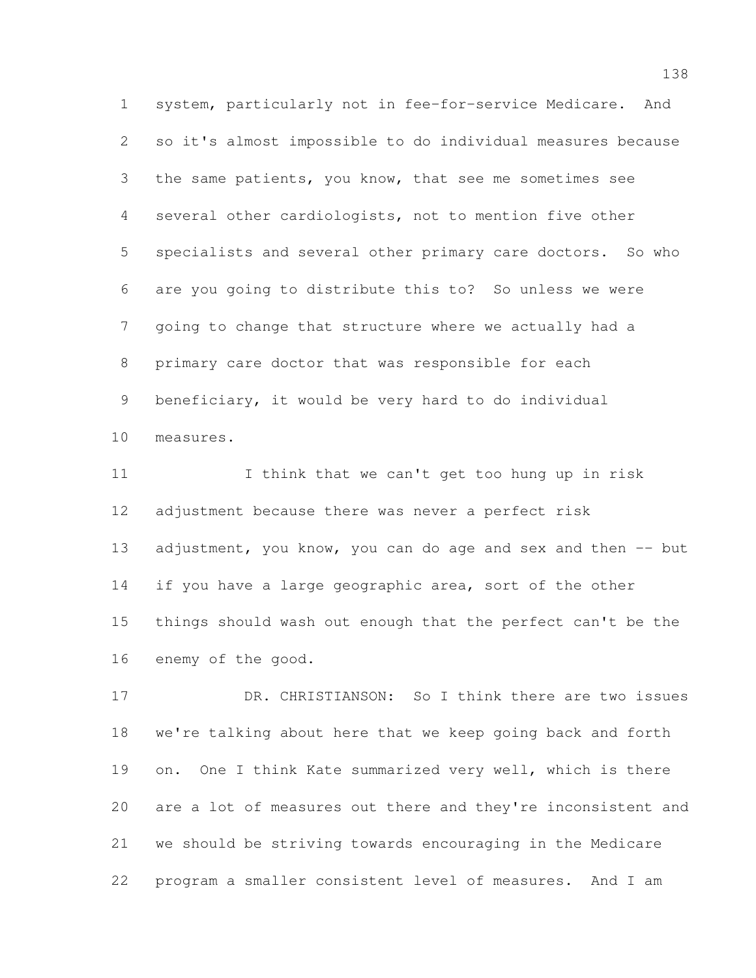system, particularly not in fee-for-service Medicare. And so it's almost impossible to do individual measures because the same patients, you know, that see me sometimes see several other cardiologists, not to mention five other specialists and several other primary care doctors. So who are you going to distribute this to? So unless we were going to change that structure where we actually had a primary care doctor that was responsible for each beneficiary, it would be very hard to do individual measures.

 I think that we can't get too hung up in risk adjustment because there was never a perfect risk 13 adjustment, you know, you can do age and sex and then -- but 14 if you have a large geographic area, sort of the other things should wash out enough that the perfect can't be the enemy of the good.

 DR. CHRISTIANSON: So I think there are two issues we're talking about here that we keep going back and forth on. One I think Kate summarized very well, which is there are a lot of measures out there and they're inconsistent and we should be striving towards encouraging in the Medicare program a smaller consistent level of measures. And I am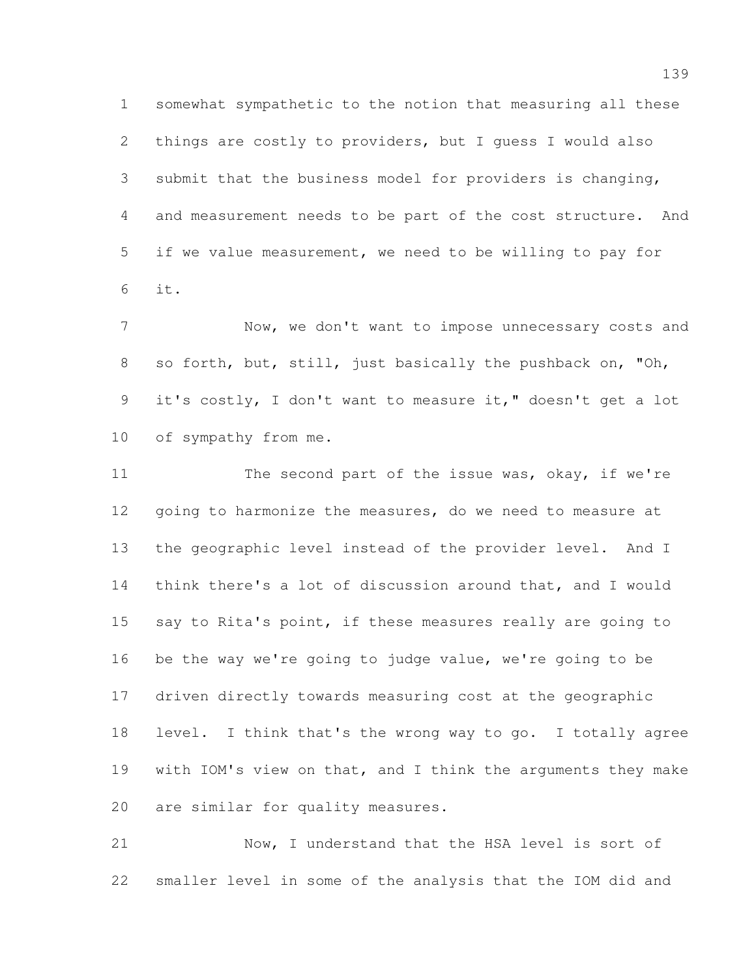somewhat sympathetic to the notion that measuring all these things are costly to providers, but I guess I would also submit that the business model for providers is changing, and measurement needs to be part of the cost structure. And if we value measurement, we need to be willing to pay for it.

 Now, we don't want to impose unnecessary costs and so forth, but, still, just basically the pushback on, "Oh, it's costly, I don't want to measure it," doesn't get a lot 10 of sympathy from me.

11 The second part of the issue was, okay, if we're going to harmonize the measures, do we need to measure at the geographic level instead of the provider level. And I think there's a lot of discussion around that, and I would 15 say to Rita's point, if these measures really are going to be the way we're going to judge value, we're going to be driven directly towards measuring cost at the geographic level. I think that's the wrong way to go. I totally agree with IOM's view on that, and I think the arguments they make are similar for quality measures.

 Now, I understand that the HSA level is sort of smaller level in some of the analysis that the IOM did and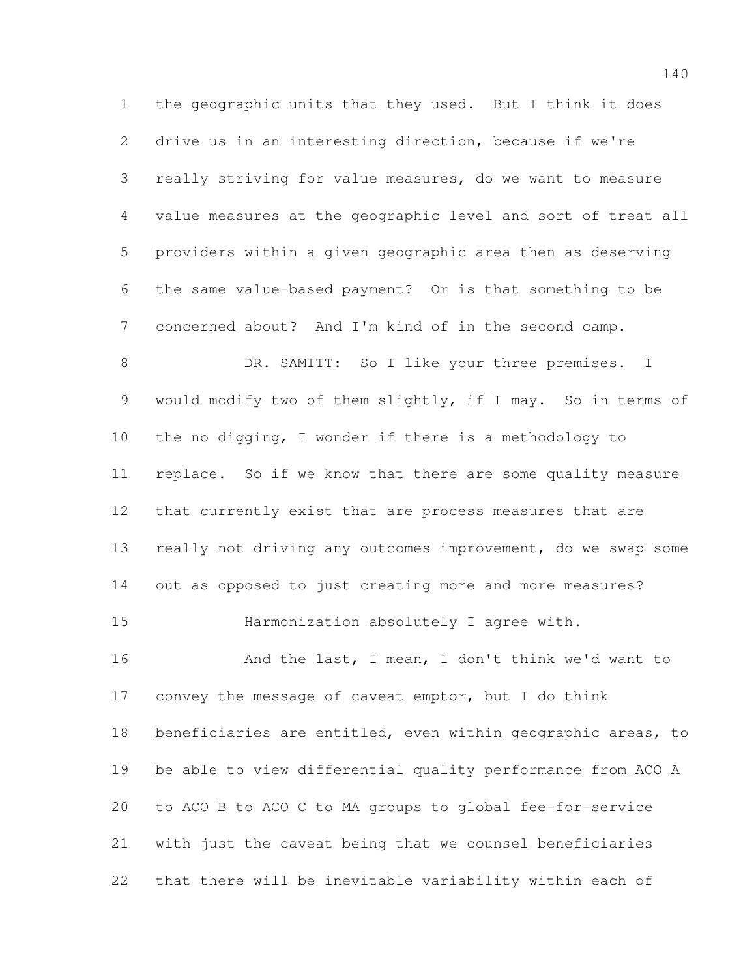the geographic units that they used. But I think it does drive us in an interesting direction, because if we're really striving for value measures, do we want to measure value measures at the geographic level and sort of treat all providers within a given geographic area then as deserving the same value-based payment? Or is that something to be concerned about? And I'm kind of in the second camp. 8 DR. SAMITT: So I like your three premises. I would modify two of them slightly, if I may. So in terms of the no digging, I wonder if there is a methodology to replace. So if we know that there are some quality measure that currently exist that are process measures that are really not driving any outcomes improvement, do we swap some out as opposed to just creating more and more measures? Harmonization absolutely I agree with. 16 And the last, I mean, I don't think we'd want to convey the message of caveat emptor, but I do think beneficiaries are entitled, even within geographic areas, to be able to view differential quality performance from ACO A to ACO B to ACO C to MA groups to global fee-for-service with just the caveat being that we counsel beneficiaries that there will be inevitable variability within each of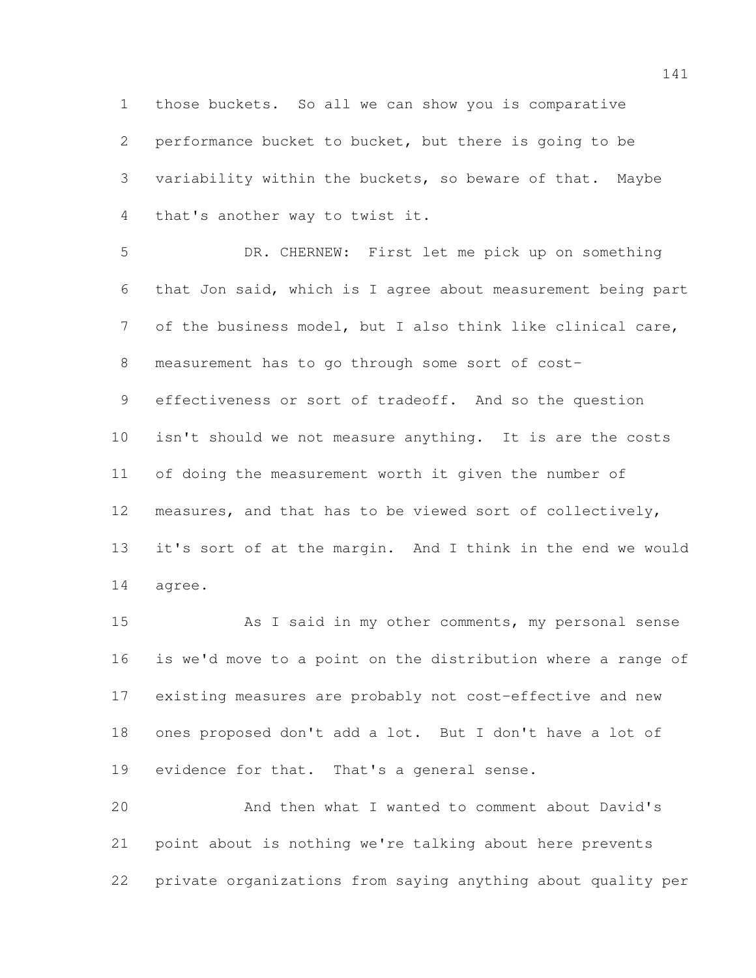those buckets. So all we can show you is comparative performance bucket to bucket, but there is going to be variability within the buckets, so beware of that. Maybe that's another way to twist it.

 DR. CHERNEW: First let me pick up on something that Jon said, which is I agree about measurement being part of the business model, but I also think like clinical care, measurement has to go through some sort of cost- effectiveness or sort of tradeoff. And so the question isn't should we not measure anything. It is are the costs of doing the measurement worth it given the number of measures, and that has to be viewed sort of collectively, it's sort of at the margin. And I think in the end we would agree.

 As I said in my other comments, my personal sense is we'd move to a point on the distribution where a range of existing measures are probably not cost-effective and new ones proposed don't add a lot. But I don't have a lot of evidence for that. That's a general sense.

 And then what I wanted to comment about David's point about is nothing we're talking about here prevents private organizations from saying anything about quality per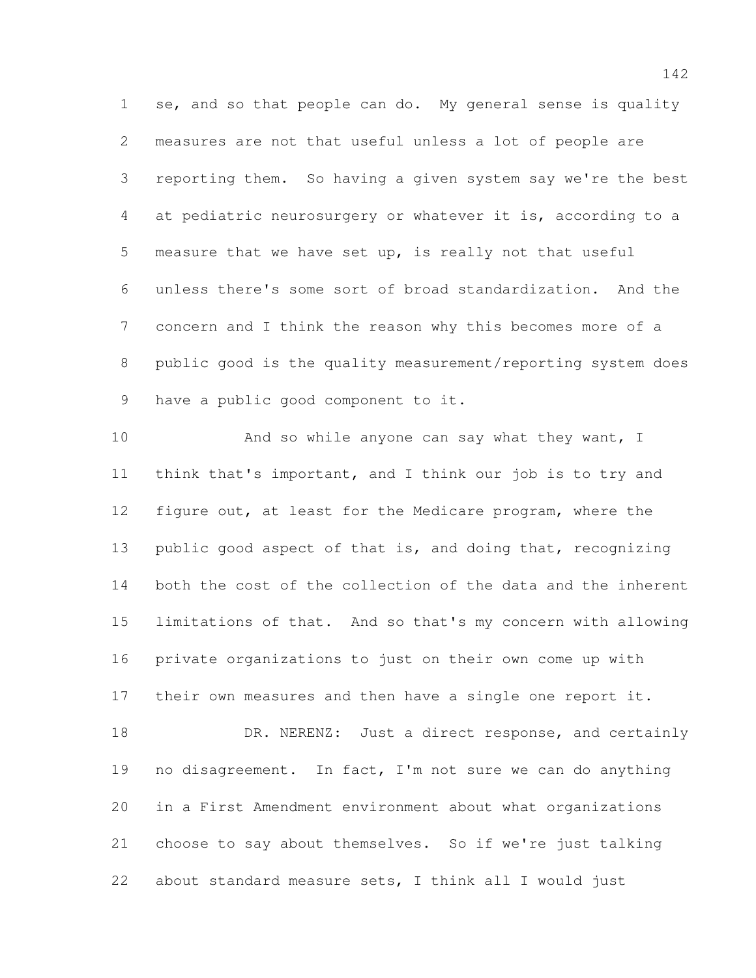se, and so that people can do. My general sense is quality measures are not that useful unless a lot of people are reporting them. So having a given system say we're the best at pediatric neurosurgery or whatever it is, according to a measure that we have set up, is really not that useful unless there's some sort of broad standardization. And the concern and I think the reason why this becomes more of a public good is the quality measurement/reporting system does have a public good component to it.

10 And so while anyone can say what they want, I think that's important, and I think our job is to try and figure out, at least for the Medicare program, where the 13 public good aspect of that is, and doing that, recognizing both the cost of the collection of the data and the inherent limitations of that. And so that's my concern with allowing private organizations to just on their own come up with their own measures and then have a single one report it. 18 DR. NERENZ: Just a direct response, and certainly no disagreement. In fact, I'm not sure we can do anything in a First Amendment environment about what organizations choose to say about themselves. So if we're just talking about standard measure sets, I think all I would just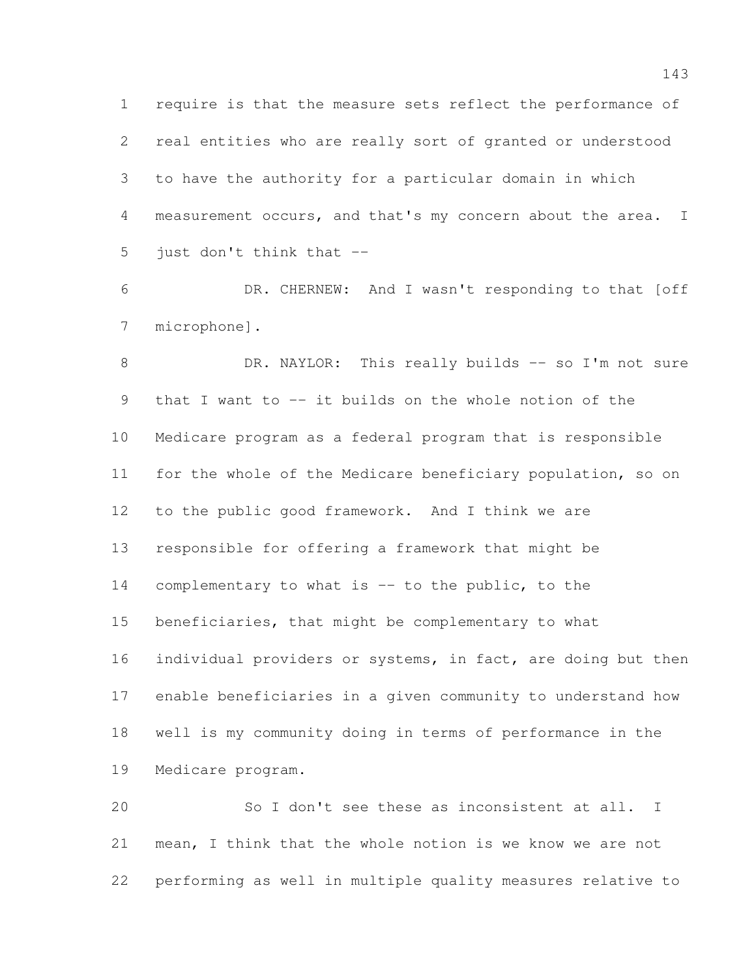require is that the measure sets reflect the performance of real entities who are really sort of granted or understood to have the authority for a particular domain in which measurement occurs, and that's my concern about the area. I just don't think that --

 DR. CHERNEW: And I wasn't responding to that [off microphone].

8 DR. NAYLOR: This really builds -- so I'm not sure that I want to -- it builds on the whole notion of the Medicare program as a federal program that is responsible for the whole of the Medicare beneficiary population, so on to the public good framework. And I think we are responsible for offering a framework that might be complementary to what is -- to the public, to the beneficiaries, that might be complementary to what 16 individual providers or systems, in fact, are doing but then enable beneficiaries in a given community to understand how well is my community doing in terms of performance in the Medicare program.

 So I don't see these as inconsistent at all. I mean, I think that the whole notion is we know we are not performing as well in multiple quality measures relative to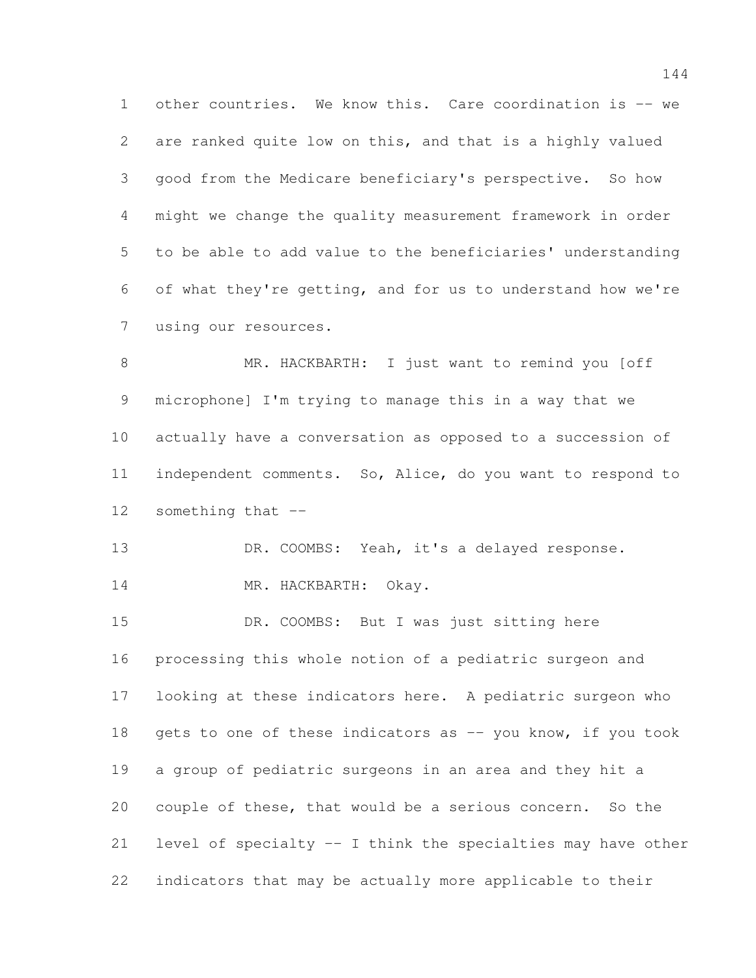other countries. We know this. Care coordination is -- we are ranked quite low on this, and that is a highly valued good from the Medicare beneficiary's perspective. So how might we change the quality measurement framework in order to be able to add value to the beneficiaries' understanding of what they're getting, and for us to understand how we're using our resources.

 MR. HACKBARTH: I just want to remind you [off microphone] I'm trying to manage this in a way that we actually have a conversation as opposed to a succession of independent comments. So, Alice, do you want to respond to something that --

13 DR. COOMBS: Yeah, it's a delayed response.

14 MR. HACKBARTH: Okay.

 DR. COOMBS: But I was just sitting here processing this whole notion of a pediatric surgeon and looking at these indicators here. A pediatric surgeon who 18 gets to one of these indicators as  $-$  you know, if you took a group of pediatric surgeons in an area and they hit a couple of these, that would be a serious concern. So the level of specialty -- I think the specialties may have other indicators that may be actually more applicable to their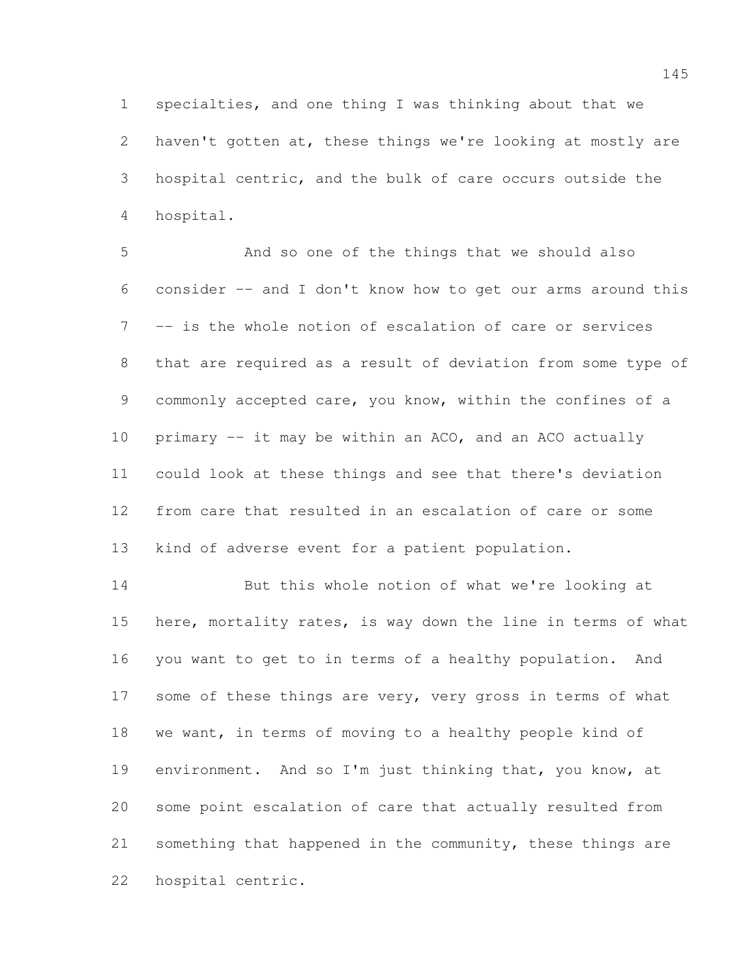specialties, and one thing I was thinking about that we haven't gotten at, these things we're looking at mostly are hospital centric, and the bulk of care occurs outside the hospital.

 And so one of the things that we should also consider -- and I don't know how to get our arms around this -- is the whole notion of escalation of care or services that are required as a result of deviation from some type of commonly accepted care, you know, within the confines of a primary -- it may be within an ACO, and an ACO actually could look at these things and see that there's deviation from care that resulted in an escalation of care or some kind of adverse event for a patient population.

 But this whole notion of what we're looking at here, mortality rates, is way down the line in terms of what you want to get to in terms of a healthy population. And 17 some of these things are very, very gross in terms of what we want, in terms of moving to a healthy people kind of environment. And so I'm just thinking that, you know, at some point escalation of care that actually resulted from something that happened in the community, these things are hospital centric.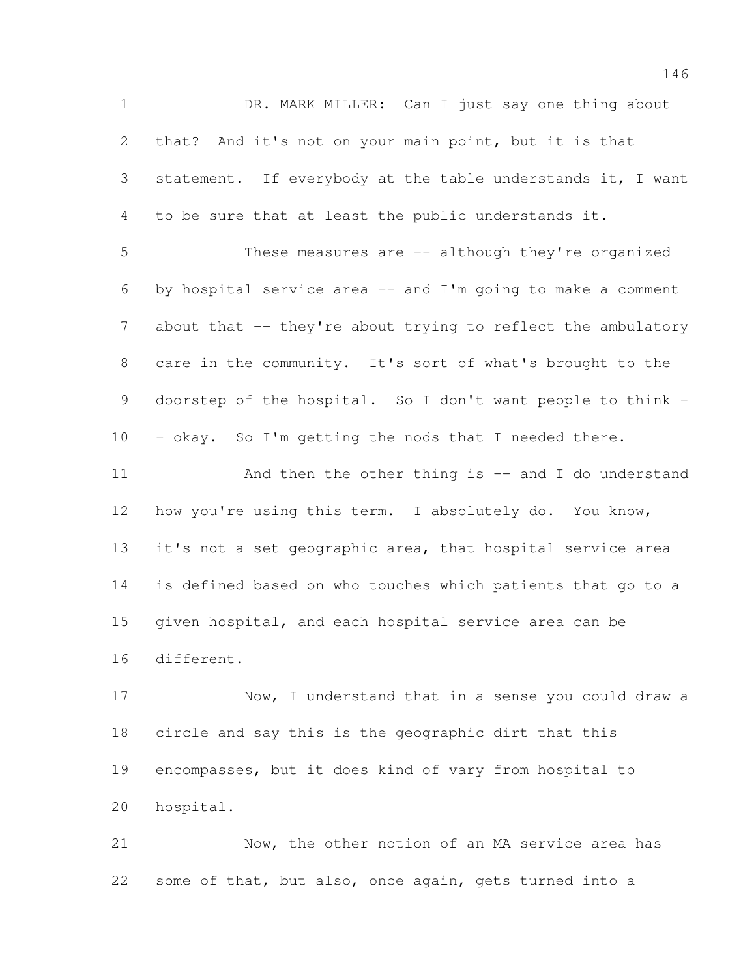1 DR. MARK MILLER: Can I just say one thing about that? And it's not on your main point, but it is that statement. If everybody at the table understands it, I want to be sure that at least the public understands it. These measures are -- although they're organized by hospital service area -- and I'm going to make a comment 7 about that -- they're about trying to reflect the ambulatory care in the community. It's sort of what's brought to the doorstep of the hospital. So I don't want people to think - 10 - okay. So I'm getting the nods that I needed there. 11 And then the other thing is -- and I do understand how you're using this term. I absolutely do. You know, it's not a set geographic area, that hospital service area is defined based on who touches which patients that go to a given hospital, and each hospital service area can be different. Now, I understand that in a sense you could draw a

 circle and say this is the geographic dirt that this encompasses, but it does kind of vary from hospital to hospital.

 Now, the other notion of an MA service area has some of that, but also, once again, gets turned into a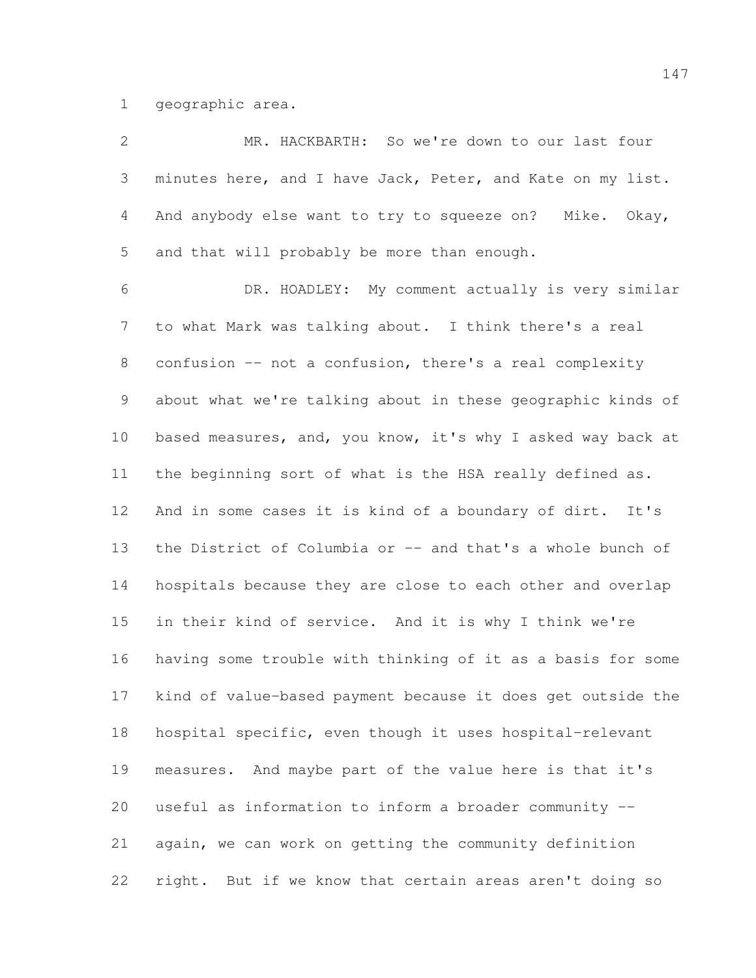geographic area.

| $\mathbf{2}$   | MR. HACKBARTH: So we're down to our last four               |
|----------------|-------------------------------------------------------------|
| $\mathfrak{Z}$ | minutes here, and I have Jack, Peter, and Kate on my list.  |
| 4              | And anybody else want to try to squeeze on? Mike. Okay,     |
| 5              | and that will probably be more than enough.                 |
| 6              | DR. HOADLEY: My comment actually is very similar            |
| $7\phantom{.}$ | to what Mark was talking about. I think there's a real      |
| $8\,$          | confusion -- not a confusion, there's a real complexity     |
| $\mathsf 9$    | about what we're talking about in these geographic kinds of |
| 10             | based measures, and, you know, it's why I asked way back at |
| 11             | the beginning sort of what is the HSA really defined as.    |
| 12             | And in some cases it is kind of a boundary of dirt. It's    |
| 13             | the District of Columbia or -- and that's a whole bunch of  |
| 14             | hospitals because they are close to each other and overlap  |
| 15             | in their kind of service. And it is why I think we're       |
| 16             | having some trouble with thinking of it as a basis for some |
| 17             | kind of value-based payment because it does get outside the |
| 18             | hospital specific, even though it uses hospital-relevant    |
| 19             | measures. And maybe part of the value here is that it's     |
| 20             | useful as information to inform a broader community --      |
| 21             | again, we can work on getting the community definition      |
| 22             | right. But if we know that certain areas aren't doing so    |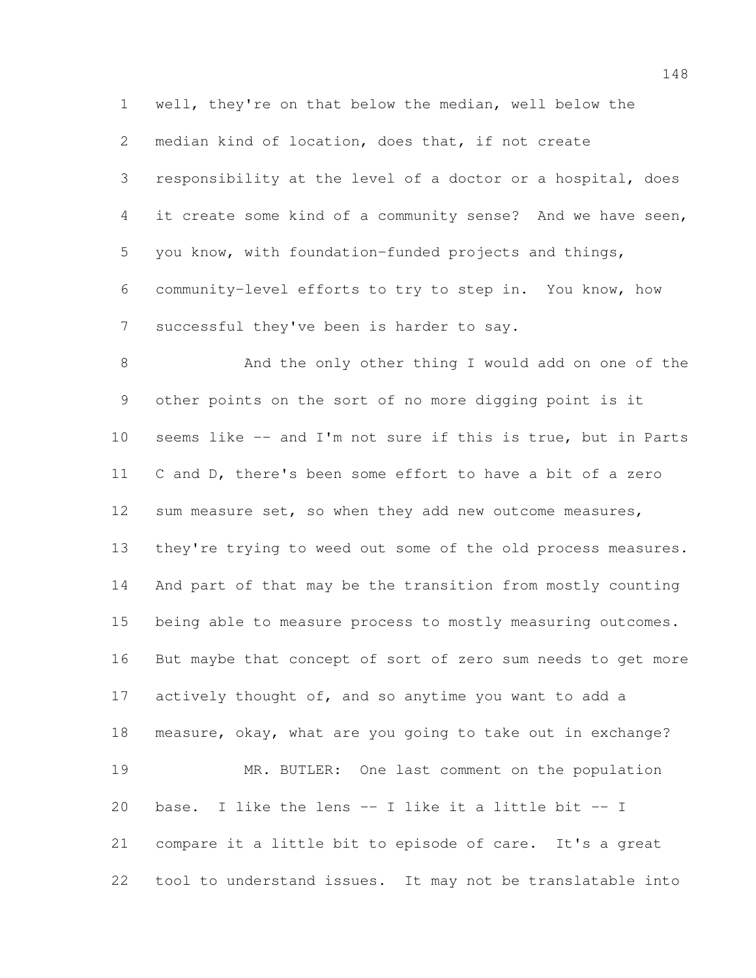well, they're on that below the median, well below the median kind of location, does that, if not create responsibility at the level of a doctor or a hospital, does it create some kind of a community sense? And we have seen, you know, with foundation-funded projects and things, community-level efforts to try to step in. You know, how 7 successful they've been is harder to say.

 And the only other thing I would add on one of the other points on the sort of no more digging point is it seems like -- and I'm not sure if this is true, but in Parts C and D, there's been some effort to have a bit of a zero sum measure set, so when they add new outcome measures, they're trying to weed out some of the old process measures. And part of that may be the transition from mostly counting being able to measure process to mostly measuring outcomes. But maybe that concept of sort of zero sum needs to get more 17 actively thought of, and so anytime you want to add a measure, okay, what are you going to take out in exchange? MR. BUTLER: One last comment on the population base. I like the lens -- I like it a little bit -- I compare it a little bit to episode of care. It's a great tool to understand issues. It may not be translatable into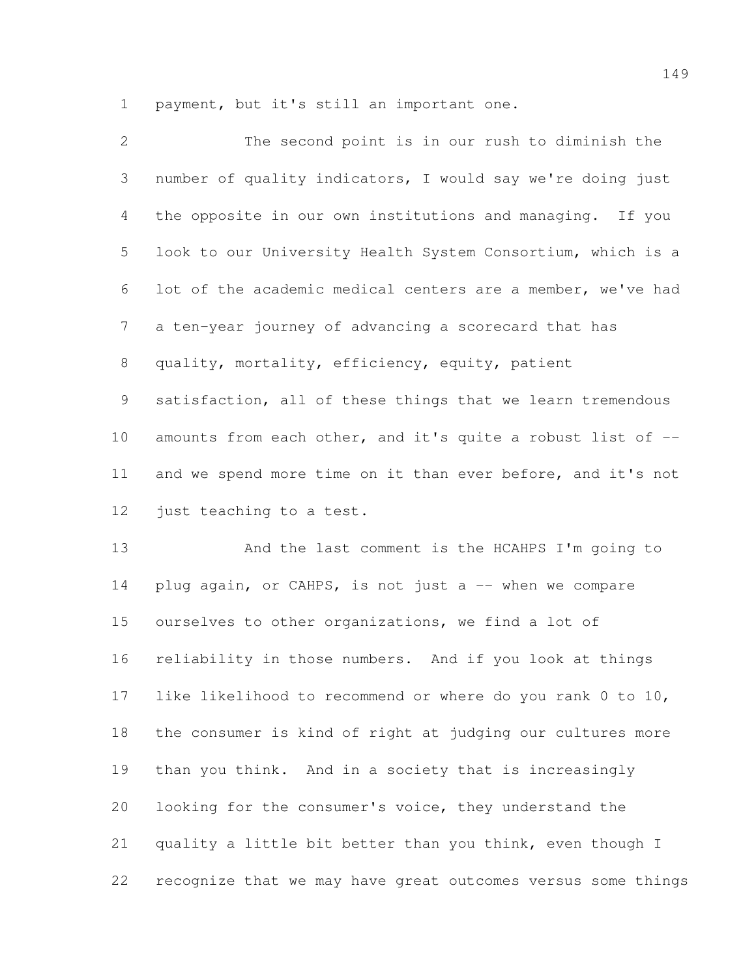payment, but it's still an important one.

| 2              | The second point is in our rush to diminish the             |
|----------------|-------------------------------------------------------------|
| 3              | number of quality indicators, I would say we're doing just  |
| 4              | the opposite in our own institutions and managing. If you   |
| 5              | look to our University Health System Consortium, which is a |
| 6              | lot of the academic medical centers are a member, we've had |
| $7\phantom{.}$ | a ten-year journey of advancing a scorecard that has        |
| 8              | quality, mortality, efficiency, equity, patient             |
| 9              | satisfaction, all of these things that we learn tremendous  |
| 10             | amounts from each other, and it's quite a robust list of -- |
| 11             | and we spend more time on it than ever before, and it's not |
| 12             | just teaching to a test.                                    |
|                |                                                             |

 And the last comment is the HCAHPS I'm going to 14 plug again, or CAHPS, is not just a -- when we compare ourselves to other organizations, we find a lot of reliability in those numbers. And if you look at things like likelihood to recommend or where do you rank 0 to 10, the consumer is kind of right at judging our cultures more than you think. And in a society that is increasingly looking for the consumer's voice, they understand the quality a little bit better than you think, even though I recognize that we may have great outcomes versus some things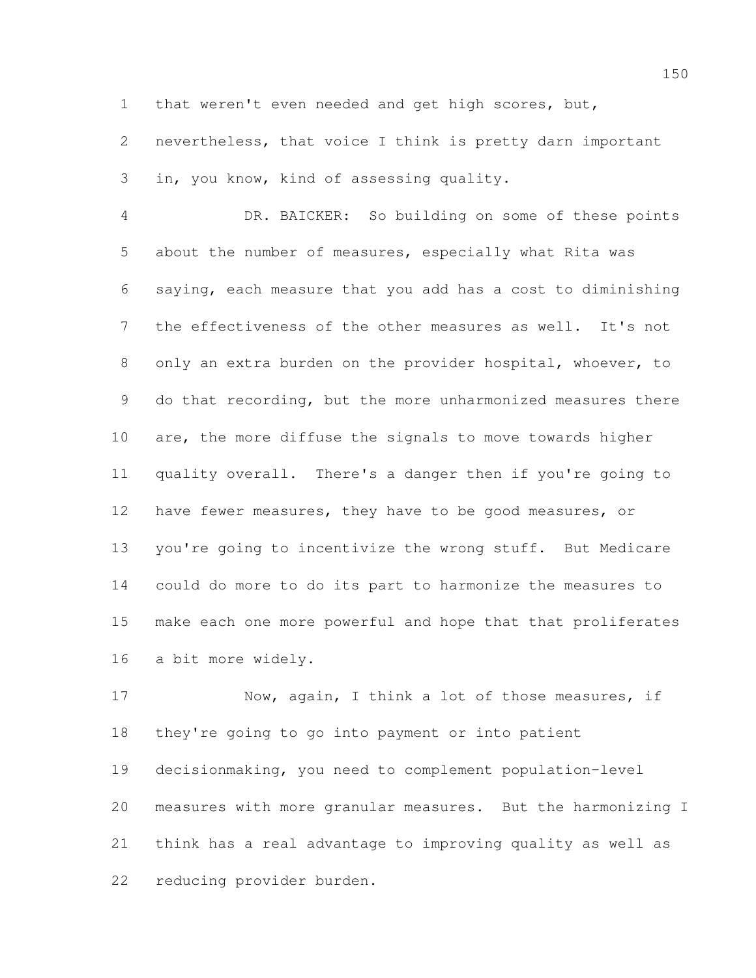that weren't even needed and get high scores, but,

 nevertheless, that voice I think is pretty darn important in, you know, kind of assessing quality.

 DR. BAICKER: So building on some of these points about the number of measures, especially what Rita was saying, each measure that you add has a cost to diminishing the effectiveness of the other measures as well. It's not only an extra burden on the provider hospital, whoever, to 9 do that recording, but the more unharmonized measures there are, the more diffuse the signals to move towards higher quality overall. There's a danger then if you're going to have fewer measures, they have to be good measures, or you're going to incentivize the wrong stuff. But Medicare could do more to do its part to harmonize the measures to make each one more powerful and hope that that proliferates a bit more widely.

 Now, again, I think a lot of those measures, if they're going to go into payment or into patient decisionmaking, you need to complement population-level measures with more granular measures. But the harmonizing I think has a real advantage to improving quality as well as reducing provider burden.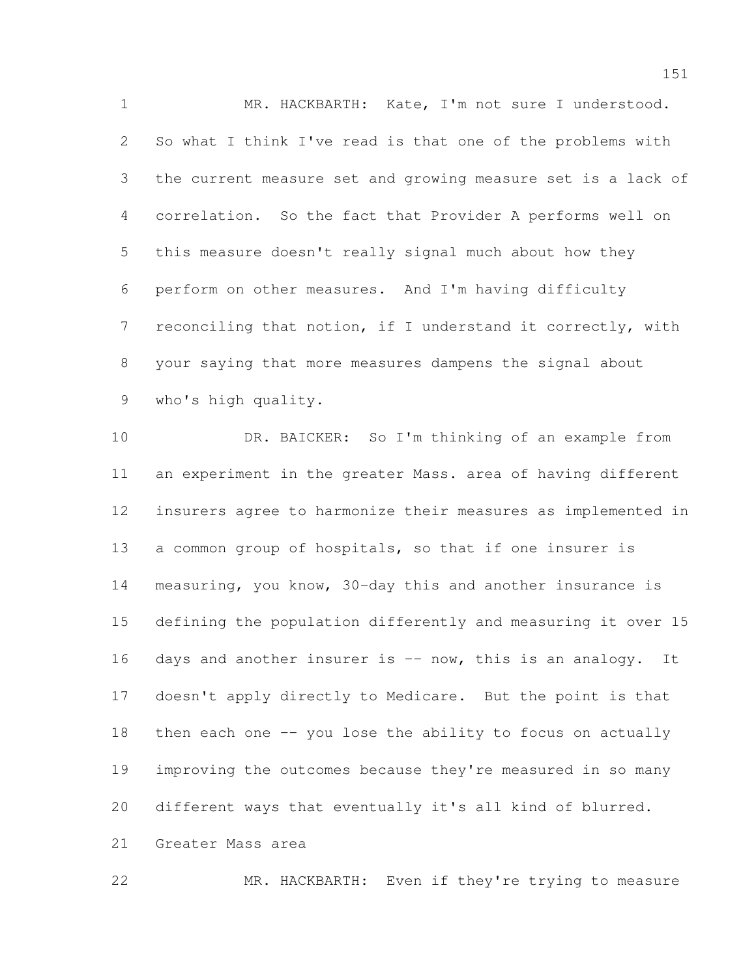MR. HACKBARTH: Kate, I'm not sure I understood. So what I think I've read is that one of the problems with the current measure set and growing measure set is a lack of correlation. So the fact that Provider A performs well on this measure doesn't really signal much about how they perform on other measures. And I'm having difficulty reconciling that notion, if I understand it correctly, with your saying that more measures dampens the signal about who's high quality.

 DR. BAICKER: So I'm thinking of an example from an experiment in the greater Mass. area of having different insurers agree to harmonize their measures as implemented in a common group of hospitals, so that if one insurer is measuring, you know, 30-day this and another insurance is defining the population differently and measuring it over 15 16 days and another insurer is  $-$  now, this is an analogy. It doesn't apply directly to Medicare. But the point is that then each one -- you lose the ability to focus on actually improving the outcomes because they're measured in so many different ways that eventually it's all kind of blurred.

Greater Mass area

MR. HACKBARTH: Even if they're trying to measure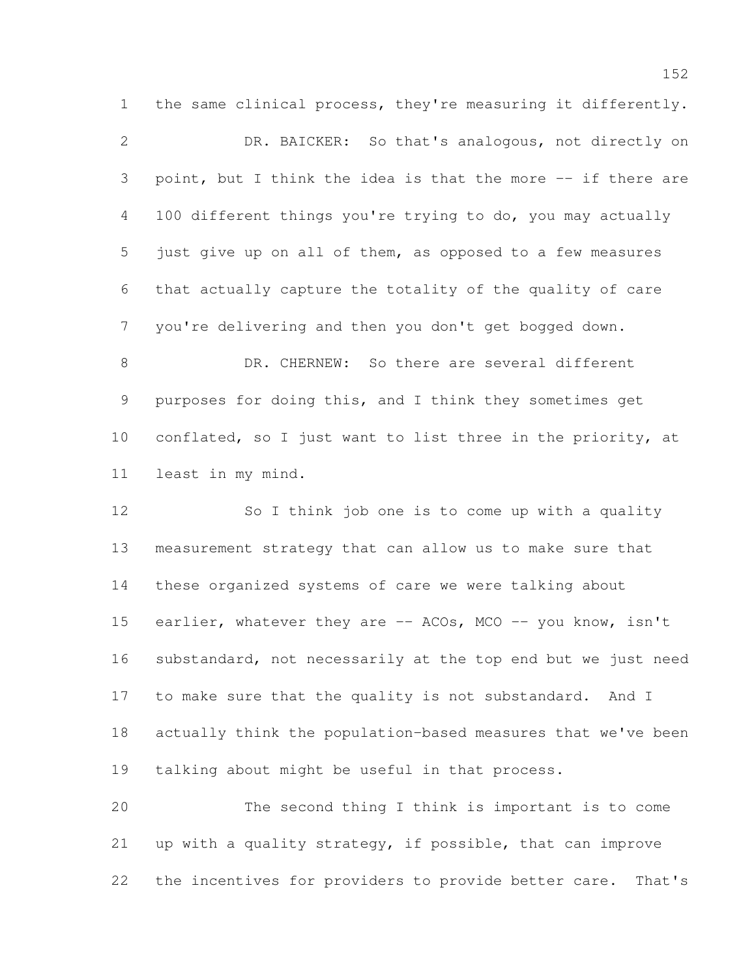the same clinical process, they're measuring it differently. DR. BAICKER: So that's analogous, not directly on point, but I think the idea is that the more -- if there are 100 different things you're trying to do, you may actually just give up on all of them, as opposed to a few measures that actually capture the totality of the quality of care you're delivering and then you don't get bogged down.

 DR. CHERNEW: So there are several different purposes for doing this, and I think they sometimes get 10 conflated, so I just want to list three in the priority, at least in my mind.

 So I think job one is to come up with a quality measurement strategy that can allow us to make sure that these organized systems of care we were talking about 15 earlier, whatever they are -- ACOs, MCO -- you know, isn't substandard, not necessarily at the top end but we just need to make sure that the quality is not substandard. And I actually think the population-based measures that we've been talking about might be useful in that process.

 The second thing I think is important is to come up with a quality strategy, if possible, that can improve the incentives for providers to provide better care. That's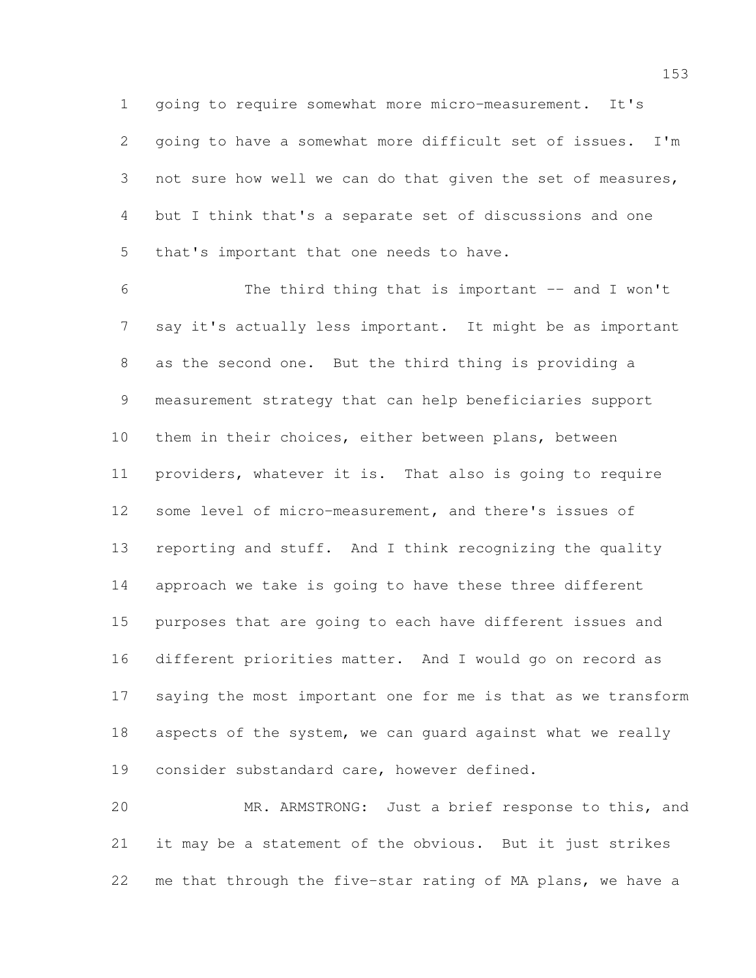going to require somewhat more micro-measurement. It's going to have a somewhat more difficult set of issues. I'm not sure how well we can do that given the set of measures, but I think that's a separate set of discussions and one that's important that one needs to have.

 The third thing that is important -- and I won't say it's actually less important. It might be as important as the second one. But the third thing is providing a measurement strategy that can help beneficiaries support them in their choices, either between plans, between providers, whatever it is. That also is going to require some level of micro-measurement, and there's issues of reporting and stuff. And I think recognizing the quality approach we take is going to have these three different purposes that are going to each have different issues and different priorities matter. And I would go on record as saying the most important one for me is that as we transform aspects of the system, we can guard against what we really consider substandard care, however defined.

 MR. ARMSTRONG: Just a brief response to this, and it may be a statement of the obvious. But it just strikes me that through the five-star rating of MA plans, we have a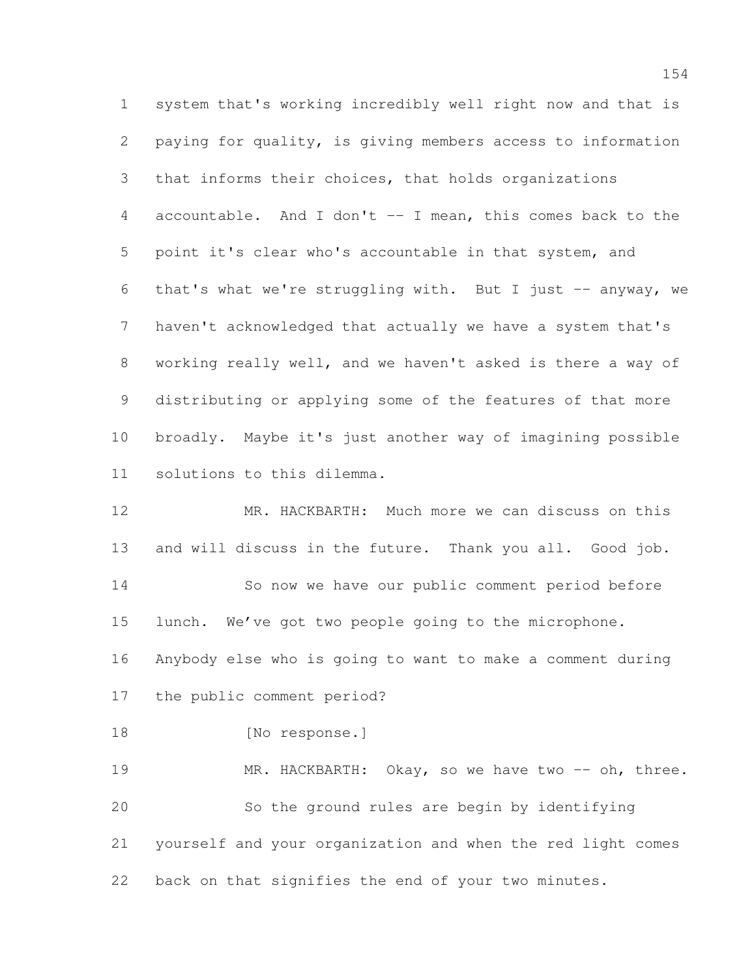system that's working incredibly well right now and that is paying for quality, is giving members access to information that informs their choices, that holds organizations accountable. And I don't -- I mean, this comes back to the point it's clear who's accountable in that system, and that's what we're struggling with. But I just -- anyway, we haven't acknowledged that actually we have a system that's working really well, and we haven't asked is there a way of distributing or applying some of the features of that more broadly. Maybe it's just another way of imagining possible solutions to this dilemma.

 MR. HACKBARTH: Much more we can discuss on this and will discuss in the future. Thank you all. Good job. So now we have our public comment period before lunch. We've got two people going to the microphone. Anybody else who is going to want to make a comment during the public comment period? 18 [No response.] 19 MR. HACKBARTH: Okay, so we have two -- oh, three. So the ground rules are begin by identifying yourself and your organization and when the red light comes

back on that signifies the end of your two minutes.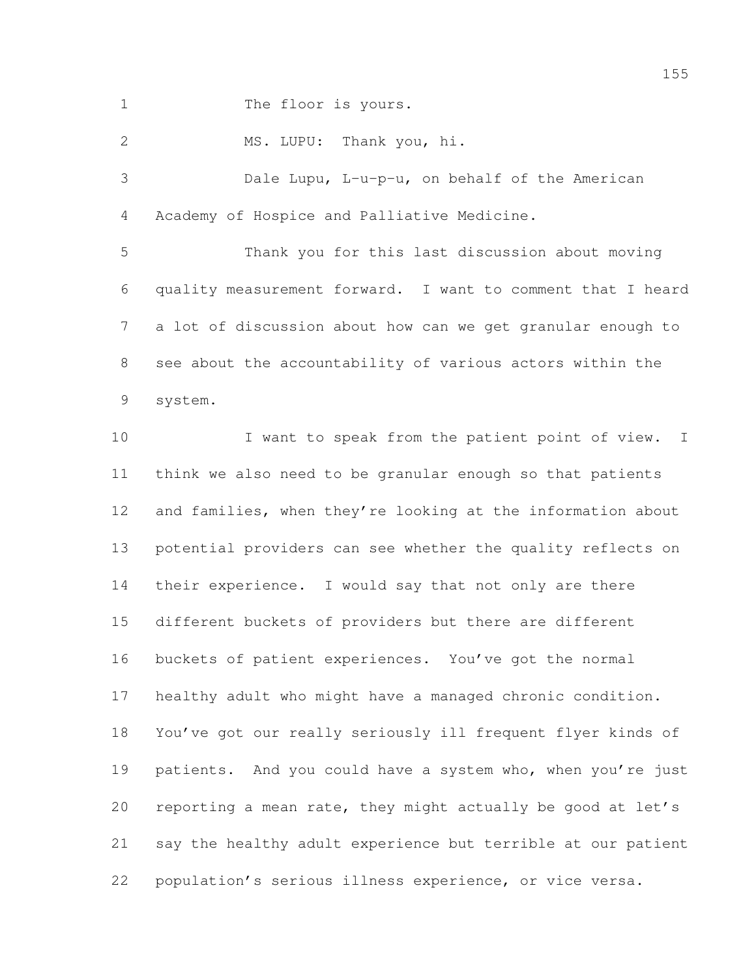1 The floor is yours.

MS. LUPU: Thank you, hi.

 Dale Lupu, L-u-p-u, on behalf of the American Academy of Hospice and Palliative Medicine.

 Thank you for this last discussion about moving quality measurement forward. I want to comment that I heard a lot of discussion about how can we get granular enough to see about the accountability of various actors within the system.

10 I want to speak from the patient point of view. I think we also need to be granular enough so that patients 12 and families, when they're looking at the information about potential providers can see whether the quality reflects on their experience. I would say that not only are there different buckets of providers but there are different buckets of patient experiences. You've got the normal healthy adult who might have a managed chronic condition. You've got our really seriously ill frequent flyer kinds of 19 patients. And you could have a system who, when you're just reporting a mean rate, they might actually be good at let's say the healthy adult experience but terrible at our patient population's serious illness experience, or vice versa.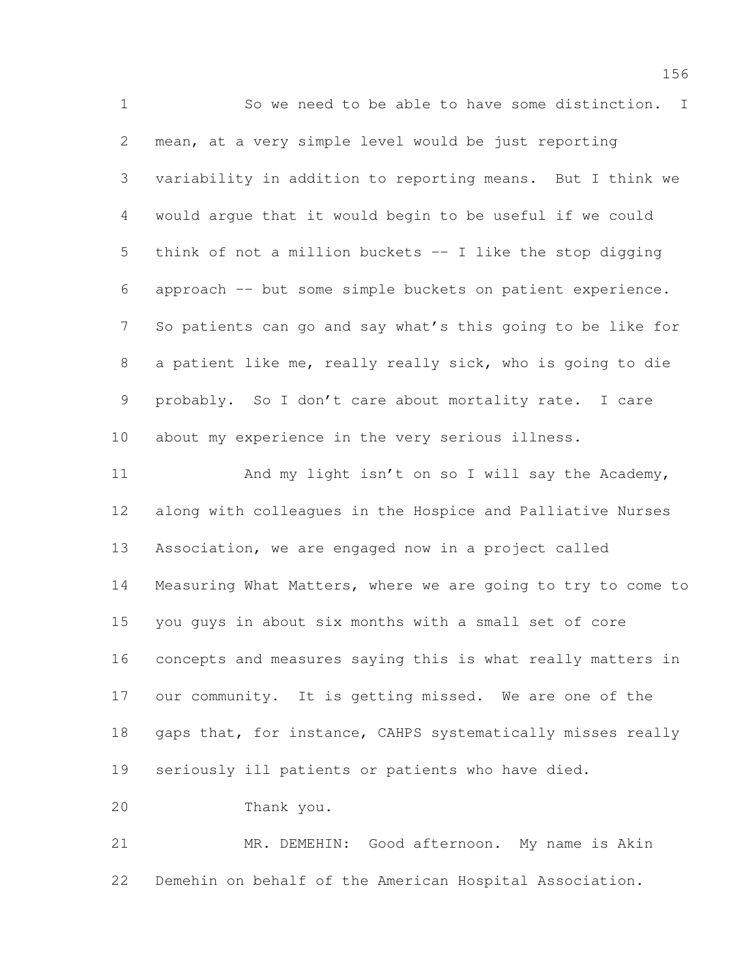So we need to be able to have some distinction. I mean, at a very simple level would be just reporting variability in addition to reporting means. But I think we would argue that it would begin to be useful if we could think of not a million buckets -- I like the stop digging approach -- but some simple buckets on patient experience. So patients can go and say what's this going to be like for a patient like me, really really sick, who is going to die probably. So I don't care about mortality rate. I care about my experience in the very serious illness. 11 And my light isn't on so I will say the Academy, along with colleagues in the Hospice and Palliative Nurses Association, we are engaged now in a project called Measuring What Matters, where we are going to try to come to you guys in about six months with a small set of core concepts and measures saying this is what really matters in our community. It is getting missed. We are one of the 18 gaps that, for instance, CAHPS systematically misses really seriously ill patients or patients who have died. Thank you. MR. DEMEHIN: Good afternoon. My name is Akin Demehin on behalf of the American Hospital Association.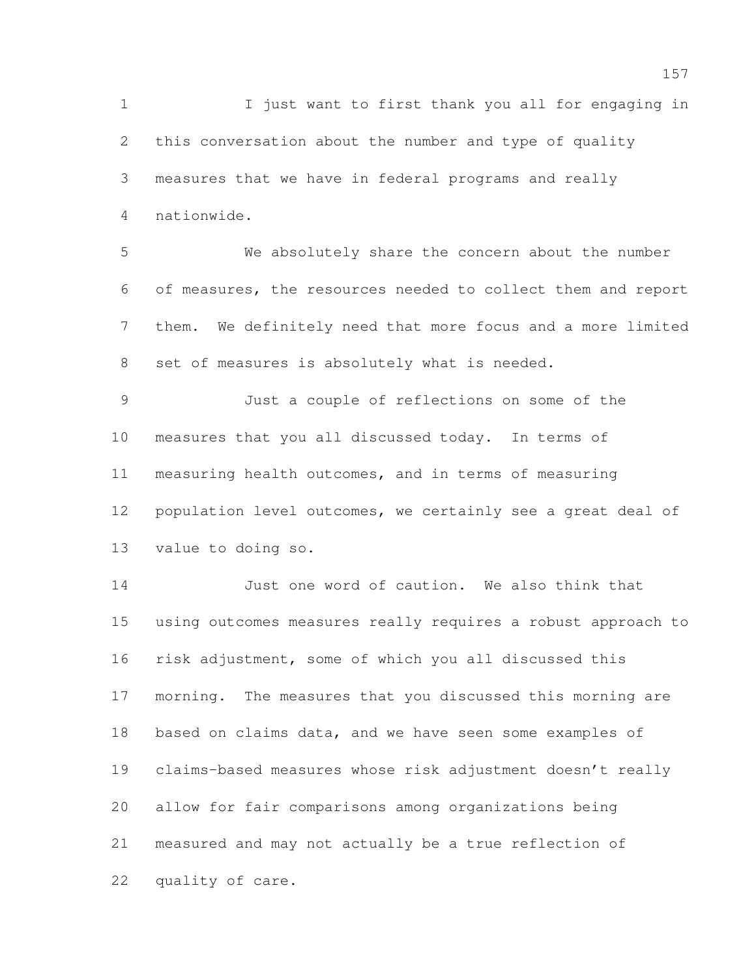I just want to first thank you all for engaging in this conversation about the number and type of quality measures that we have in federal programs and really nationwide.

 We absolutely share the concern about the number of measures, the resources needed to collect them and report them. We definitely need that more focus and a more limited set of measures is absolutely what is needed.

 Just a couple of reflections on some of the measures that you all discussed today. In terms of measuring health outcomes, and in terms of measuring population level outcomes, we certainly see a great deal of value to doing so.

 Just one word of caution. We also think that using outcomes measures really requires a robust approach to risk adjustment, some of which you all discussed this morning. The measures that you discussed this morning are based on claims data, and we have seen some examples of claims-based measures whose risk adjustment doesn't really allow for fair comparisons among organizations being measured and may not actually be a true reflection of quality of care.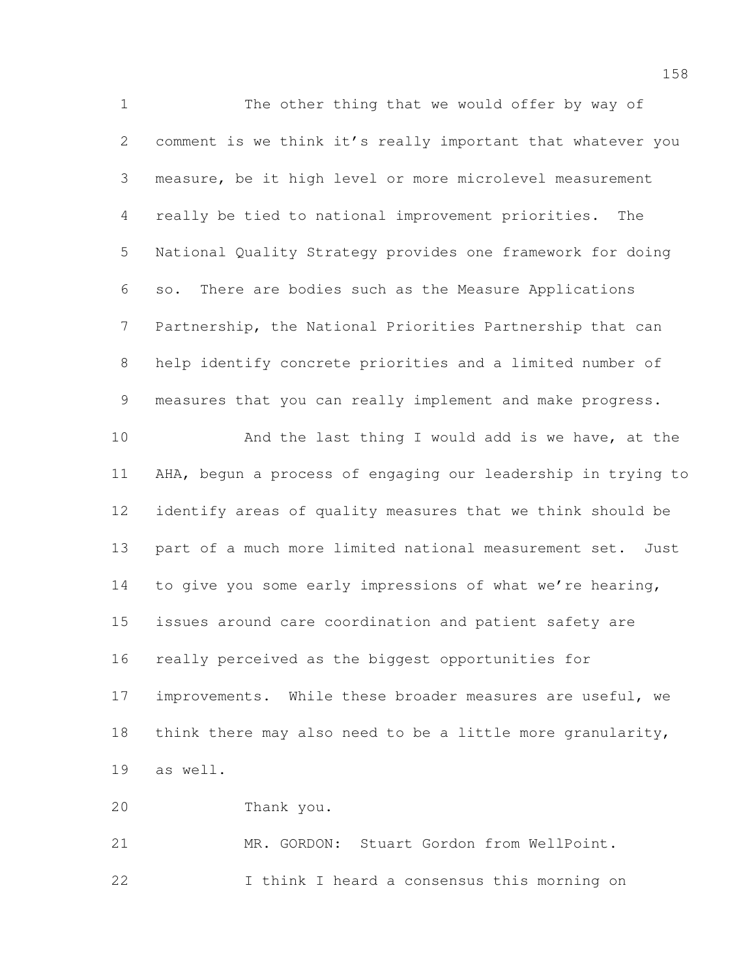The other thing that we would offer by way of comment is we think it's really important that whatever you measure, be it high level or more microlevel measurement really be tied to national improvement priorities. The National Quality Strategy provides one framework for doing so. There are bodies such as the Measure Applications Partnership, the National Priorities Partnership that can help identify concrete priorities and a limited number of measures that you can really implement and make progress. 10 And the last thing I would add is we have, at the AHA, begun a process of engaging our leadership in trying to identify areas of quality measures that we think should be part of a much more limited national measurement set. Just to give you some early impressions of what we're hearing, issues around care coordination and patient safety are really perceived as the biggest opportunities for 17 improvements. While these broader measures are useful, we think there may also need to be a little more granularity, as well. Thank you. MR. GORDON: Stuart Gordon from WellPoint. I think I heard a consensus this morning on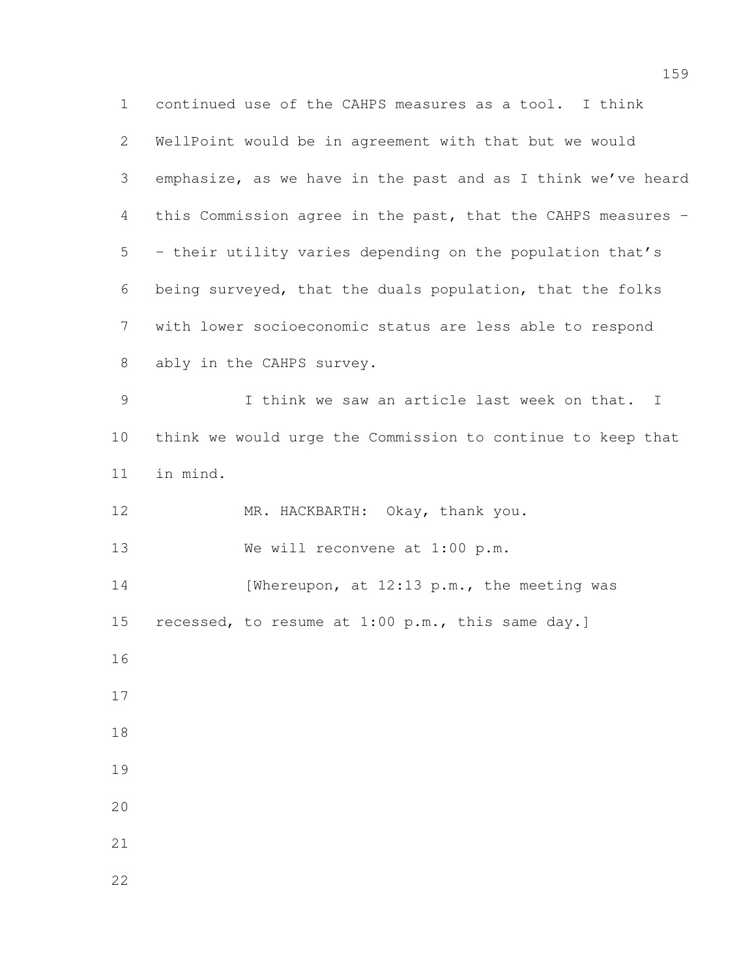continued use of the CAHPS measures as a tool. I think WellPoint would be in agreement with that but we would emphasize, as we have in the past and as I think we've heard this Commission agree in the past, that the CAHPS measures - - their utility varies depending on the population that's being surveyed, that the duals population, that the folks with lower socioeconomic status are less able to respond ably in the CAHPS survey. I think we saw an article last week on that. I think we would urge the Commission to continue to keep that in mind. MR. HACKBARTH: Okay, thank you. 13 We will reconvene at 1:00 p.m. 14 [Whereupon, at 12:13 p.m., the meeting was 15 recessed, to resume at 1:00 p.m., this same day.]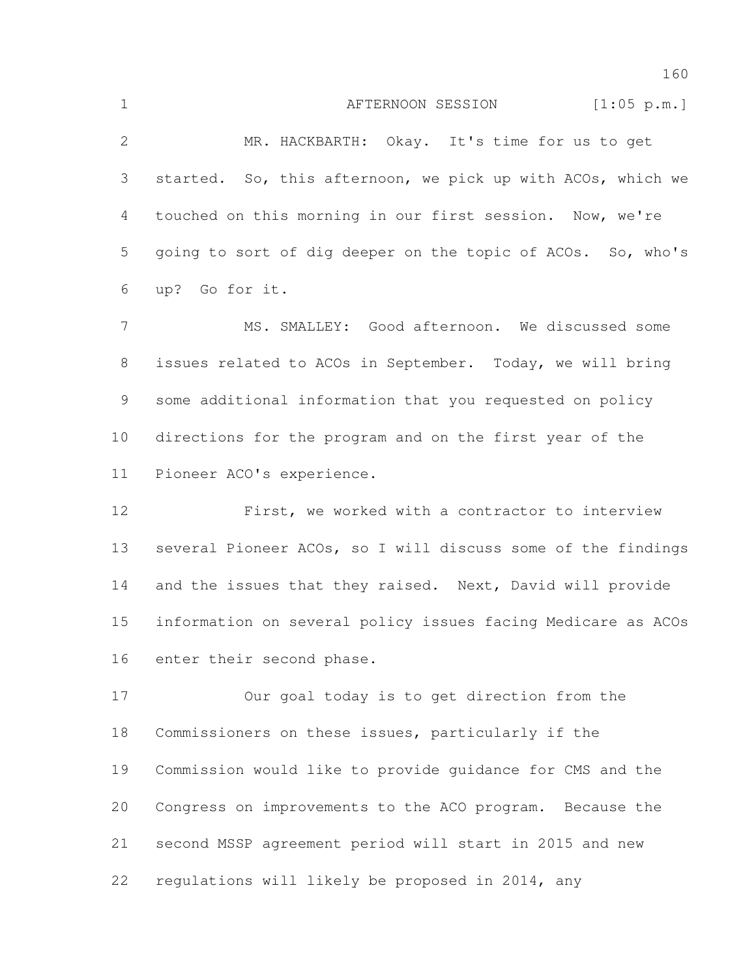|   | AFTERNOON SESSION<br>[1:05 p.m.]                              |
|---|---------------------------------------------------------------|
| 2 | MR. HACKBARTH: Okay. It's time for us to get                  |
|   | 3 started. So, this afternoon, we pick up with ACOs, which we |
| 4 | touched on this morning in our first session. Now, we're      |
| 5 | going to sort of dig deeper on the topic of ACOs. So, who's   |

up? Go for it.

 MS. SMALLEY: Good afternoon. We discussed some issues related to ACOs in September. Today, we will bring some additional information that you requested on policy directions for the program and on the first year of the Pioneer ACO's experience.

 First, we worked with a contractor to interview several Pioneer ACOs, so I will discuss some of the findings 14 and the issues that they raised. Next, David will provide information on several policy issues facing Medicare as ACOs enter their second phase.

 Our goal today is to get direction from the Commissioners on these issues, particularly if the Commission would like to provide guidance for CMS and the Congress on improvements to the ACO program. Because the second MSSP agreement period will start in 2015 and new regulations will likely be proposed in 2014, any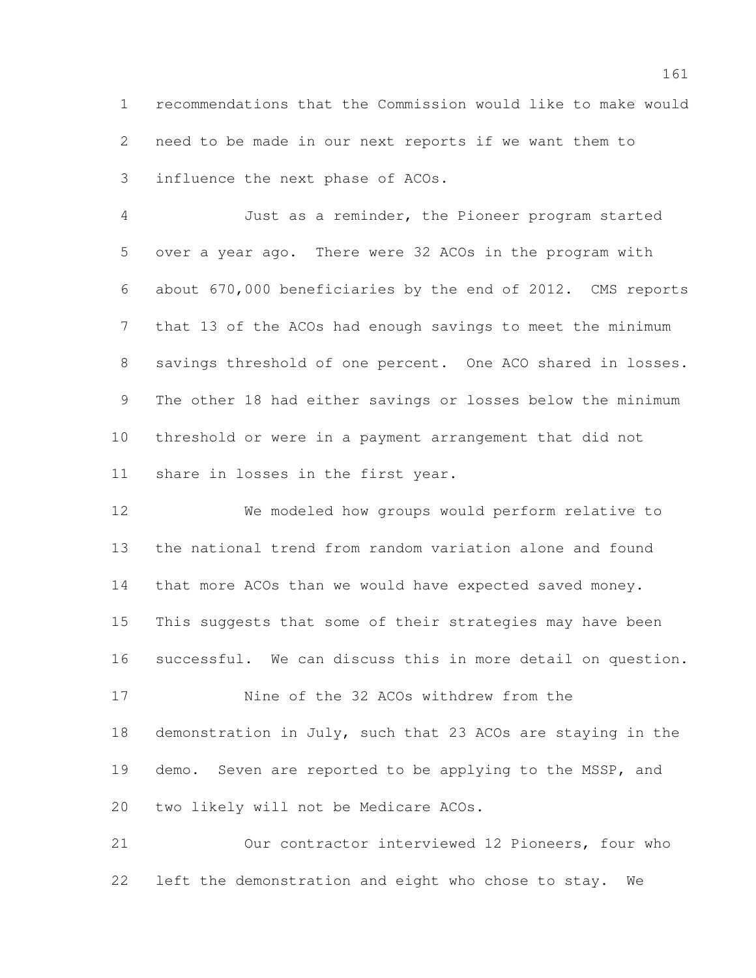recommendations that the Commission would like to make would need to be made in our next reports if we want them to influence the next phase of ACOs.

 Just as a reminder, the Pioneer program started over a year ago. There were 32 ACOs in the program with about 670,000 beneficiaries by the end of 2012. CMS reports that 13 of the ACOs had enough savings to meet the minimum savings threshold of one percent. One ACO shared in losses. The other 18 had either savings or losses below the minimum threshold or were in a payment arrangement that did not share in losses in the first year.

 We modeled how groups would perform relative to the national trend from random variation alone and found that more ACOs than we would have expected saved money. This suggests that some of their strategies may have been successful. We can discuss this in more detail on question.

 Nine of the 32 ACOs withdrew from the demonstration in July, such that 23 ACOs are staying in the demo. Seven are reported to be applying to the MSSP, and two likely will not be Medicare ACOs.

 Our contractor interviewed 12 Pioneers, four who left the demonstration and eight who chose to stay. We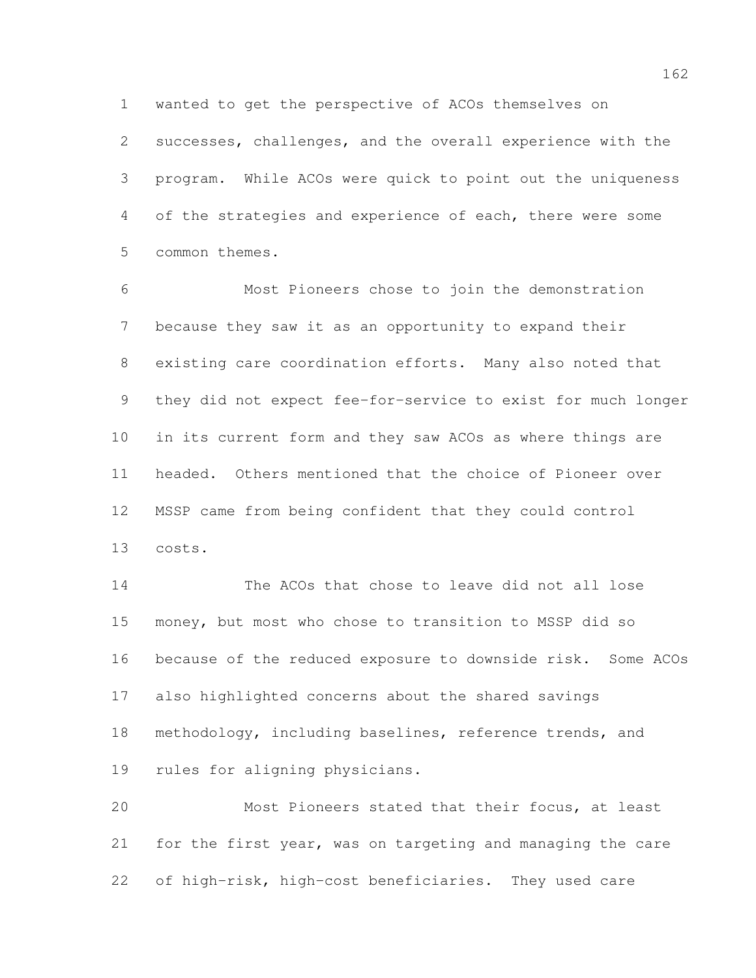wanted to get the perspective of ACOs themselves on

 successes, challenges, and the overall experience with the program. While ACOs were quick to point out the uniqueness of the strategies and experience of each, there were some common themes.

 Most Pioneers chose to join the demonstration because they saw it as an opportunity to expand their existing care coordination efforts. Many also noted that they did not expect fee-for-service to exist for much longer in its current form and they saw ACOs as where things are headed. Others mentioned that the choice of Pioneer over MSSP came from being confident that they could control costs.

 The ACOs that chose to leave did not all lose money, but most who chose to transition to MSSP did so because of the reduced exposure to downside risk. Some ACOs also highlighted concerns about the shared savings methodology, including baselines, reference trends, and rules for aligning physicians.

 Most Pioneers stated that their focus, at least for the first year, was on targeting and managing the care of high-risk, high-cost beneficiaries. They used care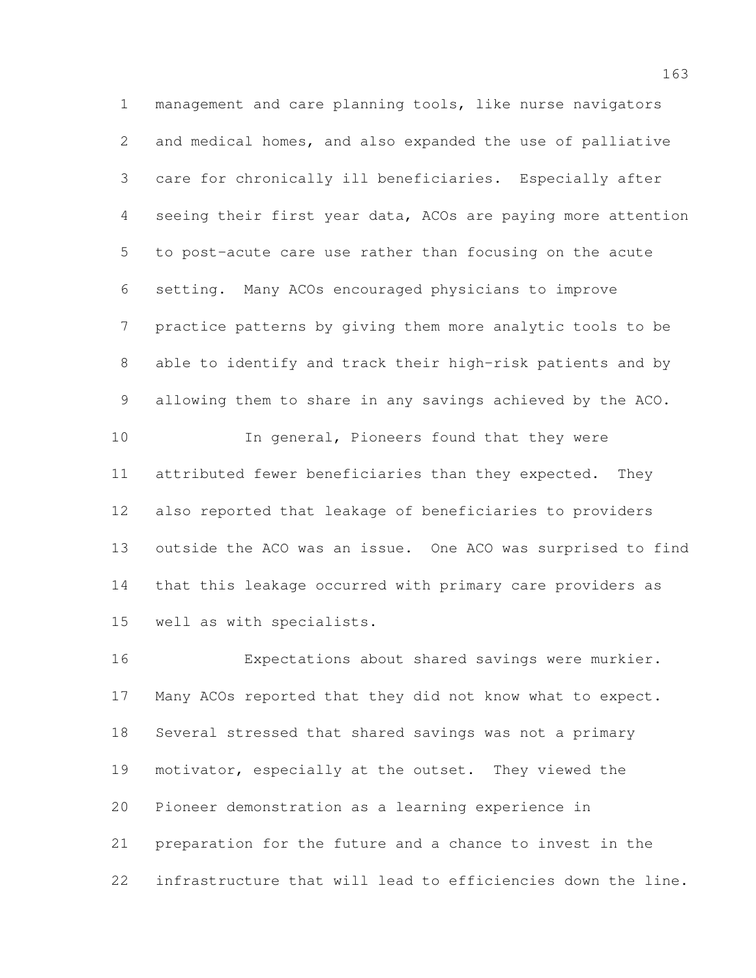management and care planning tools, like nurse navigators and medical homes, and also expanded the use of palliative care for chronically ill beneficiaries. Especially after seeing their first year data, ACOs are paying more attention to post-acute care use rather than focusing on the acute setting. Many ACOs encouraged physicians to improve practice patterns by giving them more analytic tools to be able to identify and track their high-risk patients and by allowing them to share in any savings achieved by the ACO. In general, Pioneers found that they were attributed fewer beneficiaries than they expected. They also reported that leakage of beneficiaries to providers outside the ACO was an issue. One ACO was surprised to find that this leakage occurred with primary care providers as

well as with specialists.

 Expectations about shared savings were murkier. Many ACOs reported that they did not know what to expect. Several stressed that shared savings was not a primary motivator, especially at the outset. They viewed the Pioneer demonstration as a learning experience in preparation for the future and a chance to invest in the infrastructure that will lead to efficiencies down the line.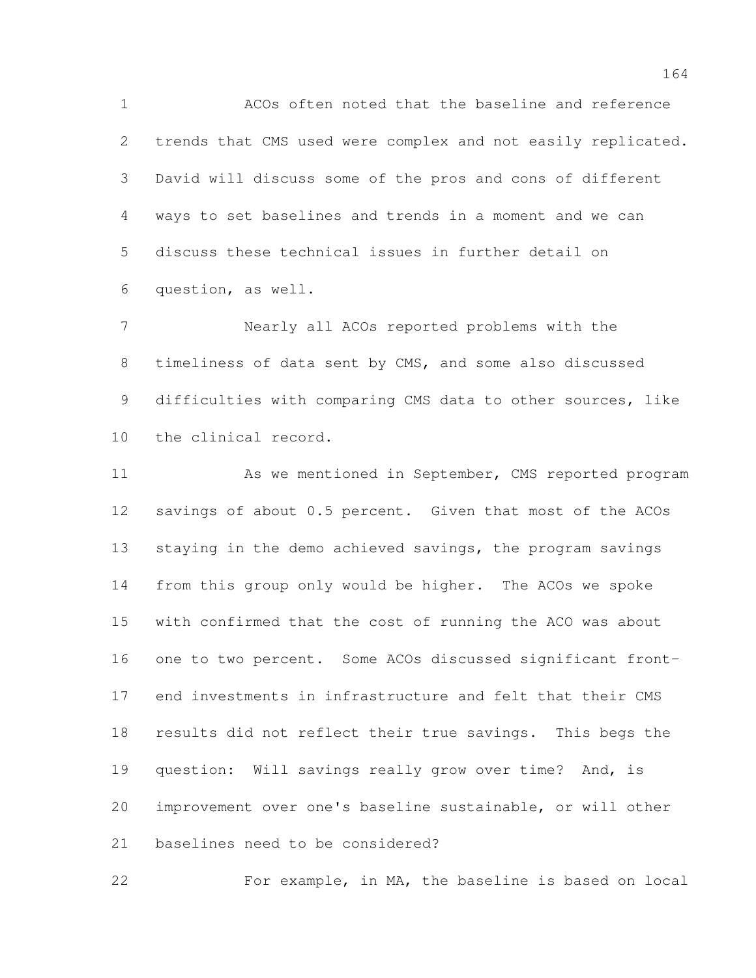ACOs often noted that the baseline and reference trends that CMS used were complex and not easily replicated. David will discuss some of the pros and cons of different ways to set baselines and trends in a moment and we can discuss these technical issues in further detail on question, as well.

 Nearly all ACOs reported problems with the timeliness of data sent by CMS, and some also discussed difficulties with comparing CMS data to other sources, like the clinical record.

 As we mentioned in September, CMS reported program savings of about 0.5 percent. Given that most of the ACOs staying in the demo achieved savings, the program savings from this group only would be higher. The ACOs we spoke with confirmed that the cost of running the ACO was about one to two percent. Some ACOs discussed significant front- end investments in infrastructure and felt that their CMS results did not reflect their true savings. This begs the question: Will savings really grow over time? And, is improvement over one's baseline sustainable, or will other baselines need to be considered?

For example, in MA, the baseline is based on local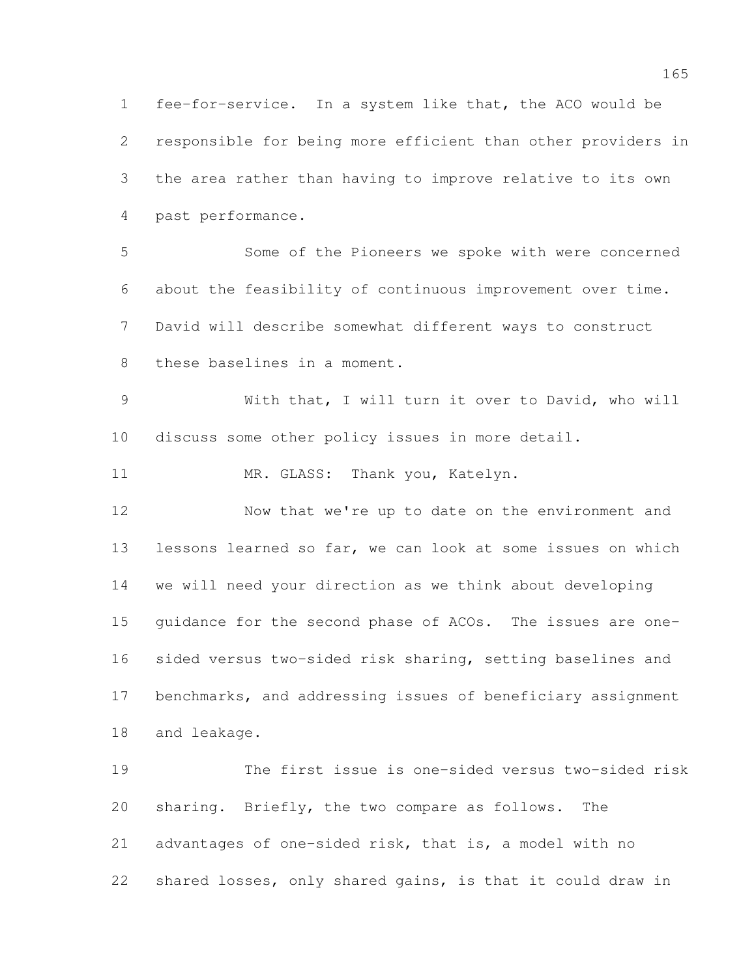fee-for-service. In a system like that, the ACO would be responsible for being more efficient than other providers in the area rather than having to improve relative to its own past performance. Some of the Pioneers we spoke with were concerned about the feasibility of continuous improvement over time. David will describe somewhat different ways to construct these baselines in a moment. With that, I will turn it over to David, who will discuss some other policy issues in more detail. 11 MR. GLASS: Thank you, Katelyn. Now that we're up to date on the environment and lessons learned so far, we can look at some issues on which we will need your direction as we think about developing guidance for the second phase of ACOs. The issues are one- sided versus two-sided risk sharing, setting baselines and benchmarks, and addressing issues of beneficiary assignment and leakage. The first issue is one-sided versus two-sided risk sharing. Briefly, the two compare as follows. The advantages of one-sided risk, that is, a model with no shared losses, only shared gains, is that it could draw in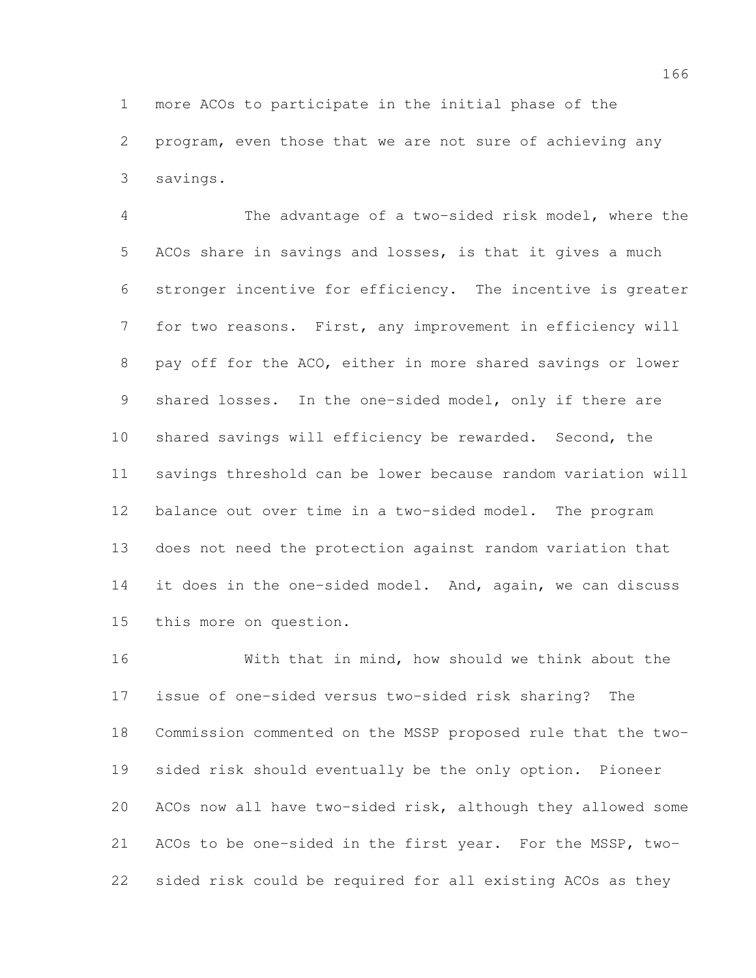more ACOs to participate in the initial phase of the program, even those that we are not sure of achieving any savings.

 The advantage of a two-sided risk model, where the ACOs share in savings and losses, is that it gives a much stronger incentive for efficiency. The incentive is greater for two reasons. First, any improvement in efficiency will pay off for the ACO, either in more shared savings or lower shared losses. In the one-sided model, only if there are shared savings will efficiency be rewarded. Second, the savings threshold can be lower because random variation will balance out over time in a two-sided model. The program does not need the protection against random variation that it does in the one-sided model. And, again, we can discuss this more on question.

 With that in mind, how should we think about the issue of one-sided versus two-sided risk sharing? The Commission commented on the MSSP proposed rule that the two- sided risk should eventually be the only option. Pioneer ACOs now all have two-sided risk, although they allowed some ACOs to be one-sided in the first year. For the MSSP, two-sided risk could be required for all existing ACOs as they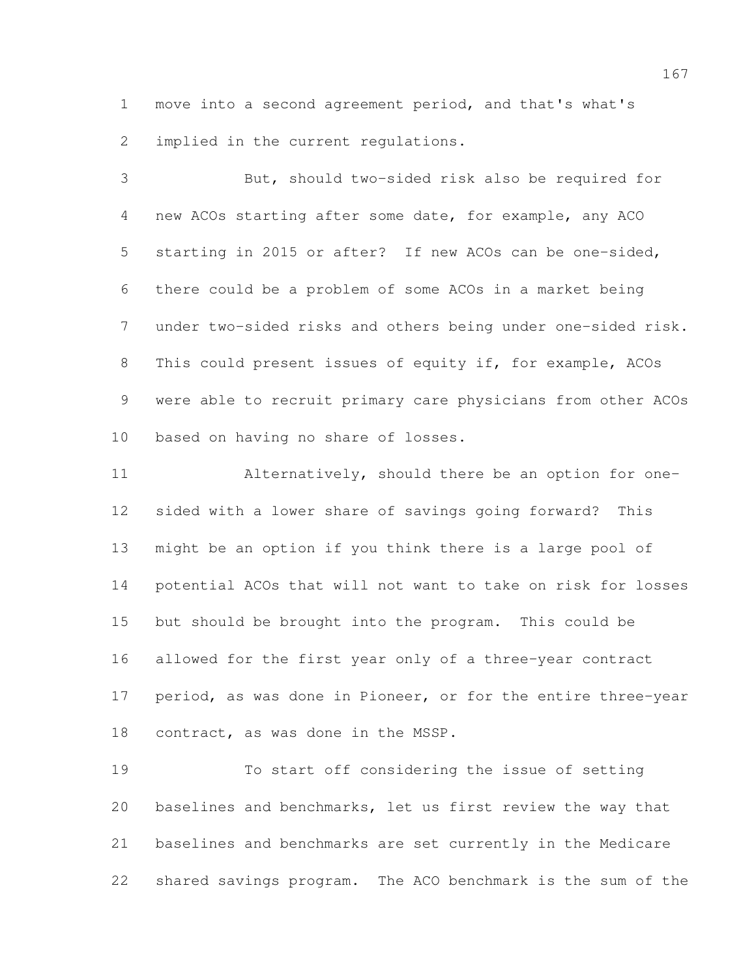move into a second agreement period, and that's what's implied in the current regulations.

 But, should two-sided risk also be required for new ACOs starting after some date, for example, any ACO starting in 2015 or after? If new ACOs can be one-sided, there could be a problem of some ACOs in a market being under two-sided risks and others being under one-sided risk. This could present issues of equity if, for example, ACOs were able to recruit primary care physicians from other ACOs based on having no share of losses.

 Alternatively, should there be an option for one- sided with a lower share of savings going forward? This might be an option if you think there is a large pool of potential ACOs that will not want to take on risk for losses but should be brought into the program. This could be allowed for the first year only of a three-year contract 17 period, as was done in Pioneer, or for the entire three-year contract, as was done in the MSSP.

 To start off considering the issue of setting baselines and benchmarks, let us first review the way that baselines and benchmarks are set currently in the Medicare shared savings program. The ACO benchmark is the sum of the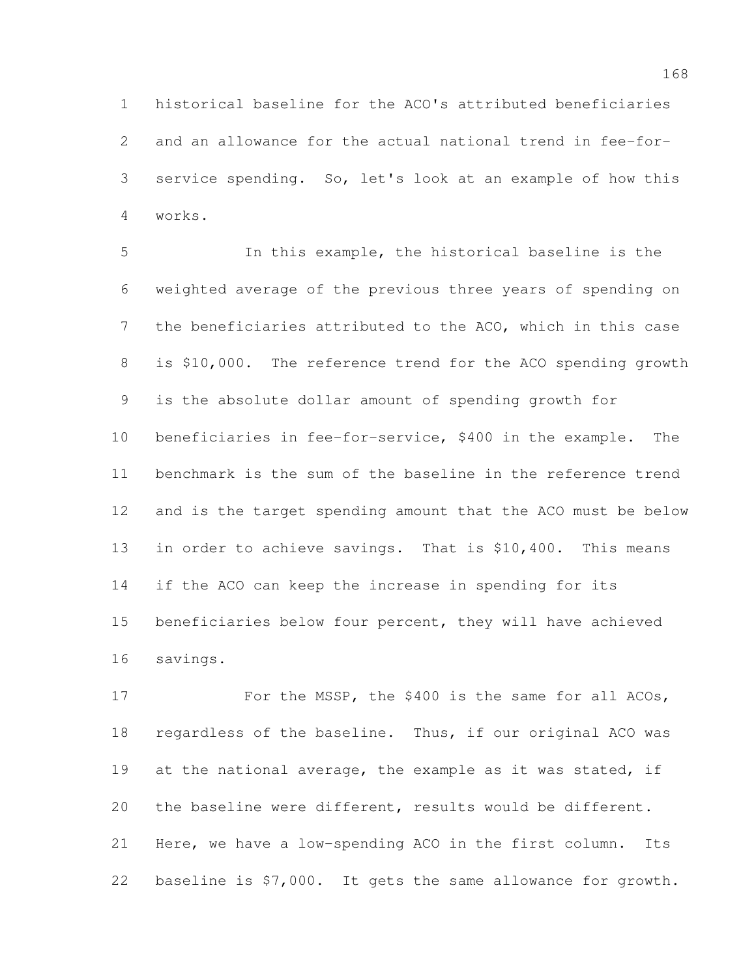historical baseline for the ACO's attributed beneficiaries and an allowance for the actual national trend in fee-for- service spending. So, let's look at an example of how this works.

 In this example, the historical baseline is the weighted average of the previous three years of spending on the beneficiaries attributed to the ACO, which in this case 8 is \$10,000. The reference trend for the ACO spending growth is the absolute dollar amount of spending growth for beneficiaries in fee-for-service, \$400 in the example. The benchmark is the sum of the baseline in the reference trend and is the target spending amount that the ACO must be below 13 in order to achieve savings. That is \$10,400. This means if the ACO can keep the increase in spending for its beneficiaries below four percent, they will have achieved savings.

17 For the MSSP, the \$400 is the same for all ACOs, regardless of the baseline. Thus, if our original ACO was 19 at the national average, the example as it was stated, if the baseline were different, results would be different. Here, we have a low-spending ACO in the first column. Its baseline is \$7,000. It gets the same allowance for growth.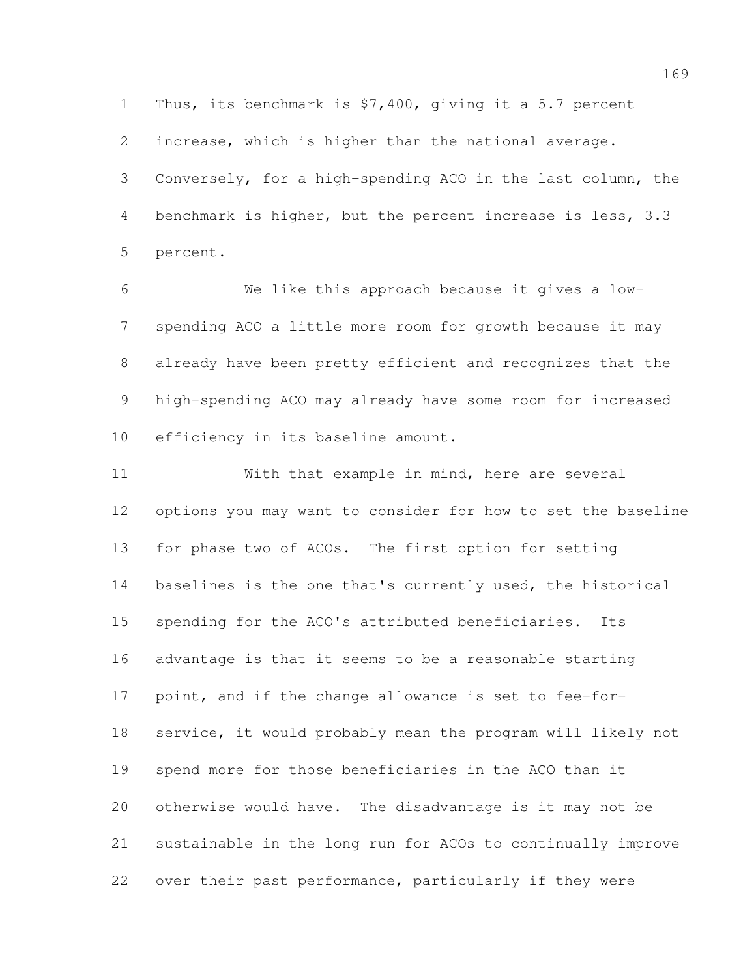Thus, its benchmark is \$7,400, giving it a 5.7 percent

increase, which is higher than the national average.

 Conversely, for a high-spending ACO in the last column, the benchmark is higher, but the percent increase is less, 3.3 percent.

 We like this approach because it gives a low- spending ACO a little more room for growth because it may already have been pretty efficient and recognizes that the high-spending ACO may already have some room for increased efficiency in its baseline amount.

 With that example in mind, here are several options you may want to consider for how to set the baseline for phase two of ACOs. The first option for setting baselines is the one that's currently used, the historical spending for the ACO's attributed beneficiaries. Its advantage is that it seems to be a reasonable starting point, and if the change allowance is set to fee-for- service, it would probably mean the program will likely not spend more for those beneficiaries in the ACO than it otherwise would have. The disadvantage is it may not be sustainable in the long run for ACOs to continually improve over their past performance, particularly if they were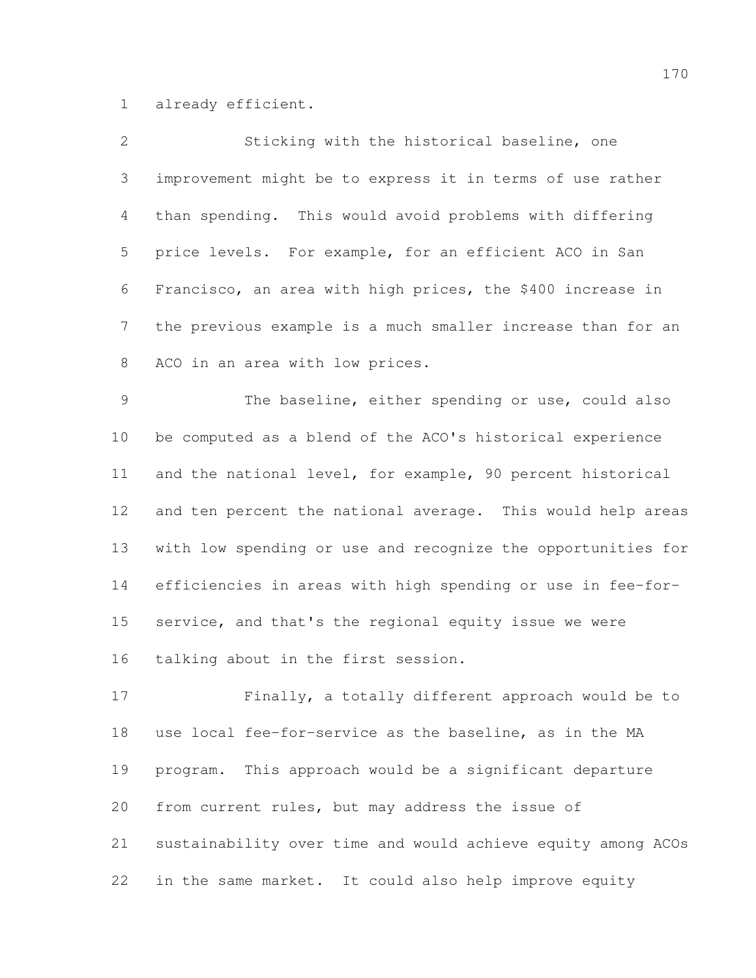already efficient.

| $\overline{2}$  | Sticking with the historical baseline, one                   |
|-----------------|--------------------------------------------------------------|
| 3               | improvement might be to express it in terms of use rather    |
| 4               | than spending. This would avoid problems with differing      |
| 5               | price levels. For example, for an efficient ACO in San       |
| 6               | Francisco, an area with high prices, the \$400 increase in   |
| $7\phantom{.0}$ | the previous example is a much smaller increase than for an  |
| 8               | ACO in an area with low prices.                              |
| $\mathcal{G}$   | The baseline, either spending or use, could also             |
| 10              | be computed as a blend of the ACO's historical experience    |
| 11              | and the national level, for example, 90 percent historical   |
| 12              | and ten percent the national average. This would help areas  |
| 13              | with low spending or use and recognize the opportunities for |
| 14              | efficiencies in areas with high spending or use in fee-for-  |
| 15              | service, and that's the regional equity issue we were        |
| 16              | talking about in the first session.                          |
| 17              | Finally, a totally different approach would be to            |
| 18              | use local fee-for-service as the baseline, as in the MA      |
| 19              | This approach would be a significant departure<br>program.   |

from current rules, but may address the issue of

 sustainability over time and would achieve equity among ACOs in the same market. It could also help improve equity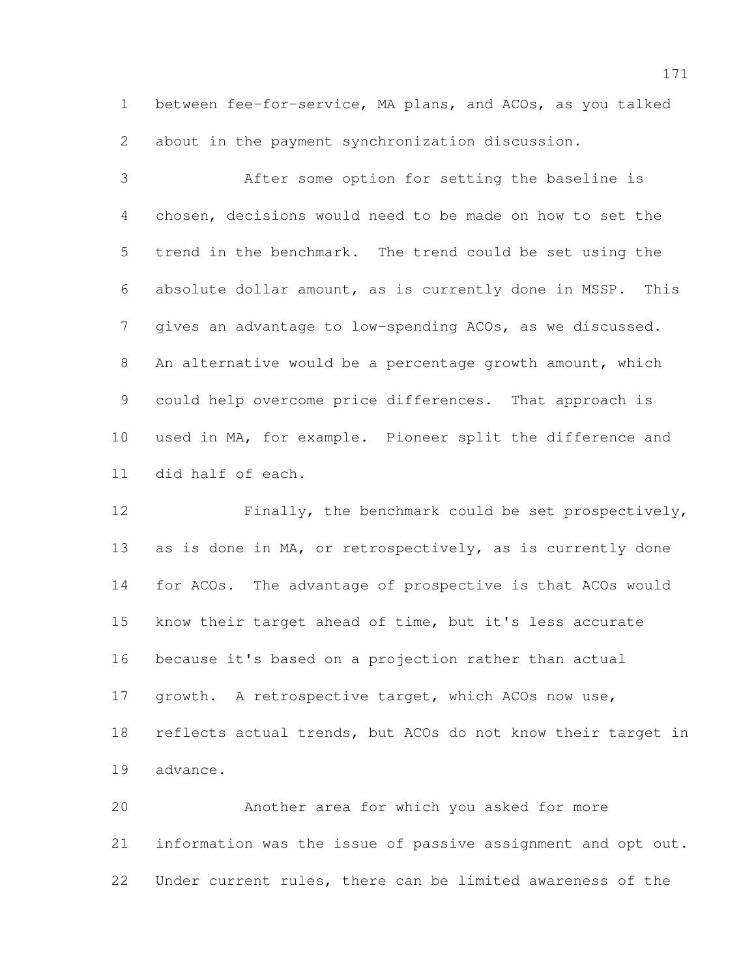between fee-for-service, MA plans, and ACOs, as you talked about in the payment synchronization discussion.

 After some option for setting the baseline is chosen, decisions would need to be made on how to set the trend in the benchmark. The trend could be set using the absolute dollar amount, as is currently done in MSSP. This gives an advantage to low-spending ACOs, as we discussed. An alternative would be a percentage growth amount, which could help overcome price differences. That approach is used in MA, for example. Pioneer split the difference and did half of each.

 Finally, the benchmark could be set prospectively, 13 as is done in MA, or retrospectively, as is currently done for ACOs. The advantage of prospective is that ACOs would know their target ahead of time, but it's less accurate because it's based on a projection rather than actual growth. A retrospective target, which ACOs now use, reflects actual trends, but ACOs do not know their target in advance.

 Another area for which you asked for more information was the issue of passive assignment and opt out. Under current rules, there can be limited awareness of the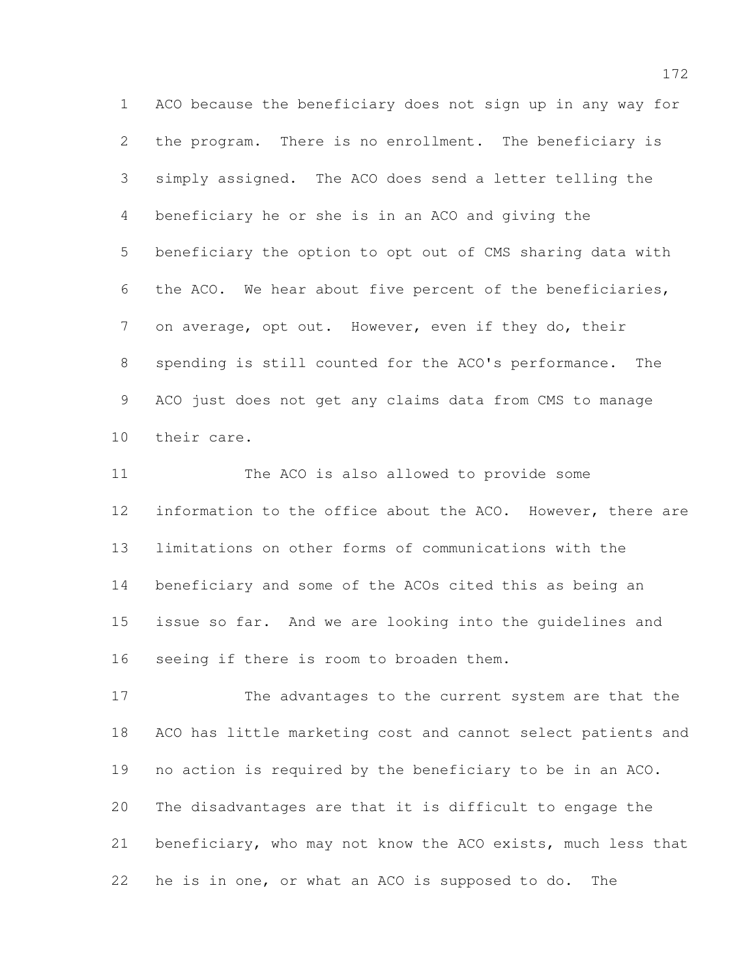ACO because the beneficiary does not sign up in any way for the program. There is no enrollment. The beneficiary is simply assigned. The ACO does send a letter telling the beneficiary he or she is in an ACO and giving the beneficiary the option to opt out of CMS sharing data with the ACO. We hear about five percent of the beneficiaries, on average, opt out. However, even if they do, their spending is still counted for the ACO's performance. The ACO just does not get any claims data from CMS to manage their care.

 The ACO is also allowed to provide some 12 information to the office about the ACO. However, there are limitations on other forms of communications with the beneficiary and some of the ACOs cited this as being an issue so far. And we are looking into the guidelines and seeing if there is room to broaden them.

 The advantages to the current system are that the ACO has little marketing cost and cannot select patients and no action is required by the beneficiary to be in an ACO. The disadvantages are that it is difficult to engage the beneficiary, who may not know the ACO exists, much less that he is in one, or what an ACO is supposed to do. The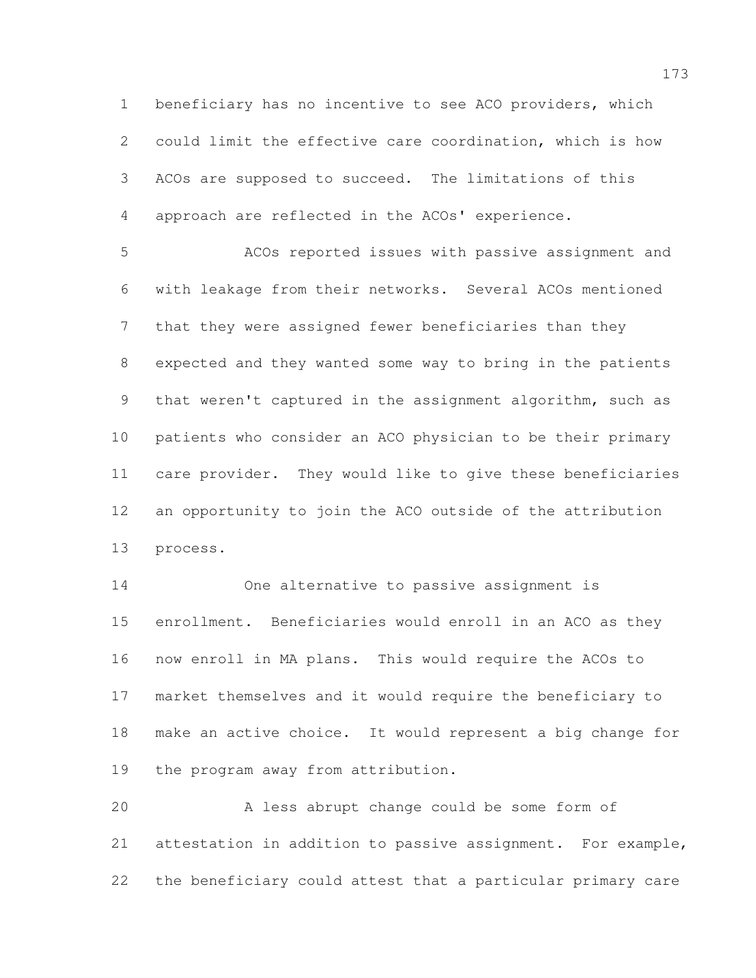beneficiary has no incentive to see ACO providers, which could limit the effective care coordination, which is how ACOs are supposed to succeed. The limitations of this approach are reflected in the ACOs' experience.

 ACOs reported issues with passive assignment and with leakage from their networks. Several ACOs mentioned that they were assigned fewer beneficiaries than they expected and they wanted some way to bring in the patients that weren't captured in the assignment algorithm, such as patients who consider an ACO physician to be their primary care provider. They would like to give these beneficiaries an opportunity to join the ACO outside of the attribution process.

 One alternative to passive assignment is enrollment. Beneficiaries would enroll in an ACO as they now enroll in MA plans. This would require the ACOs to market themselves and it would require the beneficiary to make an active choice. It would represent a big change for the program away from attribution.

 A less abrupt change could be some form of attestation in addition to passive assignment. For example, the beneficiary could attest that a particular primary care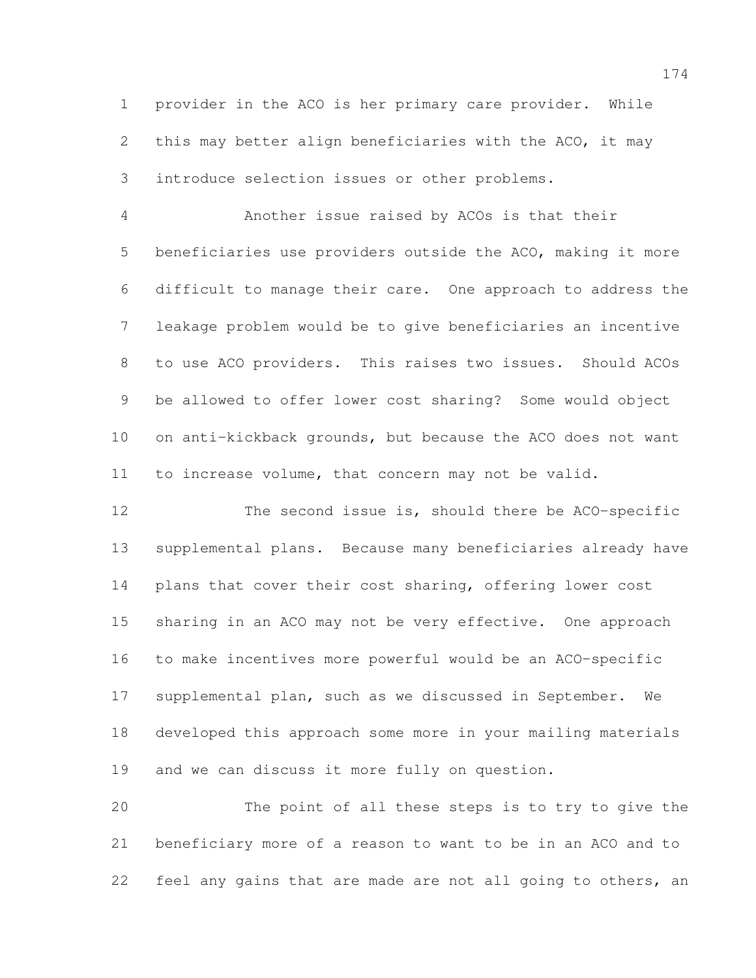provider in the ACO is her primary care provider. While this may better align beneficiaries with the ACO, it may introduce selection issues or other problems.

 Another issue raised by ACOs is that their beneficiaries use providers outside the ACO, making it more difficult to manage their care. One approach to address the leakage problem would be to give beneficiaries an incentive to use ACO providers. This raises two issues. Should ACOs be allowed to offer lower cost sharing? Some would object on anti-kickback grounds, but because the ACO does not want to increase volume, that concern may not be valid.

 The second issue is, should there be ACO-specific supplemental plans. Because many beneficiaries already have plans that cover their cost sharing, offering lower cost sharing in an ACO may not be very effective. One approach to make incentives more powerful would be an ACO-specific supplemental plan, such as we discussed in September. We developed this approach some more in your mailing materials and we can discuss it more fully on question.

 The point of all these steps is to try to give the beneficiary more of a reason to want to be in an ACO and to 22 feel any gains that are made are not all going to others, an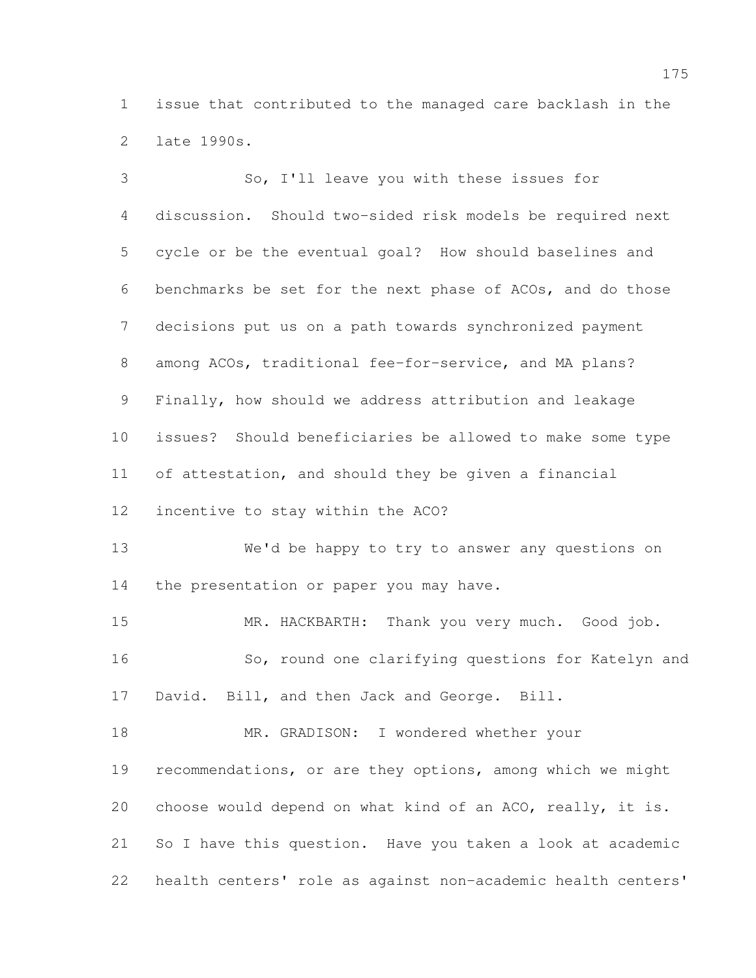issue that contributed to the managed care backlash in the late 1990s.

 So, I'll leave you with these issues for discussion. Should two-sided risk models be required next cycle or be the eventual goal? How should baselines and benchmarks be set for the next phase of ACOs, and do those decisions put us on a path towards synchronized payment among ACOs, traditional fee-for-service, and MA plans? Finally, how should we address attribution and leakage issues? Should beneficiaries be allowed to make some type of attestation, and should they be given a financial incentive to stay within the ACO? We'd be happy to try to answer any questions on 14 the presentation or paper you may have. MR. HACKBARTH: Thank you very much. Good job. So, round one clarifying questions for Katelyn and David. Bill, and then Jack and George. Bill. MR. GRADISON: I wondered whether your recommendations, or are they options, among which we might choose would depend on what kind of an ACO, really, it is. So I have this question. Have you taken a look at academic health centers' role as against non-academic health centers'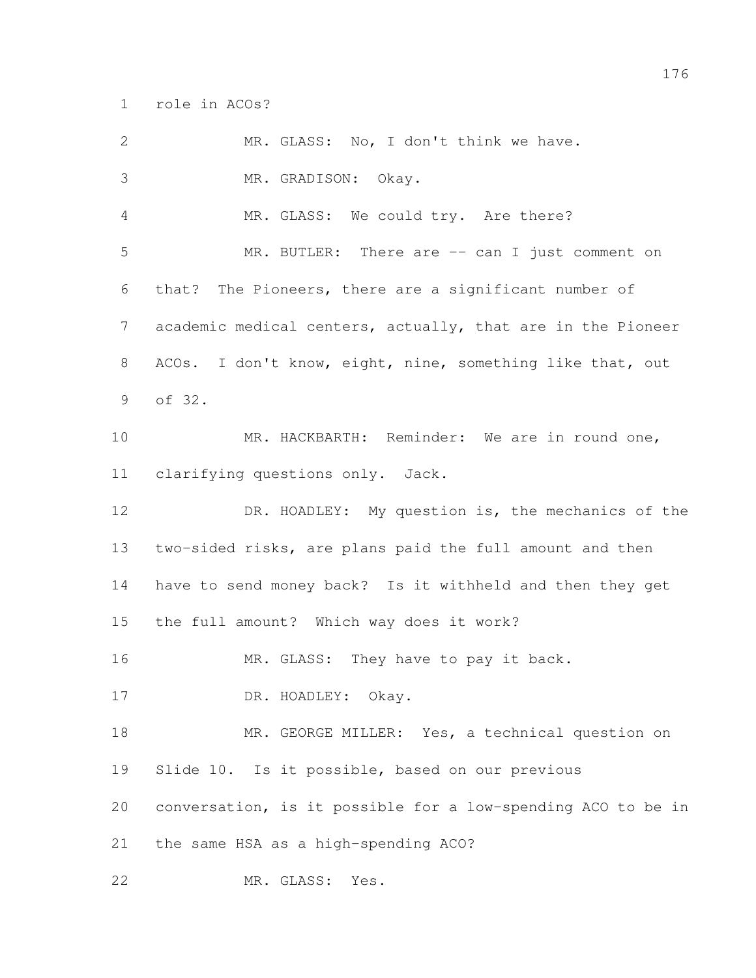role in ACOs?

| $\mathbf{2}$   | MR. GLASS: No, I don't think we have.                        |
|----------------|--------------------------------------------------------------|
| 3              | MR. GRADISON: Okay.                                          |
| 4              | MR. GLASS: We could try. Are there?                          |
| 5              | MR. BUTLER: There are -- can I just comment on               |
| 6              | that? The Pioneers, there are a significant number of        |
| $\overline{7}$ | academic medical centers, actually, that are in the Pioneer  |
| 8              | ACOs. I don't know, eight, nine, something like that, out    |
| 9              | of 32.                                                       |
| 10             | MR. HACKBARTH: Reminder: We are in round one,                |
| 11             | clarifying questions only. Jack.                             |
| 12             | DR. HOADLEY: My question is, the mechanics of the            |
| 13             | two-sided risks, are plans paid the full amount and then     |
| 14             | have to send money back? Is it withheld and then they get    |
| 15             | the full amount? Which way does it work?                     |
| 16             | MR. GLASS: They have to pay it back.                         |
| 17             | DR. HOADLEY: Okay.                                           |
| 18             | MR. GEORGE MILLER: Yes, a technical question on              |
| 19             | Slide 10. Is it possible, based on our previous              |
| 20             | conversation, is it possible for a low-spending ACO to be in |
| 21             | the same HSA as a high-spending ACO?                         |
| 22             | MR. GLASS:<br>Yes.                                           |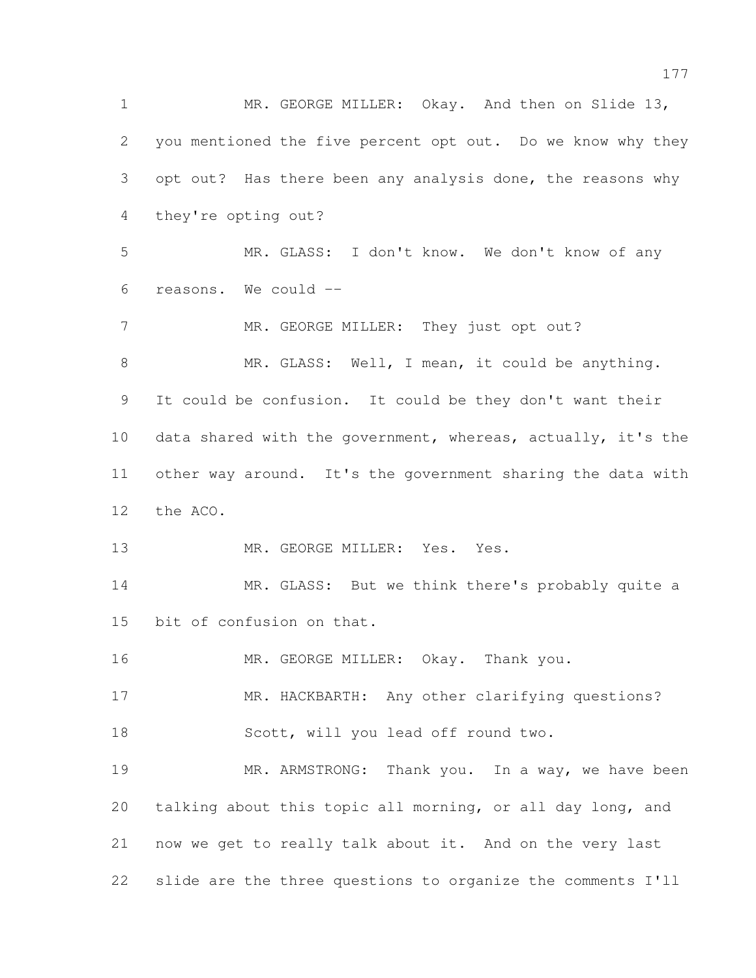1 MR. GEORGE MILLER: Okay. And then on Slide 13, you mentioned the five percent opt out. Do we know why they opt out? Has there been any analysis done, the reasons why they're opting out? MR. GLASS: I don't know. We don't know of any reasons. We could -- 7 MR. GEORGE MILLER: They just opt out? 8 MR. GLASS: Well, I mean, it could be anything. It could be confusion. It could be they don't want their data shared with the government, whereas, actually, it's the other way around. It's the government sharing the data with the ACO. 13 MR. GEORGE MILLER: Yes. Yes. 14 MR. GLASS: But we think there's probably quite a bit of confusion on that. 16 MR. GEORGE MILLER: Okay. Thank you. 17 MR. HACKBARTH: Any other clarifying questions? 18 Scott, will you lead off round two. 19 MR. ARMSTRONG: Thank you. In a way, we have been talking about this topic all morning, or all day long, and now we get to really talk about it. And on the very last slide are the three questions to organize the comments I'll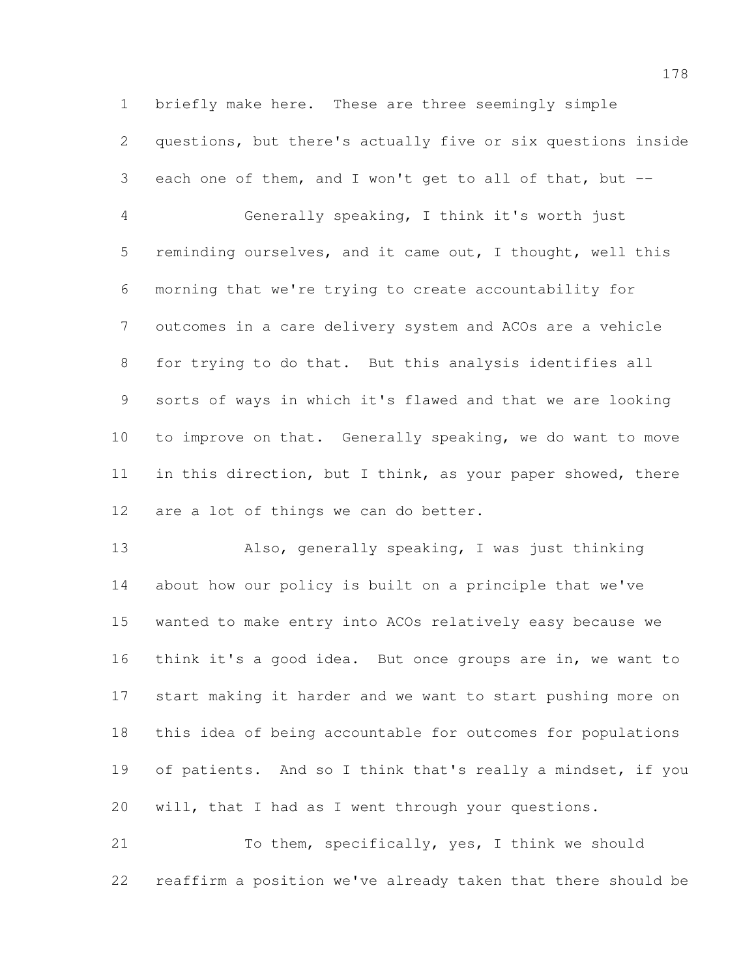briefly make here. These are three seemingly simple questions, but there's actually five or six questions inside each one of them, and I won't get to all of that, but -- Generally speaking, I think it's worth just reminding ourselves, and it came out, I thought, well this morning that we're trying to create accountability for outcomes in a care delivery system and ACOs are a vehicle for trying to do that. But this analysis identifies all sorts of ways in which it's flawed and that we are looking to improve on that. Generally speaking, we do want to move 11 in this direction, but I think, as your paper showed, there are a lot of things we can do better.

 Also, generally speaking, I was just thinking about how our policy is built on a principle that we've wanted to make entry into ACOs relatively easy because we think it's a good idea. But once groups are in, we want to start making it harder and we want to start pushing more on this idea of being accountable for outcomes for populations 19 of patients. And so I think that's really a mindset, if you will, that I had as I went through your questions.

 To them, specifically, yes, I think we should reaffirm a position we've already taken that there should be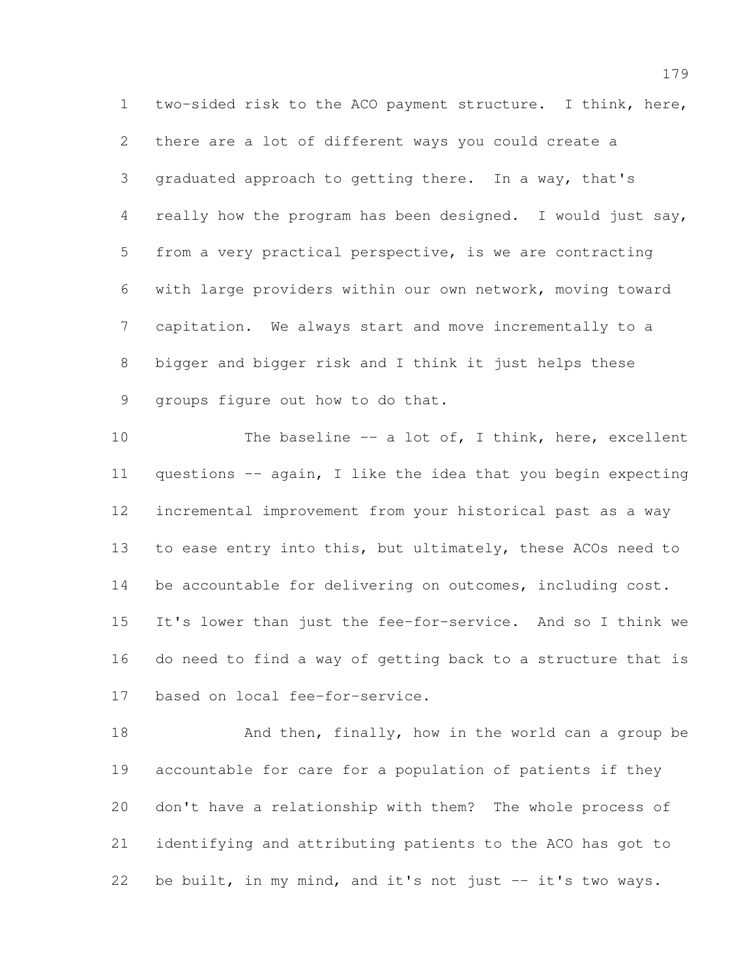two-sided risk to the ACO payment structure. I think, here, there are a lot of different ways you could create a graduated approach to getting there. In a way, that's really how the program has been designed. I would just say, from a very practical perspective, is we are contracting with large providers within our own network, moving toward capitation. We always start and move incrementally to a bigger and bigger risk and I think it just helps these groups figure out how to do that.

10 The baseline -- a lot of, I think, here, excellent questions -- again, I like the idea that you begin expecting incremental improvement from your historical past as a way 13 to ease entry into this, but ultimately, these ACOs need to 14 be accountable for delivering on outcomes, including cost. It's lower than just the fee-for-service. And so I think we do need to find a way of getting back to a structure that is based on local fee-for-service.

18 And then, finally, how in the world can a group be accountable for care for a population of patients if they don't have a relationship with them? The whole process of identifying and attributing patients to the ACO has got to be built, in my mind, and it's not just -- it's two ways.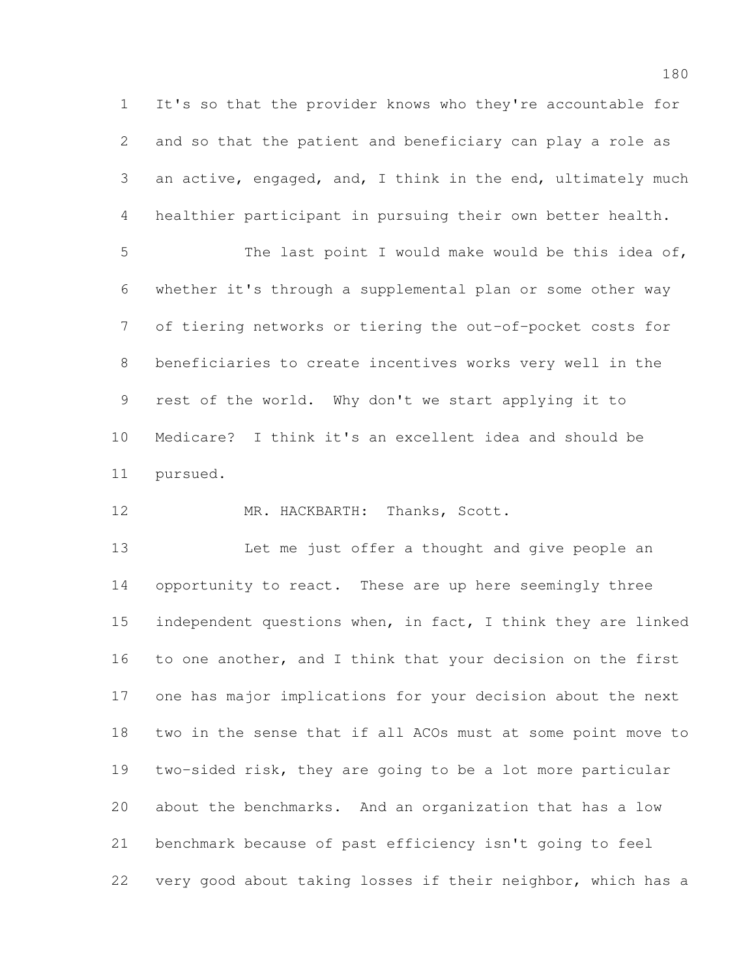It's so that the provider knows who they're accountable for and so that the patient and beneficiary can play a role as an active, engaged, and, I think in the end, ultimately much healthier participant in pursuing their own better health.

 The last point I would make would be this idea of, whether it's through a supplemental plan or some other way of tiering networks or tiering the out-of-pocket costs for beneficiaries to create incentives works very well in the rest of the world. Why don't we start applying it to Medicare? I think it's an excellent idea and should be pursued.

12 MR. HACKBARTH: Thanks, Scott.

 Let me just offer a thought and give people an 14 opportunity to react. These are up here seemingly three independent questions when, in fact, I think they are linked to one another, and I think that your decision on the first one has major implications for your decision about the next two in the sense that if all ACOs must at some point move to two-sided risk, they are going to be a lot more particular about the benchmarks. And an organization that has a low benchmark because of past efficiency isn't going to feel very good about taking losses if their neighbor, which has a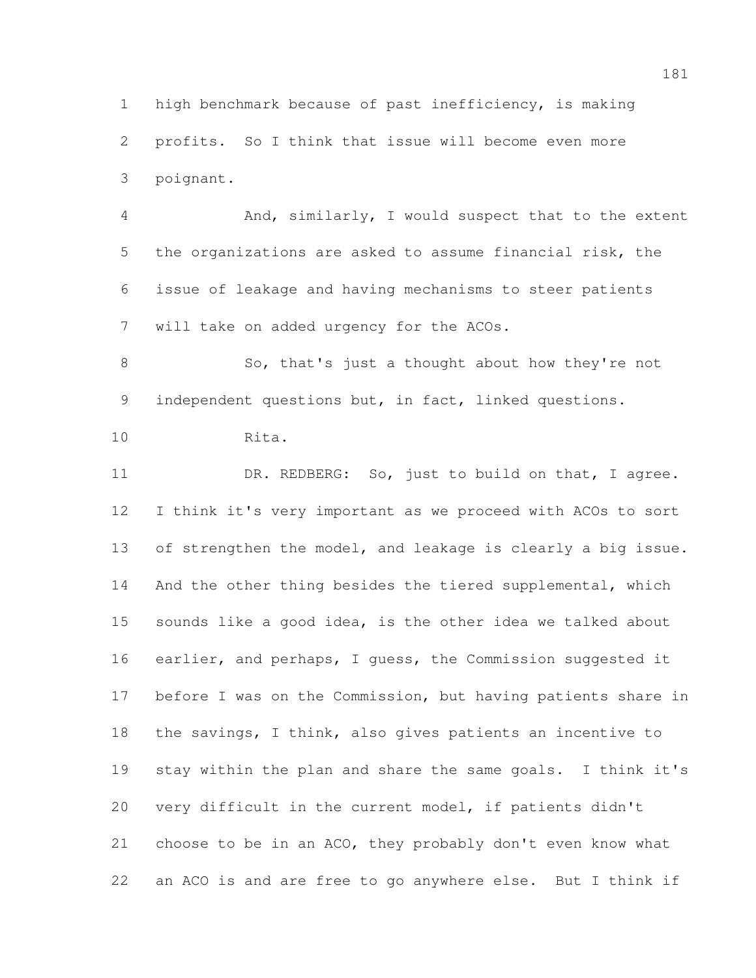high benchmark because of past inefficiency, is making profits. So I think that issue will become even more poignant.

 And, similarly, I would suspect that to the extent the organizations are asked to assume financial risk, the issue of leakage and having mechanisms to steer patients will take on added urgency for the ACOs.

 So, that's just a thought about how they're not 9 independent questions but, in fact, linked questions.

Rita.

 DR. REDBERG: So, just to build on that, I agree. I think it's very important as we proceed with ACOs to sort of strengthen the model, and leakage is clearly a big issue. 14 And the other thing besides the tiered supplemental, which sounds like a good idea, is the other idea we talked about 16 earlier, and perhaps, I quess, the Commission suggested it before I was on the Commission, but having patients share in the savings, I think, also gives patients an incentive to stay within the plan and share the same goals. I think it's very difficult in the current model, if patients didn't choose to be in an ACO, they probably don't even know what an ACO is and are free to go anywhere else. But I think if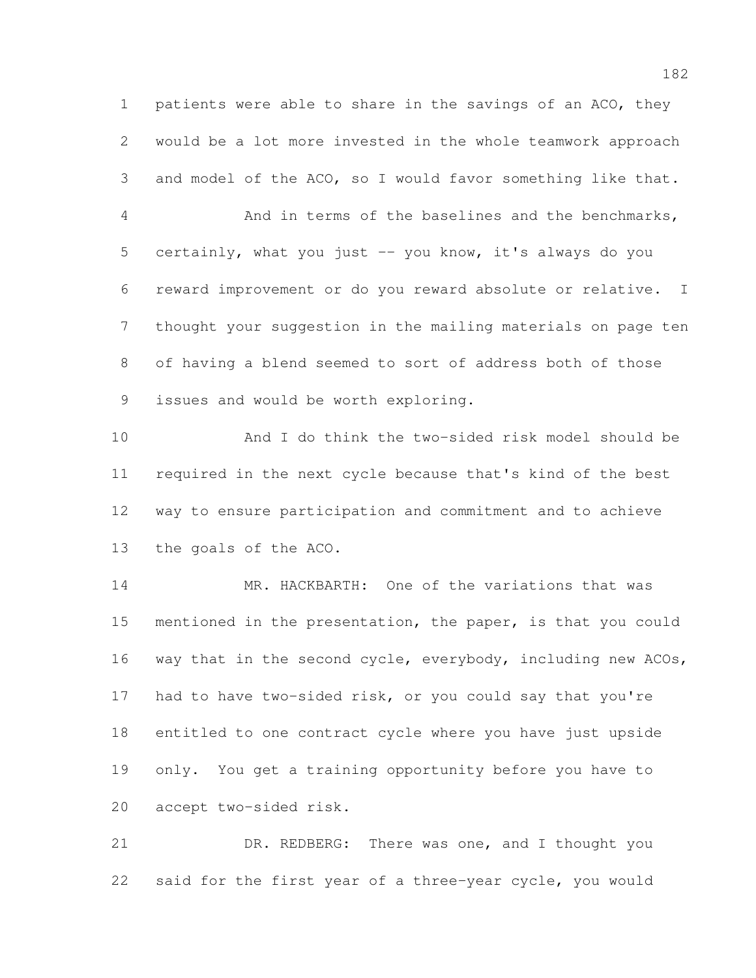patients were able to share in the savings of an ACO, they would be a lot more invested in the whole teamwork approach and model of the ACO, so I would favor something like that.

 And in terms of the baselines and the benchmarks, certainly, what you just -- you know, it's always do you reward improvement or do you reward absolute or relative. I thought your suggestion in the mailing materials on page ten of having a blend seemed to sort of address both of those issues and would be worth exploring.

 And I do think the two-sided risk model should be required in the next cycle because that's kind of the best way to ensure participation and commitment and to achieve the goals of the ACO.

 MR. HACKBARTH: One of the variations that was mentioned in the presentation, the paper, is that you could 16 way that in the second cycle, everybody, including new ACOs, had to have two-sided risk, or you could say that you're entitled to one contract cycle where you have just upside only. You get a training opportunity before you have to accept two-sided risk.

 DR. REDBERG: There was one, and I thought you said for the first year of a three-year cycle, you would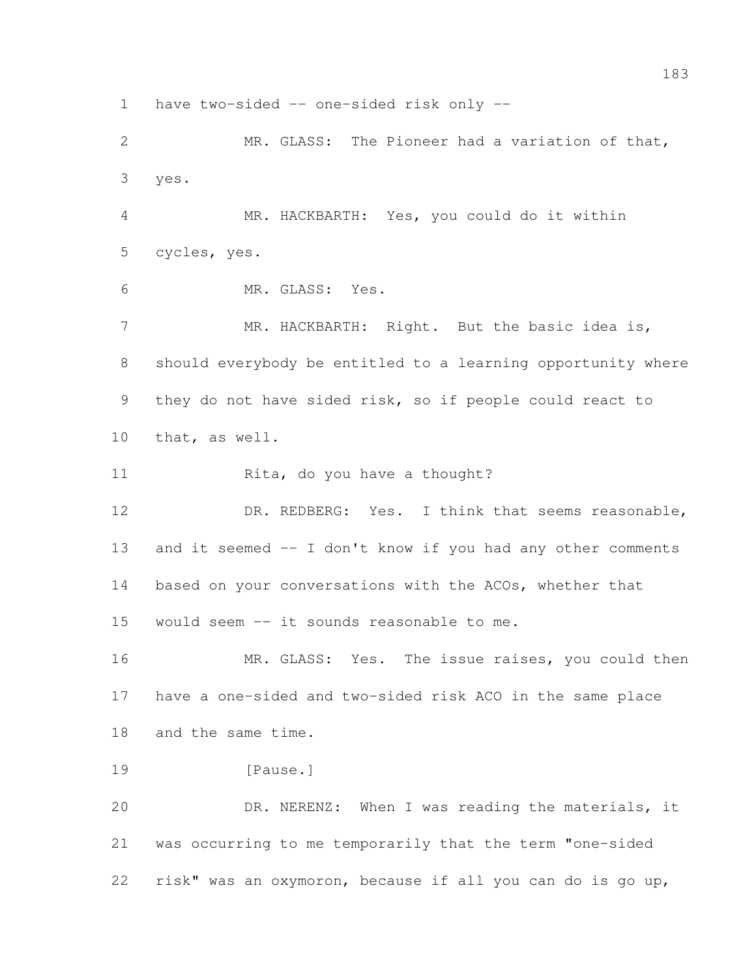have two-sided -- one-sided risk only --

 MR. GLASS: The Pioneer had a variation of that, yes.

 MR. HACKBARTH: Yes, you could do it within cycles, yes.

MR. GLASS: Yes.

7 MR. HACKBARTH: Right. But the basic idea is, should everybody be entitled to a learning opportunity where they do not have sided risk, so if people could react to that, as well.

11 Rita, do you have a thought?

12 DR. REDBERG: Yes. I think that seems reasonable, and it seemed -- I don't know if you had any other comments based on your conversations with the ACOs, whether that would seem -- it sounds reasonable to me.

16 MR. GLASS: Yes. The issue raises, you could then have a one-sided and two-sided risk ACO in the same place and the same time.

19 [Pause.]

 DR. NERENZ: When I was reading the materials, it was occurring to me temporarily that the term "one-sided risk" was an oxymoron, because if all you can do is go up,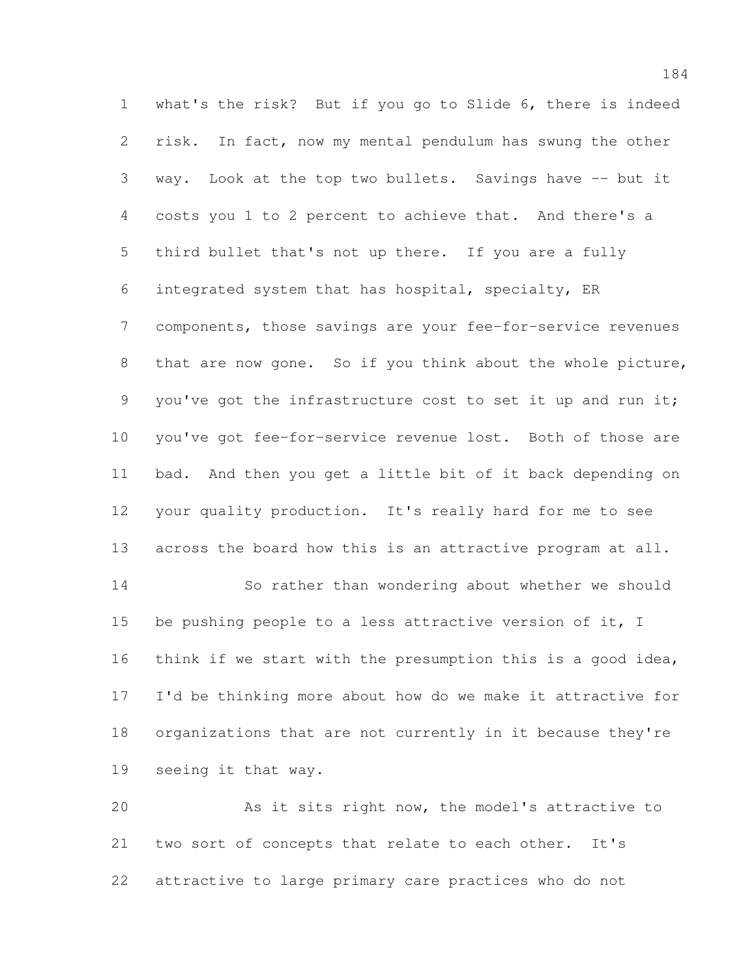what's the risk? But if you go to Slide 6, there is indeed risk. In fact, now my mental pendulum has swung the other way. Look at the top two bullets. Savings have -- but it costs you 1 to 2 percent to achieve that. And there's a third bullet that's not up there. If you are a fully integrated system that has hospital, specialty, ER components, those savings are your fee-for-service revenues 8 that are now gone. So if you think about the whole picture, 9 you've got the infrastructure cost to set it up and run it; you've got fee-for-service revenue lost. Both of those are bad. And then you get a little bit of it back depending on your quality production. It's really hard for me to see across the board how this is an attractive program at all. So rather than wondering about whether we should be pushing people to a less attractive version of it, I think if we start with the presumption this is a good idea, I'd be thinking more about how do we make it attractive for organizations that are not currently in it because they're seeing it that way.

 As it sits right now, the model's attractive to two sort of concepts that relate to each other. It's attractive to large primary care practices who do not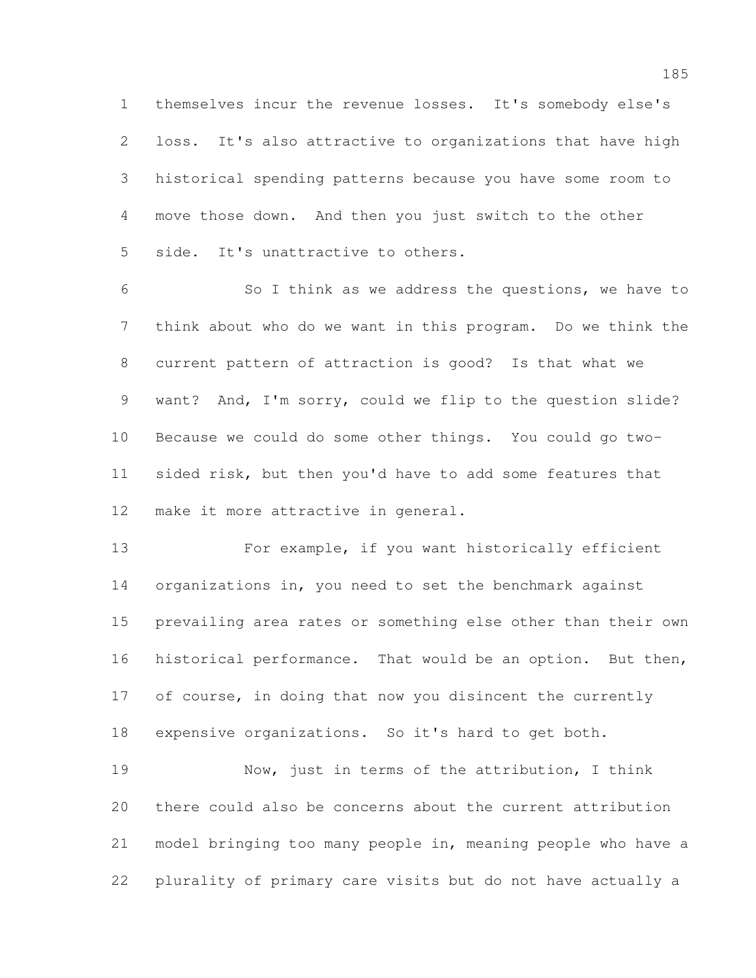themselves incur the revenue losses. It's somebody else's loss. It's also attractive to organizations that have high historical spending patterns because you have some room to move those down. And then you just switch to the other side. It's unattractive to others.

 So I think as we address the questions, we have to think about who do we want in this program. Do we think the current pattern of attraction is good? Is that what we want? And, I'm sorry, could we flip to the question slide? Because we could do some other things. You could go two- sided risk, but then you'd have to add some features that make it more attractive in general.

 For example, if you want historically efficient organizations in, you need to set the benchmark against prevailing area rates or something else other than their own historical performance. That would be an option. But then, 17 of course, in doing that now you disincent the currently expensive organizations. So it's hard to get both.

 Now, just in terms of the attribution, I think there could also be concerns about the current attribution model bringing too many people in, meaning people who have a plurality of primary care visits but do not have actually a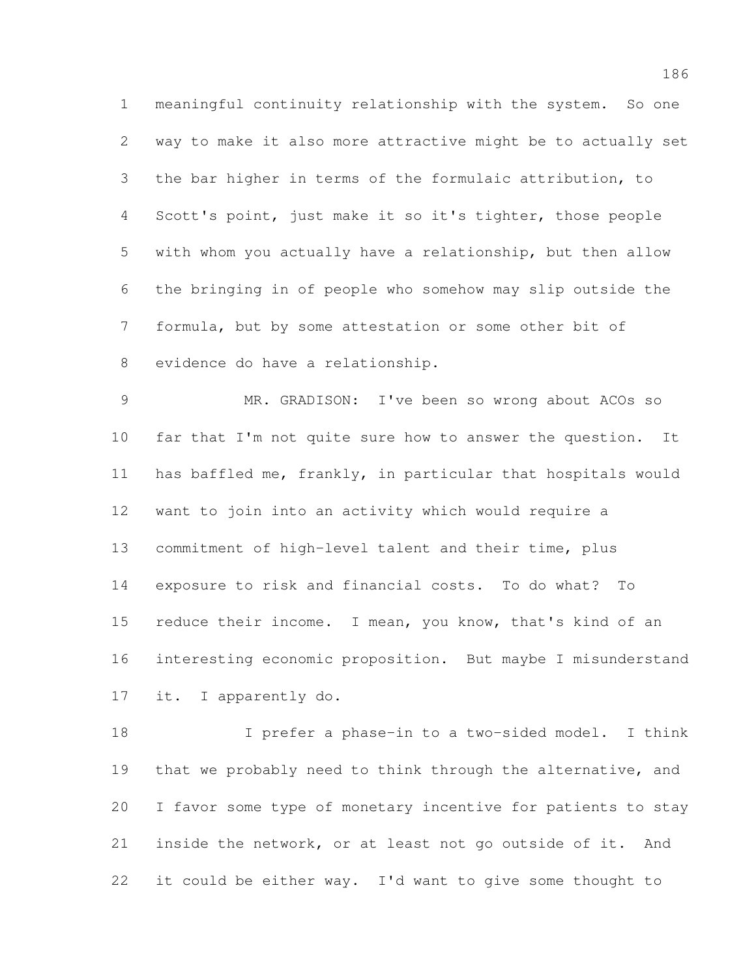meaningful continuity relationship with the system. So one way to make it also more attractive might be to actually set the bar higher in terms of the formulaic attribution, to Scott's point, just make it so it's tighter, those people with whom you actually have a relationship, but then allow the bringing in of people who somehow may slip outside the formula, but by some attestation or some other bit of evidence do have a relationship.

 MR. GRADISON: I've been so wrong about ACOs so far that I'm not quite sure how to answer the question. It has baffled me, frankly, in particular that hospitals would want to join into an activity which would require a commitment of high-level talent and their time, plus exposure to risk and financial costs. To do what? To 15 reduce their income. I mean, you know, that's kind of an interesting economic proposition. But maybe I misunderstand it. I apparently do.

 I prefer a phase-in to a two-sided model. I think that we probably need to think through the alternative, and I favor some type of monetary incentive for patients to stay inside the network, or at least not go outside of it. And it could be either way. I'd want to give some thought to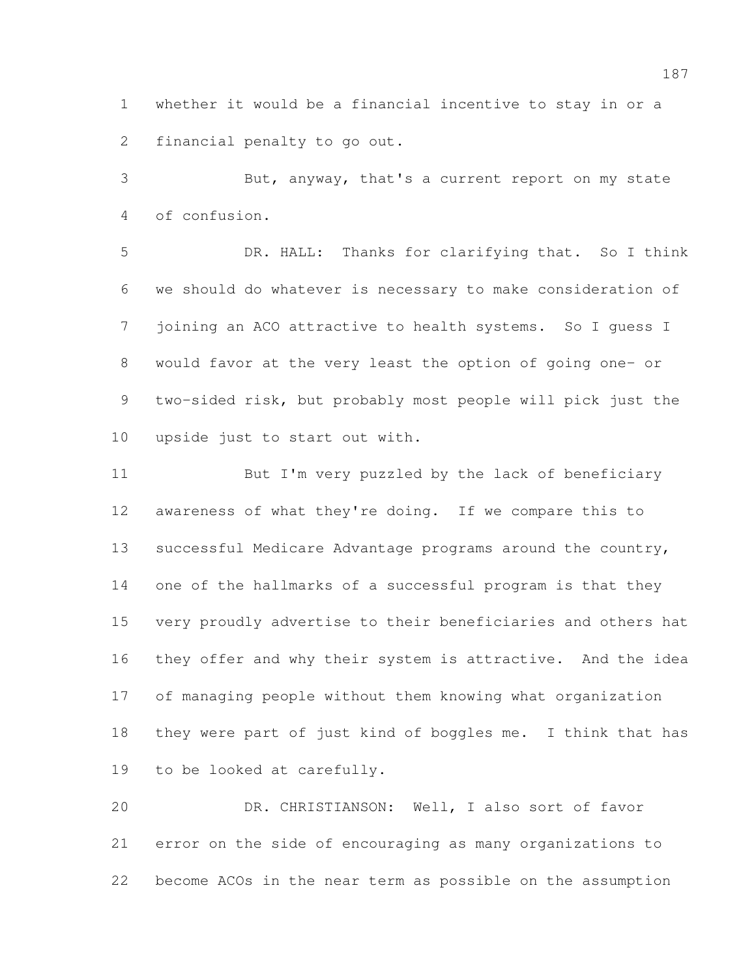whether it would be a financial incentive to stay in or a financial penalty to go out.

 But, anyway, that's a current report on my state of confusion.

 DR. HALL: Thanks for clarifying that. So I think we should do whatever is necessary to make consideration of joining an ACO attractive to health systems. So I guess I would favor at the very least the option of going one- or two-sided risk, but probably most people will pick just the upside just to start out with.

 But I'm very puzzled by the lack of beneficiary awareness of what they're doing. If we compare this to successful Medicare Advantage programs around the country, one of the hallmarks of a successful program is that they very proudly advertise to their beneficiaries and others hat they offer and why their system is attractive. And the idea of managing people without them knowing what organization they were part of just kind of boggles me. I think that has to be looked at carefully.

 DR. CHRISTIANSON: Well, I also sort of favor error on the side of encouraging as many organizations to become ACOs in the near term as possible on the assumption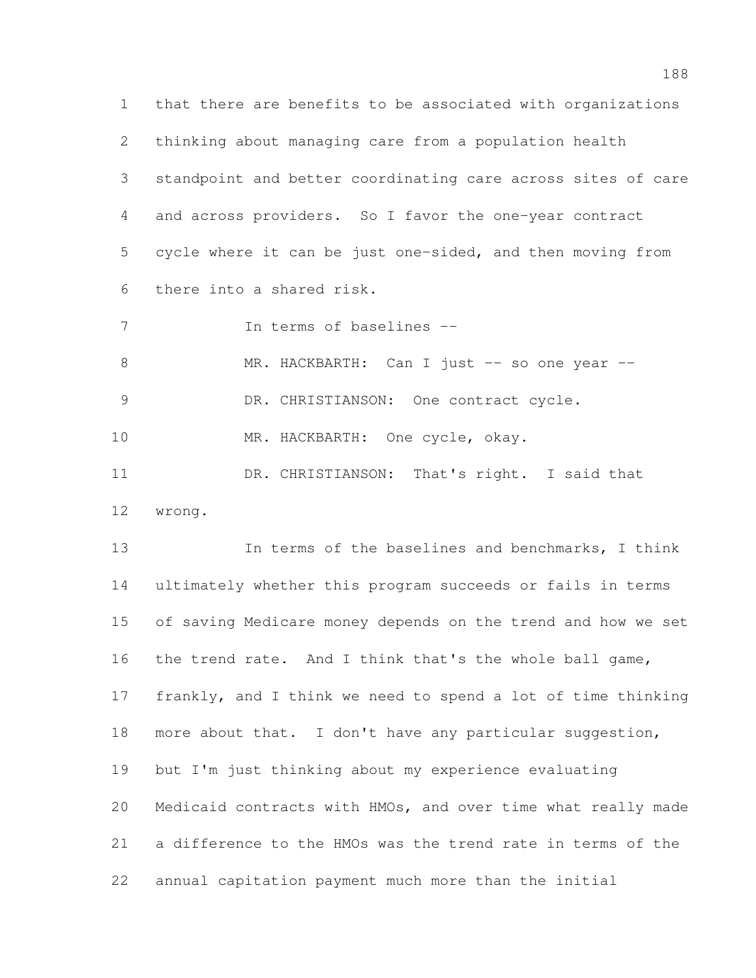that there are benefits to be associated with organizations thinking about managing care from a population health standpoint and better coordinating care across sites of care and across providers. So I favor the one-year contract cycle where it can be just one-sided, and then moving from there into a shared risk.

In terms of baselines --

8 MR. HACKBARTH: Can I just -- so one year --

9 DR. CHRISTIANSON: One contract cycle.

MR. HACKBARTH: One cycle, okay.

DR. CHRISTIANSON: That's right. I said that

wrong.

 In terms of the baselines and benchmarks, I think ultimately whether this program succeeds or fails in terms of saving Medicare money depends on the trend and how we set the trend rate. And I think that's the whole ball game, frankly, and I think we need to spend a lot of time thinking 18 more about that. I don't have any particular suggestion, but I'm just thinking about my experience evaluating Medicaid contracts with HMOs, and over time what really made a difference to the HMOs was the trend rate in terms of the annual capitation payment much more than the initial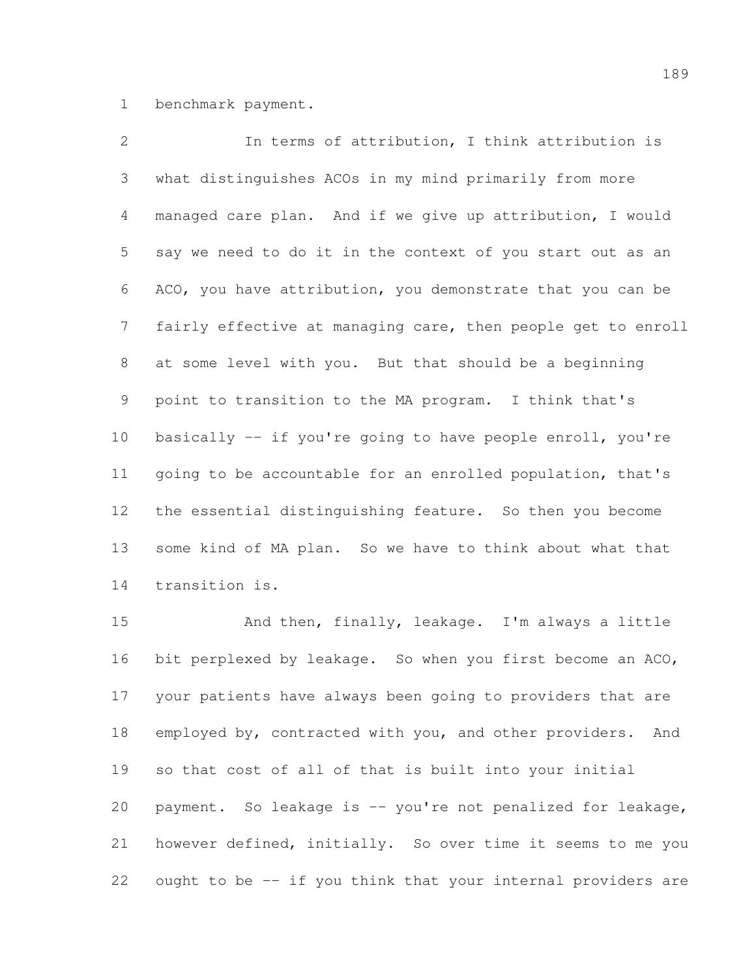benchmark payment.

| 2               | In terms of attribution, I think attribution is              |
|-----------------|--------------------------------------------------------------|
| 3               | what distinguishes ACOs in my mind primarily from more       |
| $\overline{4}$  | managed care plan. And if we give up attribution, I would    |
| 5               | say we need to do it in the context of you start out as an   |
| 6               | ACO, you have attribution, you demonstrate that you can be   |
| $7\phantom{.0}$ | fairly effective at managing care, then people get to enroll |
| 8               | at some level with you. But that should be a beginning       |
| 9               | point to transition to the MA program. I think that's        |
| 10              | basically -- if you're going to have people enroll, you're   |
| 11              | going to be accountable for an enrolled population, that's   |
| 12              | the essential distinguishing feature. So then you become     |
| 13              | some kind of MA plan. So we have to think about what that    |
| 14              | transition is.                                               |

 And then, finally, leakage. I'm always a little bit perplexed by leakage. So when you first become an ACO, your patients have always been going to providers that are employed by, contracted with you, and other providers. And so that cost of all of that is built into your initial payment. So leakage is -- you're not penalized for leakage, however defined, initially. So over time it seems to me you ought to be -- if you think that your internal providers are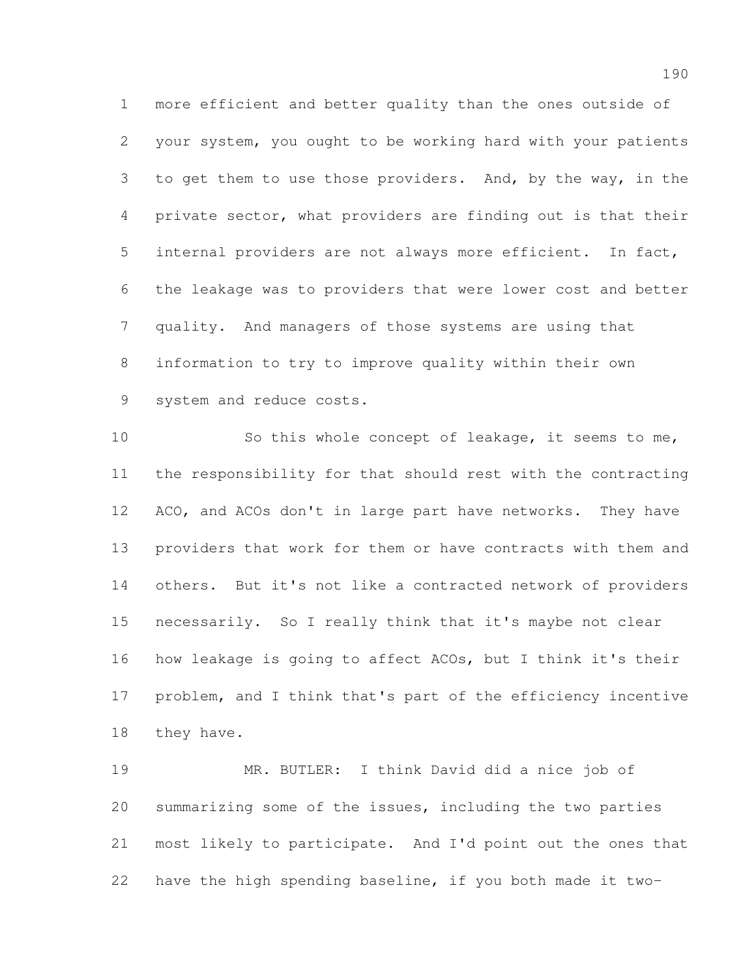more efficient and better quality than the ones outside of your system, you ought to be working hard with your patients to get them to use those providers. And, by the way, in the private sector, what providers are finding out is that their internal providers are not always more efficient. In fact, the leakage was to providers that were lower cost and better quality. And managers of those systems are using that information to try to improve quality within their own system and reduce costs.

 So this whole concept of leakage, it seems to me, the responsibility for that should rest with the contracting ACO, and ACOs don't in large part have networks. They have providers that work for them or have contracts with them and others. But it's not like a contracted network of providers necessarily. So I really think that it's maybe not clear how leakage is going to affect ACOs, but I think it's their problem, and I think that's part of the efficiency incentive they have.

 MR. BUTLER: I think David did a nice job of summarizing some of the issues, including the two parties most likely to participate. And I'd point out the ones that have the high spending baseline, if you both made it two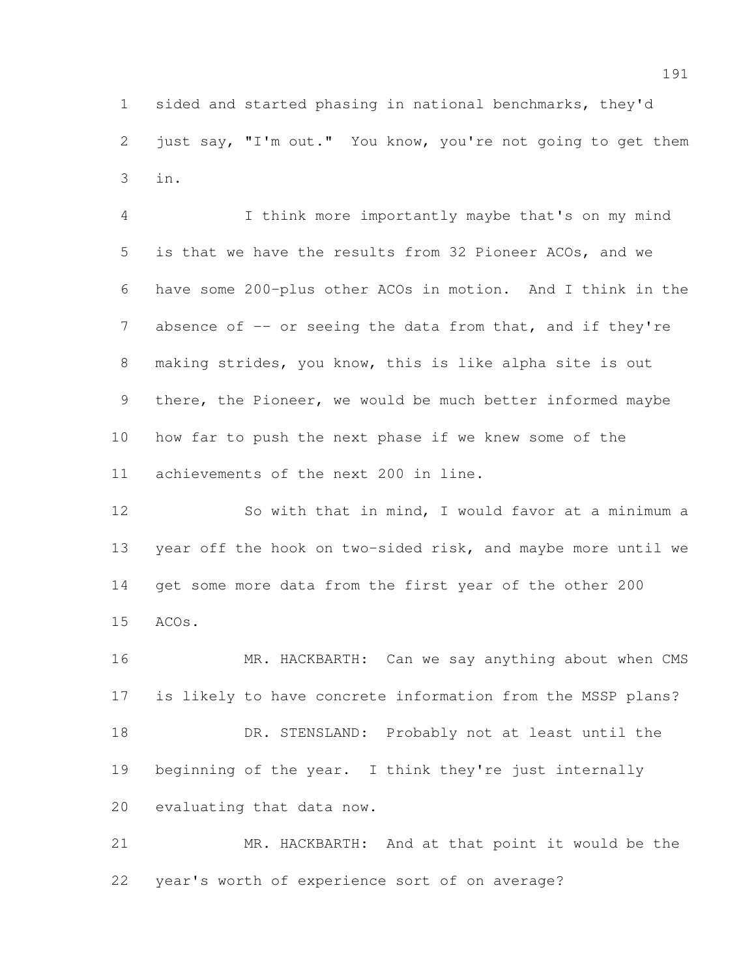sided and started phasing in national benchmarks, they'd 2 just say, "I'm out." You know, you're not going to get them in.

 I think more importantly maybe that's on my mind is that we have the results from 32 Pioneer ACOs, and we have some 200-plus other ACOs in motion. And I think in the 7 absence of -- or seeing the data from that, and if they're making strides, you know, this is like alpha site is out there, the Pioneer, we would be much better informed maybe how far to push the next phase if we knew some of the achievements of the next 200 in line.

 So with that in mind, I would favor at a minimum a year off the hook on two-sided risk, and maybe more until we get some more data from the first year of the other 200 ACOs.

16 MR. HACKBARTH: Can we say anything about when CMS is likely to have concrete information from the MSSP plans? 18 DR. STENSLAND: Probably not at least until the beginning of the year. I think they're just internally evaluating that data now.

 MR. HACKBARTH: And at that point it would be the year's worth of experience sort of on average?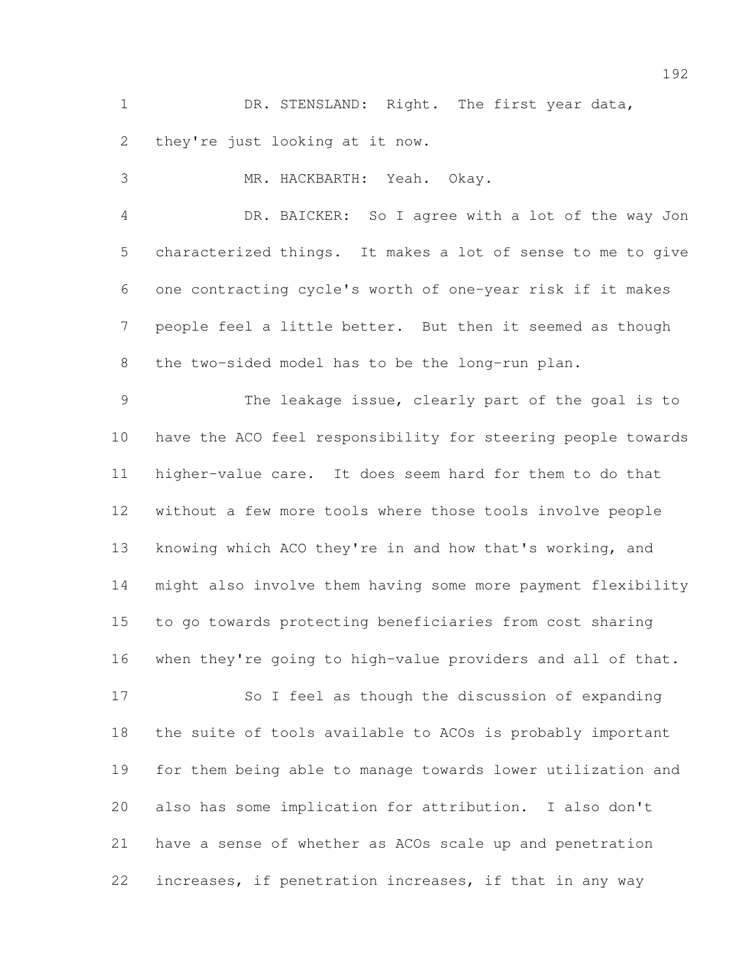1 DR. STENSLAND: Right. The first year data, they're just looking at it now.

MR. HACKBARTH: Yeah. Okay.

 DR. BAICKER: So I agree with a lot of the way Jon characterized things. It makes a lot of sense to me to give one contracting cycle's worth of one-year risk if it makes people feel a little better. But then it seemed as though the two-sided model has to be the long-run plan.

 The leakage issue, clearly part of the goal is to have the ACO feel responsibility for steering people towards higher-value care. It does seem hard for them to do that without a few more tools where those tools involve people knowing which ACO they're in and how that's working, and might also involve them having some more payment flexibility to go towards protecting beneficiaries from cost sharing when they're going to high-value providers and all of that.

 So I feel as though the discussion of expanding the suite of tools available to ACOs is probably important for them being able to manage towards lower utilization and also has some implication for attribution. I also don't have a sense of whether as ACOs scale up and penetration increases, if penetration increases, if that in any way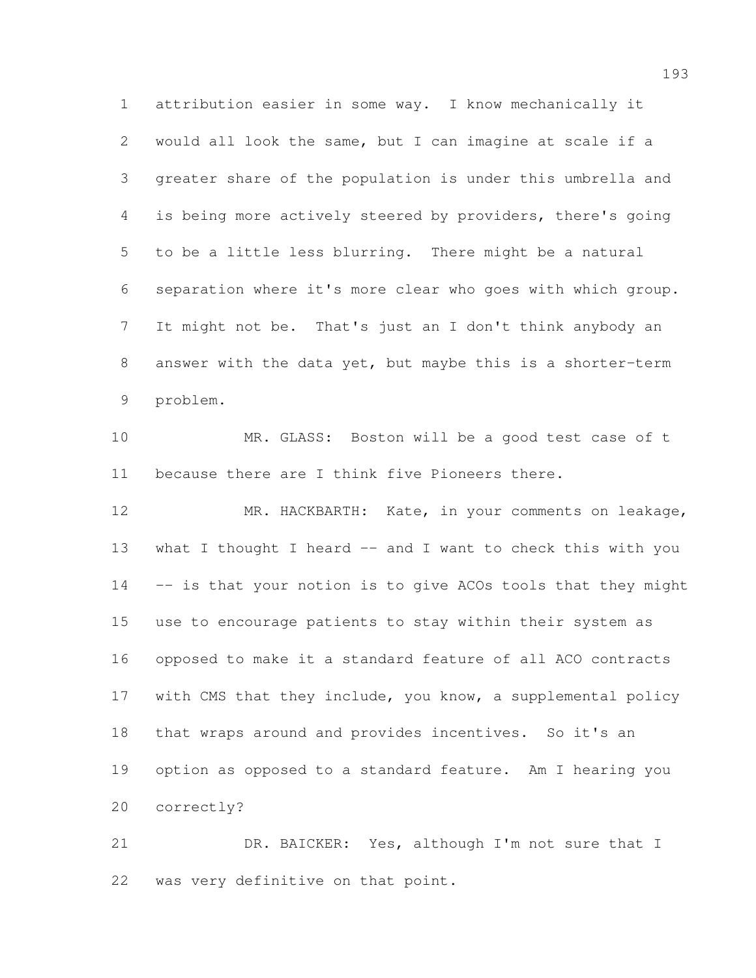attribution easier in some way. I know mechanically it would all look the same, but I can imagine at scale if a greater share of the population is under this umbrella and is being more actively steered by providers, there's going to be a little less blurring. There might be a natural separation where it's more clear who goes with which group. It might not be. That's just an I don't think anybody an answer with the data yet, but maybe this is a shorter-term problem.

 MR. GLASS: Boston will be a good test case of t because there are I think five Pioneers there.

 MR. HACKBARTH: Kate, in your comments on leakage, 13 what I thought I heard -- and I want to check this with you -- is that your notion is to give ACOs tools that they might use to encourage patients to stay within their system as opposed to make it a standard feature of all ACO contracts with CMS that they include, you know, a supplemental policy 18 that wraps around and provides incentives. So it's an option as opposed to a standard feature. Am I hearing you correctly?

21 DR. BAICKER: Yes, although I'm not sure that I was very definitive on that point.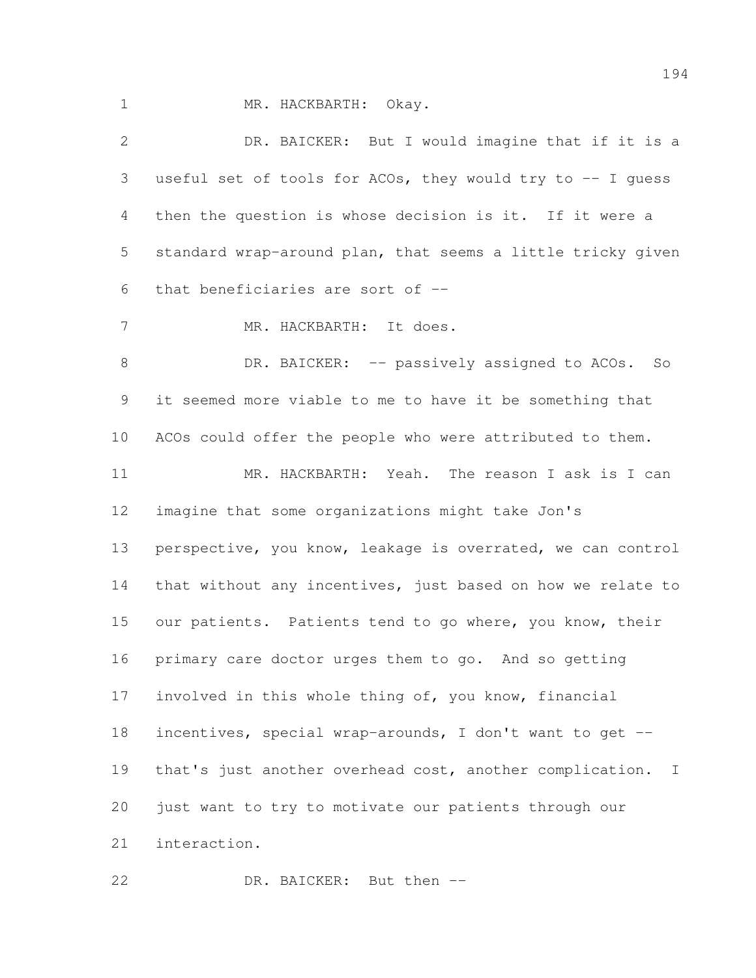MR. HACKBARTH: Okay.

| $\mathbf{2}$    | DR. BAICKER: But I would imagine that if it is a            |
|-----------------|-------------------------------------------------------------|
| 3               | useful set of tools for ACOs, they would try to -- I quess  |
| 4               | then the question is whose decision is it. If it were a     |
| 5               | standard wrap-around plan, that seems a little tricky given |
| 6               | that beneficiaries are sort of --                           |
| $7\phantom{.0}$ | MR. HACKBARTH: It does.                                     |
| $\,8\,$         | DR. BAICKER: -- passively assigned to ACOs. So              |
| 9               | it seemed more viable to me to have it be something that    |
| 10              | ACOs could offer the people who were attributed to them.    |
| 11              | MR. HACKBARTH: Yeah. The reason I ask is I can              |
| 12              | imagine that some organizations might take Jon's            |
| 13              | perspective, you know, leakage is overrated, we can control |
| 14              | that without any incentives, just based on how we relate to |
| 15              | our patients. Patients tend to go where, you know, their    |
| 16              | primary care doctor urges them to go. And so getting        |
| 17              | involved in this whole thing of, you know, financial        |
| 18              | incentives, special wrap-arounds, I don't want to get --    |
| 19              | that's just another overhead cost, another complication. I  |
| 20              | just want to try to motivate our patients through our       |
| 21              | interaction.                                                |

DR. BAICKER: But then --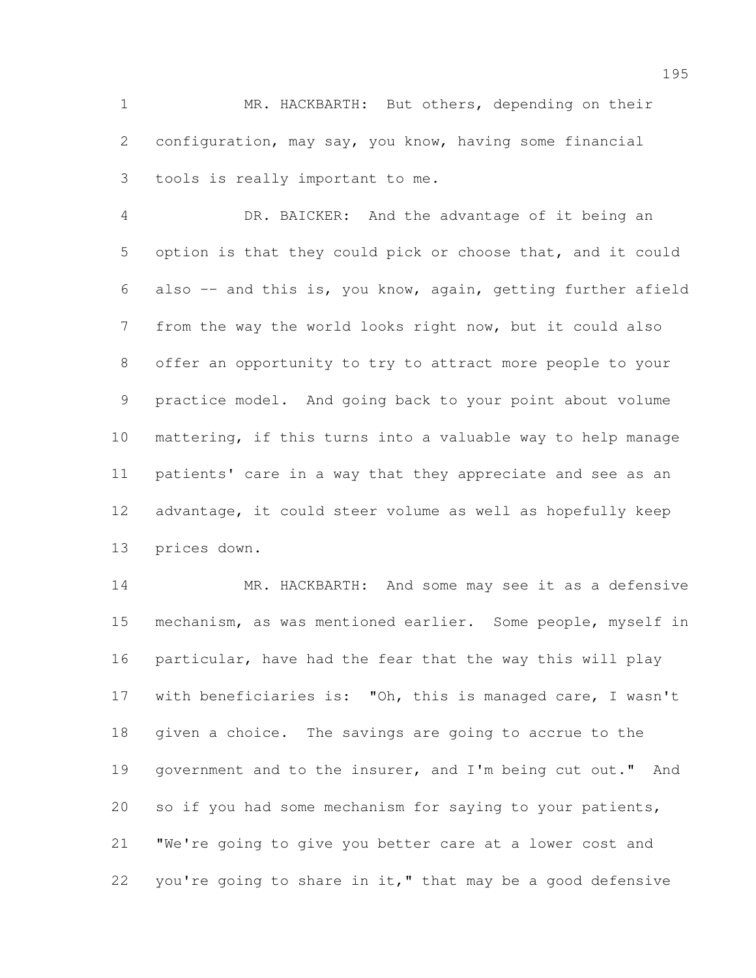MR. HACKBARTH: But others, depending on their configuration, may say, you know, having some financial tools is really important to me.

 DR. BAICKER: And the advantage of it being an option is that they could pick or choose that, and it could also -- and this is, you know, again, getting further afield from the way the world looks right now, but it could also offer an opportunity to try to attract more people to your practice model. And going back to your point about volume mattering, if this turns into a valuable way to help manage patients' care in a way that they appreciate and see as an advantage, it could steer volume as well as hopefully keep prices down.

14 MR. HACKBARTH: And some may see it as a defensive mechanism, as was mentioned earlier. Some people, myself in particular, have had the fear that the way this will play with beneficiaries is: "Oh, this is managed care, I wasn't given a choice. The savings are going to accrue to the 19 government and to the insurer, and I'm being cut out." And so if you had some mechanism for saying to your patients, "We're going to give you better care at a lower cost and 22 you're going to share in it," that may be a good defensive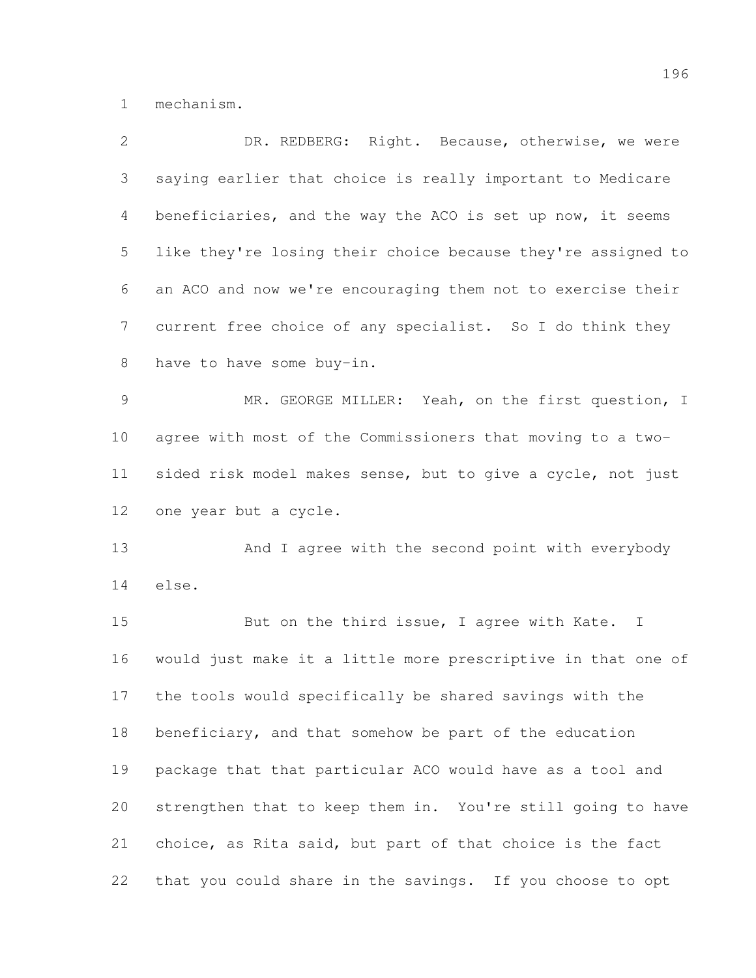mechanism.

| $\overline{2}$ | DR. REDBERG: Right. Because, otherwise, we were              |
|----------------|--------------------------------------------------------------|
| 3              | saying earlier that choice is really important to Medicare   |
| 4              | beneficiaries, and the way the ACO is set up now, it seems   |
| 5              | like they're losing their choice because they're assigned to |
| 6              | an ACO and now we're encouraging them not to exercise their  |
| 7              | current free choice of any specialist. So I do think they    |
| 8              | have to have some buy-in.                                    |
| 9              | MR. GEORGE MILLER: Yeah, on the first question, I            |
| 10             | agree with most of the Commissioners that moving to a two-   |
| 11             | sided risk model makes sense, but to give a cycle, not just  |
| 12             | one year but a cycle.                                        |
| 13             | And I agree with the second point with everybody             |
| 14             | else.                                                        |
| 15             | But on the third issue, I agree with Kate. I                 |
| 16             | would just make it a little more prescriptive in that one of |
| 17             | the tools would specifically be shared savings with the      |
| 18             | beneficiary, and that somehow be part of the education       |
| 19             | package that that particular ACO would have as a tool and    |
| 20             | strengthen that to keep them in. You're still going to have  |
| 21             | choice, as Rita said, but part of that choice is the fact    |
| 22             | that you could share in the savings. If you choose to opt    |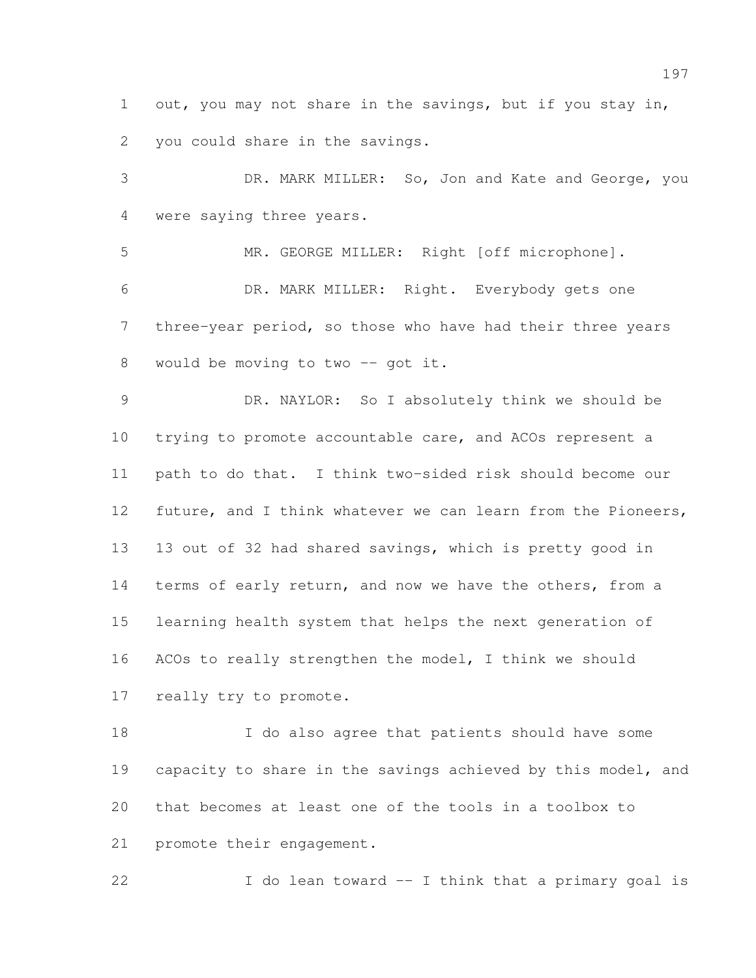out, you may not share in the savings, but if you stay in, you could share in the savings.

 DR. MARK MILLER: So, Jon and Kate and George, you were saying three years.

 MR. GEORGE MILLER: Right [off microphone]. DR. MARK MILLER: Right. Everybody gets one three-year period, so those who have had their three years 8 would be moving to two -- got it.

 DR. NAYLOR: So I absolutely think we should be trying to promote accountable care, and ACOs represent a path to do that. I think two-sided risk should become our 12 future, and I think whatever we can learn from the Pioneers, 13 out of 32 had shared savings, which is pretty good in 14 terms of early return, and now we have the others, from a learning health system that helps the next generation of ACOs to really strengthen the model, I think we should really try to promote.

 I do also agree that patients should have some 19 capacity to share in the savings achieved by this model, and that becomes at least one of the tools in a toolbox to promote their engagement.

I do lean toward -- I think that a primary goal is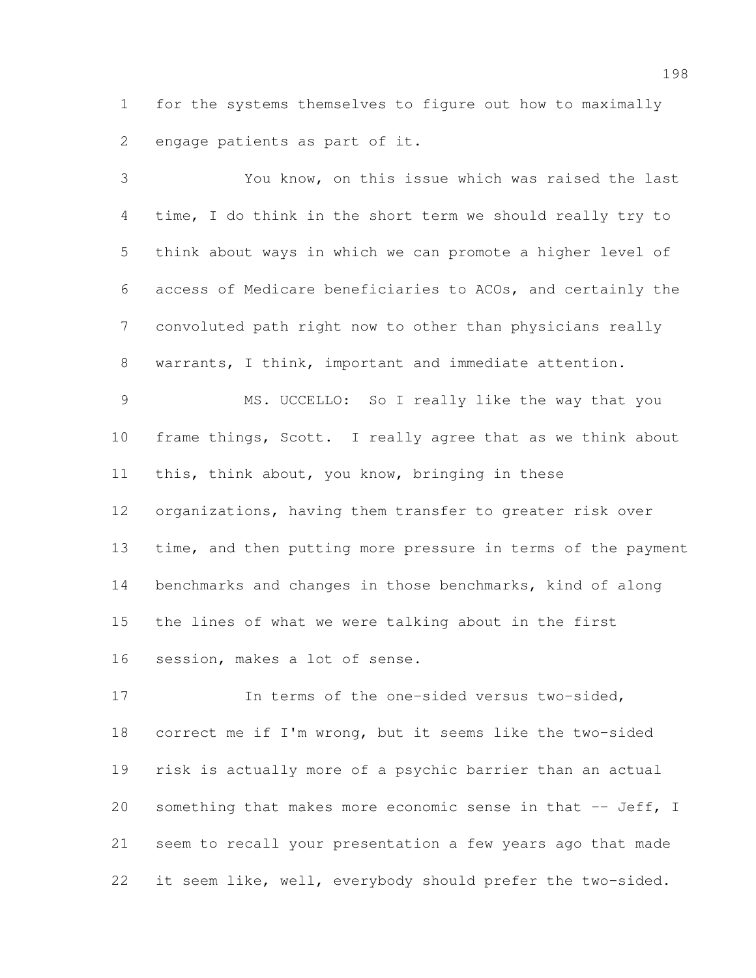for the systems themselves to figure out how to maximally engage patients as part of it.

 You know, on this issue which was raised the last time, I do think in the short term we should really try to think about ways in which we can promote a higher level of access of Medicare beneficiaries to ACOs, and certainly the convoluted path right now to other than physicians really warrants, I think, important and immediate attention. MS. UCCELLO: So I really like the way that you frame things, Scott. I really agree that as we think about this, think about, you know, bringing in these organizations, having them transfer to greater risk over 13 time, and then putting more pressure in terms of the payment benchmarks and changes in those benchmarks, kind of along the lines of what we were talking about in the first session, makes a lot of sense. In terms of the one-sided versus two-sided, correct me if I'm wrong, but it seems like the two-sided risk is actually more of a psychic barrier than an actual 20 something that makes more economic sense in that -- Jeff, I seem to recall your presentation a few years ago that made

it seem like, well, everybody should prefer the two-sided.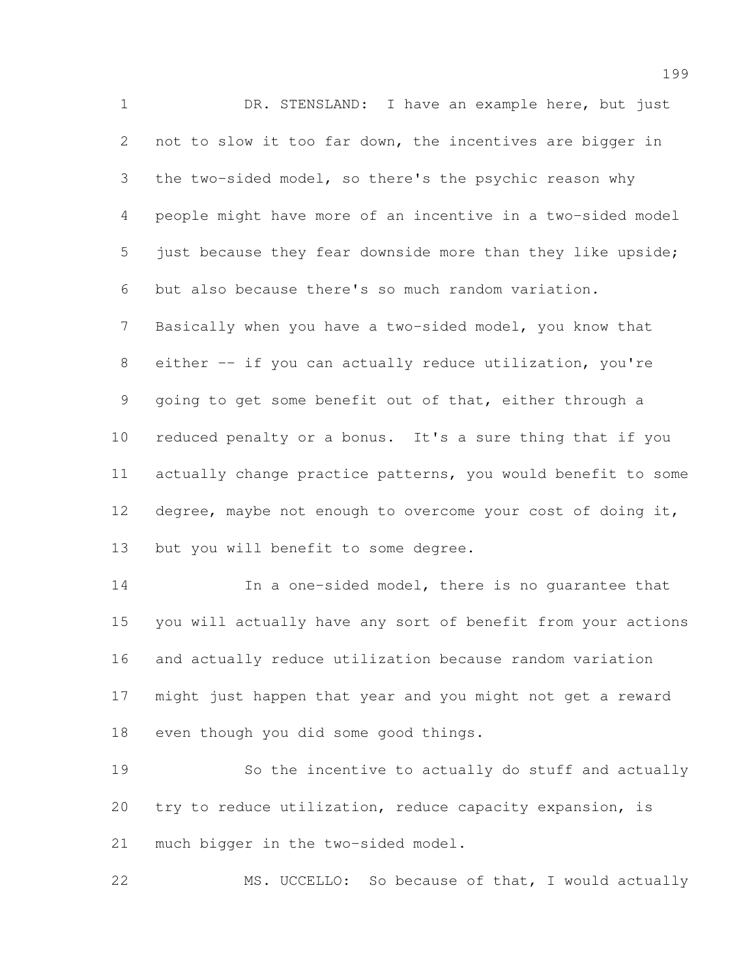1 DR. STENSLAND: I have an example here, but just not to slow it too far down, the incentives are bigger in the two-sided model, so there's the psychic reason why people might have more of an incentive in a two-sided model 5 just because they fear downside more than they like upside; but also because there's so much random variation. Basically when you have a two-sided model, you know that 8 either -- if you can actually reduce utilization, you're going to get some benefit out of that, either through a reduced penalty or a bonus. It's a sure thing that if you actually change practice patterns, you would benefit to some degree, maybe not enough to overcome your cost of doing it, but you will benefit to some degree.

 In a one-sided model, there is no guarantee that you will actually have any sort of benefit from your actions and actually reduce utilization because random variation might just happen that year and you might not get a reward even though you did some good things.

 So the incentive to actually do stuff and actually try to reduce utilization, reduce capacity expansion, is much bigger in the two-sided model.

MS. UCCELLO: So because of that, I would actually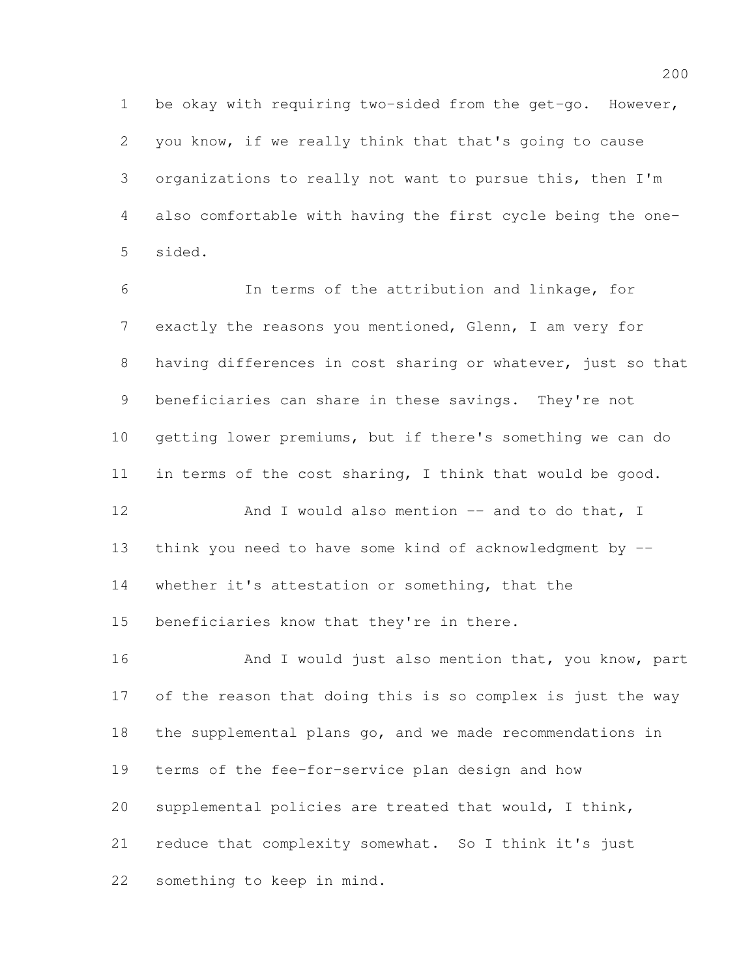be okay with requiring two-sided from the get-go. However, you know, if we really think that that's going to cause organizations to really not want to pursue this, then I'm also comfortable with having the first cycle being the one-sided.

 In terms of the attribution and linkage, for exactly the reasons you mentioned, Glenn, I am very for having differences in cost sharing or whatever, just so that beneficiaries can share in these savings. They're not getting lower premiums, but if there's something we can do in terms of the cost sharing, I think that would be good. 12 And I would also mention -- and to do that, I think you need to have some kind of acknowledgment by --

whether it's attestation or something, that the

beneficiaries know that they're in there.

16 And I would just also mention that, you know, part of the reason that doing this is so complex is just the way the supplemental plans go, and we made recommendations in terms of the fee-for-service plan design and how supplemental policies are treated that would, I think, reduce that complexity somewhat. So I think it's just something to keep in mind.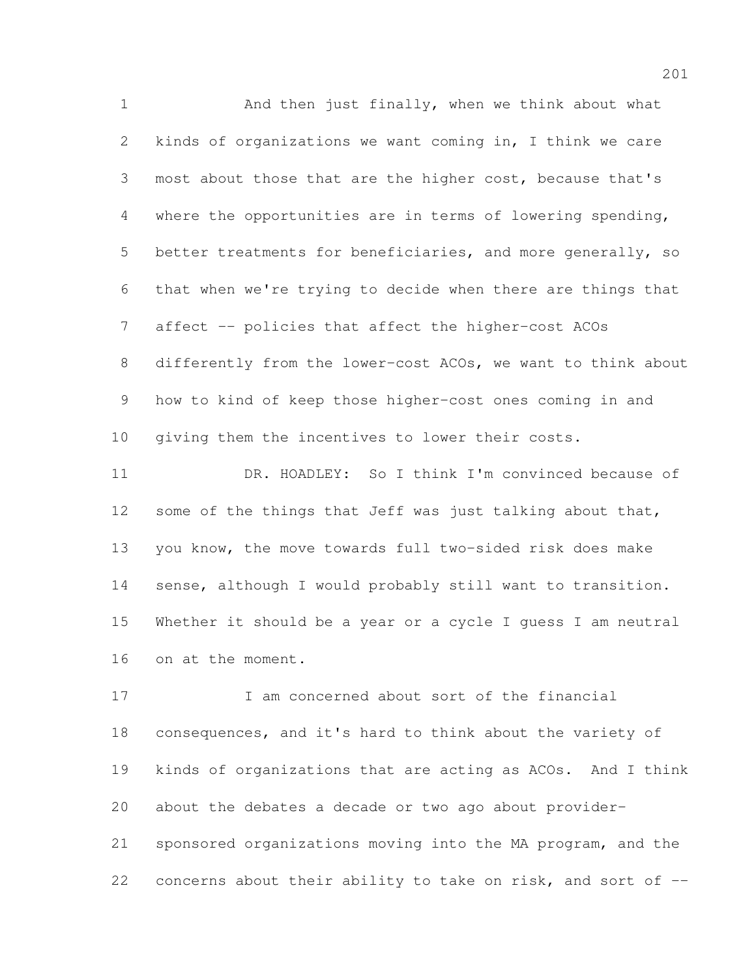1 And then just finally, when we think about what kinds of organizations we want coming in, I think we care most about those that are the higher cost, because that's where the opportunities are in terms of lowering spending, better treatments for beneficiaries, and more generally, so that when we're trying to decide when there are things that affect -- policies that affect the higher-cost ACOs differently from the lower-cost ACOs, we want to think about how to kind of keep those higher-cost ones coming in and giving them the incentives to lower their costs. DR. HOADLEY: So I think I'm convinced because of 12 some of the things that Jeff was just talking about that, you know, the move towards full two-sided risk does make sense, although I would probably still want to transition. Whether it should be a year or a cycle I guess I am neutral on at the moment.

 I am concerned about sort of the financial consequences, and it's hard to think about the variety of kinds of organizations that are acting as ACOs. And I think

about the debates a decade or two ago about provider-

 sponsored organizations moving into the MA program, and the concerns about their ability to take on risk, and sort of --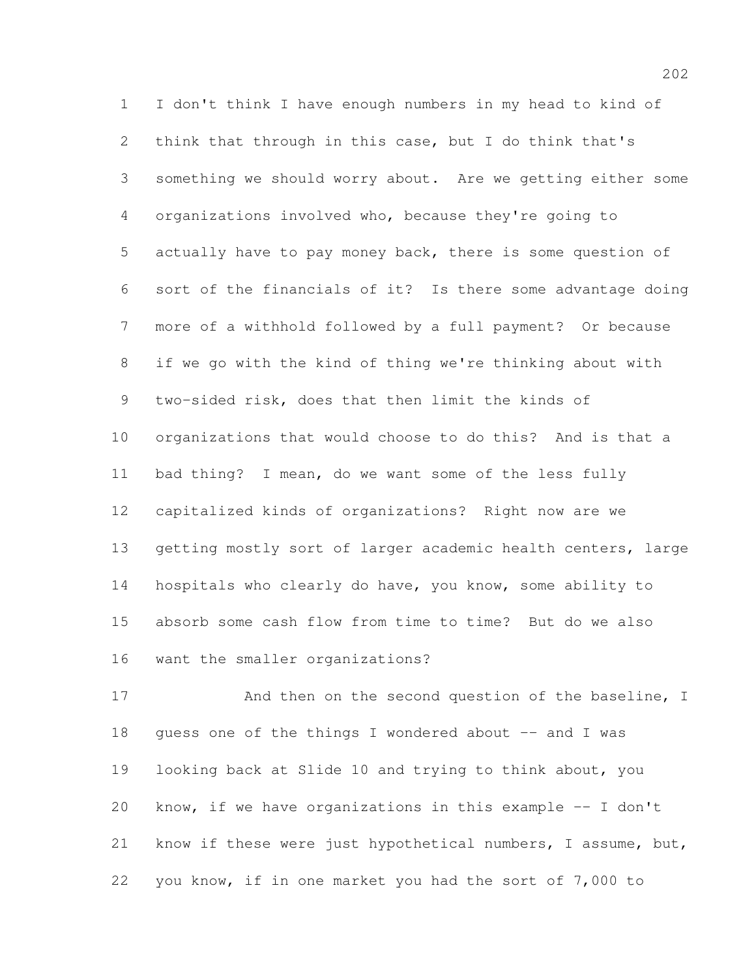I don't think I have enough numbers in my head to kind of think that through in this case, but I do think that's something we should worry about. Are we getting either some organizations involved who, because they're going to actually have to pay money back, there is some question of sort of the financials of it? Is there some advantage doing more of a withhold followed by a full payment? Or because if we go with the kind of thing we're thinking about with two-sided risk, does that then limit the kinds of organizations that would choose to do this? And is that a bad thing? I mean, do we want some of the less fully capitalized kinds of organizations? Right now are we getting mostly sort of larger academic health centers, large hospitals who clearly do have, you know, some ability to absorb some cash flow from time to time? But do we also want the smaller organizations?

17 And then on the second question of the baseline, I 18 guess one of the things I wondered about  $-$  and I was looking back at Slide 10 and trying to think about, you know, if we have organizations in this example -- I don't know if these were just hypothetical numbers, I assume, but, you know, if in one market you had the sort of 7,000 to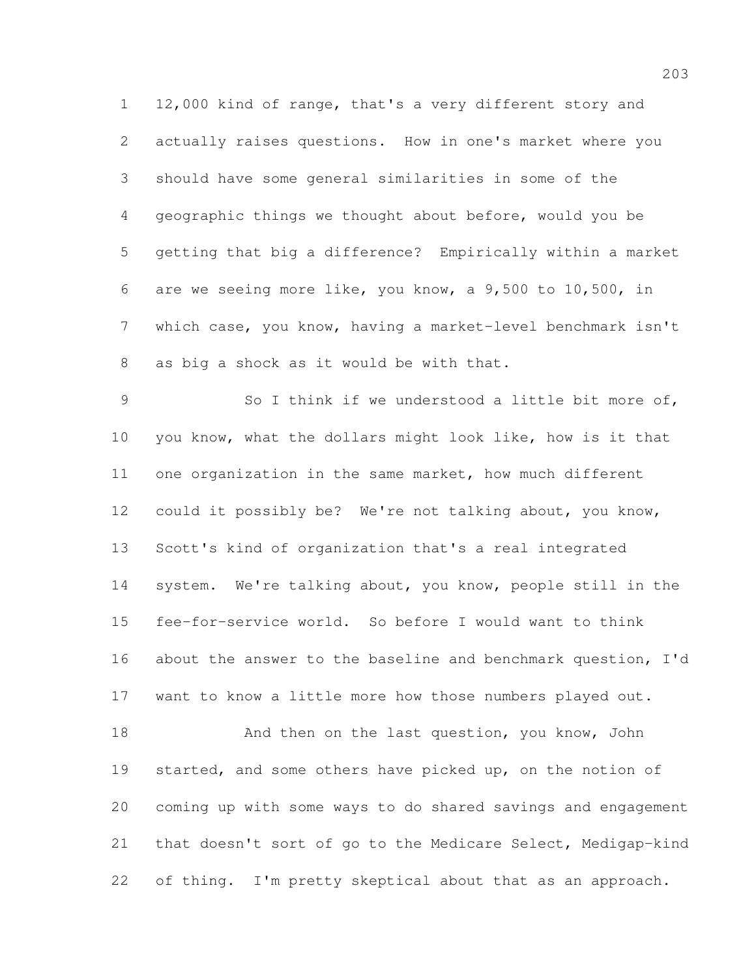12,000 kind of range, that's a very different story and actually raises questions. How in one's market where you should have some general similarities in some of the geographic things we thought about before, would you be getting that big a difference? Empirically within a market are we seeing more like, you know, a 9,500 to 10,500, in which case, you know, having a market-level benchmark isn't as big a shock as it would be with that.

 So I think if we understood a little bit more of, you know, what the dollars might look like, how is it that one organization in the same market, how much different could it possibly be? We're not talking about, you know, Scott's kind of organization that's a real integrated system. We're talking about, you know, people still in the fee-for-service world. So before I would want to think about the answer to the baseline and benchmark question, I'd want to know a little more how those numbers played out. 18 And then on the last question, you know, John started, and some others have picked up, on the notion of

 coming up with some ways to do shared savings and engagement that doesn't sort of go to the Medicare Select, Medigap-kind 22 of thing. I'm pretty skeptical about that as an approach.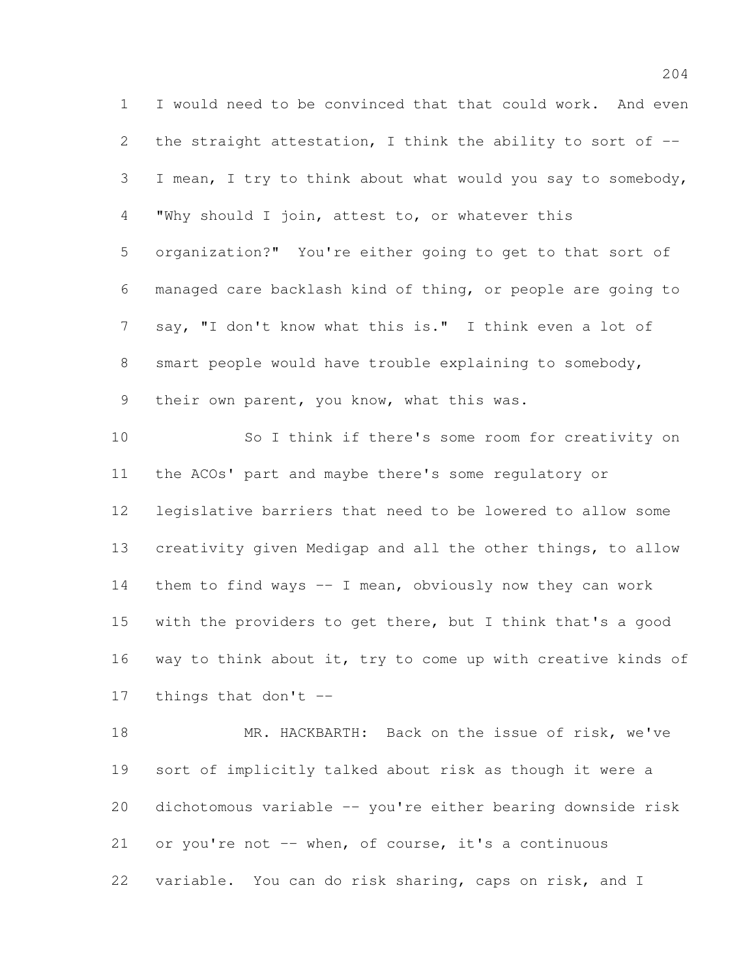I would need to be convinced that that could work. And even 2 the straight attestation, I think the ability to sort of -- I mean, I try to think about what would you say to somebody, "Why should I join, attest to, or whatever this organization?" You're either going to get to that sort of managed care backlash kind of thing, or people are going to say, "I don't know what this is." I think even a lot of smart people would have trouble explaining to somebody, 9 their own parent, you know, what this was. So I think if there's some room for creativity on the ACOs' part and maybe there's some regulatory or legislative barriers that need to be lowered to allow some creativity given Medigap and all the other things, to allow them to find ways -- I mean, obviously now they can work

 with the providers to get there, but I think that's a good way to think about it, try to come up with creative kinds of things that don't --

18 MR. HACKBARTH: Back on the issue of risk, we've sort of implicitly talked about risk as though it were a dichotomous variable -- you're either bearing downside risk or you're not -- when, of course, it's a continuous variable. You can do risk sharing, caps on risk, and I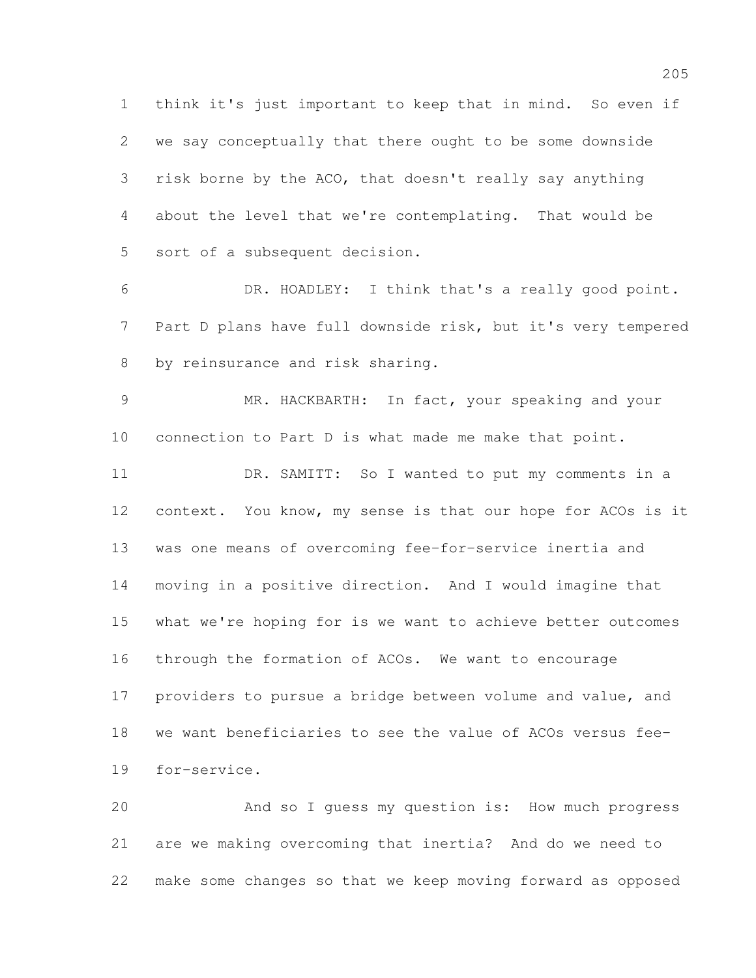think it's just important to keep that in mind. So even if we say conceptually that there ought to be some downside risk borne by the ACO, that doesn't really say anything about the level that we're contemplating. That would be sort of a subsequent decision.

 DR. HOADLEY: I think that's a really good point. Part D plans have full downside risk, but it's very tempered by reinsurance and risk sharing.

 MR. HACKBARTH: In fact, your speaking and your connection to Part D is what made me make that point.

 DR. SAMITT: So I wanted to put my comments in a context. You know, my sense is that our hope for ACOs is it was one means of overcoming fee-for-service inertia and moving in a positive direction. And I would imagine that what we're hoping for is we want to achieve better outcomes through the formation of ACOs. We want to encourage providers to pursue a bridge between volume and value, and we want beneficiaries to see the value of ACOs versus fee-for-service.

 And so I guess my question is: How much progress are we making overcoming that inertia? And do we need to make some changes so that we keep moving forward as opposed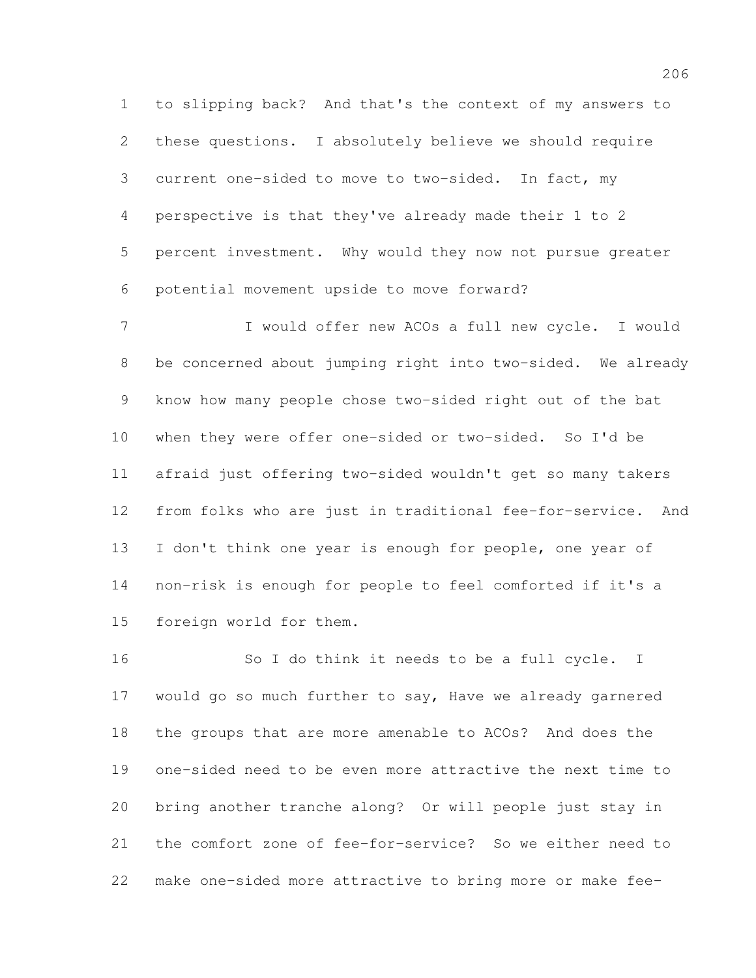to slipping back? And that's the context of my answers to these questions. I absolutely believe we should require current one-sided to move to two-sided. In fact, my perspective is that they've already made their 1 to 2 percent investment. Why would they now not pursue greater potential movement upside to move forward?

 I would offer new ACOs a full new cycle. I would be concerned about jumping right into two-sided. We already know how many people chose two-sided right out of the bat when they were offer one-sided or two-sided. So I'd be afraid just offering two-sided wouldn't get so many takers from folks who are just in traditional fee-for-service. And 13 I don't think one year is enough for people, one year of non-risk is enough for people to feel comforted if it's a foreign world for them.

 So I do think it needs to be a full cycle. I would go so much further to say, Have we already garnered the groups that are more amenable to ACOs? And does the one-sided need to be even more attractive the next time to bring another tranche along? Or will people just stay in the comfort zone of fee-for-service? So we either need to make one-sided more attractive to bring more or make fee-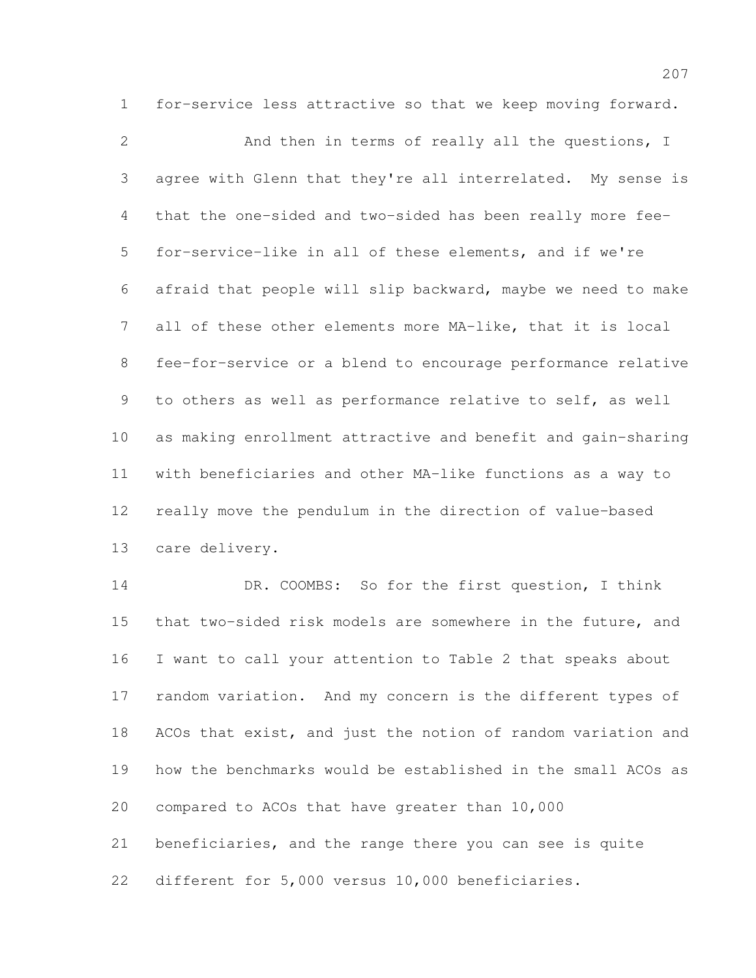for-service less attractive so that we keep moving forward.

 And then in terms of really all the questions, I agree with Glenn that they're all interrelated. My sense is that the one-sided and two-sided has been really more fee- for-service-like in all of these elements, and if we're afraid that people will slip backward, maybe we need to make all of these other elements more MA-like, that it is local fee-for-service or a blend to encourage performance relative to others as well as performance relative to self, as well as making enrollment attractive and benefit and gain-sharing with beneficiaries and other MA-like functions as a way to really move the pendulum in the direction of value-based care delivery.

 DR. COOMBS: So for the first question, I think that two-sided risk models are somewhere in the future, and I want to call your attention to Table 2 that speaks about random variation. And my concern is the different types of ACOs that exist, and just the notion of random variation and how the benchmarks would be established in the small ACOs as compared to ACOs that have greater than 10,000 beneficiaries, and the range there you can see is quite

different for 5,000 versus 10,000 beneficiaries.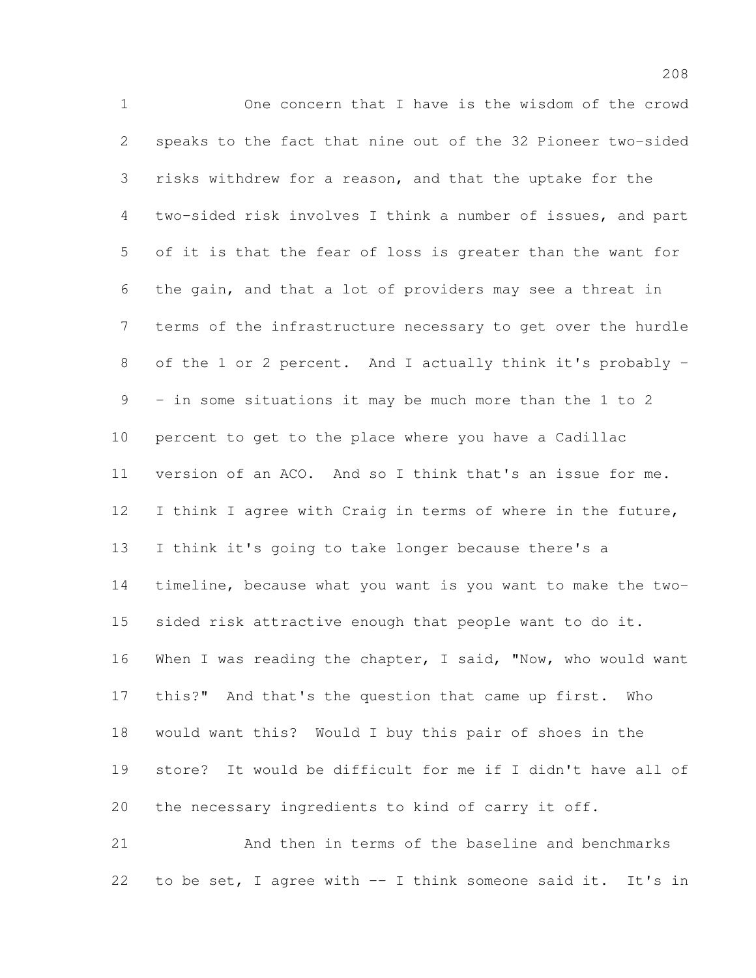One concern that I have is the wisdom of the crowd speaks to the fact that nine out of the 32 Pioneer two-sided risks withdrew for a reason, and that the uptake for the two-sided risk involves I think a number of issues, and part of it is that the fear of loss is greater than the want for the gain, and that a lot of providers may see a threat in terms of the infrastructure necessary to get over the hurdle of the 1 or 2 percent. And I actually think it's probably - - in some situations it may be much more than the 1 to 2 percent to get to the place where you have a Cadillac version of an ACO. And so I think that's an issue for me. I think I agree with Craig in terms of where in the future, I think it's going to take longer because there's a timeline, because what you want is you want to make the two- sided risk attractive enough that people want to do it. When I was reading the chapter, I said, "Now, who would want this?" And that's the question that came up first. Who would want this? Would I buy this pair of shoes in the store? It would be difficult for me if I didn't have all of the necessary ingredients to kind of carry it off. And then in terms of the baseline and benchmarks

to be set, I agree with -- I think someone said it. It's in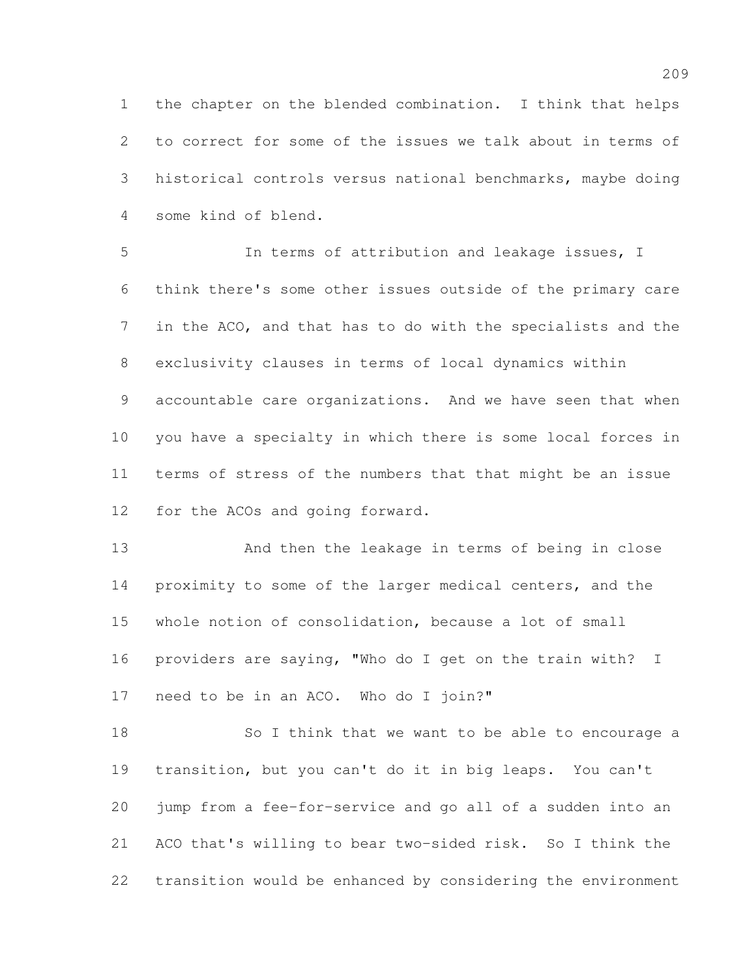the chapter on the blended combination. I think that helps to correct for some of the issues we talk about in terms of historical controls versus national benchmarks, maybe doing some kind of blend.

 In terms of attribution and leakage issues, I think there's some other issues outside of the primary care in the ACO, and that has to do with the specialists and the exclusivity clauses in terms of local dynamics within accountable care organizations. And we have seen that when you have a specialty in which there is some local forces in terms of stress of the numbers that that might be an issue for the ACOs and going forward.

 And then the leakage in terms of being in close proximity to some of the larger medical centers, and the whole notion of consolidation, because a lot of small providers are saying, "Who do I get on the train with? I need to be in an ACO. Who do I join?"

 So I think that we want to be able to encourage a transition, but you can't do it in big leaps. You can't jump from a fee-for-service and go all of a sudden into an ACO that's willing to bear two-sided risk. So I think the transition would be enhanced by considering the environment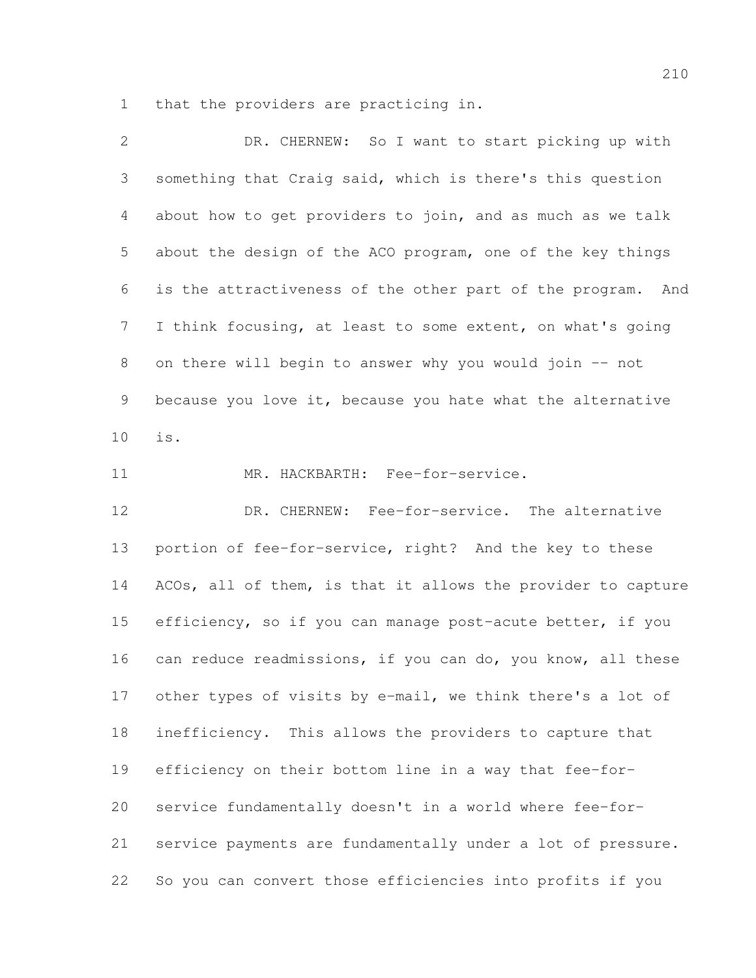that the providers are practicing in.

| $\overline{2}$ | DR. CHERNEW: So I want to start picking up with              |
|----------------|--------------------------------------------------------------|
| 3              | something that Craig said, which is there's this question    |
| 4              | about how to get providers to join, and as much as we talk   |
| 5              | about the design of the ACO program, one of the key things   |
| 6              | is the attractiveness of the other part of the program. And  |
| $7\phantom{.}$ | I think focusing, at least to some extent, on what's going   |
| $\,8\,$        | on there will begin to answer why you would join -- not      |
| 9              | because you love it, because you hate what the alternative   |
| 10             | is.                                                          |
| 11             | MR. HACKBARTH: Fee-for-service.                              |
| 12             | DR. CHERNEW: Fee-for-service. The alternative                |
| 13             | portion of fee-for-service, right? And the key to these      |
| 14             | ACOs, all of them, is that it allows the provider to capture |
| 15             | efficiency, so if you can manage post-acute better, if you   |
| 16             | can reduce readmissions, if you can do, you know, all these  |
| 17             | other types of visits by e-mail, we think there's a lot of   |
| 18             | inefficiency. This allows the providers to capture that      |
| 19             | efficiency on their bottom line in a way that fee-for-       |
| 20             | service fundamentally doesn't in a world where fee-for-      |
| 21             | service payments are fundamentally under a lot of pressure.  |
| 22             | So you can convert those efficiencies into profits if you    |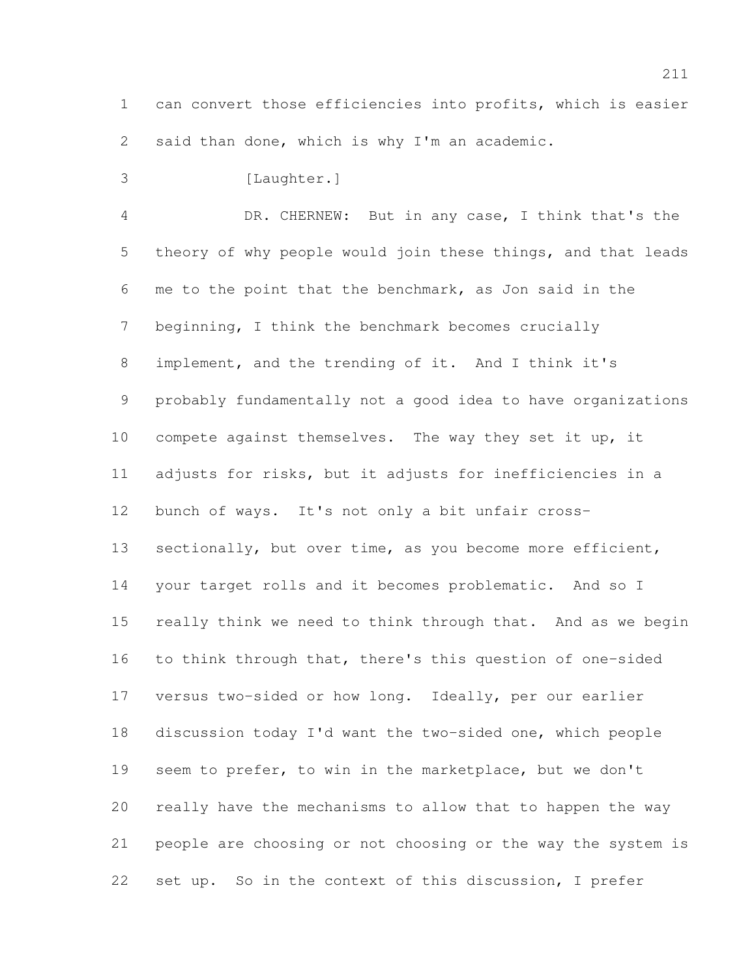can convert those efficiencies into profits, which is easier said than done, which is why I'm an academic.

3 [Laughter.]

 DR. CHERNEW: But in any case, I think that's the theory of why people would join these things, and that leads me to the point that the benchmark, as Jon said in the beginning, I think the benchmark becomes crucially implement, and the trending of it. And I think it's probably fundamentally not a good idea to have organizations compete against themselves. The way they set it up, it adjusts for risks, but it adjusts for inefficiencies in a bunch of ways. It's not only a bit unfair cross-13 sectionally, but over time, as you become more efficient, your target rolls and it becomes problematic. And so I really think we need to think through that. And as we begin to think through that, there's this question of one-sided versus two-sided or how long. Ideally, per our earlier discussion today I'd want the two-sided one, which people seem to prefer, to win in the marketplace, but we don't really have the mechanisms to allow that to happen the way people are choosing or not choosing or the way the system is

set up. So in the context of this discussion, I prefer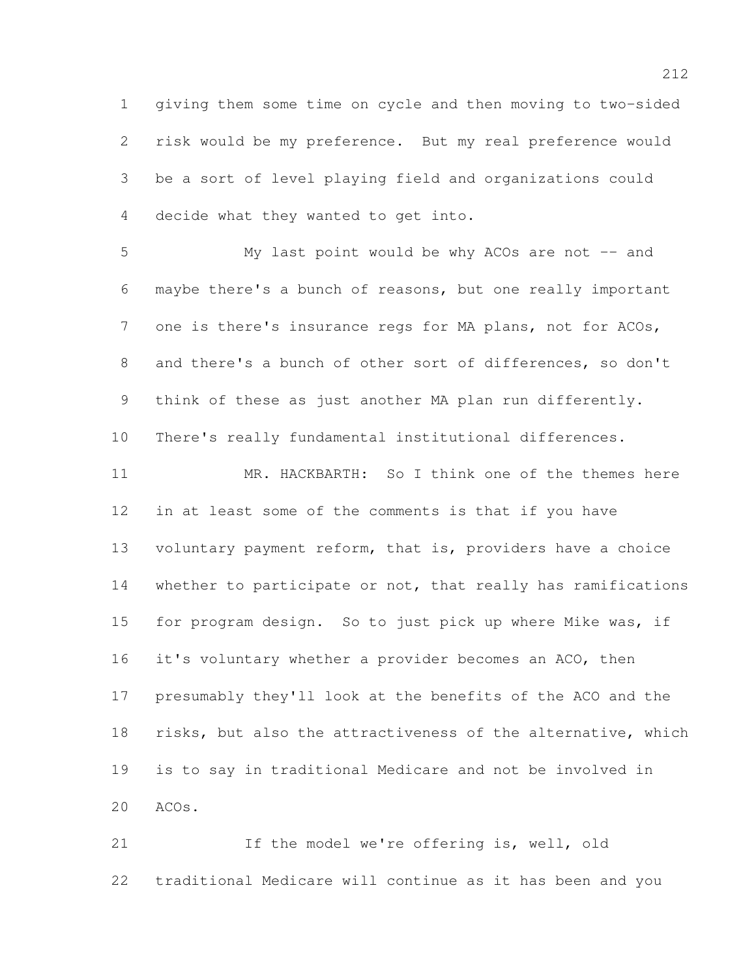giving them some time on cycle and then moving to two-sided risk would be my preference. But my real preference would be a sort of level playing field and organizations could decide what they wanted to get into.

 My last point would be why ACOs are not -- and maybe there's a bunch of reasons, but one really important one is there's insurance regs for MA plans, not for ACOs, and there's a bunch of other sort of differences, so don't think of these as just another MA plan run differently. There's really fundamental institutional differences.

 MR. HACKBARTH: So I think one of the themes here in at least some of the comments is that if you have voluntary payment reform, that is, providers have a choice whether to participate or not, that really has ramifications for program design. So to just pick up where Mike was, if it's voluntary whether a provider becomes an ACO, then presumably they'll look at the benefits of the ACO and the risks, but also the attractiveness of the alternative, which is to say in traditional Medicare and not be involved in ACOs.

 If the model we're offering is, well, old traditional Medicare will continue as it has been and you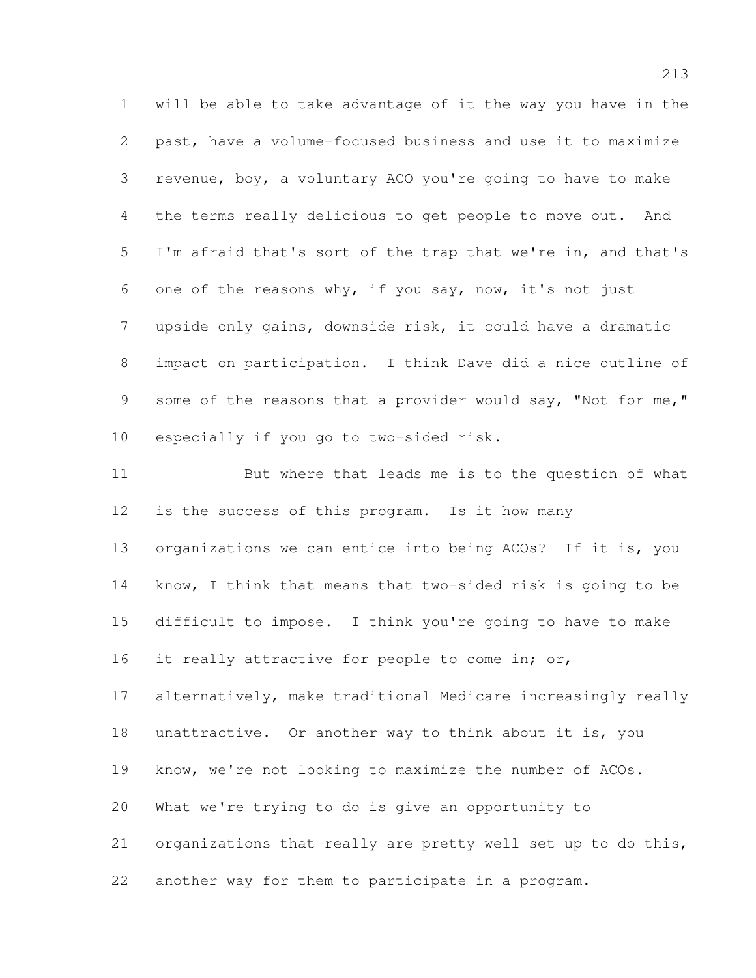will be able to take advantage of it the way you have in the past, have a volume-focused business and use it to maximize revenue, boy, a voluntary ACO you're going to have to make the terms really delicious to get people to move out. And I'm afraid that's sort of the trap that we're in, and that's one of the reasons why, if you say, now, it's not just upside only gains, downside risk, it could have a dramatic impact on participation. I think Dave did a nice outline of 9 some of the reasons that a provider would say, "Not for me," especially if you go to two-sided risk.

 But where that leads me is to the question of what is the success of this program. Is it how many organizations we can entice into being ACOs? If it is, you know, I think that means that two-sided risk is going to be difficult to impose. I think you're going to have to make 16 it really attractive for people to come in; or, alternatively, make traditional Medicare increasingly really unattractive. Or another way to think about it is, you know, we're not looking to maximize the number of ACOs. What we're trying to do is give an opportunity to organizations that really are pretty well set up to do this, another way for them to participate in a program.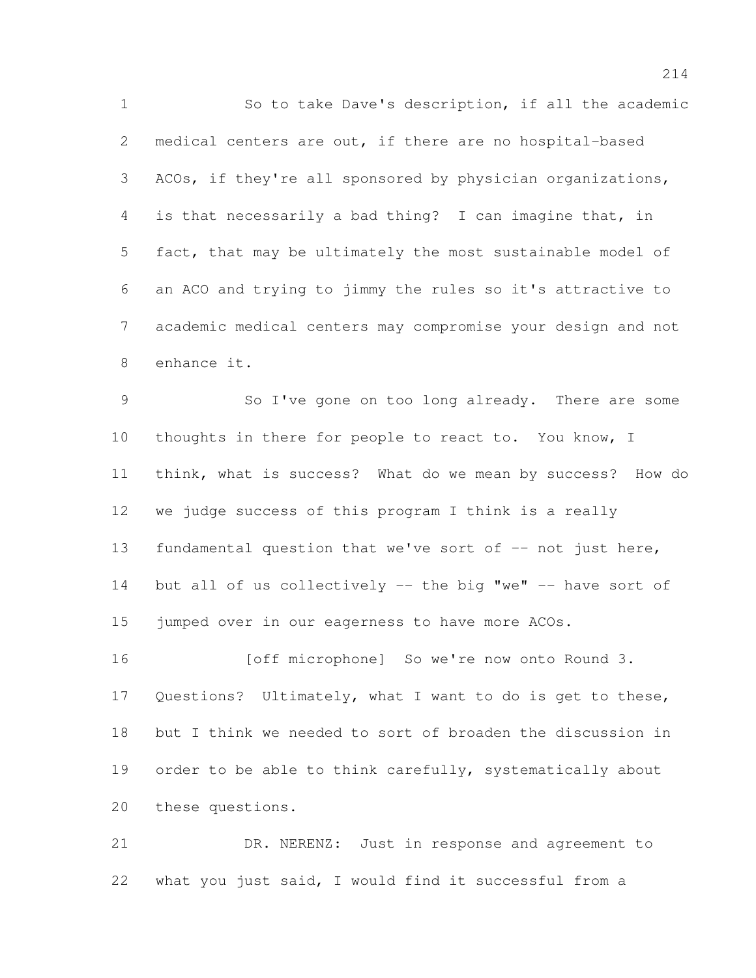So to take Dave's description, if all the academic medical centers are out, if there are no hospital-based ACOs, if they're all sponsored by physician organizations, is that necessarily a bad thing? I can imagine that, in fact, that may be ultimately the most sustainable model of an ACO and trying to jimmy the rules so it's attractive to academic medical centers may compromise your design and not enhance it.

 So I've gone on too long already. There are some 10 thoughts in there for people to react to. You know, I think, what is success? What do we mean by success? How do we judge success of this program I think is a really fundamental question that we've sort of -- not just here, 14 but all of us collectively -- the big "we" -- have sort of 15 jumped over in our eagerness to have more ACOs.

16 [off microphone] So we're now onto Round 3. Questions? Ultimately, what I want to do is get to these, but I think we needed to sort of broaden the discussion in 19 order to be able to think carefully, systematically about these questions.

 DR. NERENZ: Just in response and agreement to what you just said, I would find it successful from a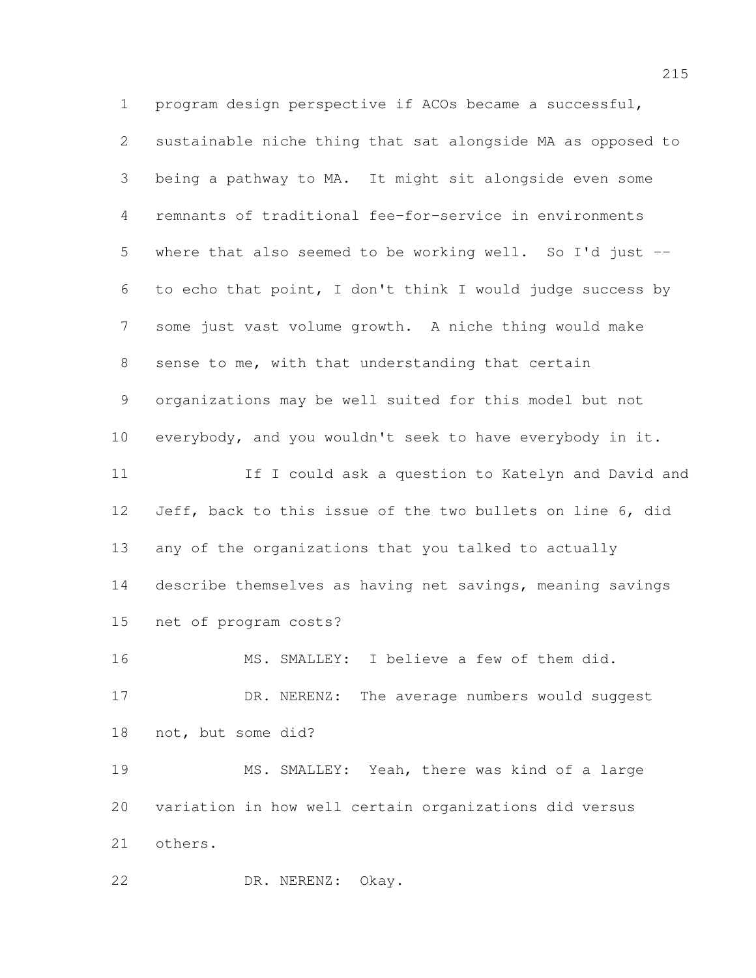program design perspective if ACOs became a successful, sustainable niche thing that sat alongside MA as opposed to being a pathway to MA. It might sit alongside even some remnants of traditional fee-for-service in environments where that also seemed to be working well. So I'd just -- to echo that point, I don't think I would judge success by some just vast volume growth. A niche thing would make sense to me, with that understanding that certain organizations may be well suited for this model but not everybody, and you wouldn't seek to have everybody in it. 11 If I could ask a question to Katelyn and David and Jeff, back to this issue of the two bullets on line 6, did any of the organizations that you talked to actually describe themselves as having net savings, meaning savings net of program costs? MS. SMALLEY: I believe a few of them did. 17 DR. NERENZ: The average numbers would suggest not, but some did? MS. SMALLEY: Yeah, there was kind of a large variation in how well certain organizations did versus others. DR. NERENZ: Okay.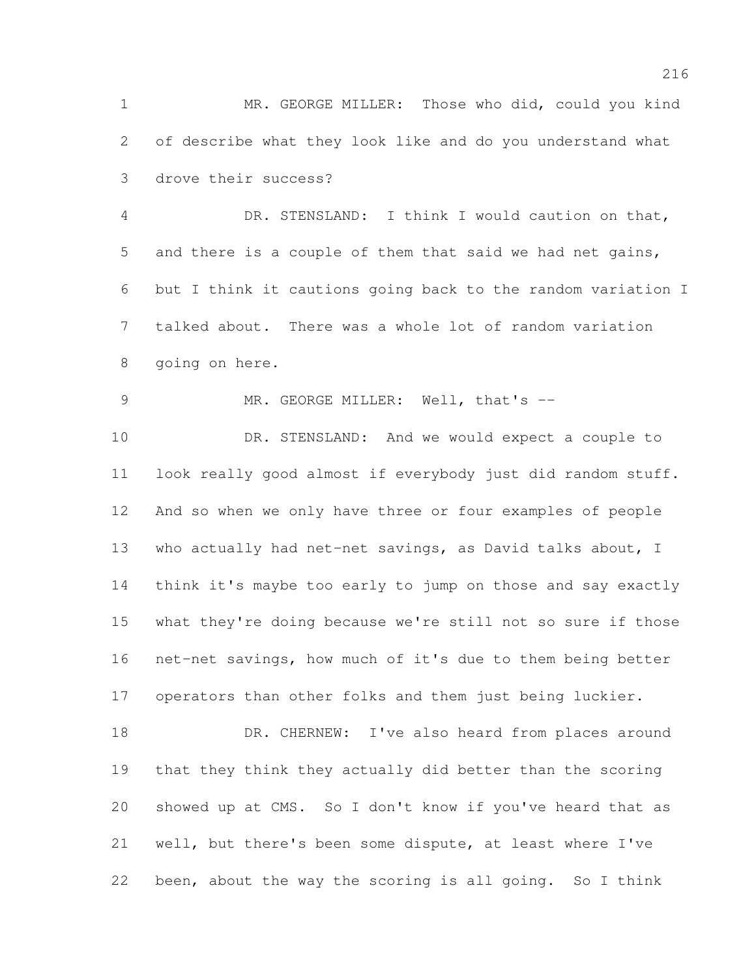MR. GEORGE MILLER: Those who did, could you kind of describe what they look like and do you understand what drove their success?

 DR. STENSLAND: I think I would caution on that, and there is a couple of them that said we had net gains, but I think it cautions going back to the random variation I talked about. There was a whole lot of random variation going on here.

9 MR. GEORGE MILLER: Well, that's --

 DR. STENSLAND: And we would expect a couple to look really good almost if everybody just did random stuff. And so when we only have three or four examples of people 13 who actually had net-net savings, as David talks about, I think it's maybe too early to jump on those and say exactly what they're doing because we're still not so sure if those net-net savings, how much of it's due to them being better operators than other folks and them just being luckier.

18 DR. CHERNEW: I've also heard from places around that they think they actually did better than the scoring showed up at CMS. So I don't know if you've heard that as well, but there's been some dispute, at least where I've been, about the way the scoring is all going. So I think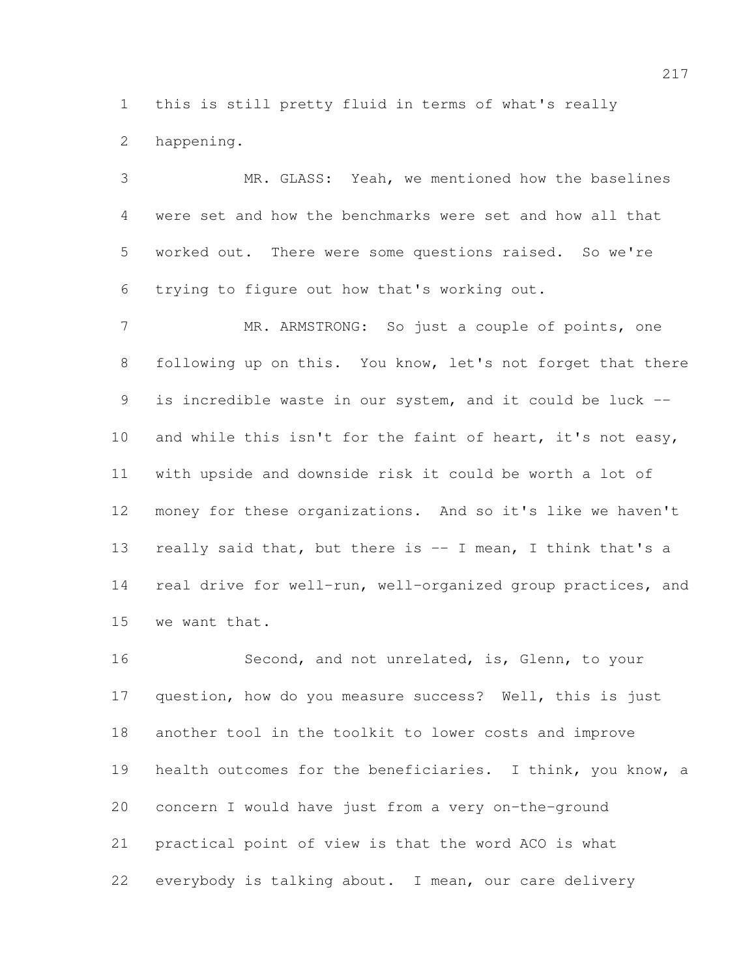this is still pretty fluid in terms of what's really happening.

 MR. GLASS: Yeah, we mentioned how the baselines were set and how the benchmarks were set and how all that worked out. There were some questions raised. So we're trying to figure out how that's working out.

 MR. ARMSTRONG: So just a couple of points, one 8 following up on this. You know, let's not forget that there is incredible waste in our system, and it could be luck -- 10 and while this isn't for the faint of heart, it's not easy, with upside and downside risk it could be worth a lot of money for these organizations. And so it's like we haven't 13 really said that, but there is -- I mean, I think that's a real drive for well-run, well-organized group practices, and we want that.

 Second, and not unrelated, is, Glenn, to your question, how do you measure success? Well, this is just another tool in the toolkit to lower costs and improve health outcomes for the beneficiaries. I think, you know, a concern I would have just from a very on-the-ground practical point of view is that the word ACO is what everybody is talking about. I mean, our care delivery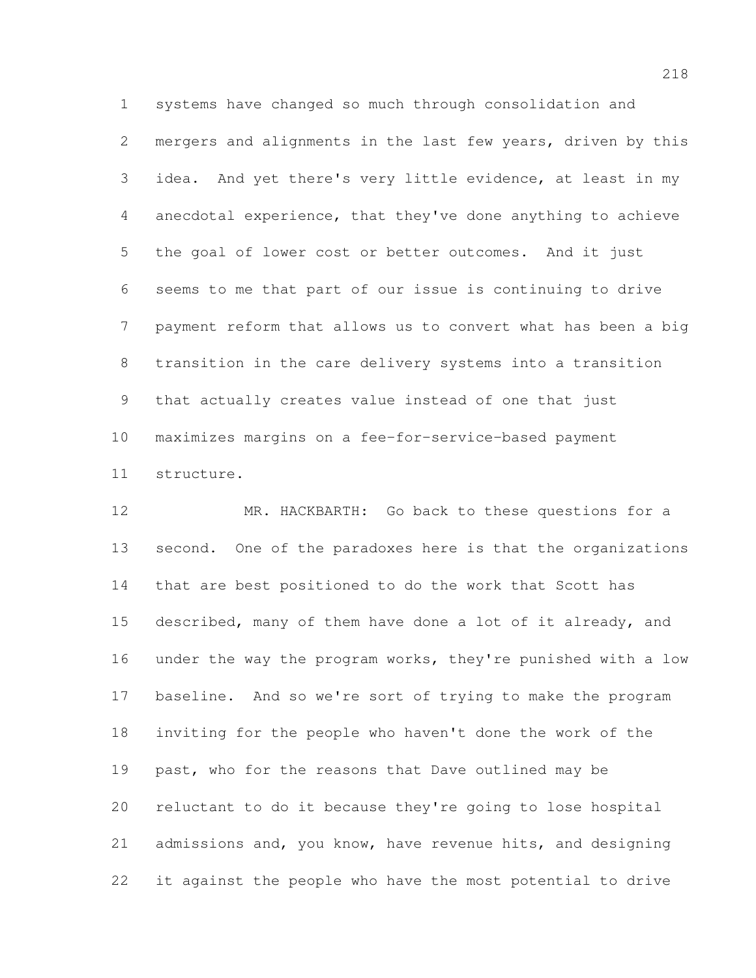systems have changed so much through consolidation and mergers and alignments in the last few years, driven by this idea. And yet there's very little evidence, at least in my anecdotal experience, that they've done anything to achieve the goal of lower cost or better outcomes. And it just seems to me that part of our issue is continuing to drive payment reform that allows us to convert what has been a big transition in the care delivery systems into a transition that actually creates value instead of one that just maximizes margins on a fee-for-service-based payment structure.

 MR. HACKBARTH: Go back to these questions for a second. One of the paradoxes here is that the organizations that are best positioned to do the work that Scott has described, many of them have done a lot of it already, and under the way the program works, they're punished with a low baseline. And so we're sort of trying to make the program inviting for the people who haven't done the work of the past, who for the reasons that Dave outlined may be reluctant to do it because they're going to lose hospital admissions and, you know, have revenue hits, and designing it against the people who have the most potential to drive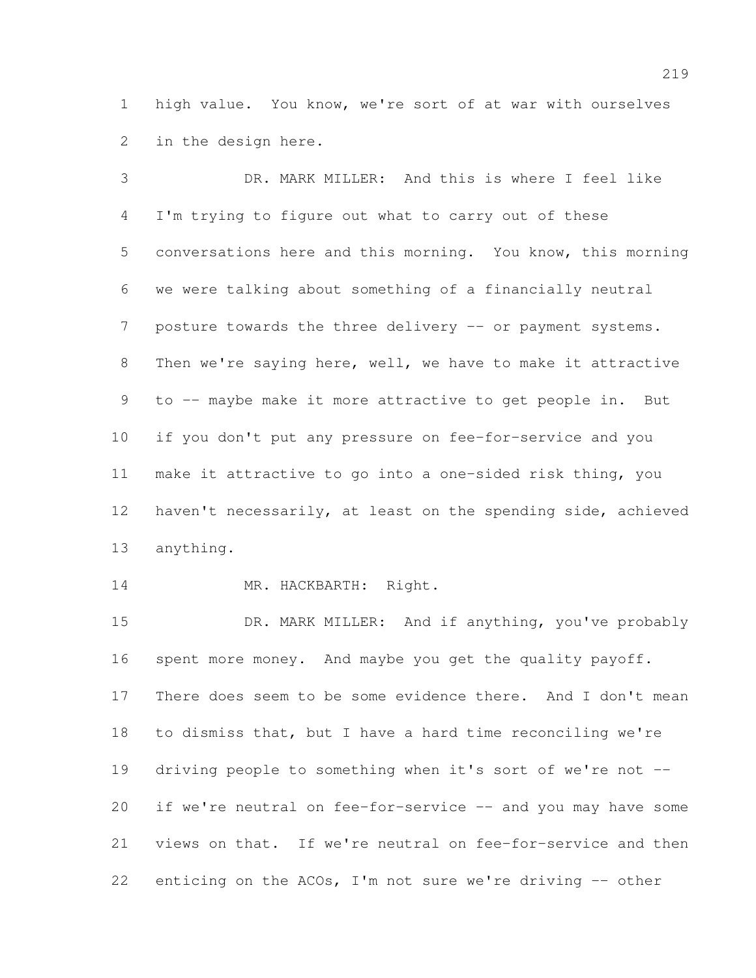high value. You know, we're sort of at war with ourselves in the design here.

 DR. MARK MILLER: And this is where I feel like I'm trying to figure out what to carry out of these conversations here and this morning. You know, this morning we were talking about something of a financially neutral 7 posture towards the three delivery -- or payment systems. Then we're saying here, well, we have to make it attractive to -- maybe make it more attractive to get people in. But if you don't put any pressure on fee-for-service and you make it attractive to go into a one-sided risk thing, you haven't necessarily, at least on the spending side, achieved anything.

14 MR. HACKBARTH: Right.

15 DR. MARK MILLER: And if anything, you've probably spent more money. And maybe you get the quality payoff. There does seem to be some evidence there. And I don't mean to dismiss that, but I have a hard time reconciling we're driving people to something when it's sort of we're not -- 20 if we're neutral on fee-for-service -- and you may have some views on that. If we're neutral on fee-for-service and then enticing on the ACOs, I'm not sure we're driving -- other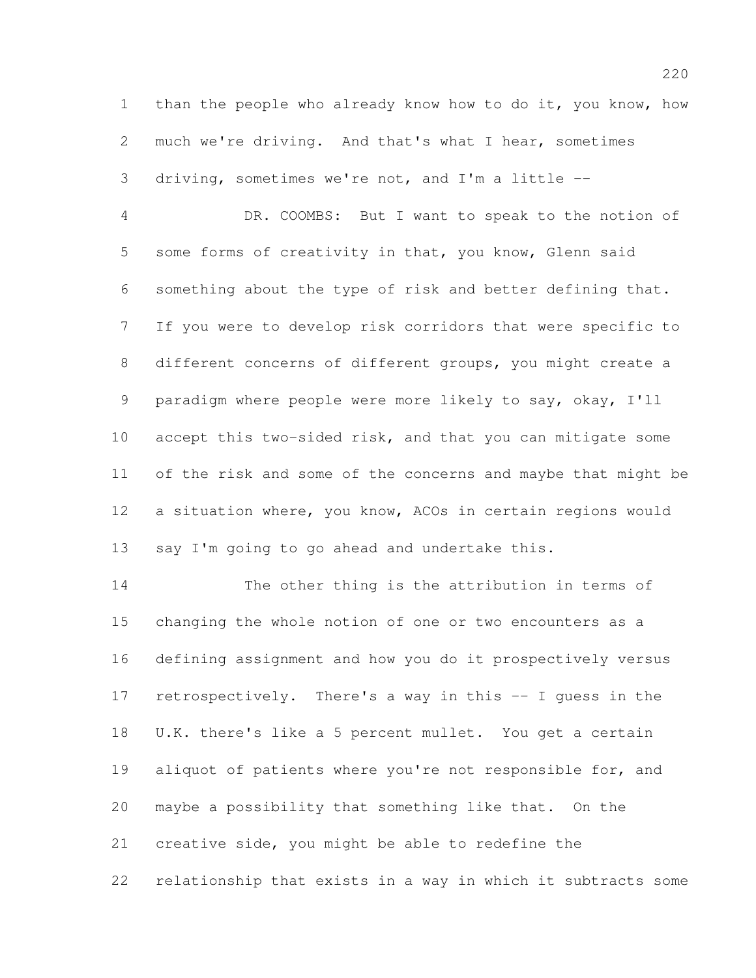than the people who already know how to do it, you know, how much we're driving. And that's what I hear, sometimes driving, sometimes we're not, and I'm a little --

 DR. COOMBS: But I want to speak to the notion of some forms of creativity in that, you know, Glenn said something about the type of risk and better defining that. If you were to develop risk corridors that were specific to different concerns of different groups, you might create a paradigm where people were more likely to say, okay, I'll accept this two-sided risk, and that you can mitigate some of the risk and some of the concerns and maybe that might be a situation where, you know, ACOs in certain regions would 13 say I'm going to go ahead and undertake this.

 The other thing is the attribution in terms of changing the whole notion of one or two encounters as a defining assignment and how you do it prospectively versus retrospectively. There's a way in this -- I guess in the U.K. there's like a 5 percent mullet. You get a certain 19 aliquot of patients where you're not responsible for, and maybe a possibility that something like that. On the creative side, you might be able to redefine the relationship that exists in a way in which it subtracts some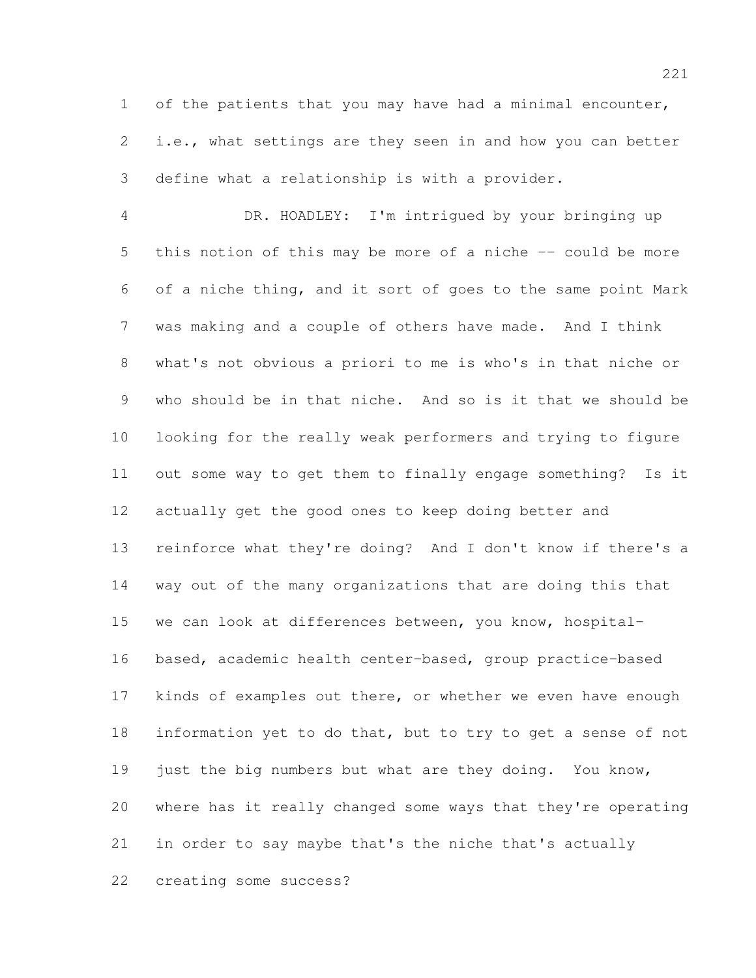of the patients that you may have had a minimal encounter, i.e., what settings are they seen in and how you can better define what a relationship is with a provider.

 DR. HOADLEY: I'm intrigued by your bringing up this notion of this may be more of a niche -- could be more of a niche thing, and it sort of goes to the same point Mark was making and a couple of others have made. And I think what's not obvious a priori to me is who's in that niche or who should be in that niche. And so is it that we should be looking for the really weak performers and trying to figure out some way to get them to finally engage something? Is it actually get the good ones to keep doing better and reinforce what they're doing? And I don't know if there's a way out of the many organizations that are doing this that we can look at differences between, you know, hospital- based, academic health center-based, group practice-based 17 kinds of examples out there, or whether we even have enough information yet to do that, but to try to get a sense of not 19 just the big numbers but what are they doing. You know, where has it really changed some ways that they're operating in order to say maybe that's the niche that's actually creating some success?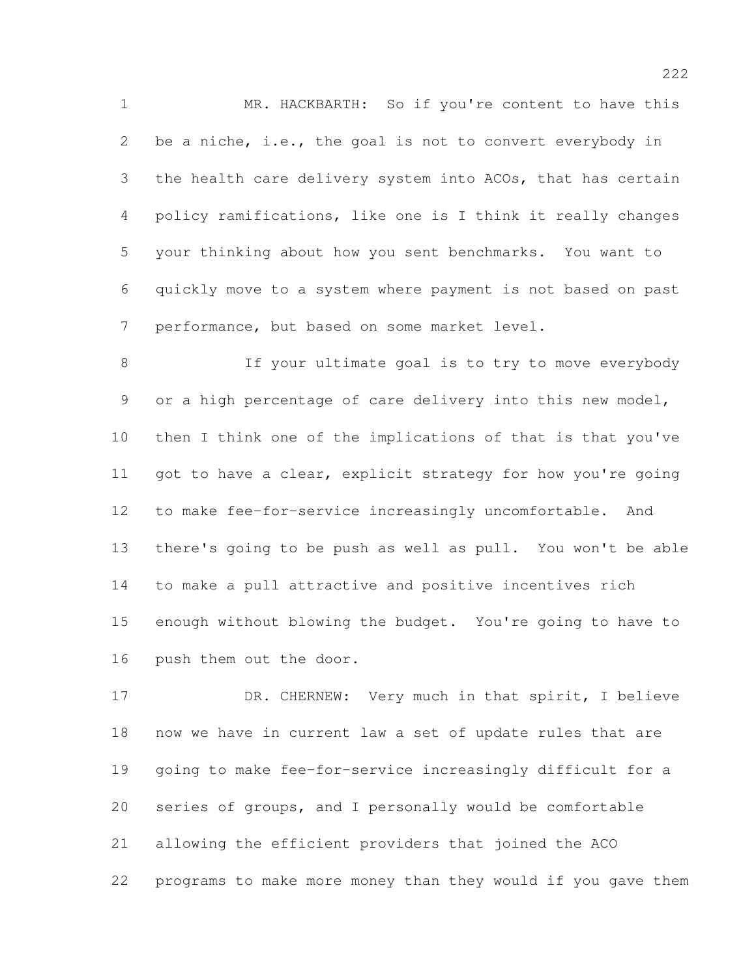MR. HACKBARTH: So if you're content to have this be a niche, i.e., the goal is not to convert everybody in the health care delivery system into ACOs, that has certain policy ramifications, like one is I think it really changes your thinking about how you sent benchmarks. You want to quickly move to a system where payment is not based on past performance, but based on some market level.

8 If your ultimate goal is to try to move everybody or a high percentage of care delivery into this new model, then I think one of the implications of that is that you've 11 got to have a clear, explicit strategy for how you're going to make fee-for-service increasingly uncomfortable. And there's going to be push as well as pull. You won't be able to make a pull attractive and positive incentives rich enough without blowing the budget. You're going to have to push them out the door.

17 DR. CHERNEW: Very much in that spirit, I believe now we have in current law a set of update rules that are going to make fee-for-service increasingly difficult for a series of groups, and I personally would be comfortable allowing the efficient providers that joined the ACO programs to make more money than they would if you gave them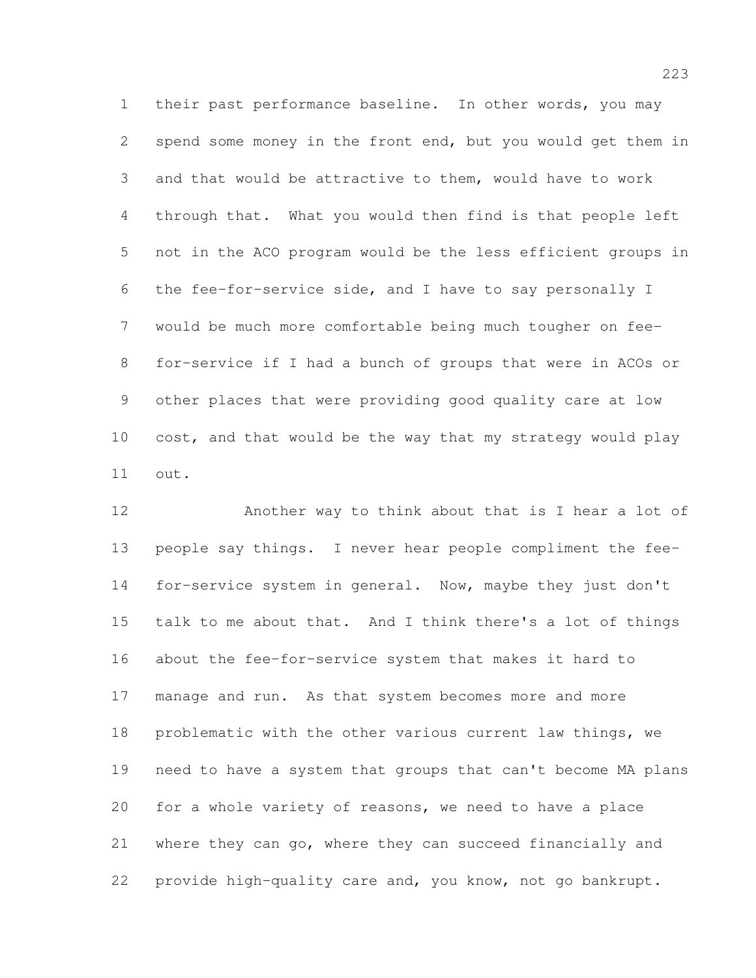their past performance baseline. In other words, you may spend some money in the front end, but you would get them in and that would be attractive to them, would have to work through that. What you would then find is that people left not in the ACO program would be the less efficient groups in the fee-for-service side, and I have to say personally I would be much more comfortable being much tougher on fee- for-service if I had a bunch of groups that were in ACOs or other places that were providing good quality care at low cost, and that would be the way that my strategy would play out.

 Another way to think about that is I hear a lot of people say things. I never hear people compliment the fee- for-service system in general. Now, maybe they just don't talk to me about that. And I think there's a lot of things about the fee-for-service system that makes it hard to manage and run. As that system becomes more and more problematic with the other various current law things, we need to have a system that groups that can't become MA plans for a whole variety of reasons, we need to have a place where they can go, where they can succeed financially and provide high-quality care and, you know, not go bankrupt.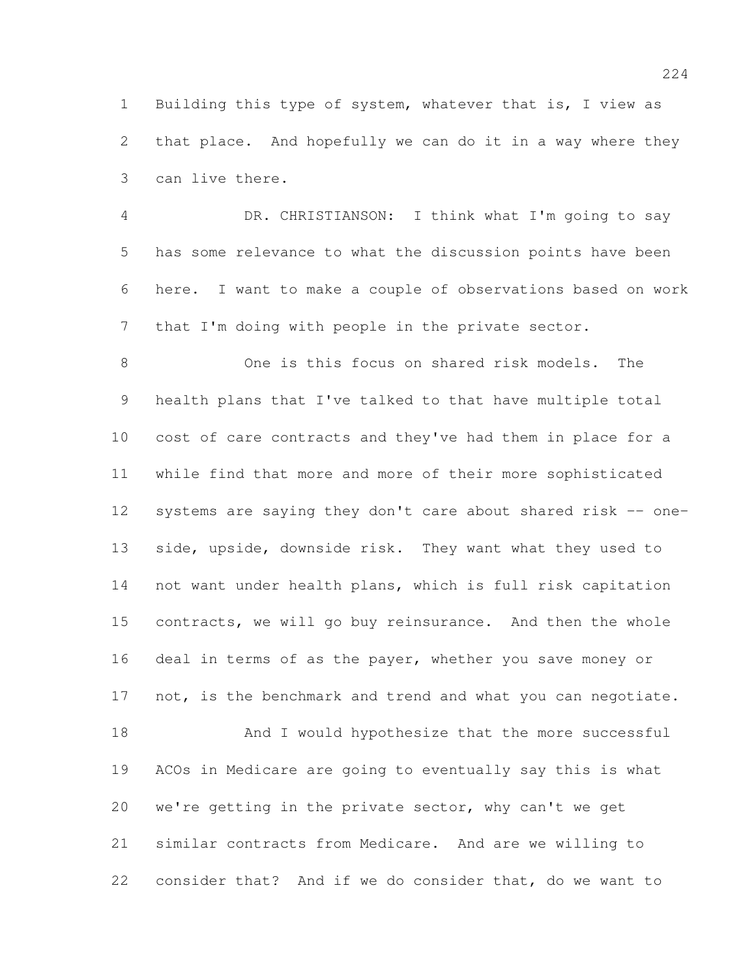Building this type of system, whatever that is, I view as that place. And hopefully we can do it in a way where they can live there.

 DR. CHRISTIANSON: I think what I'm going to say has some relevance to what the discussion points have been here. I want to make a couple of observations based on work that I'm doing with people in the private sector.

 One is this focus on shared risk models. The health plans that I've talked to that have multiple total cost of care contracts and they've had them in place for a while find that more and more of their more sophisticated systems are saying they don't care about shared risk -- one- side, upside, downside risk. They want what they used to not want under health plans, which is full risk capitation contracts, we will go buy reinsurance. And then the whole 16 deal in terms of as the payer, whether you save money or 17 not, is the benchmark and trend and what you can negotiate. 18 And I would hypothesize that the more successful ACOs in Medicare are going to eventually say this is what we're getting in the private sector, why can't we get similar contracts from Medicare. And are we willing to consider that? And if we do consider that, do we want to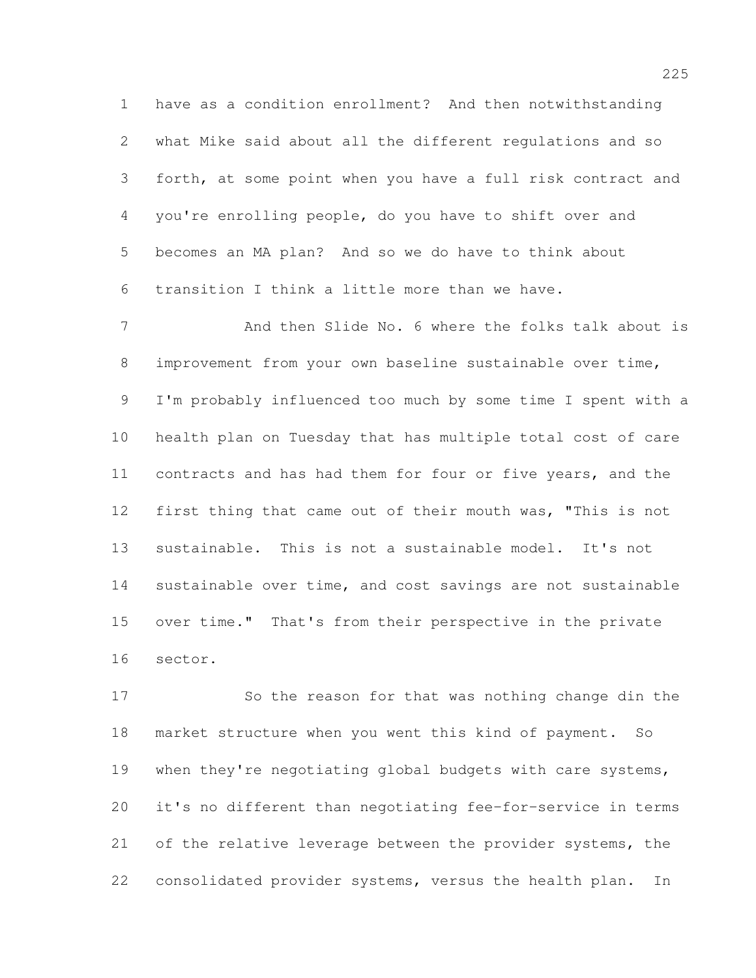have as a condition enrollment? And then notwithstanding what Mike said about all the different regulations and so forth, at some point when you have a full risk contract and you're enrolling people, do you have to shift over and becomes an MA plan? And so we do have to think about transition I think a little more than we have.

7 And then Slide No. 6 where the folks talk about is improvement from your own baseline sustainable over time, I'm probably influenced too much by some time I spent with a health plan on Tuesday that has multiple total cost of care 11 contracts and has had them for four or five years, and the first thing that came out of their mouth was, "This is not sustainable. This is not a sustainable model. It's not sustainable over time, and cost savings are not sustainable over time." That's from their perspective in the private sector.

 So the reason for that was nothing change din the market structure when you went this kind of payment. So 19 when they're negotiating global budgets with care systems, it's no different than negotiating fee-for-service in terms 21 of the relative leverage between the provider systems, the consolidated provider systems, versus the health plan. In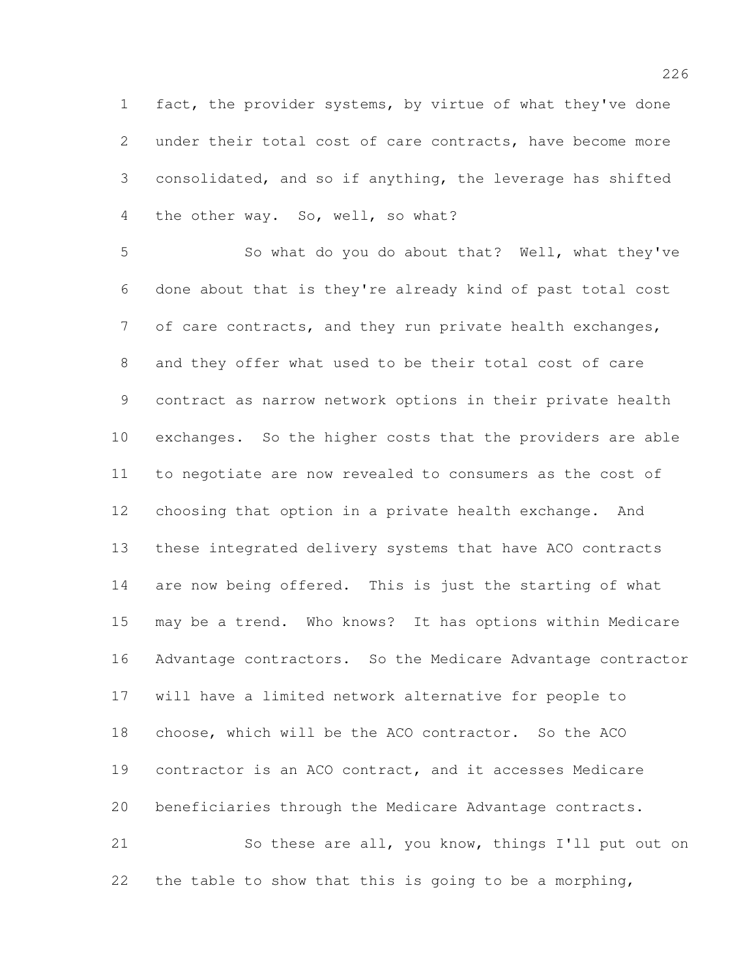fact, the provider systems, by virtue of what they've done under their total cost of care contracts, have become more consolidated, and so if anything, the leverage has shifted 4 the other way. So, well, so what?

 So what do you do about that? Well, what they've done about that is they're already kind of past total cost of care contracts, and they run private health exchanges, and they offer what used to be their total cost of care contract as narrow network options in their private health exchanges. So the higher costs that the providers are able to negotiate are now revealed to consumers as the cost of choosing that option in a private health exchange. And these integrated delivery systems that have ACO contracts 14 are now being offered. This is just the starting of what may be a trend. Who knows? It has options within Medicare Advantage contractors. So the Medicare Advantage contractor will have a limited network alternative for people to choose, which will be the ACO contractor. So the ACO contractor is an ACO contract, and it accesses Medicare beneficiaries through the Medicare Advantage contracts. So these are all, you know, things I'll put out on

the table to show that this is going to be a morphing,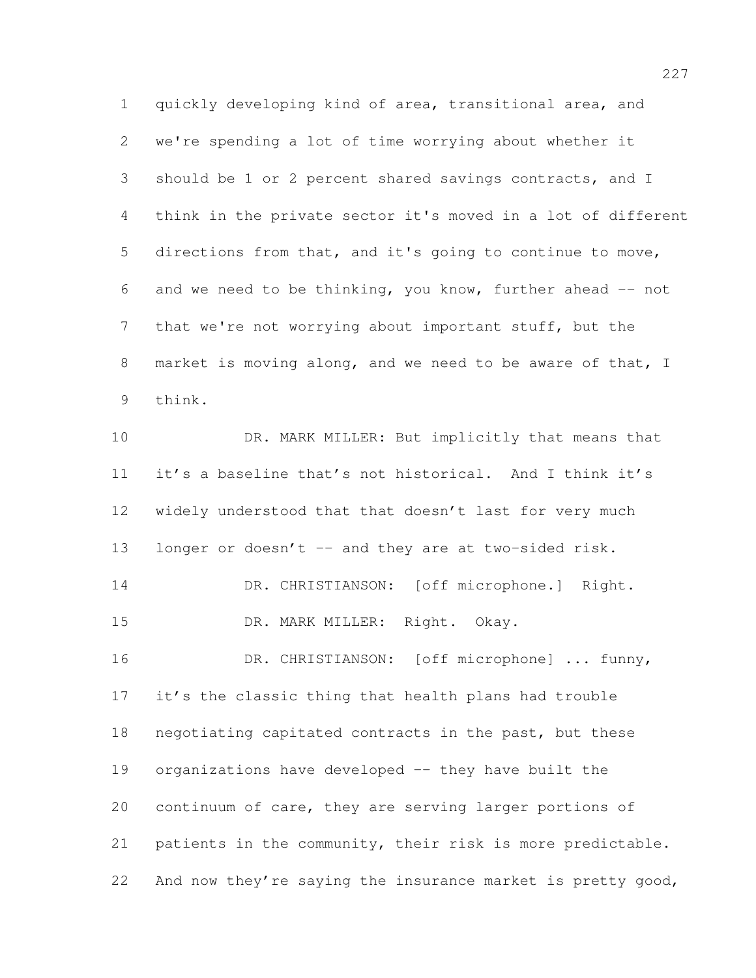quickly developing kind of area, transitional area, and we're spending a lot of time worrying about whether it should be 1 or 2 percent shared savings contracts, and I think in the private sector it's moved in a lot of different directions from that, and it's going to continue to move, 6 and we need to be thinking, you know, further ahead  $-$  not that we're not worrying about important stuff, but the market is moving along, and we need to be aware of that, I think.

10 DR. MARK MILLER: But implicitly that means that it's a baseline that's not historical. And I think it's widely understood that that doesn't last for very much 13 longer or doesn't -- and they are at two-sided risk. 14 DR. CHRISTIANSON: [off microphone.] Right. DR. MARK MILLER: Right. Okay. 16 DR. CHRISTIANSON: [off microphone] ... funny, it's the classic thing that health plans had trouble negotiating capitated contracts in the past, but these organizations have developed -- they have built the continuum of care, they are serving larger portions of patients in the community, their risk is more predictable. 22 And now they're saying the insurance market is pretty good,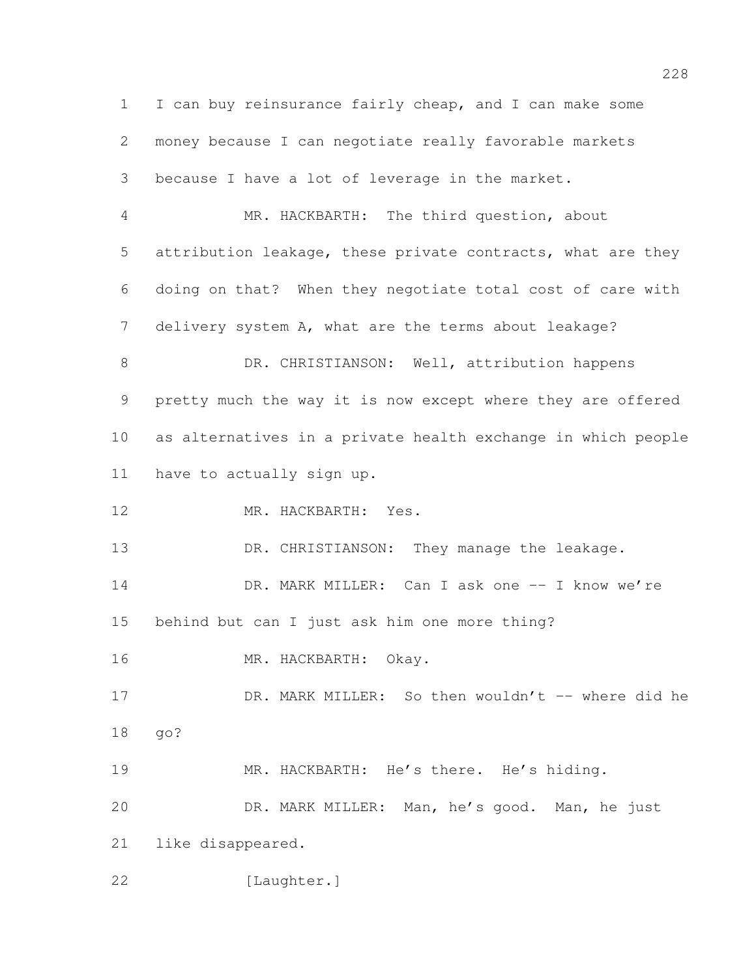I can buy reinsurance fairly cheap, and I can make some money because I can negotiate really favorable markets because I have a lot of leverage in the market. MR. HACKBARTH: The third question, about attribution leakage, these private contracts, what are they doing on that? When they negotiate total cost of care with delivery system A, what are the terms about leakage? 8 DR. CHRISTIANSON: Well, attribution happens pretty much the way it is now except where they are offered as alternatives in a private health exchange in which people have to actually sign up. MR. HACKBARTH: Yes. 13 DR. CHRISTIANSON: They manage the leakage. 14 DR. MARK MILLER: Can I ask one -- I know we're behind but can I just ask him one more thing? MR. HACKBARTH: Okay. 17 DR. MARK MILLER: So then wouldn't -- where did he go? MR. HACKBARTH: He's there. He's hiding. DR. MARK MILLER: Man, he's good. Man, he just like disappeared. 22 [Laughter.]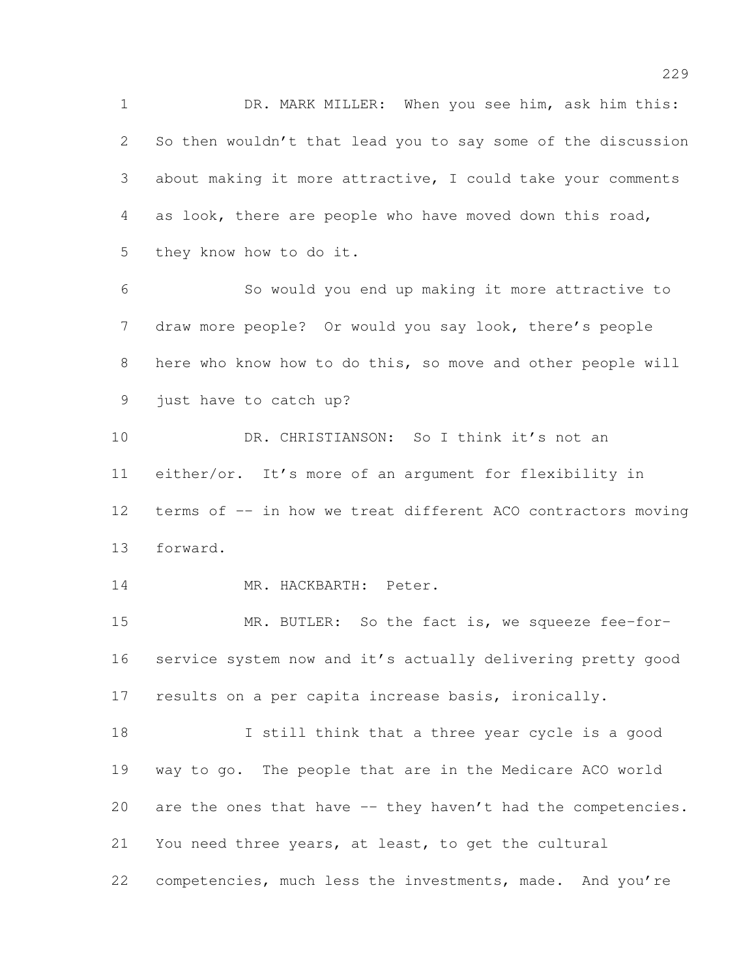DR. MARK MILLER: When you see him, ask him this: So then wouldn't that lead you to say some of the discussion about making it more attractive, I could take your comments as look, there are people who have moved down this road, they know how to do it.

 So would you end up making it more attractive to draw more people? Or would you say look, there's people here who know how to do this, so move and other people will just have to catch up?

 DR. CHRISTIANSON: So I think it's not an either/or. It's more of an argument for flexibility in 12 terms of -- in how we treat different ACO contractors moving forward.

MR. HACKBARTH: Peter.

 MR. BUTLER: So the fact is, we squeeze fee-for- service system now and it's actually delivering pretty good results on a per capita increase basis, ironically.

 I still think that a three year cycle is a good way to go. The people that are in the Medicare ACO world 20 are the ones that have -- they haven't had the competencies. You need three years, at least, to get the cultural 22 competencies, much less the investments, made. And you're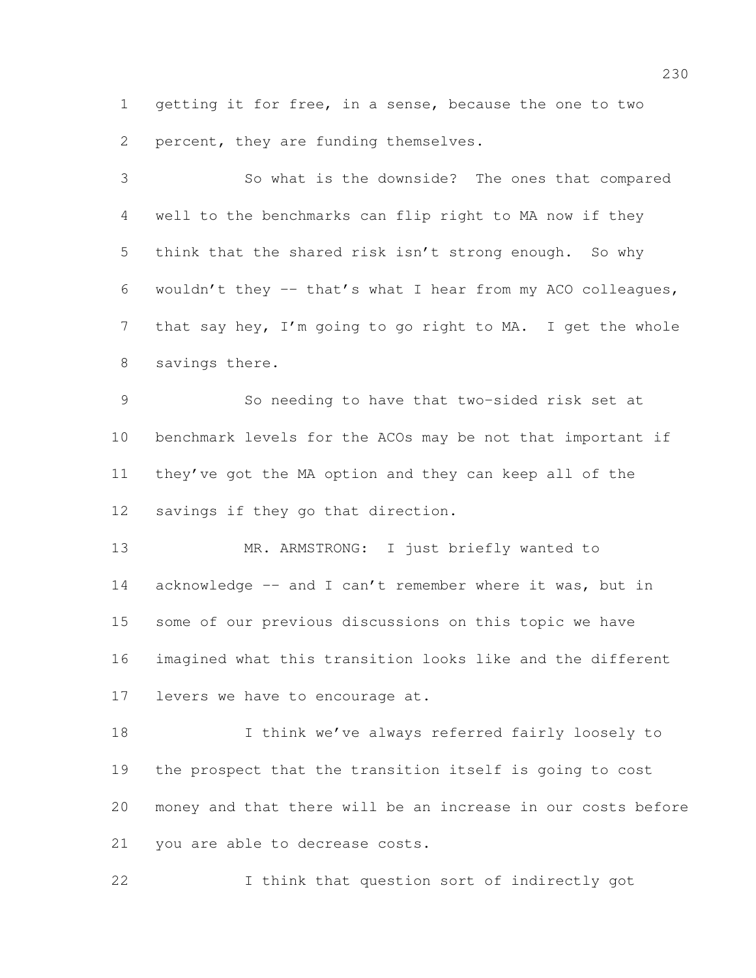getting it for free, in a sense, because the one to two percent, they are funding themselves.

 So what is the downside? The ones that compared well to the benchmarks can flip right to MA now if they think that the shared risk isn't strong enough. So why wouldn't they -- that's what I hear from my ACO colleagues, that say hey, I'm going to go right to MA. I get the whole savings there.

 So needing to have that two-sided risk set at benchmark levels for the ACOs may be not that important if they've got the MA option and they can keep all of the savings if they go that direction.

13 MR. ARMSTRONG: I just briefly wanted to 14 acknowledge -- and I can't remember where it was, but in some of our previous discussions on this topic we have imagined what this transition looks like and the different levers we have to encourage at.

 I think we've always referred fairly loosely to the prospect that the transition itself is going to cost money and that there will be an increase in our costs before you are able to decrease costs.

I think that question sort of indirectly got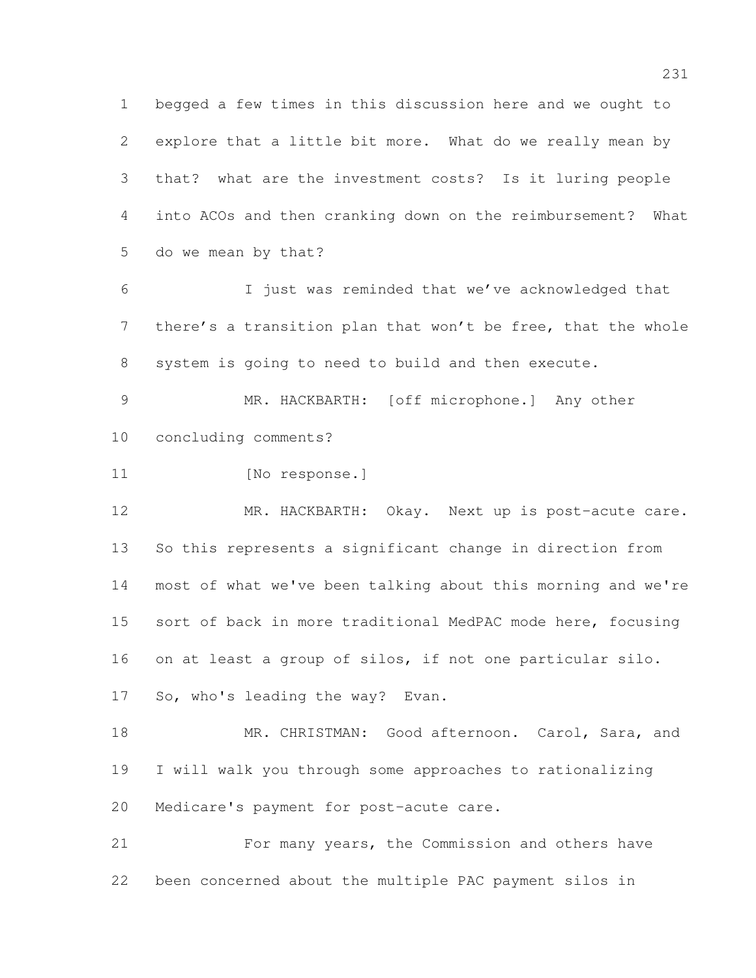begged a few times in this discussion here and we ought to explore that a little bit more. What do we really mean by that? what are the investment costs? Is it luring people into ACOs and then cranking down on the reimbursement? What do we mean by that?

 I just was reminded that we've acknowledged that there's a transition plan that won't be free, that the whole system is going to need to build and then execute.

 MR. HACKBARTH: [off microphone.] Any other concluding comments?

11 [No response.]

 MR. HACKBARTH: Okay. Next up is post-acute care. So this represents a significant change in direction from most of what we've been talking about this morning and we're sort of back in more traditional MedPAC mode here, focusing on at least a group of silos, if not one particular silo. So, who's leading the way? Evan.

18 MR. CHRISTMAN: Good afternoon. Carol, Sara, and I will walk you through some approaches to rationalizing Medicare's payment for post-acute care.

 For many years, the Commission and others have been concerned about the multiple PAC payment silos in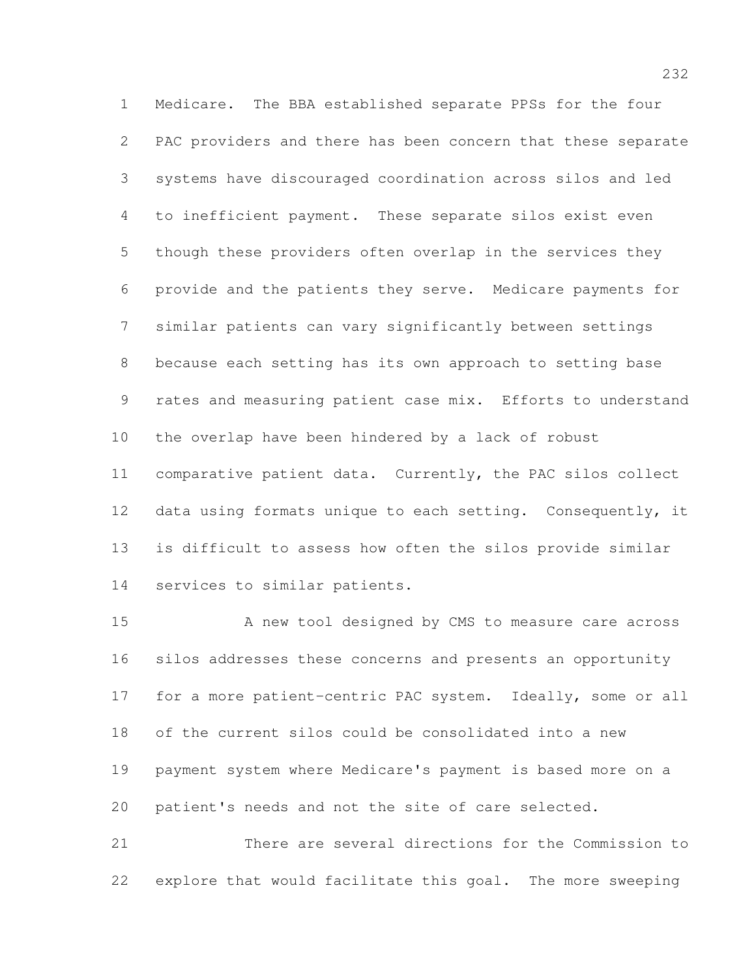Medicare. The BBA established separate PPSs for the four PAC providers and there has been concern that these separate systems have discouraged coordination across silos and led to inefficient payment. These separate silos exist even though these providers often overlap in the services they provide and the patients they serve. Medicare payments for similar patients can vary significantly between settings because each setting has its own approach to setting base rates and measuring patient case mix. Efforts to understand the overlap have been hindered by a lack of robust comparative patient data. Currently, the PAC silos collect 12 data using formats unique to each setting. Consequently, it is difficult to assess how often the silos provide similar services to similar patients.

15 A new tool designed by CMS to measure care across silos addresses these concerns and presents an opportunity for a more patient-centric PAC system. Ideally, some or all of the current silos could be consolidated into a new payment system where Medicare's payment is based more on a patient's needs and not the site of care selected.

 There are several directions for the Commission to explore that would facilitate this goal. The more sweeping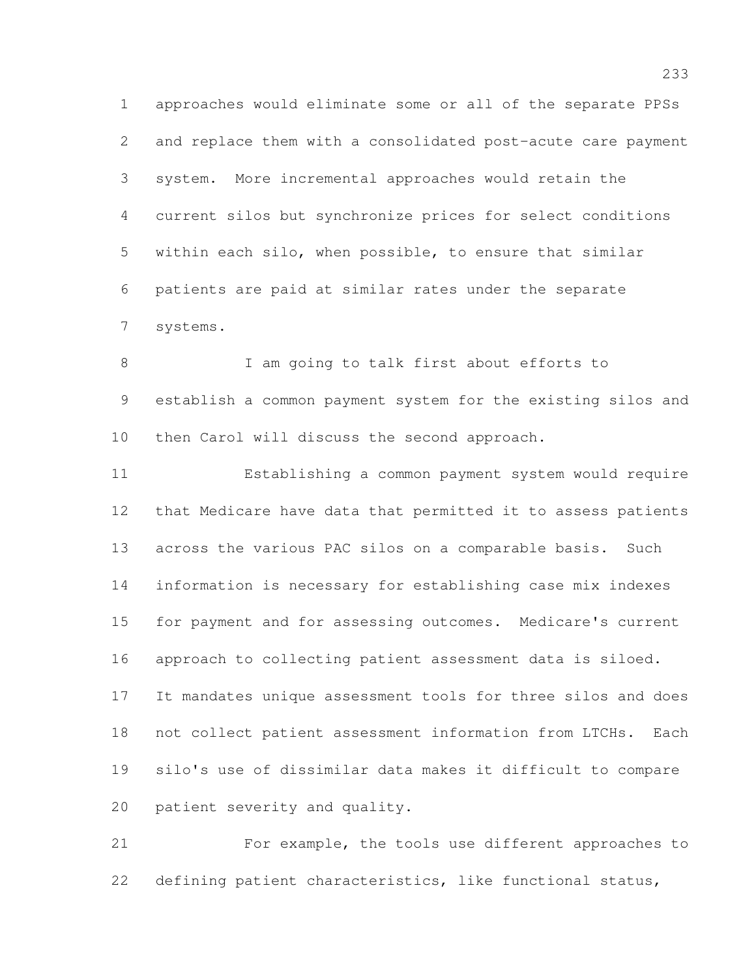approaches would eliminate some or all of the separate PPSs and replace them with a consolidated post-acute care payment system. More incremental approaches would retain the current silos but synchronize prices for select conditions within each silo, when possible, to ensure that similar patients are paid at similar rates under the separate systems.

 I am going to talk first about efforts to establish a common payment system for the existing silos and then Carol will discuss the second approach.

 Establishing a common payment system would require that Medicare have data that permitted it to assess patients across the various PAC silos on a comparable basis. Such information is necessary for establishing case mix indexes for payment and for assessing outcomes. Medicare's current approach to collecting patient assessment data is siloed. It mandates unique assessment tools for three silos and does not collect patient assessment information from LTCHs. Each silo's use of dissimilar data makes it difficult to compare patient severity and quality.

 For example, the tools use different approaches to defining patient characteristics, like functional status,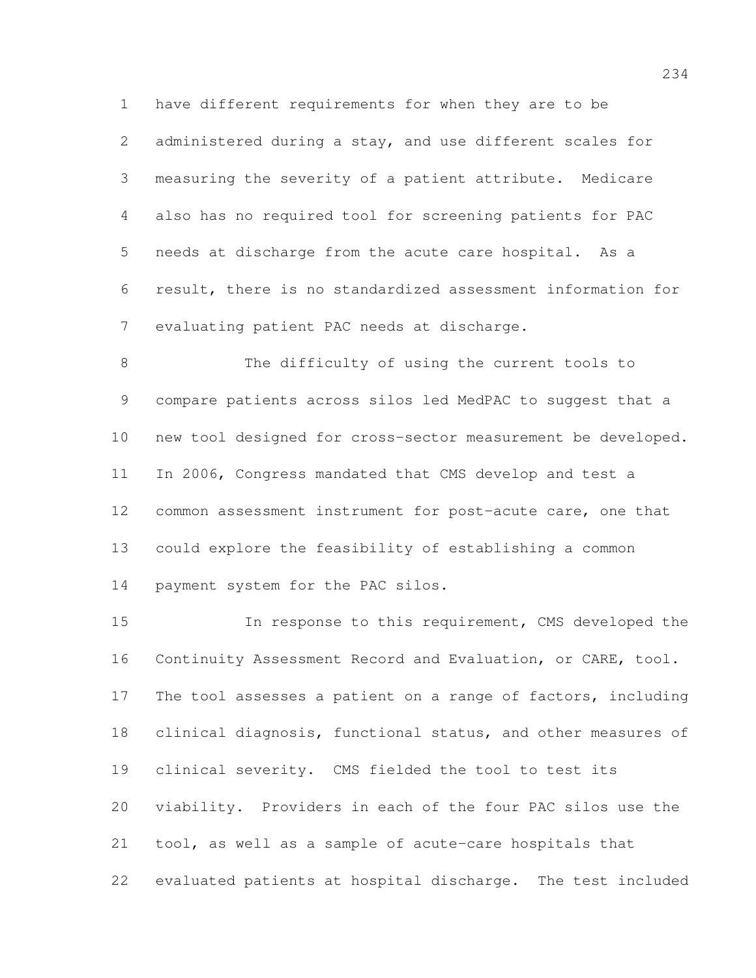have different requirements for when they are to be administered during a stay, and use different scales for measuring the severity of a patient attribute. Medicare also has no required tool for screening patients for PAC needs at discharge from the acute care hospital. As a result, there is no standardized assessment information for evaluating patient PAC needs at discharge.

 The difficulty of using the current tools to compare patients across silos led MedPAC to suggest that a new tool designed for cross-sector measurement be developed. In 2006, Congress mandated that CMS develop and test a 12 common assessment instrument for post-acute care, one that could explore the feasibility of establishing a common 14 payment system for the PAC silos.

 In response to this requirement, CMS developed the Continuity Assessment Record and Evaluation, or CARE, tool. The tool assesses a patient on a range of factors, including clinical diagnosis, functional status, and other measures of clinical severity. CMS fielded the tool to test its viability. Providers in each of the four PAC silos use the tool, as well as a sample of acute-care hospitals that evaluated patients at hospital discharge. The test included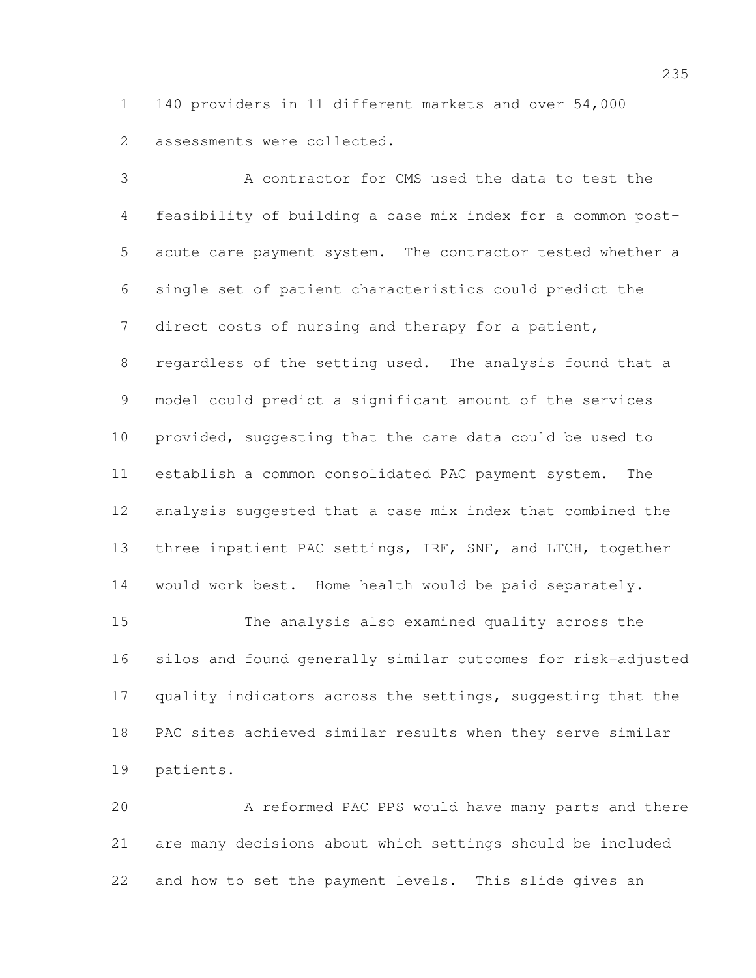140 providers in 11 different markets and over 54,000 assessments were collected.

 A contractor for CMS used the data to test the feasibility of building a case mix index for a common post- acute care payment system. The contractor tested whether a single set of patient characteristics could predict the direct costs of nursing and therapy for a patient, regardless of the setting used. The analysis found that a model could predict a significant amount of the services provided, suggesting that the care data could be used to establish a common consolidated PAC payment system. The analysis suggested that a case mix index that combined the three inpatient PAC settings, IRF, SNF, and LTCH, together would work best. Home health would be paid separately.

 The analysis also examined quality across the silos and found generally similar outcomes for risk-adjusted quality indicators across the settings, suggesting that the PAC sites achieved similar results when they serve similar patients.

 A reformed PAC PPS would have many parts and there are many decisions about which settings should be included and how to set the payment levels. This slide gives an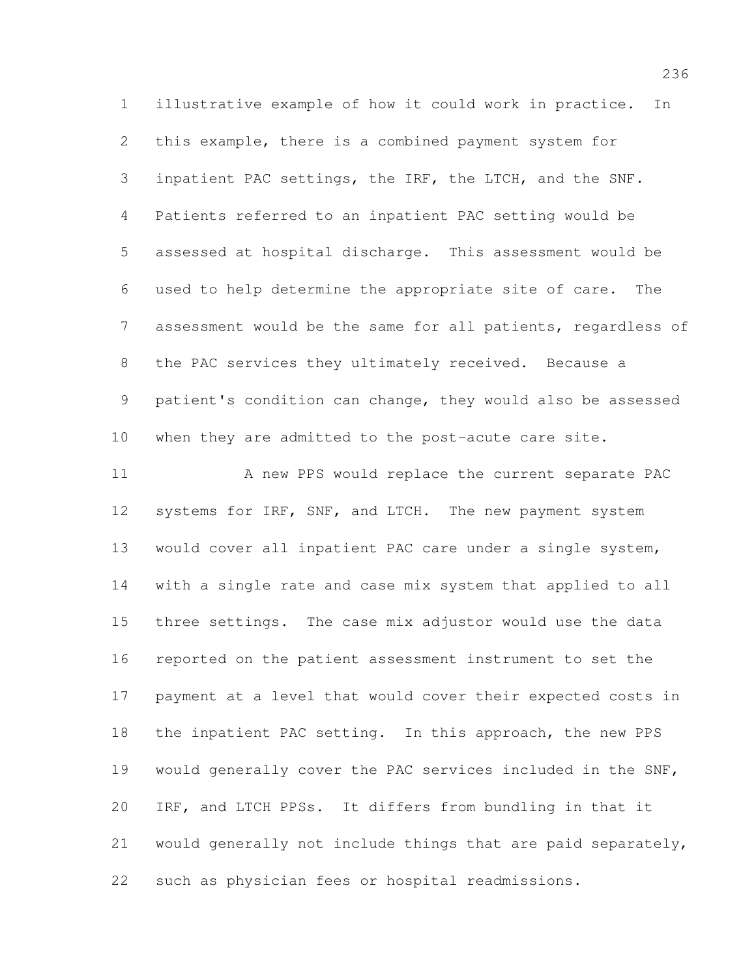illustrative example of how it could work in practice. In this example, there is a combined payment system for inpatient PAC settings, the IRF, the LTCH, and the SNF. Patients referred to an inpatient PAC setting would be assessed at hospital discharge. This assessment would be used to help determine the appropriate site of care. The assessment would be the same for all patients, regardless of the PAC services they ultimately received. Because a patient's condition can change, they would also be assessed when they are admitted to the post-acute care site.

11 A new PPS would replace the current separate PAC 12 systems for IRF, SNF, and LTCH. The new payment system would cover all inpatient PAC care under a single system, with a single rate and case mix system that applied to all three settings. The case mix adjustor would use the data reported on the patient assessment instrument to set the payment at a level that would cover their expected costs in the inpatient PAC setting. In this approach, the new PPS would generally cover the PAC services included in the SNF, IRF, and LTCH PPSs. It differs from bundling in that it would generally not include things that are paid separately, such as physician fees or hospital readmissions.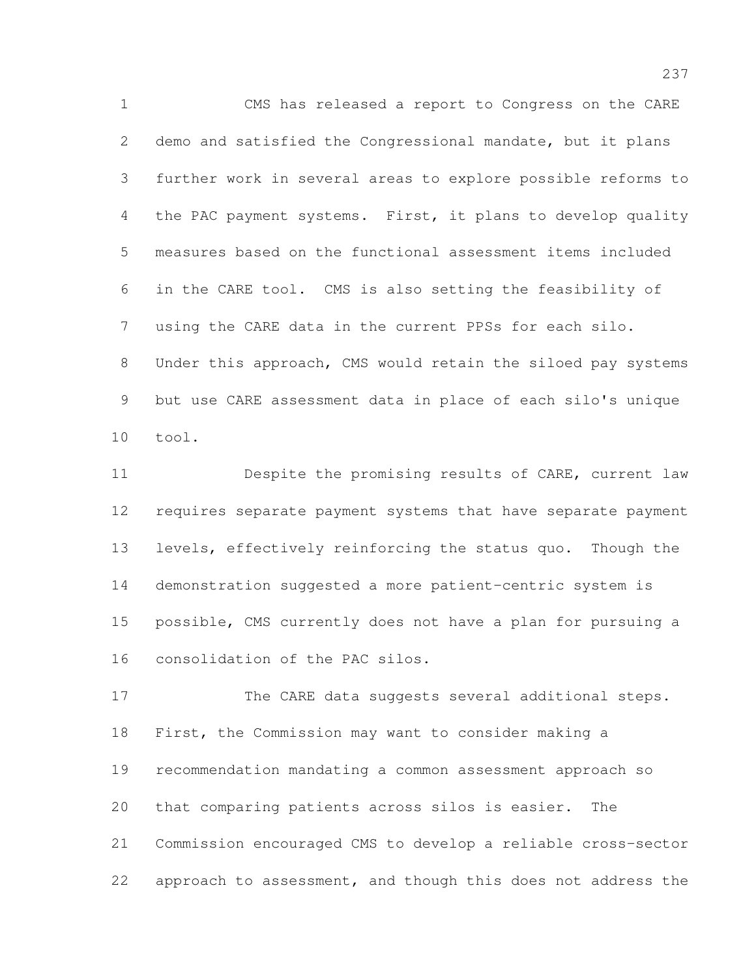CMS has released a report to Congress on the CARE demo and satisfied the Congressional mandate, but it plans further work in several areas to explore possible reforms to 4 the PAC payment systems. First, it plans to develop quality measures based on the functional assessment items included in the CARE tool. CMS is also setting the feasibility of using the CARE data in the current PPSs for each silo. Under this approach, CMS would retain the siloed pay systems but use CARE assessment data in place of each silo's unique tool.

 Despite the promising results of CARE, current law requires separate payment systems that have separate payment levels, effectively reinforcing the status quo. Though the demonstration suggested a more patient-centric system is possible, CMS currently does not have a plan for pursuing a consolidation of the PAC silos.

17 The CARE data suggests several additional steps. First, the Commission may want to consider making a recommendation mandating a common assessment approach so that comparing patients across silos is easier. The Commission encouraged CMS to develop a reliable cross-sector approach to assessment, and though this does not address the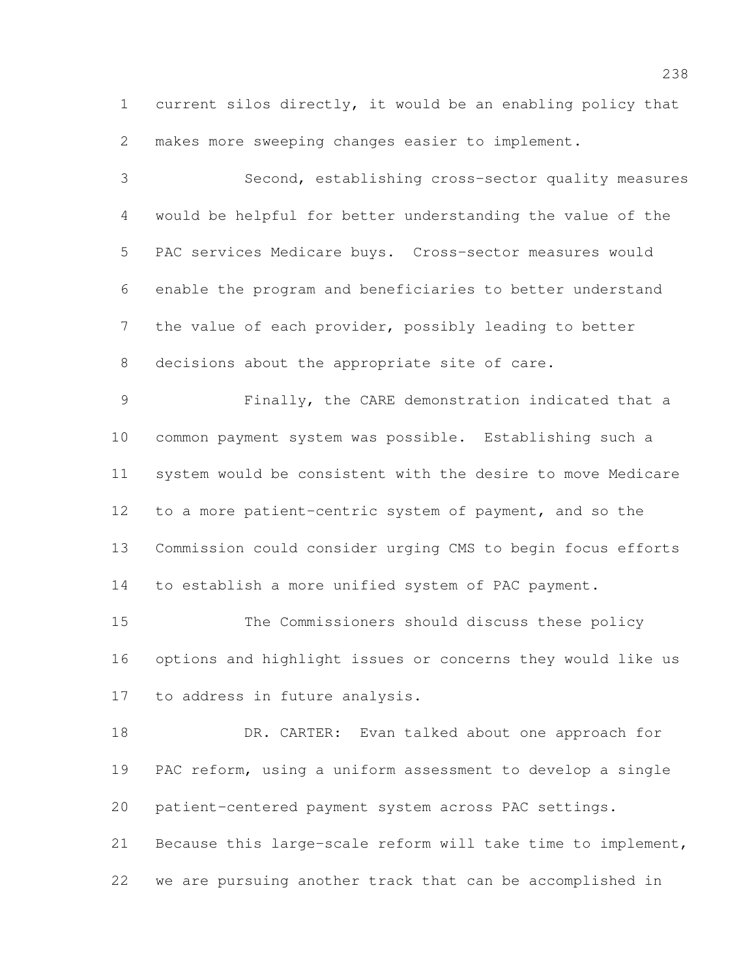current silos directly, it would be an enabling policy that makes more sweeping changes easier to implement.

 Second, establishing cross-sector quality measures would be helpful for better understanding the value of the PAC services Medicare buys. Cross-sector measures would enable the program and beneficiaries to better understand the value of each provider, possibly leading to better decisions about the appropriate site of care. Finally, the CARE demonstration indicated that a common payment system was possible. Establishing such a system would be consistent with the desire to move Medicare to a more patient-centric system of payment, and so the Commission could consider urging CMS to begin focus efforts to establish a more unified system of PAC payment. The Commissioners should discuss these policy options and highlight issues or concerns they would like us to address in future analysis.

18 DR. CARTER: Evan talked about one approach for PAC reform, using a uniform assessment to develop a single patient-centered payment system across PAC settings. Because this large-scale reform will take time to implement, we are pursuing another track that can be accomplished in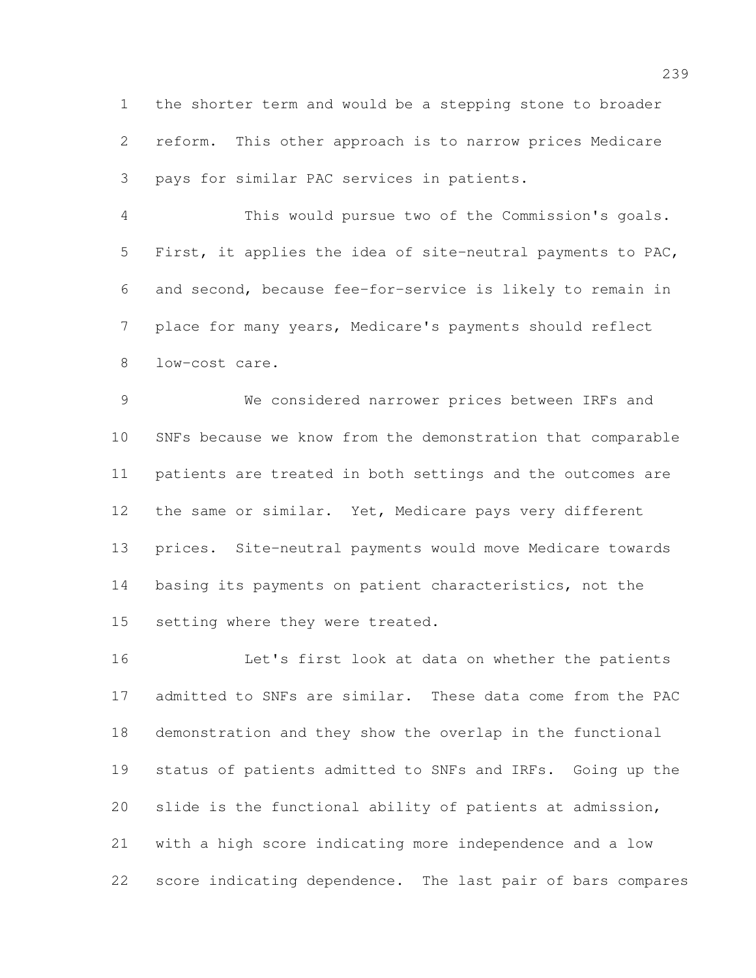the shorter term and would be a stepping stone to broader reform. This other approach is to narrow prices Medicare pays for similar PAC services in patients.

 This would pursue two of the Commission's goals. First, it applies the idea of site-neutral payments to PAC, and second, because fee-for-service is likely to remain in place for many years, Medicare's payments should reflect low-cost care.

 We considered narrower prices between IRFs and SNFs because we know from the demonstration that comparable patients are treated in both settings and the outcomes are the same or similar. Yet, Medicare pays very different prices. Site-neutral payments would move Medicare towards basing its payments on patient characteristics, not the 15 setting where they were treated.

 Let's first look at data on whether the patients admitted to SNFs are similar. These data come from the PAC demonstration and they show the overlap in the functional status of patients admitted to SNFs and IRFs. Going up the slide is the functional ability of patients at admission, with a high score indicating more independence and a low score indicating dependence. The last pair of bars compares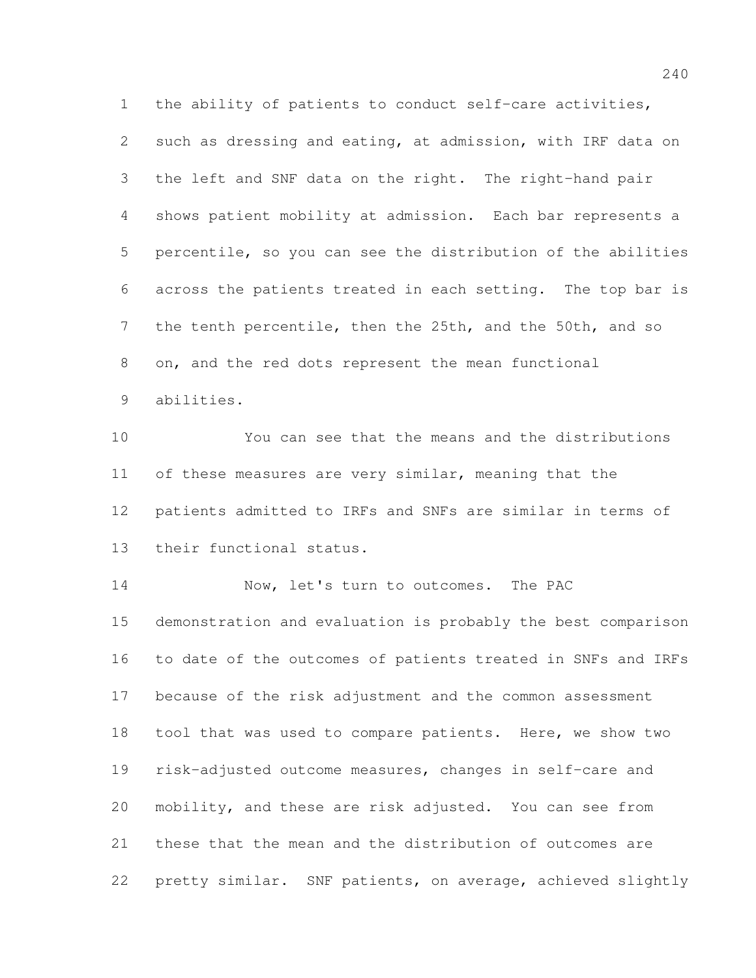the ability of patients to conduct self-care activities, such as dressing and eating, at admission, with IRF data on the left and SNF data on the right. The right-hand pair shows patient mobility at admission. Each bar represents a percentile, so you can see the distribution of the abilities across the patients treated in each setting. The top bar is the tenth percentile, then the 25th, and the 50th, and so on, and the red dots represent the mean functional abilities.

 You can see that the means and the distributions 11 of these measures are very similar, meaning that the patients admitted to IRFs and SNFs are similar in terms of their functional status.

14 Now, let's turn to outcomes. The PAC demonstration and evaluation is probably the best comparison to date of the outcomes of patients treated in SNFs and IRFs because of the risk adjustment and the common assessment tool that was used to compare patients. Here, we show two risk-adjusted outcome measures, changes in self-care and mobility, and these are risk adjusted. You can see from these that the mean and the distribution of outcomes are pretty similar. SNF patients, on average, achieved slightly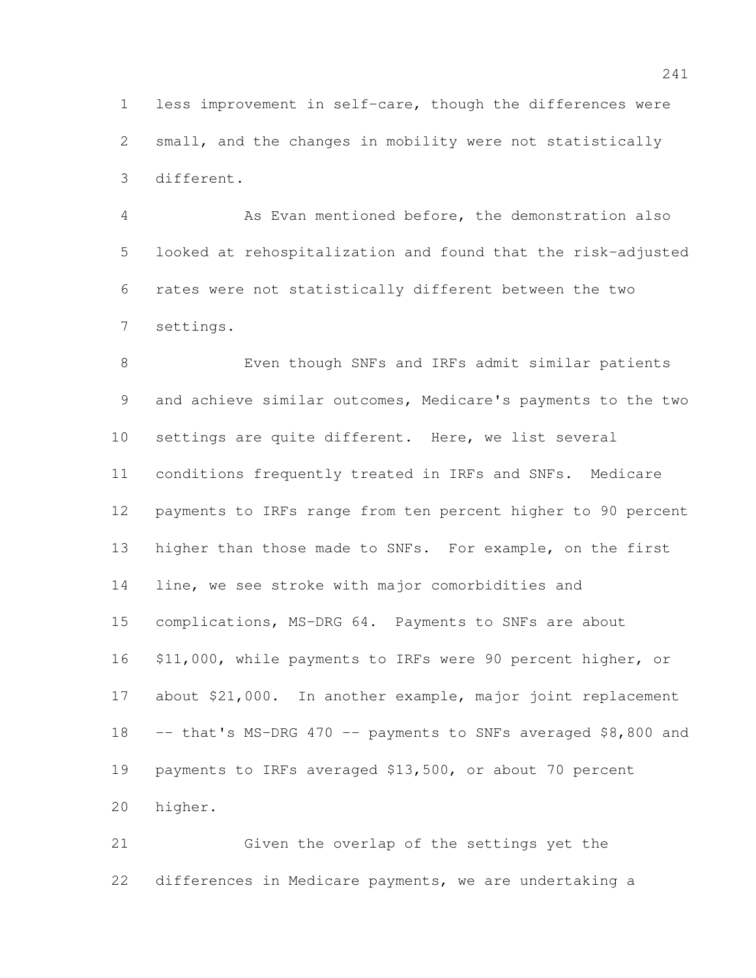less improvement in self-care, though the differences were small, and the changes in mobility were not statistically different.

 As Evan mentioned before, the demonstration also looked at rehospitalization and found that the risk-adjusted rates were not statistically different between the two settings.

 Even though SNFs and IRFs admit similar patients and achieve similar outcomes, Medicare's payments to the two settings are quite different. Here, we list several conditions frequently treated in IRFs and SNFs. Medicare payments to IRFs range from ten percent higher to 90 percent higher than those made to SNFs. For example, on the first line, we see stroke with major comorbidities and complications, MS-DRG 64. Payments to SNFs are about \$11,000, while payments to IRFs were 90 percent higher, or about \$21,000. In another example, major joint replacement 18 -- that's MS-DRG 470 -- payments to SNFs averaged \$8,800 and payments to IRFs averaged \$13,500, or about 70 percent higher.

 Given the overlap of the settings yet the differences in Medicare payments, we are undertaking a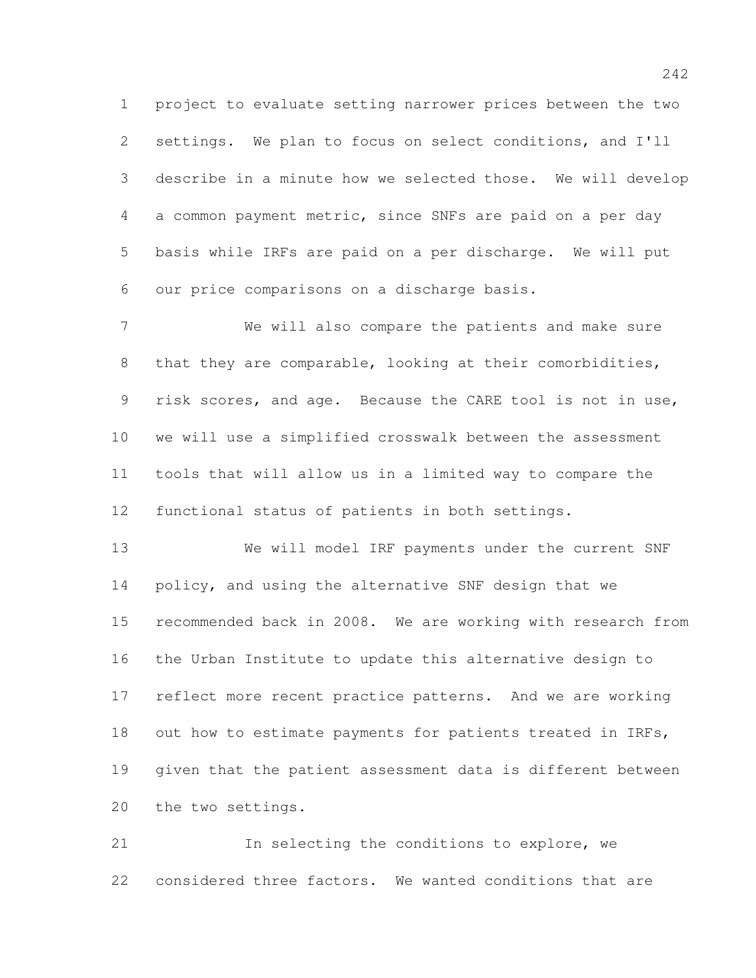project to evaluate setting narrower prices between the two settings. We plan to focus on select conditions, and I'll describe in a minute how we selected those. We will develop a common payment metric, since SNFs are paid on a per day basis while IRFs are paid on a per discharge. We will put our price comparisons on a discharge basis.

 We will also compare the patients and make sure that they are comparable, looking at their comorbidities, risk scores, and age. Because the CARE tool is not in use, we will use a simplified crosswalk between the assessment tools that will allow us in a limited way to compare the functional status of patients in both settings.

 We will model IRF payments under the current SNF 14 policy, and using the alternative SNF design that we recommended back in 2008. We are working with research from the Urban Institute to update this alternative design to reflect more recent practice patterns. And we are working 18 out how to estimate payments for patients treated in IRFs, given that the patient assessment data is different between the two settings.

 In selecting the conditions to explore, we considered three factors. We wanted conditions that are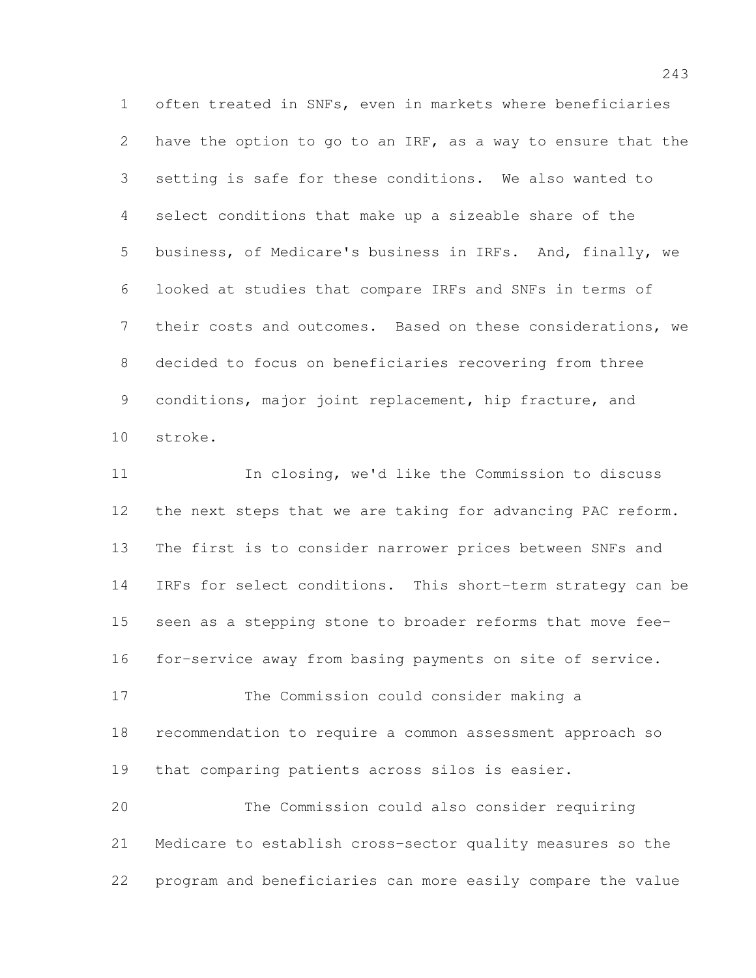often treated in SNFs, even in markets where beneficiaries have the option to go to an IRF, as a way to ensure that the setting is safe for these conditions. We also wanted to select conditions that make up a sizeable share of the business, of Medicare's business in IRFs. And, finally, we looked at studies that compare IRFs and SNFs in terms of their costs and outcomes. Based on these considerations, we decided to focus on beneficiaries recovering from three conditions, major joint replacement, hip fracture, and stroke.

 In closing, we'd like the Commission to discuss the next steps that we are taking for advancing PAC reform. The first is to consider narrower prices between SNFs and IRFs for select conditions. This short-term strategy can be seen as a stepping stone to broader reforms that move fee- for-service away from basing payments on site of service. The Commission could consider making a recommendation to require a common assessment approach so that comparing patients across silos is easier. The Commission could also consider requiring

 Medicare to establish cross-sector quality measures so the program and beneficiaries can more easily compare the value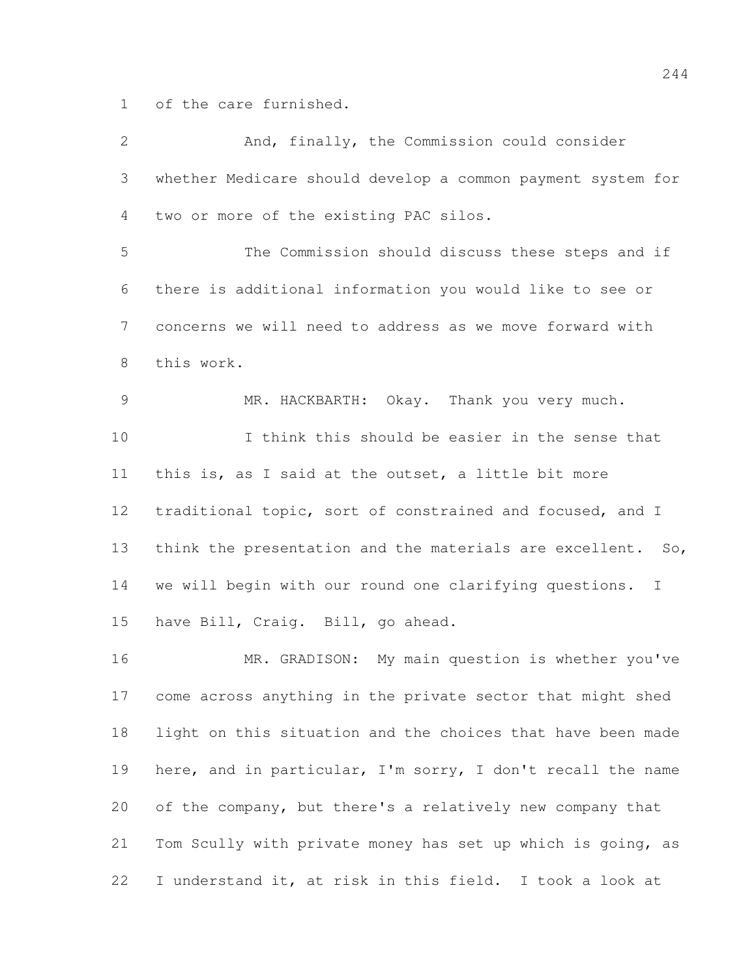of the care furnished.

| $\overline{2}$ | And, finally, the Commission could consider                 |
|----------------|-------------------------------------------------------------|
| $\mathfrak{Z}$ | whether Medicare should develop a common payment system for |
| 4              | two or more of the existing PAC silos.                      |
| 5              | The Commission should discuss these steps and if            |
| 6              | there is additional information you would like to see or    |
| $7\phantom{.}$ | concerns we will need to address as we move forward with    |
| $8\,$          | this work.                                                  |
| $\mathcal{G}$  | MR. HACKBARTH: Okay. Thank you very much.                   |
| 10             | I think this should be easier in the sense that             |
| 11             | this is, as I said at the outset, a little bit more         |
| 12             | traditional topic, sort of constrained and focused, and I   |
| 13             | think the presentation and the materials are excellent. So, |
| 14             | we will begin with our round one clarifying questions. I    |
| 15             | have Bill, Craig. Bill, go ahead.                           |
| 16             | MR. GRADISON: My main question is whether you've            |
| 17             | come across anything in the private sector that might shed  |
| 18             | light on this situation and the choices that have been made |
| 19             | here, and in particular, I'm sorry, I don't recall the name |
| 20             | of the company, but there's a relatively new company that   |
| 21             | Tom Scully with private money has set up which is going, as |
| 22             | I understand it, at risk in this field. I took a look at    |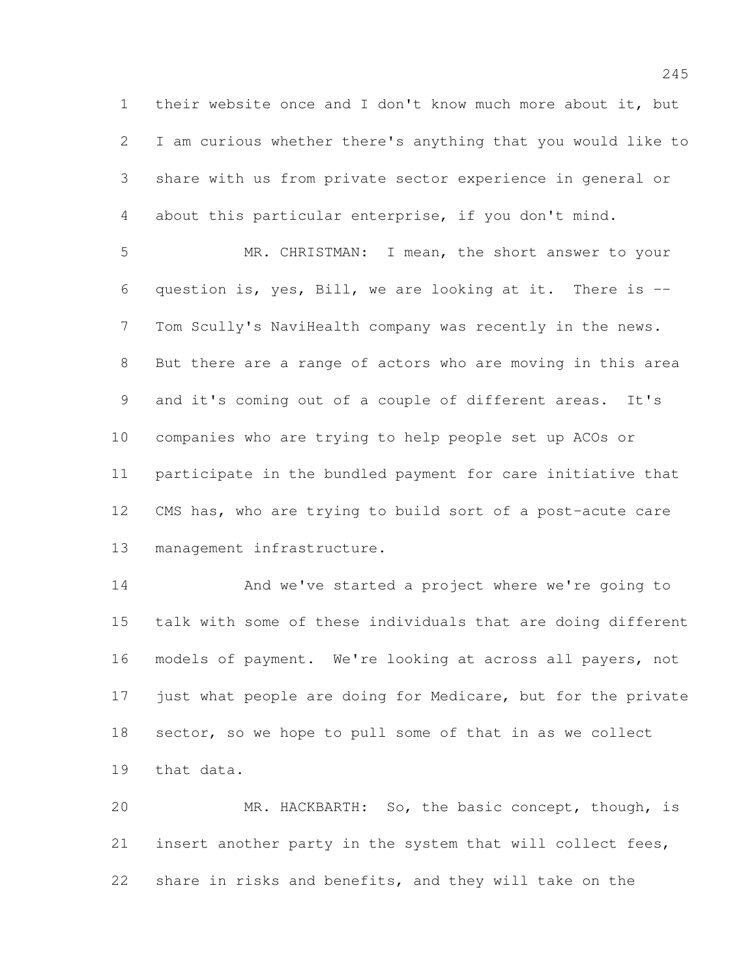their website once and I don't know much more about it, but I am curious whether there's anything that you would like to share with us from private sector experience in general or about this particular enterprise, if you don't mind.

 MR. CHRISTMAN: I mean, the short answer to your question is, yes, Bill, we are looking at it. There is -- Tom Scully's NaviHealth company was recently in the news. But there are a range of actors who are moving in this area and it's coming out of a couple of different areas. It's companies who are trying to help people set up ACOs or participate in the bundled payment for care initiative that CMS has, who are trying to build sort of a post-acute care management infrastructure.

14 And we've started a project where we're going to talk with some of these individuals that are doing different models of payment. We're looking at across all payers, not just what people are doing for Medicare, but for the private sector, so we hope to pull some of that in as we collect that data.

 MR. HACKBARTH: So, the basic concept, though, is insert another party in the system that will collect fees, share in risks and benefits, and they will take on the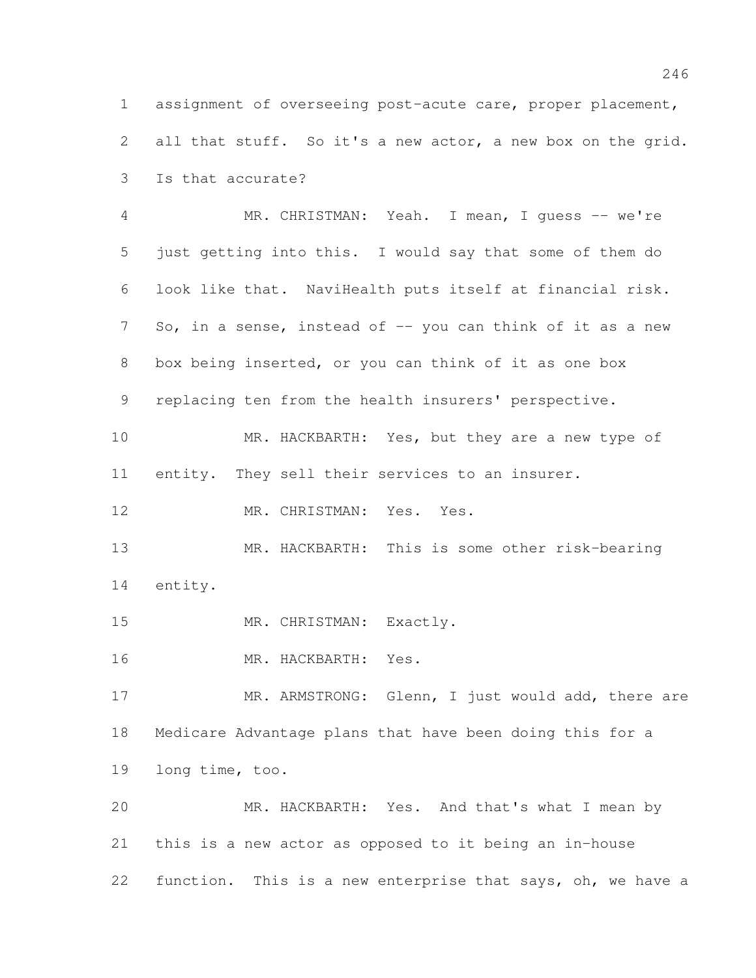assignment of overseeing post-acute care, proper placement, all that stuff. So it's a new actor, a new box on the grid. Is that accurate?

 MR. CHRISTMAN: Yeah. I mean, I guess -- we're just getting into this. I would say that some of them do look like that. NaviHealth puts itself at financial risk. 7 So, in a sense, instead of -- you can think of it as a new box being inserted, or you can think of it as one box replacing ten from the health insurers' perspective.

 MR. HACKBARTH: Yes, but they are a new type of entity. They sell their services to an insurer.

12 MR. CHRISTMAN: Yes. Yes.

 MR. HACKBARTH: This is some other risk-bearing entity.

15 MR. CHRISTMAN: Exactly.

MR. HACKBARTH: Yes.

17 MR. ARMSTRONG: Glenn, I just would add, there are Medicare Advantage plans that have been doing this for a long time, too.

 MR. HACKBARTH: Yes. And that's what I mean by this is a new actor as opposed to it being an in-house 22 function. This is a new enterprise that says, oh, we have a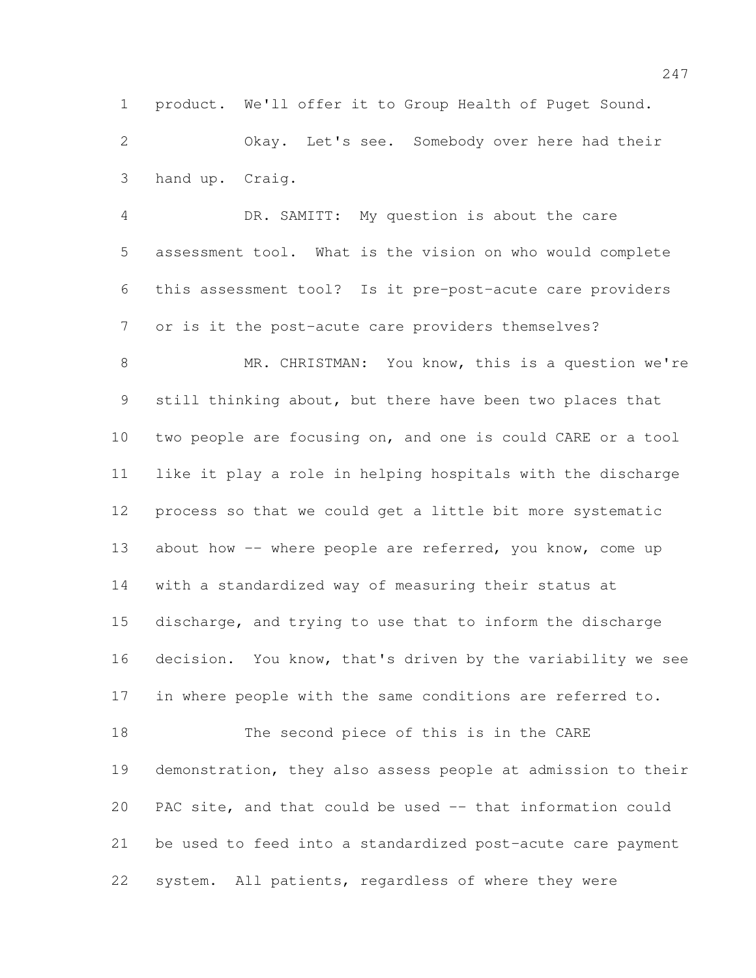product. We'll offer it to Group Health of Puget Sound.

 Okay. Let's see. Somebody over here had their hand up. Craig.

 DR. SAMITT: My question is about the care assessment tool. What is the vision on who would complete this assessment tool? Is it pre-post-acute care providers or is it the post-acute care providers themselves?

 MR. CHRISTMAN: You know, this is a question we're still thinking about, but there have been two places that two people are focusing on, and one is could CARE or a tool like it play a role in helping hospitals with the discharge process so that we could get a little bit more systematic 13 about how -- where people are referred, you know, come up with a standardized way of measuring their status at discharge, and trying to use that to inform the discharge decision. You know, that's driven by the variability we see in where people with the same conditions are referred to. The second piece of this is in the CARE demonstration, they also assess people at admission to their PAC site, and that could be used -- that information could be used to feed into a standardized post-acute care payment

system. All patients, regardless of where they were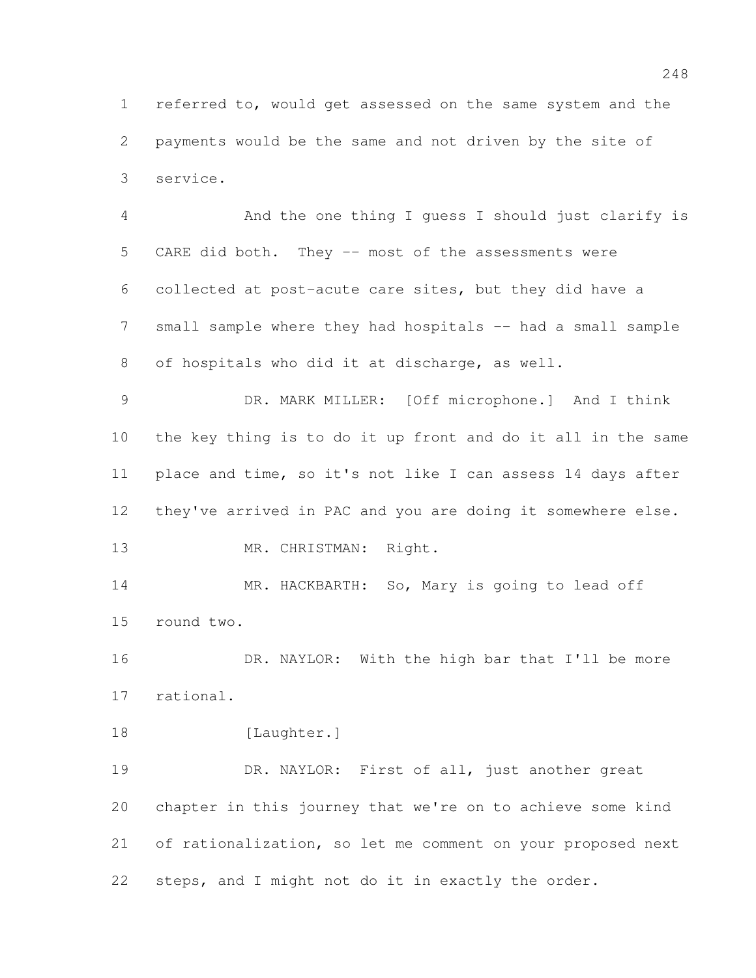referred to, would get assessed on the same system and the payments would be the same and not driven by the site of service.

 And the one thing I guess I should just clarify is CARE did both. They -- most of the assessments were collected at post-acute care sites, but they did have a 7 small sample where they had hospitals -- had a small sample of hospitals who did it at discharge, as well.

 DR. MARK MILLER: [Off microphone.] And I think the key thing is to do it up front and do it all in the same place and time, so it's not like I can assess 14 days after they've arrived in PAC and you are doing it somewhere else.

13 MR. CHRISTMAN: Right.

 MR. HACKBARTH: So, Mary is going to lead off round two.

16 DR. NAYLOR: With the high bar that I'll be more rational.

18 [Laughter.]

 DR. NAYLOR: First of all, just another great chapter in this journey that we're on to achieve some kind of rationalization, so let me comment on your proposed next steps, and I might not do it in exactly the order.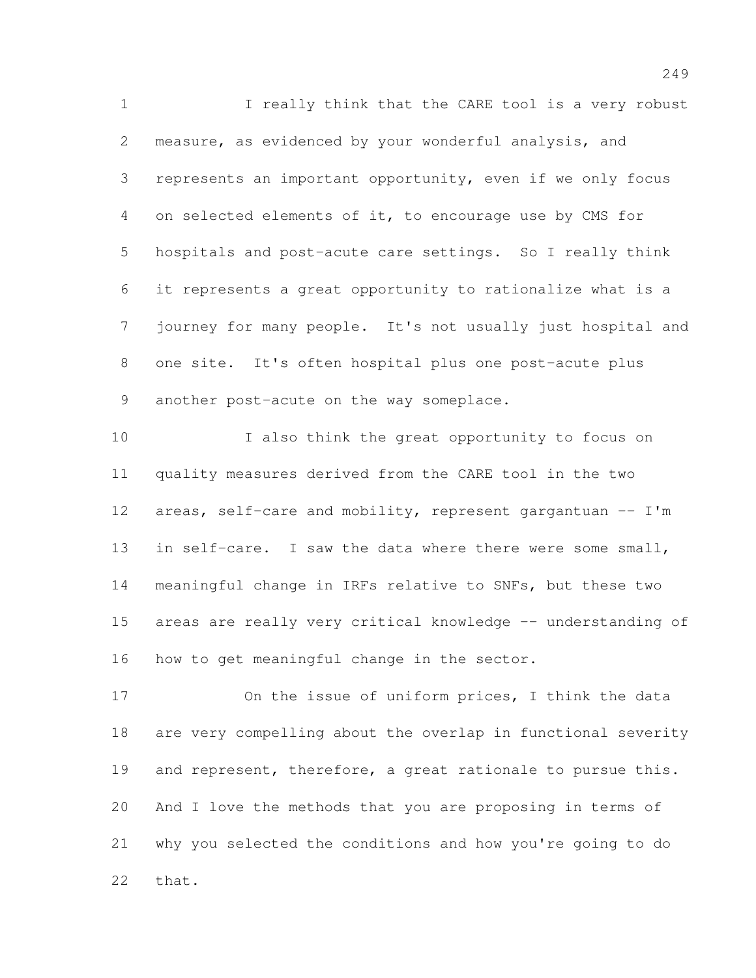I really think that the CARE tool is a very robust measure, as evidenced by your wonderful analysis, and represents an important opportunity, even if we only focus on selected elements of it, to encourage use by CMS for hospitals and post-acute care settings. So I really think it represents a great opportunity to rationalize what is a journey for many people. It's not usually just hospital and one site. It's often hospital plus one post-acute plus 9 another post-acute on the way someplace.

 I also think the great opportunity to focus on quality measures derived from the CARE tool in the two 12 areas, self-care and mobility, represent gargantuan  $-$  I'm 13 in self-care. I saw the data where there were some small, meaningful change in IRFs relative to SNFs, but these two areas are really very critical knowledge -- understanding of how to get meaningful change in the sector.

 On the issue of uniform prices, I think the data are very compelling about the overlap in functional severity 19 and represent, therefore, a great rationale to pursue this. And I love the methods that you are proposing in terms of why you selected the conditions and how you're going to do that.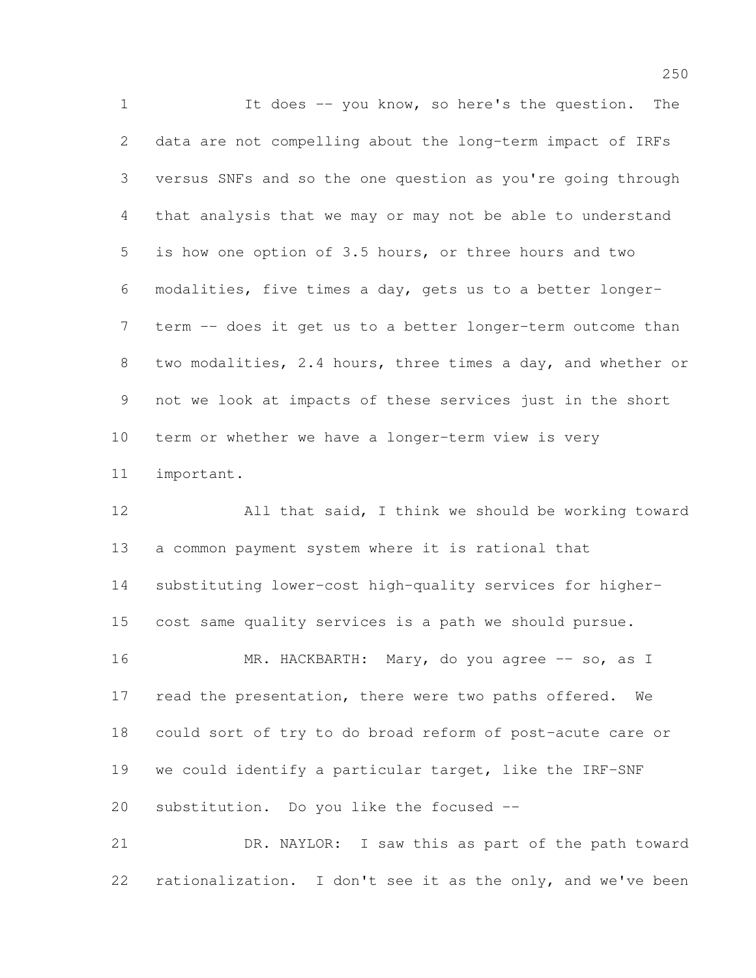It does -- you know, so here's the question. The data are not compelling about the long-term impact of IRFs versus SNFs and so the one question as you're going through that analysis that we may or may not be able to understand is how one option of 3.5 hours, or three hours and two modalities, five times a day, gets us to a better longer- term -- does it get us to a better longer-term outcome than 8 two modalities, 2.4 hours, three times a day, and whether or not we look at impacts of these services just in the short term or whether we have a longer-term view is very important.

 All that said, I think we should be working toward a common payment system where it is rational that substituting lower-cost high-quality services for higher- cost same quality services is a path we should pursue. 16 MR. HACKBARTH: Mary, do you agree -- so, as I 17 read the presentation, there were two paths offered. We could sort of try to do broad reform of post-acute care or we could identify a particular target, like the IRF-SNF substitution. Do you like the focused --

 DR. NAYLOR: I saw this as part of the path toward rationalization. I don't see it as the only, and we've been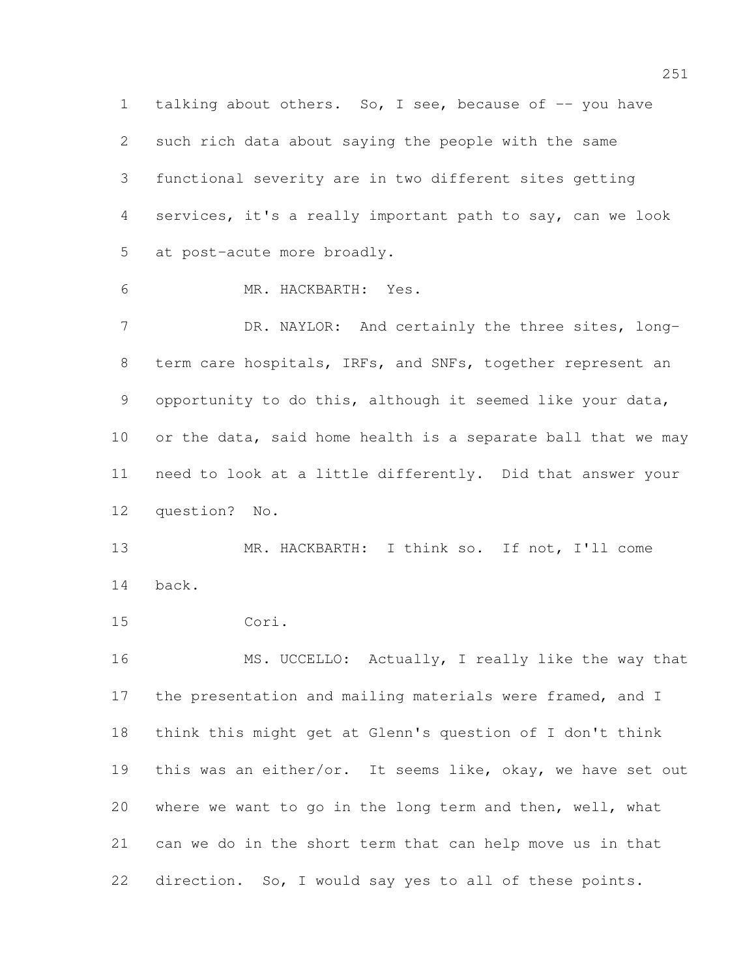1 talking about others. So, I see, because of -- you have such rich data about saying the people with the same functional severity are in two different sites getting services, it's a really important path to say, can we look at post-acute more broadly.

MR. HACKBARTH: Yes.

7 DR. NAYLOR: And certainly the three sites, long- term care hospitals, IRFs, and SNFs, together represent an opportunity to do this, although it seemed like your data, or the data, said home health is a separate ball that we may need to look at a little differently. Did that answer your question? No.

 MR. HACKBARTH: I think so. If not, I'll come back.

Cori.

 MS. UCCELLO: Actually, I really like the way that the presentation and mailing materials were framed, and I think this might get at Glenn's question of I don't think this was an either/or. It seems like, okay, we have set out where we want to go in the long term and then, well, what can we do in the short term that can help move us in that direction. So, I would say yes to all of these points.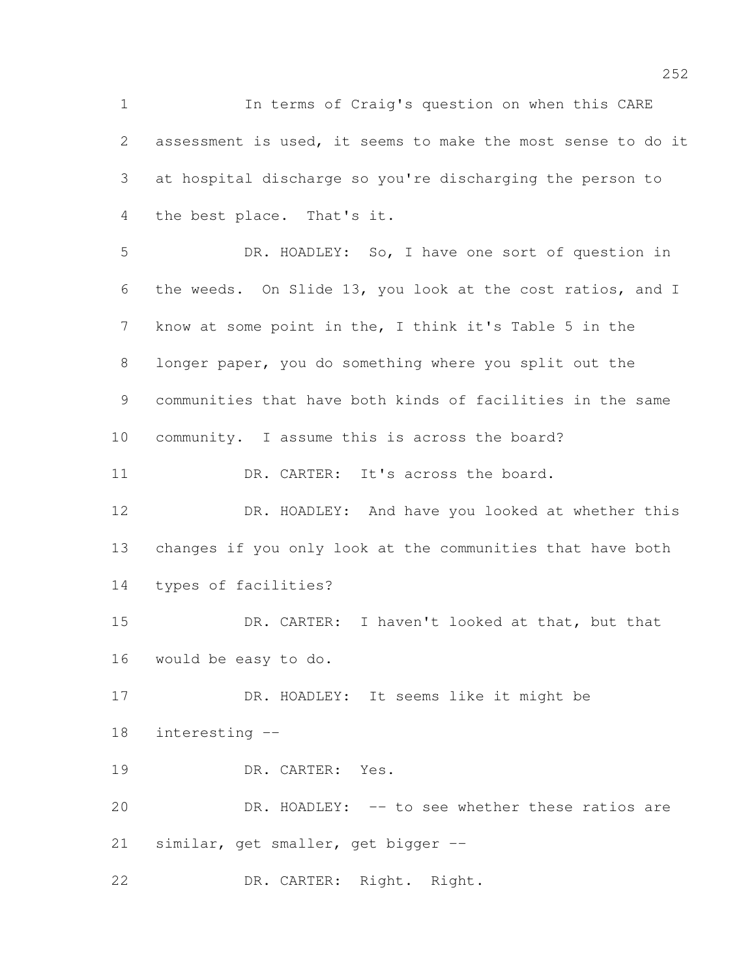In terms of Craig's question on when this CARE assessment is used, it seems to make the most sense to do it at hospital discharge so you're discharging the person to the best place. That's it. DR. HOADLEY: So, I have one sort of question in the weeds. On Slide 13, you look at the cost ratios, and I know at some point in the, I think it's Table 5 in the longer paper, you do something where you split out the communities that have both kinds of facilities in the same community. I assume this is across the board? 11 DR. CARTER: It's across the board. DR. HOADLEY: And have you looked at whether this changes if you only look at the communities that have both types of facilities? DR. CARTER: I haven't looked at that, but that would be easy to do. DR. HOADLEY: It seems like it might be interesting -- DR. CARTER: Yes. DR. HOADLEY: -- to see whether these ratios are similar, get smaller, get bigger -- DR. CARTER: Right. Right.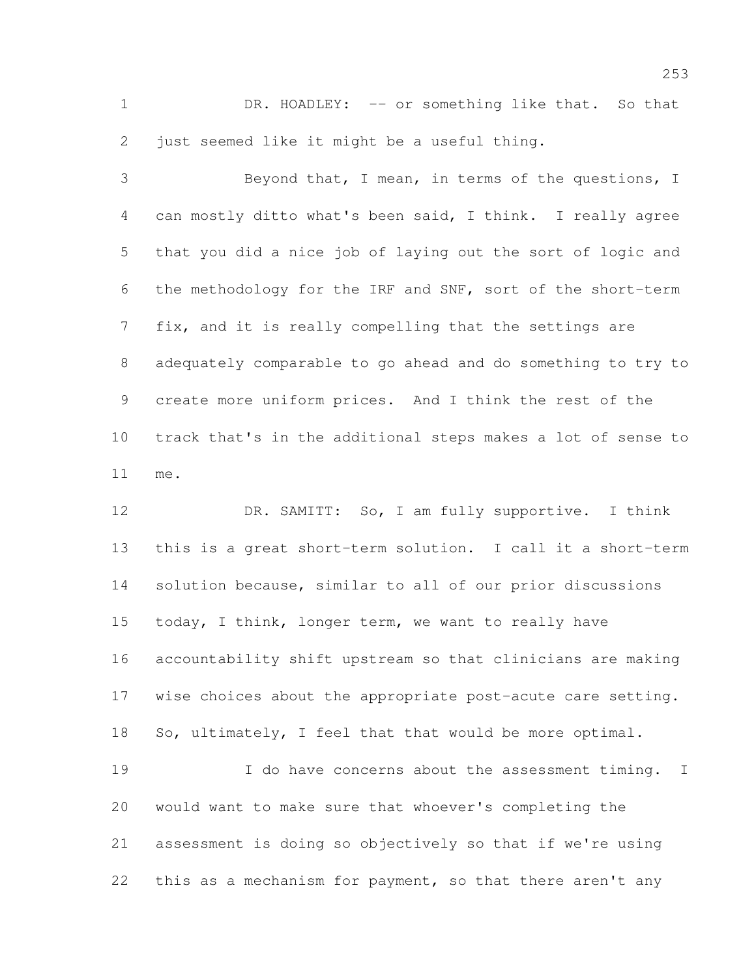1 DR. HOADLEY: -- or something like that. So that just seemed like it might be a useful thing.

 Beyond that, I mean, in terms of the questions, I can mostly ditto what's been said, I think. I really agree that you did a nice job of laying out the sort of logic and the methodology for the IRF and SNF, sort of the short-term fix, and it is really compelling that the settings are adequately comparable to go ahead and do something to try to create more uniform prices. And I think the rest of the track that's in the additional steps makes a lot of sense to me.

 DR. SAMITT: So, I am fully supportive. I think this is a great short-term solution. I call it a short-term solution because, similar to all of our prior discussions today, I think, longer term, we want to really have accountability shift upstream so that clinicians are making wise choices about the appropriate post-acute care setting. So, ultimately, I feel that that would be more optimal.

19 19 I do have concerns about the assessment timing. I would want to make sure that whoever's completing the assessment is doing so objectively so that if we're using 22 this as a mechanism for payment, so that there aren't any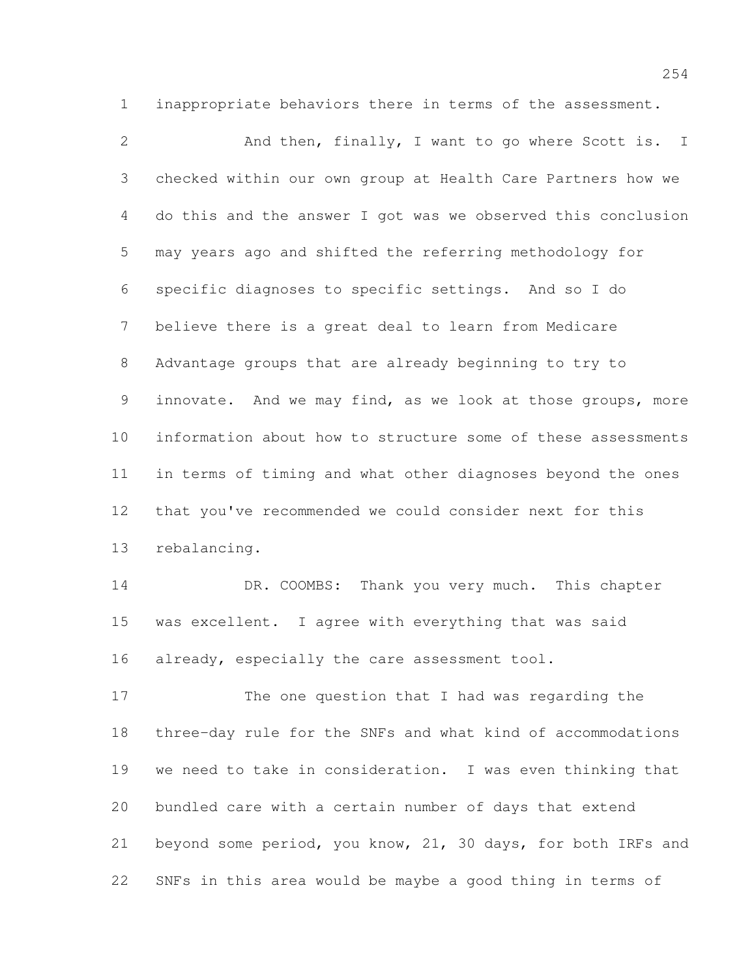inappropriate behaviors there in terms of the assessment.

2 And then, finally, I want to go where Scott is. I checked within our own group at Health Care Partners how we do this and the answer I got was we observed this conclusion may years ago and shifted the referring methodology for specific diagnoses to specific settings. And so I do believe there is a great deal to learn from Medicare Advantage groups that are already beginning to try to innovate. And we may find, as we look at those groups, more information about how to structure some of these assessments in terms of timing and what other diagnoses beyond the ones that you've recommended we could consider next for this rebalancing.

14 DR. COOMBS: Thank you very much. This chapter was excellent. I agree with everything that was said 16 already, especially the care assessment tool.

 The one question that I had was regarding the three-day rule for the SNFs and what kind of accommodations we need to take in consideration. I was even thinking that bundled care with a certain number of days that extend beyond some period, you know, 21, 30 days, for both IRFs and SNFs in this area would be maybe a good thing in terms of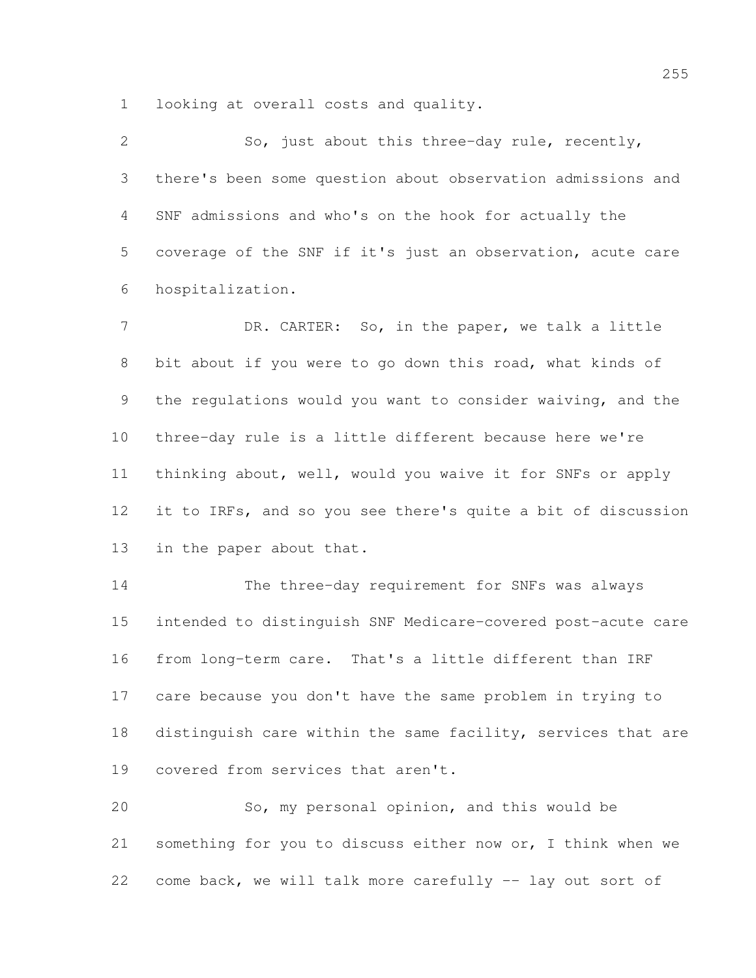looking at overall costs and quality.

 So, just about this three-day rule, recently, there's been some question about observation admissions and SNF admissions and who's on the hook for actually the coverage of the SNF if it's just an observation, acute care hospitalization.

7 DR. CARTER: So, in the paper, we talk a little bit about if you were to go down this road, what kinds of the regulations would you want to consider waiving, and the three-day rule is a little different because here we're thinking about, well, would you waive it for SNFs or apply it to IRFs, and so you see there's quite a bit of discussion in the paper about that.

 The three-day requirement for SNFs was always intended to distinguish SNF Medicare-covered post-acute care from long-term care. That's a little different than IRF care because you don't have the same problem in trying to 18 distinguish care within the same facility, services that are covered from services that aren't.

 So, my personal opinion, and this would be something for you to discuss either now or, I think when we come back, we will talk more carefully -- lay out sort of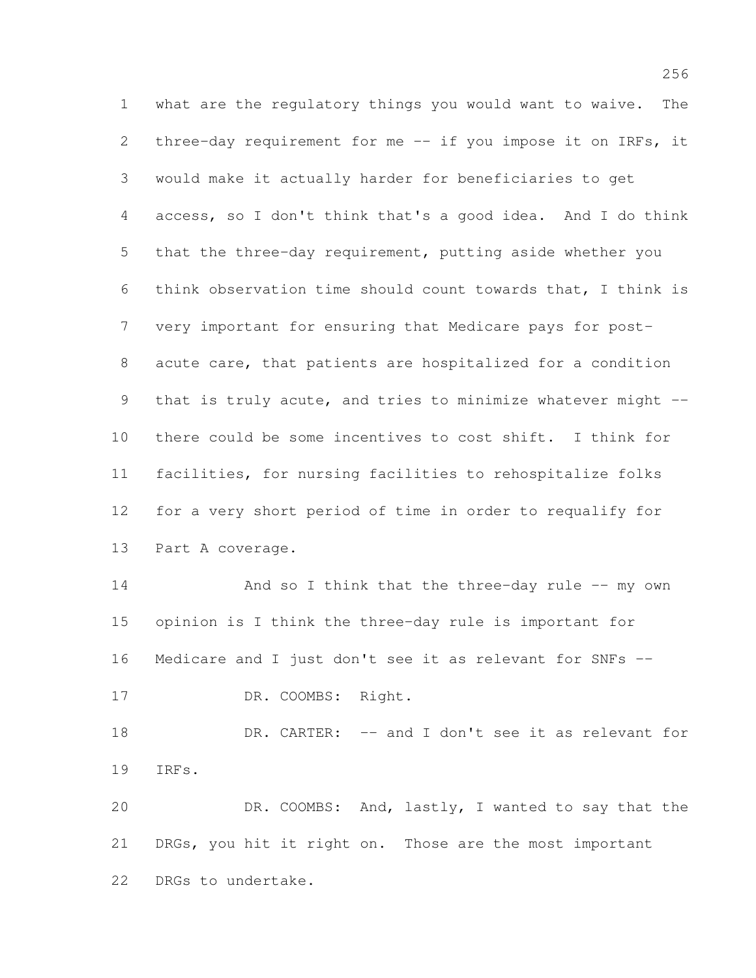what are the regulatory things you would want to waive. The three-day requirement for me -- if you impose it on IRFs, it would make it actually harder for beneficiaries to get access, so I don't think that's a good idea. And I do think that the three-day requirement, putting aside whether you think observation time should count towards that, I think is very important for ensuring that Medicare pays for post- acute care, that patients are hospitalized for a condition that is truly acute, and tries to minimize whatever might -- there could be some incentives to cost shift. I think for facilities, for nursing facilities to rehospitalize folks for a very short period of time in order to requalify for Part A coverage. 14 And so I think that the three-day rule -- my own opinion is I think the three-day rule is important for Medicare and I just don't see it as relevant for SNFs -- 17 DR. COOMBS: Right. DR. CARTER: -- and I don't see it as relevant for IRFs. DR. COOMBS: And, lastly, I wanted to say that the DRGs, you hit it right on. Those are the most important DRGs to undertake.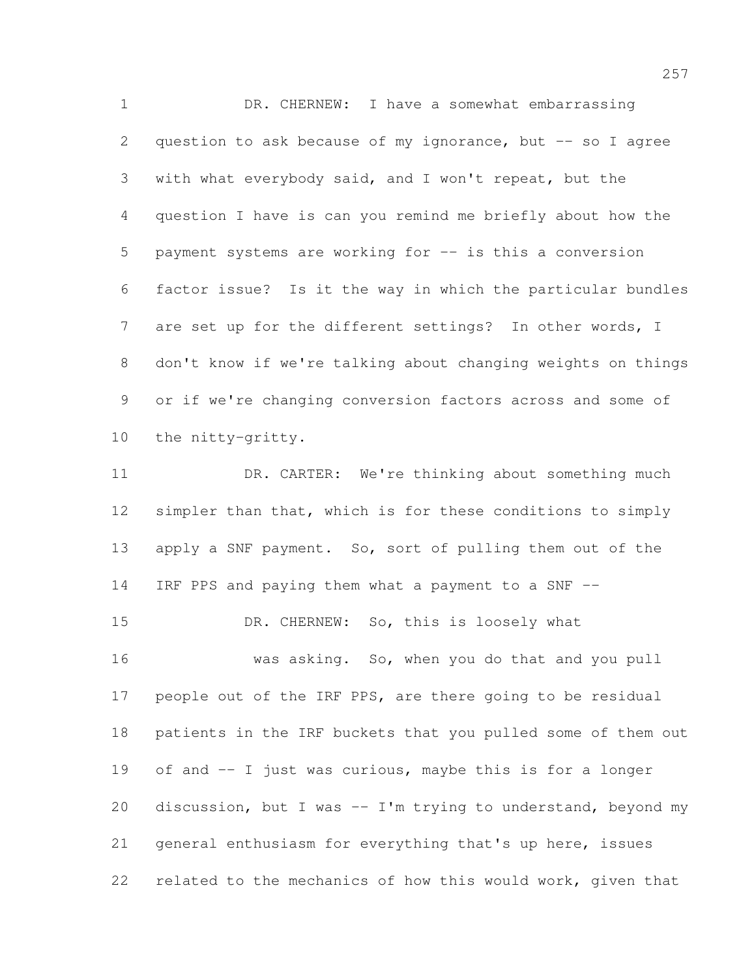DR. CHERNEW: I have a somewhat embarrassing 2 question to ask because of my ignorance, but  $-$  so I agree with what everybody said, and I won't repeat, but the question I have is can you remind me briefly about how the payment systems are working for -- is this a conversion factor issue? Is it the way in which the particular bundles are set up for the different settings? In other words, I don't know if we're talking about changing weights on things or if we're changing conversion factors across and some of the nitty-gritty.

11 DR. CARTER: We're thinking about something much 12 simpler than that, which is for these conditions to simply 13 apply a SNF payment. So, sort of pulling them out of the IRF PPS and paying them what a payment to a SNF -- DR. CHERNEW: So, this is loosely what 16 was asking. So, when you do that and you pull 17 people out of the IRF PPS, are there going to be residual patients in the IRF buckets that you pulled some of them out of and -- I just was curious, maybe this is for a longer discussion, but I was -- I'm trying to understand, beyond my general enthusiasm for everything that's up here, issues related to the mechanics of how this would work, given that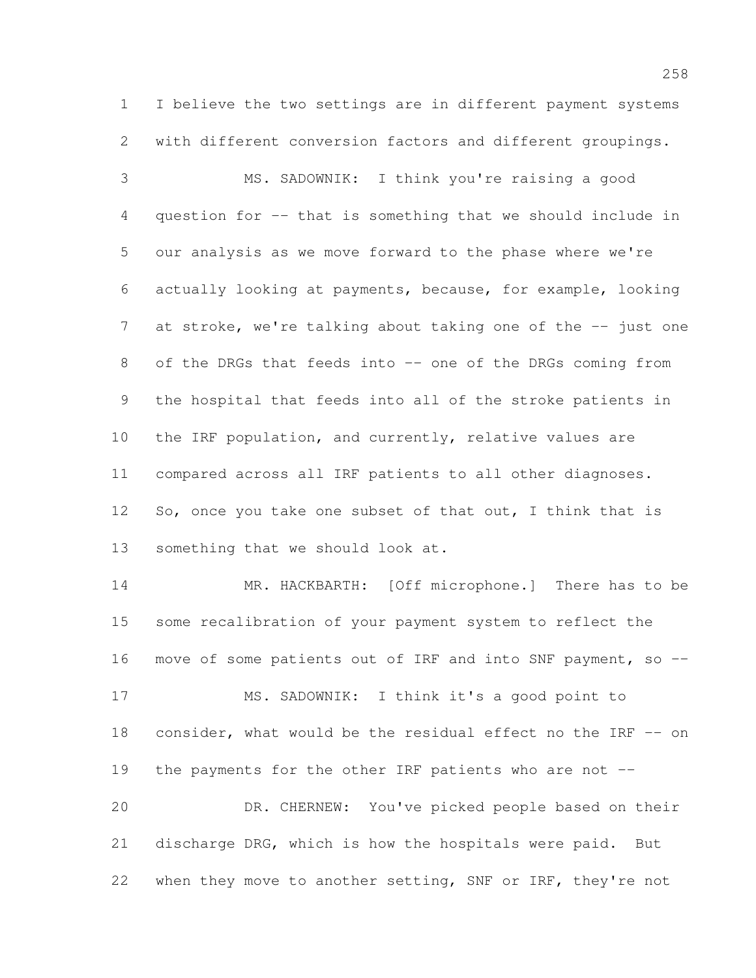I believe the two settings are in different payment systems with different conversion factors and different groupings.

 MS. SADOWNIK: I think you're raising a good question for -- that is something that we should include in our analysis as we move forward to the phase where we're actually looking at payments, because, for example, looking 7 at stroke, we're talking about taking one of the -- just one 8 of the DRGs that feeds into -- one of the DRGs coming from the hospital that feeds into all of the stroke patients in the IRF population, and currently, relative values are compared across all IRF patients to all other diagnoses. 12 So, once you take one subset of that out, I think that is something that we should look at.

 MR. HACKBARTH: [Off microphone.] There has to be some recalibration of your payment system to reflect the 16 move of some patients out of IRF and into SNF payment, so -- MS. SADOWNIK: I think it's a good point to consider, what would be the residual effect no the IRF -- on the payments for the other IRF patients who are not -- DR. CHERNEW: You've picked people based on their discharge DRG, which is how the hospitals were paid. But

22 when they move to another setting, SNF or IRF, they're not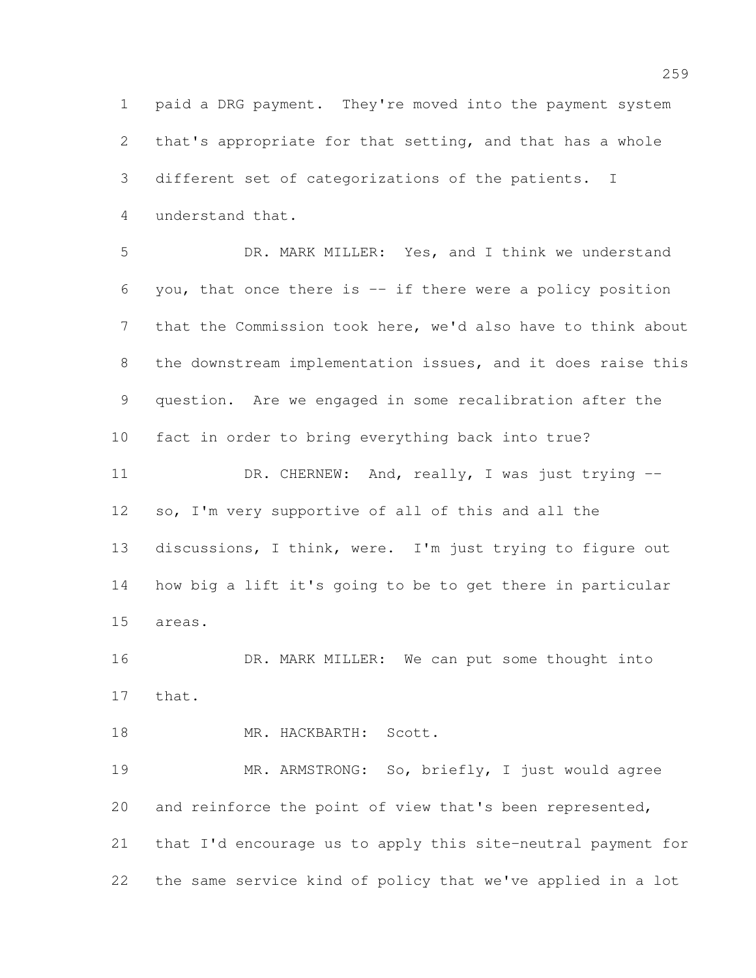paid a DRG payment. They're moved into the payment system that's appropriate for that setting, and that has a whole different set of categorizations of the patients. I understand that.

 DR. MARK MILLER: Yes, and I think we understand you, that once there is -- if there were a policy position that the Commission took here, we'd also have to think about the downstream implementation issues, and it does raise this question. Are we engaged in some recalibration after the fact in order to bring everything back into true? 11 DR. CHERNEW: And, really, I was just trying -- so, I'm very supportive of all of this and all the discussions, I think, were. I'm just trying to figure out how big a lift it's going to be to get there in particular areas.

16 DR. MARK MILLER: We can put some thought into that.

18 MR. HACKBARTH: Scott.

 MR. ARMSTRONG: So, briefly, I just would agree and reinforce the point of view that's been represented, that I'd encourage us to apply this site-neutral payment for the same service kind of policy that we've applied in a lot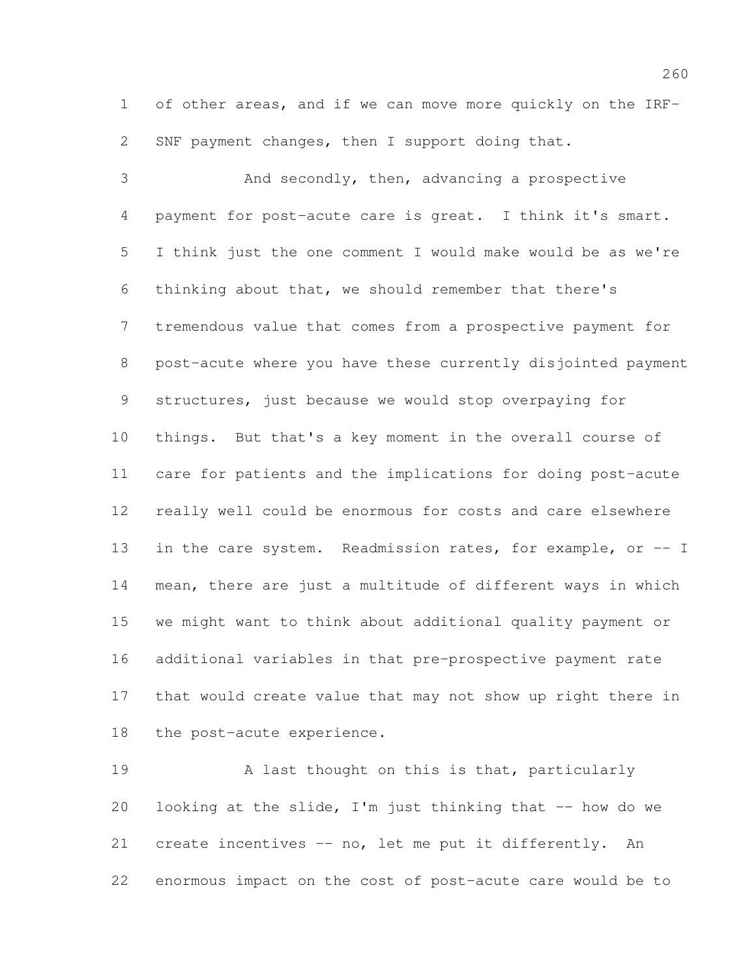of other areas, and if we can move more quickly on the IRF-SNF payment changes, then I support doing that.

 And secondly, then, advancing a prospective payment for post-acute care is great. I think it's smart. I think just the one comment I would make would be as we're thinking about that, we should remember that there's tremendous value that comes from a prospective payment for post-acute where you have these currently disjointed payment structures, just because we would stop overpaying for things. But that's a key moment in the overall course of care for patients and the implications for doing post-acute really well could be enormous for costs and care elsewhere 13 in the care system. Readmission rates, for example, or -- I mean, there are just a multitude of different ways in which we might want to think about additional quality payment or additional variables in that pre-prospective payment rate that would create value that may not show up right there in the post-acute experience.

19 A last thought on this is that, particularly 20 looking at the slide, I'm just thinking that -- how do we create incentives -- no, let me put it differently. An enormous impact on the cost of post-acute care would be to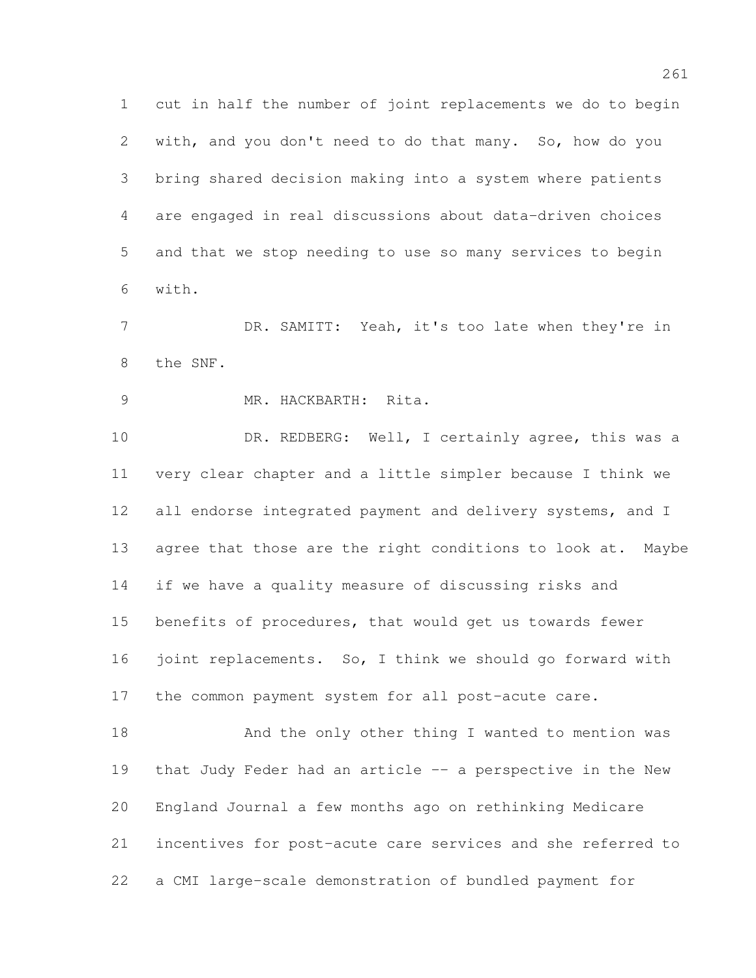cut in half the number of joint replacements we do to begin with, and you don't need to do that many. So, how do you bring shared decision making into a system where patients are engaged in real discussions about data-driven choices and that we stop needing to use so many services to begin with.

 DR. SAMITT: Yeah, it's too late when they're in the SNF.

MR. HACKBARTH: Rita.

10 DR. REDBERG: Well, I certainly agree, this was a very clear chapter and a little simpler because I think we 12 all endorse integrated payment and delivery systems, and I 13 agree that those are the right conditions to look at. Maybe if we have a quality measure of discussing risks and benefits of procedures, that would get us towards fewer 16 joint replacements. So, I think we should go forward with the common payment system for all post-acute care.

18 And the only other thing I wanted to mention was that Judy Feder had an article -- a perspective in the New England Journal a few months ago on rethinking Medicare incentives for post-acute care services and she referred to a CMI large-scale demonstration of bundled payment for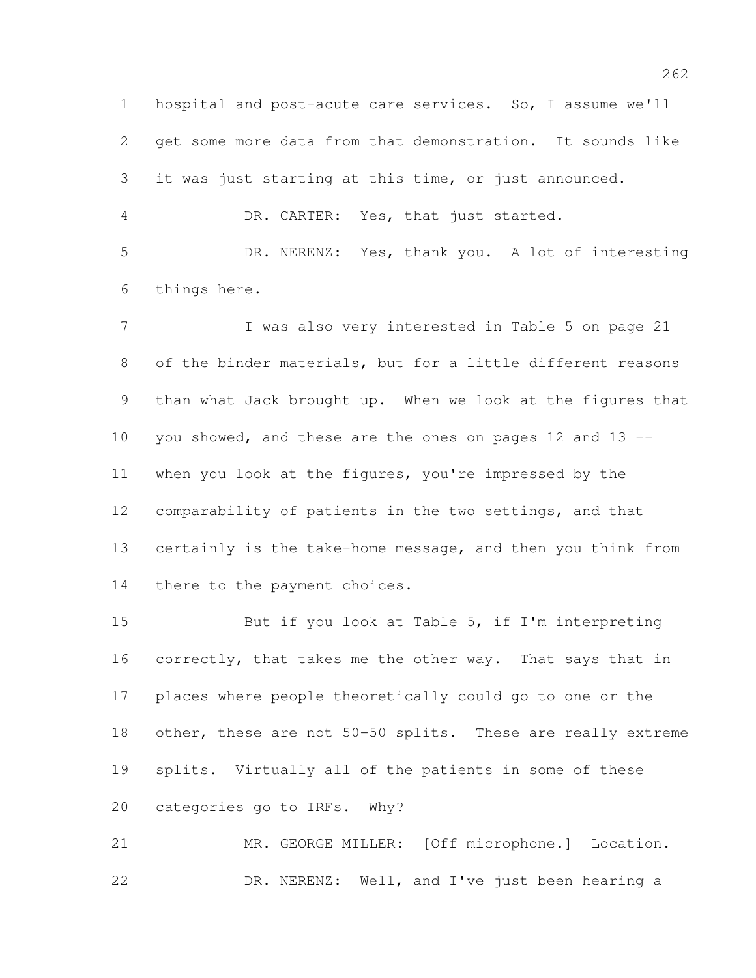hospital and post-acute care services. So, I assume we'll get some more data from that demonstration. It sounds like it was just starting at this time, or just announced. DR. CARTER: Yes, that just started. DR. NERENZ: Yes, thank you. A lot of interesting things here. I was also very interested in Table 5 on page 21

 of the binder materials, but for a little different reasons than what Jack brought up. When we look at the figures that you showed, and these are the ones on pages 12 and 13 -- when you look at the figures, you're impressed by the comparability of patients in the two settings, and that certainly is the take-home message, and then you think from 14 there to the payment choices.

 But if you look at Table 5, if I'm interpreting 16 correctly, that takes me the other way. That says that in places where people theoretically could go to one or the other, these are not 50-50 splits. These are really extreme splits. Virtually all of the patients in some of these categories go to IRFs. Why?

 MR. GEORGE MILLER: [Off microphone.] Location. DR. NERENZ: Well, and I've just been hearing a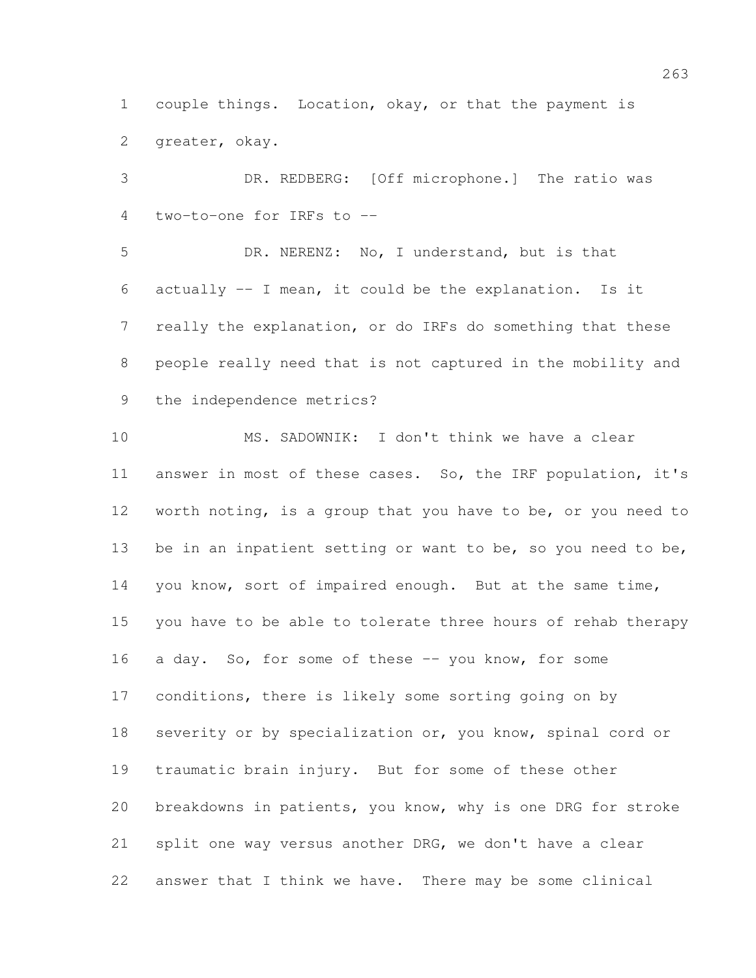couple things. Location, okay, or that the payment is greater, okay.

 DR. REDBERG: [Off microphone.] The ratio was two-to-one for IRFs to --

 DR. NERENZ: No, I understand, but is that actually -- I mean, it could be the explanation. Is it really the explanation, or do IRFs do something that these people really need that is not captured in the mobility and the independence metrics?

 MS. SADOWNIK: I don't think we have a clear answer in most of these cases. So, the IRF population, it's worth noting, is a group that you have to be, or you need to 13 be in an inpatient setting or want to be, so you need to be, you know, sort of impaired enough. But at the same time, you have to be able to tolerate three hours of rehab therapy 16 a day. So, for some of these -- you know, for some conditions, there is likely some sorting going on by 18 severity or by specialization or, you know, spinal cord or traumatic brain injury. But for some of these other breakdowns in patients, you know, why is one DRG for stroke split one way versus another DRG, we don't have a clear answer that I think we have. There may be some clinical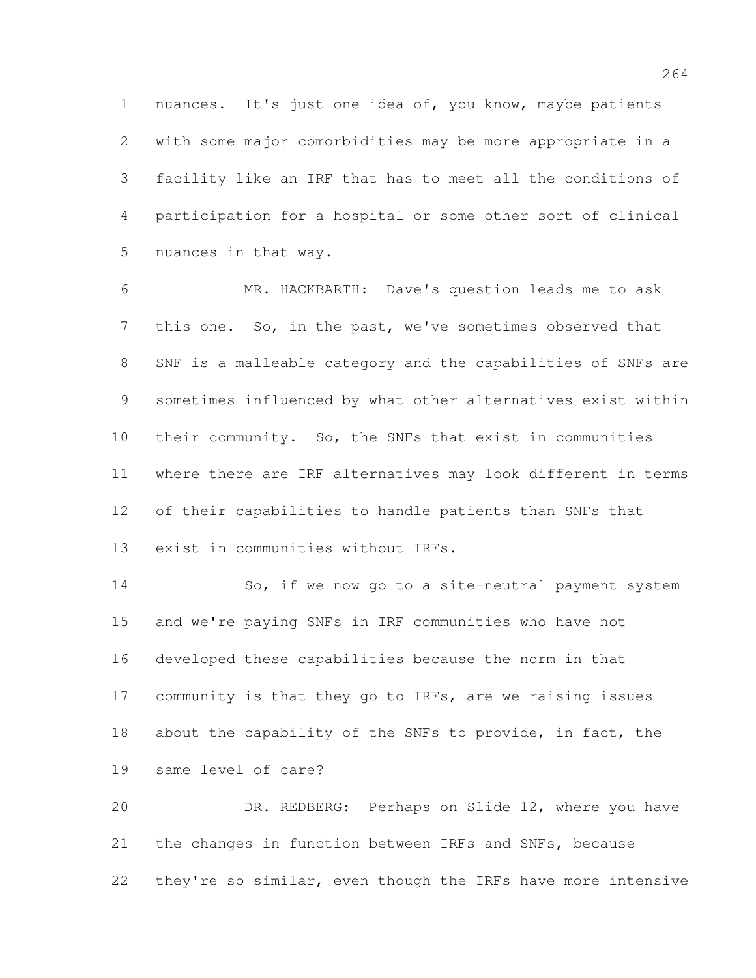nuances. It's just one idea of, you know, maybe patients with some major comorbidities may be more appropriate in a facility like an IRF that has to meet all the conditions of participation for a hospital or some other sort of clinical nuances in that way.

 MR. HACKBARTH: Dave's question leads me to ask this one. So, in the past, we've sometimes observed that SNF is a malleable category and the capabilities of SNFs are sometimes influenced by what other alternatives exist within their community. So, the SNFs that exist in communities where there are IRF alternatives may look different in terms of their capabilities to handle patients than SNFs that exist in communities without IRFs.

 So, if we now go to a site-neutral payment system and we're paying SNFs in IRF communities who have not developed these capabilities because the norm in that community is that they go to IRFs, are we raising issues about the capability of the SNFs to provide, in fact, the same level of care?

 DR. REDBERG: Perhaps on Slide 12, where you have the changes in function between IRFs and SNFs, because 22 they're so similar, even though the IRFs have more intensive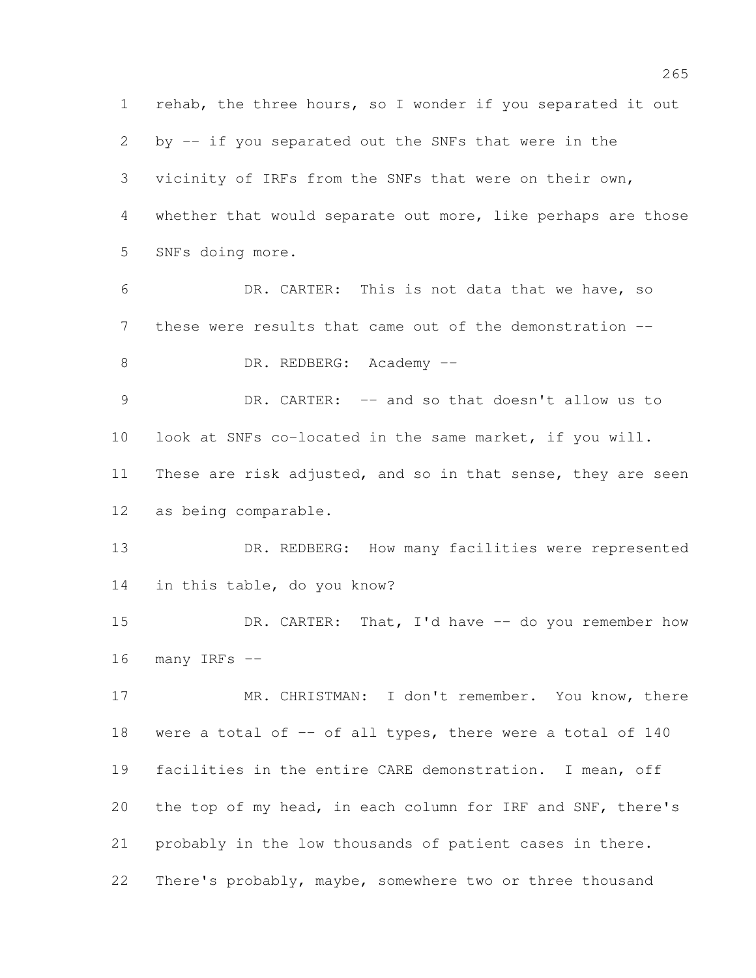rehab, the three hours, so I wonder if you separated it out by -- if you separated out the SNFs that were in the vicinity of IRFs from the SNFs that were on their own, whether that would separate out more, like perhaps are those SNFs doing more. DR. CARTER: This is not data that we have, so these were results that came out of the demonstration -- 8 DR. REDBERG: Academy -- DR. CARTER: -- and so that doesn't allow us to look at SNFs co-located in the same market, if you will. 11 These are risk adjusted, and so in that sense, they are seen as being comparable. DR. REDBERG: How many facilities were represented in this table, do you know? 15 DR. CARTER: That, I'd have -- do you remember how many IRFs -- MR. CHRISTMAN: I don't remember. You know, there 18 were a total of -- of all types, there were a total of 140 facilities in the entire CARE demonstration. I mean, off the top of my head, in each column for IRF and SNF, there's probably in the low thousands of patient cases in there. There's probably, maybe, somewhere two or three thousand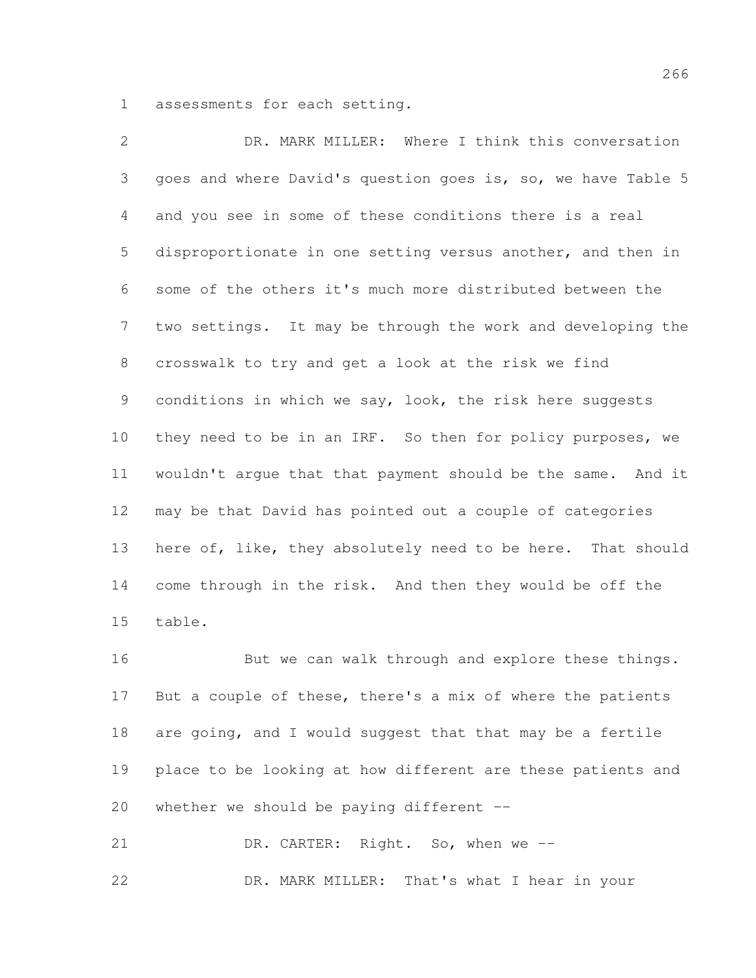assessments for each setting.

 DR. MARK MILLER: Where I think this conversation goes and where David's question goes is, so, we have Table 5 and you see in some of these conditions there is a real disproportionate in one setting versus another, and then in some of the others it's much more distributed between the two settings. It may be through the work and developing the crosswalk to try and get a look at the risk we find conditions in which we say, look, the risk here suggests they need to be in an IRF. So then for policy purposes, we wouldn't argue that that payment should be the same. And it may be that David has pointed out a couple of categories here of, like, they absolutely need to be here. That should come through in the risk. And then they would be off the table.

16 But we can walk through and explore these things. But a couple of these, there's a mix of where the patients 18 are going, and I would suggest that that may be a fertile place to be looking at how different are these patients and 20 whether we should be paying different  $-$ 

21 DR. CARTER: Right. So, when we --DR. MARK MILLER: That's what I hear in your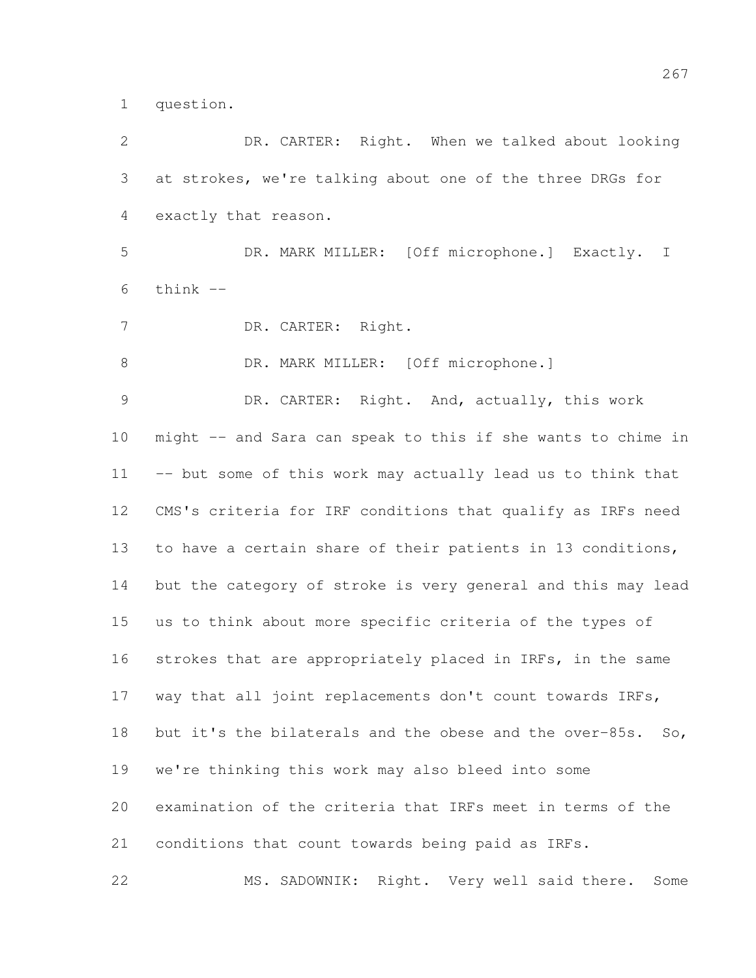question.

 DR. CARTER: Right. When we talked about looking at strokes, we're talking about one of the three DRGs for exactly that reason. DR. MARK MILLER: [Off microphone.] Exactly. I think  $-$  DR. CARTER: Right. 8 DR. MARK MILLER: [Off microphone.] DR. CARTER: Right. And, actually, this work might -- and Sara can speak to this if she wants to chime in -- but some of this work may actually lead us to think that CMS's criteria for IRF conditions that qualify as IRFs need to have a certain share of their patients in 13 conditions, but the category of stroke is very general and this may lead us to think about more specific criteria of the types of 16 strokes that are appropriately placed in IRFs, in the same way that all joint replacements don't count towards IRFs, 18 but it's the bilaterals and the obese and the over-85s. So, we're thinking this work may also bleed into some examination of the criteria that IRFs meet in terms of the conditions that count towards being paid as IRFs. MS. SADOWNIK: Right. Very well said there. Some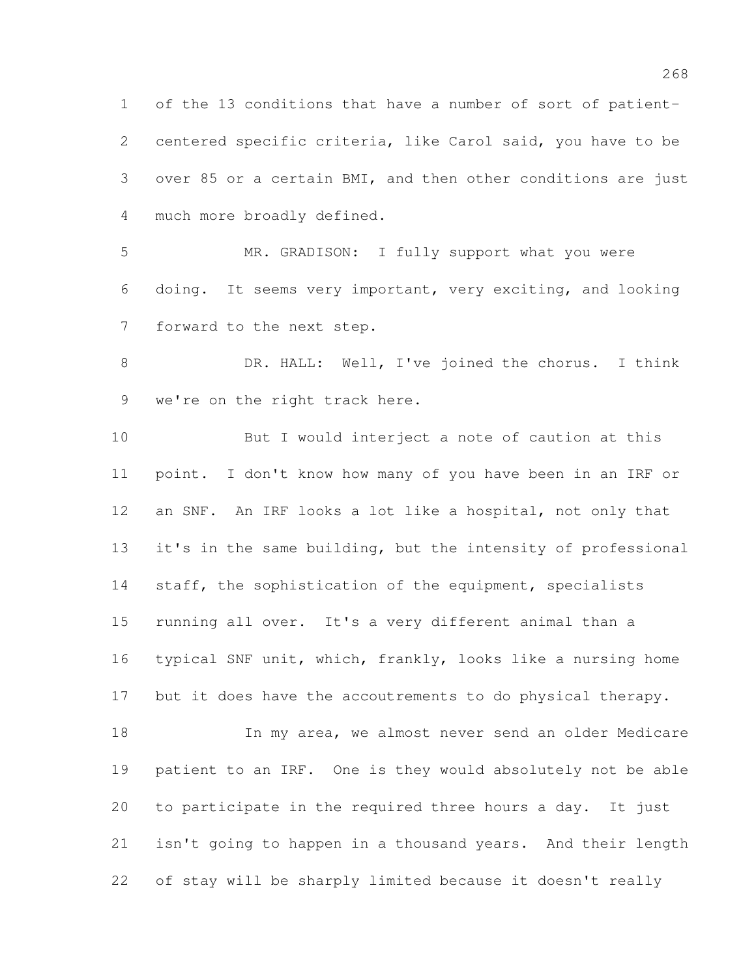of the 13 conditions that have a number of sort of patient- centered specific criteria, like Carol said, you have to be over 85 or a certain BMI, and then other conditions are just much more broadly defined.

 MR. GRADISON: I fully support what you were doing. It seems very important, very exciting, and looking forward to the next step.

 DR. HALL: Well, I've joined the chorus. I think 9 we're on the right track here.

 But I would interject a note of caution at this point. I don't know how many of you have been in an IRF or an SNF. An IRF looks a lot like a hospital, not only that it's in the same building, but the intensity of professional 14 staff, the sophistication of the equipment, specialists running all over. It's a very different animal than a typical SNF unit, which, frankly, looks like a nursing home 17 but it does have the accoutrements to do physical therapy. 18 In my area, we almost never send an older Medicare

 patient to an IRF. One is they would absolutely not be able to participate in the required three hours a day. It just isn't going to happen in a thousand years. And their length of stay will be sharply limited because it doesn't really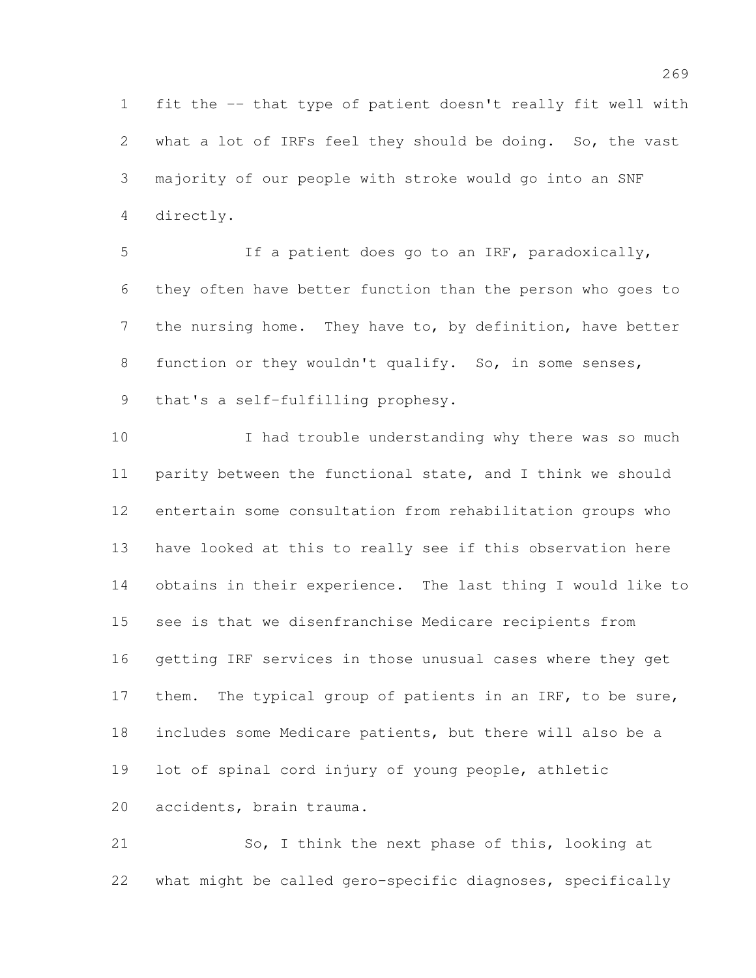fit the -- that type of patient doesn't really fit well with what a lot of IRFs feel they should be doing. So, the vast majority of our people with stroke would go into an SNF directly.

 If a patient does go to an IRF, paradoxically, they often have better function than the person who goes to 7 the nursing home. They have to, by definition, have better 8 function or they wouldn't qualify. So, in some senses, that's a self-fulfilling prophesy.

 I had trouble understanding why there was so much parity between the functional state, and I think we should entertain some consultation from rehabilitation groups who have looked at this to really see if this observation here obtains in their experience. The last thing I would like to see is that we disenfranchise Medicare recipients from getting IRF services in those unusual cases where they get 17 them. The typical group of patients in an IRF, to be sure, includes some Medicare patients, but there will also be a lot of spinal cord injury of young people, athletic accidents, brain trauma.

 So, I think the next phase of this, looking at what might be called gero-specific diagnoses, specifically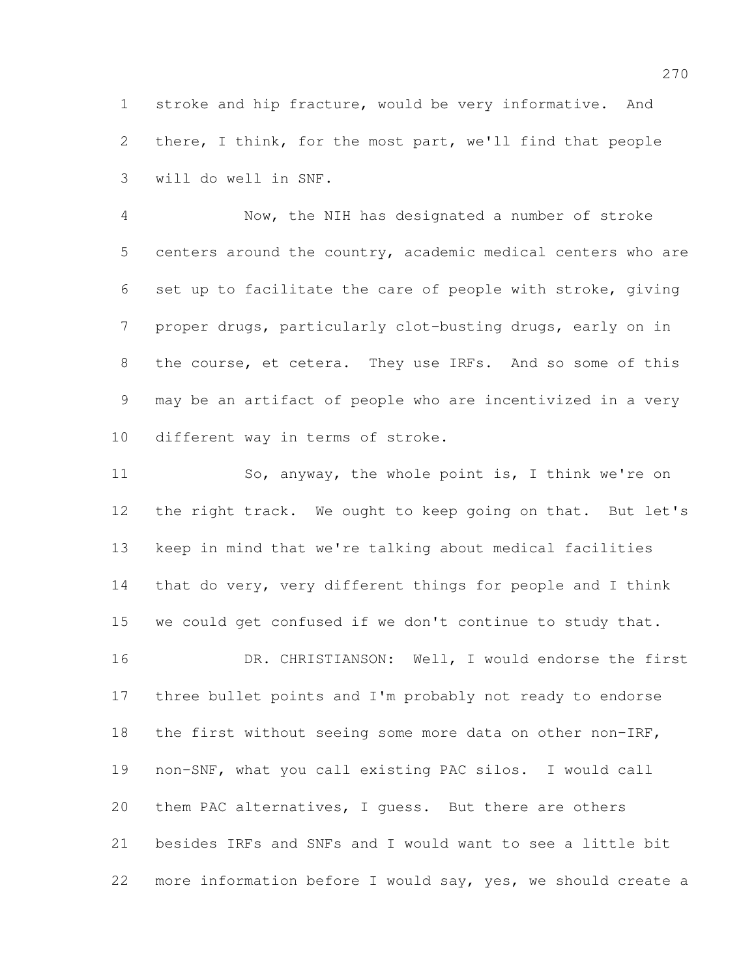stroke and hip fracture, would be very informative. And there, I think, for the most part, we'll find that people will do well in SNF.

 Now, the NIH has designated a number of stroke centers around the country, academic medical centers who are set up to facilitate the care of people with stroke, giving proper drugs, particularly clot-busting drugs, early on in 8 the course, et cetera. They use IRFs. And so some of this may be an artifact of people who are incentivized in a very different way in terms of stroke.

 So, anyway, the whole point is, I think we're on the right track. We ought to keep going on that. But let's keep in mind that we're talking about medical facilities that do very, very different things for people and I think we could get confused if we don't continue to study that. 16 DR. CHRISTIANSON: Well, I would endorse the first

 three bullet points and I'm probably not ready to endorse the first without seeing some more data on other non-IRF, non-SNF, what you call existing PAC silos. I would call them PAC alternatives, I guess. But there are others besides IRFs and SNFs and I would want to see a little bit more information before I would say, yes, we should create a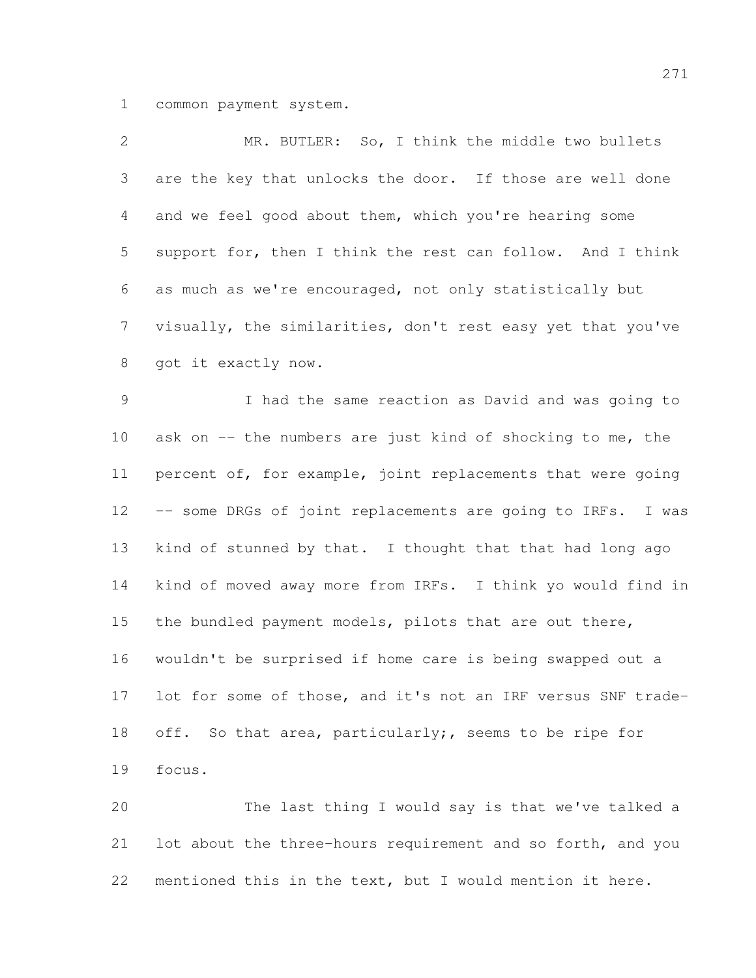common payment system.

| 2               | MR. BUTLER: So, I think the middle two bullets               |
|-----------------|--------------------------------------------------------------|
| 3               | are the key that unlocks the door. If those are well done    |
| 4               | and we feel good about them, which you're hearing some       |
| 5               | support for, then I think the rest can follow. And I think   |
| 6               | as much as we're encouraged, not only statistically but      |
| $7\phantom{.0}$ | visually, the similarities, don't rest easy yet that you've  |
| 8               | got it exactly now.                                          |
| $\mathcal{G}$   | I had the same reaction as David and was going to            |
| 10              | ask on -- the numbers are just kind of shocking to me, the   |
| 11              | percent of, for example, joint replacements that were going  |
| 12              | -- some DRGs of joint replacements are going to IRFs. I was  |
| 13              | kind of stunned by that. I thought that that had long ago    |
| 14              | kind of moved away more from IRFs. I think yo would find in  |
| 15              | the bundled payment models, pilots that are out there,       |
| 16              | wouldn't be surprised if home care is being swapped out a    |
| 17              | lot for some of those, and it's not an IRF versus SNF trade- |
| 18              | off. So that area, particularly;, seems to be ripe for       |
| 19              | focus.                                                       |
|                 |                                                              |

 The last thing I would say is that we've talked a lot about the three-hours requirement and so forth, and you mentioned this in the text, but I would mention it here.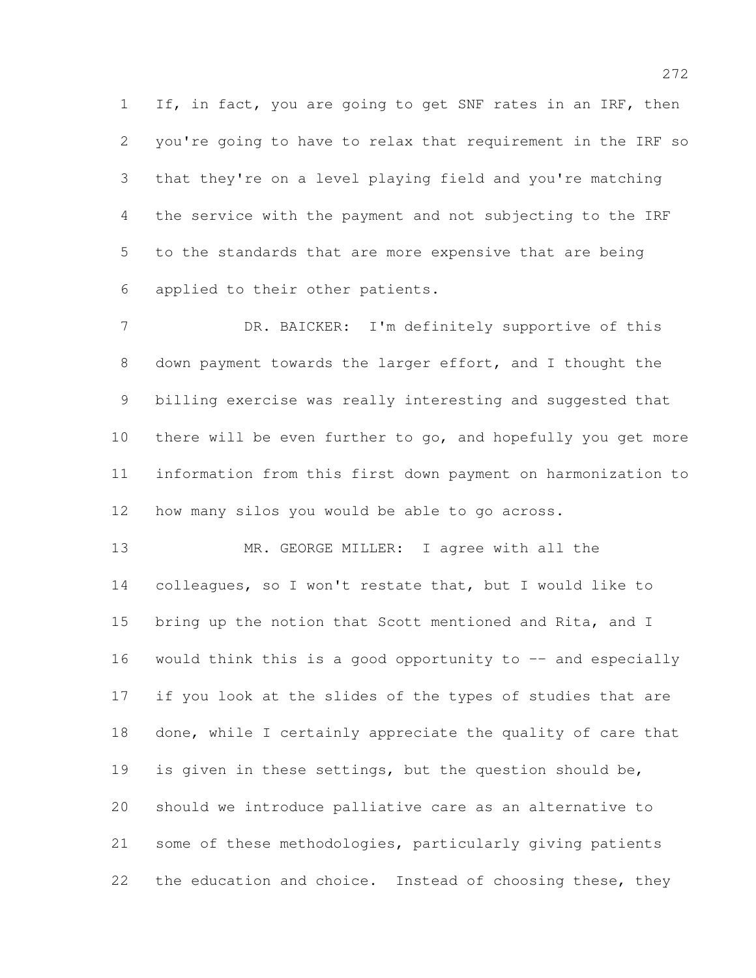If, in fact, you are going to get SNF rates in an IRF, then you're going to have to relax that requirement in the IRF so that they're on a level playing field and you're matching the service with the payment and not subjecting to the IRF to the standards that are more expensive that are being applied to their other patients.

 DR. BAICKER: I'm definitely supportive of this down payment towards the larger effort, and I thought the billing exercise was really interesting and suggested that there will be even further to go, and hopefully you get more information from this first down payment on harmonization to how many silos you would be able to go across.

 MR. GEORGE MILLER: I agree with all the colleagues, so I won't restate that, but I would like to bring up the notion that Scott mentioned and Rita, and I 16 would think this is a good opportunity to -- and especially if you look at the slides of the types of studies that are done, while I certainly appreciate the quality of care that is given in these settings, but the question should be, should we introduce palliative care as an alternative to some of these methodologies, particularly giving patients 22 the education and choice. Instead of choosing these, they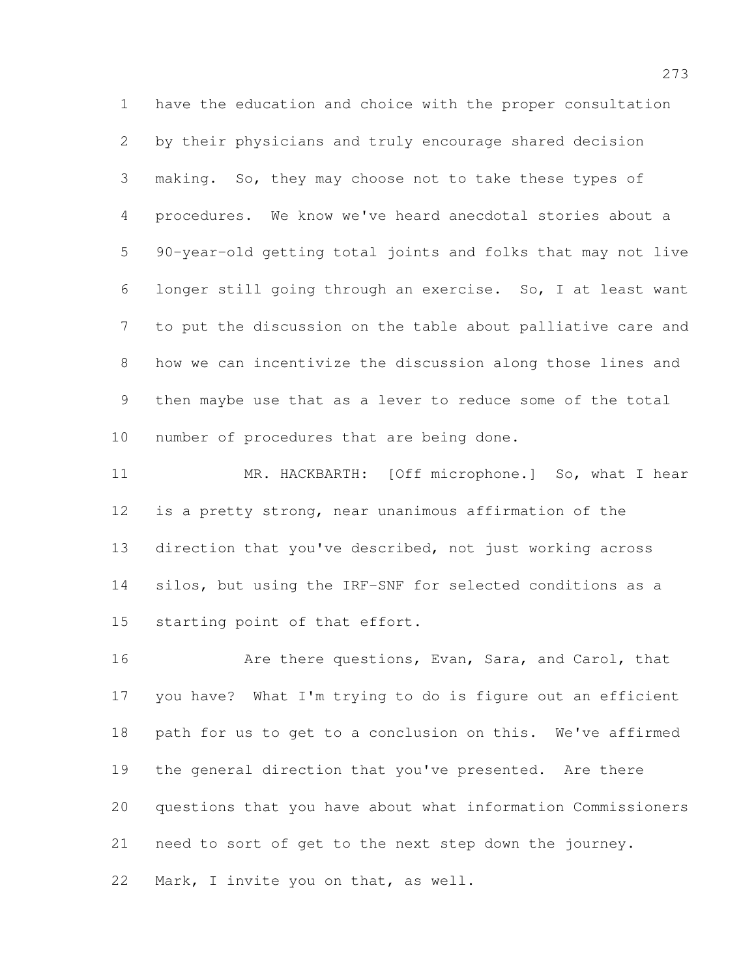have the education and choice with the proper consultation by their physicians and truly encourage shared decision making. So, they may choose not to take these types of procedures. We know we've heard anecdotal stories about a 90-year-old getting total joints and folks that may not live longer still going through an exercise. So, I at least want to put the discussion on the table about palliative care and how we can incentivize the discussion along those lines and then maybe use that as a lever to reduce some of the total number of procedures that are being done.

 MR. HACKBARTH: [Off microphone.] So, what I hear is a pretty strong, near unanimous affirmation of the direction that you've described, not just working across silos, but using the IRF-SNF for selected conditions as a starting point of that effort.

16 Are there questions, Evan, Sara, and Carol, that you have? What I'm trying to do is figure out an efficient path for us to get to a conclusion on this. We've affirmed the general direction that you've presented. Are there questions that you have about what information Commissioners need to sort of get to the next step down the journey. Mark, I invite you on that, as well.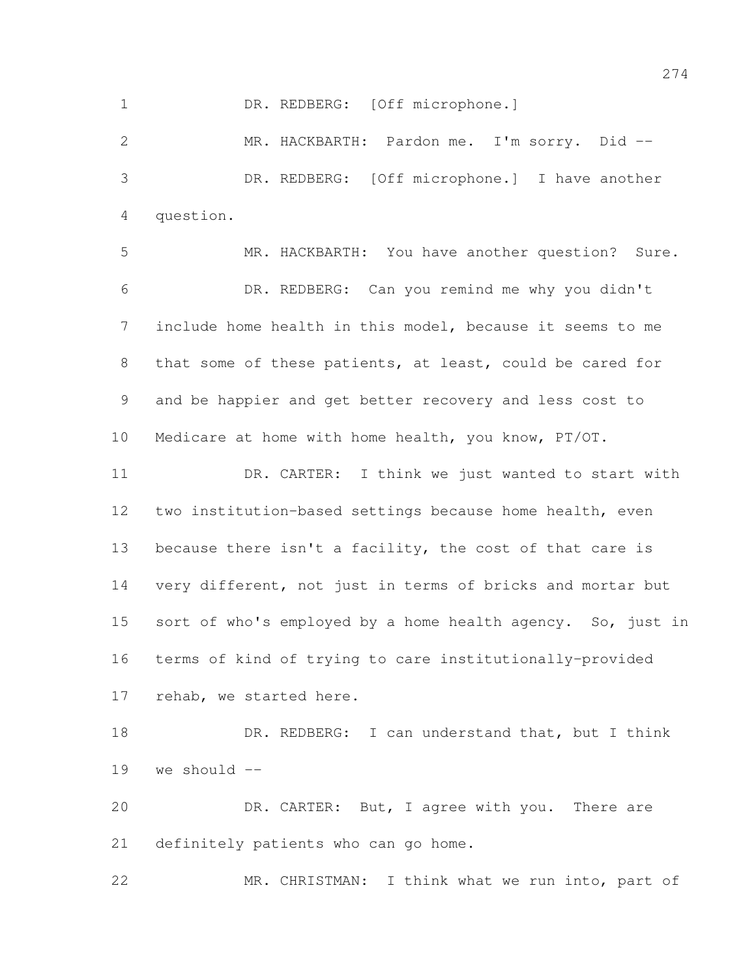1 DR. REDBERG: [Off microphone.]

 MR. HACKBARTH: Pardon me. I'm sorry. Did -- DR. REDBERG: [Off microphone.] I have another question.

 MR. HACKBARTH: You have another question? Sure. DR. REDBERG: Can you remind me why you didn't include home health in this model, because it seems to me that some of these patients, at least, could be cared for and be happier and get better recovery and less cost to Medicare at home with home health, you know, PT/OT. DR. CARTER: I think we just wanted to start with two institution-based settings because home health, even because there isn't a facility, the cost of that care is very different, not just in terms of bricks and mortar but sort of who's employed by a home health agency. So, just in terms of kind of trying to care institutionally-provided rehab, we started here.

18 DR. REDBERG: I can understand that, but I think we should --

 DR. CARTER: But, I agree with you. There are definitely patients who can go home.

MR. CHRISTMAN: I think what we run into, part of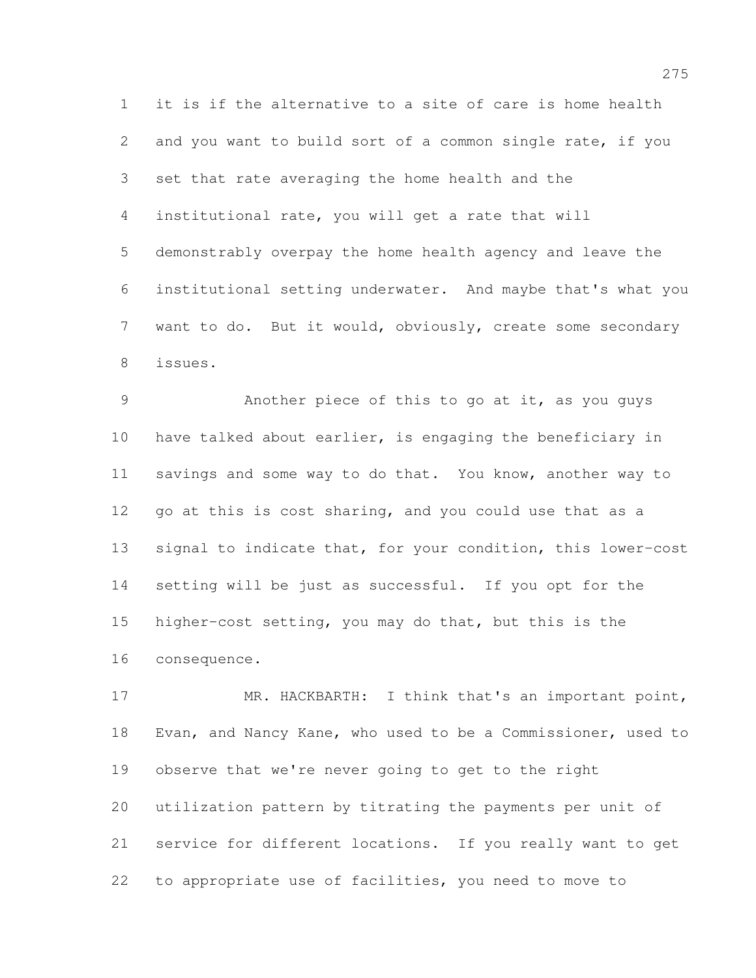it is if the alternative to a site of care is home health and you want to build sort of a common single rate, if you set that rate averaging the home health and the institutional rate, you will get a rate that will demonstrably overpay the home health agency and leave the institutional setting underwater. And maybe that's what you want to do. But it would, obviously, create some secondary issues.

 Another piece of this to go at it, as you guys have talked about earlier, is engaging the beneficiary in savings and some way to do that. You know, another way to go at this is cost sharing, and you could use that as a signal to indicate that, for your condition, this lower-cost setting will be just as successful. If you opt for the higher-cost setting, you may do that, but this is the consequence.

17 MR. HACKBARTH: I think that's an important point, Evan, and Nancy Kane, who used to be a Commissioner, used to observe that we're never going to get to the right utilization pattern by titrating the payments per unit of service for different locations. If you really want to get to appropriate use of facilities, you need to move to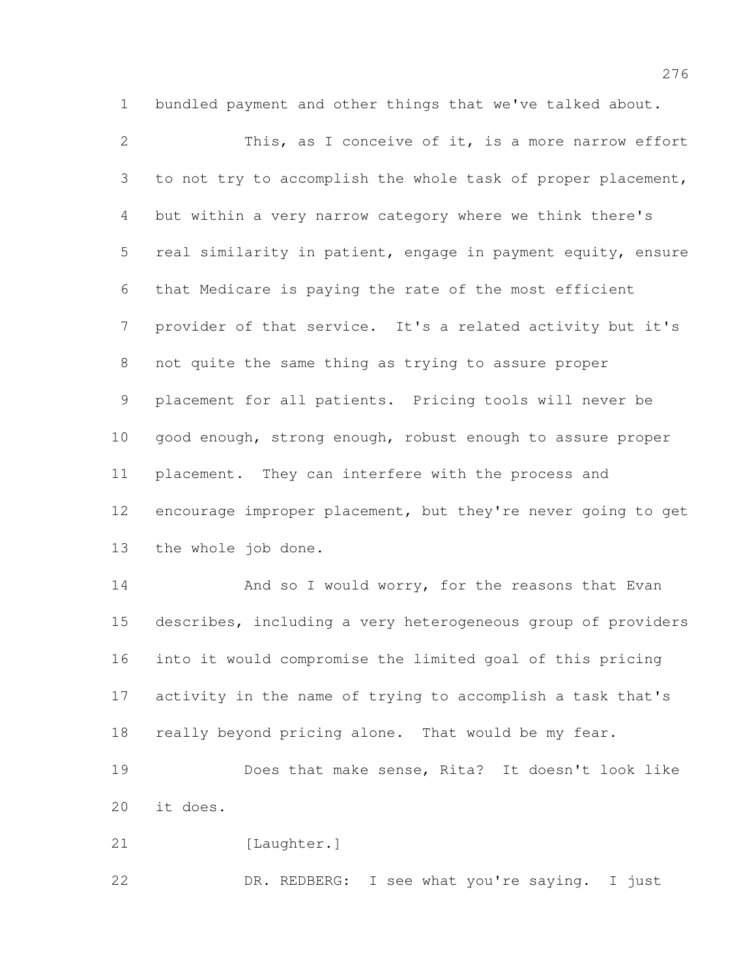bundled payment and other things that we've talked about.

 This, as I conceive of it, is a more narrow effort 3 to not try to accomplish the whole task of proper placement, but within a very narrow category where we think there's real similarity in patient, engage in payment equity, ensure that Medicare is paying the rate of the most efficient provider of that service. It's a related activity but it's not quite the same thing as trying to assure proper placement for all patients. Pricing tools will never be 10 good enough, strong enough, robust enough to assure proper placement. They can interfere with the process and encourage improper placement, but they're never going to get the whole job done. 14 And so I would worry, for the reasons that Evan describes, including a very heterogeneous group of providers into it would compromise the limited goal of this pricing activity in the name of trying to accomplish a task that's 18 really beyond pricing alone. That would be my fear.

 Does that make sense, Rita? It doesn't look like it does.

21 [Laughter.]

DR. REDBERG: I see what you're saying. I just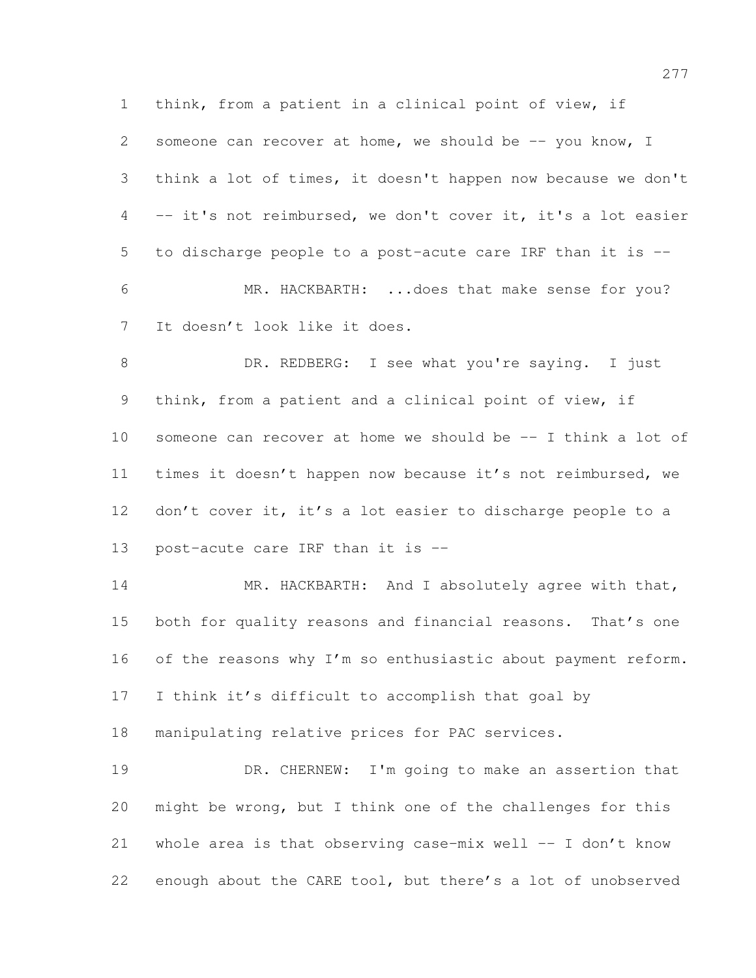think, from a patient in a clinical point of view, if someone can recover at home, we should be -- you know, I think a lot of times, it doesn't happen now because we don't -- it's not reimbursed, we don't cover it, it's a lot easier to discharge people to a post-acute care IRF than it is -- MR. HACKBARTH: ...does that make sense for you? It doesn't look like it does.

8 DR. REDBERG: I see what you're saying. I just think, from a patient and a clinical point of view, if someone can recover at home we should be -- I think a lot of times it doesn't happen now because it's not reimbursed, we 12 don't cover it, it's a lot easier to discharge people to a post-acute care IRF than it is --

14 MR. HACKBARTH: And I absolutely agree with that, 15 both for quality reasons and financial reasons. That's one 16 of the reasons why I'm so enthusiastic about payment reform. I think it's difficult to accomplish that goal by

manipulating relative prices for PAC services.

 DR. CHERNEW: I'm going to make an assertion that might be wrong, but I think one of the challenges for this whole area is that observing case-mix well -- I don't know enough about the CARE tool, but there's a lot of unobserved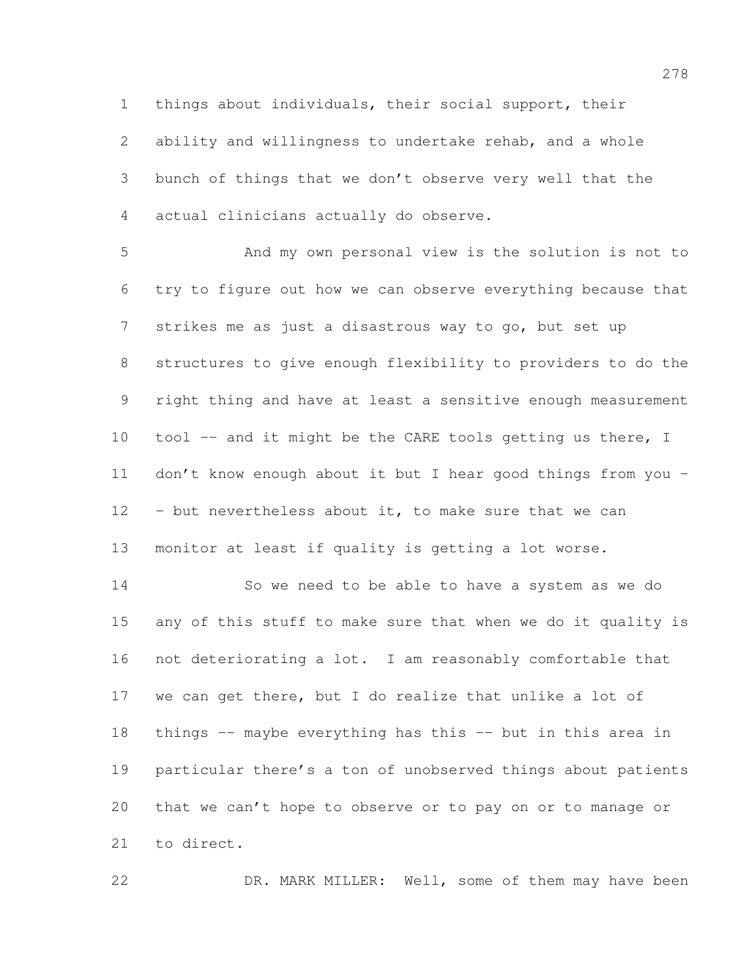ability and willingness to undertake rehab, and a whole bunch of things that we don't observe very well that the actual clinicians actually do observe.

things about individuals, their social support, their

 And my own personal view is the solution is not to try to figure out how we can observe everything because that strikes me as just a disastrous way to go, but set up structures to give enough flexibility to providers to do the right thing and have at least a sensitive enough measurement 10 tool -- and it might be the CARE tools getting us there, I don't know enough about it but I hear good things from you - - but nevertheless about it, to make sure that we can monitor at least if quality is getting a lot worse.

 So we need to be able to have a system as we do any of this stuff to make sure that when we do it quality is not deteriorating a lot. I am reasonably comfortable that we can get there, but I do realize that unlike a lot of things -- maybe everything has this -- but in this area in particular there's a ton of unobserved things about patients that we can't hope to observe or to pay on or to manage or to direct.

22 DR. MARK MILLER: Well, some of them may have been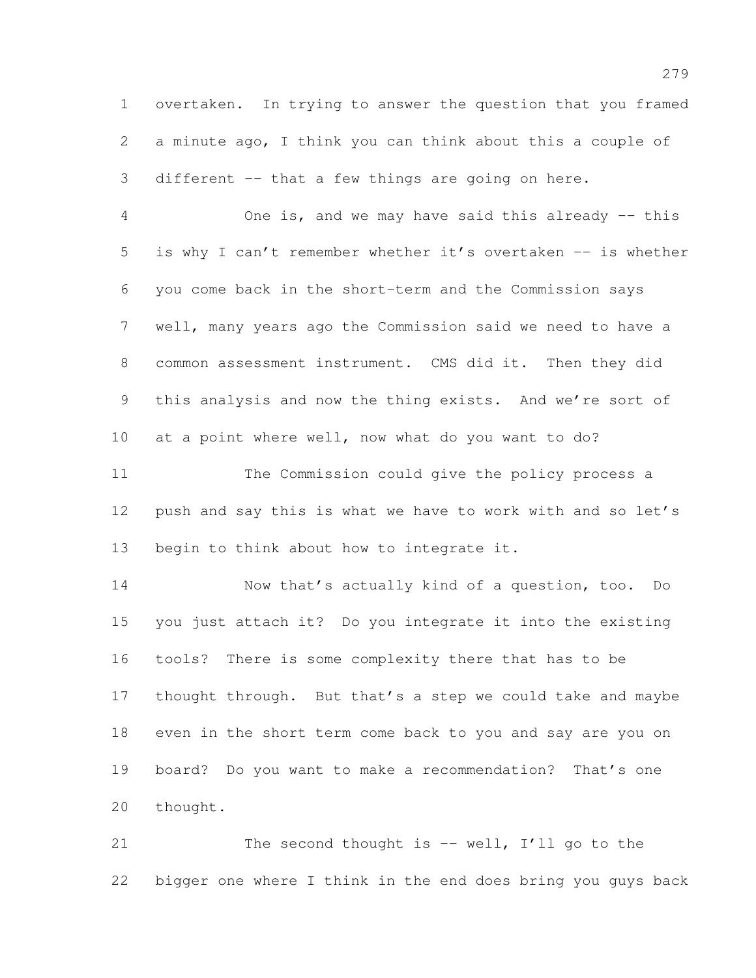overtaken. In trying to answer the question that you framed a minute ago, I think you can think about this a couple of different -- that a few things are going on here.

 One is, and we may have said this already -- this is why I can't remember whether it's overtaken -- is whether you come back in the short-term and the Commission says well, many years ago the Commission said we need to have a common assessment instrument. CMS did it. Then they did this analysis and now the thing exists. And we're sort of at a point where well, now what do you want to do?

 The Commission could give the policy process a push and say this is what we have to work with and so let's 13 begin to think about how to integrate it.

 Now that's actually kind of a question, too. Do you just attach it? Do you integrate it into the existing tools? There is some complexity there that has to be 17 thought through. But that's a step we could take and maybe even in the short term come back to you and say are you on board? Do you want to make a recommendation? That's one thought.

21 The second thought is -- well, I'll go to the bigger one where I think in the end does bring you guys back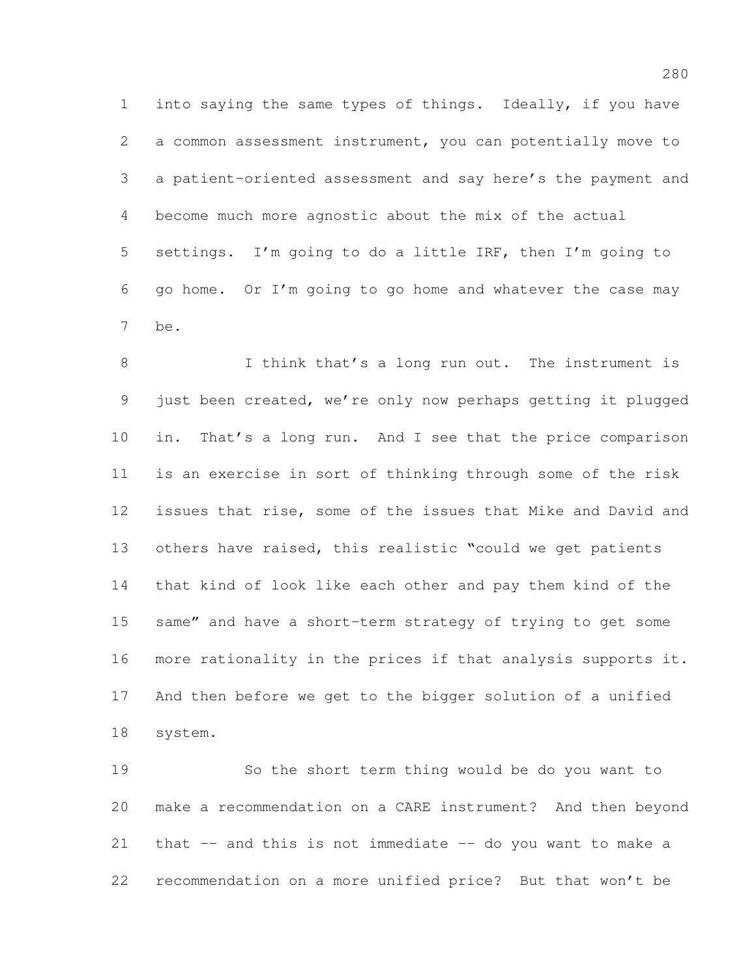into saying the same types of things. Ideally, if you have a common assessment instrument, you can potentially move to a patient-oriented assessment and say here's the payment and become much more agnostic about the mix of the actual settings. I'm going to do a little IRF, then I'm going to go home. Or I'm going to go home and whatever the case may be.

 I think that's a long run out. The instrument is just been created, we're only now perhaps getting it plugged in. That's a long run. And I see that the price comparison is an exercise in sort of thinking through some of the risk issues that rise, some of the issues that Mike and David and others have raised, this realistic "could we get patients that kind of look like each other and pay them kind of the same" and have a short-term strategy of trying to get some more rationality in the prices if that analysis supports it. And then before we get to the bigger solution of a unified system.

 So the short term thing would be do you want to make a recommendation on a CARE instrument? And then beyond that -- and this is not immediate -- do you want to make a recommendation on a more unified price? But that won't be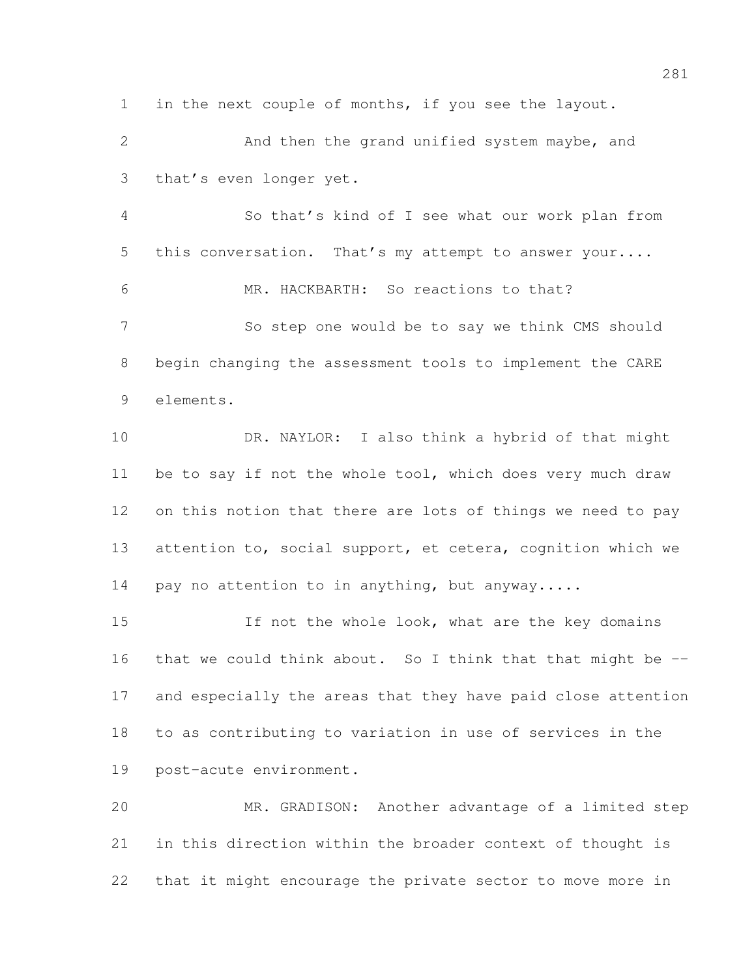in the next couple of months, if you see the layout.

 And then the grand unified system maybe, and that's even longer yet.

 So that's kind of I see what our work plan from 5 this conversation. That's my attempt to answer your.... MR. HACKBARTH: So reactions to that? So step one would be to say we think CMS should begin changing the assessment tools to implement the CARE elements.

 DR. NAYLOR: I also think a hybrid of that might be to say if not the whole tool, which does very much draw on this notion that there are lots of things we need to pay 13 attention to, social support, et cetera, cognition which we 14 pay no attention to in anything, but anyway.....

15 If not the whole look, what are the key domains 16 that we could think about. So I think that that might be  $-$  and especially the areas that they have paid close attention to as contributing to variation in use of services in the post-acute environment.

 MR. GRADISON: Another advantage of a limited step in this direction within the broader context of thought is that it might encourage the private sector to move more in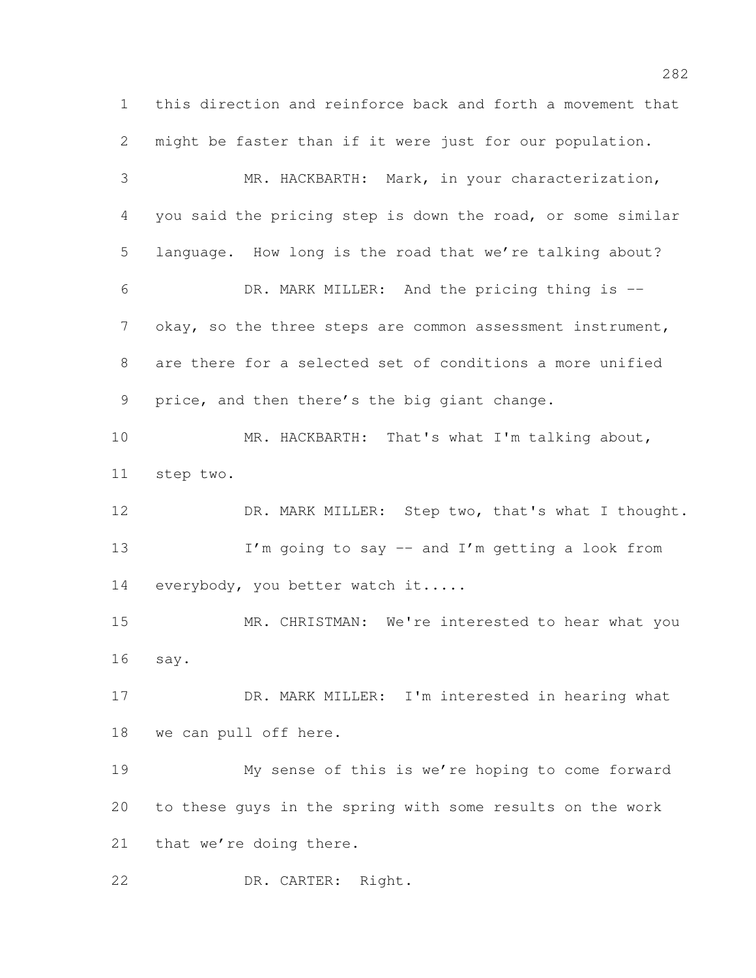this direction and reinforce back and forth a movement that might be faster than if it were just for our population. MR. HACKBARTH: Mark, in your characterization, you said the pricing step is down the road, or some similar language. How long is the road that we're talking about? DR. MARK MILLER: And the pricing thing is -- 7 okay, so the three steps are common assessment instrument, are there for a selected set of conditions a more unified price, and then there's the big giant change. MR. HACKBARTH: That's what I'm talking about, step two. 12 DR. MARK MILLER: Step two, that's what I thought. 13 I'm going to say -- and I'm getting a look from 14 everybody, you better watch it..... MR. CHRISTMAN: We're interested to hear what you say. DR. MARK MILLER: I'm interested in hearing what we can pull off here. My sense of this is we're hoping to come forward to these guys in the spring with some results on the work that we're doing there. DR. CARTER: Right.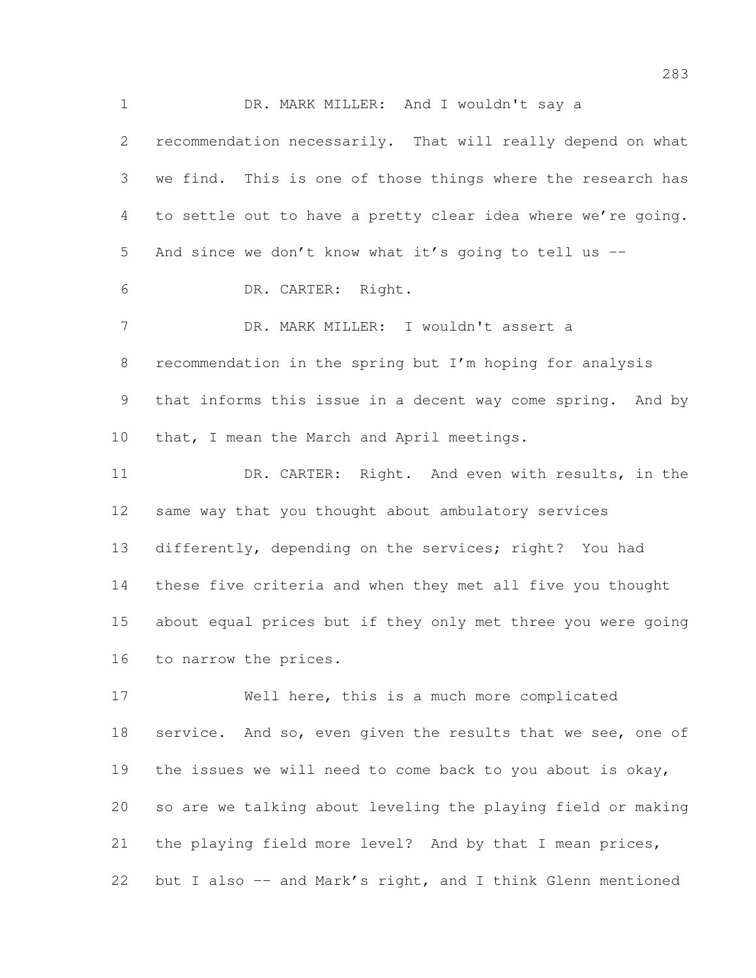DR. MARK MILLER: And I wouldn't say a recommendation necessarily. That will really depend on what we find. This is one of those things where the research has to settle out to have a pretty clear idea where we're going. And since we don't know what it's going to tell us -- DR. CARTER: Right. DR. MARK MILLER: I wouldn't assert a recommendation in the spring but I'm hoping for analysis that informs this issue in a decent way come spring. And by 10 that, I mean the March and April meetings. DR. CARTER: Right. And even with results, in the same way that you thought about ambulatory services differently, depending on the services; right? You had these five criteria and when they met all five you thought about equal prices but if they only met three you were going to narrow the prices. Well here, this is a much more complicated 18 service. And so, even given the results that we see, one of the issues we will need to come back to you about is okay,

 so are we talking about leveling the playing field or making 21 the playing field more level? And by that I mean prices,

but I also -- and Mark's right, and I think Glenn mentioned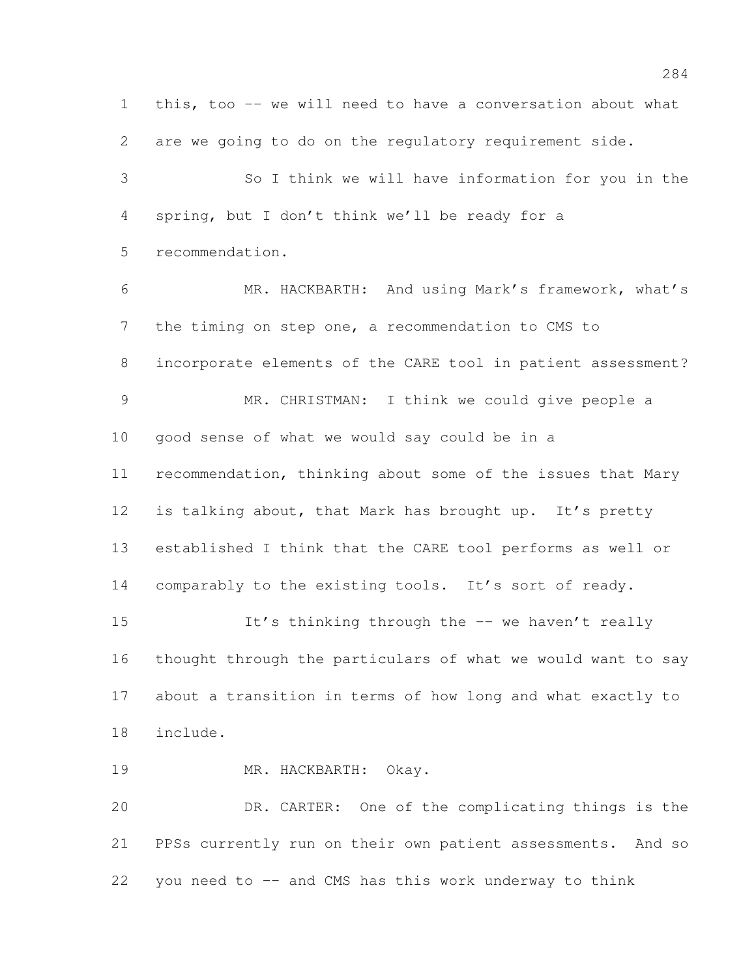this, too -- we will need to have a conversation about what are we going to do on the regulatory requirement side. So I think we will have information for you in the spring, but I don't think we'll be ready for a recommendation. MR. HACKBARTH: And using Mark's framework, what's the timing on step one, a recommendation to CMS to incorporate elements of the CARE tool in patient assessment? MR. CHRISTMAN: I think we could give people a good sense of what we would say could be in a recommendation, thinking about some of the issues that Mary 12 is talking about, that Mark has brought up. It's pretty established I think that the CARE tool performs as well or 14 comparably to the existing tools. It's sort of ready. 15 It's thinking through the -- we haven't really thought through the particulars of what we would want to say about a transition in terms of how long and what exactly to include. MR. HACKBARTH: Okay. DR. CARTER: One of the complicating things is the PPSs currently run on their own patient assessments. And so you need to -- and CMS has this work underway to think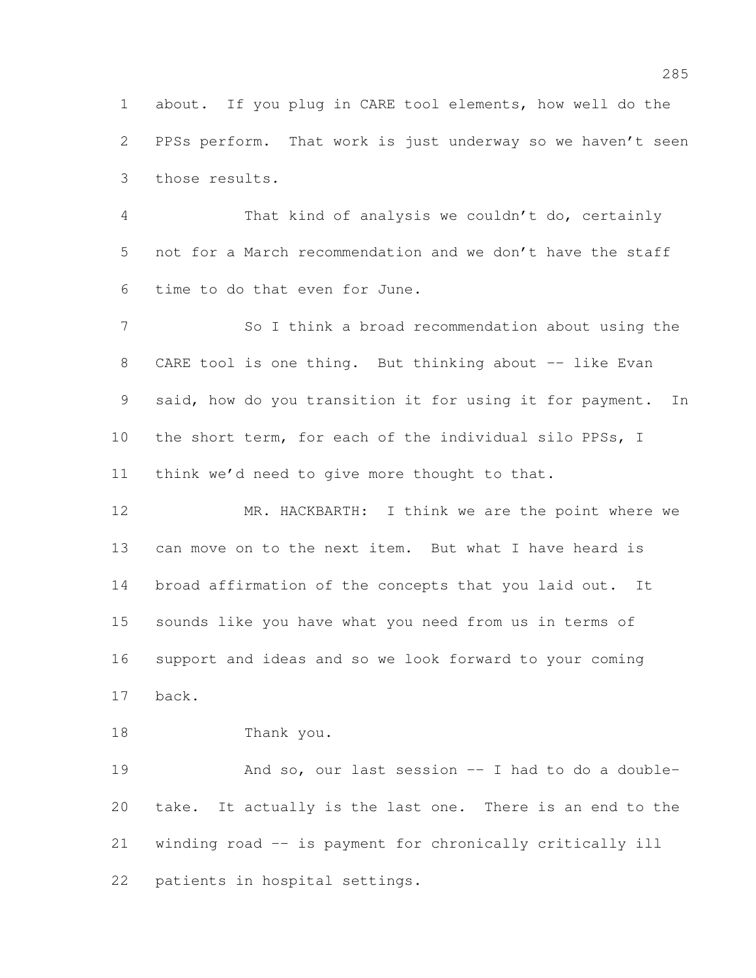about. If you plug in CARE tool elements, how well do the PPSs perform. That work is just underway so we haven't seen those results.

 That kind of analysis we couldn't do, certainly not for a March recommendation and we don't have the staff time to do that even for June.

 So I think a broad recommendation about using the 8 CARE tool is one thing. But thinking about -- like Evan said, how do you transition it for using it for payment. In the short term, for each of the individual silo PPSs, I think we'd need to give more thought to that.

12 MR. HACKBARTH: I think we are the point where we can move on to the next item. But what I have heard is broad affirmation of the concepts that you laid out. It sounds like you have what you need from us in terms of support and ideas and so we look forward to your coming back.

Thank you.

 And so, our last session -- I had to do a double- take. It actually is the last one. There is an end to the winding road -- is payment for chronically critically ill patients in hospital settings.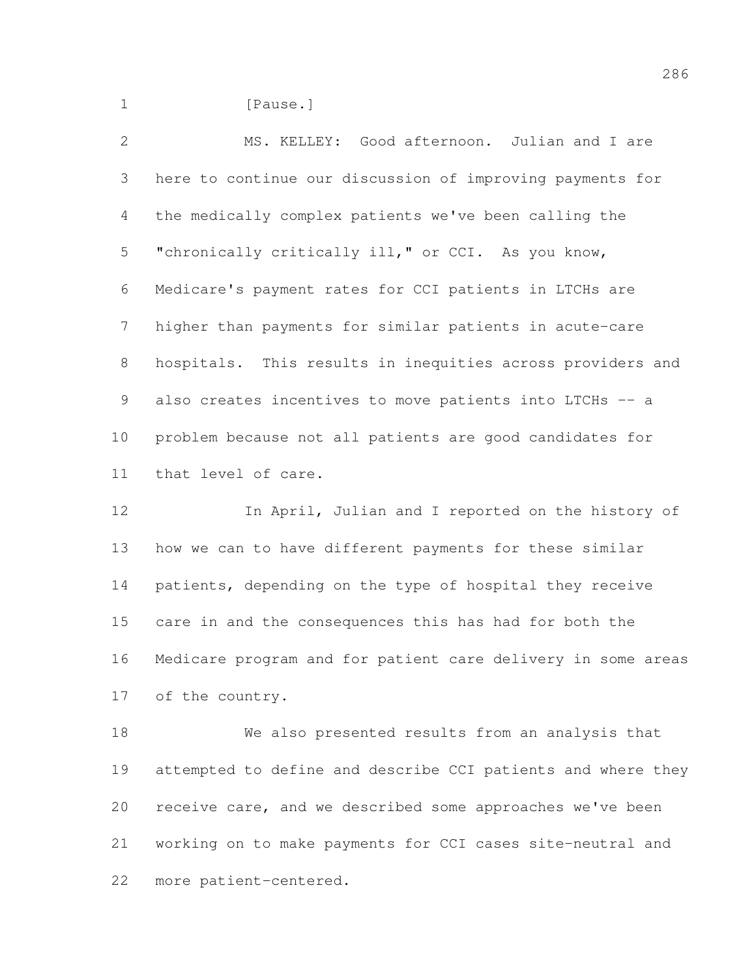1 [Pause.]

 MS. KELLEY: Good afternoon. Julian and I are here to continue our discussion of improving payments for the medically complex patients we've been calling the "chronically critically ill," or CCI. As you know, Medicare's payment rates for CCI patients in LTCHs are higher than payments for similar patients in acute-care hospitals. This results in inequities across providers and also creates incentives to move patients into LTCHs -- a problem because not all patients are good candidates for that level of care.

 In April, Julian and I reported on the history of how we can to have different payments for these similar patients, depending on the type of hospital they receive care in and the consequences this has had for both the Medicare program and for patient care delivery in some areas of the country.

 We also presented results from an analysis that attempted to define and describe CCI patients and where they receive care, and we described some approaches we've been working on to make payments for CCI cases site-neutral and more patient-centered.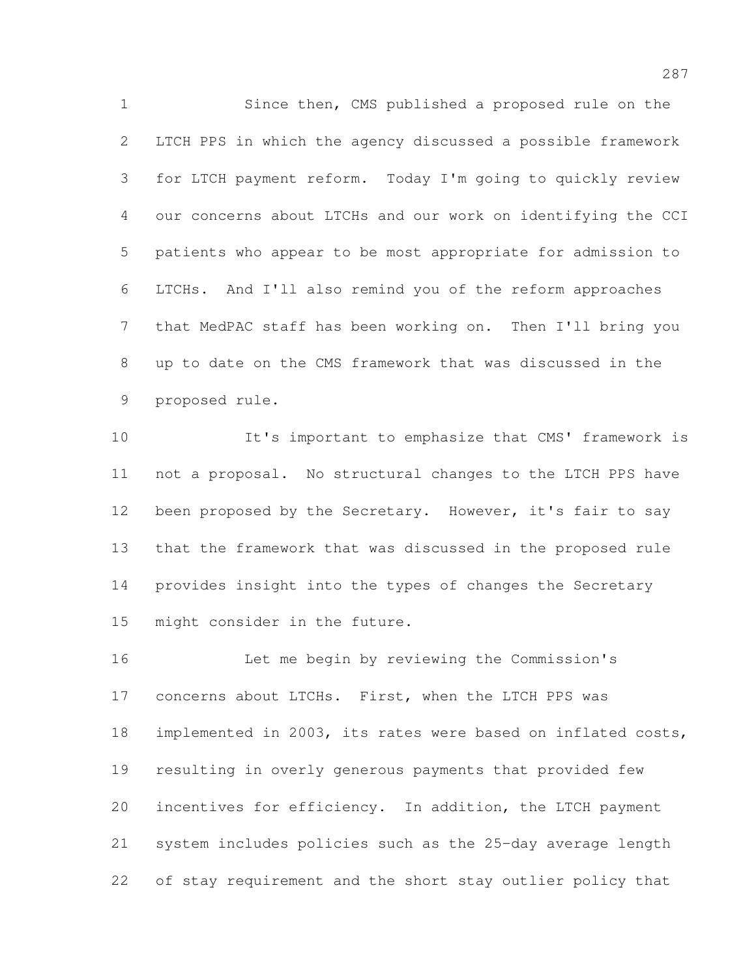Since then, CMS published a proposed rule on the LTCH PPS in which the agency discussed a possible framework for LTCH payment reform. Today I'm going to quickly review our concerns about LTCHs and our work on identifying the CCI patients who appear to be most appropriate for admission to LTCHs. And I'll also remind you of the reform approaches that MedPAC staff has been working on. Then I'll bring you up to date on the CMS framework that was discussed in the proposed rule.

 It's important to emphasize that CMS' framework is not a proposal. No structural changes to the LTCH PPS have 12 been proposed by the Secretary. However, it's fair to say that the framework that was discussed in the proposed rule provides insight into the types of changes the Secretary might consider in the future.

 Let me begin by reviewing the Commission's concerns about LTCHs. First, when the LTCH PPS was implemented in 2003, its rates were based on inflated costs, resulting in overly generous payments that provided few incentives for efficiency. In addition, the LTCH payment system includes policies such as the 25-day average length of stay requirement and the short stay outlier policy that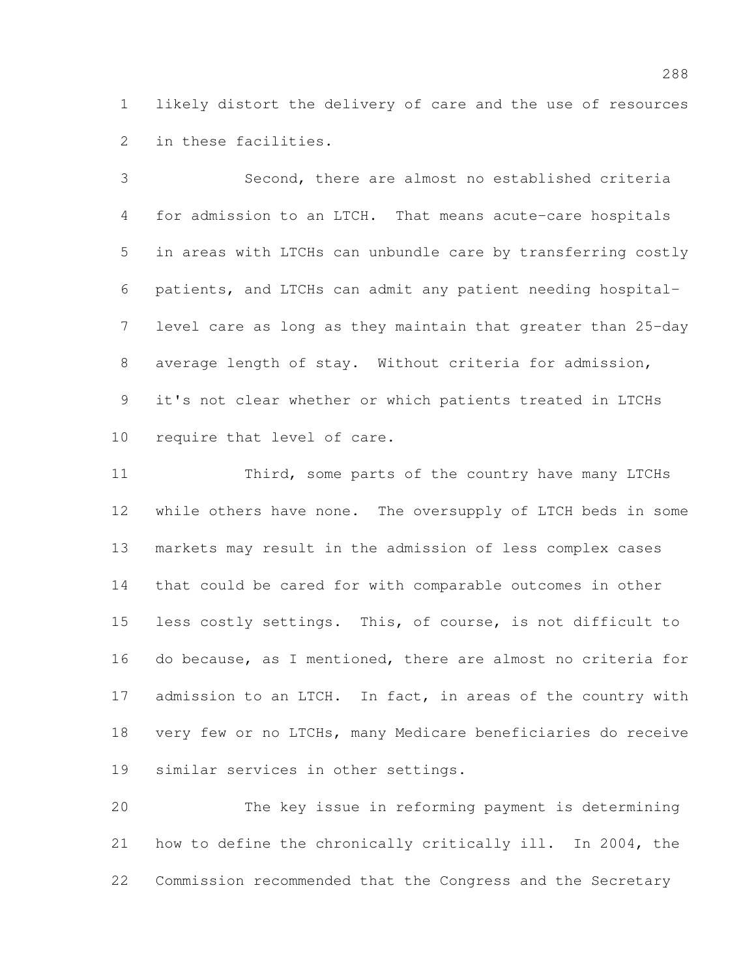likely distort the delivery of care and the use of resources in these facilities.

 Second, there are almost no established criteria for admission to an LTCH. That means acute-care hospitals in areas with LTCHs can unbundle care by transferring costly patients, and LTCHs can admit any patient needing hospital- level care as long as they maintain that greater than 25-day average length of stay. Without criteria for admission, it's not clear whether or which patients treated in LTCHs require that level of care.

11 Third, some parts of the country have many LTCHs while others have none. The oversupply of LTCH beds in some markets may result in the admission of less complex cases that could be cared for with comparable outcomes in other less costly settings. This, of course, is not difficult to do because, as I mentioned, there are almost no criteria for 17 admission to an LTCH. In fact, in areas of the country with very few or no LTCHs, many Medicare beneficiaries do receive similar services in other settings.

 The key issue in reforming payment is determining how to define the chronically critically ill. In 2004, the Commission recommended that the Congress and the Secretary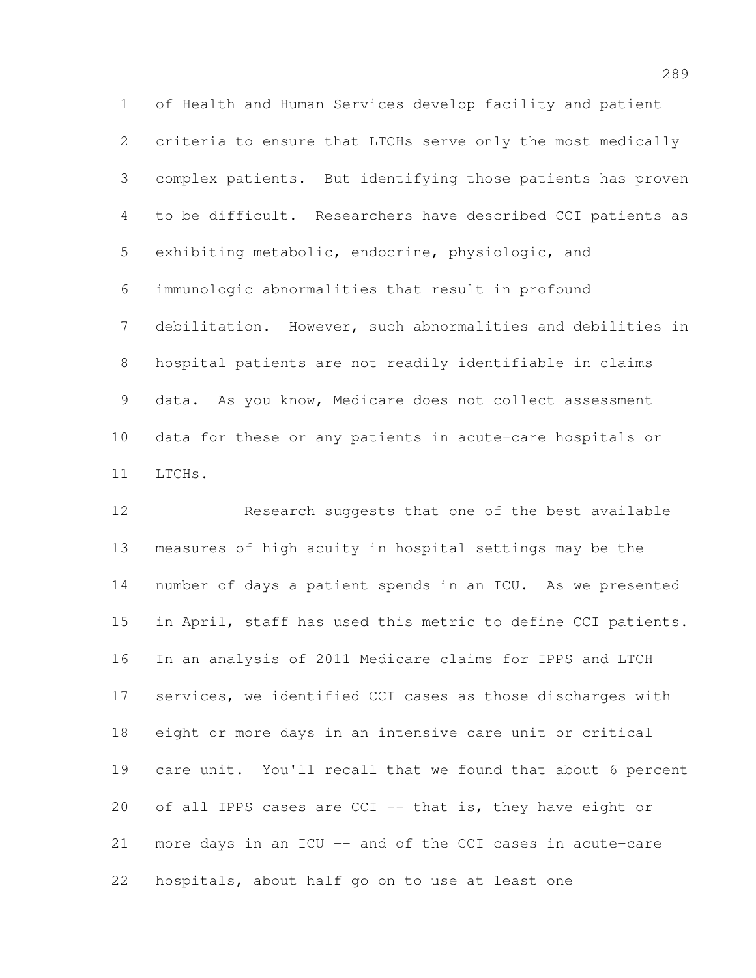of Health and Human Services develop facility and patient criteria to ensure that LTCHs serve only the most medically complex patients. But identifying those patients has proven to be difficult. Researchers have described CCI patients as exhibiting metabolic, endocrine, physiologic, and immunologic abnormalities that result in profound debilitation. However, such abnormalities and debilities in hospital patients are not readily identifiable in claims data. As you know, Medicare does not collect assessment data for these or any patients in acute-care hospitals or LTCHs.

 Research suggests that one of the best available measures of high acuity in hospital settings may be the number of days a patient spends in an ICU. As we presented in April, staff has used this metric to define CCI patients. In an analysis of 2011 Medicare claims for IPPS and LTCH services, we identified CCI cases as those discharges with eight or more days in an intensive care unit or critical care unit. You'll recall that we found that about 6 percent 20 of all IPPS cases are CCI -- that is, they have eight or more days in an ICU -- and of the CCI cases in acute-care hospitals, about half go on to use at least one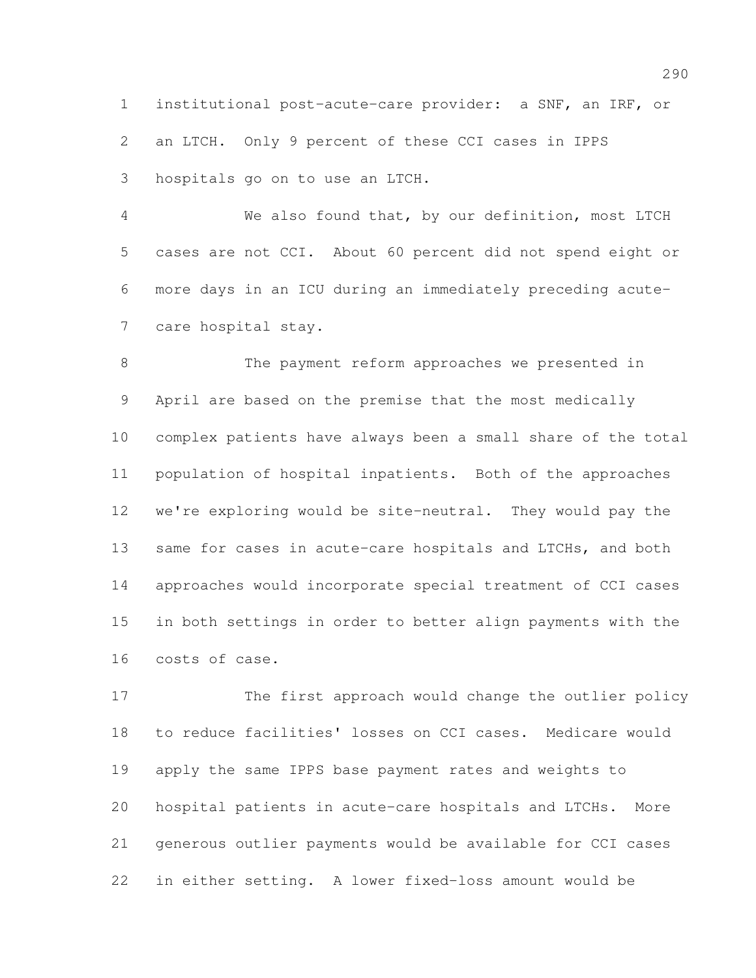institutional post-acute-care provider: a SNF, an IRF, or an LTCH. Only 9 percent of these CCI cases in IPPS hospitals go on to use an LTCH.

 We also found that, by our definition, most LTCH cases are not CCI. About 60 percent did not spend eight or more days in an ICU during an immediately preceding acute-care hospital stay.

 The payment reform approaches we presented in April are based on the premise that the most medically complex patients have always been a small share of the total population of hospital inpatients. Both of the approaches we're exploring would be site-neutral. They would pay the 13 same for cases in acute-care hospitals and LTCHs, and both approaches would incorporate special treatment of CCI cases in both settings in order to better align payments with the costs of case.

 The first approach would change the outlier policy to reduce facilities' losses on CCI cases. Medicare would apply the same IPPS base payment rates and weights to hospital patients in acute-care hospitals and LTCHs. More generous outlier payments would be available for CCI cases in either setting. A lower fixed-loss amount would be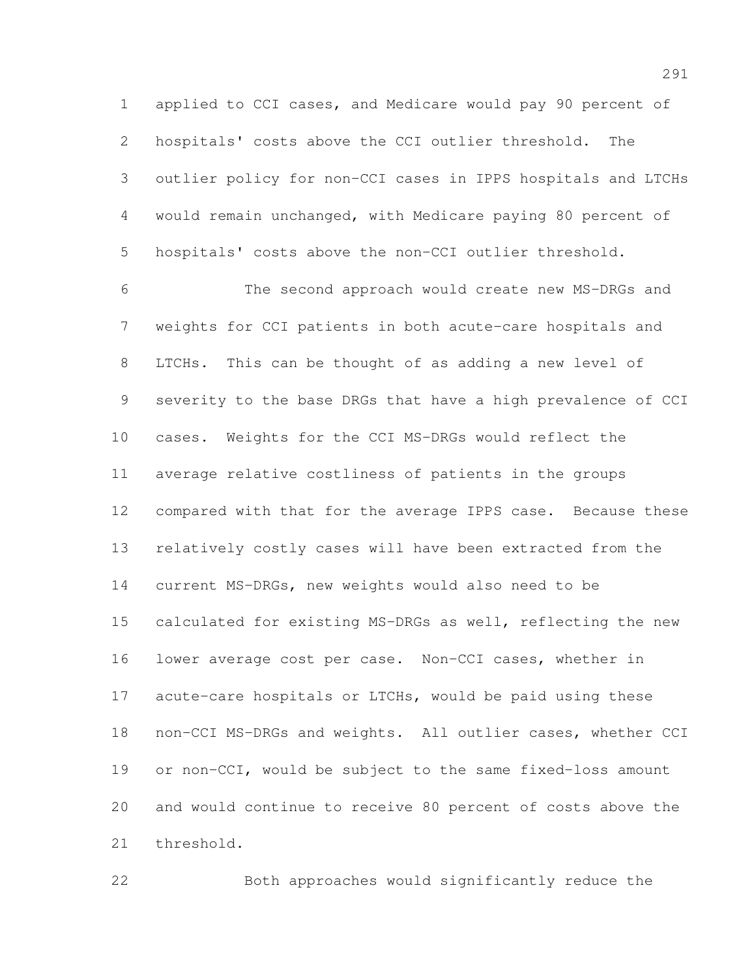applied to CCI cases, and Medicare would pay 90 percent of hospitals' costs above the CCI outlier threshold. The outlier policy for non-CCI cases in IPPS hospitals and LTCHs would remain unchanged, with Medicare paying 80 percent of hospitals' costs above the non-CCI outlier threshold.

 The second approach would create new MS-DRGs and weights for CCI patients in both acute-care hospitals and LTCHs. This can be thought of as adding a new level of severity to the base DRGs that have a high prevalence of CCI cases. Weights for the CCI MS-DRGs would reflect the average relative costliness of patients in the groups compared with that for the average IPPS case. Because these relatively costly cases will have been extracted from the current MS-DRGs, new weights would also need to be calculated for existing MS-DRGs as well, reflecting the new lower average cost per case. Non-CCI cases, whether in acute-care hospitals or LTCHs, would be paid using these non-CCI MS-DRGs and weights. All outlier cases, whether CCI or non-CCI, would be subject to the same fixed-loss amount and would continue to receive 80 percent of costs above the threshold.

Both approaches would significantly reduce the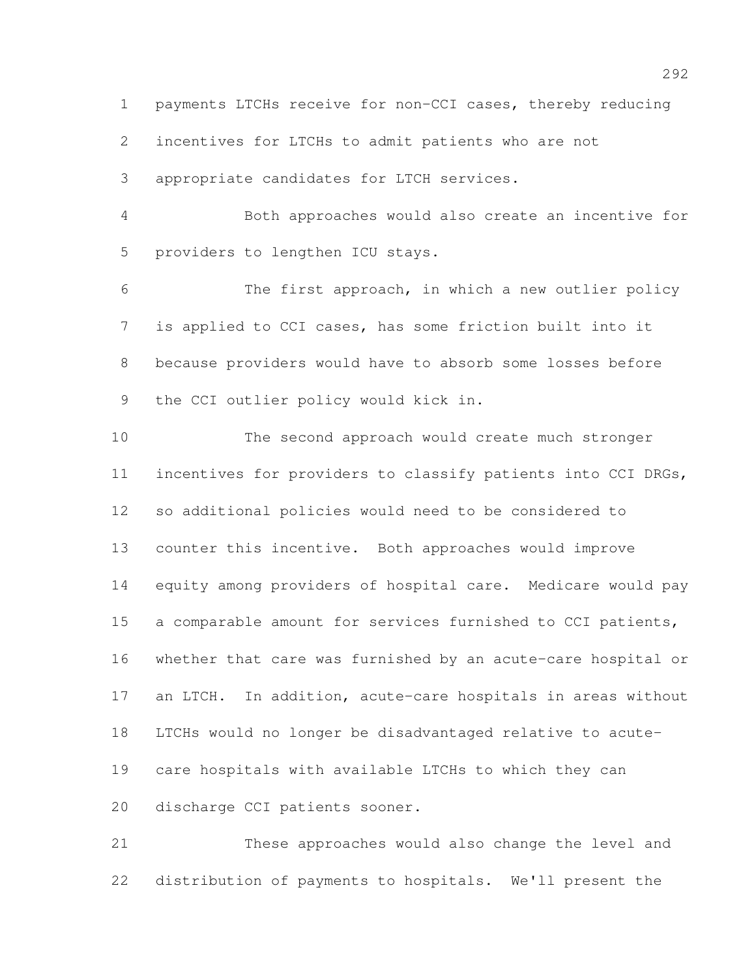payments LTCHs receive for non-CCI cases, thereby reducing

incentives for LTCHs to admit patients who are not

appropriate candidates for LTCH services.

 Both approaches would also create an incentive for providers to lengthen ICU stays.

 The first approach, in which a new outlier policy is applied to CCI cases, has some friction built into it because providers would have to absorb some losses before the CCI outlier policy would kick in.

 The second approach would create much stronger incentives for providers to classify patients into CCI DRGs, so additional policies would need to be considered to counter this incentive. Both approaches would improve equity among providers of hospital care. Medicare would pay a comparable amount for services furnished to CCI patients, whether that care was furnished by an acute-care hospital or an LTCH. In addition, acute-care hospitals in areas without LTCHs would no longer be disadvantaged relative to acute- care hospitals with available LTCHs to which they can discharge CCI patients sooner.

 These approaches would also change the level and distribution of payments to hospitals. We'll present the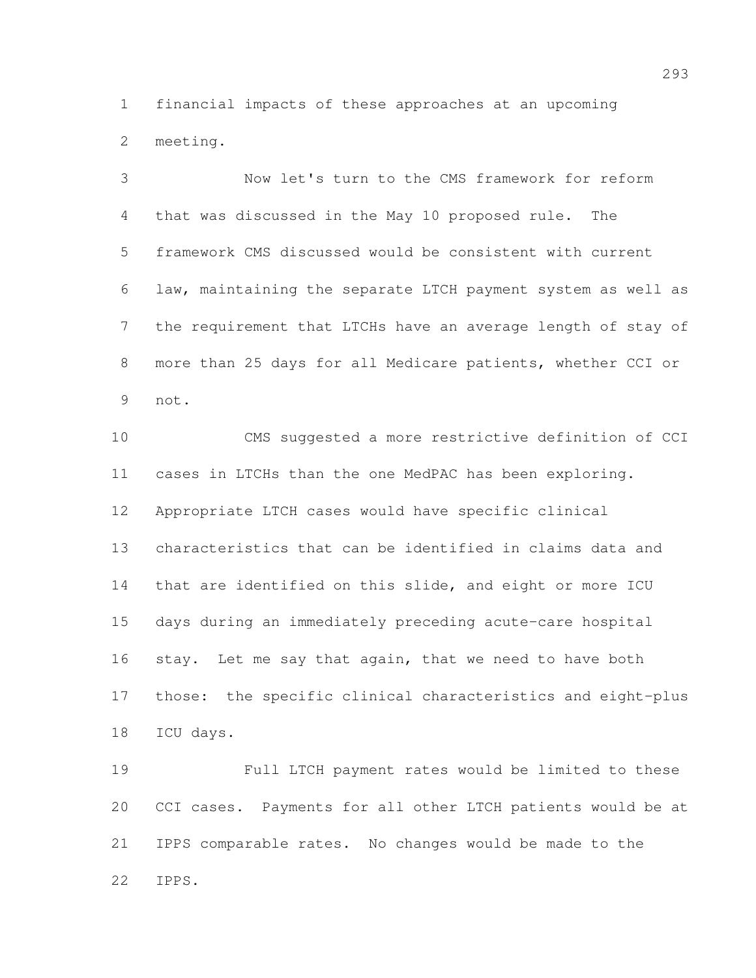financial impacts of these approaches at an upcoming meeting.

 Now let's turn to the CMS framework for reform that was discussed in the May 10 proposed rule. The framework CMS discussed would be consistent with current law, maintaining the separate LTCH payment system as well as the requirement that LTCHs have an average length of stay of more than 25 days for all Medicare patients, whether CCI or not.

 CMS suggested a more restrictive definition of CCI cases in LTCHs than the one MedPAC has been exploring. Appropriate LTCH cases would have specific clinical characteristics that can be identified in claims data and that are identified on this slide, and eight or more ICU days during an immediately preceding acute-care hospital stay. Let me say that again, that we need to have both those: the specific clinical characteristics and eight-plus ICU days.

 Full LTCH payment rates would be limited to these CCI cases. Payments for all other LTCH patients would be at IPPS comparable rates. No changes would be made to the IPPS.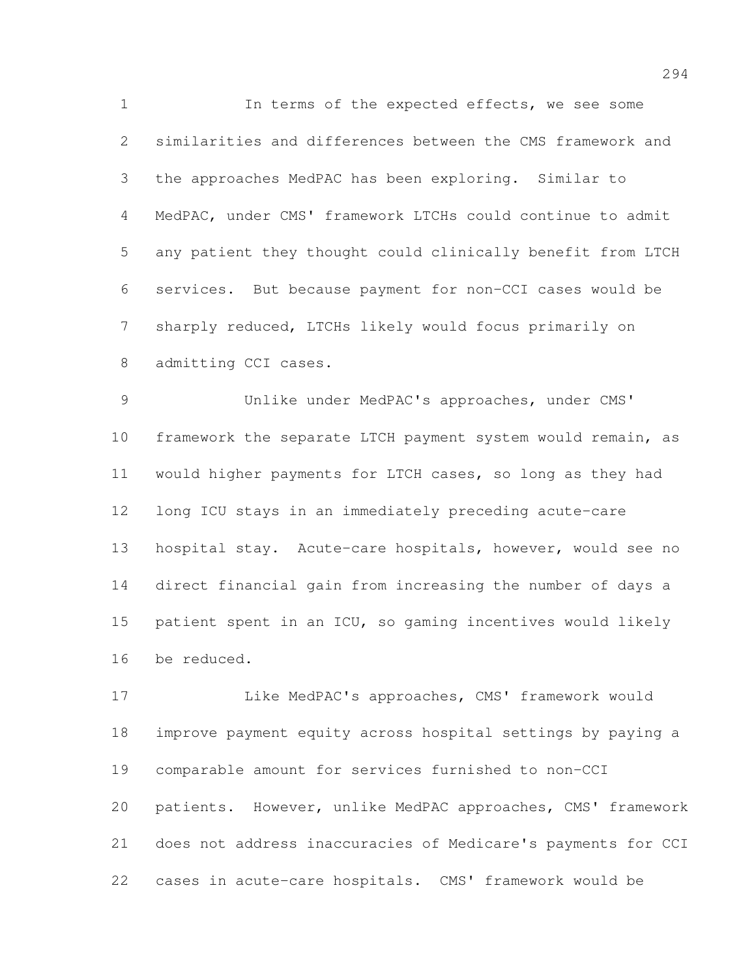In terms of the expected effects, we see some similarities and differences between the CMS framework and the approaches MedPAC has been exploring. Similar to MedPAC, under CMS' framework LTCHs could continue to admit any patient they thought could clinically benefit from LTCH services. But because payment for non-CCI cases would be sharply reduced, LTCHs likely would focus primarily on admitting CCI cases.

 Unlike under MedPAC's approaches, under CMS' framework the separate LTCH payment system would remain, as would higher payments for LTCH cases, so long as they had long ICU stays in an immediately preceding acute-care hospital stay. Acute-care hospitals, however, would see no direct financial gain from increasing the number of days a patient spent in an ICU, so gaming incentives would likely be reduced.

 Like MedPAC's approaches, CMS' framework would improve payment equity across hospital settings by paying a comparable amount for services furnished to non-CCI patients. However, unlike MedPAC approaches, CMS' framework does not address inaccuracies of Medicare's payments for CCI cases in acute-care hospitals. CMS' framework would be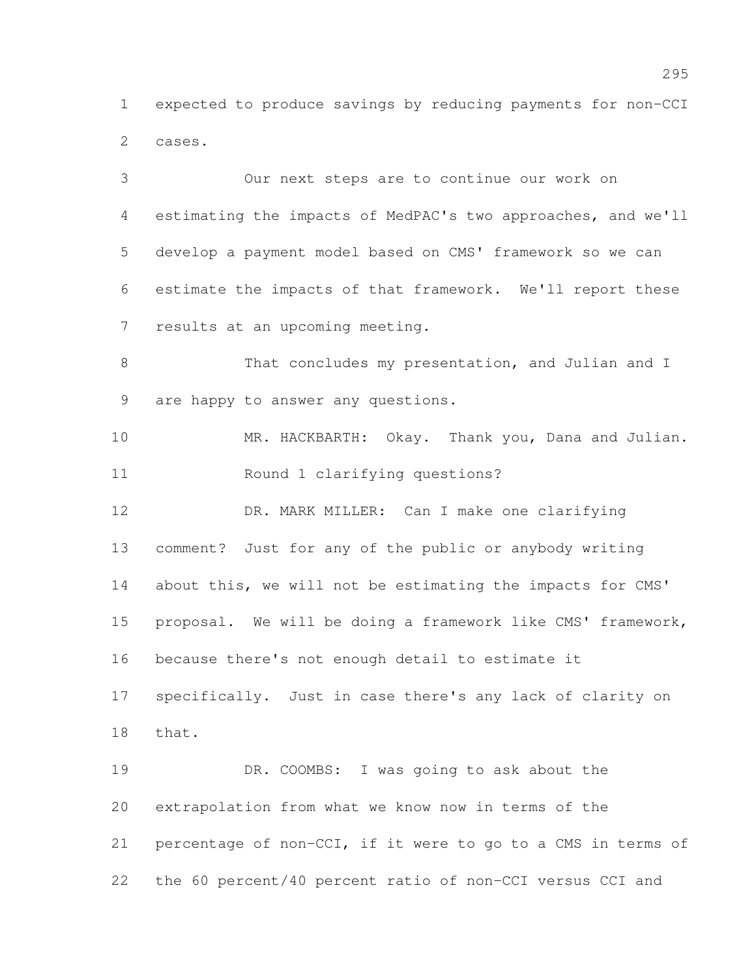expected to produce savings by reducing payments for non-CCI cases.

 Our next steps are to continue our work on estimating the impacts of MedPAC's two approaches, and we'll develop a payment model based on CMS' framework so we can estimate the impacts of that framework. We'll report these results at an upcoming meeting. 8 That concludes my presentation, and Julian and I are happy to answer any questions. 10 MR. HACKBARTH: Okay. Thank you, Dana and Julian. Round 1 clarifying questions? DR. MARK MILLER: Can I make one clarifying comment? Just for any of the public or anybody writing 14 about this, we will not be estimating the impacts for CMS' proposal. We will be doing a framework like CMS' framework, because there's not enough detail to estimate it specifically. Just in case there's any lack of clarity on that. DR. COOMBS: I was going to ask about the extrapolation from what we know now in terms of the percentage of non-CCI, if it were to go to a CMS in terms of the 60 percent/40 percent ratio of non-CCI versus CCI and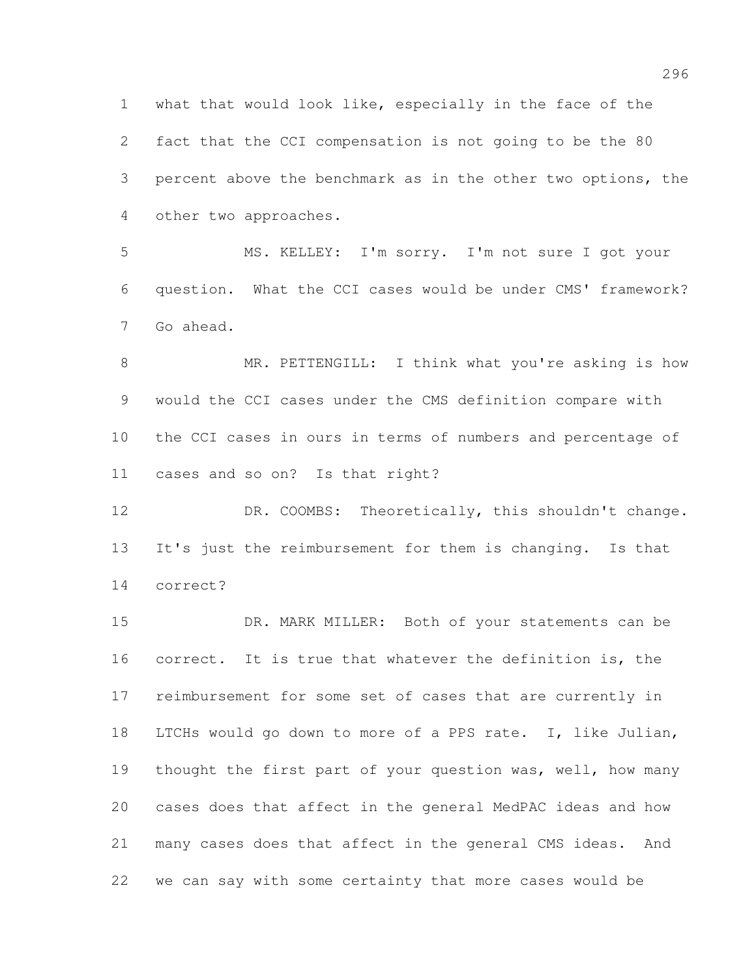what that would look like, especially in the face of the fact that the CCI compensation is not going to be the 80 percent above the benchmark as in the other two options, the other two approaches.

 MS. KELLEY: I'm sorry. I'm not sure I got your question. What the CCI cases would be under CMS' framework? Go ahead.

8 MR. PETTENGILL: I think what you're asking is how would the CCI cases under the CMS definition compare with the CCI cases in ours in terms of numbers and percentage of cases and so on? Is that right?

12 DR. COOMBS: Theoretically, this shouldn't change. It's just the reimbursement for them is changing. Is that correct?

15 DR. MARK MILLER: Both of your statements can be correct. It is true that whatever the definition is, the reimbursement for some set of cases that are currently in LTCHs would go down to more of a PPS rate. I, like Julian, 19 thought the first part of your question was, well, how many cases does that affect in the general MedPAC ideas and how many cases does that affect in the general CMS ideas. And we can say with some certainty that more cases would be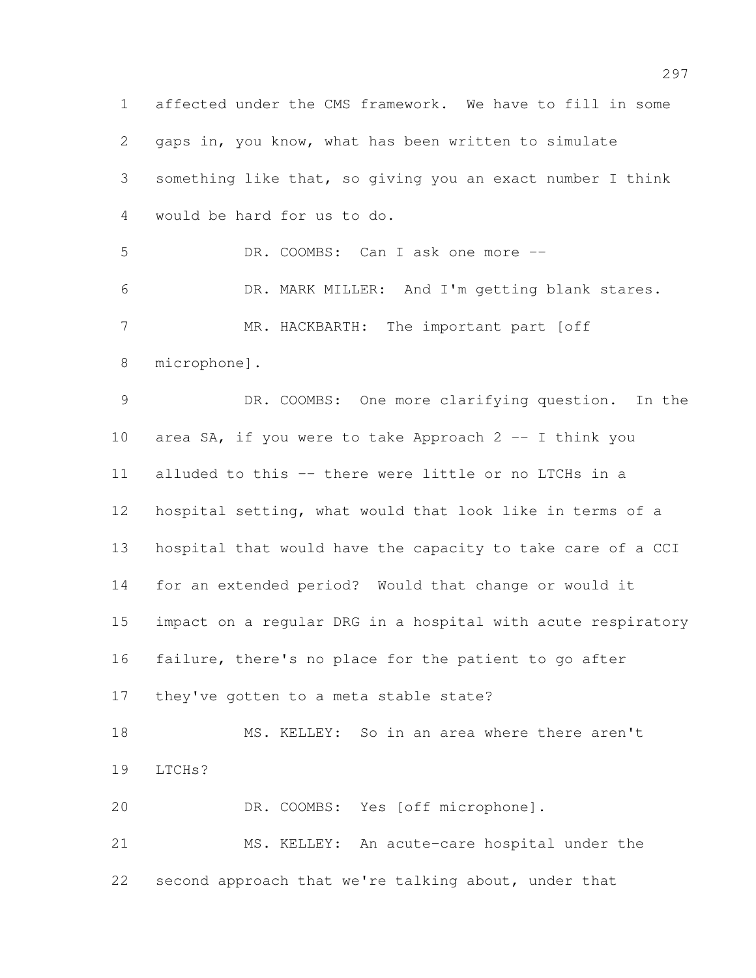affected under the CMS framework. We have to fill in some gaps in, you know, what has been written to simulate something like that, so giving you an exact number I think would be hard for us to do. 5 DR. COOMBS: Can I ask one more -- DR. MARK MILLER: And I'm getting blank stares. 7 MR. HACKBARTH: The important part [off microphone]. DR. COOMBS: One more clarifying question. In the area SA, if you were to take Approach 2 -- I think you alluded to this -- there were little or no LTCHs in a hospital setting, what would that look like in terms of a hospital that would have the capacity to take care of a CCI for an extended period? Would that change or would it impact on a regular DRG in a hospital with acute respiratory failure, there's no place for the patient to go after they've gotten to a meta stable state? MS. KELLEY: So in an area where there aren't LTCHs? DR. COOMBS: Yes [off microphone]. MS. KELLEY: An acute-care hospital under the second approach that we're talking about, under that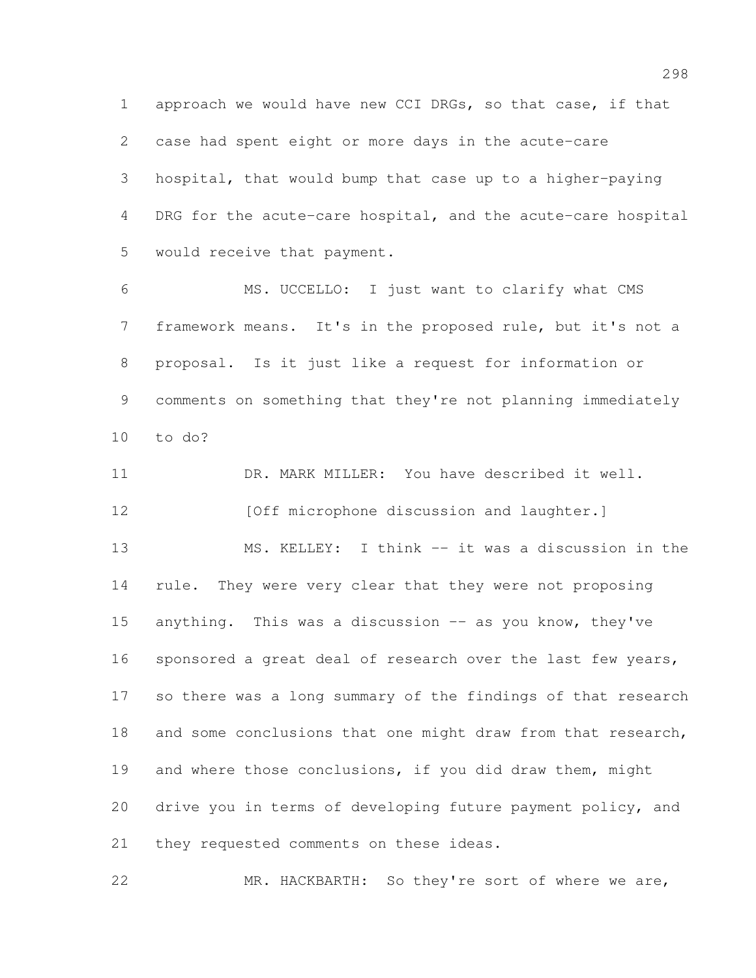approach we would have new CCI DRGs, so that case, if that case had spent eight or more days in the acute-care hospital, that would bump that case up to a higher-paying DRG for the acute-care hospital, and the acute-care hospital would receive that payment.

 MS. UCCELLO: I just want to clarify what CMS framework means. It's in the proposed rule, but it's not a proposal. Is it just like a request for information or comments on something that they're not planning immediately to do?

 DR. MARK MILLER: You have described it well. **[Off microphone discussion and laughter.**] MS. KELLEY: I think -- it was a discussion in the rule. They were very clear that they were not proposing 15 anything. This was a discussion -- as you know, they've 16 sponsored a great deal of research over the last few years, so there was a long summary of the findings of that research 18 and some conclusions that one might draw from that research, and where those conclusions, if you did draw them, might drive you in terms of developing future payment policy, and 21 they requested comments on these ideas.

MR. HACKBARTH: So they're sort of where we are,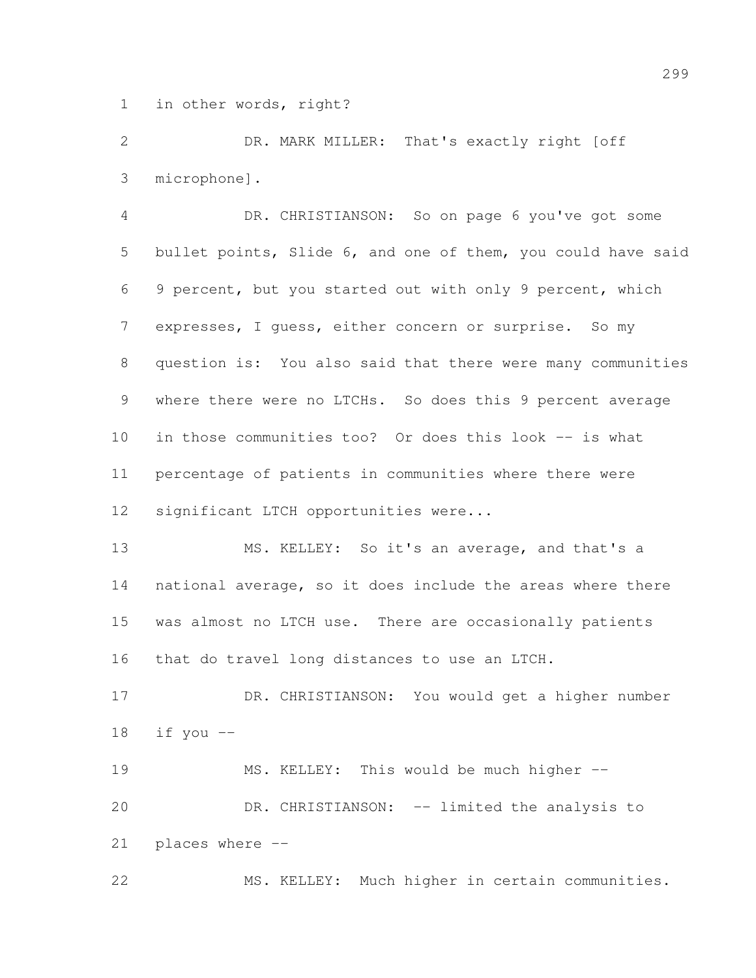in other words, right?

 DR. MARK MILLER: That's exactly right [off microphone].

 DR. CHRISTIANSON: So on page 6 you've got some bullet points, Slide 6, and one of them, you could have said 9 percent, but you started out with only 9 percent, which expresses, I guess, either concern or surprise. So my question is: You also said that there were many communities where there were no LTCHs. So does this 9 percent average in those communities too? Or does this look -- is what percentage of patients in communities where there were significant LTCH opportunities were...

 MS. KELLEY: So it's an average, and that's a national average, so it does include the areas where there was almost no LTCH use. There are occasionally patients that do travel long distances to use an LTCH.

 DR. CHRISTIANSON: You would get a higher number if you --

19 MS. KELLEY: This would be much higher --20 DR. CHRISTIANSON: -- limited the analysis to places where --

MS. KELLEY: Much higher in certain communities.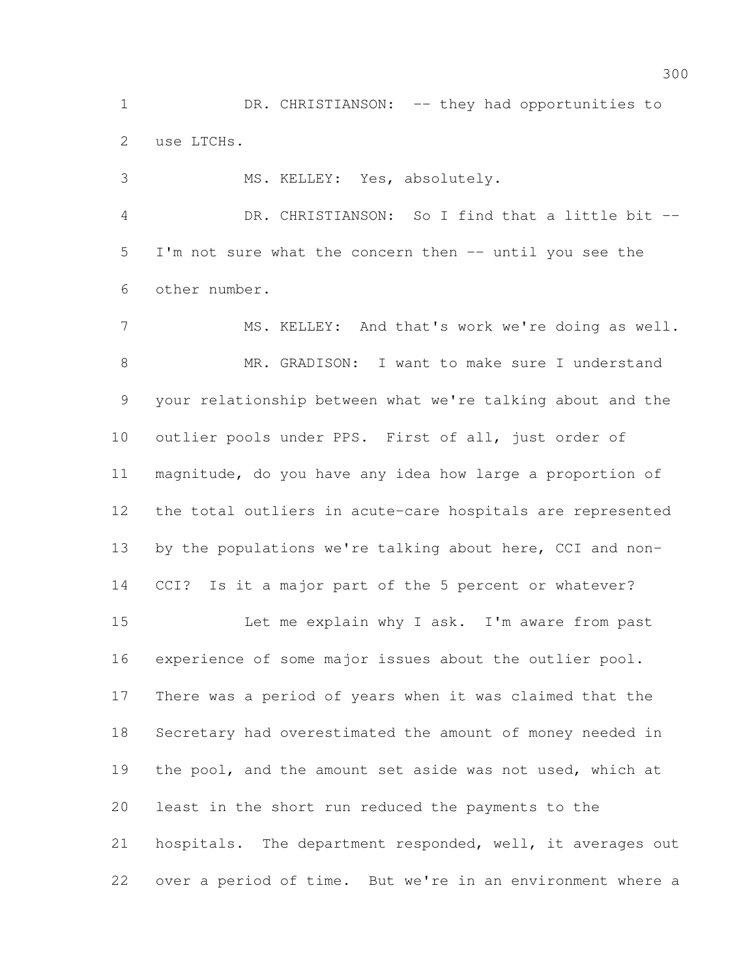1 DR. CHRISTIANSON: -- they had opportunities to use LTCHs.

 MS. KELLEY: Yes, absolutely. DR. CHRISTIANSON: So I find that a little bit -- I'm not sure what the concern then -- until you see the other number. MS. KELLEY: And that's work we're doing as well. MR. GRADISON: I want to make sure I understand your relationship between what we're talking about and the

 outlier pools under PPS. First of all, just order of magnitude, do you have any idea how large a proportion of the total outliers in acute-care hospitals are represented by the populations we're talking about here, CCI and non-CCI? Is it a major part of the 5 percent or whatever?

 Let me explain why I ask. I'm aware from past experience of some major issues about the outlier pool. There was a period of years when it was claimed that the Secretary had overestimated the amount of money needed in 19 the pool, and the amount set aside was not used, which at least in the short run reduced the payments to the 21 hospitals. The department responded, well, it averages out over a period of time. But we're in an environment where a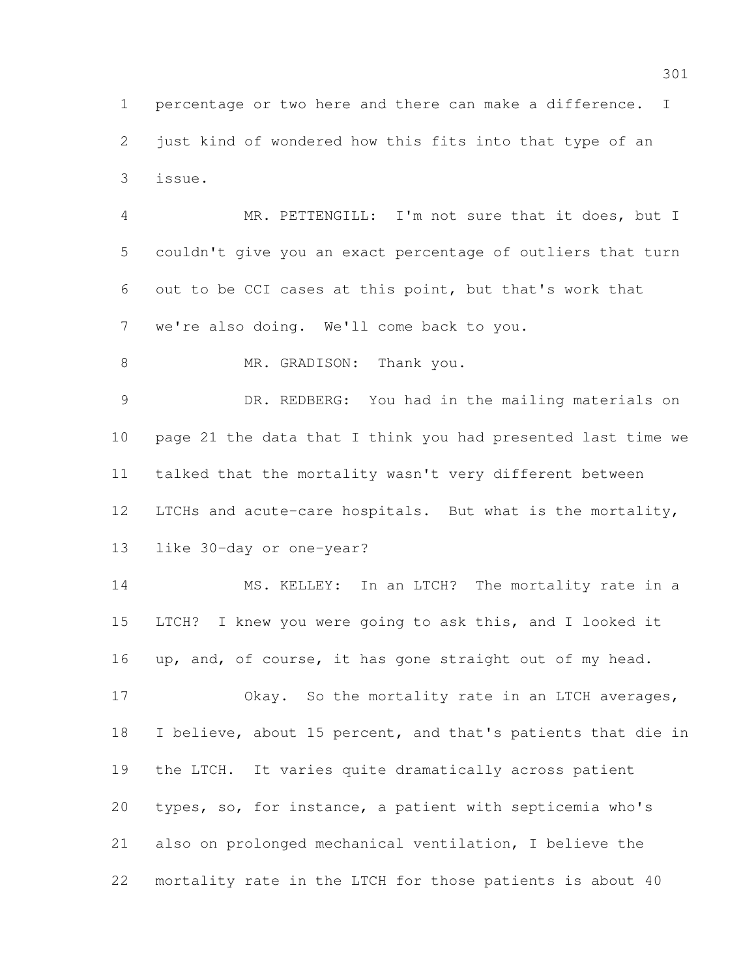percentage or two here and there can make a difference. I just kind of wondered how this fits into that type of an issue.

 MR. PETTENGILL: I'm not sure that it does, but I couldn't give you an exact percentage of outliers that turn out to be CCI cases at this point, but that's work that we're also doing. We'll come back to you.

8 MR. GRADISON: Thank you.

 DR. REDBERG: You had in the mailing materials on page 21 the data that I think you had presented last time we talked that the mortality wasn't very different between LTCHs and acute-care hospitals. But what is the mortality, like 30-day or one-year?

 MS. KELLEY: In an LTCH? The mortality rate in a LTCH? I knew you were going to ask this, and I looked it up, and, of course, it has gone straight out of my head.

17 Okay. So the mortality rate in an LTCH averages, I believe, about 15 percent, and that's patients that die in the LTCH. It varies quite dramatically across patient types, so, for instance, a patient with septicemia who's also on prolonged mechanical ventilation, I believe the mortality rate in the LTCH for those patients is about 40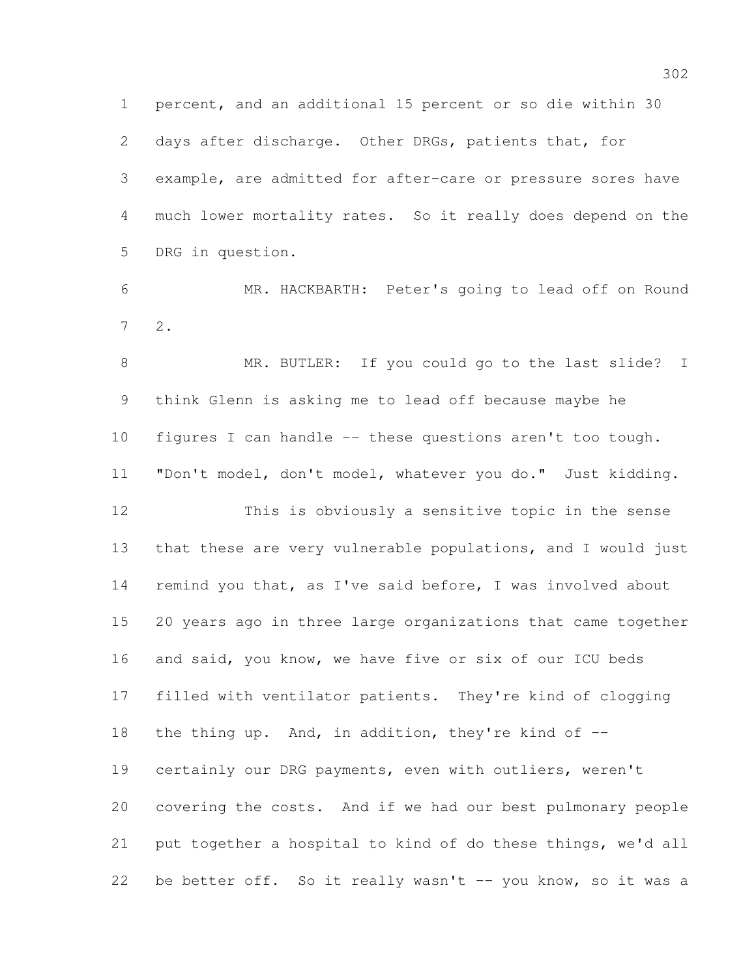percent, and an additional 15 percent or so die within 30 days after discharge. Other DRGs, patients that, for example, are admitted for after-care or pressure sores have much lower mortality rates. So it really does depend on the DRG in question.

 MR. HACKBARTH: Peter's going to lead off on Round 2.

8 MR. BUTLER: If you could go to the last slide? I think Glenn is asking me to lead off because maybe he figures I can handle -- these questions aren't too tough. "Don't model, don't model, whatever you do." Just kidding. This is obviously a sensitive topic in the sense that these are very vulnerable populations, and I would just remind you that, as I've said before, I was involved about 20 years ago in three large organizations that came together and said, you know, we have five or six of our ICU beds filled with ventilator patients. They're kind of clogging 18 the thing up. And, in addition, they're kind of  $-$  certainly our DRG payments, even with outliers, weren't covering the costs. And if we had our best pulmonary people put together a hospital to kind of do these things, we'd all 22 be better off. So it really wasn't -- you know, so it was a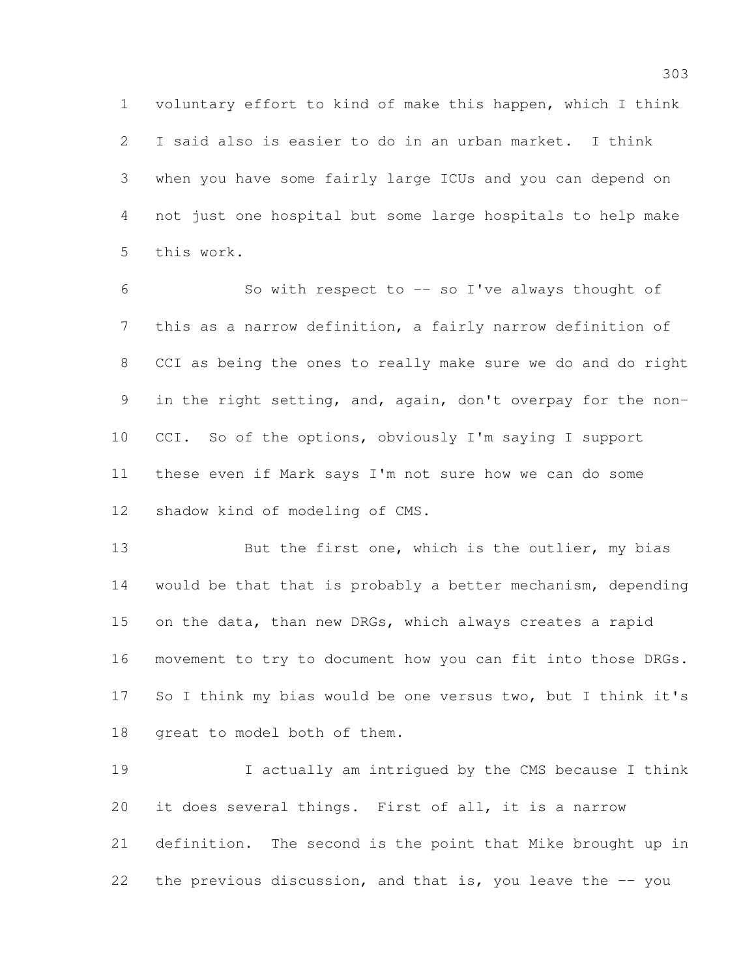voluntary effort to kind of make this happen, which I think I said also is easier to do in an urban market. I think when you have some fairly large ICUs and you can depend on not just one hospital but some large hospitals to help make this work.

 So with respect to -- so I've always thought of this as a narrow definition, a fairly narrow definition of CCI as being the ones to really make sure we do and do right in the right setting, and, again, don't overpay for the non- CCI. So of the options, obviously I'm saying I support these even if Mark says I'm not sure how we can do some shadow kind of modeling of CMS.

13 But the first one, which is the outlier, my bias would be that that is probably a better mechanism, depending on the data, than new DRGs, which always creates a rapid movement to try to document how you can fit into those DRGs. So I think my bias would be one versus two, but I think it's great to model both of them.

 I actually am intrigued by the CMS because I think it does several things. First of all, it is a narrow definition. The second is the point that Mike brought up in 22 the previous discussion, and that is, you leave the -- you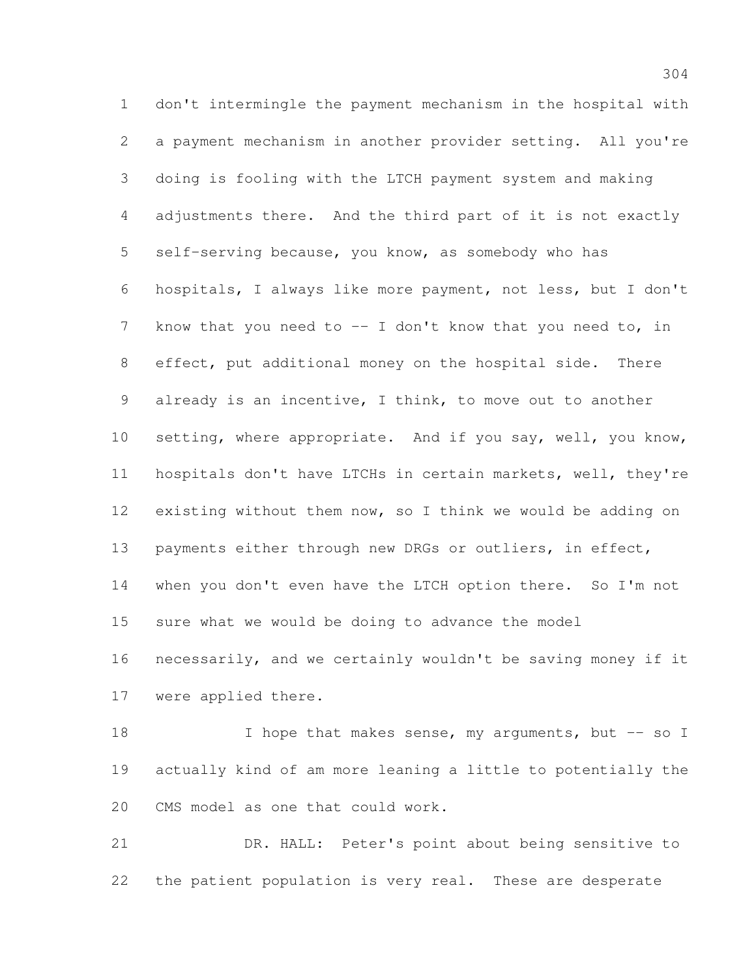don't intermingle the payment mechanism in the hospital with a payment mechanism in another provider setting. All you're doing is fooling with the LTCH payment system and making adjustments there. And the third part of it is not exactly self-serving because, you know, as somebody who has hospitals, I always like more payment, not less, but I don't 7 know that you need to -- I don't know that you need to, in effect, put additional money on the hospital side. There already is an incentive, I think, to move out to another setting, where appropriate. And if you say, well, you know, hospitals don't have LTCHs in certain markets, well, they're existing without them now, so I think we would be adding on 13 payments either through new DRGs or outliers, in effect, 14 when you don't even have the LTCH option there. So I'm not sure what we would be doing to advance the model necessarily, and we certainly wouldn't be saving money if it were applied there.

18 I hope that makes sense, my arguments, but -- so I actually kind of am more leaning a little to potentially the CMS model as one that could work.

 DR. HALL: Peter's point about being sensitive to the patient population is very real. These are desperate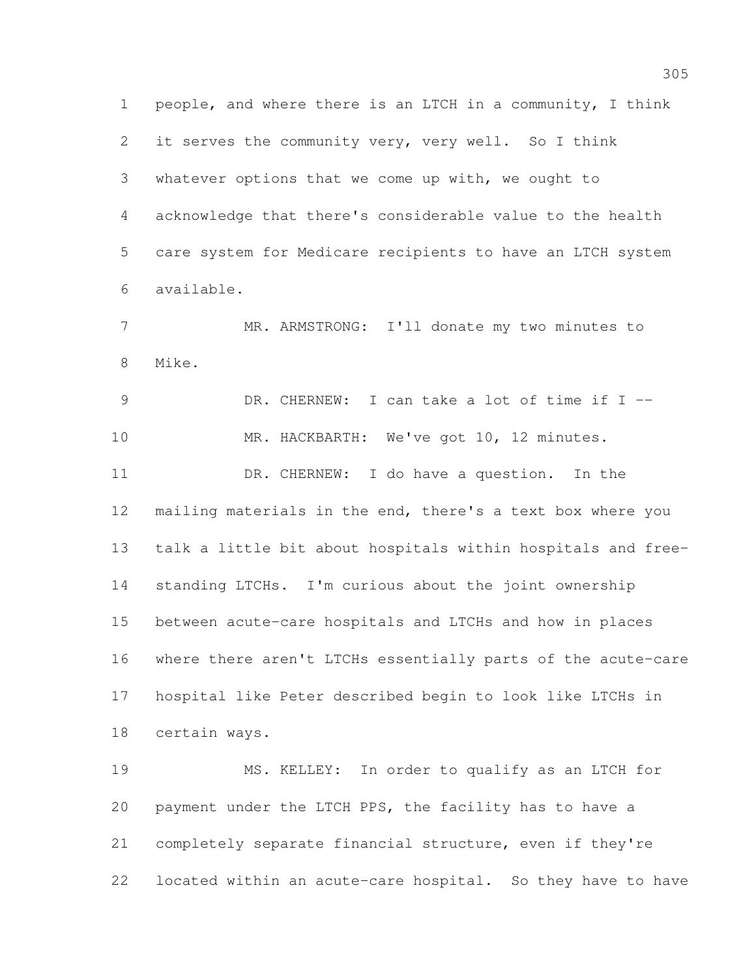people, and where there is an LTCH in a community, I think it serves the community very, very well. So I think whatever options that we come up with, we ought to acknowledge that there's considerable value to the health care system for Medicare recipients to have an LTCH system available. MR. ARMSTRONG: I'll donate my two minutes to Mike. DR. CHERNEW: I can take a lot of time if I -- 10 MR. HACKBARTH: We've got 10, 12 minutes. DR. CHERNEW: I do have a question. In the mailing materials in the end, there's a text box where you talk a little bit about hospitals within hospitals and free- standing LTCHs. I'm curious about the joint ownership between acute-care hospitals and LTCHs and how in places where there aren't LTCHs essentially parts of the acute-care hospital like Peter described begin to look like LTCHs in certain ways. MS. KELLEY: In order to qualify as an LTCH for payment under the LTCH PPS, the facility has to have a

located within an acute-care hospital. So they have to have

completely separate financial structure, even if they're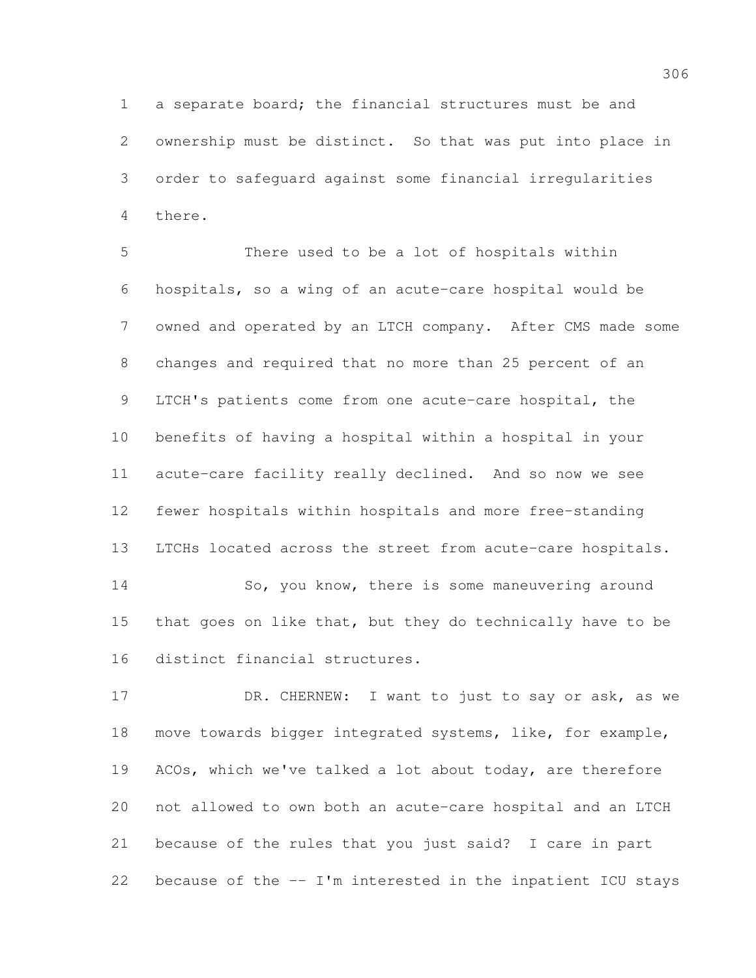a separate board; the financial structures must be and ownership must be distinct. So that was put into place in order to safeguard against some financial irregularities there.

 There used to be a lot of hospitals within hospitals, so a wing of an acute-care hospital would be owned and operated by an LTCH company. After CMS made some changes and required that no more than 25 percent of an LTCH's patients come from one acute-care hospital, the benefits of having a hospital within a hospital in your acute-care facility really declined. And so now we see fewer hospitals within hospitals and more free-standing LTCHs located across the street from acute-care hospitals. 14 So, you know, there is some maneuvering around 15 that goes on like that, but they do technically have to be

distinct financial structures.

17 DR. CHERNEW: I want to just to say or ask, as we move towards bigger integrated systems, like, for example, ACOs, which we've talked a lot about today, are therefore not allowed to own both an acute-care hospital and an LTCH because of the rules that you just said? I care in part because of the -- I'm interested in the inpatient ICU stays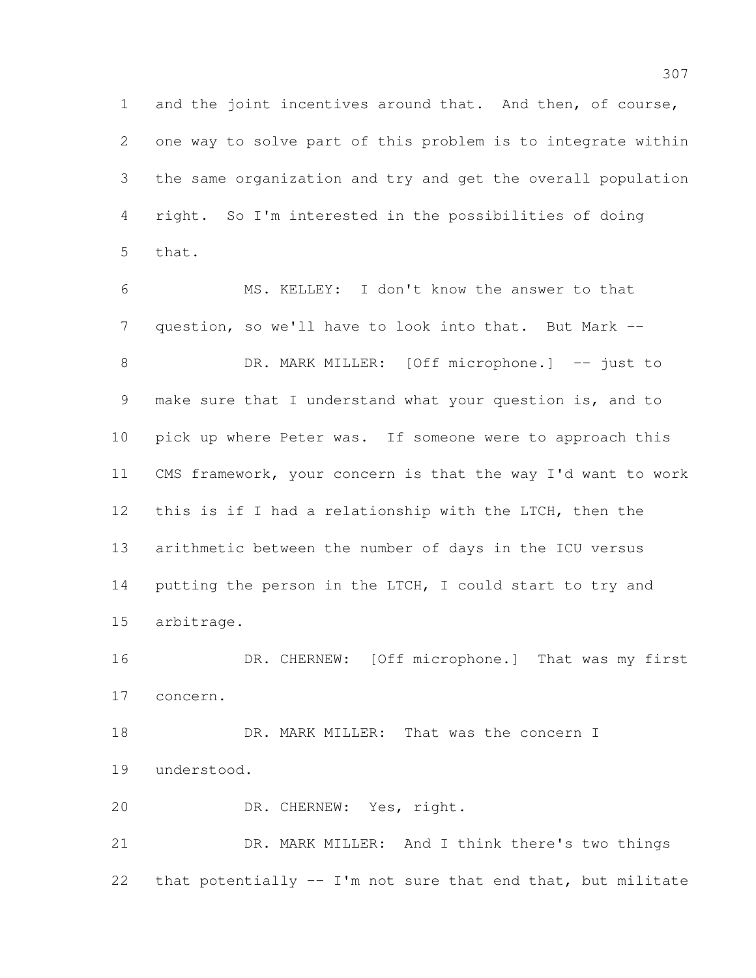and the joint incentives around that. And then, of course, one way to solve part of this problem is to integrate within the same organization and try and get the overall population right. So I'm interested in the possibilities of doing that.

 MS. KELLEY: I don't know the answer to that question, so we'll have to look into that. But Mark -- 8 DR. MARK MILLER: [Off microphone.] -- just to make sure that I understand what your question is, and to pick up where Peter was. If someone were to approach this CMS framework, your concern is that the way I'd want to work this is if I had a relationship with the LTCH, then the arithmetic between the number of days in the ICU versus putting the person in the LTCH, I could start to try and arbitrage.

16 DR. CHERNEW: [Off microphone.] That was my first concern.

18 DR. MARK MILLER: That was the concern I understood.

DR. CHERNEW: Yes, right.

 DR. MARK MILLER: And I think there's two things that potentially -- I'm not sure that end that, but militate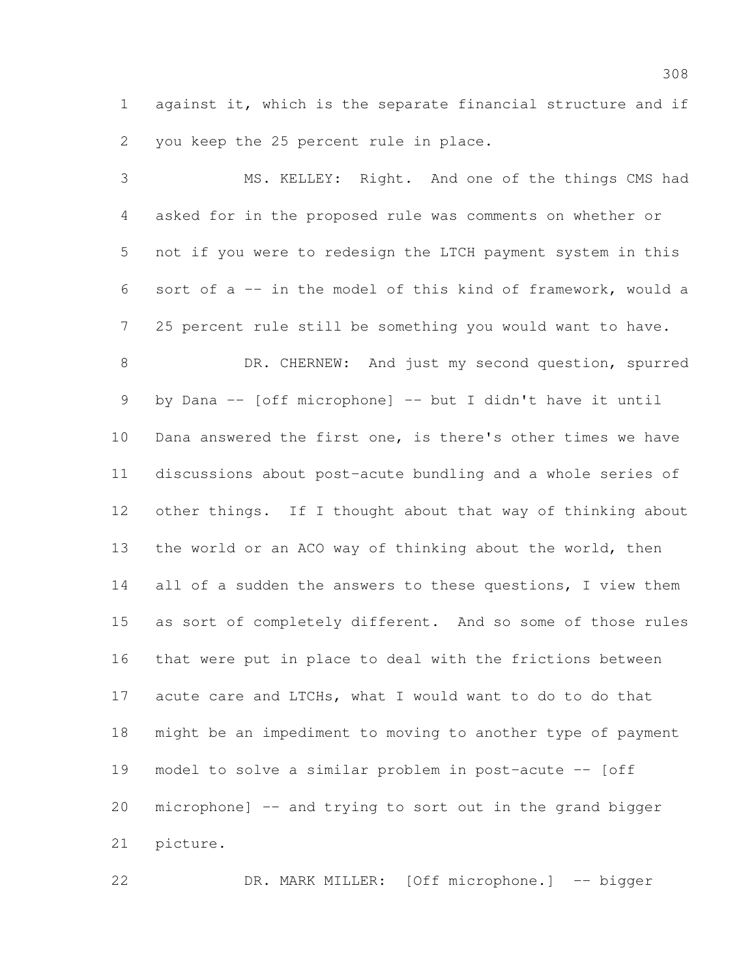against it, which is the separate financial structure and if you keep the 25 percent rule in place.

 MS. KELLEY: Right. And one of the things CMS had asked for in the proposed rule was comments on whether or not if you were to redesign the LTCH payment system in this sort of a -- in the model of this kind of framework, would a 25 percent rule still be something you would want to have. 8 DR. CHERNEW: And just my second question, spurred by Dana -- [off microphone] -- but I didn't have it until Dana answered the first one, is there's other times we have discussions about post-acute bundling and a whole series of other things. If I thought about that way of thinking about the world or an ACO way of thinking about the world, then 14 all of a sudden the answers to these questions, I view them as sort of completely different. And so some of those rules that were put in place to deal with the frictions between acute care and LTCHs, what I would want to do to do that might be an impediment to moving to another type of payment model to solve a similar problem in post-acute -- [off microphone] -- and trying to sort out in the grand bigger picture.

DR. MARK MILLER: [Off microphone.] -- bigger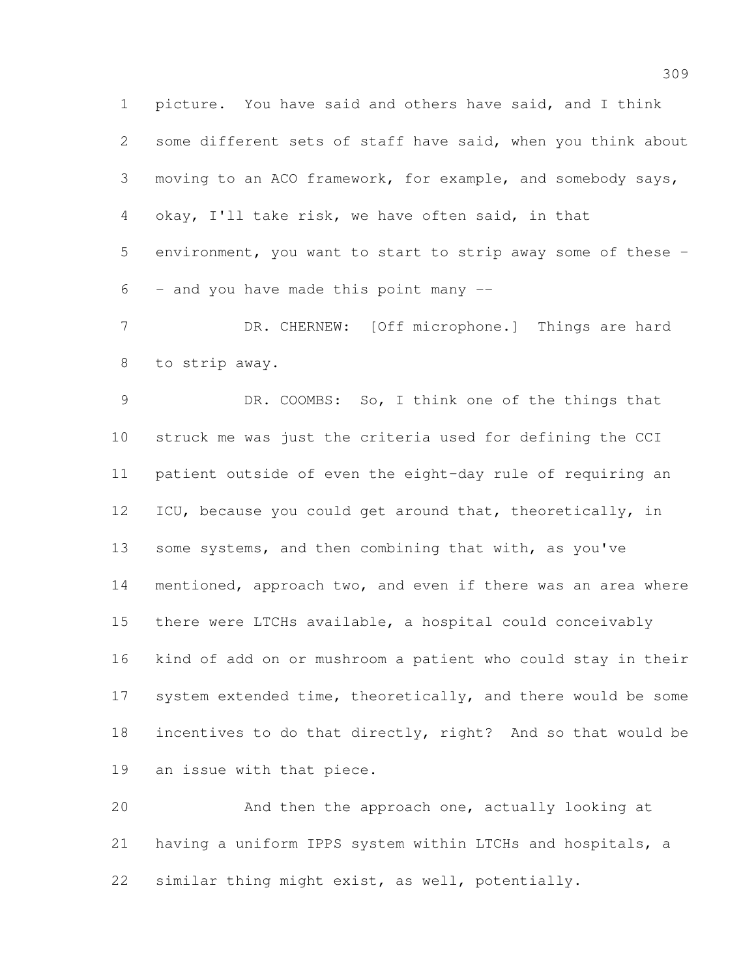picture. You have said and others have said, and I think some different sets of staff have said, when you think about moving to an ACO framework, for example, and somebody says, okay, I'll take risk, we have often said, in that environment, you want to start to strip away some of these -  $6 -$  and you have made this point many  $-$ 

7 DR. CHERNEW: [Off microphone.] Things are hard to strip away.

 DR. COOMBS: So, I think one of the things that struck me was just the criteria used for defining the CCI patient outside of even the eight-day rule of requiring an ICU, because you could get around that, theoretically, in 13 some systems, and then combining that with, as you've mentioned, approach two, and even if there was an area where there were LTCHs available, a hospital could conceivably kind of add on or mushroom a patient who could stay in their 17 system extended time, theoretically, and there would be some incentives to do that directly, right? And so that would be an issue with that piece.

 And then the approach one, actually looking at having a uniform IPPS system within LTCHs and hospitals, a similar thing might exist, as well, potentially.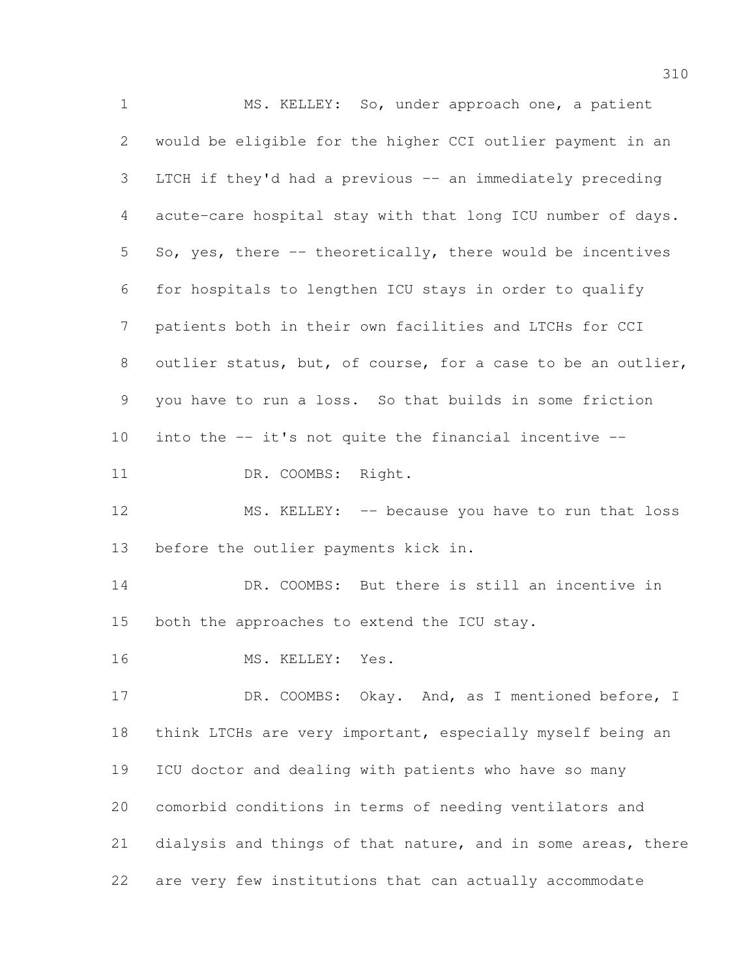MS. KELLEY: So, under approach one, a patient would be eligible for the higher CCI outlier payment in an LTCH if they'd had a previous -- an immediately preceding acute-care hospital stay with that long ICU number of days. So, yes, there -- theoretically, there would be incentives for hospitals to lengthen ICU stays in order to qualify patients both in their own facilities and LTCHs for CCI outlier status, but, of course, for a case to be an outlier, you have to run a loss. So that builds in some friction 10 into the  $-$  it's not quite the financial incentive  $-$ 11 DR. COOMBS: Right. 12 MS. KELLEY: -- because you have to run that loss before the outlier payments kick in. DR. COOMBS: But there is still an incentive in both the approaches to extend the ICU stay. MS. KELLEY: Yes. 17 DR. COOMBS: Okay. And, as I mentioned before, I think LTCHs are very important, especially myself being an ICU doctor and dealing with patients who have so many comorbid conditions in terms of needing ventilators and 21 dialysis and things of that nature, and in some areas, there are very few institutions that can actually accommodate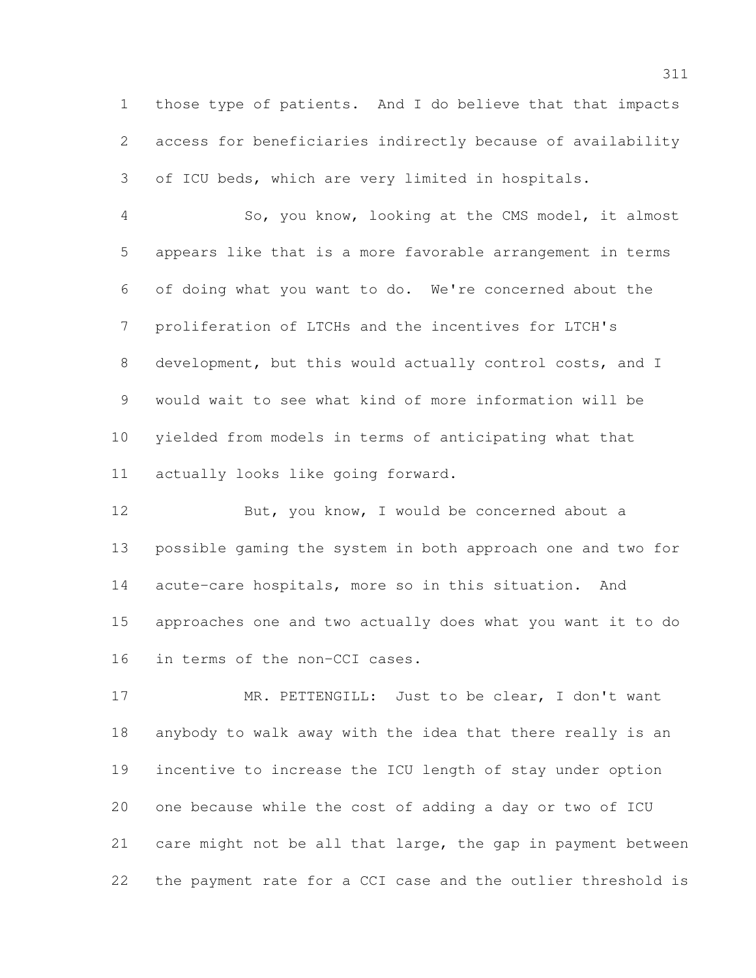those type of patients. And I do believe that that impacts access for beneficiaries indirectly because of availability of ICU beds, which are very limited in hospitals.

 So, you know, looking at the CMS model, it almost appears like that is a more favorable arrangement in terms of doing what you want to do. We're concerned about the proliferation of LTCHs and the incentives for LTCH's development, but this would actually control costs, and I would wait to see what kind of more information will be yielded from models in terms of anticipating what that actually looks like going forward.

12 But, you know, I would be concerned about a possible gaming the system in both approach one and two for acute-care hospitals, more so in this situation. And approaches one and two actually does what you want it to do in terms of the non-CCI cases.

 MR. PETTENGILL: Just to be clear, I don't want anybody to walk away with the idea that there really is an incentive to increase the ICU length of stay under option one because while the cost of adding a day or two of ICU care might not be all that large, the gap in payment between the payment rate for a CCI case and the outlier threshold is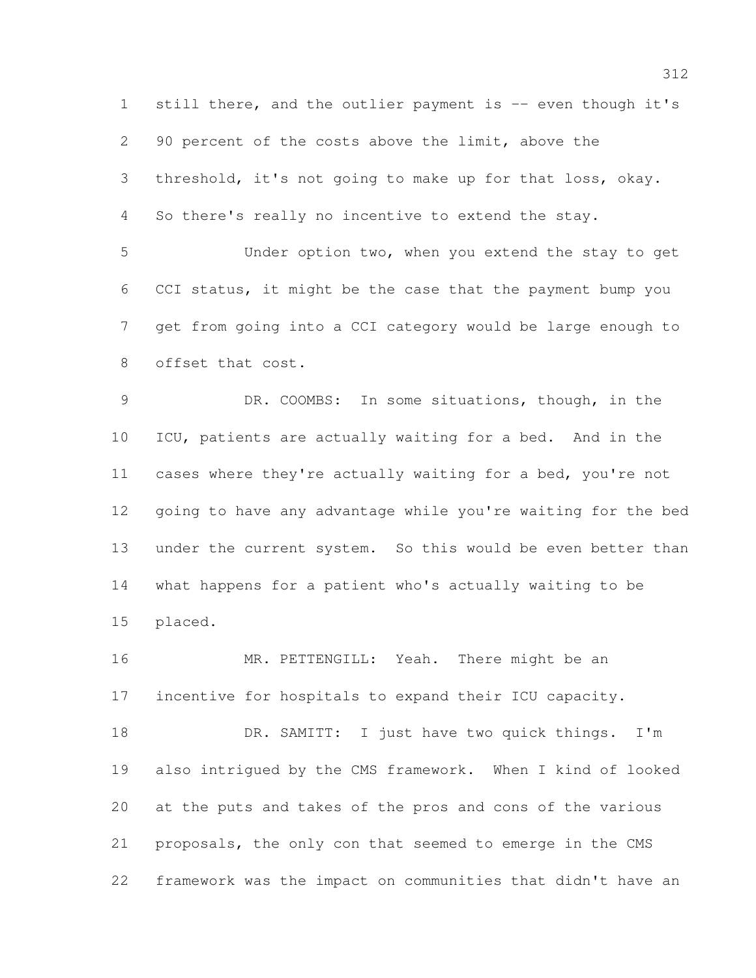1 still there, and the outlier payment is -- even though it's 90 percent of the costs above the limit, above the threshold, it's not going to make up for that loss, okay. So there's really no incentive to extend the stay. Under option two, when you extend the stay to get CCI status, it might be the case that the payment bump you get from going into a CCI category would be large enough to offset that cost. DR. COOMBS: In some situations, though, in the ICU, patients are actually waiting for a bed. And in the cases where they're actually waiting for a bed, you're not going to have any advantage while you're waiting for the bed

 under the current system. So this would be even better than what happens for a patient who's actually waiting to be placed.

16 MR. PETTENGILL: Yeah. There might be an incentive for hospitals to expand their ICU capacity.

 DR. SAMITT: I just have two quick things. I'm also intrigued by the CMS framework. When I kind of looked at the puts and takes of the pros and cons of the various proposals, the only con that seemed to emerge in the CMS framework was the impact on communities that didn't have an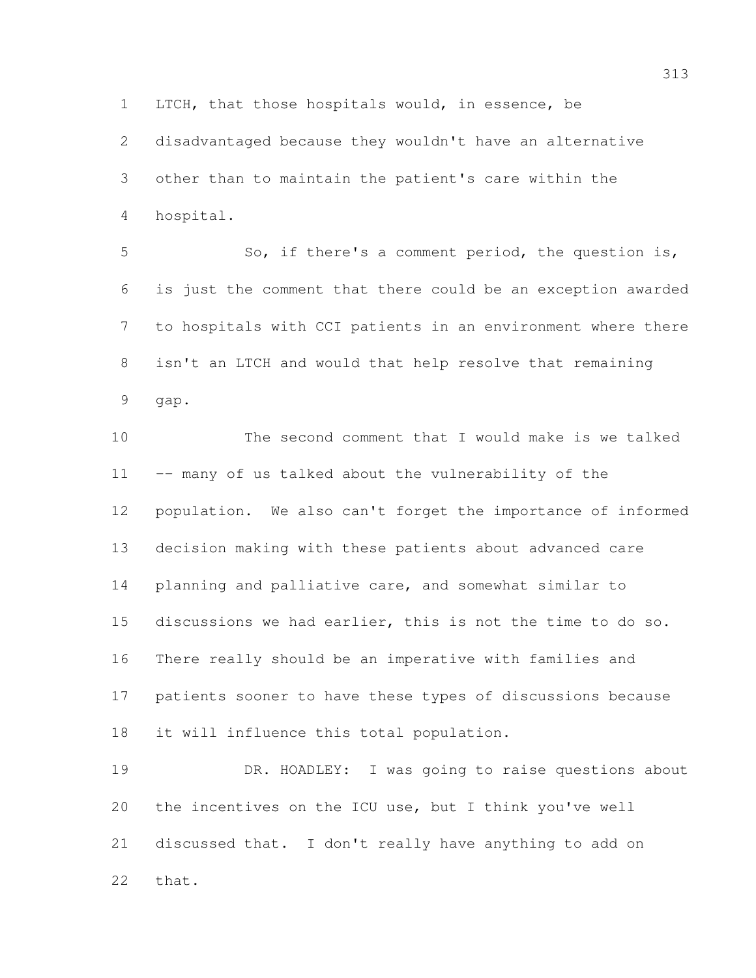LTCH, that those hospitals would, in essence, be

 disadvantaged because they wouldn't have an alternative other than to maintain the patient's care within the hospital.

 So, if there's a comment period, the question is, is just the comment that there could be an exception awarded to hospitals with CCI patients in an environment where there isn't an LTCH and would that help resolve that remaining gap.

 The second comment that I would make is we talked -- many of us talked about the vulnerability of the population. We also can't forget the importance of informed decision making with these patients about advanced care planning and palliative care, and somewhat similar to discussions we had earlier, this is not the time to do so. There really should be an imperative with families and patients sooner to have these types of discussions because it will influence this total population.

 DR. HOADLEY: I was going to raise questions about the incentives on the ICU use, but I think you've well discussed that. I don't really have anything to add on that.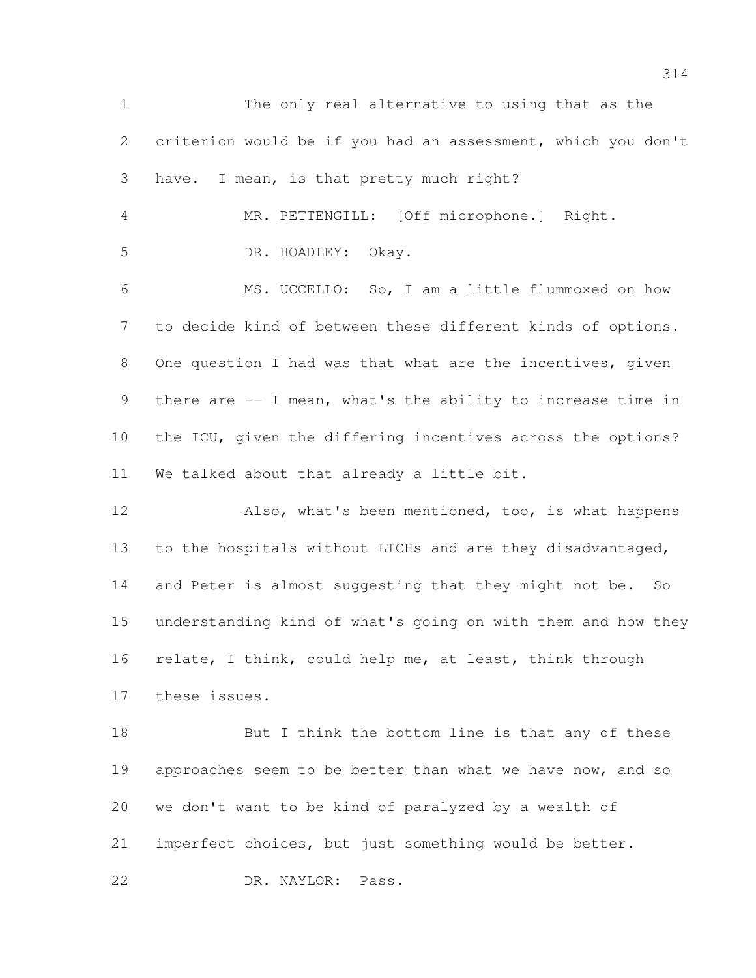The only real alternative to using that as the criterion would be if you had an assessment, which you don't have. I mean, is that pretty much right? MR. PETTENGILL: [Off microphone.] Right. DR. HOADLEY: Okay. MS. UCCELLO: So, I am a little flummoxed on how to decide kind of between these different kinds of options. One question I had was that what are the incentives, given there are -- I mean, what's the ability to increase time in the ICU, given the differing incentives across the options? We talked about that already a little bit. Also, what's been mentioned, too, is what happens 13 to the hospitals without LTCHs and are they disadvantaged, 14 and Peter is almost suggesting that they might not be. So understanding kind of what's going on with them and how they relate, I think, could help me, at least, think through these issues.

18 But I think the bottom line is that any of these 19 approaches seem to be better than what we have now, and so we don't want to be kind of paralyzed by a wealth of imperfect choices, but just something would be better. DR. NAYLOR: Pass.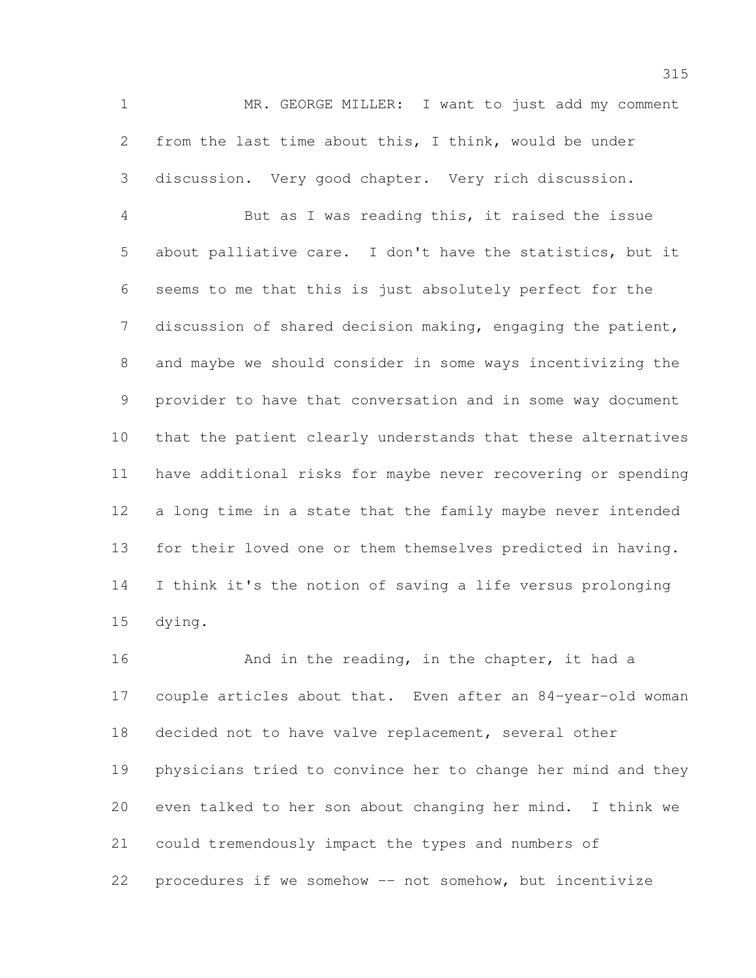MR. GEORGE MILLER: I want to just add my comment from the last time about this, I think, would be under discussion. Very good chapter. Very rich discussion.

 But as I was reading this, it raised the issue about palliative care. I don't have the statistics, but it seems to me that this is just absolutely perfect for the discussion of shared decision making, engaging the patient, and maybe we should consider in some ways incentivizing the provider to have that conversation and in some way document that the patient clearly understands that these alternatives have additional risks for maybe never recovering or spending a long time in a state that the family maybe never intended for their loved one or them themselves predicted in having. I think it's the notion of saving a life versus prolonging dying.

16 And in the reading, in the chapter, it had a couple articles about that. Even after an 84-year-old woman decided not to have valve replacement, several other physicians tried to convince her to change her mind and they even talked to her son about changing her mind. I think we could tremendously impact the types and numbers of procedures if we somehow -- not somehow, but incentivize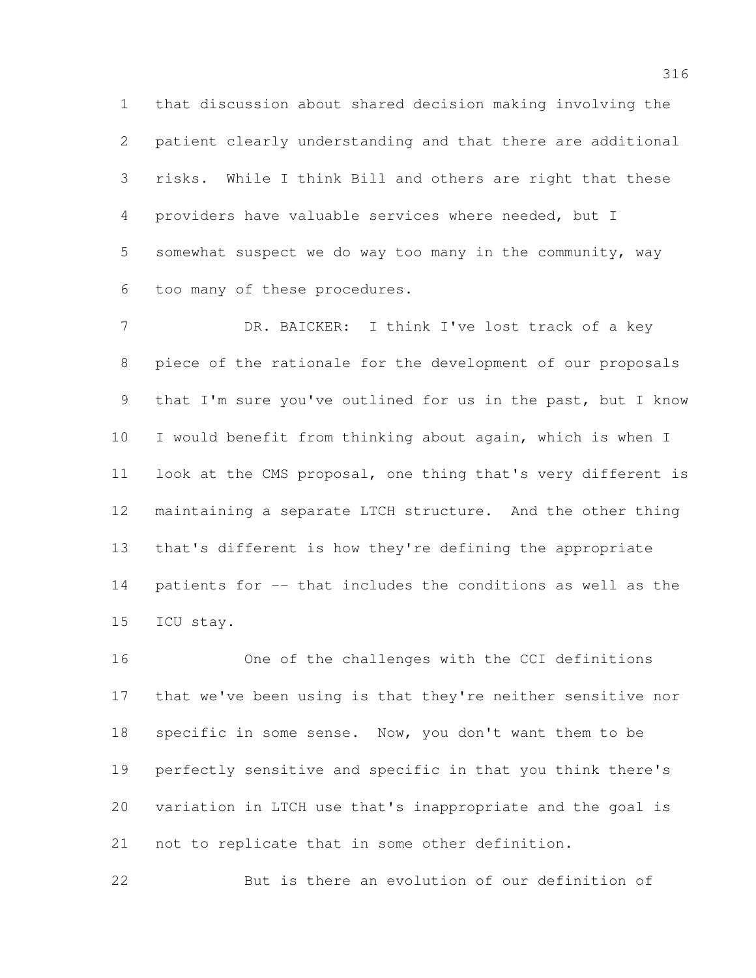that discussion about shared decision making involving the patient clearly understanding and that there are additional risks. While I think Bill and others are right that these providers have valuable services where needed, but I somewhat suspect we do way too many in the community, way too many of these procedures.

7 DR. BAICKER: I think I've lost track of a key piece of the rationale for the development of our proposals that I'm sure you've outlined for us in the past, but I know I would benefit from thinking about again, which is when I look at the CMS proposal, one thing that's very different is maintaining a separate LTCH structure. And the other thing that's different is how they're defining the appropriate patients for -- that includes the conditions as well as the ICU stay.

 One of the challenges with the CCI definitions that we've been using is that they're neither sensitive nor specific in some sense. Now, you don't want them to be perfectly sensitive and specific in that you think there's variation in LTCH use that's inappropriate and the goal is not to replicate that in some other definition.

But is there an evolution of our definition of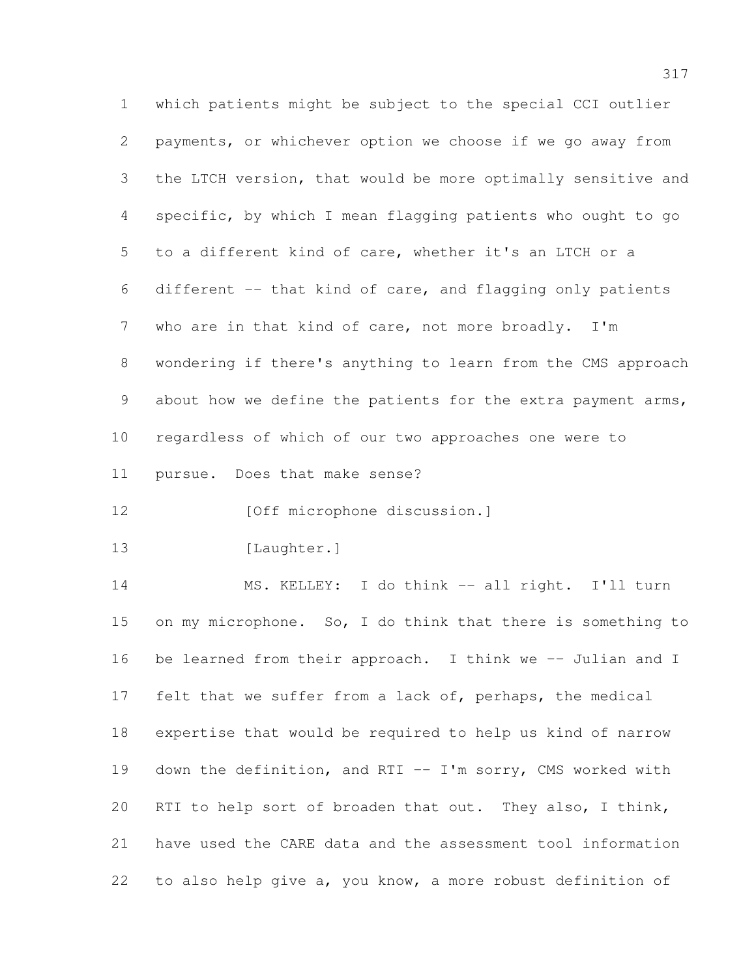which patients might be subject to the special CCI outlier payments, or whichever option we choose if we go away from the LTCH version, that would be more optimally sensitive and specific, by which I mean flagging patients who ought to go to a different kind of care, whether it's an LTCH or a different -- that kind of care, and flagging only patients who are in that kind of care, not more broadly. I'm wondering if there's anything to learn from the CMS approach 9 about how we define the patients for the extra payment arms, regardless of which of our two approaches one were to pursue. Does that make sense? **[Off microphone discussion.]** 13 [Laughter.] MS. KELLEY: I do think -- all right. I'll turn on my microphone. So, I do think that there is something to 16 be learned from their approach. I think we -- Julian and I felt that we suffer from a lack of, perhaps, the medical expertise that would be required to help us kind of narrow down the definition, and RTI -- I'm sorry, CMS worked with RTI to help sort of broaden that out. They also, I think, have used the CARE data and the assessment tool information to also help give a, you know, a more robust definition of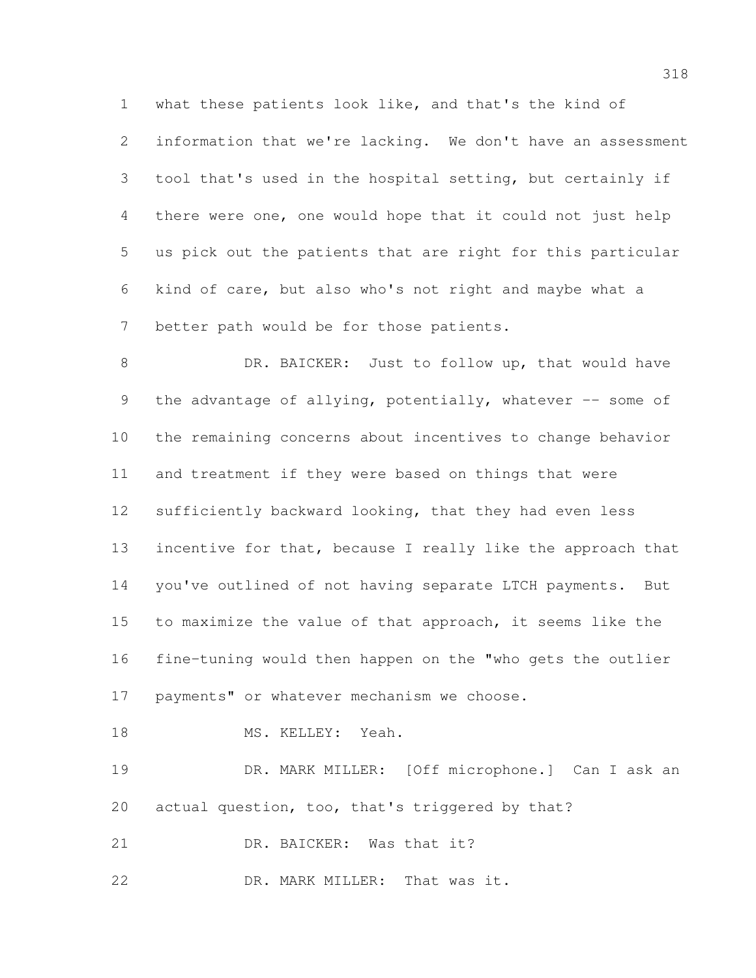what these patients look like, and that's the kind of information that we're lacking. We don't have an assessment tool that's used in the hospital setting, but certainly if there were one, one would hope that it could not just help us pick out the patients that are right for this particular kind of care, but also who's not right and maybe what a better path would be for those patients.

8 DR. BAICKER: Just to follow up, that would have 9 the advantage of allying, potentially, whatever -- some of the remaining concerns about incentives to change behavior and treatment if they were based on things that were sufficiently backward looking, that they had even less 13 incentive for that, because I really like the approach that you've outlined of not having separate LTCH payments. But to maximize the value of that approach, it seems like the fine-tuning would then happen on the "who gets the outlier 17 payments" or whatever mechanism we choose.

```
18 MS. KELLEY: Yeah.
```
 DR. MARK MILLER: [Off microphone.] Can I ask an actual question, too, that's triggered by that?

DR. BAICKER: Was that it?

22 DR. MARK MILLER: That was it.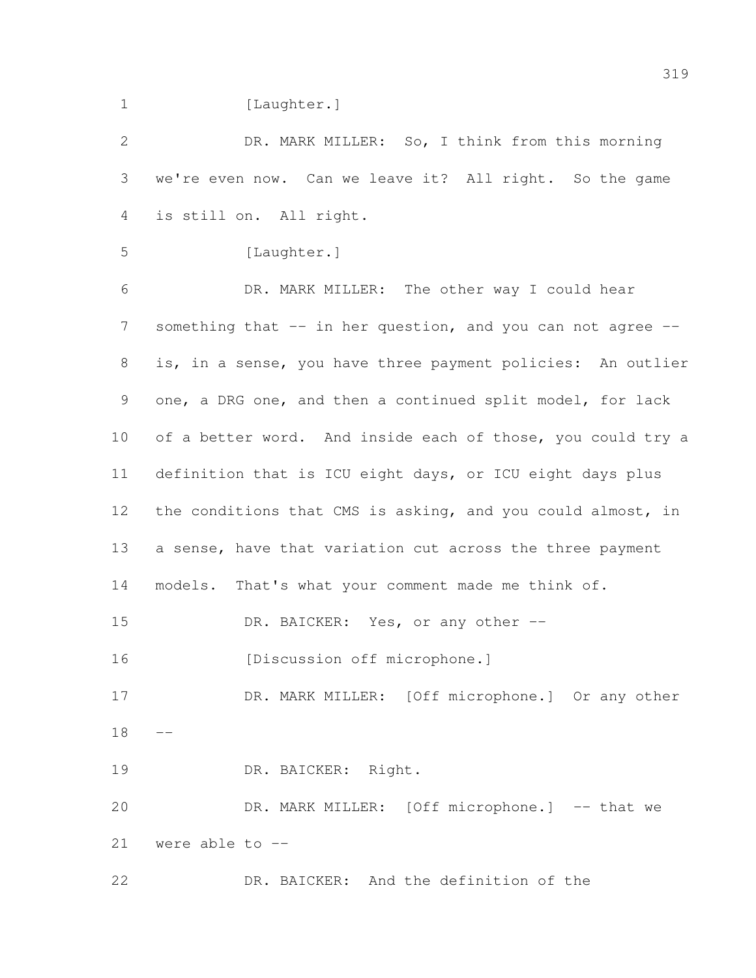1 [Laughter.]

 DR. MARK MILLER: So, I think from this morning we're even now. Can we leave it? All right. So the game is still on. All right. 5 [Laughter.] DR. MARK MILLER: The other way I could hear 7 something that -- in her question, and you can not agree -- is, in a sense, you have three payment policies: An outlier one, a DRG one, and then a continued split model, for lack 10 of a better word. And inside each of those, you could try a definition that is ICU eight days, or ICU eight days plus 12 the conditions that CMS is asking, and you could almost, in a sense, have that variation cut across the three payment models. That's what your comment made me think of. 15 DR. BAICKER: Yes, or any other --16 [Discussion off microphone.] 17 DR. MARK MILLER: [Off microphone.] Or any other DR. BAICKER: Right. 20 DR. MARK MILLER: [Off microphone.] -- that we were able to -- DR. BAICKER: And the definition of the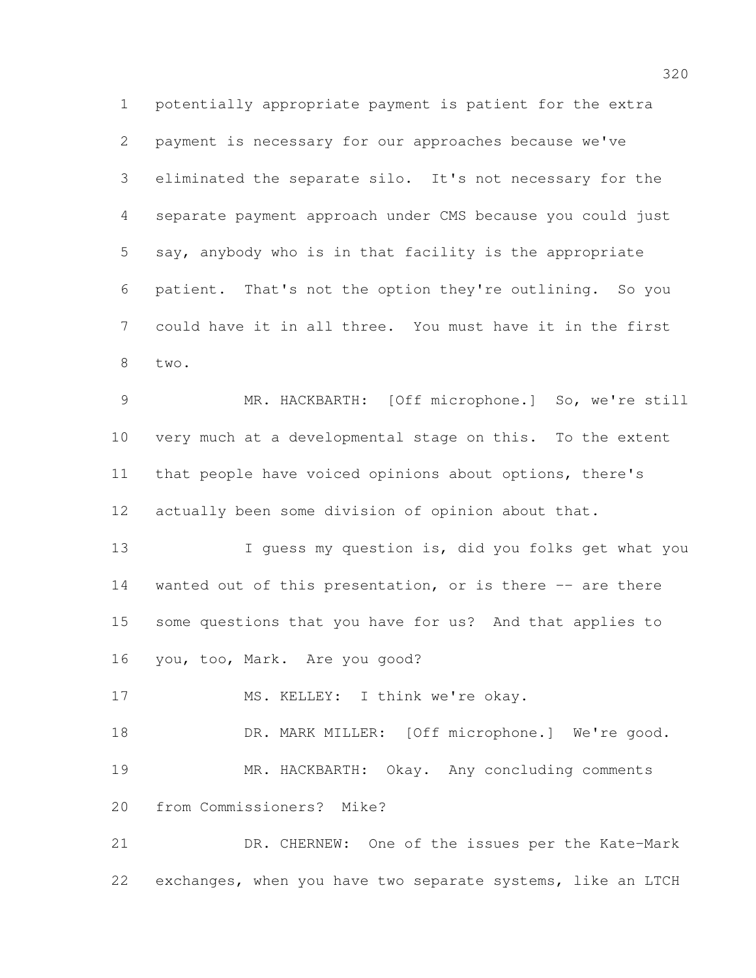potentially appropriate payment is patient for the extra payment is necessary for our approaches because we've eliminated the separate silo. It's not necessary for the separate payment approach under CMS because you could just say, anybody who is in that facility is the appropriate patient. That's not the option they're outlining. So you could have it in all three. You must have it in the first two.

 MR. HACKBARTH: [Off microphone.] So, we're still very much at a developmental stage on this. To the extent that people have voiced opinions about options, there's actually been some division of opinion about that.

13 I guess my question is, did you folks get what you 14 wanted out of this presentation, or is there -- are there some questions that you have for us? And that applies to you, too, Mark. Are you good?

17 MS. KELLEY: I think we're okay.

18 DR. MARK MILLER: [Off microphone.] We're good. MR. HACKBARTH: Okay. Any concluding comments from Commissioners? Mike?

 DR. CHERNEW: One of the issues per the Kate-Mark exchanges, when you have two separate systems, like an LTCH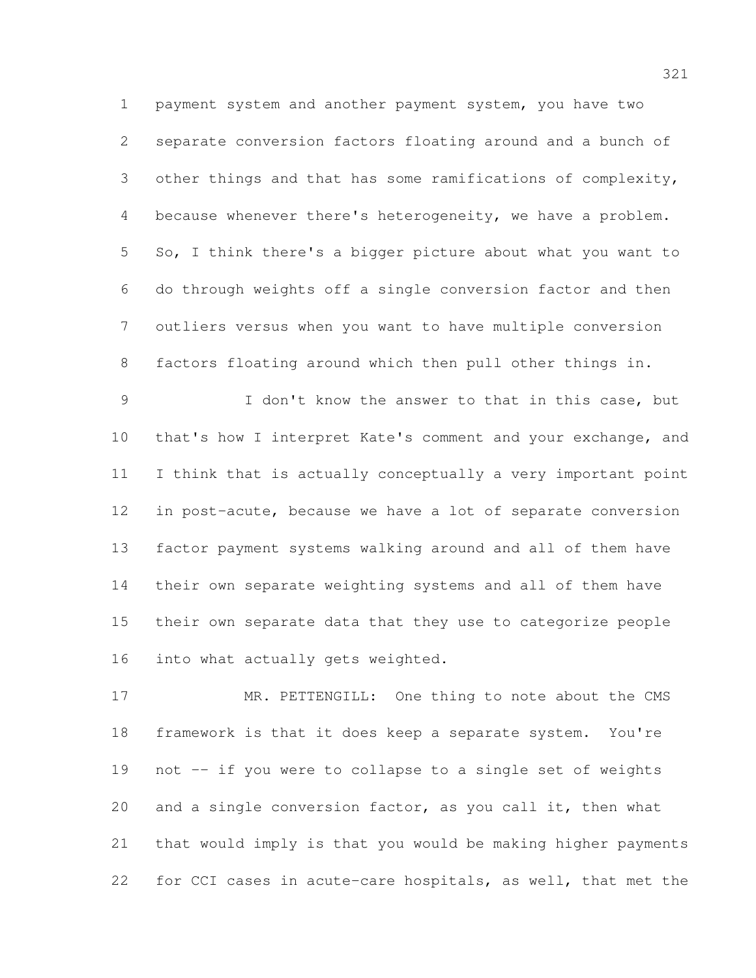payment system and another payment system, you have two separate conversion factors floating around and a bunch of other things and that has some ramifications of complexity, because whenever there's heterogeneity, we have a problem. So, I think there's a bigger picture about what you want to do through weights off a single conversion factor and then outliers versus when you want to have multiple conversion factors floating around which then pull other things in.

 I don't know the answer to that in this case, but that's how I interpret Kate's comment and your exchange, and I think that is actually conceptually a very important point in post-acute, because we have a lot of separate conversion factor payment systems walking around and all of them have their own separate weighting systems and all of them have their own separate data that they use to categorize people 16 into what actually gets weighted.

17 MR. PETTENGILL: One thing to note about the CMS framework is that it does keep a separate system. You're not -- if you were to collapse to a single set of weights and a single conversion factor, as you call it, then what that would imply is that you would be making higher payments for CCI cases in acute-care hospitals, as well, that met the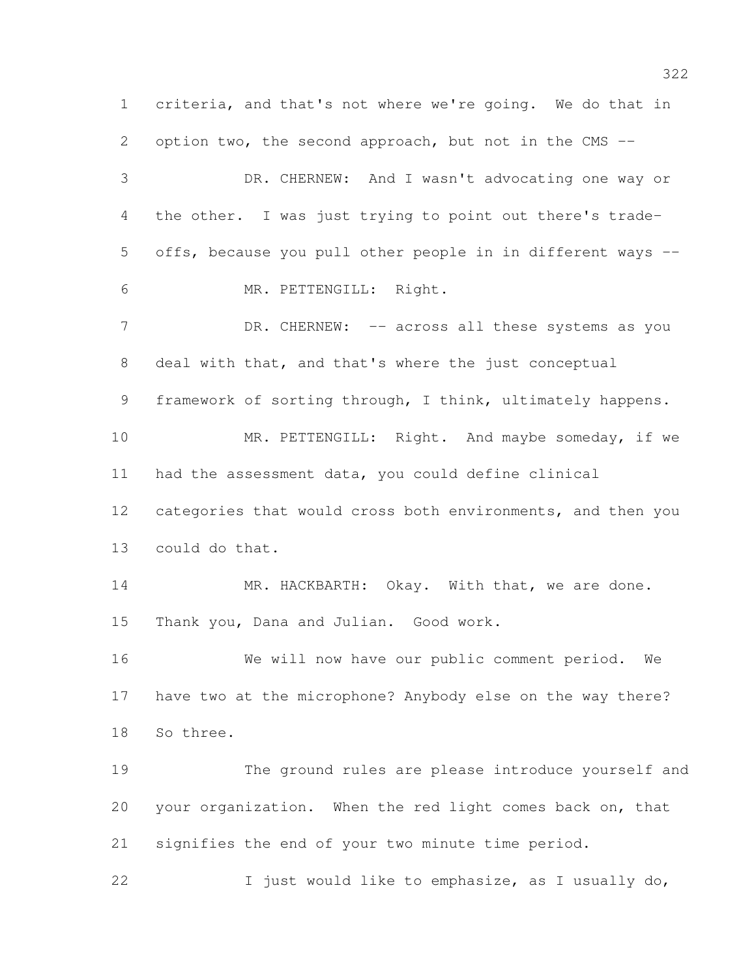criteria, and that's not where we're going. We do that in 2 option two, the second approach, but not in the CMS -- DR. CHERNEW: And I wasn't advocating one way or the other. I was just trying to point out there's trade- offs, because you pull other people in in different ways -- MR. PETTENGILL: Right. 7 DR. CHERNEW: -- across all these systems as you deal with that, and that's where the just conceptual framework of sorting through, I think, ultimately happens. 10 MR. PETTENGILL: Right. And maybe someday, if we had the assessment data, you could define clinical categories that would cross both environments, and then you could do that. 14 MR. HACKBARTH: Okay. With that, we are done. Thank you, Dana and Julian. Good work. We will now have our public comment period. We have two at the microphone? Anybody else on the way there? So three. The ground rules are please introduce yourself and your organization. When the red light comes back on, that signifies the end of your two minute time period. I just would like to emphasize, as I usually do,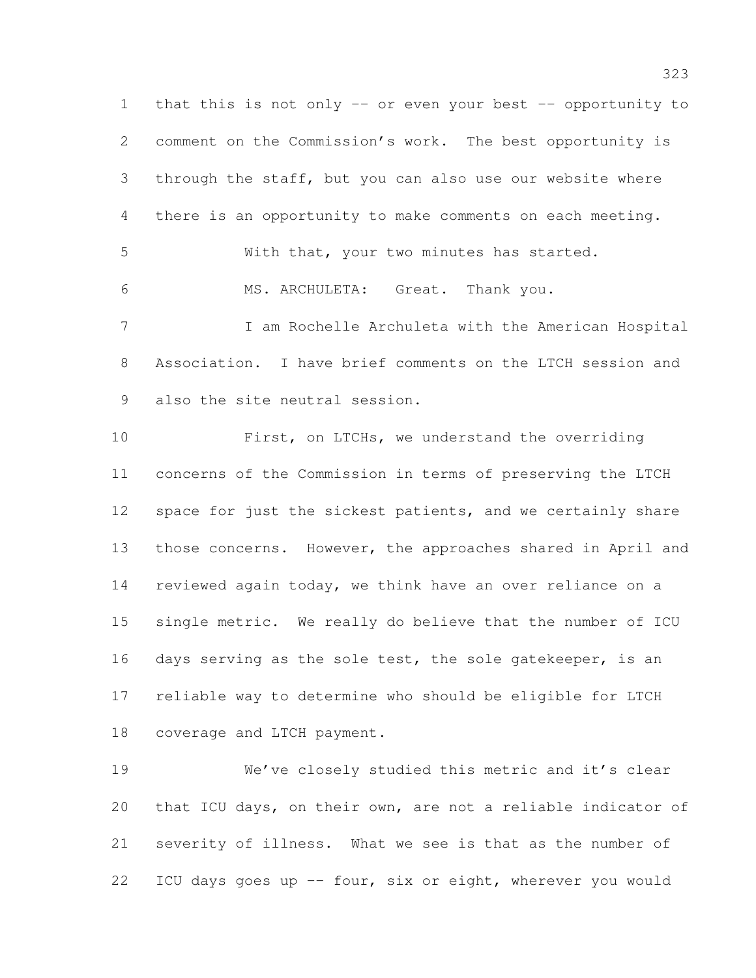that this is not only -- or even your best -- opportunity to comment on the Commission's work. The best opportunity is through the staff, but you can also use our website where there is an opportunity to make comments on each meeting. With that, your two minutes has started. MS. ARCHULETA: Great. Thank you. I am Rochelle Archuleta with the American Hospital Association. I have brief comments on the LTCH session and also the site neutral session. First, on LTCHs, we understand the overriding concerns of the Commission in terms of preserving the LTCH 12 space for just the sickest patients, and we certainly share those concerns. However, the approaches shared in April and reviewed again today, we think have an over reliance on a single metric. We really do believe that the number of ICU 16 days serving as the sole test, the sole gatekeeper, is an reliable way to determine who should be eligible for LTCH coverage and LTCH payment. We've closely studied this metric and it's clear

 that ICU days, on their own, are not a reliable indicator of severity of illness. What we see is that as the number of ICU days goes up -- four, six or eight, wherever you would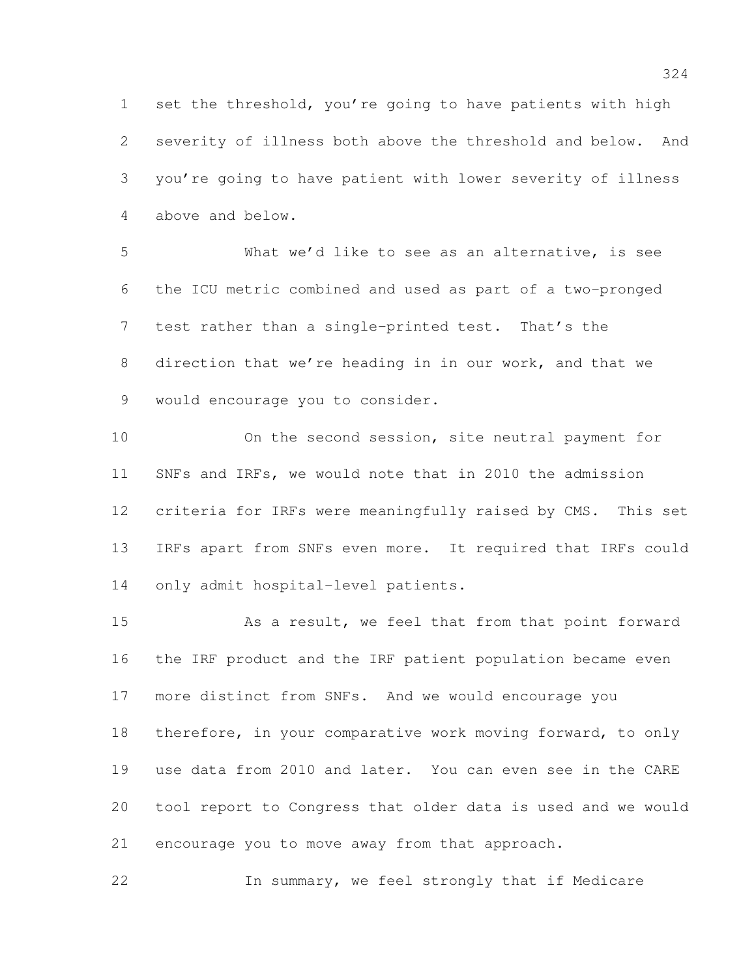set the threshold, you're going to have patients with high severity of illness both above the threshold and below. And you're going to have patient with lower severity of illness above and below.

 What we'd like to see as an alternative, is see the ICU metric combined and used as part of a two-pronged test rather than a single-printed test. That's the direction that we're heading in in our work, and that we would encourage you to consider.

 On the second session, site neutral payment for SNFs and IRFs, we would note that in 2010 the admission criteria for IRFs were meaningfully raised by CMS. This set IRFs apart from SNFs even more. It required that IRFs could only admit hospital-level patients.

 As a result, we feel that from that point forward the IRF product and the IRF patient population became even more distinct from SNFs. And we would encourage you 18 therefore, in your comparative work moving forward, to only use data from 2010 and later. You can even see in the CARE tool report to Congress that older data is used and we would encourage you to move away from that approach.

In summary, we feel strongly that if Medicare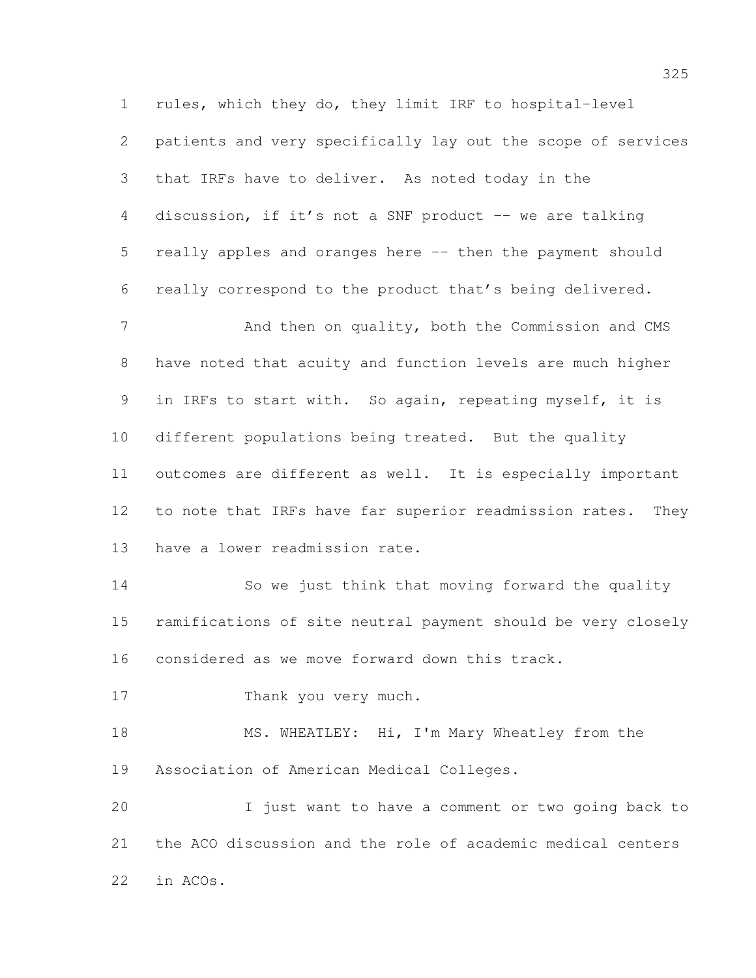rules, which they do, they limit IRF to hospital-level patients and very specifically lay out the scope of services that IRFs have to deliver. As noted today in the 4 discussion, if it's not a SNF product -- we are talking really apples and oranges here -- then the payment should really correspond to the product that's being delivered. 7 And then on quality, both the Commission and CMS

 have noted that acuity and function levels are much higher in IRFs to start with. So again, repeating myself, it is different populations being treated. But the quality outcomes are different as well. It is especially important 12 to note that IRFs have far superior readmission rates. They have a lower readmission rate.

 So we just think that moving forward the quality ramifications of site neutral payment should be very closely considered as we move forward down this track.

17 Thank you very much.

18 MS. WHEATLEY: Hi, I'm Mary Wheatley from the Association of American Medical Colleges.

 I just want to have a comment or two going back to the ACO discussion and the role of academic medical centers in ACOs.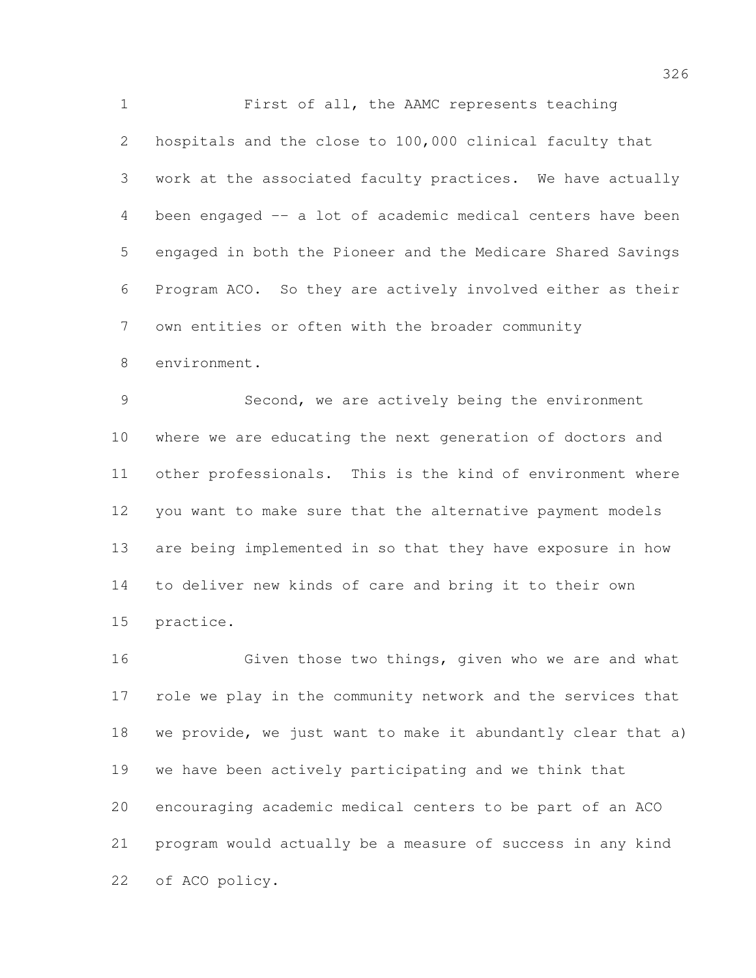First of all, the AAMC represents teaching hospitals and the close to 100,000 clinical faculty that work at the associated faculty practices. We have actually been engaged -- a lot of academic medical centers have been engaged in both the Pioneer and the Medicare Shared Savings Program ACO. So they are actively involved either as their own entities or often with the broader community

 Second, we are actively being the environment where we are educating the next generation of doctors and other professionals. This is the kind of environment where you want to make sure that the alternative payment models are being implemented in so that they have exposure in how to deliver new kinds of care and bring it to their own practice.

environment.

 Given those two things, given who we are and what role we play in the community network and the services that we provide, we just want to make it abundantly clear that a) we have been actively participating and we think that encouraging academic medical centers to be part of an ACO program would actually be a measure of success in any kind of ACO policy.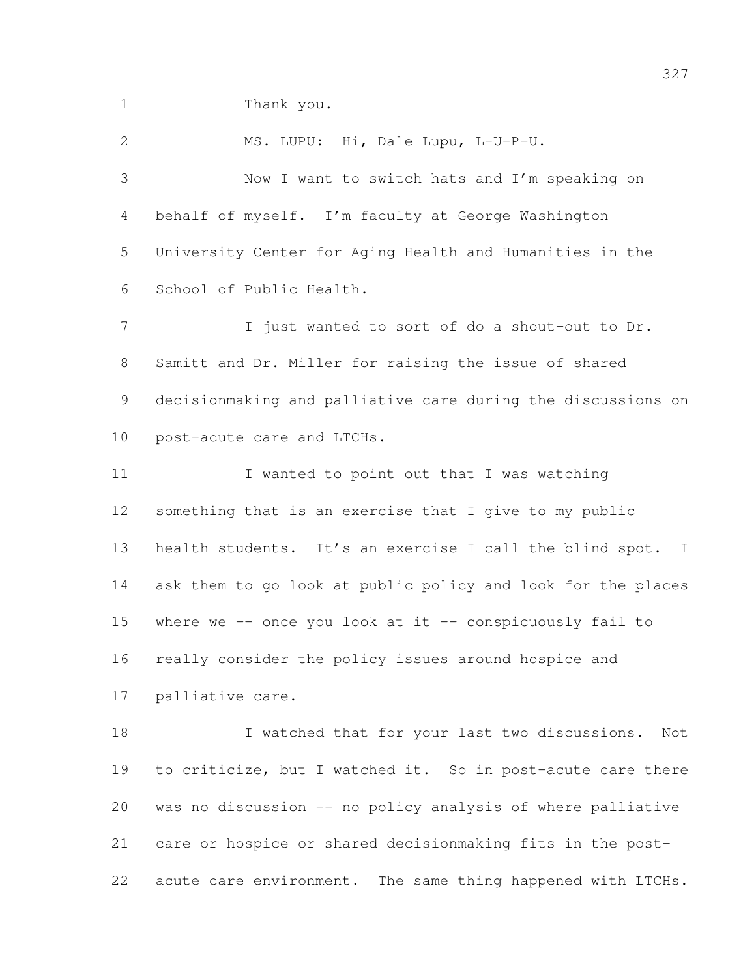Thank you.

 MS. LUPU: Hi, Dale Lupu, L-U-P-U. Now I want to switch hats and I'm speaking on behalf of myself. I'm faculty at George Washington University Center for Aging Health and Humanities in the School of Public Health. 7 I just wanted to sort of do a shout-out to Dr. Samitt and Dr. Miller for raising the issue of shared decisionmaking and palliative care during the discussions on post-acute care and LTCHs. 11 I wanted to point out that I was watching something that is an exercise that I give to my public health students. It's an exercise I call the blind spot. I ask them to go look at public policy and look for the places 15 where we  $-$ - once you look at it  $-$ - conspicuously fail to really consider the policy issues around hospice and palliative care. 18 I watched that for your last two discussions. Not 19 to criticize, but I watched it. So in post-acute care there was no discussion -- no policy analysis of where palliative

 care or hospice or shared decisionmaking fits in the post-22 acute care environment. The same thing happened with LTCHs.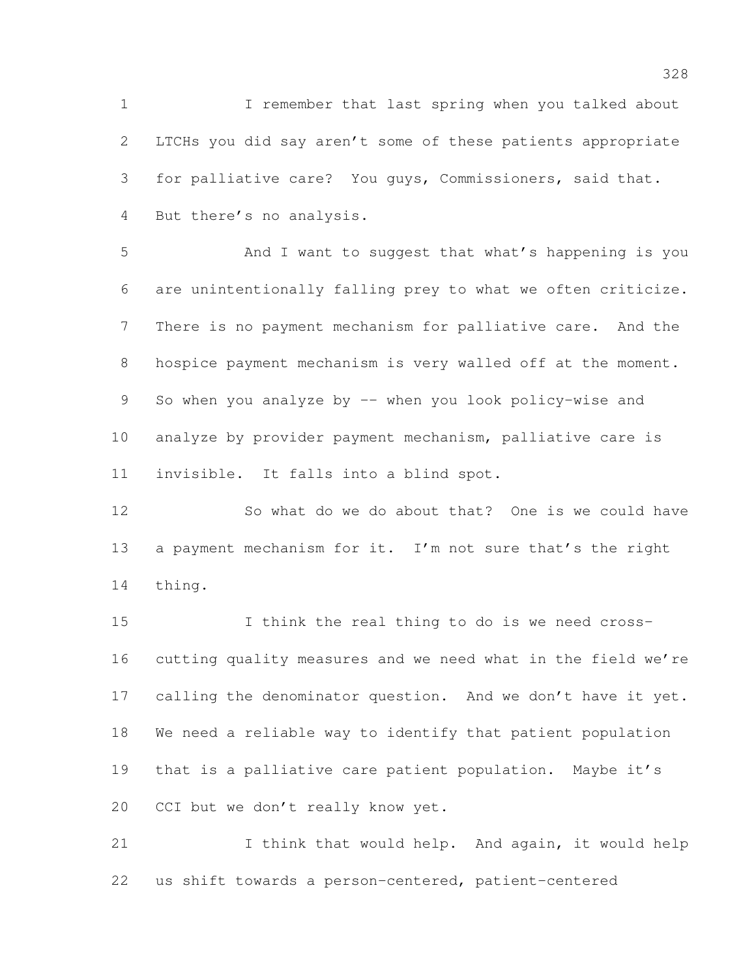I remember that last spring when you talked about LTCHs you did say aren't some of these patients appropriate for palliative care? You guys, Commissioners, said that. But there's no analysis.

 And I want to suggest that what's happening is you are unintentionally falling prey to what we often criticize. There is no payment mechanism for palliative care. And the hospice payment mechanism is very walled off at the moment. 9 So when you analyze by -- when you look policy-wise and analyze by provider payment mechanism, palliative care is invisible. It falls into a blind spot.

 So what do we do about that? One is we could have 13 a payment mechanism for it. I'm not sure that's the right thing.

 I think the real thing to do is we need cross- cutting quality measures and we need what in the field we're 17 calling the denominator question. And we don't have it yet. We need a reliable way to identify that patient population that is a palliative care patient population. Maybe it's 20 CCI but we don't really know yet.

21 I think that would help. And again, it would help us shift towards a person-centered, patient-centered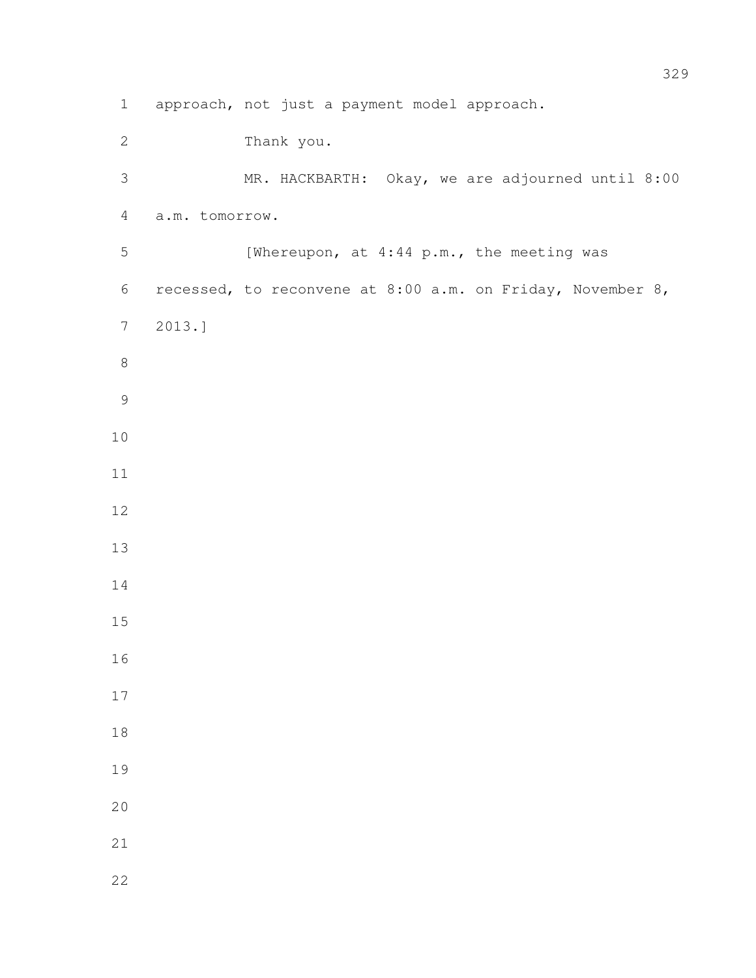approach, not just a payment model approach. Thank you. MR. HACKBARTH: Okay, we are adjourned until 8:00 a.m. tomorrow. 5 [Whereupon, at 4:44 p.m., the meeting was recessed, to reconvene at 8:00 a.m. on Friday, November 8, 2013.]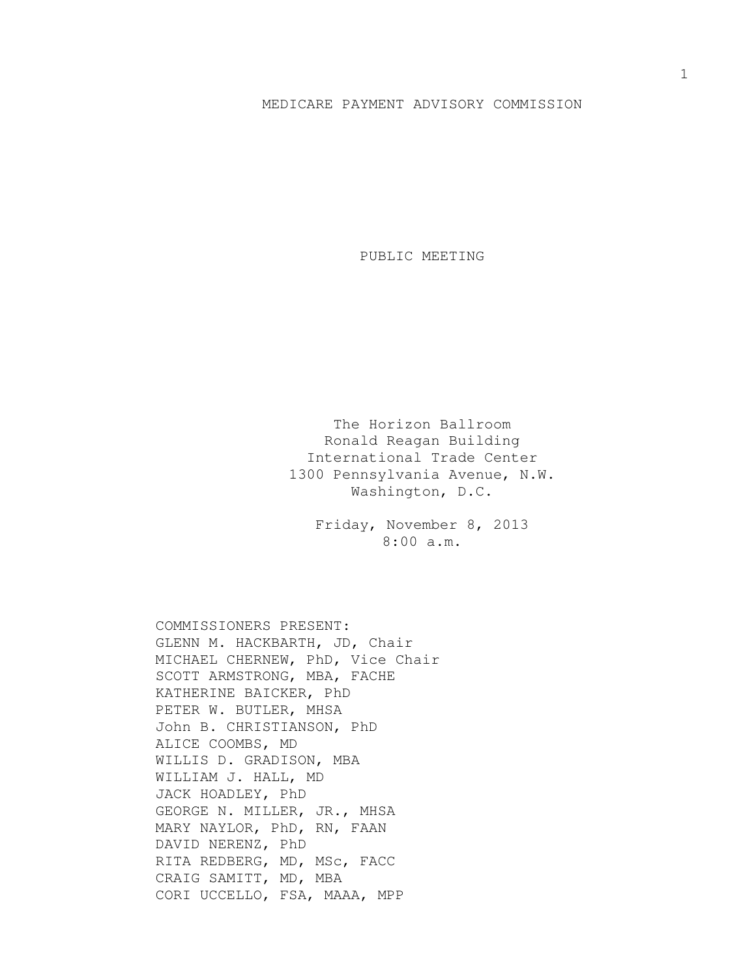## MEDICARE PAYMENT ADVISORY COMMISSION

PUBLIC MEETING

The Horizon Ballroom Ronald Reagan Building International Trade Center 1300 Pennsylvania Avenue, N.W. Washington, D.C.

> Friday, November 8, 2013 8:00 a.m.

COMMISSIONERS PRESENT: GLENN M. HACKBARTH, JD, Chair MICHAEL CHERNEW, PhD, Vice Chair SCOTT ARMSTRONG, MBA, FACHE KATHERINE BAICKER, PhD PETER W. BUTLER, MHSA John B. CHRISTIANSON, PhD ALICE COOMBS, MD WILLIS D. GRADISON, MBA WILLIAM J. HALL, MD JACK HOADLEY, PhD GEORGE N. MILLER, JR., MHSA MARY NAYLOR, PhD, RN, FAAN DAVID NERENZ, PhD RITA REDBERG, MD, MSc, FACC CRAIG SAMITT, MD, MBA CORI UCCELLO, FSA, MAAA, MPP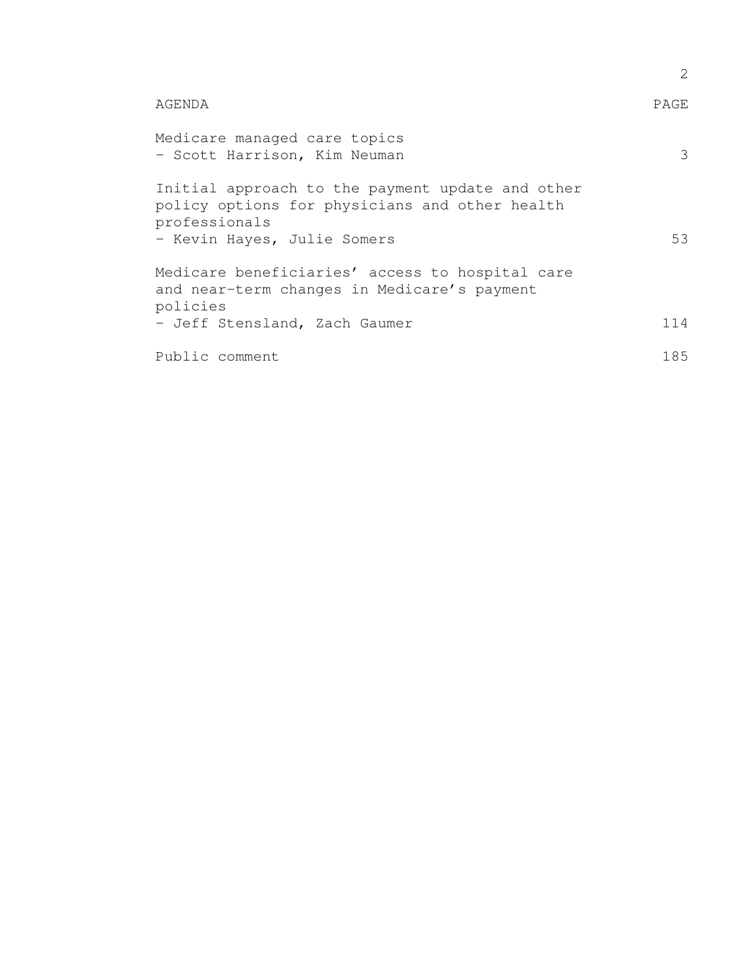|                                                                                                                                                    | 2    |
|----------------------------------------------------------------------------------------------------------------------------------------------------|------|
| AGENDA                                                                                                                                             | PAGE |
| Medicare managed care topics<br>- Scott Harrison, Kim Neuman                                                                                       | 3    |
| Initial approach to the payment update and other<br>policy options for physicians and other health<br>professionals<br>- Kevin Hayes, Julie Somers | 53   |
| Medicare beneficiaries' access to hospital care<br>and near-term changes in Medicare's payment<br>policies                                         |      |
| - Jeff Stensland, Zach Gaumer                                                                                                                      | 114  |
| Public comment                                                                                                                                     | 185  |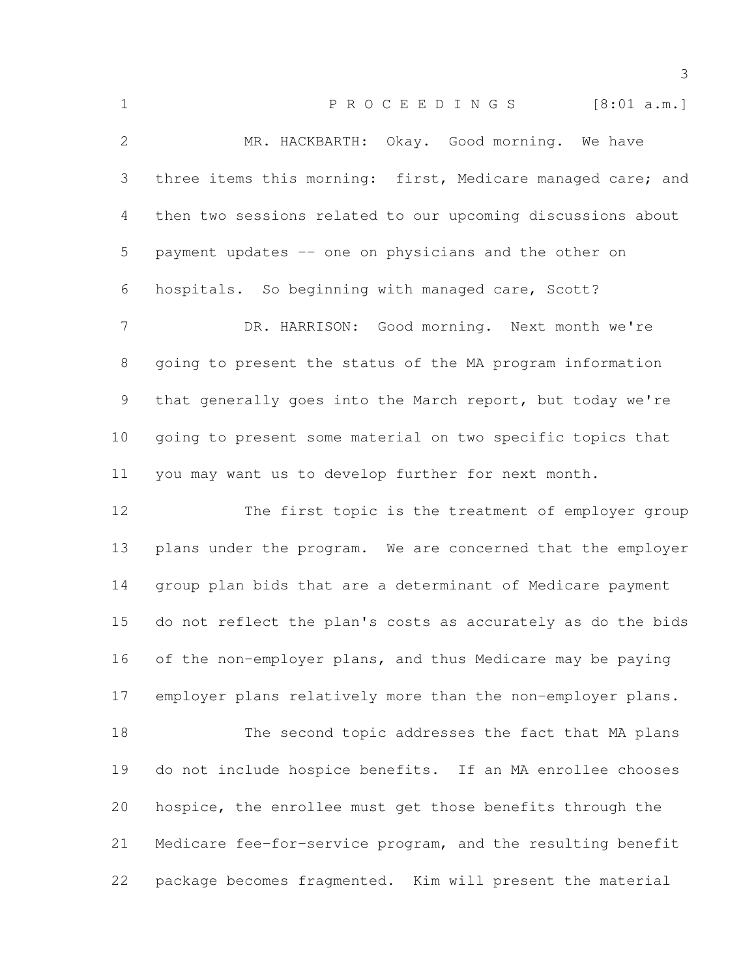| $\mathbf 1$    | P R O C E E D I N G S<br>[8:01 a.m.]                         |
|----------------|--------------------------------------------------------------|
| $\mathbf{2}$   | MR. HACKBARTH: Okay. Good morning. We have                   |
| 3              | three items this morning: first, Medicare managed care; and  |
| 4              | then two sessions related to our upcoming discussions about  |
| 5              | payment updates -- one on physicians and the other on        |
| 6              | hospitals. So beginning with managed care, Scott?            |
| $7\phantom{.}$ | DR. HARRISON: Good morning. Next month we're                 |
| 8              | going to present the status of the MA program information    |
| 9              | that generally goes into the March report, but today we're   |
| 10             | going to present some material on two specific topics that   |
| 11             | you may want us to develop further for next month.           |
|                |                                                              |
| 12             | The first topic is the treatment of employer group           |
| 13             | plans under the program. We are concerned that the employer  |
| 14             | group plan bids that are a determinant of Medicare payment   |
| 15             | do not reflect the plan's costs as accurately as do the bids |
| 16             | of the non-employer plans, and thus Medicare may be paying   |
| 17             | employer plans relatively more than the non-employer plans.  |
| 18             | The second topic addresses the fact that MA plans            |
| 19             | do not include hospice benefits. If an MA enrollee chooses   |
| 20             | hospice, the enrollee must get those benefits through the    |
| 21             | Medicare fee-for-service program, and the resulting benefit  |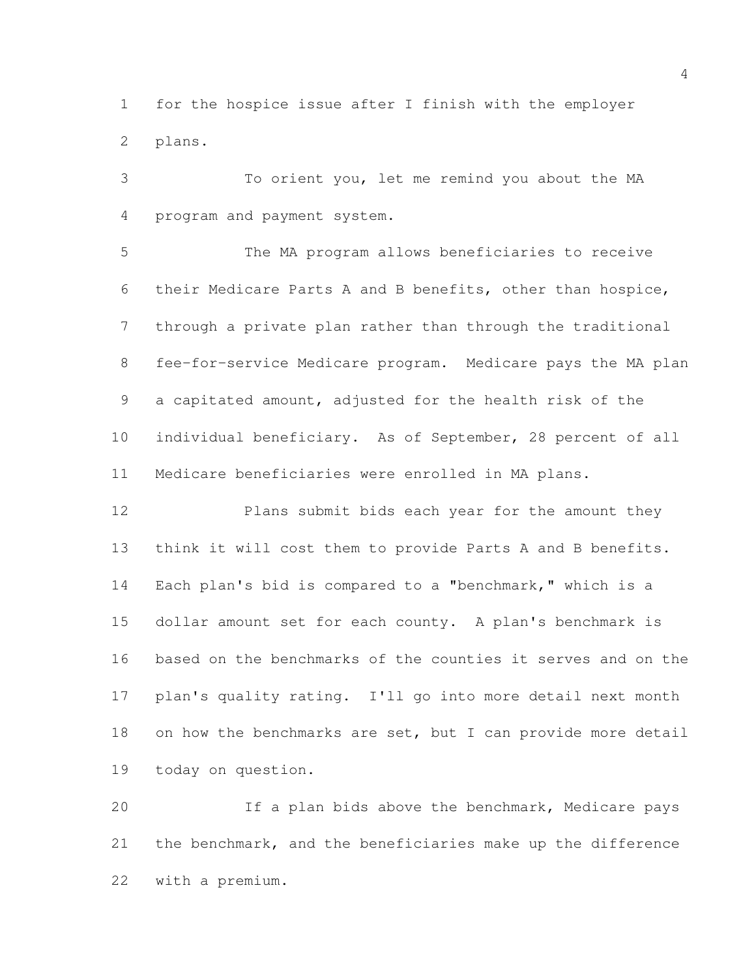for the hospice issue after I finish with the employer plans.

 To orient you, let me remind you about the MA program and payment system.

 The MA program allows beneficiaries to receive their Medicare Parts A and B benefits, other than hospice, through a private plan rather than through the traditional fee-for-service Medicare program. Medicare pays the MA plan a capitated amount, adjusted for the health risk of the individual beneficiary. As of September, 28 percent of all Medicare beneficiaries were enrolled in MA plans.

 Plans submit bids each year for the amount they think it will cost them to provide Parts A and B benefits. Each plan's bid is compared to a "benchmark," which is a dollar amount set for each county. A plan's benchmark is based on the benchmarks of the counties it serves and on the plan's quality rating. I'll go into more detail next month 18 on how the benchmarks are set, but I can provide more detail today on question.

 If a plan bids above the benchmark, Medicare pays the benchmark, and the beneficiaries make up the difference with a premium.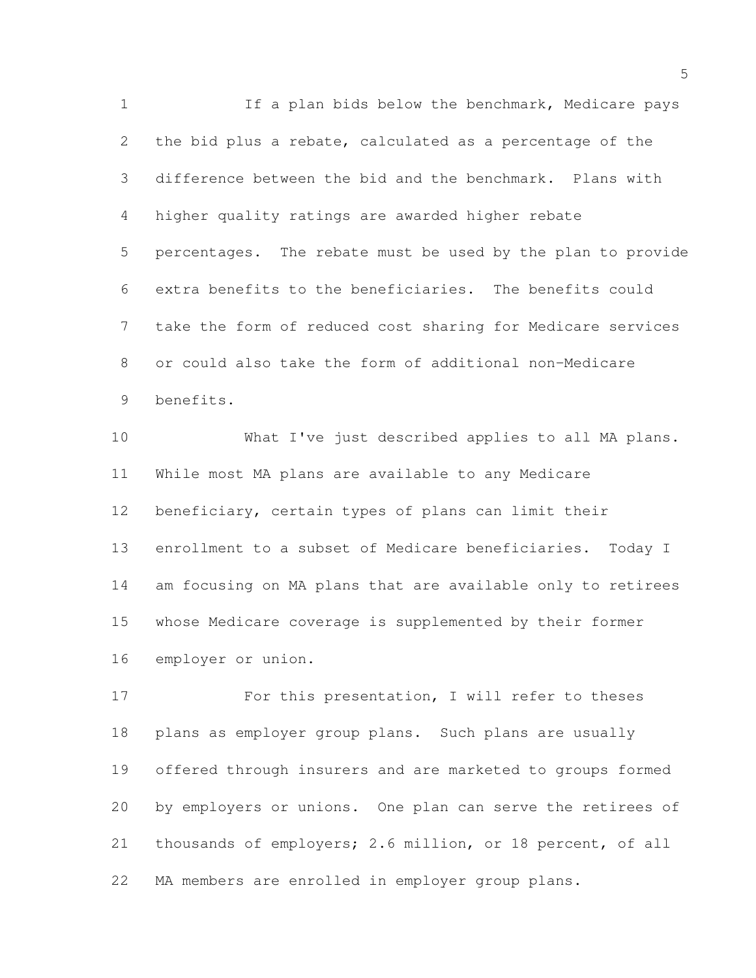1 If a plan bids below the benchmark, Medicare pays the bid plus a rebate, calculated as a percentage of the difference between the bid and the benchmark. Plans with higher quality ratings are awarded higher rebate percentages. The rebate must be used by the plan to provide extra benefits to the beneficiaries. The benefits could take the form of reduced cost sharing for Medicare services or could also take the form of additional non-Medicare benefits.

 What I've just described applies to all MA plans. While most MA plans are available to any Medicare beneficiary, certain types of plans can limit their enrollment to a subset of Medicare beneficiaries. Today I am focusing on MA plans that are available only to retirees whose Medicare coverage is supplemented by their former employer or union.

17 For this presentation, I will refer to theses plans as employer group plans. Such plans are usually offered through insurers and are marketed to groups formed by employers or unions. One plan can serve the retirees of thousands of employers; 2.6 million, or 18 percent, of all MA members are enrolled in employer group plans.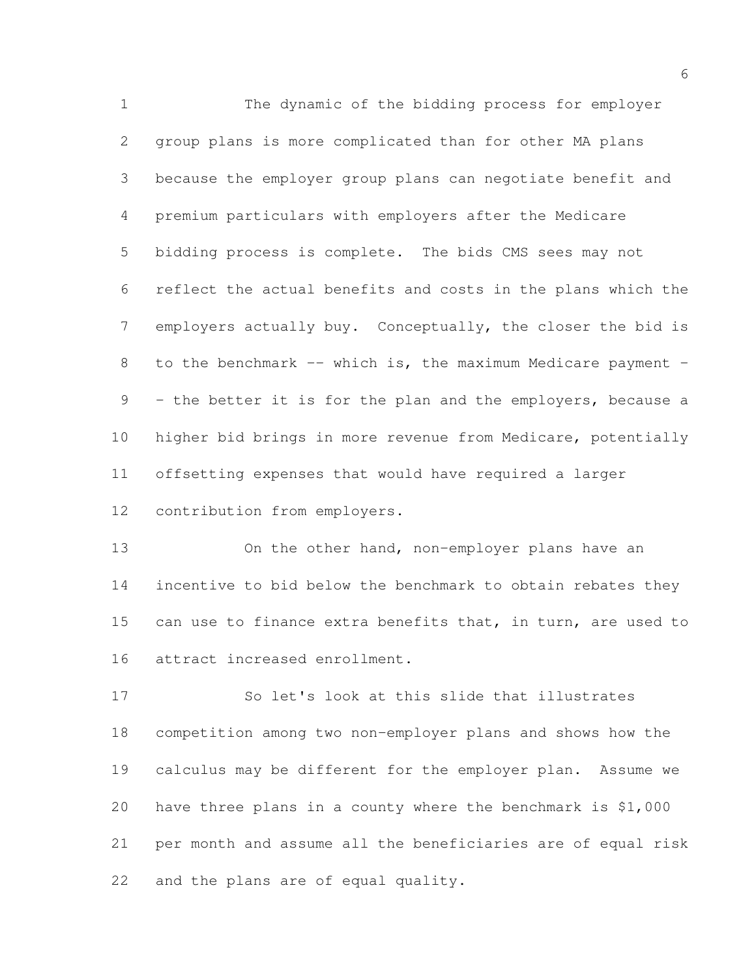The dynamic of the bidding process for employer group plans is more complicated than for other MA plans because the employer group plans can negotiate benefit and premium particulars with employers after the Medicare bidding process is complete. The bids CMS sees may not reflect the actual benefits and costs in the plans which the employers actually buy. Conceptually, the closer the bid is 8 to the benchmark -- which is, the maximum Medicare payment - - the better it is for the plan and the employers, because a higher bid brings in more revenue from Medicare, potentially offsetting expenses that would have required a larger contribution from employers.

 On the other hand, non-employer plans have an incentive to bid below the benchmark to obtain rebates they can use to finance extra benefits that, in turn, are used to attract increased enrollment.

 So let's look at this slide that illustrates competition among two non-employer plans and shows how the calculus may be different for the employer plan. Assume we have three plans in a county where the benchmark is \$1,000 per month and assume all the beneficiaries are of equal risk and the plans are of equal quality.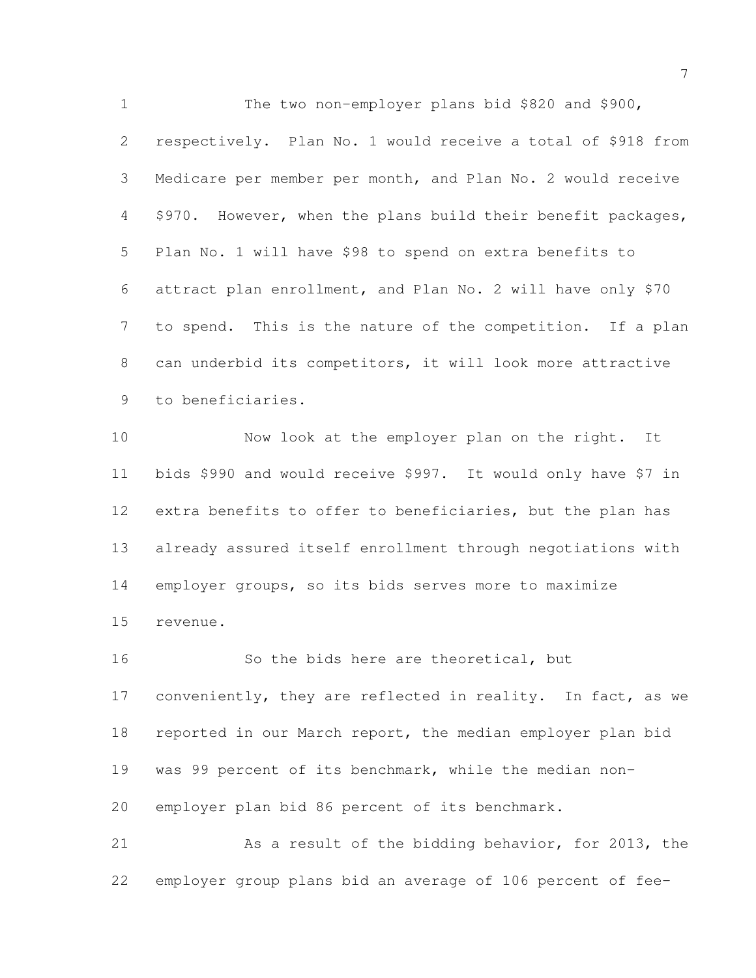The two non-employer plans bid \$820 and \$900, respectively. Plan No. 1 would receive a total of \$918 from Medicare per member per month, and Plan No. 2 would receive \$970. However, when the plans build their benefit packages, Plan No. 1 will have \$98 to spend on extra benefits to attract plan enrollment, and Plan No. 2 will have only \$70 to spend. This is the nature of the competition. If a plan can underbid its competitors, it will look more attractive to beneficiaries.

 Now look at the employer plan on the right. It bids \$990 and would receive \$997. It would only have \$7 in extra benefits to offer to beneficiaries, but the plan has already assured itself enrollment through negotiations with employer groups, so its bids serves more to maximize revenue.

 So the bids here are theoretical, but 17 conveniently, they are reflected in reality. In fact, as we 18 reported in our March report, the median employer plan bid was 99 percent of its benchmark, while the median non- employer plan bid 86 percent of its benchmark. As a result of the bidding behavior, for 2013, the

employer group plans bid an average of 106 percent of fee-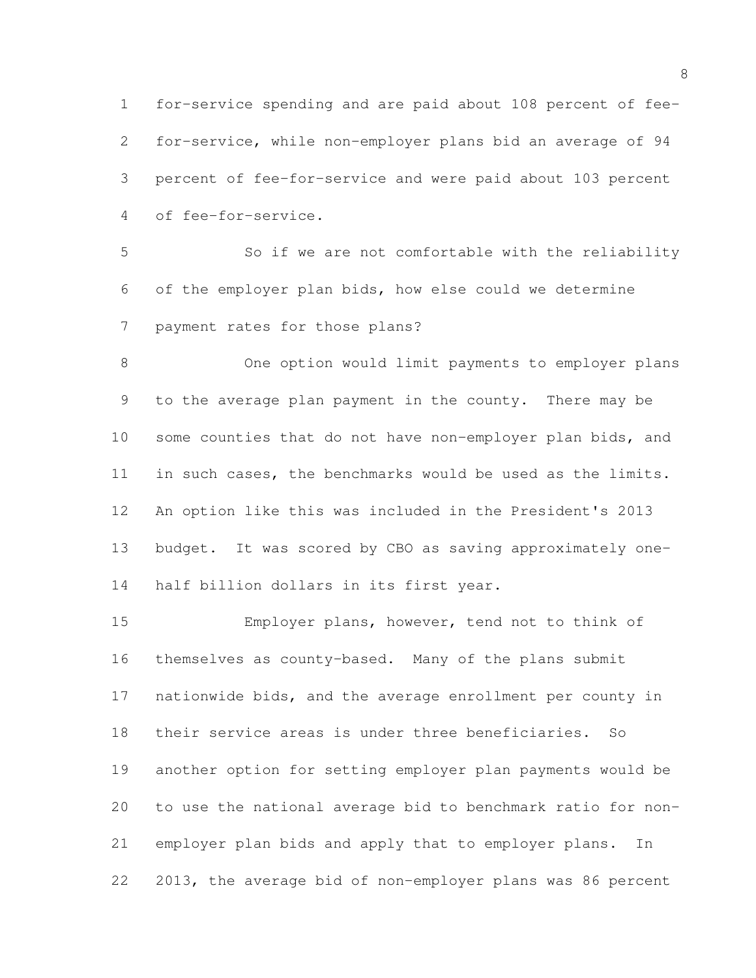for-service spending and are paid about 108 percent of fee- for-service, while non-employer plans bid an average of 94 percent of fee-for-service and were paid about 103 percent of fee-for-service.

 So if we are not comfortable with the reliability of the employer plan bids, how else could we determine payment rates for those plans?

 One option would limit payments to employer plans to the average plan payment in the county. There may be some counties that do not have non-employer plan bids, and in such cases, the benchmarks would be used as the limits. An option like this was included in the President's 2013 budget. It was scored by CBO as saving approximately one-half billion dollars in its first year.

 Employer plans, however, tend not to think of themselves as county-based. Many of the plans submit nationwide bids, and the average enrollment per county in their service areas is under three beneficiaries. So another option for setting employer plan payments would be to use the national average bid to benchmark ratio for non- employer plan bids and apply that to employer plans. In 2013, the average bid of non-employer plans was 86 percent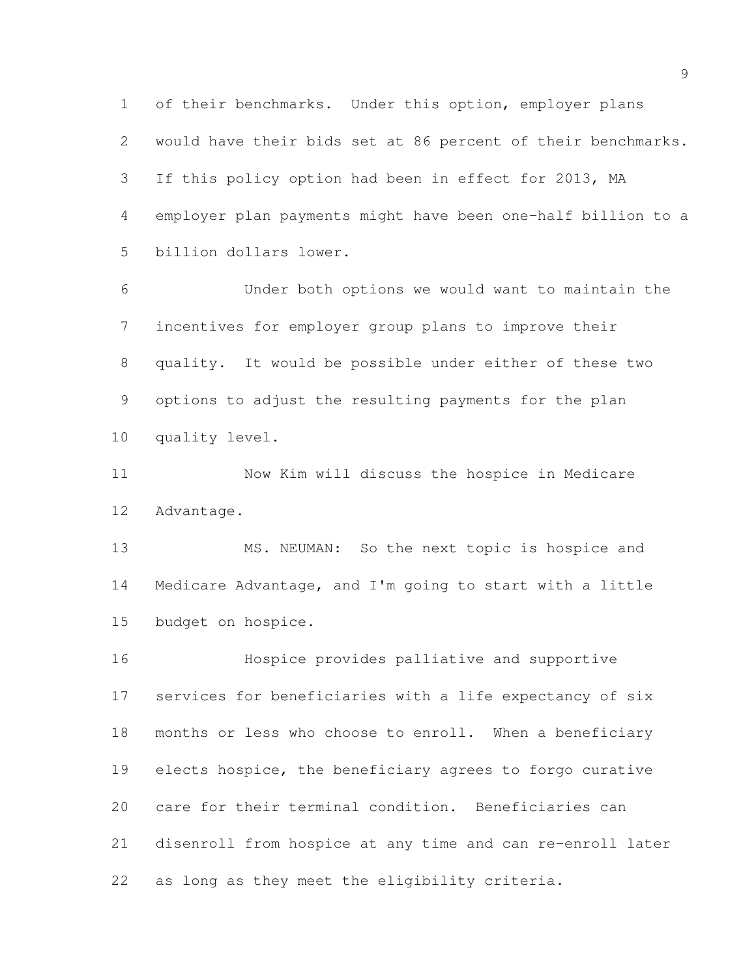of their benchmarks. Under this option, employer plans would have their bids set at 86 percent of their benchmarks. If this policy option had been in effect for 2013, MA employer plan payments might have been one-half billion to a billion dollars lower.

 Under both options we would want to maintain the incentives for employer group plans to improve their quality. It would be possible under either of these two options to adjust the resulting payments for the plan quality level.

 Now Kim will discuss the hospice in Medicare Advantage.

 MS. NEUMAN: So the next topic is hospice and Medicare Advantage, and I'm going to start with a little budget on hospice.

 Hospice provides palliative and supportive services for beneficiaries with a life expectancy of six months or less who choose to enroll. When a beneficiary elects hospice, the beneficiary agrees to forgo curative care for their terminal condition. Beneficiaries can disenroll from hospice at any time and can re-enroll later as long as they meet the eligibility criteria.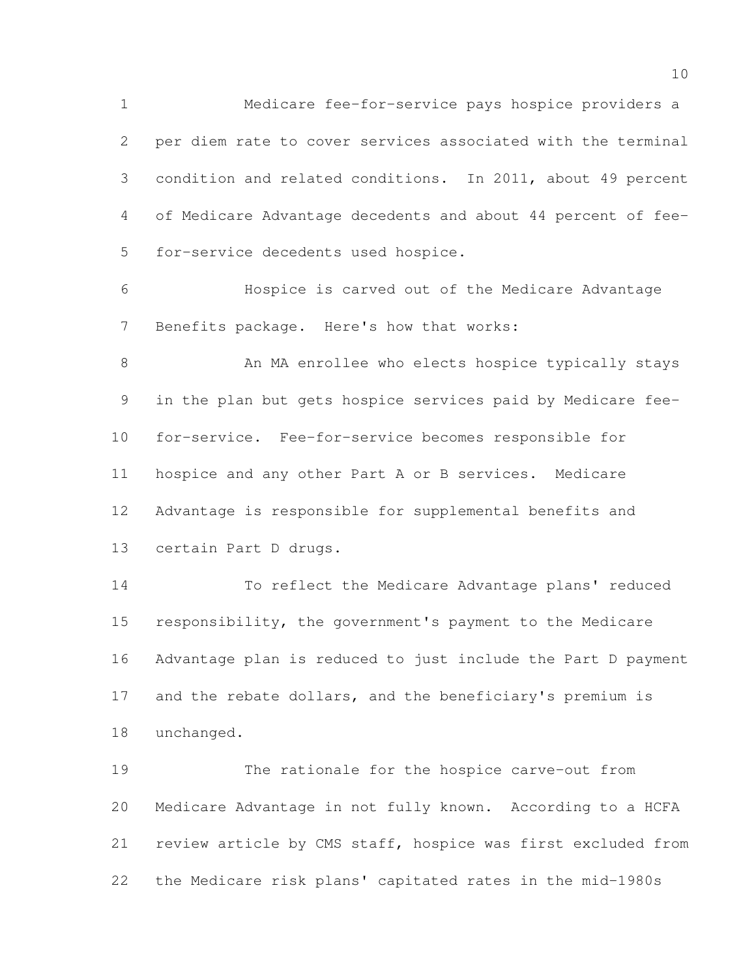Medicare fee-for-service pays hospice providers a per diem rate to cover services associated with the terminal condition and related conditions. In 2011, about 49 percent of Medicare Advantage decedents and about 44 percent of fee-for-service decedents used hospice.

 Hospice is carved out of the Medicare Advantage Benefits package. Here's how that works:

8 An MA enrollee who elects hospice typically stays in the plan but gets hospice services paid by Medicare fee- for-service. Fee-for-service becomes responsible for hospice and any other Part A or B services. Medicare Advantage is responsible for supplemental benefits and certain Part D drugs.

 To reflect the Medicare Advantage plans' reduced responsibility, the government's payment to the Medicare Advantage plan is reduced to just include the Part D payment 17 and the rebate dollars, and the beneficiary's premium is unchanged.

 The rationale for the hospice carve-out from Medicare Advantage in not fully known. According to a HCFA review article by CMS staff, hospice was first excluded from the Medicare risk plans' capitated rates in the mid-1980s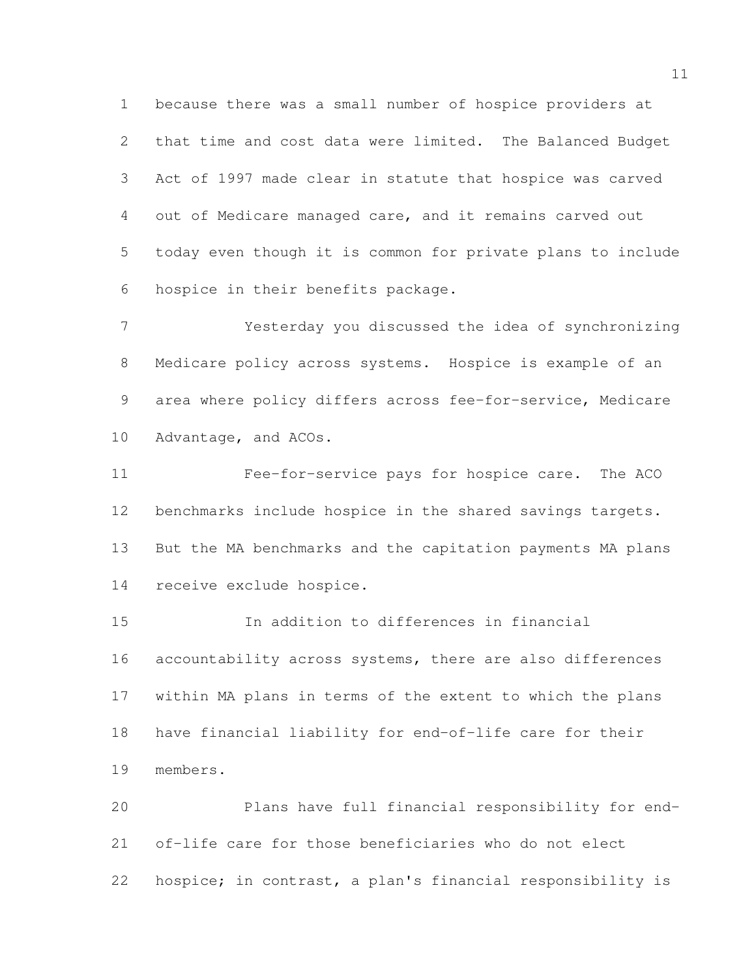because there was a small number of hospice providers at that time and cost data were limited. The Balanced Budget Act of 1997 made clear in statute that hospice was carved out of Medicare managed care, and it remains carved out today even though it is common for private plans to include hospice in their benefits package.

 Yesterday you discussed the idea of synchronizing Medicare policy across systems. Hospice is example of an area where policy differs across fee-for-service, Medicare Advantage, and ACOs.

 Fee-for-service pays for hospice care. The ACO benchmarks include hospice in the shared savings targets. But the MA benchmarks and the capitation payments MA plans receive exclude hospice.

 In addition to differences in financial 16 accountability across systems, there are also differences within MA plans in terms of the extent to which the plans have financial liability for end-of-life care for their members.

 Plans have full financial responsibility for end- of-life care for those beneficiaries who do not elect hospice; in contrast, a plan's financial responsibility is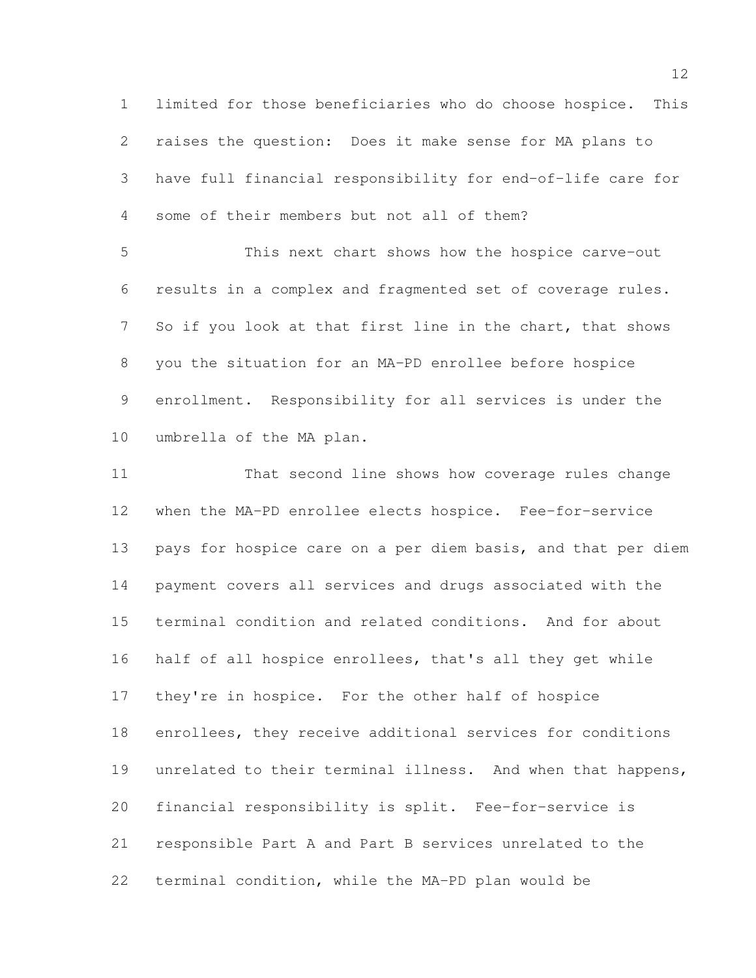limited for those beneficiaries who do choose hospice. This raises the question: Does it make sense for MA plans to have full financial responsibility for end-of-life care for some of their members but not all of them?

 This next chart shows how the hospice carve-out results in a complex and fragmented set of coverage rules. 7 So if you look at that first line in the chart, that shows you the situation for an MA-PD enrollee before hospice enrollment. Responsibility for all services is under the umbrella of the MA plan.

 That second line shows how coverage rules change when the MA-PD enrollee elects hospice. Fee-for-service pays for hospice care on a per diem basis, and that per diem payment covers all services and drugs associated with the terminal condition and related conditions. And for about half of all hospice enrollees, that's all they get while they're in hospice. For the other half of hospice enrollees, they receive additional services for conditions 19 unrelated to their terminal illness. And when that happens, financial responsibility is split. Fee-for-service is responsible Part A and Part B services unrelated to the terminal condition, while the MA-PD plan would be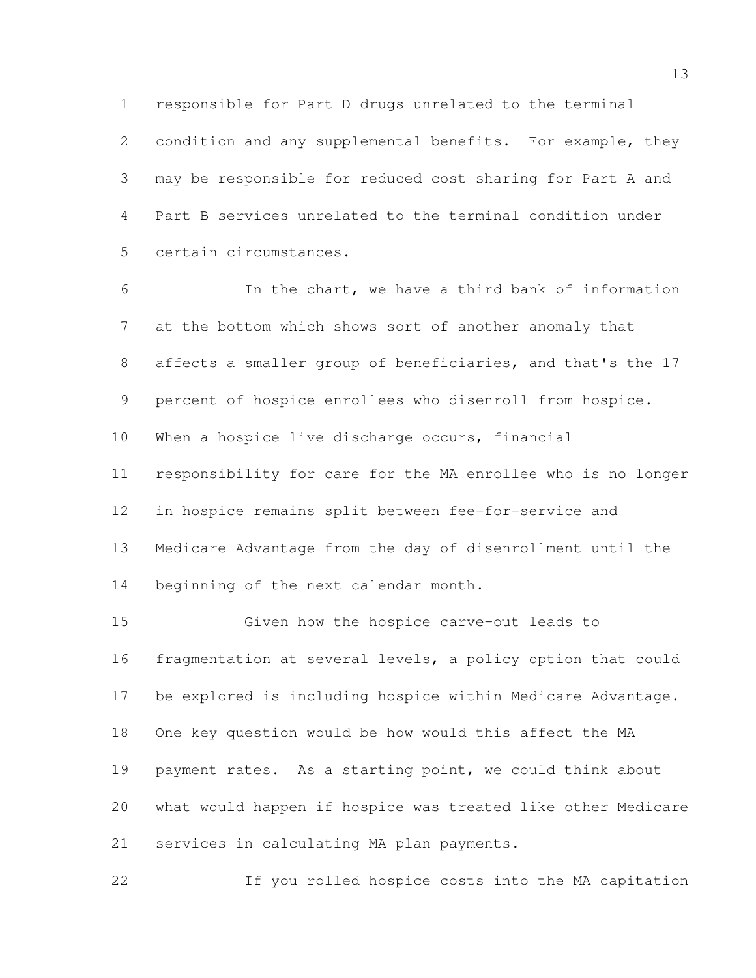responsible for Part D drugs unrelated to the terminal condition and any supplemental benefits. For example, they may be responsible for reduced cost sharing for Part A and Part B services unrelated to the terminal condition under certain circumstances.

 In the chart, we have a third bank of information at the bottom which shows sort of another anomaly that affects a smaller group of beneficiaries, and that's the 17 percent of hospice enrollees who disenroll from hospice. When a hospice live discharge occurs, financial responsibility for care for the MA enrollee who is no longer in hospice remains split between fee-for-service and Medicare Advantage from the day of disenrollment until the beginning of the next calendar month.

 Given how the hospice carve-out leads to fragmentation at several levels, a policy option that could be explored is including hospice within Medicare Advantage. One key question would be how would this affect the MA payment rates. As a starting point, we could think about what would happen if hospice was treated like other Medicare services in calculating MA plan payments.

If you rolled hospice costs into the MA capitation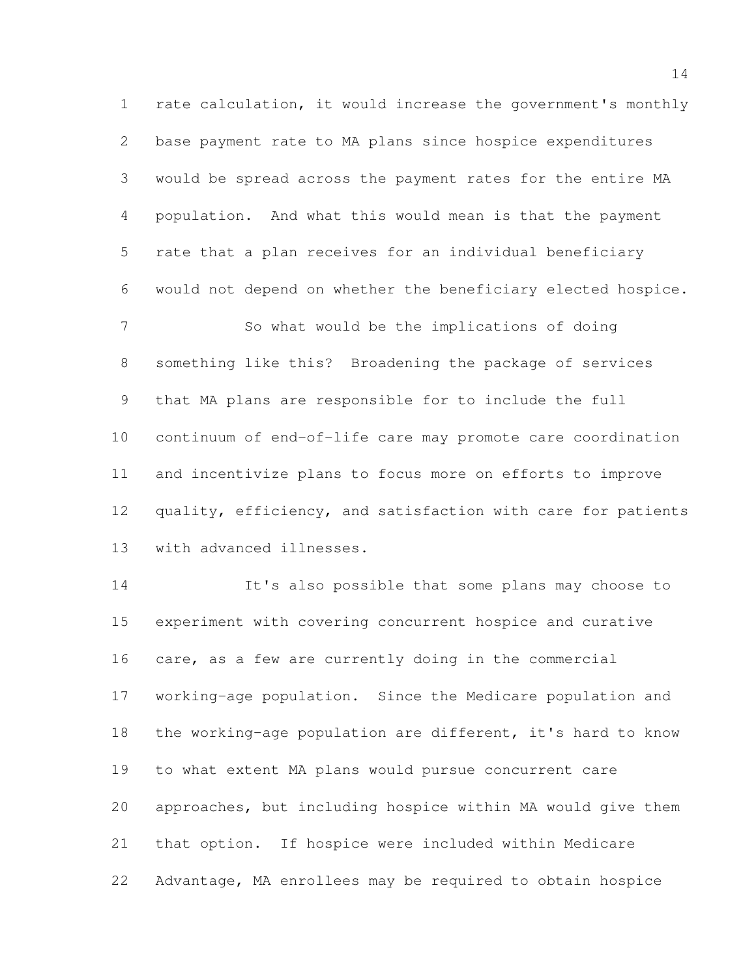rate calculation, it would increase the government's monthly base payment rate to MA plans since hospice expenditures would be spread across the payment rates for the entire MA population. And what this would mean is that the payment rate that a plan receives for an individual beneficiary would not depend on whether the beneficiary elected hospice. So what would be the implications of doing something like this? Broadening the package of services that MA plans are responsible for to include the full continuum of end-of-life care may promote care coordination and incentivize plans to focus more on efforts to improve 12 quality, efficiency, and satisfaction with care for patients

with advanced illnesses.

 It's also possible that some plans may choose to experiment with covering concurrent hospice and curative care, as a few are currently doing in the commercial working-age population. Since the Medicare population and the working-age population are different, it's hard to know to what extent MA plans would pursue concurrent care approaches, but including hospice within MA would give them that option. If hospice were included within Medicare Advantage, MA enrollees may be required to obtain hospice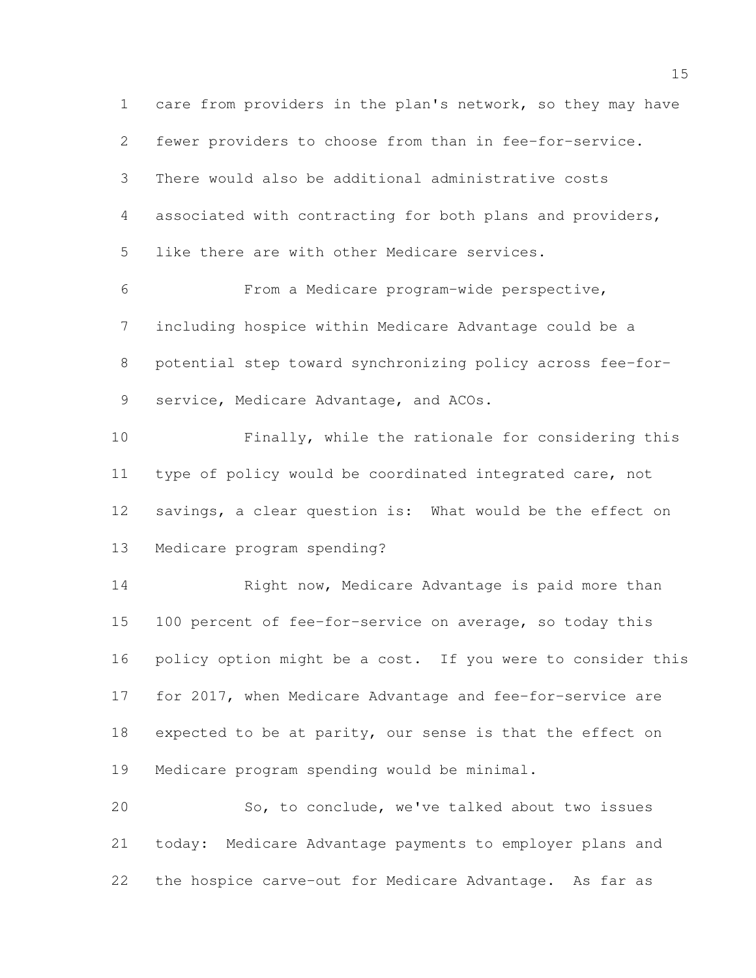care from providers in the plan's network, so they may have fewer providers to choose from than in fee-for-service. There would also be additional administrative costs associated with contracting for both plans and providers, like there are with other Medicare services. From a Medicare program-wide perspective, including hospice within Medicare Advantage could be a potential step toward synchronizing policy across fee-for- service, Medicare Advantage, and ACOs. Finally, while the rationale for considering this type of policy would be coordinated integrated care, not savings, a clear question is: What would be the effect on Medicare program spending? Right now, Medicare Advantage is paid more than 100 percent of fee-for-service on average, so today this 16 policy option might be a cost. If you were to consider this for 2017, when Medicare Advantage and fee-for-service are 18 expected to be at parity, our sense is that the effect on Medicare program spending would be minimal. So, to conclude, we've talked about two issues today: Medicare Advantage payments to employer plans and the hospice carve-out for Medicare Advantage. As far as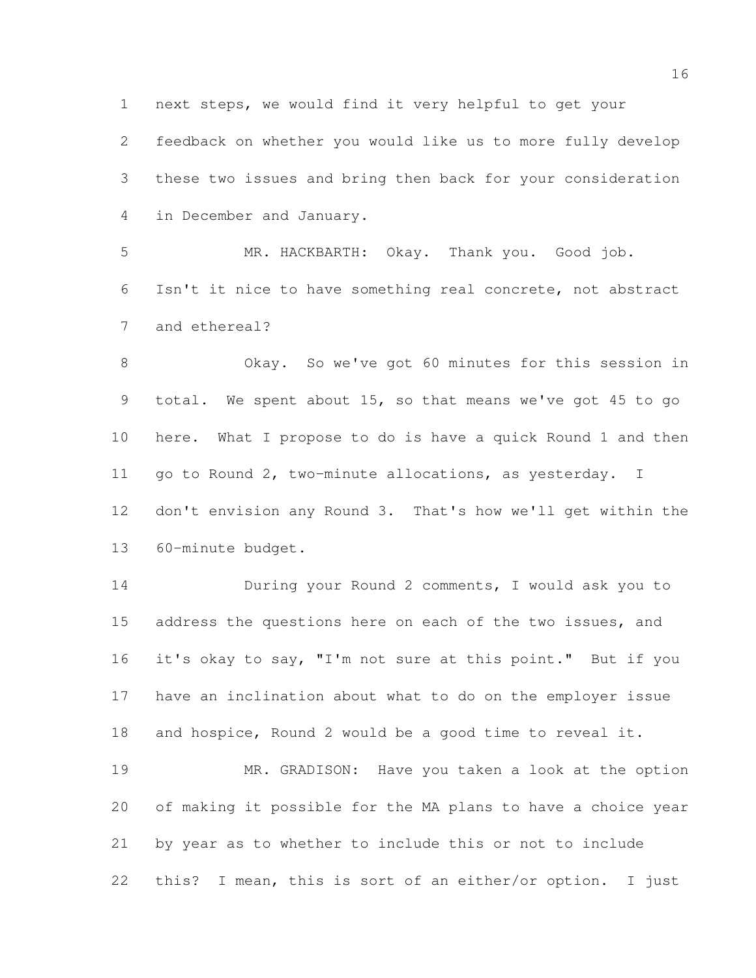next steps, we would find it very helpful to get your

 feedback on whether you would like us to more fully develop these two issues and bring then back for your consideration in December and January.

 MR. HACKBARTH: Okay. Thank you. Good job. Isn't it nice to have something real concrete, not abstract and ethereal?

 Okay. So we've got 60 minutes for this session in total. We spent about 15, so that means we've got 45 to go here. What I propose to do is have a quick Round 1 and then go to Round 2, two-minute allocations, as yesterday. I don't envision any Round 3. That's how we'll get within the 60-minute budget.

 During your Round 2 comments, I would ask you to 15 address the questions here on each of the two issues, and 16 it's okay to say, "I'm not sure at this point." But if you have an inclination about what to do on the employer issue and hospice, Round 2 would be a good time to reveal it.

 MR. GRADISON: Have you taken a look at the option of making it possible for the MA plans to have a choice year by year as to whether to include this or not to include this? I mean, this is sort of an either/or option. I just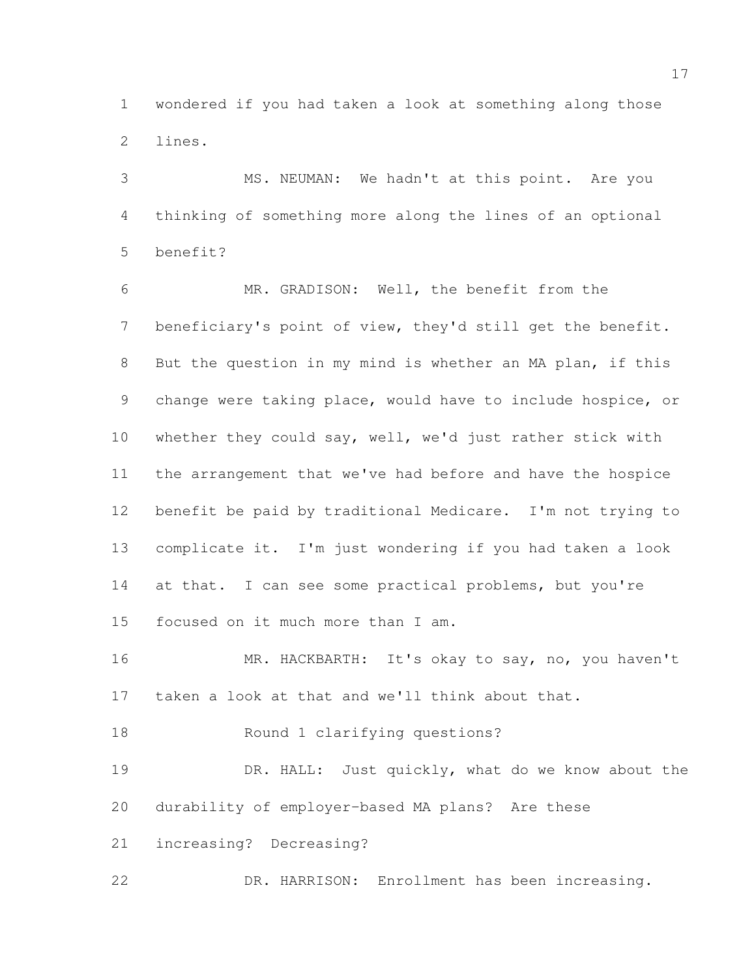wondered if you had taken a look at something along those lines.

 MS. NEUMAN: We hadn't at this point. Are you thinking of something more along the lines of an optional benefit?

 MR. GRADISON: Well, the benefit from the beneficiary's point of view, they'd still get the benefit. But the question in my mind is whether an MA plan, if this change were taking place, would have to include hospice, or whether they could say, well, we'd just rather stick with the arrangement that we've had before and have the hospice benefit be paid by traditional Medicare. I'm not trying to complicate it. I'm just wondering if you had taken a look 14 at that. I can see some practical problems, but you're focused on it much more than I am.

 MR. HACKBARTH: It's okay to say, no, you haven't taken a look at that and we'll think about that.

Round 1 clarifying questions?

19 DR. HALL: Just quickly, what do we know about the durability of employer-based MA plans? Are these

increasing? Decreasing?

DR. HARRISON: Enrollment has been increasing.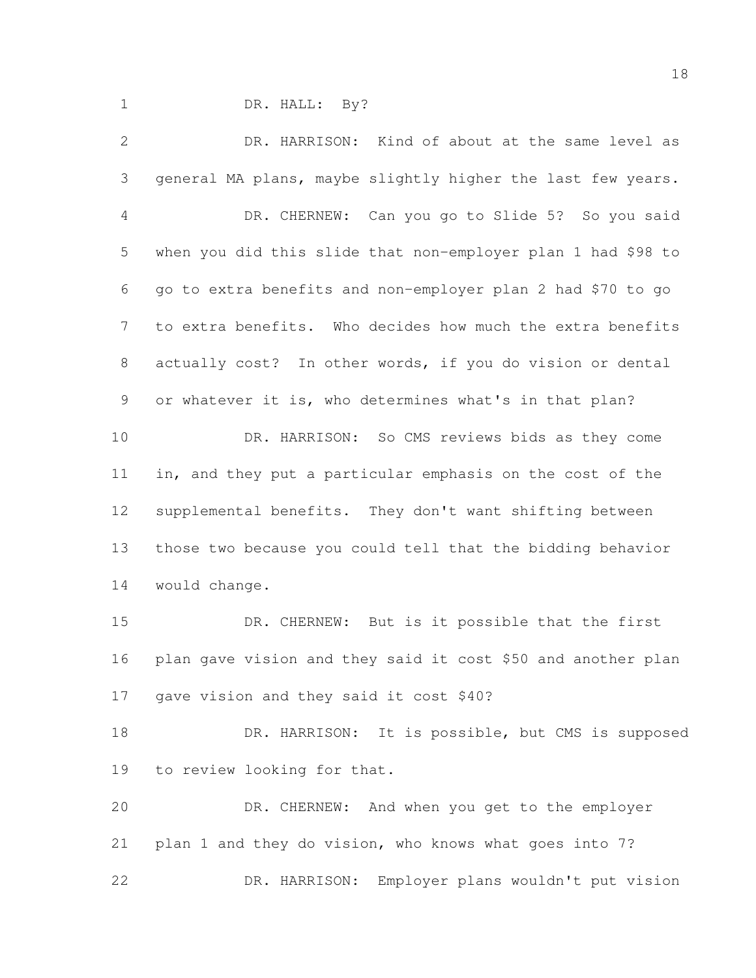DR. HALL: By?

 DR. HARRISON: Kind of about at the same level as general MA plans, maybe slightly higher the last few years. DR. CHERNEW: Can you go to Slide 5? So you said when you did this slide that non-employer plan 1 had \$98 to go to extra benefits and non-employer plan 2 had \$70 to go to extra benefits. Who decides how much the extra benefits actually cost? In other words, if you do vision or dental or whatever it is, who determines what's in that plan? DR. HARRISON: So CMS reviews bids as they come in, and they put a particular emphasis on the cost of the supplemental benefits. They don't want shifting between those two because you could tell that the bidding behavior would change. DR. CHERNEW: But is it possible that the first plan gave vision and they said it cost \$50 and another plan gave vision and they said it cost \$40? 18 DR. HARRISON: It is possible, but CMS is supposed to review looking for that. DR. CHERNEW: And when you get to the employer plan 1 and they do vision, who knows what goes into 7?

DR. HARRISON: Employer plans wouldn't put vision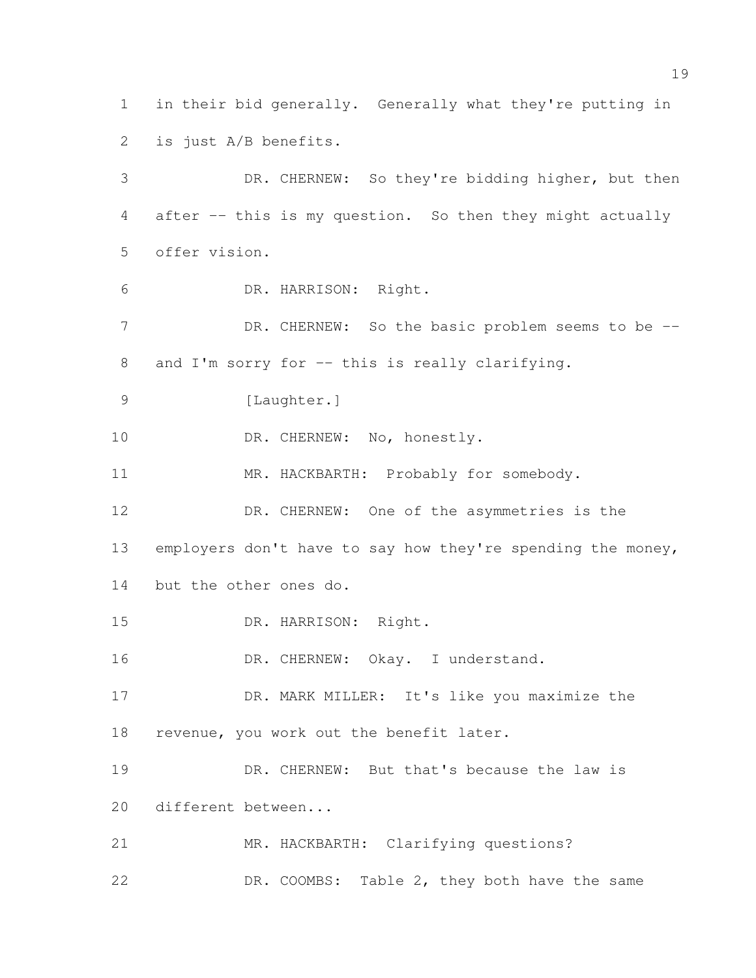in their bid generally. Generally what they're putting in is just A/B benefits. DR. CHERNEW: So they're bidding higher, but then after -- this is my question. So then they might actually offer vision. DR. HARRISON: Right. 7 DR. CHERNEW: So the basic problem seems to be --8 and I'm sorry for -- this is really clarifying. 9 [Laughter.] 10 DR. CHERNEW: No, honestly. 11 MR. HACKBARTH: Probably for somebody. DR. CHERNEW: One of the asymmetries is the 13 employers don't have to say how they're spending the money, but the other ones do. DR. HARRISON: Right. 16 DR. CHERNEW: Okay. I understand. DR. MARK MILLER: It's like you maximize the revenue, you work out the benefit later. 19 DR. CHERNEW: But that's because the law is different between... MR. HACKBARTH: Clarifying questions? DR. COOMBS: Table 2, they both have the same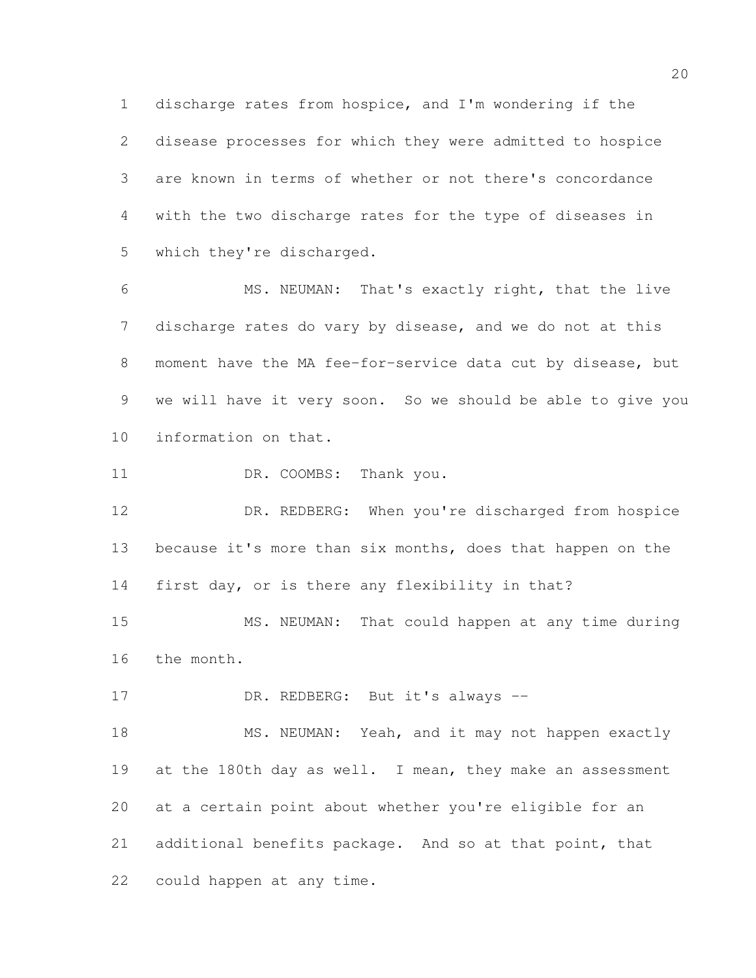discharge rates from hospice, and I'm wondering if the disease processes for which they were admitted to hospice are known in terms of whether or not there's concordance with the two discharge rates for the type of diseases in which they're discharged.

 MS. NEUMAN: That's exactly right, that the live discharge rates do vary by disease, and we do not at this moment have the MA fee-for-service data cut by disease, but we will have it very soon. So we should be able to give you information on that.

11 DR. COOMBS: Thank you.

 DR. REDBERG: When you're discharged from hospice 13 because it's more than six months, does that happen on the first day, or is there any flexibility in that?

 MS. NEUMAN: That could happen at any time during the month.

17 DR. REDBERG: But it's always --

18 MS. NEUMAN: Yeah, and it may not happen exactly 19 at the 180th day as well. I mean, they make an assessment at a certain point about whether you're eligible for an additional benefits package. And so at that point, that could happen at any time.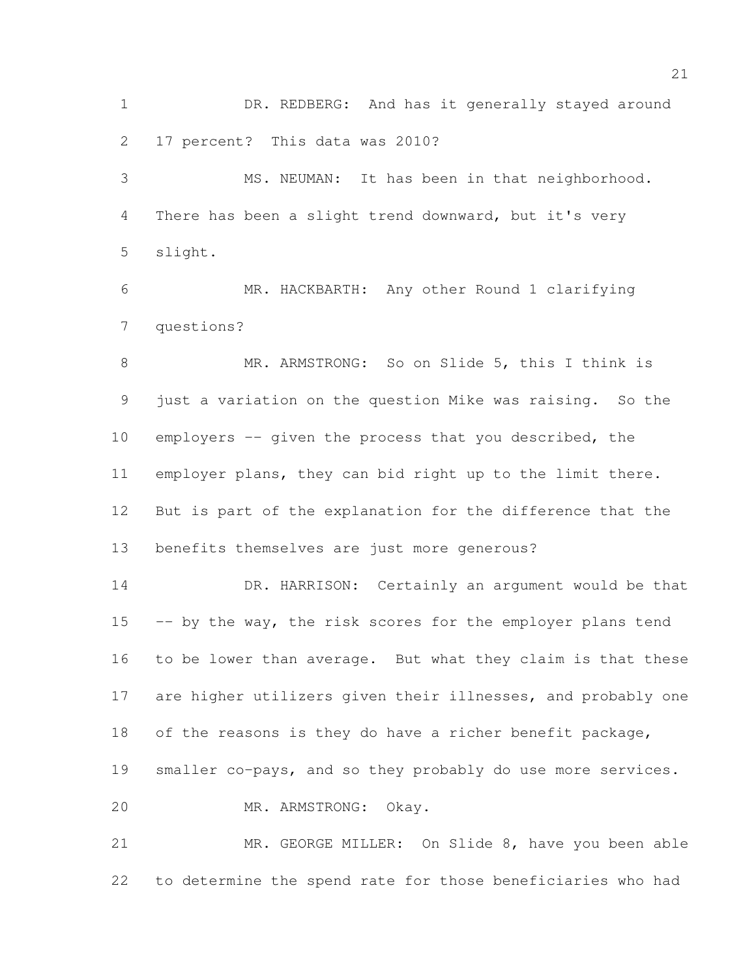DR. REDBERG: And has it generally stayed around 17 percent? This data was 2010?

 MS. NEUMAN: It has been in that neighborhood. There has been a slight trend downward, but it's very slight.

 MR. HACKBARTH: Any other Round 1 clarifying questions?

 MR. ARMSTRONG: So on Slide 5, this I think is just a variation on the question Mike was raising. So the employers -- given the process that you described, the employer plans, they can bid right up to the limit there. But is part of the explanation for the difference that the benefits themselves are just more generous?

14 DR. HARRISON: Certainly an argument would be that 15 -- by the way, the risk scores for the employer plans tend to be lower than average. But what they claim is that these are higher utilizers given their illnesses, and probably one of the reasons is they do have a richer benefit package, 19 smaller co-pays, and so they probably do use more services. MR. ARMSTRONG: Okay.

 MR. GEORGE MILLER: On Slide 8, have you been able to determine the spend rate for those beneficiaries who had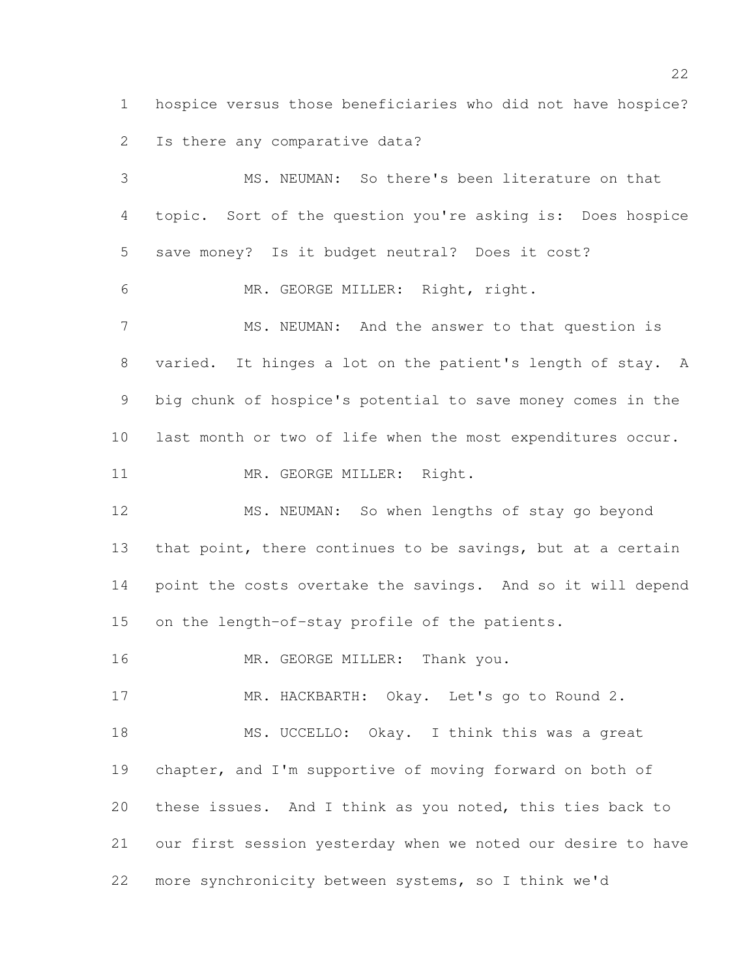hospice versus those beneficiaries who did not have hospice? Is there any comparative data?

 MS. NEUMAN: So there's been literature on that topic. Sort of the question you're asking is: Does hospice save money? Is it budget neutral? Does it cost? MR. GEORGE MILLER: Right, right. 7 MS. NEUMAN: And the answer to that question is varied. It hinges a lot on the patient's length of stay. A big chunk of hospice's potential to save money comes in the last month or two of life when the most expenditures occur. 11 MR. GEORGE MILLER: Right. MS. NEUMAN: So when lengths of stay go beyond 13 that point, there continues to be savings, but at a certain point the costs overtake the savings. And so it will depend on the length-of-stay profile of the patients. 16 MR. GEORGE MILLER: Thank you. 17 MR. HACKBARTH: Okay. Let's go to Round 2. 18 MS. UCCELLO: Okay. I think this was a great chapter, and I'm supportive of moving forward on both of these issues. And I think as you noted, this ties back to

our first session yesterday when we noted our desire to have

more synchronicity between systems, so I think we'd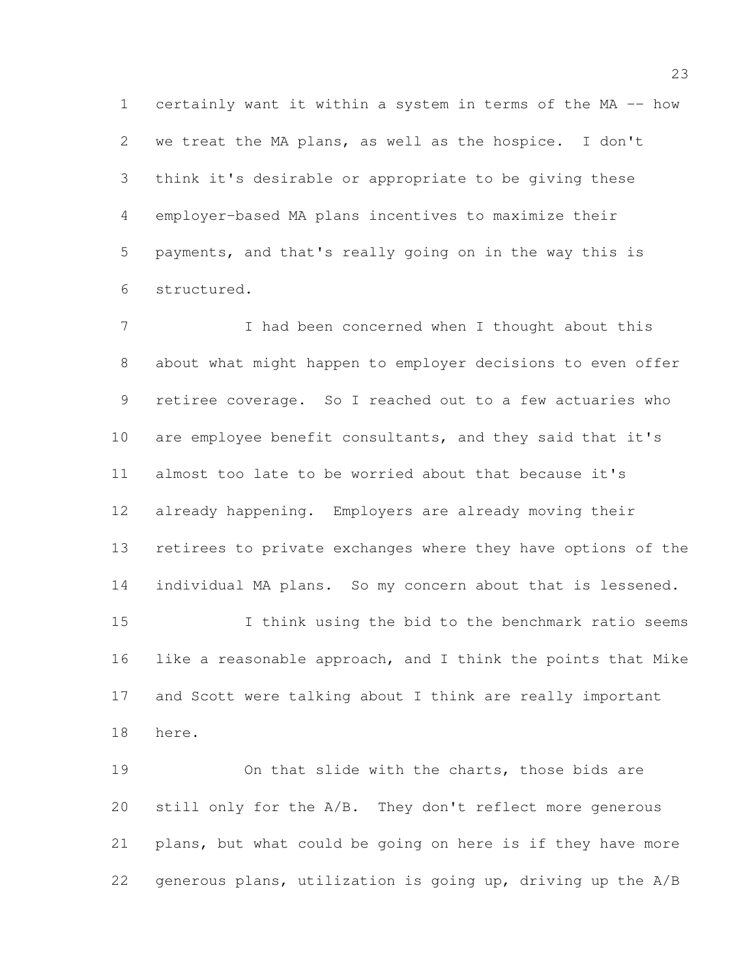certainly want it within a system in terms of the MA -- how we treat the MA plans, as well as the hospice. I don't think it's desirable or appropriate to be giving these employer-based MA plans incentives to maximize their payments, and that's really going on in the way this is structured.

7 I had been concerned when I thought about this about what might happen to employer decisions to even offer retiree coverage. So I reached out to a few actuaries who are employee benefit consultants, and they said that it's almost too late to be worried about that because it's already happening. Employers are already moving their retirees to private exchanges where they have options of the individual MA plans. So my concern about that is lessened. I think using the bid to the benchmark ratio seems

 like a reasonable approach, and I think the points that Mike and Scott were talking about I think are really important here.

 On that slide with the charts, those bids are still only for the A/B. They don't reflect more generous plans, but what could be going on here is if they have more generous plans, utilization is going up, driving up the A/B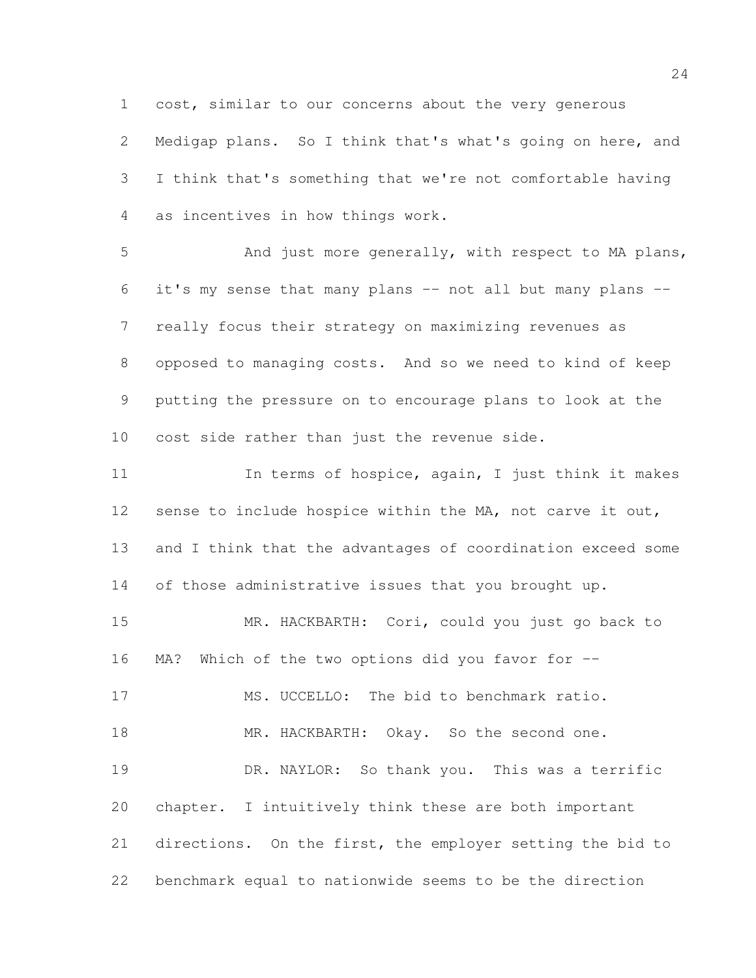cost, similar to our concerns about the very generous Medigap plans. So I think that's what's going on here, and I think that's something that we're not comfortable having as incentives in how things work.

 And just more generally, with respect to MA plans, it's my sense that many plans -- not all but many plans -- really focus their strategy on maximizing revenues as opposed to managing costs. And so we need to kind of keep putting the pressure on to encourage plans to look at the cost side rather than just the revenue side.

11 11 In terms of hospice, again, I just think it makes 12 sense to include hospice within the MA, not carve it out, and I think that the advantages of coordination exceed some of those administrative issues that you brought up.

 MR. HACKBARTH: Cori, could you just go back to MA? Which of the two options did you favor for -- MS. UCCELLO: The bid to benchmark ratio. 18 MR. HACKBARTH: Okay. So the second one. DR. NAYLOR: So thank you. This was a terrific chapter. I intuitively think these are both important directions. On the first, the employer setting the bid to benchmark equal to nationwide seems to be the direction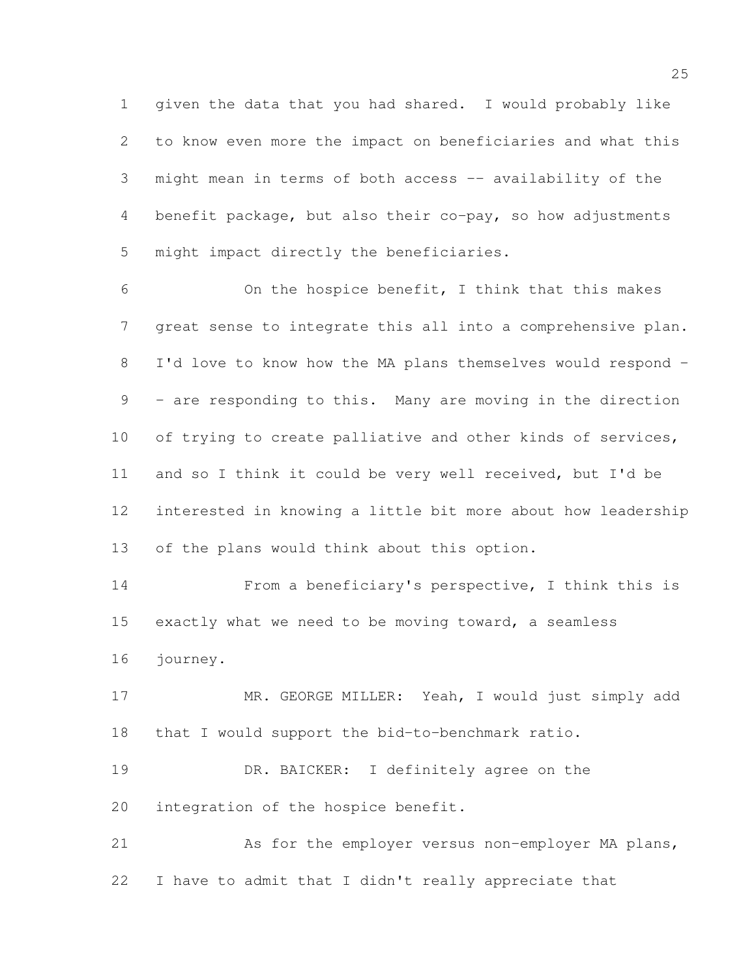given the data that you had shared. I would probably like to know even more the impact on beneficiaries and what this might mean in terms of both access -- availability of the benefit package, but also their co-pay, so how adjustments might impact directly the beneficiaries.

 On the hospice benefit, I think that this makes great sense to integrate this all into a comprehensive plan. I'd love to know how the MA plans themselves would respond - - are responding to this. Many are moving in the direction 10 of trying to create palliative and other kinds of services, and so I think it could be very well received, but I'd be interested in knowing a little bit more about how leadership of the plans would think about this option.

 From a beneficiary's perspective, I think this is exactly what we need to be moving toward, a seamless journey.

17 MR. GEORGE MILLER: Yeah, I would just simply add that I would support the bid-to-benchmark ratio.

 DR. BAICKER: I definitely agree on the integration of the hospice benefit.

 As for the employer versus non-employer MA plans, I have to admit that I didn't really appreciate that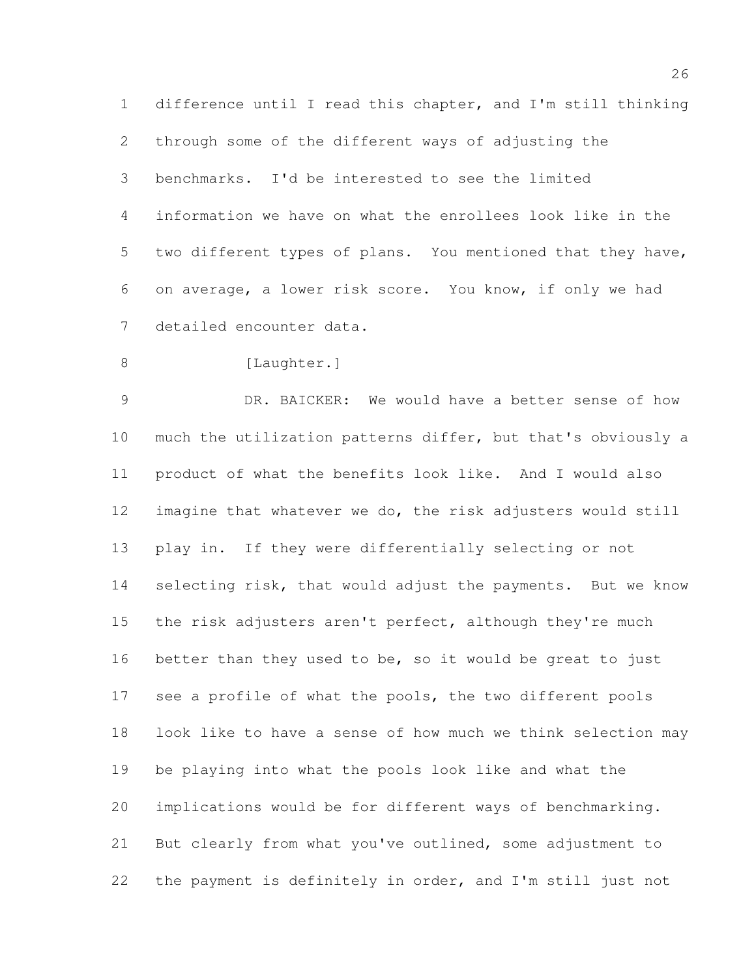difference until I read this chapter, and I'm still thinking through some of the different ways of adjusting the benchmarks. I'd be interested to see the limited information we have on what the enrollees look like in the two different types of plans. You mentioned that they have, on average, a lower risk score. You know, if only we had detailed encounter data.

8 [Laughter.]

 DR. BAICKER: We would have a better sense of how much the utilization patterns differ, but that's obviously a product of what the benefits look like. And I would also imagine that whatever we do, the risk adjusters would still play in. If they were differentially selecting or not 14 selecting risk, that would adjust the payments. But we know the risk adjusters aren't perfect, although they're much better than they used to be, so it would be great to just see a profile of what the pools, the two different pools look like to have a sense of how much we think selection may be playing into what the pools look like and what the implications would be for different ways of benchmarking. But clearly from what you've outlined, some adjustment to the payment is definitely in order, and I'm still just not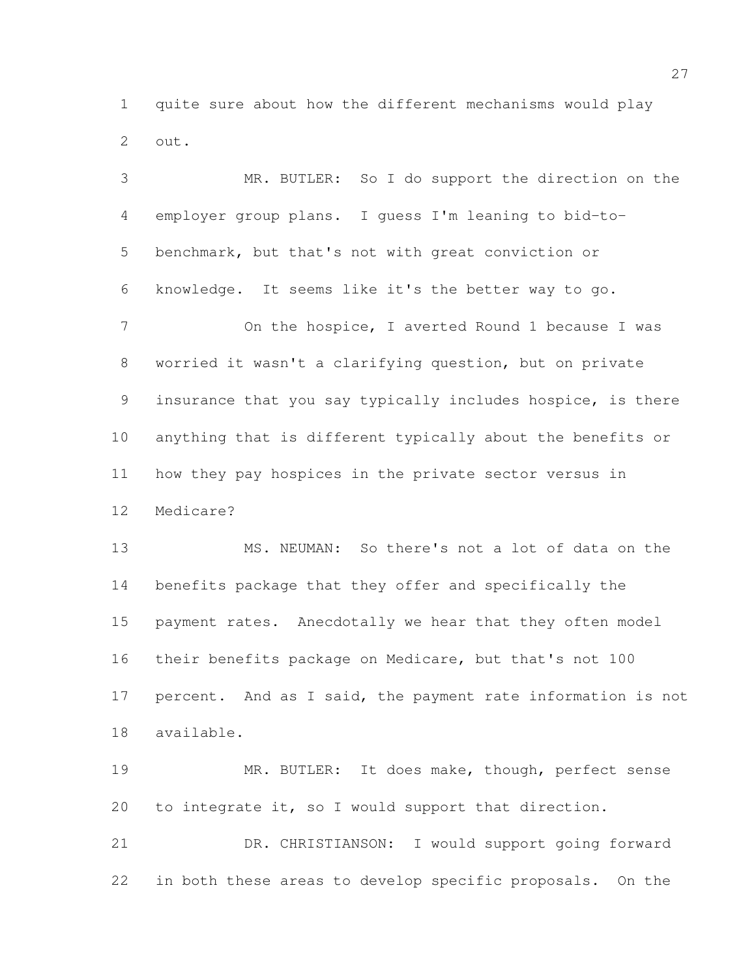quite sure about how the different mechanisms would play out.

 MR. BUTLER: So I do support the direction on the employer group plans. I guess I'm leaning to bid-to- benchmark, but that's not with great conviction or knowledge. It seems like it's the better way to go. 7 On the hospice, I averted Round 1 because I was worried it wasn't a clarifying question, but on private insurance that you say typically includes hospice, is there anything that is different typically about the benefits or how they pay hospices in the private sector versus in Medicare? MS. NEUMAN: So there's not a lot of data on the benefits package that they offer and specifically the payment rates. Anecdotally we hear that they often model their benefits package on Medicare, but that's not 100 percent. And as I said, the payment rate information is not available. MR. BUTLER: It does make, though, perfect sense

 DR. CHRISTIANSON: I would support going forward in both these areas to develop specific proposals. On the

to integrate it, so I would support that direction.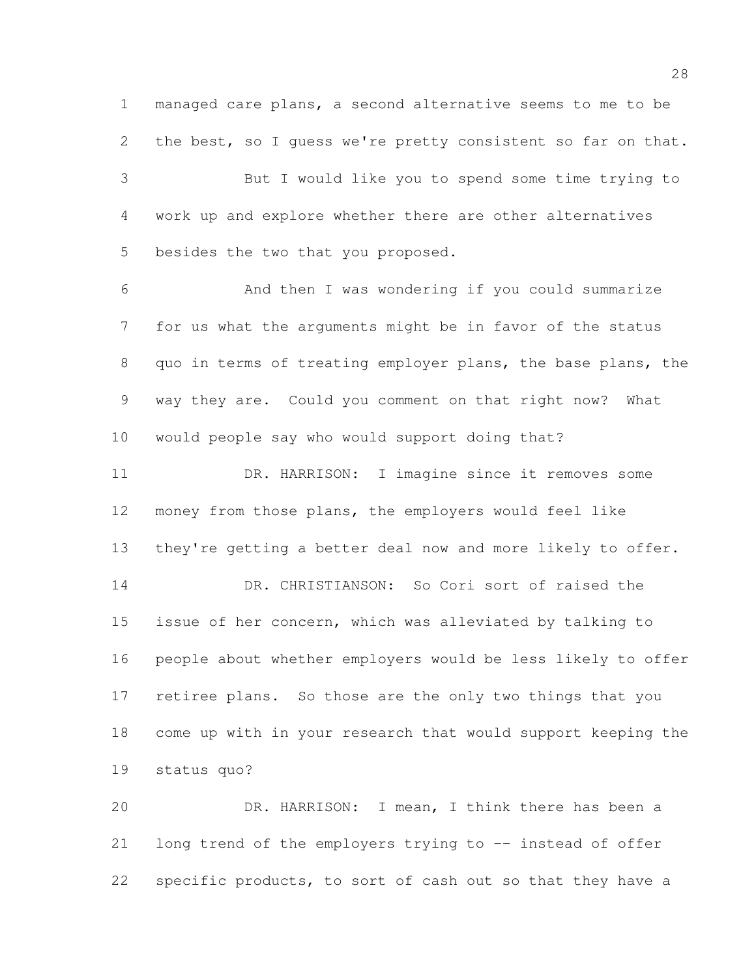managed care plans, a second alternative seems to me to be the best, so I guess we're pretty consistent so far on that. But I would like you to spend some time trying to work up and explore whether there are other alternatives besides the two that you proposed. And then I was wondering if you could summarize for us what the arguments might be in favor of the status quo in terms of treating employer plans, the base plans, the way they are. Could you comment on that right now? What would people say who would support doing that? DR. HARRISON: I imagine since it removes some money from those plans, the employers would feel like 13 they're getting a better deal now and more likely to offer. DR. CHRISTIANSON: So Cori sort of raised the issue of her concern, which was alleviated by talking to people about whether employers would be less likely to offer retiree plans. So those are the only two things that you come up with in your research that would support keeping the status quo? DR. HARRISON: I mean, I think there has been a long trend of the employers trying to -- instead of offer

22 specific products, to sort of cash out so that they have a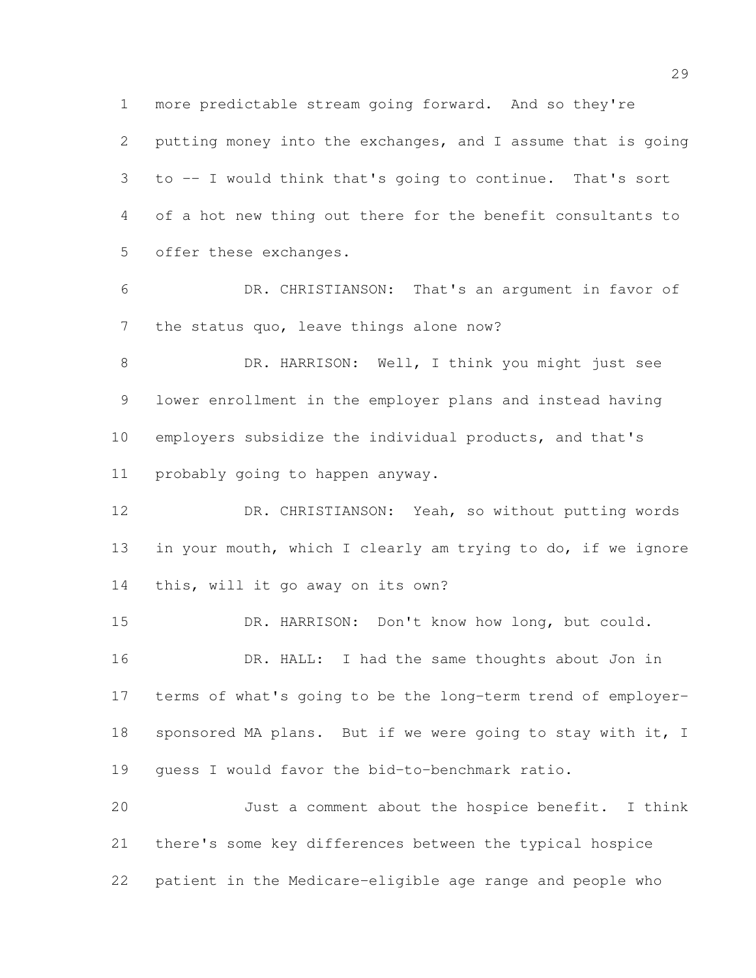more predictable stream going forward. And so they're putting money into the exchanges, and I assume that is going to -- I would think that's going to continue. That's sort of a hot new thing out there for the benefit consultants to offer these exchanges.

 DR. CHRISTIANSON: That's an argument in favor of 7 the status quo, leave things alone now?

 DR. HARRISON: Well, I think you might just see lower enrollment in the employer plans and instead having employers subsidize the individual products, and that's probably going to happen anyway.

 DR. CHRISTIANSON: Yeah, so without putting words in your mouth, which I clearly am trying to do, if we ignore this, will it go away on its own?

 DR. HARRISON: Don't know how long, but could. 16 DR. HALL: I had the same thoughts about Jon in terms of what's going to be the long-term trend of employer-18 sponsored MA plans. But if we were going to stay with it, I guess I would favor the bid-to-benchmark ratio.

 Just a comment about the hospice benefit. I think there's some key differences between the typical hospice patient in the Medicare-eligible age range and people who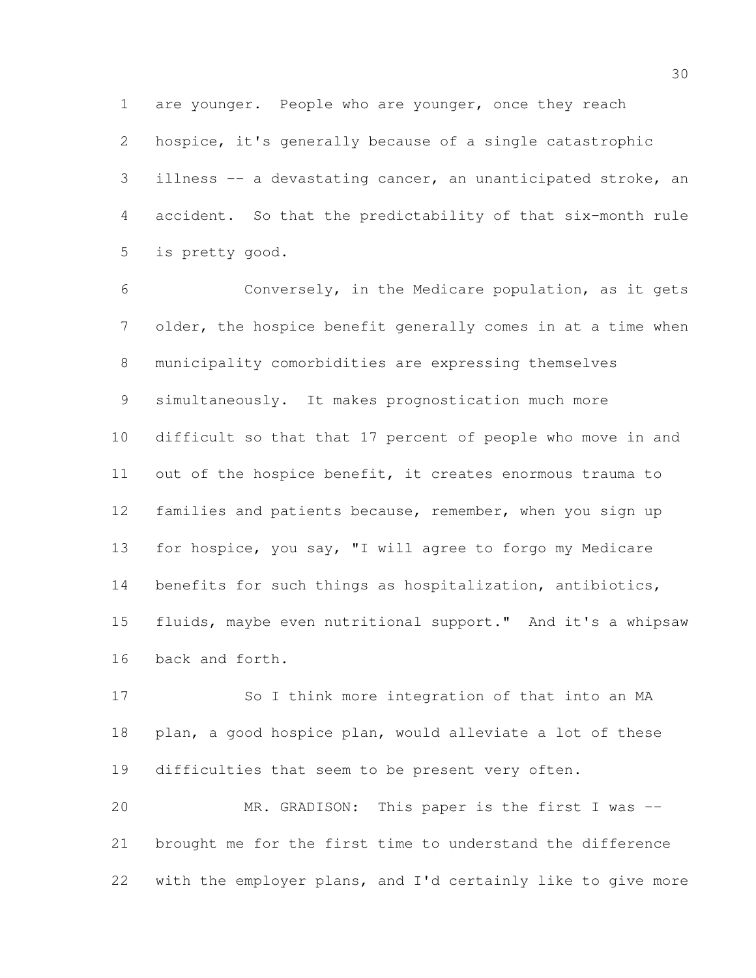hospice, it's generally because of a single catastrophic illness -- a devastating cancer, an unanticipated stroke, an accident. So that the predictability of that six-month rule is pretty good.

are younger. People who are younger, once they reach

 Conversely, in the Medicare population, as it gets older, the hospice benefit generally comes in at a time when municipality comorbidities are expressing themselves simultaneously. It makes prognostication much more difficult so that that 17 percent of people who move in and out of the hospice benefit, it creates enormous trauma to families and patients because, remember, when you sign up for hospice, you say, "I will agree to forgo my Medicare benefits for such things as hospitalization, antibiotics, fluids, maybe even nutritional support." And it's a whipsaw back and forth.

 So I think more integration of that into an MA plan, a good hospice plan, would alleviate a lot of these difficulties that seem to be present very often.

 MR. GRADISON: This paper is the first I was -- brought me for the first time to understand the difference with the employer plans, and I'd certainly like to give more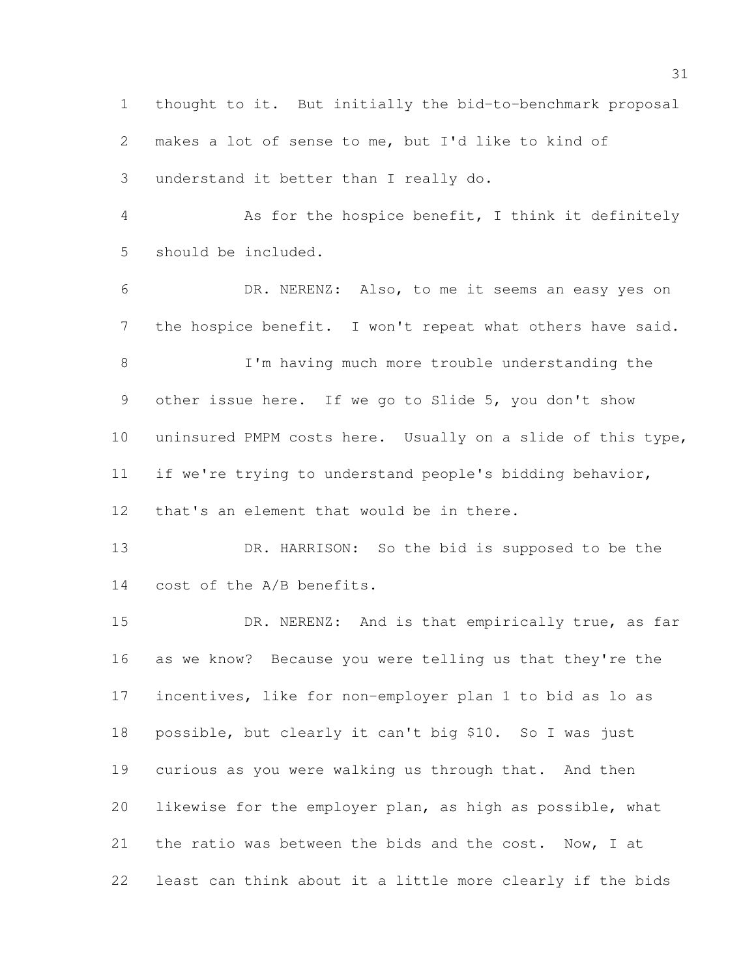thought to it. But initially the bid-to-benchmark proposal makes a lot of sense to me, but I'd like to kind of understand it better than I really do.

 As for the hospice benefit, I think it definitely should be included.

 DR. NERENZ: Also, to me it seems an easy yes on the hospice benefit. I won't repeat what others have said.

8 I'm having much more trouble understanding the other issue here. If we go to Slide 5, you don't show uninsured PMPM costs here. Usually on a slide of this type, if we're trying to understand people's bidding behavior, that's an element that would be in there.

13 DR. HARRISON: So the bid is supposed to be the cost of the A/B benefits.

15 DR. NERENZ: And is that empirically true, as far as we know? Because you were telling us that they're the incentives, like for non-employer plan 1 to bid as lo as possible, but clearly it can't big \$10. So I was just curious as you were walking us through that. And then likewise for the employer plan, as high as possible, what the ratio was between the bids and the cost. Now, I at least can think about it a little more clearly if the bids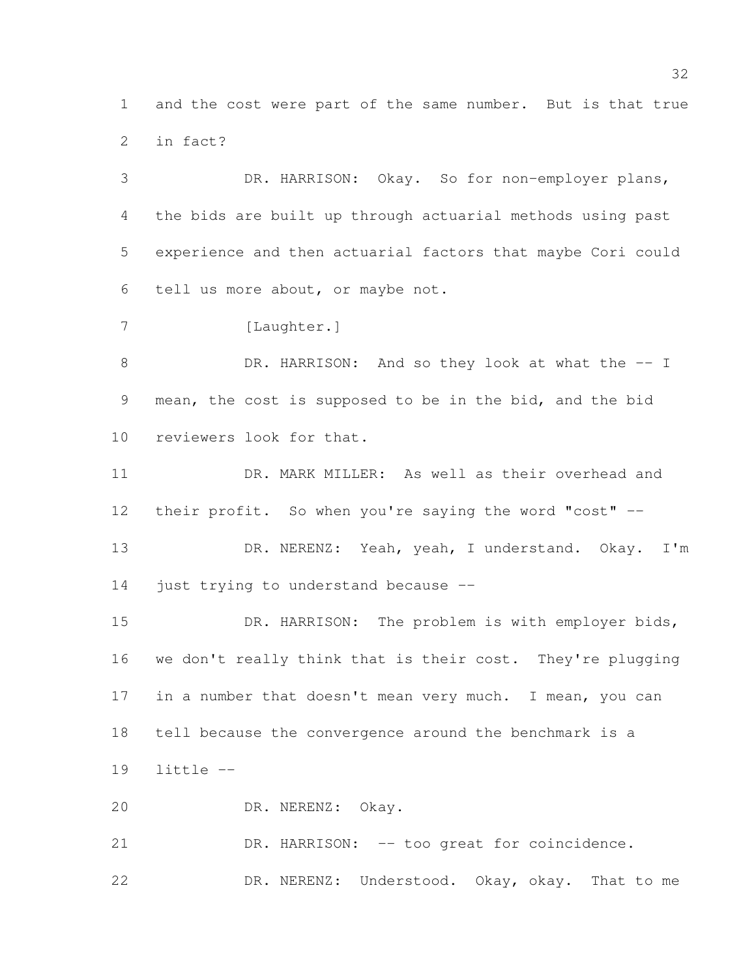and the cost were part of the same number. But is that true in fact?

 DR. HARRISON: Okay. So for non-employer plans, the bids are built up through actuarial methods using past experience and then actuarial factors that maybe Cori could tell us more about, or maybe not. 7 [Laughter.]

8 DR. HARRISON: And so they look at what the -- I mean, the cost is supposed to be in the bid, and the bid reviewers look for that.

 DR. MARK MILLER: As well as their overhead and their profit. So when you're saying the word "cost" --

13 DR. NERENZ: Yeah, yeah, I understand. Okay. I'm just trying to understand because --

15 DR. HARRISON: The problem is with employer bids, we don't really think that is their cost. They're plugging in a number that doesn't mean very much. I mean, you can tell because the convergence around the benchmark is a little --

DR. NERENZ: Okay.

21 DR. HARRISON: -- too great for coincidence. DR. NERENZ: Understood. Okay, okay. That to me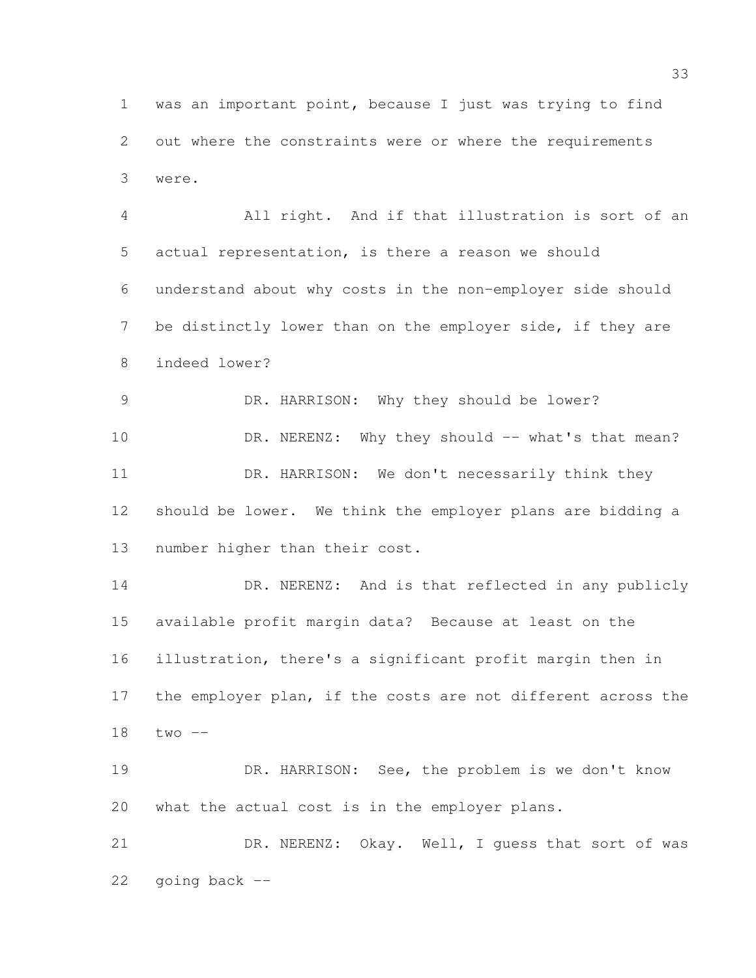was an important point, because I just was trying to find out where the constraints were or where the requirements were.

 All right. And if that illustration is sort of an actual representation, is there a reason we should understand about why costs in the non-employer side should 7 be distinctly lower than on the employer side, if they are indeed lower?

 DR. HARRISON: Why they should be lower? 10 DR. NERENZ: Why they should -- what's that mean? 11 DR. HARRISON: We don't necessarily think they should be lower. We think the employer plans are bidding a number higher than their cost.

 DR. NERENZ: And is that reflected in any publicly available profit margin data? Because at least on the illustration, there's a significant profit margin then in the employer plan, if the costs are not different across the two --

 DR. HARRISON: See, the problem is we don't know what the actual cost is in the employer plans.

 DR. NERENZ: Okay. Well, I guess that sort of was going back --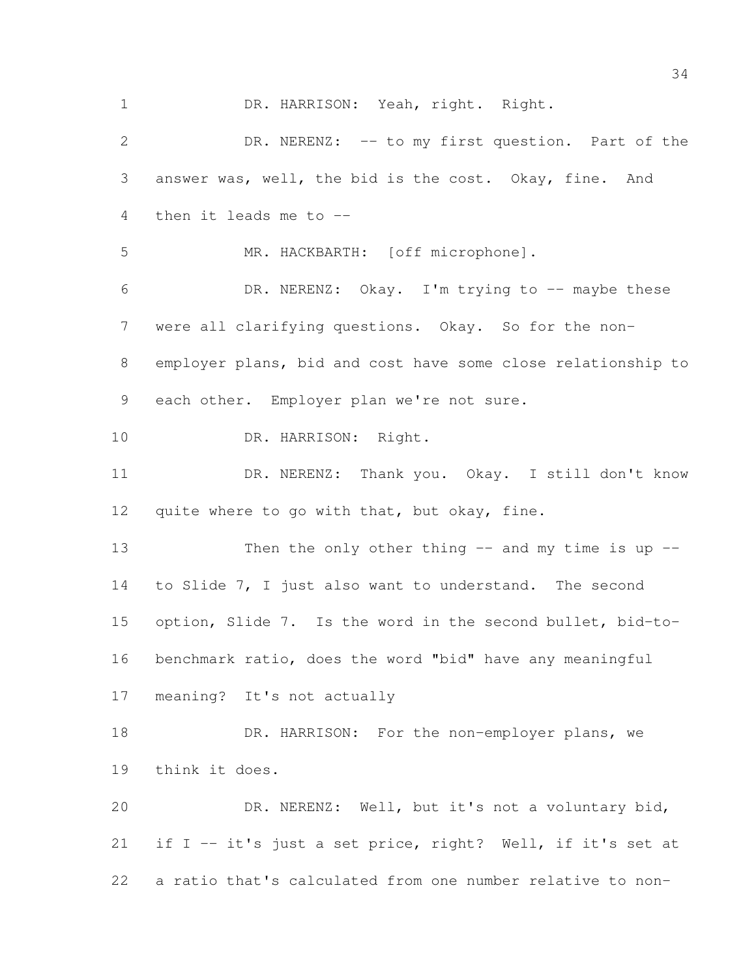1 DR. HARRISON: Yeah, right. Right. DR. NERENZ: -- to my first question. Part of the answer was, well, the bid is the cost. Okay, fine. And then it leads me to -- MR. HACKBARTH: [off microphone]. DR. NERENZ: Okay. I'm trying to -- maybe these were all clarifying questions. Okay. So for the non- employer plans, bid and cost have some close relationship to each other. Employer plan we're not sure. DR. HARRISON: Right. DR. NERENZ: Thank you. Okay. I still don't know quite where to go with that, but okay, fine. 13 Then the only other thing  $-$  and my time is up  $-$  to Slide 7, I just also want to understand. The second option, Slide 7. Is the word in the second bullet, bid-to- benchmark ratio, does the word "bid" have any meaningful meaning? It's not actually 18 DR. HARRISON: For the non-employer plans, we think it does. DR. NERENZ: Well, but it's not a voluntary bid, if I -- it's just a set price, right? Well, if it's set at a ratio that's calculated from one number relative to non-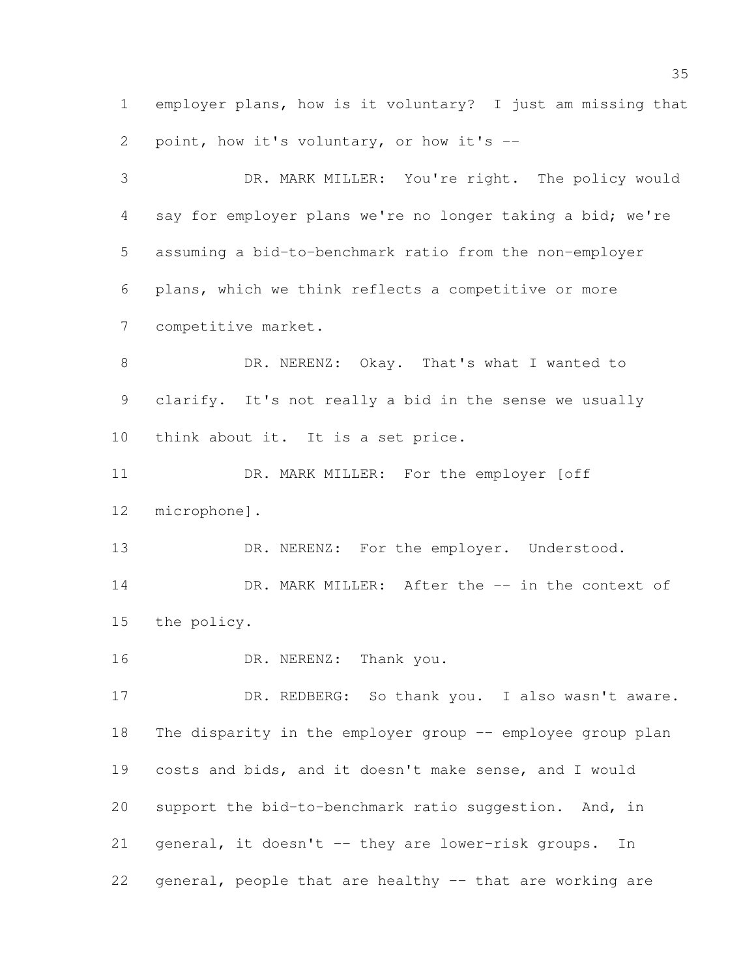employer plans, how is it voluntary? I just am missing that point, how it's voluntary, or how it's --

 DR. MARK MILLER: You're right. The policy would say for employer plans we're no longer taking a bid; we're assuming a bid-to-benchmark ratio from the non-employer plans, which we think reflects a competitive or more competitive market. DR. NERENZ: Okay. That's what I wanted to clarify. It's not really a bid in the sense we usually think about it. It is a set price. DR. MARK MILLER: For the employer [off microphone]. 13 DR. NERENZ: For the employer. Understood. 14 DR. MARK MILLER: After the  $-$  in the context of the policy. 16 DR. NERENZ: Thank you. 17 DR. REDBERG: So thank you. I also wasn't aware. 18 The disparity in the employer group -- employee group plan costs and bids, and it doesn't make sense, and I would 20 support the bid-to-benchmark ratio suggestion. And, in general, it doesn't -- they are lower-risk groups. In

general, people that are healthy -- that are working are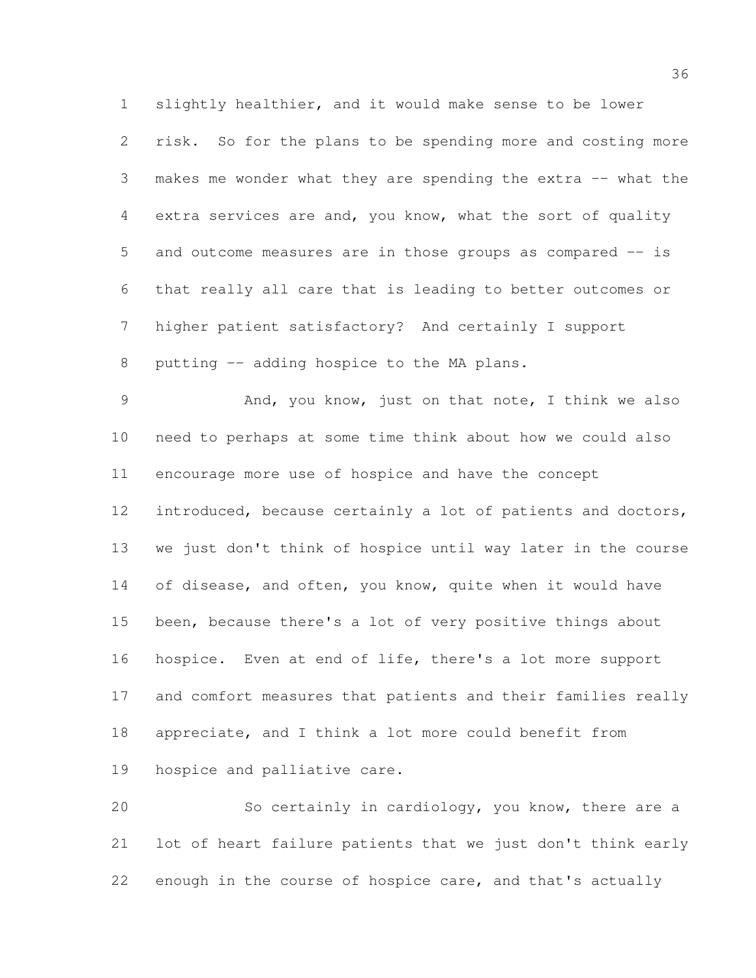slightly healthier, and it would make sense to be lower risk. So for the plans to be spending more and costing more makes me wonder what they are spending the extra -- what the extra services are and, you know, what the sort of quality and outcome measures are in those groups as compared -- is that really all care that is leading to better outcomes or higher patient satisfactory? And certainly I support

8 putting -- adding hospice to the MA plans.

9 And, you know, just on that note, I think we also need to perhaps at some time think about how we could also encourage more use of hospice and have the concept introduced, because certainly a lot of patients and doctors, we just don't think of hospice until way later in the course 14 of disease, and often, you know, quite when it would have been, because there's a lot of very positive things about hospice. Even at end of life, there's a lot more support and comfort measures that patients and their families really appreciate, and I think a lot more could benefit from

hospice and palliative care.

 So certainly in cardiology, you know, there are a lot of heart failure patients that we just don't think early enough in the course of hospice care, and that's actually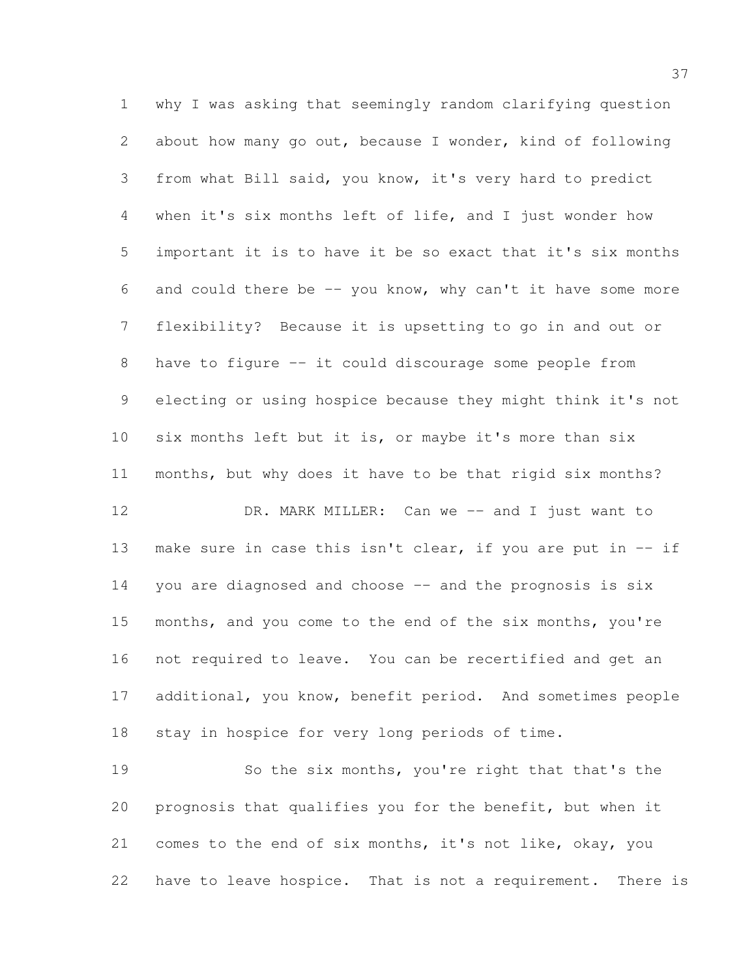why I was asking that seemingly random clarifying question about how many go out, because I wonder, kind of following from what Bill said, you know, it's very hard to predict when it's six months left of life, and I just wonder how important it is to have it be so exact that it's six months 6 and could there be  $-$  you know, why can't it have some more flexibility? Because it is upsetting to go in and out or 8 have to figure -- it could discourage some people from electing or using hospice because they might think it's not six months left but it is, or maybe it's more than six months, but why does it have to be that rigid six months? 12 DR. MARK MILLER: Can we -- and I just want to

13 make sure in case this isn't clear, if you are put in  $-$  if 14 you are diagnosed and choose -- and the prognosis is six months, and you come to the end of the six months, you're not required to leave. You can be recertified and get an additional, you know, benefit period. And sometimes people stay in hospice for very long periods of time.

 So the six months, you're right that that's the prognosis that qualifies you for the benefit, but when it comes to the end of six months, it's not like, okay, you have to leave hospice. That is not a requirement. There is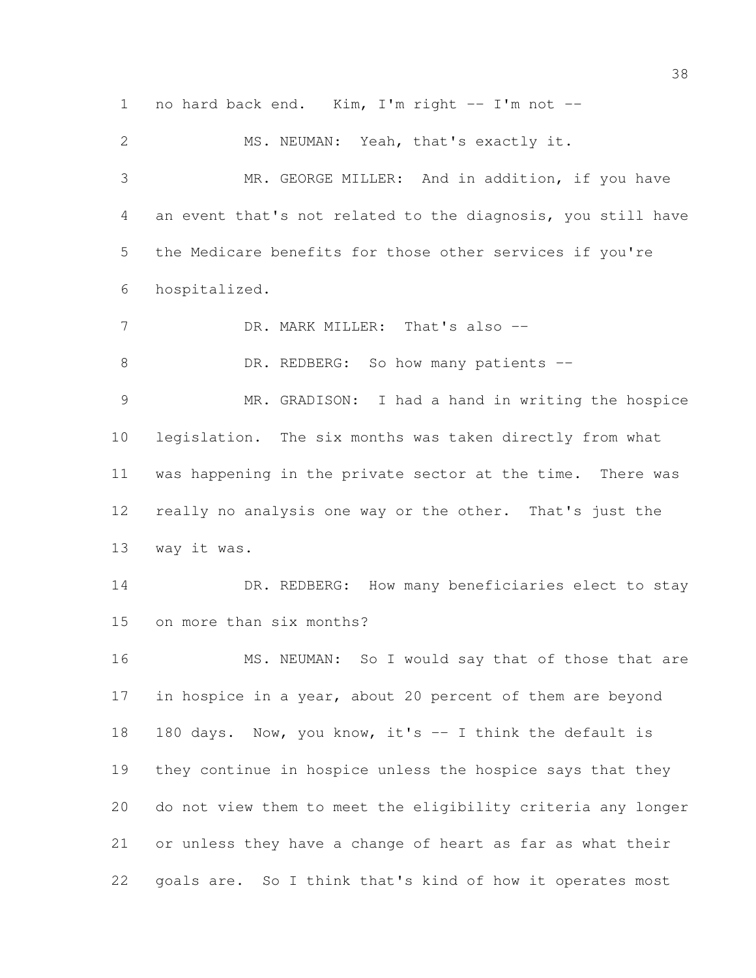1 no hard back end. Kim, I'm right  $-$  I'm not  $-$  MS. NEUMAN: Yeah, that's exactly it. MR. GEORGE MILLER: And in addition, if you have an event that's not related to the diagnosis, you still have the Medicare benefits for those other services if you're hospitalized. 7 DR. MARK MILLER: That's also --8 DR. REDBERG: So how many patients -- MR. GRADISON: I had a hand in writing the hospice legislation. The six months was taken directly from what was happening in the private sector at the time. There was really no analysis one way or the other. That's just the way it was. 14 DR. REDBERG: How many beneficiaries elect to stay on more than six months? 16 MS. NEUMAN: So I would say that of those that are 17 in hospice in a year, about 20 percent of them are beyond 18 180 days. Now, you know, it's -- I think the default is they continue in hospice unless the hospice says that they do not view them to meet the eligibility criteria any longer or unless they have a change of heart as far as what their goals are. So I think that's kind of how it operates most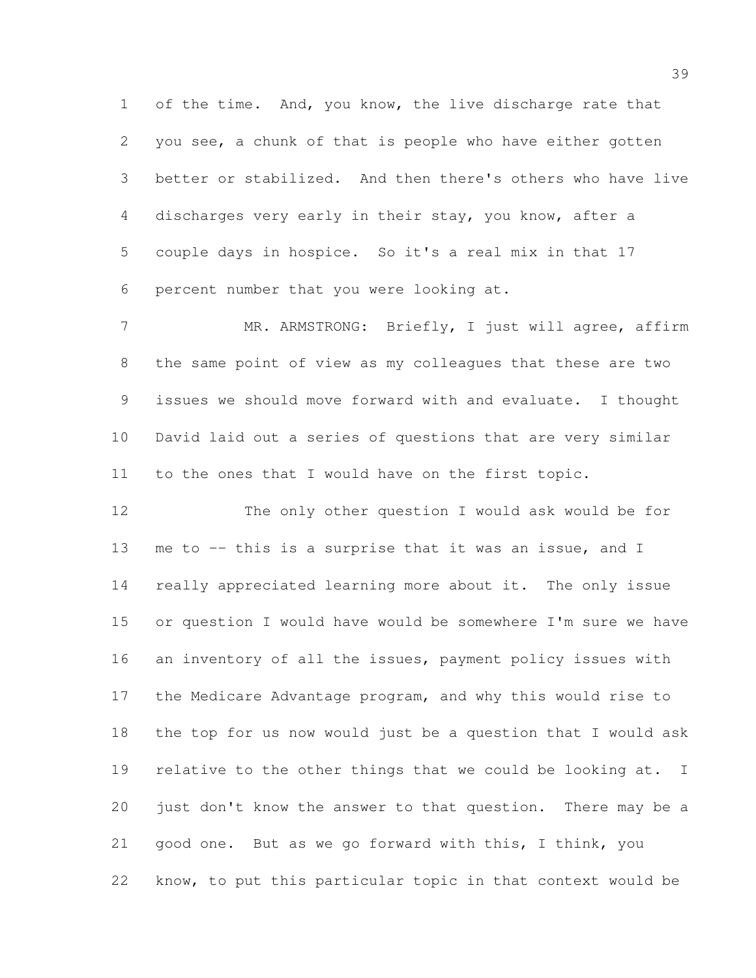of the time. And, you know, the live discharge rate that you see, a chunk of that is people who have either gotten better or stabilized. And then there's others who have live discharges very early in their stay, you know, after a couple days in hospice. So it's a real mix in that 17 percent number that you were looking at.

7 MR. ARMSTRONG: Briefly, I just will agree, affirm the same point of view as my colleagues that these are two issues we should move forward with and evaluate. I thought David laid out a series of questions that are very similar to the ones that I would have on the first topic.

 The only other question I would ask would be for 13 me to -- this is a surprise that it was an issue, and I really appreciated learning more about it. The only issue or question I would have would be somewhere I'm sure we have 16 an inventory of all the issues, payment policy issues with the Medicare Advantage program, and why this would rise to the top for us now would just be a question that I would ask 19 relative to the other things that we could be looking at. I just don't know the answer to that question. There may be a good one. But as we go forward with this, I think, you know, to put this particular topic in that context would be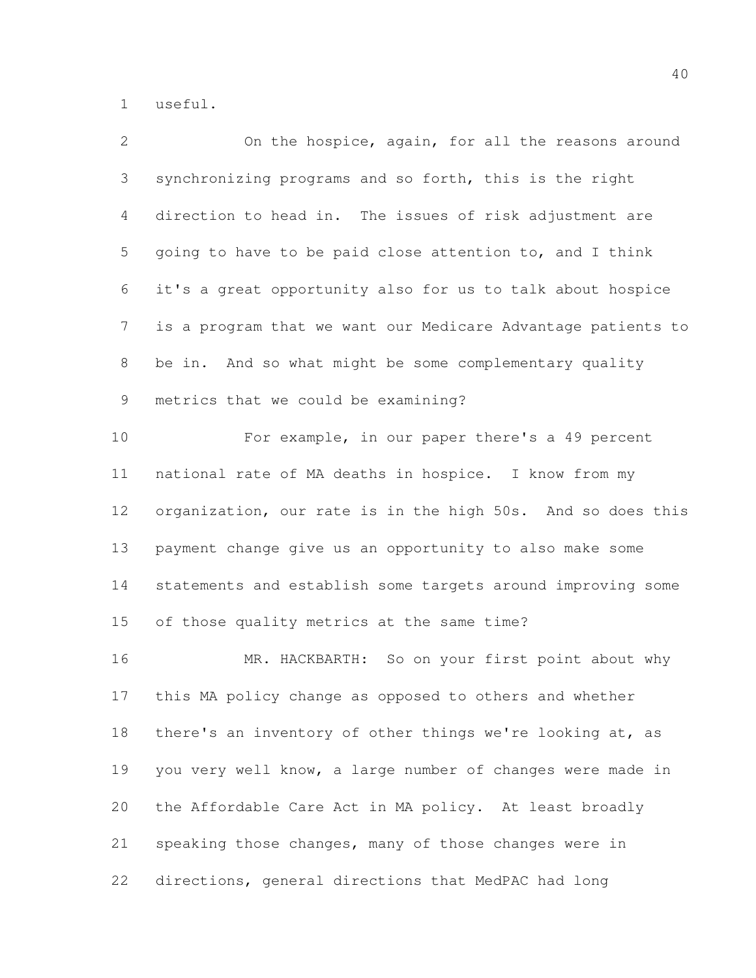useful.

| 2  | On the hospice, again, for all the reasons around            |
|----|--------------------------------------------------------------|
| 3  | synchronizing programs and so forth, this is the right       |
| 4  | direction to head in. The issues of risk adjustment are      |
| 5  | going to have to be paid close attention to, and I think     |
| 6  | it's a great opportunity also for us to talk about hospice   |
| 7  | is a program that we want our Medicare Advantage patients to |
| 8  | be in. And so what might be some complementary quality       |
| 9  | metrics that we could be examining?                          |
| 10 | For example, in our paper there's a 49 percent               |
| 11 | national rate of MA deaths in hospice. I know from my        |
| 12 | organization, our rate is in the high 50s. And so does this  |
| 13 | payment change give us an opportunity to also make some      |
| 14 | statements and establish some targets around improving some  |
| 15 | of those quality metrics at the same time?                   |
| 16 | MR. HACKBARTH: So on your first point about why              |
| 17 | this MA policy change as opposed to others and whether       |
| 18 | there's an inventory of other things we're looking at, as    |
| 19 | you very well know, a large number of changes were made in   |
| 20 | the Affordable Care Act in MA policy. At least broadly       |
| 21 | speaking those changes, many of those changes were in        |
| 22 | directions, general directions that MedPAC had long          |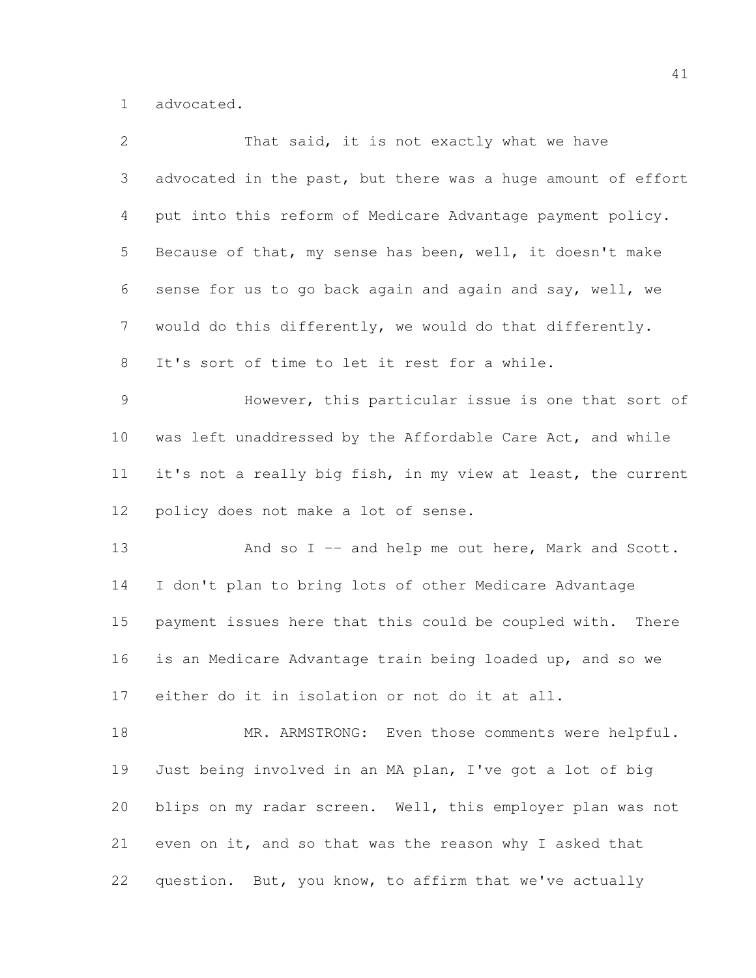advocated.

| 2              | That said, it is not exactly what we have                    |
|----------------|--------------------------------------------------------------|
| 3              | advocated in the past, but there was a huge amount of effort |
| 4              | put into this reform of Medicare Advantage payment policy.   |
| 5              | Because of that, my sense has been, well, it doesn't make    |
| 6              | sense for us to go back again and again and say, well, we    |
| $7\phantom{.}$ | would do this differently, we would do that differently.     |
| $8\,$          | It's sort of time to let it rest for a while.                |
| $\mathcal{G}$  | However, this particular issue is one that sort of           |
| 10             | was left unaddressed by the Affordable Care Act, and while   |
| 11             | it's not a really big fish, in my view at least, the current |
| 12             | policy does not make a lot of sense.                         |
| 13             | And so I -- and help me out here, Mark and Scott.            |
| 14             | I don't plan to bring lots of other Medicare Advantage       |
| 15             | payment issues here that this could be coupled with. There   |
| 16             | is an Medicare Advantage train being loaded up, and so we    |
| 17             | either do it in isolation or not do it at all.               |
| 18             | MR. ARMSTRONG: Even those comments were helpful.             |
| 19             | Just being involved in an MA plan, I've got a lot of big     |
| 20             | blips on my radar screen. Well, this employer plan was not   |
| 21             | even on it, and so that was the reason why I asked that      |
| 22             | question. But, you know, to affirm that we've actually       |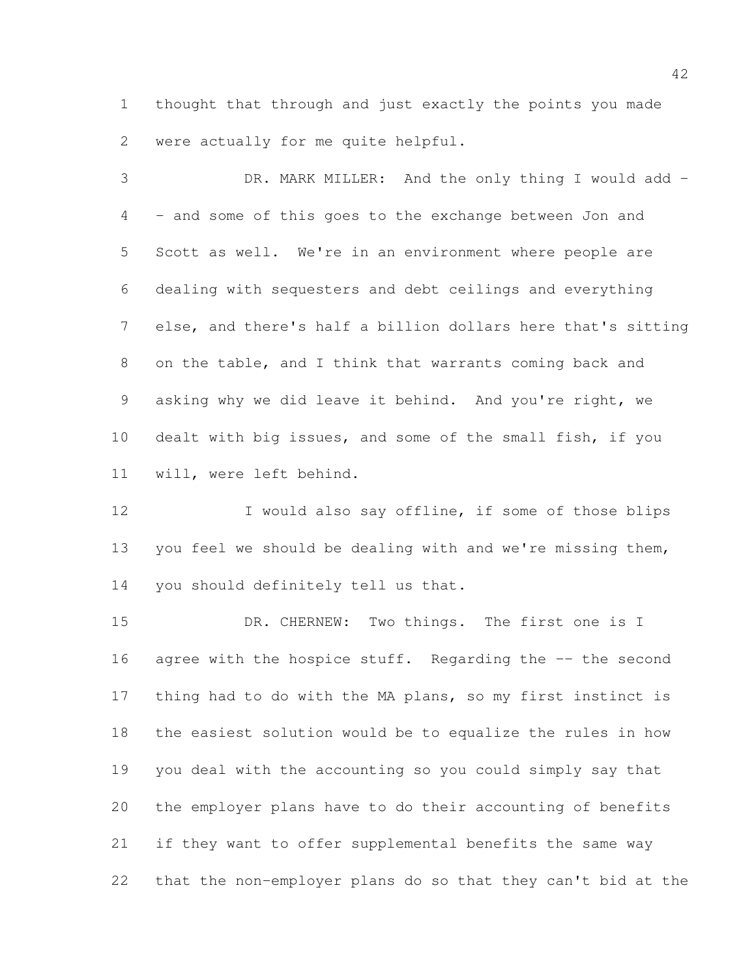thought that through and just exactly the points you made were actually for me quite helpful.

 DR. MARK MILLER: And the only thing I would add - - and some of this goes to the exchange between Jon and Scott as well. We're in an environment where people are dealing with sequesters and debt ceilings and everything else, and there's half a billion dollars here that's sitting on the table, and I think that warrants coming back and asking why we did leave it behind. And you're right, we dealt with big issues, and some of the small fish, if you will, were left behind.

12 I would also say offline, if some of those blips 13 you feel we should be dealing with and we're missing them, you should definitely tell us that.

15 DR. CHERNEW: Two things. The first one is I 16 agree with the hospice stuff. Regarding the -- the second thing had to do with the MA plans, so my first instinct is the easiest solution would be to equalize the rules in how you deal with the accounting so you could simply say that the employer plans have to do their accounting of benefits if they want to offer supplemental benefits the same way that the non-employer plans do so that they can't bid at the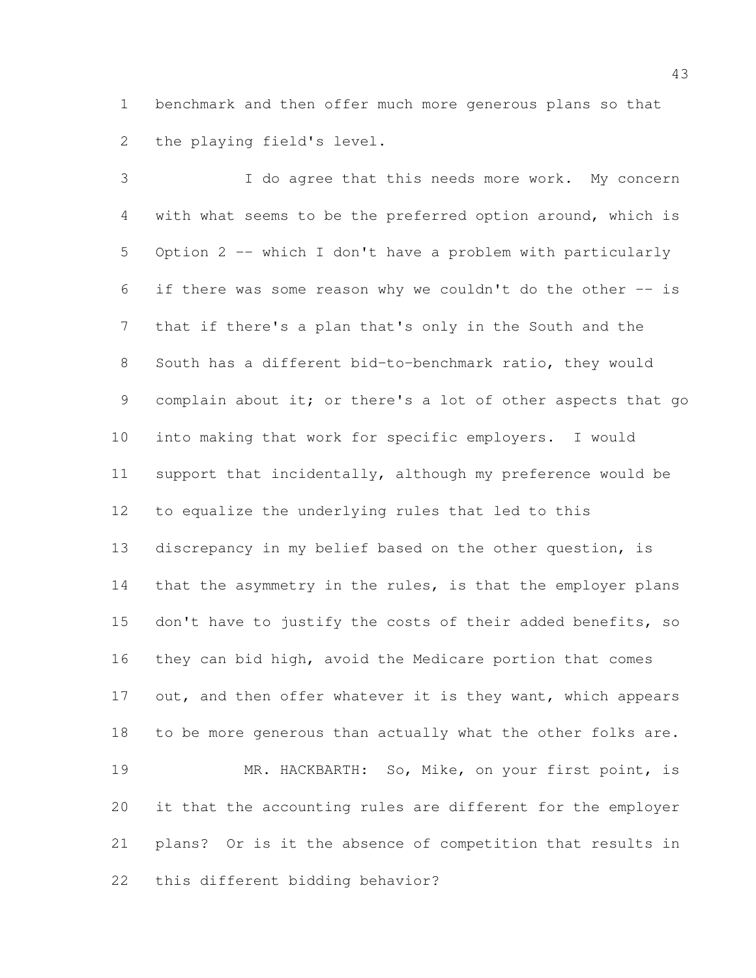benchmark and then offer much more generous plans so that the playing field's level.

 I do agree that this needs more work. My concern with what seems to be the preferred option around, which is Option 2 -- which I don't have a problem with particularly if there was some reason why we couldn't do the other -- is that if there's a plan that's only in the South and the South has a different bid-to-benchmark ratio, they would 9 complain about it; or there's a lot of other aspects that go into making that work for specific employers. I would support that incidentally, although my preference would be to equalize the underlying rules that led to this discrepancy in my belief based on the other question, is 14 that the asymmetry in the rules, is that the employer plans 15 don't have to justify the costs of their added benefits, so they can bid high, avoid the Medicare portion that comes 17 out, and then offer whatever it is they want, which appears to be more generous than actually what the other folks are. MR. HACKBARTH: So, Mike, on your first point, is it that the accounting rules are different for the employer plans? Or is it the absence of competition that results in this different bidding behavior?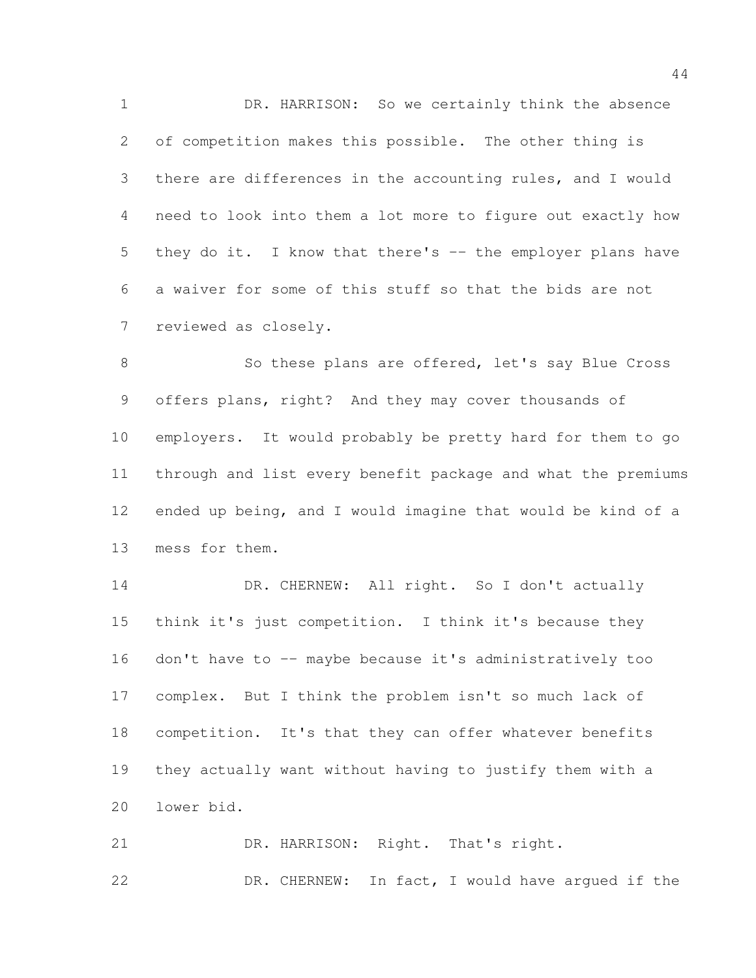DR. HARRISON: So we certainly think the absence of competition makes this possible. The other thing is there are differences in the accounting rules, and I would need to look into them a lot more to figure out exactly how 5 they do it. I know that there's -- the employer plans have a waiver for some of this stuff so that the bids are not reviewed as closely.

8 So these plans are offered, let's say Blue Cross offers plans, right? And they may cover thousands of employers. It would probably be pretty hard for them to go through and list every benefit package and what the premiums ended up being, and I would imagine that would be kind of a mess for them.

 DR. CHERNEW: All right. So I don't actually think it's just competition. I think it's because they 16 don't have to -- maybe because it's administratively too complex. But I think the problem isn't so much lack of competition. It's that they can offer whatever benefits they actually want without having to justify them with a lower bid.

21 DR. HARRISON: Right. That's right. DR. CHERNEW: In fact, I would have argued if the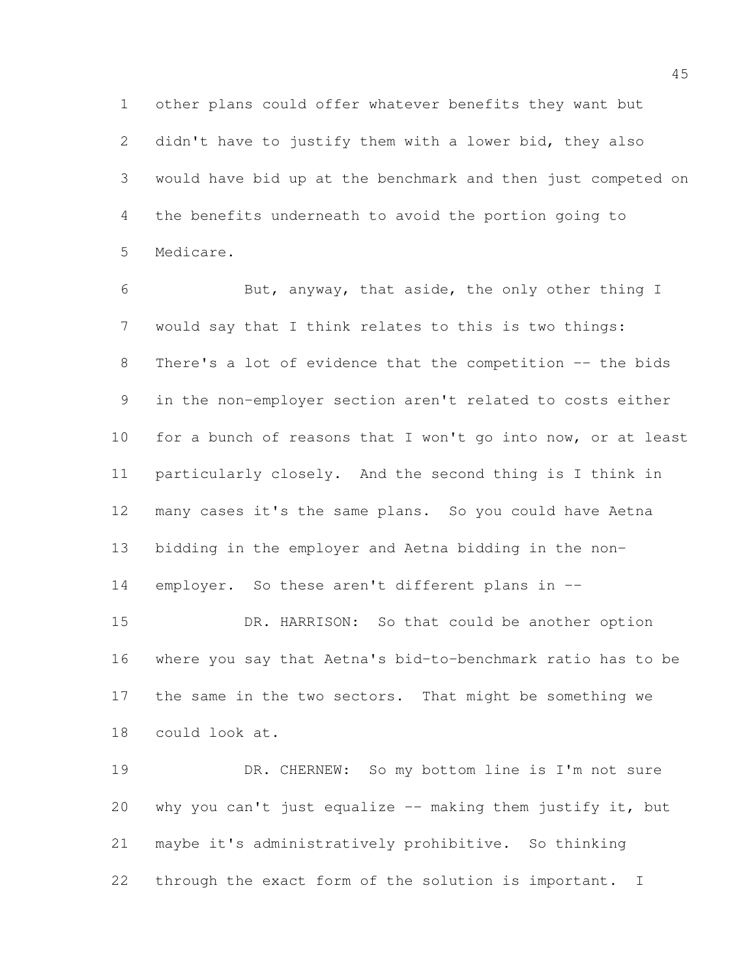other plans could offer whatever benefits they want but didn't have to justify them with a lower bid, they also would have bid up at the benchmark and then just competed on the benefits underneath to avoid the portion going to Medicare.

 But, anyway, that aside, the only other thing I would say that I think relates to this is two things: 8 There's a lot of evidence that the competition -- the bids in the non-employer section aren't related to costs either 10 for a bunch of reasons that I won't go into now, or at least particularly closely. And the second thing is I think in many cases it's the same plans. So you could have Aetna bidding in the employer and Aetna bidding in the non-14 employer. So these aren't different plans in --

 DR. HARRISON: So that could be another option where you say that Aetna's bid-to-benchmark ratio has to be the same in the two sectors. That might be something we could look at.

 DR. CHERNEW: So my bottom line is I'm not sure why you can't just equalize -- making them justify it, but maybe it's administratively prohibitive. So thinking through the exact form of the solution is important. I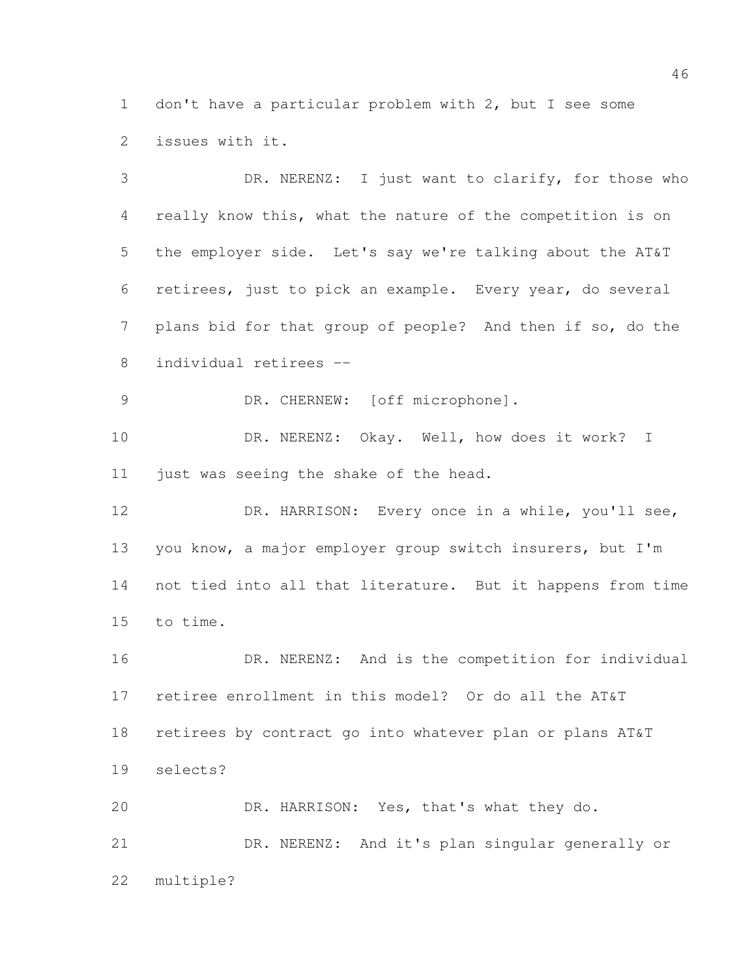don't have a particular problem with 2, but I see some issues with it.

 DR. NERENZ: I just want to clarify, for those who really know this, what the nature of the competition is on the employer side. Let's say we're talking about the AT&T retirees, just to pick an example. Every year, do several plans bid for that group of people? And then if so, do the individual retirees -- 9 DR. CHERNEW: [off microphone]. DR. NERENZ: Okay. Well, how does it work? I just was seeing the shake of the head. DR. HARRISON: Every once in a while, you'll see, you know, a major employer group switch insurers, but I'm not tied into all that literature. But it happens from time to time. 16 DR. NERENZ: And is the competition for individual retiree enrollment in this model? Or do all the AT&T retirees by contract go into whatever plan or plans AT&T selects? DR. HARRISON: Yes, that's what they do. DR. NERENZ: And it's plan singular generally or multiple?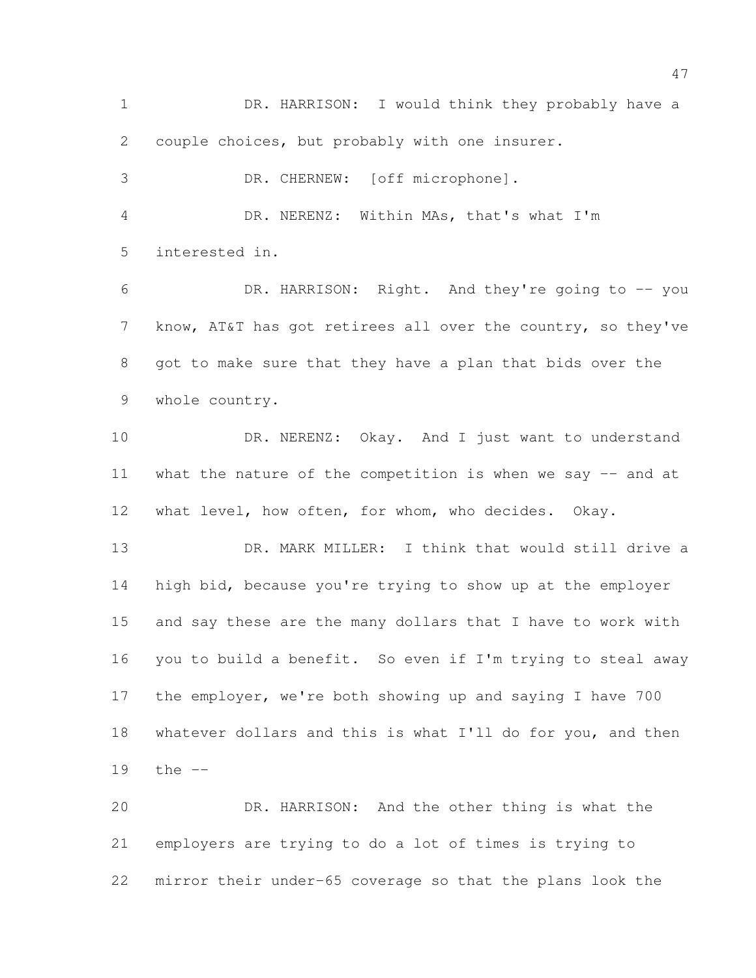DR. HARRISON: I would think they probably have a couple choices, but probably with one insurer. DR. CHERNEW: [off microphone]. DR. NERENZ: Within MAs, that's what I'm interested in. DR. HARRISON: Right. And they're going to -- you 7 know, AT&T has got retirees all over the country, so they've got to make sure that they have a plan that bids over the whole country. 10 DR. NERENZ: Okay. And I just want to understand 11 what the nature of the competition is when we say -- and at what level, how often, for whom, who decides. Okay. DR. MARK MILLER: I think that would still drive a high bid, because you're trying to show up at the employer and say these are the many dollars that I have to work with you to build a benefit. So even if I'm trying to steal away the employer, we're both showing up and saying I have 700 18 whatever dollars and this is what I'll do for you, and then the -- DR. HARRISON: And the other thing is what the employers are trying to do a lot of times is trying to mirror their under-65 coverage so that the plans look the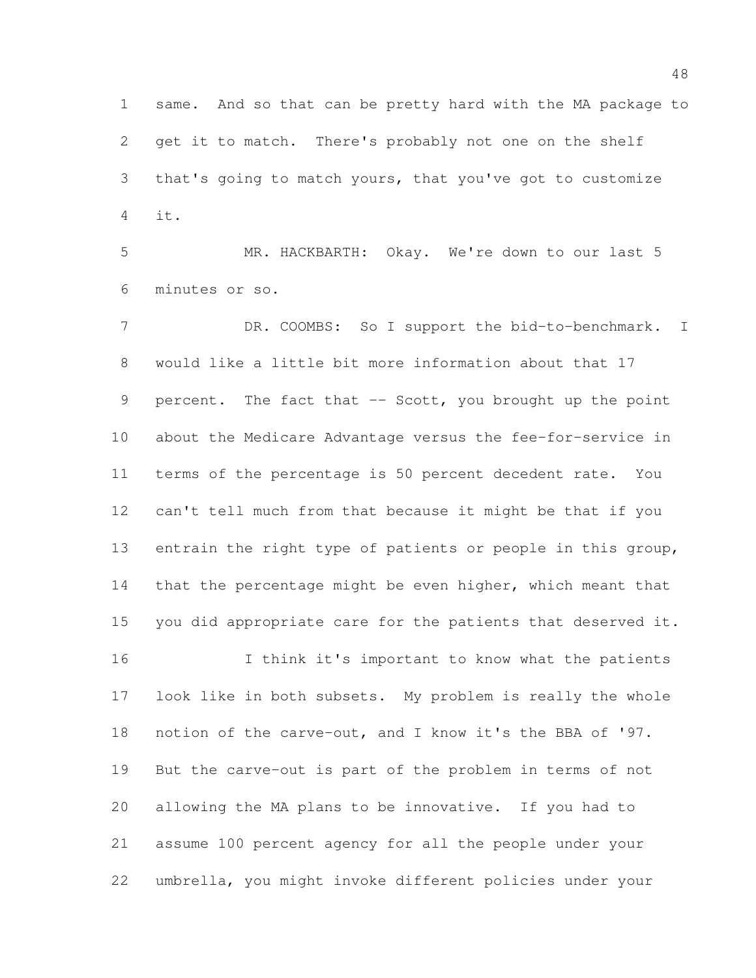same. And so that can be pretty hard with the MA package to get it to match. There's probably not one on the shelf that's going to match yours, that you've got to customize it.

 MR. HACKBARTH: Okay. We're down to our last 5 minutes or so.

7 DR. COOMBS: So I support the bid-to-benchmark. I would like a little bit more information about that 17 9 percent. The fact that -- Scott, you brought up the point about the Medicare Advantage versus the fee-for-service in terms of the percentage is 50 percent decedent rate. You can't tell much from that because it might be that if you entrain the right type of patients or people in this group, 14 that the percentage might be even higher, which meant that you did appropriate care for the patients that deserved it. 16 I think it's important to know what the patients look like in both subsets. My problem is really the whole notion of the carve-out, and I know it's the BBA of '97.

 But the carve-out is part of the problem in terms of not allowing the MA plans to be innovative. If you had to assume 100 percent agency for all the people under your umbrella, you might invoke different policies under your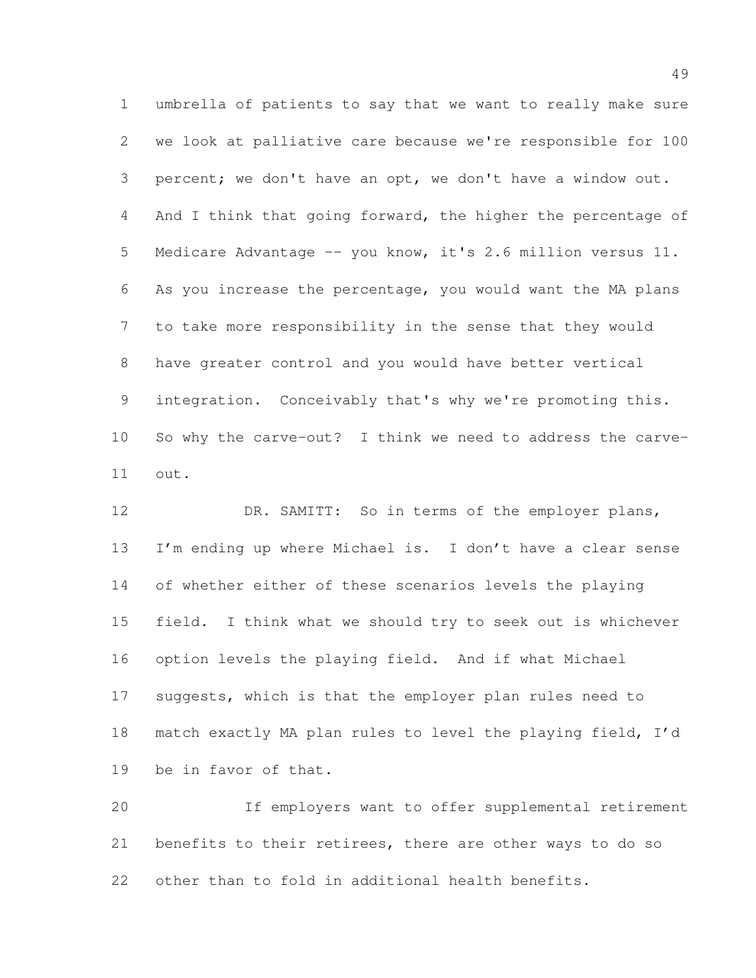umbrella of patients to say that we want to really make sure we look at palliative care because we're responsible for 100 percent; we don't have an opt, we don't have a window out. 4 And I think that going forward, the higher the percentage of Medicare Advantage -- you know, it's 2.6 million versus 11. As you increase the percentage, you would want the MA plans to take more responsibility in the sense that they would have greater control and you would have better vertical integration. Conceivably that's why we're promoting this. So why the carve-out? I think we need to address the carve-out.

12 DR. SAMITT: So in terms of the employer plans, 13 I'm ending up where Michael is. I don't have a clear sense of whether either of these scenarios levels the playing field. I think what we should try to seek out is whichever option levels the playing field. And if what Michael suggests, which is that the employer plan rules need to match exactly MA plan rules to level the playing field, I'd be in favor of that.

 If employers want to offer supplemental retirement benefits to their retirees, there are other ways to do so other than to fold in additional health benefits.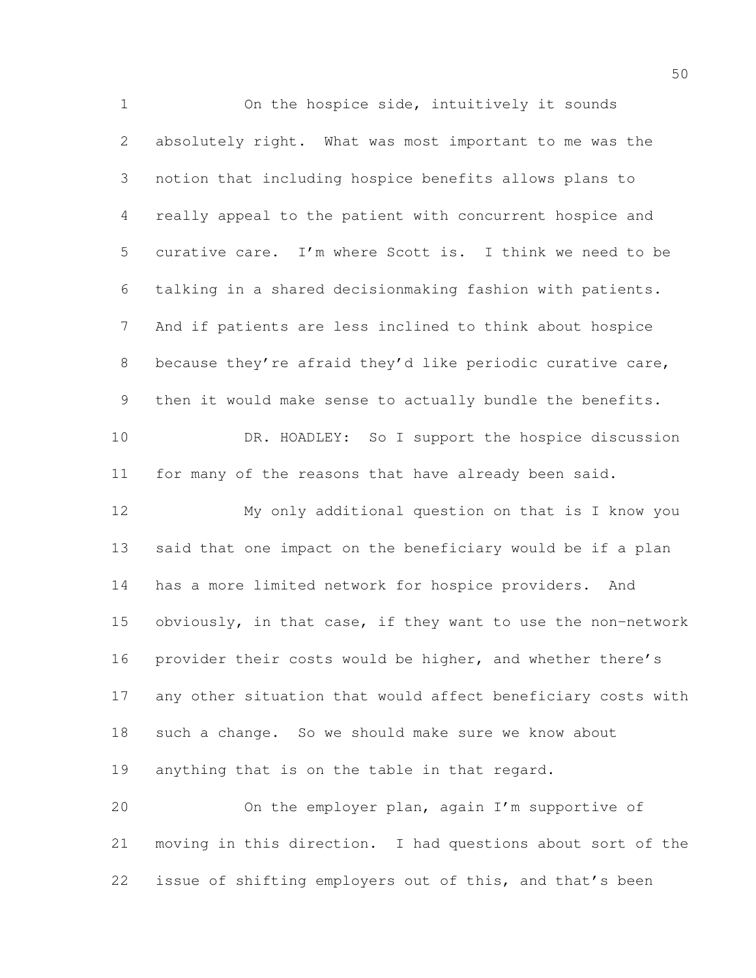On the hospice side, intuitively it sounds absolutely right. What was most important to me was the notion that including hospice benefits allows plans to really appeal to the patient with concurrent hospice and curative care. I'm where Scott is. I think we need to be talking in a shared decisionmaking fashion with patients. And if patients are less inclined to think about hospice because they're afraid they'd like periodic curative care, then it would make sense to actually bundle the benefits. 10 DR. HOADLEY: So I support the hospice discussion for many of the reasons that have already been said. My only additional question on that is I know you said that one impact on the beneficiary would be if a plan has a more limited network for hospice providers. And obviously, in that case, if they want to use the non-network provider their costs would be higher, and whether there's any other situation that would affect beneficiary costs with such a change. So we should make sure we know about anything that is on the table in that regard. On the employer plan, again I'm supportive of moving in this direction. I had questions about sort of the issue of shifting employers out of this, and that's been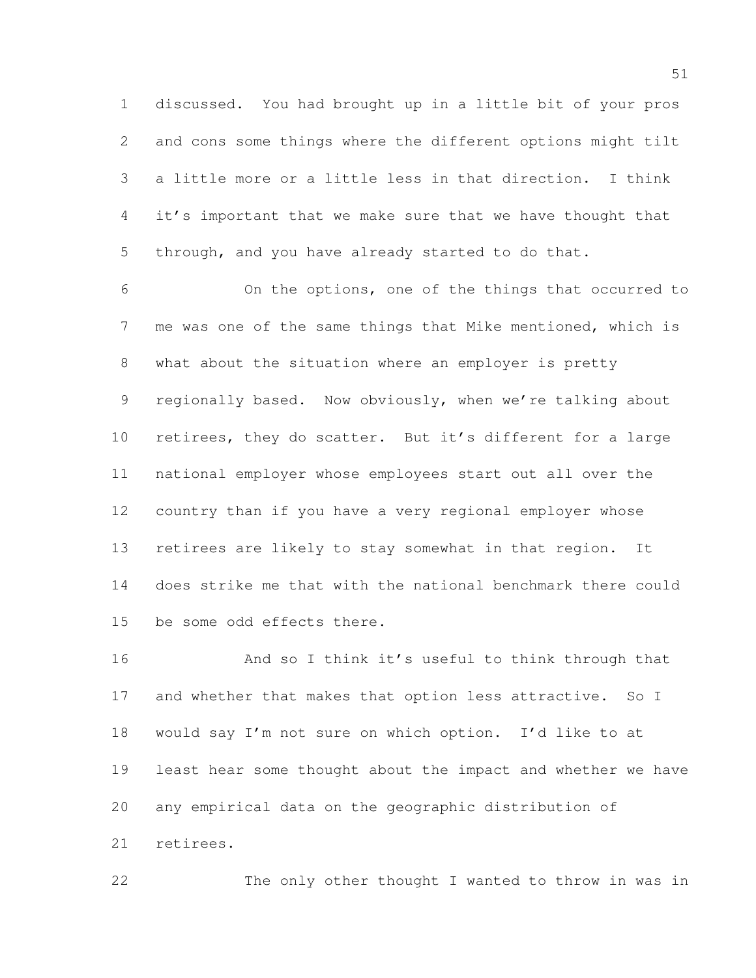discussed. You had brought up in a little bit of your pros and cons some things where the different options might tilt a little more or a little less in that direction. I think it's important that we make sure that we have thought that through, and you have already started to do that.

 On the options, one of the things that occurred to me was one of the same things that Mike mentioned, which is what about the situation where an employer is pretty 9 regionally based. Now obviously, when we're talking about retirees, they do scatter. But it's different for a large national employer whose employees start out all over the country than if you have a very regional employer whose retirees are likely to stay somewhat in that region. It does strike me that with the national benchmark there could be some odd effects there.

 And so I think it's useful to think through that 17 and whether that makes that option less attractive. So I would say I'm not sure on which option. I'd like to at least hear some thought about the impact and whether we have any empirical data on the geographic distribution of retirees.

The only other thought I wanted to throw in was in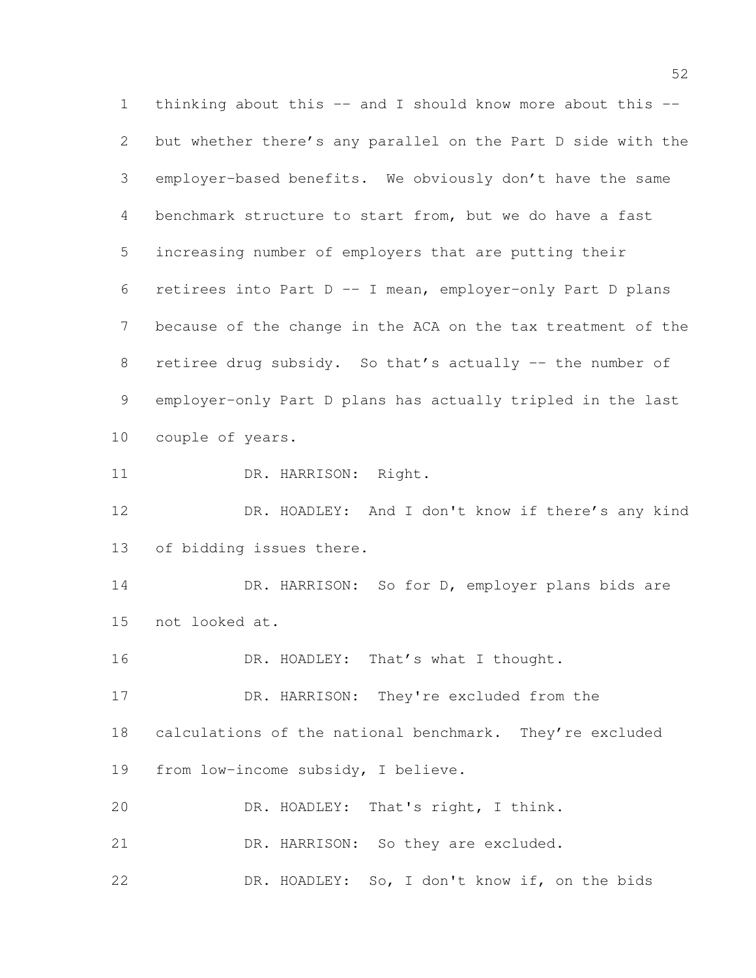thinking about this -- and I should know more about this -- but whether there's any parallel on the Part D side with the employer-based benefits. We obviously don't have the same benchmark structure to start from, but we do have a fast increasing number of employers that are putting their retirees into Part D -- I mean, employer-only Part D plans because of the change in the ACA on the tax treatment of the 8 retiree drug subsidy. So that's actually -- the number of employer-only Part D plans has actually tripled in the last couple of years. DR. HARRISON: Right. DR. HOADLEY: And I don't know if there's any kind of bidding issues there. 14 DR. HARRISON: So for D, employer plans bids are not looked at. 16 DR. HOADLEY: That's what I thought. DR. HARRISON: They're excluded from the calculations of the national benchmark. They're excluded from low-income subsidy, I believe. DR. HOADLEY: That's right, I think. 21 DR. HARRISON: So they are excluded. DR. HOADLEY: So, I don't know if, on the bids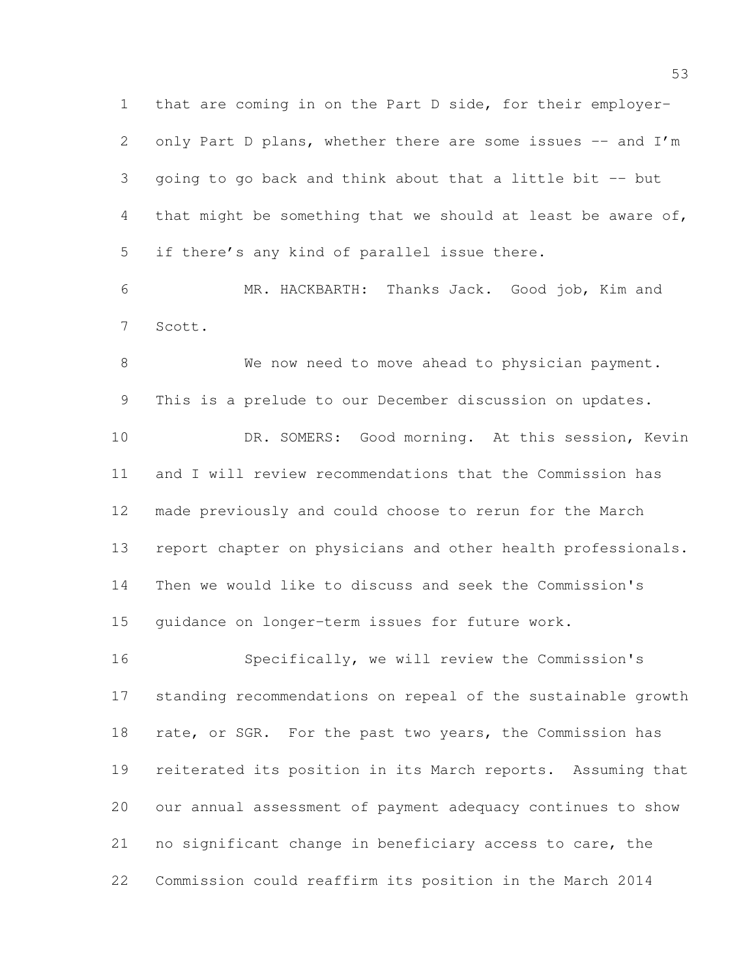that are coming in on the Part D side, for their employer-2 only Part D plans, whether there are some issues -- and I'm going to go back and think about that a little bit -- but that might be something that we should at least be aware of, if there's any kind of parallel issue there.

 MR. HACKBARTH: Thanks Jack. Good job, Kim and Scott.

8 We now need to move ahead to physician payment. This is a prelude to our December discussion on updates. DR. SOMERS: Good morning. At this session, Kevin and I will review recommendations that the Commission has made previously and could choose to rerun for the March report chapter on physicians and other health professionals. Then we would like to discuss and seek the Commission's guidance on longer-term issues for future work.

 Specifically, we will review the Commission's standing recommendations on repeal of the sustainable growth 18 rate, or SGR. For the past two years, the Commission has reiterated its position in its March reports. Assuming that our annual assessment of payment adequacy continues to show no significant change in beneficiary access to care, the Commission could reaffirm its position in the March 2014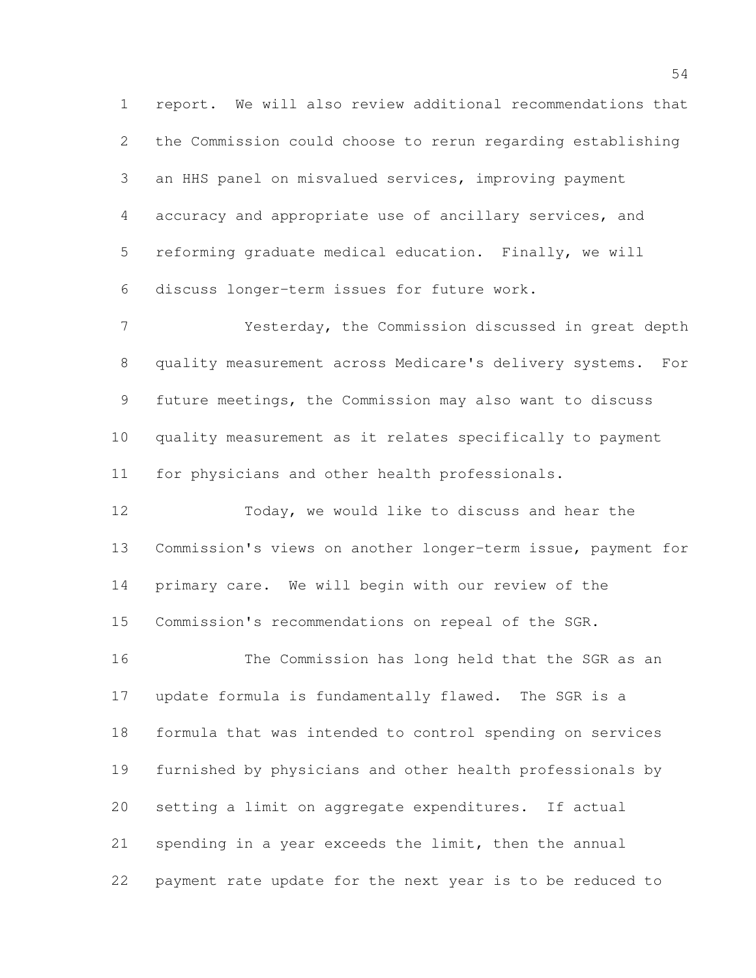report. We will also review additional recommendations that the Commission could choose to rerun regarding establishing an HHS panel on misvalued services, improving payment accuracy and appropriate use of ancillary services, and reforming graduate medical education. Finally, we will discuss longer-term issues for future work.

 Yesterday, the Commission discussed in great depth quality measurement across Medicare's delivery systems. For future meetings, the Commission may also want to discuss quality measurement as it relates specifically to payment for physicians and other health professionals.

 Today, we would like to discuss and hear the Commission's views on another longer-term issue, payment for primary care. We will begin with our review of the Commission's recommendations on repeal of the SGR.

 The Commission has long held that the SGR as an update formula is fundamentally flawed. The SGR is a formula that was intended to control spending on services furnished by physicians and other health professionals by setting a limit on aggregate expenditures. If actual spending in a year exceeds the limit, then the annual payment rate update for the next year is to be reduced to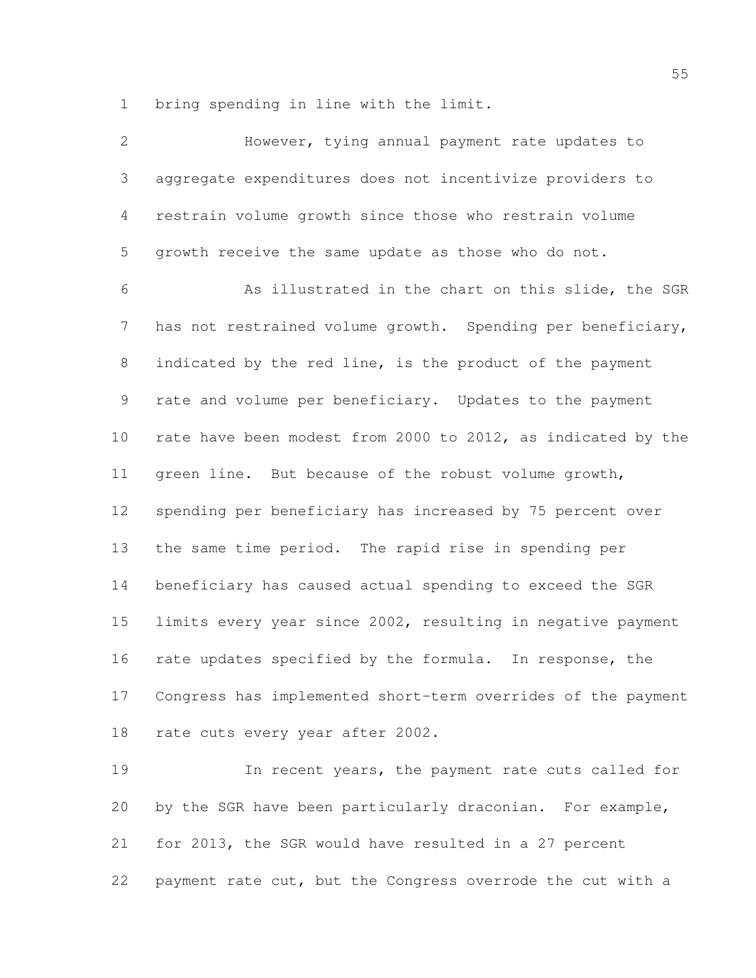bring spending in line with the limit.

| $\overline{2}$ | However, tying annual payment rate updates to                |
|----------------|--------------------------------------------------------------|
| 3              | aggregate expenditures does not incentivize providers to     |
| $\overline{4}$ | restrain volume growth since those who restrain volume       |
| 5              | growth receive the same update as those who do not.          |
| 6              | As illustrated in the chart on this slide, the SGR           |
| $7\phantom{.}$ | has not restrained volume growth. Spending per beneficiary,  |
| $8\,$          | indicated by the red line, is the product of the payment     |
| 9              | rate and volume per beneficiary. Updates to the payment      |
| 10             | rate have been modest from 2000 to 2012, as indicated by the |
| 11             | green line. But because of the robust volume growth,         |
| 12             | spending per beneficiary has increased by 75 percent over    |
| 13             | the same time period. The rapid rise in spending per         |
| 14             | beneficiary has caused actual spending to exceed the SGR     |
| 15             | limits every year since 2002, resulting in negative payment  |
| 16             | rate updates specified by the formula. In response, the      |
| 17             | Congress has implemented short-term overrides of the payment |
| 18             | rate cuts every year after 2002.                             |
| 19             | In recent years, the payment rate cuts called for            |
| 20             | by the SGR have been particularly draconian. For example,    |
| 21             | for 2013, the SGR would have resulted in a 27 percent        |
| 22             | payment rate cut, but the Congress overrode the cut with a   |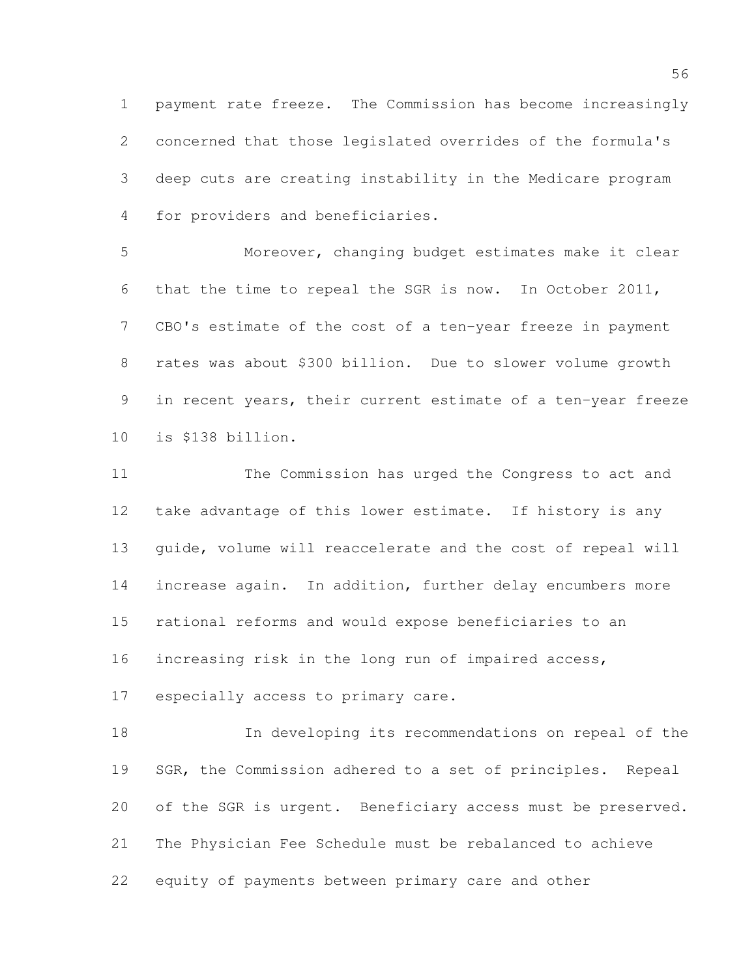payment rate freeze. The Commission has become increasingly concerned that those legislated overrides of the formula's deep cuts are creating instability in the Medicare program for providers and beneficiaries.

 Moreover, changing budget estimates make it clear that the time to repeal the SGR is now. In October 2011, CBO's estimate of the cost of a ten-year freeze in payment rates was about \$300 billion. Due to slower volume growth in recent years, their current estimate of a ten-year freeze is \$138 billion.

 The Commission has urged the Congress to act and take advantage of this lower estimate. If history is any guide, volume will reaccelerate and the cost of repeal will increase again. In addition, further delay encumbers more rational reforms and would expose beneficiaries to an increasing risk in the long run of impaired access,

especially access to primary care.

 In developing its recommendations on repeal of the 19 SGR, the Commission adhered to a set of principles. Repeal 20 of the SGR is urgent. Beneficiary access must be preserved. The Physician Fee Schedule must be rebalanced to achieve equity of payments between primary care and other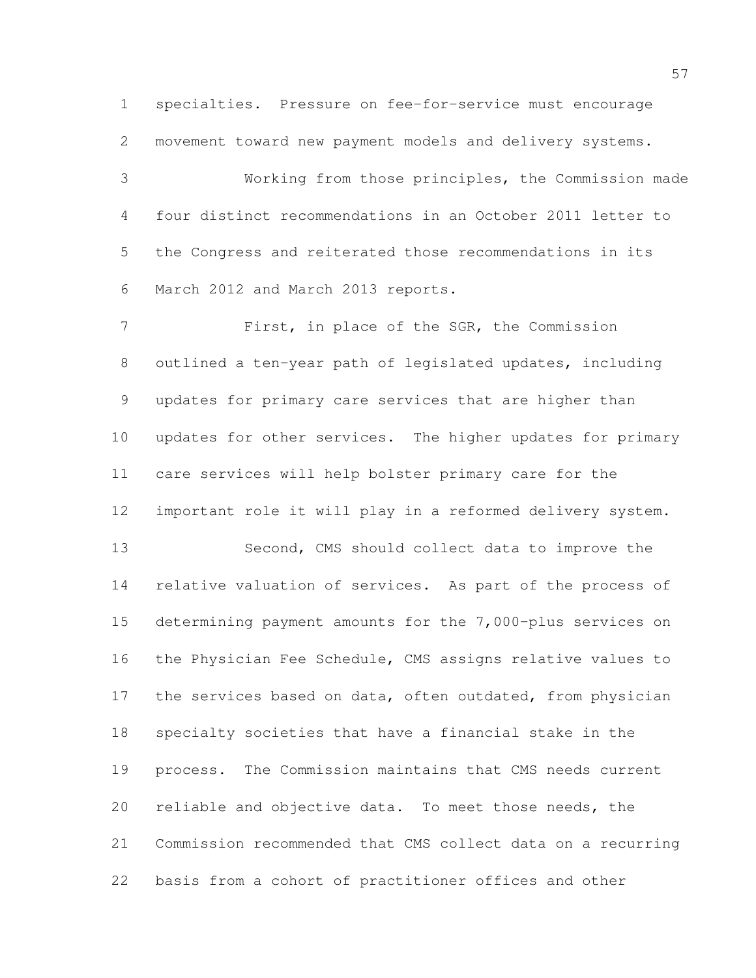specialties. Pressure on fee-for-service must encourage movement toward new payment models and delivery systems. Working from those principles, the Commission made

 four distinct recommendations in an October 2011 letter to the Congress and reiterated those recommendations in its March 2012 and March 2013 reports.

 First, in place of the SGR, the Commission outlined a ten-year path of legislated updates, including updates for primary care services that are higher than updates for other services. The higher updates for primary care services will help bolster primary care for the important role it will play in a reformed delivery system. Second, CMS should collect data to improve the relative valuation of services. As part of the process of determining payment amounts for the 7,000-plus services on the Physician Fee Schedule, CMS assigns relative values to 17 the services based on data, often outdated, from physician specialty societies that have a financial stake in the process. The Commission maintains that CMS needs current reliable and objective data. To meet those needs, the Commission recommended that CMS collect data on a recurring basis from a cohort of practitioner offices and other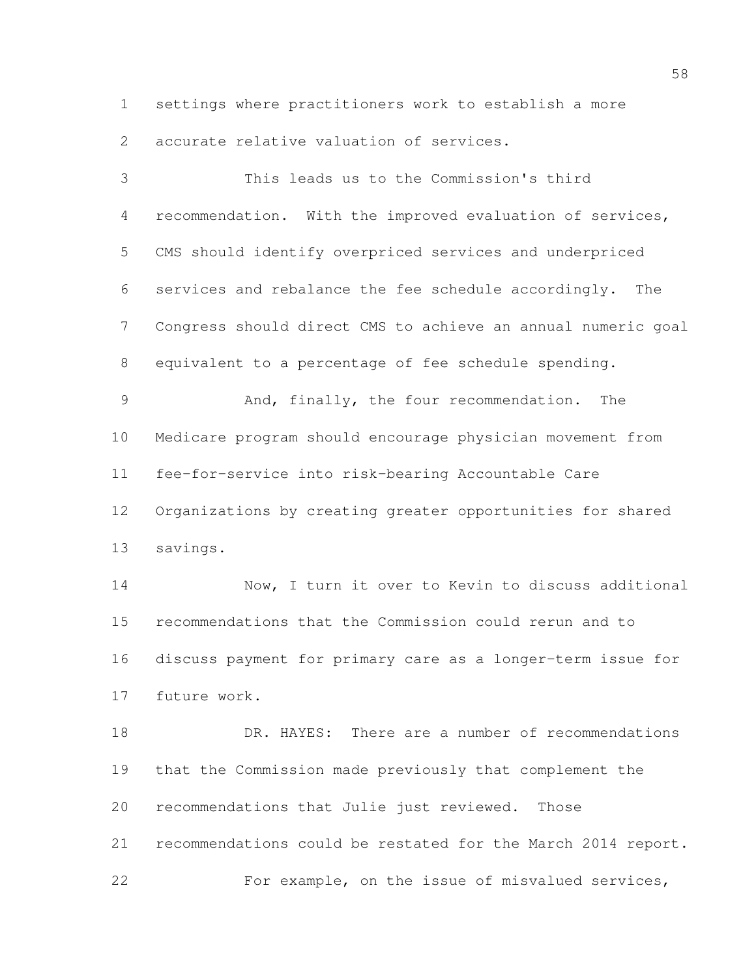settings where practitioners work to establish a more accurate relative valuation of services.

 This leads us to the Commission's third recommendation. With the improved evaluation of services, CMS should identify overpriced services and underpriced services and rebalance the fee schedule accordingly. The Congress should direct CMS to achieve an annual numeric goal equivalent to a percentage of fee schedule spending. And, finally, the four recommendation. The Medicare program should encourage physician movement from fee-for-service into risk-bearing Accountable Care Organizations by creating greater opportunities for shared savings. Now, I turn it over to Kevin to discuss additional recommendations that the Commission could rerun and to discuss payment for primary care as a longer-term issue for future work. DR. HAYES: There are a number of recommendations that the Commission made previously that complement the recommendations that Julie just reviewed. Those recommendations could be restated for the March 2014 report. For example, on the issue of misvalued services,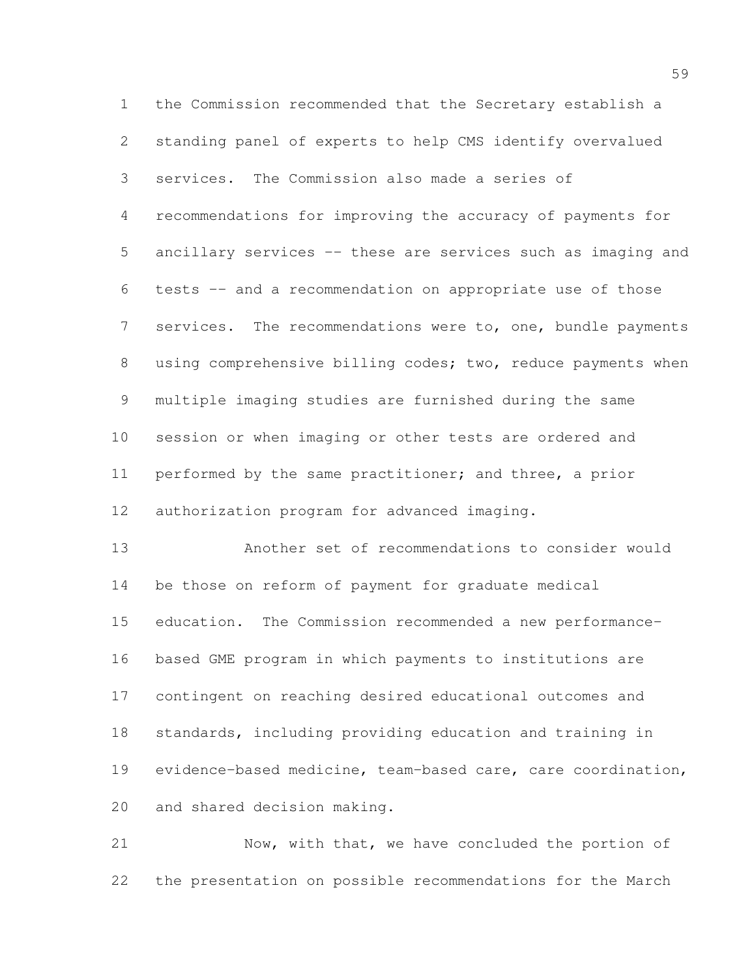the Commission recommended that the Secretary establish a standing panel of experts to help CMS identify overvalued services. The Commission also made a series of recommendations for improving the accuracy of payments for ancillary services -- these are services such as imaging and tests -- and a recommendation on appropriate use of those 7 services. The recommendations were to, one, bundle payments 8 using comprehensive billing codes; two, reduce payments when multiple imaging studies are furnished during the same session or when imaging or other tests are ordered and performed by the same practitioner; and three, a prior authorization program for advanced imaging. Another set of recommendations to consider would be those on reform of payment for graduate medical education. The Commission recommended a new performance-

 based GME program in which payments to institutions are contingent on reaching desired educational outcomes and standards, including providing education and training in evidence-based medicine, team-based care, care coordination, and shared decision making.

 Now, with that, we have concluded the portion of the presentation on possible recommendations for the March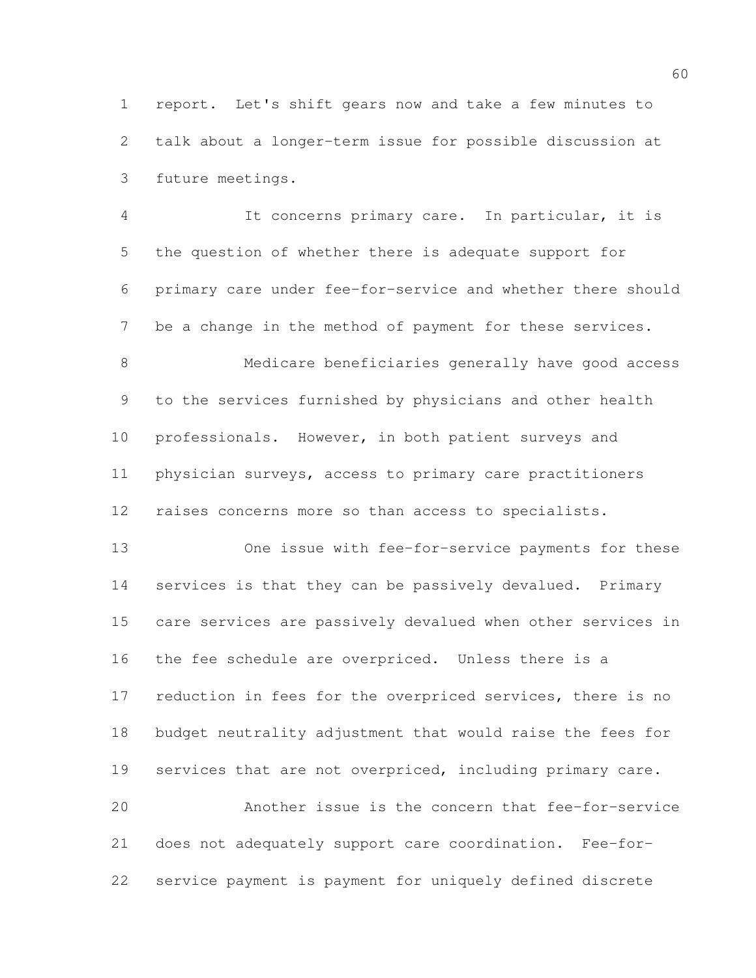report. Let's shift gears now and take a few minutes to talk about a longer-term issue for possible discussion at future meetings.

 It concerns primary care. In particular, it is the question of whether there is adequate support for primary care under fee-for-service and whether there should be a change in the method of payment for these services. Medicare beneficiaries generally have good access to the services furnished by physicians and other health professionals. However, in both patient surveys and physician surveys, access to primary care practitioners raises concerns more so than access to specialists.

 One issue with fee-for-service payments for these services is that they can be passively devalued. Primary care services are passively devalued when other services in the fee schedule are overpriced. Unless there is a 17 reduction in fees for the overpriced services, there is no budget neutrality adjustment that would raise the fees for 19 services that are not overpriced, including primary care. Another issue is the concern that fee-for-service

 does not adequately support care coordination. Fee-for-service payment is payment for uniquely defined discrete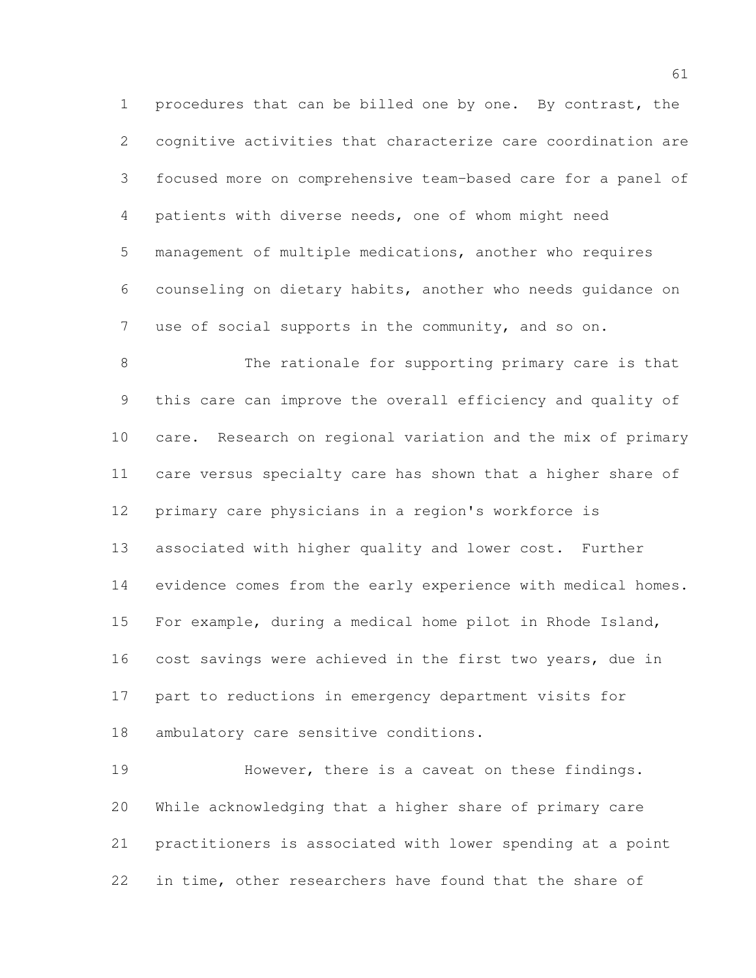procedures that can be billed one by one. By contrast, the cognitive activities that characterize care coordination are focused more on comprehensive team-based care for a panel of patients with diverse needs, one of whom might need management of multiple medications, another who requires counseling on dietary habits, another who needs guidance on use of social supports in the community, and so on.

 The rationale for supporting primary care is that this care can improve the overall efficiency and quality of care. Research on regional variation and the mix of primary care versus specialty care has shown that a higher share of primary care physicians in a region's workforce is associated with higher quality and lower cost. Further evidence comes from the early experience with medical homes. For example, during a medical home pilot in Rhode Island, cost savings were achieved in the first two years, due in part to reductions in emergency department visits for ambulatory care sensitive conditions.

 However, there is a caveat on these findings. While acknowledging that a higher share of primary care practitioners is associated with lower spending at a point in time, other researchers have found that the share of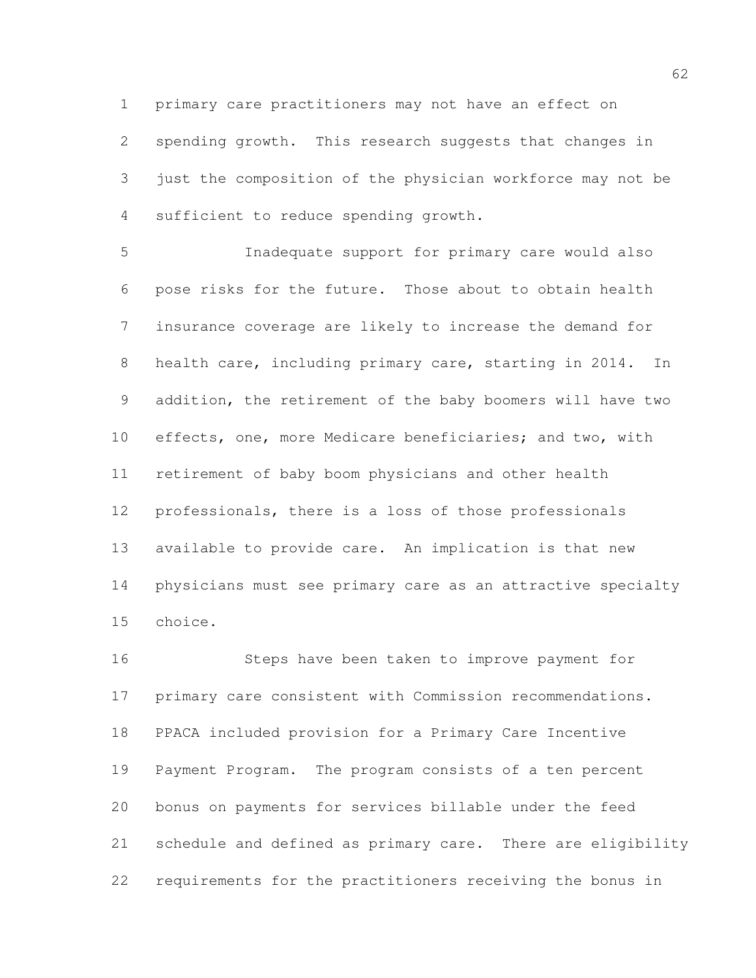primary care practitioners may not have an effect on spending growth. This research suggests that changes in just the composition of the physician workforce may not be sufficient to reduce spending growth.

 Inadequate support for primary care would also pose risks for the future. Those about to obtain health insurance coverage are likely to increase the demand for health care, including primary care, starting in 2014. In addition, the retirement of the baby boomers will have two effects, one, more Medicare beneficiaries; and two, with retirement of baby boom physicians and other health professionals, there is a loss of those professionals available to provide care. An implication is that new physicians must see primary care as an attractive specialty choice.

 Steps have been taken to improve payment for primary care consistent with Commission recommendations. PPACA included provision for a Primary Care Incentive Payment Program. The program consists of a ten percent bonus on payments for services billable under the feed schedule and defined as primary care. There are eligibility requirements for the practitioners receiving the bonus in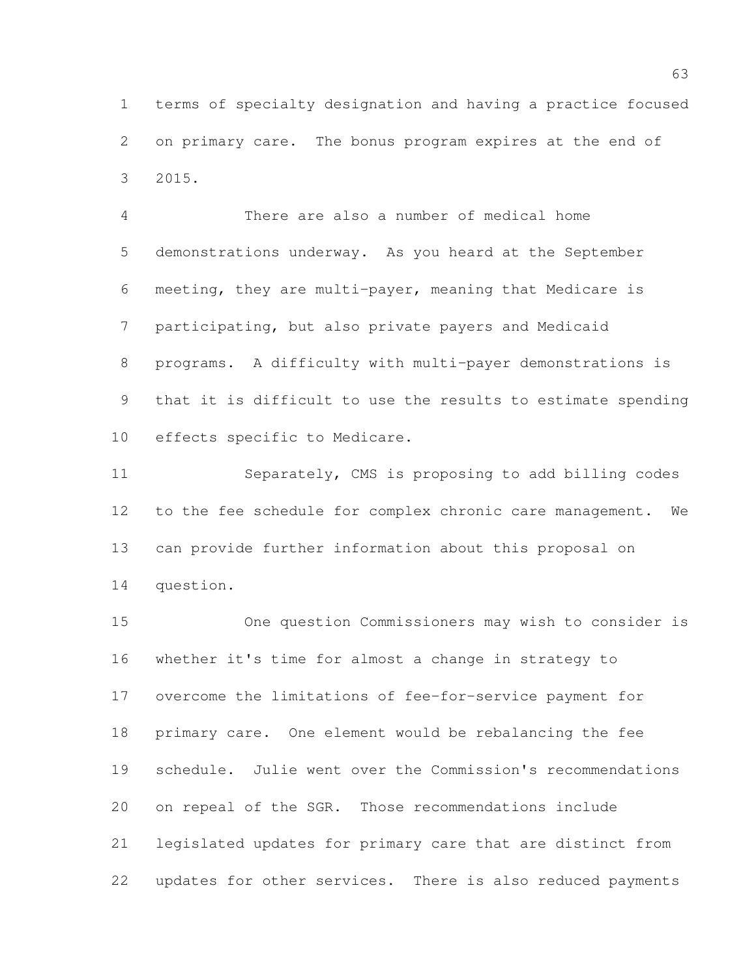terms of specialty designation and having a practice focused on primary care. The bonus program expires at the end of 2015.

 There are also a number of medical home demonstrations underway. As you heard at the September meeting, they are multi-payer, meaning that Medicare is participating, but also private payers and Medicaid programs. A difficulty with multi-payer demonstrations is that it is difficult to use the results to estimate spending effects specific to Medicare.

 Separately, CMS is proposing to add billing codes to the fee schedule for complex chronic care management. We can provide further information about this proposal on question.

 One question Commissioners may wish to consider is whether it's time for almost a change in strategy to overcome the limitations of fee-for-service payment for primary care. One element would be rebalancing the fee schedule. Julie went over the Commission's recommendations on repeal of the SGR. Those recommendations include legislated updates for primary care that are distinct from updates for other services. There is also reduced payments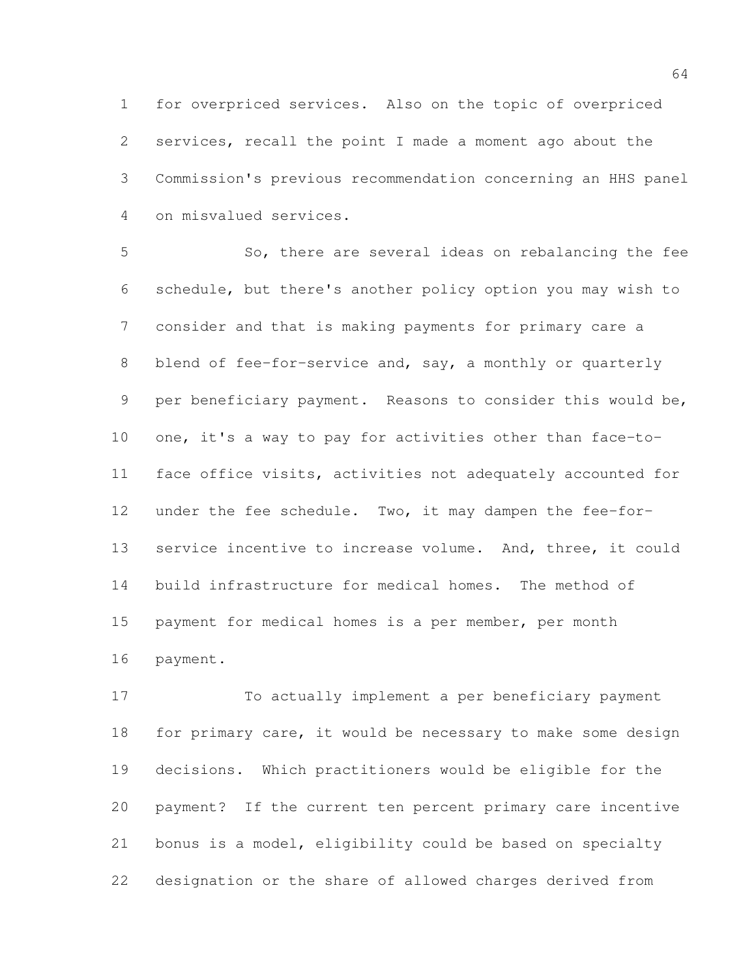for overpriced services. Also on the topic of overpriced services, recall the point I made a moment ago about the Commission's previous recommendation concerning an HHS panel on misvalued services.

 So, there are several ideas on rebalancing the fee schedule, but there's another policy option you may wish to consider and that is making payments for primary care a 8 blend of fee-for-service and, say, a monthly or quarterly per beneficiary payment. Reasons to consider this would be, one, it's a way to pay for activities other than face-to- face office visits, activities not adequately accounted for under the fee schedule. Two, it may dampen the fee-for-13 service incentive to increase volume. And, three, it could build infrastructure for medical homes. The method of payment for medical homes is a per member, per month payment.

 To actually implement a per beneficiary payment 18 for primary care, it would be necessary to make some design decisions. Which practitioners would be eligible for the payment? If the current ten percent primary care incentive bonus is a model, eligibility could be based on specialty designation or the share of allowed charges derived from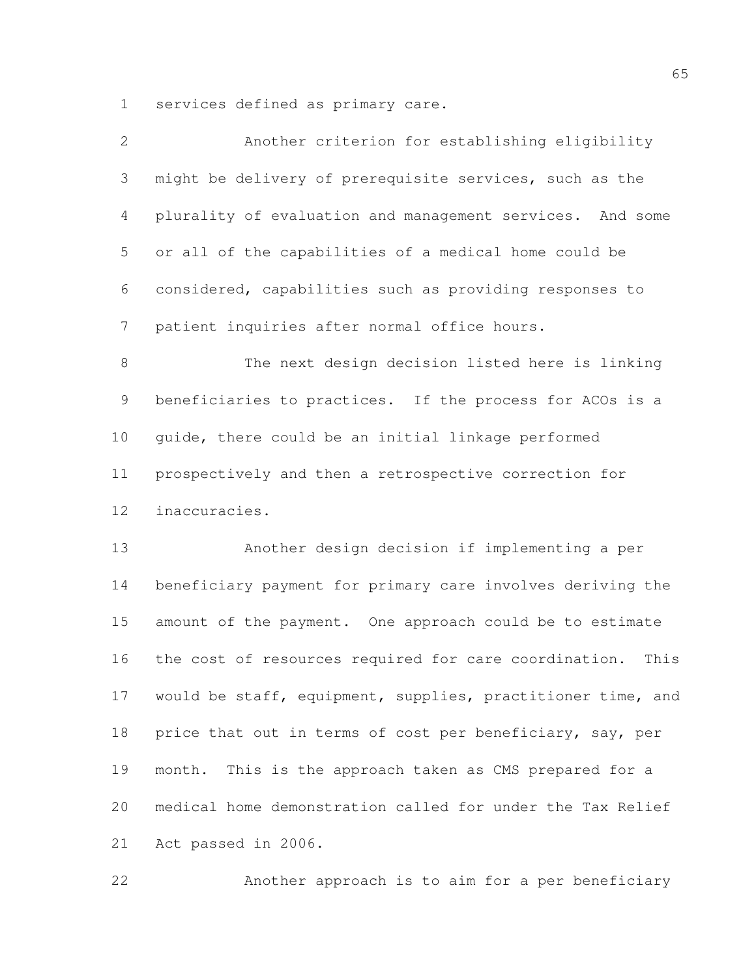services defined as primary care.

| $\overline{2}$ | Another criterion for establishing eligibility                |
|----------------|---------------------------------------------------------------|
| 3              | might be delivery of prerequisite services, such as the       |
| 4              | plurality of evaluation and management services. And some     |
| 5              | or all of the capabilities of a medical home could be         |
| 6              | considered, capabilities such as providing responses to       |
| $\overline{7}$ | patient inquiries after normal office hours.                  |
| $8\,$          | The next design decision listed here is linking               |
| $\mathsf 9$    | beneficiaries to practices. If the process for ACOs is a      |
| 10             | guide, there could be an initial linkage performed            |
| 11             | prospectively and then a retrospective correction for         |
| 12             | inaccuracies.                                                 |
| 13             | Another design decision if implementing a per                 |
| 14             | beneficiary payment for primary care involves deriving the    |
| 15             | amount of the payment. One approach could be to estimate      |
| 16             | the cost of resources required for care coordination.<br>This |
| 17             | would be staff, equipment, supplies, practitioner time, and   |
| 18             | price that out in terms of cost per beneficiary, say, per     |
| 19             | This is the approach taken as CMS prepared for a<br>month.    |
| 20             | medical home demonstration called for under the Tax Relief    |
| 21             | Act passed in 2006.                                           |

Another approach is to aim for a per beneficiary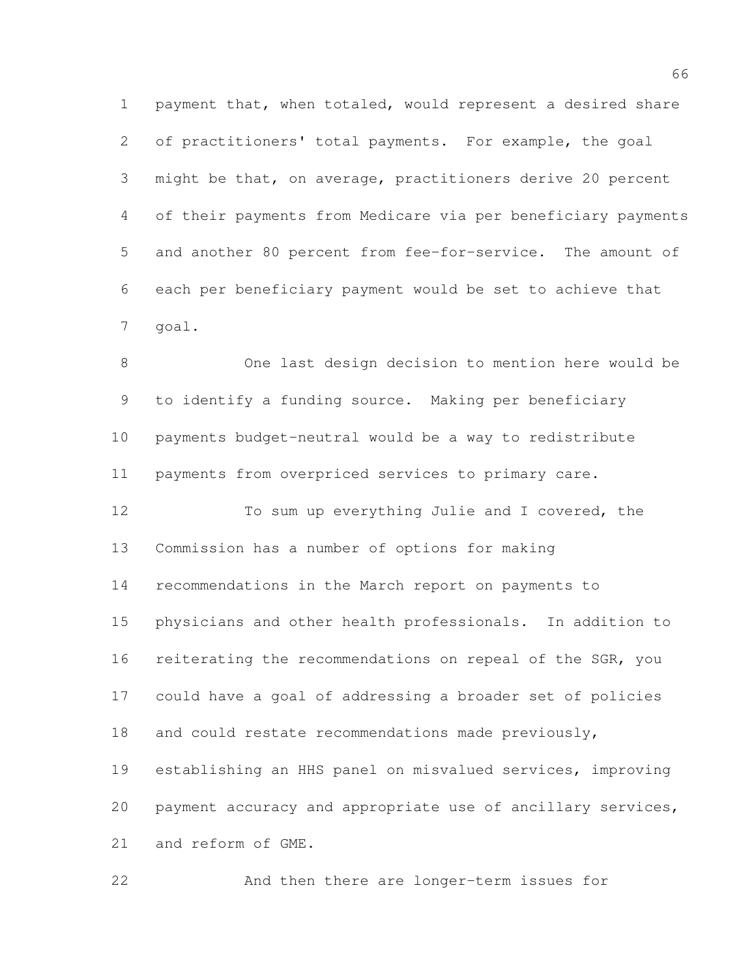payment that, when totaled, would represent a desired share of practitioners' total payments. For example, the goal might be that, on average, practitioners derive 20 percent of their payments from Medicare via per beneficiary payments and another 80 percent from fee-for-service. The amount of each per beneficiary payment would be set to achieve that goal.

 One last design decision to mention here would be to identify a funding source. Making per beneficiary payments budget-neutral would be a way to redistribute payments from overpriced services to primary care.

 To sum up everything Julie and I covered, the Commission has a number of options for making recommendations in the March report on payments to physicians and other health professionals. In addition to 16 reiterating the recommendations on repeal of the SGR, you could have a goal of addressing a broader set of policies 18 and could restate recommendations made previously, establishing an HHS panel on misvalued services, improving payment accuracy and appropriate use of ancillary services, and reform of GME.

And then there are longer-term issues for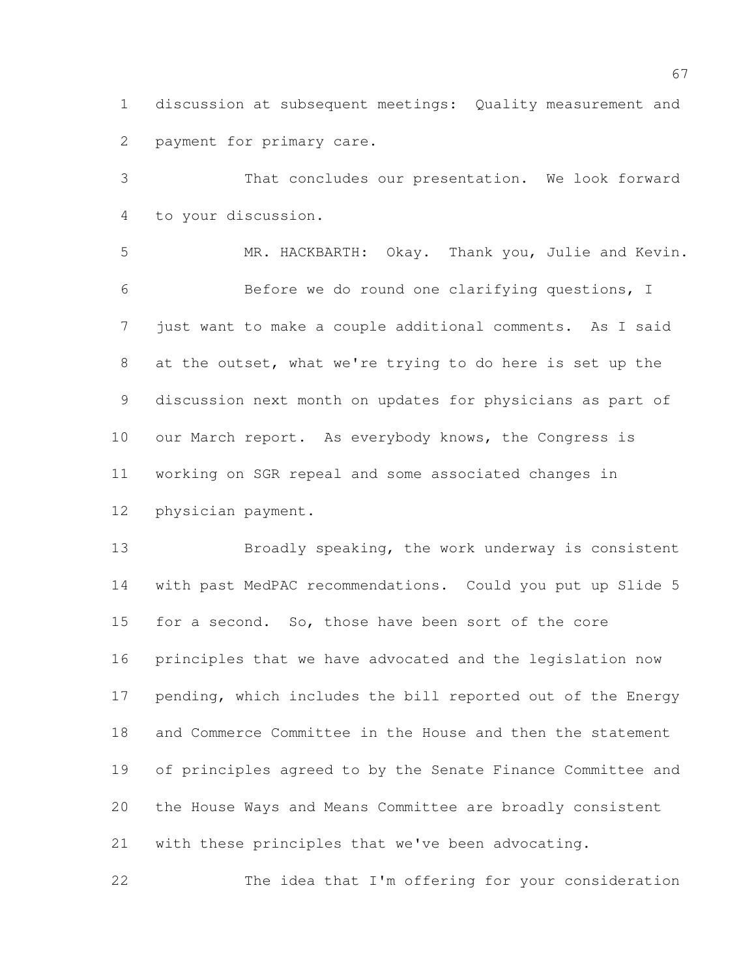discussion at subsequent meetings: Quality measurement and payment for primary care.

 That concludes our presentation. We look forward to your discussion.

 MR. HACKBARTH: Okay. Thank you, Julie and Kevin. Before we do round one clarifying questions, I just want to make a couple additional comments. As I said at the outset, what we're trying to do here is set up the discussion next month on updates for physicians as part of 10 our March report. As everybody knows, the Congress is working on SGR repeal and some associated changes in physician payment.

 Broadly speaking, the work underway is consistent with past MedPAC recommendations. Could you put up Slide 5 for a second. So, those have been sort of the core principles that we have advocated and the legislation now pending, which includes the bill reported out of the Energy and Commerce Committee in the House and then the statement of principles agreed to by the Senate Finance Committee and the House Ways and Means Committee are broadly consistent with these principles that we've been advocating.

The idea that I'm offering for your consideration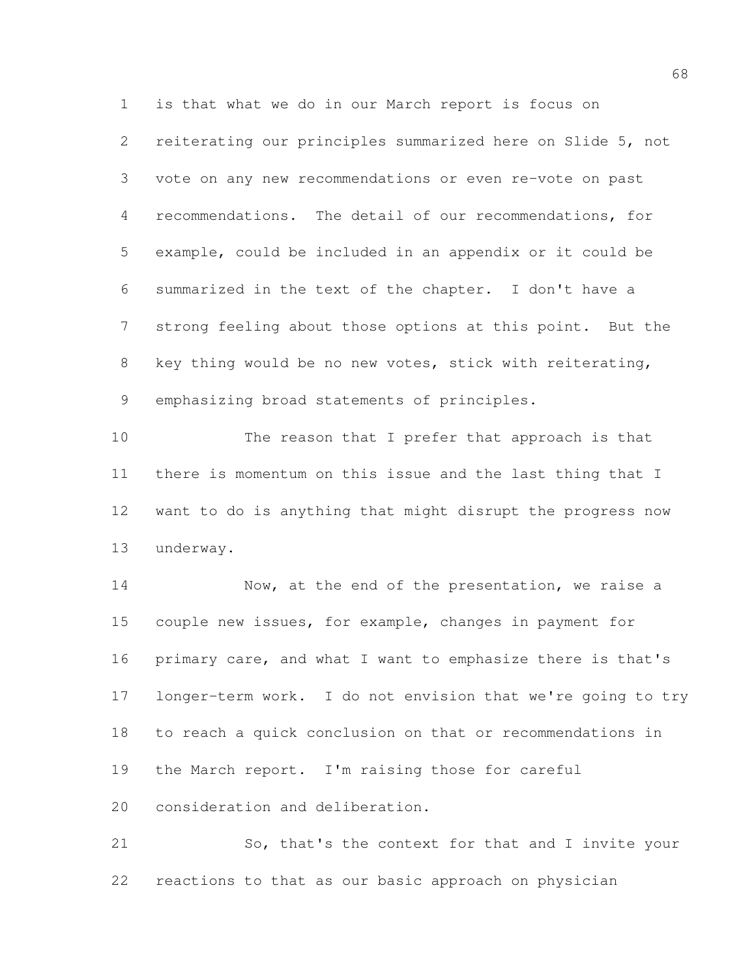reiterating our principles summarized here on Slide 5, not vote on any new recommendations or even re-vote on past recommendations. The detail of our recommendations, for example, could be included in an appendix or it could be summarized in the text of the chapter. I don't have a strong feeling about those options at this point. But the key thing would be no new votes, stick with reiterating, emphasizing broad statements of principles.

is that what we do in our March report is focus on

 The reason that I prefer that approach is that there is momentum on this issue and the last thing that I want to do is anything that might disrupt the progress now underway.

 Now, at the end of the presentation, we raise a couple new issues, for example, changes in payment for primary care, and what I want to emphasize there is that's longer-term work. I do not envision that we're going to try to reach a quick conclusion on that or recommendations in the March report. I'm raising those for careful consideration and deliberation.

 So, that's the context for that and I invite your reactions to that as our basic approach on physician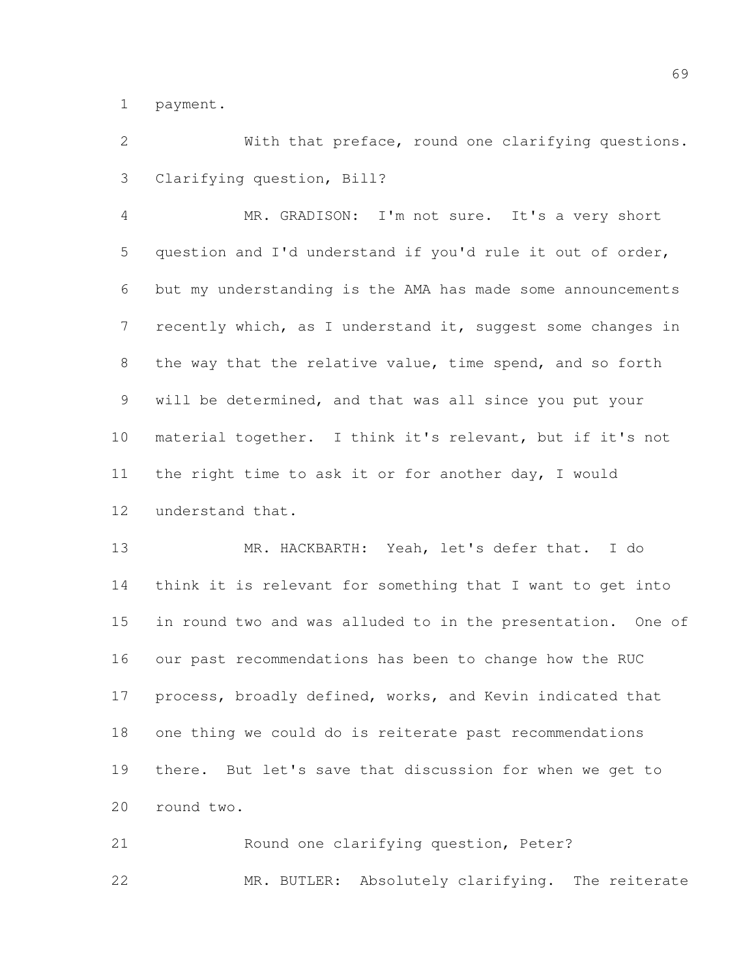payment.

 With that preface, round one clarifying questions. Clarifying question, Bill?

 MR. GRADISON: I'm not sure. It's a very short question and I'd understand if you'd rule it out of order, but my understanding is the AMA has made some announcements recently which, as I understand it, suggest some changes in the way that the relative value, time spend, and so forth will be determined, and that was all since you put your material together. I think it's relevant, but if it's not the right time to ask it or for another day, I would understand that.

 MR. HACKBARTH: Yeah, let's defer that. I do think it is relevant for something that I want to get into in round two and was alluded to in the presentation. One of our past recommendations has been to change how the RUC process, broadly defined, works, and Kevin indicated that one thing we could do is reiterate past recommendations there. But let's save that discussion for when we get to round two.

 Round one clarifying question, Peter? MR. BUTLER: Absolutely clarifying. The reiterate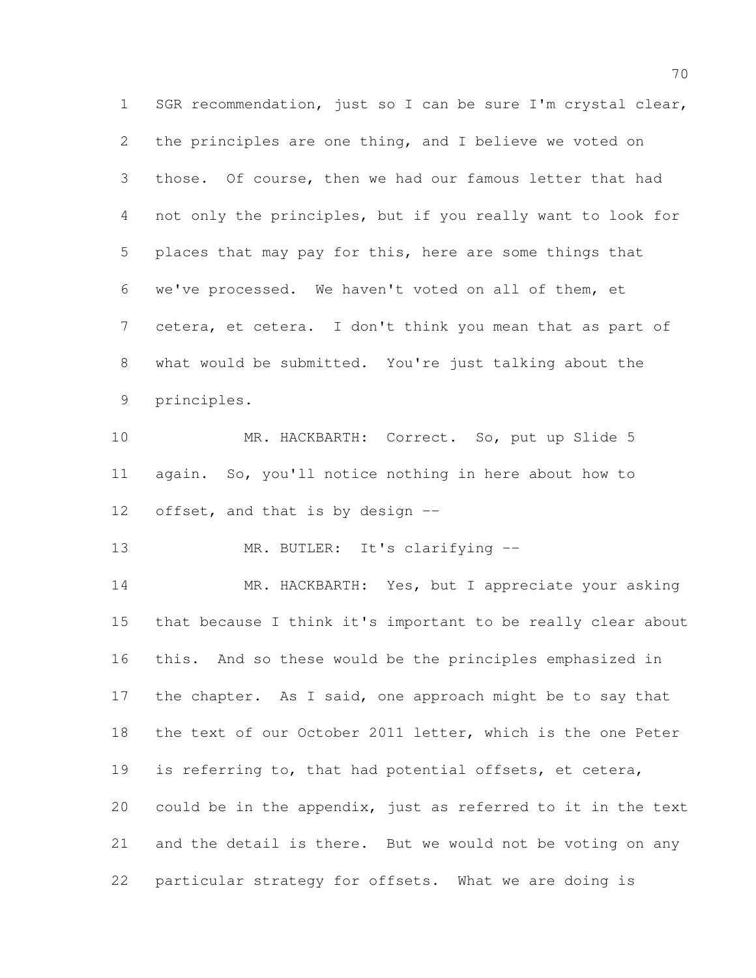SGR recommendation, just so I can be sure I'm crystal clear, the principles are one thing, and I believe we voted on those. Of course, then we had our famous letter that had not only the principles, but if you really want to look for places that may pay for this, here are some things that we've processed. We haven't voted on all of them, et cetera, et cetera. I don't think you mean that as part of what would be submitted. You're just talking about the principles.

10 MR. HACKBARTH: Correct. So, put up Slide 5 again. So, you'll notice nothing in here about how to offset, and that is by design --

13 MR. BUTLER: It's clarifying --

 MR. HACKBARTH: Yes, but I appreciate your asking that because I think it's important to be really clear about this. And so these would be the principles emphasized in 17 the chapter. As I said, one approach might be to say that the text of our October 2011 letter, which is the one Peter is referring to, that had potential offsets, et cetera, could be in the appendix, just as referred to it in the text and the detail is there. But we would not be voting on any particular strategy for offsets. What we are doing is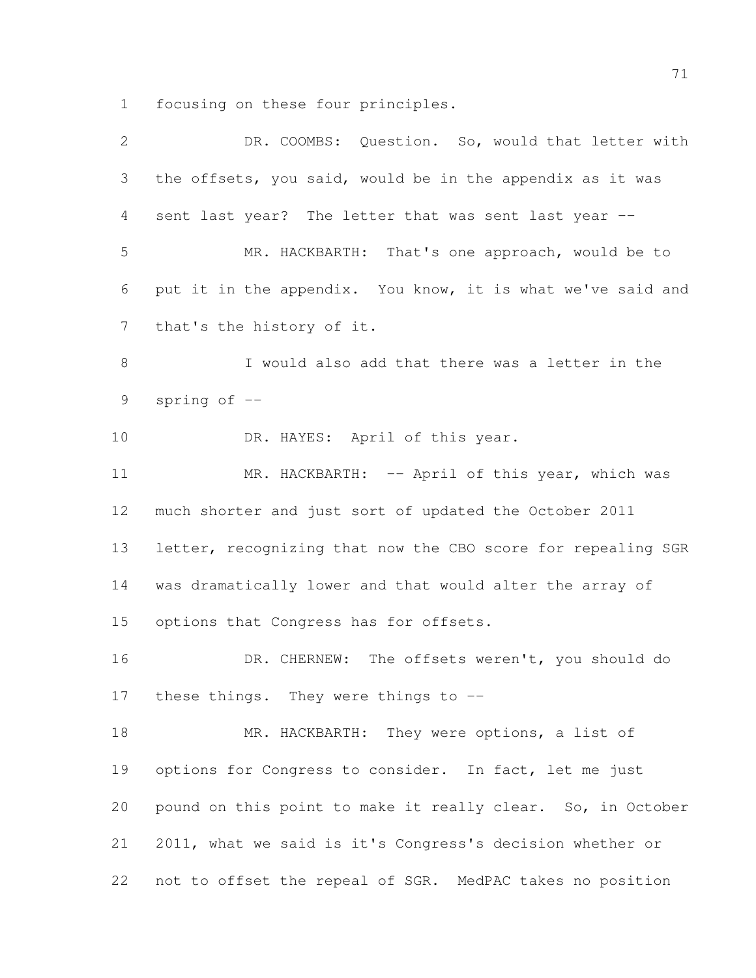focusing on these four principles.

| $\overline{2}$ | DR. COOMBS: Question. So, would that letter with             |
|----------------|--------------------------------------------------------------|
| 3              | the offsets, you said, would be in the appendix as it was    |
| 4              | sent last year? The letter that was sent last year --        |
| 5              | MR. HACKBARTH: That's one approach, would be to              |
| 6              | put it in the appendix. You know, it is what we've said and  |
| $7\phantom{.}$ | that's the history of it.                                    |
| $8\,$          | I would also add that there was a letter in the              |
| 9              | spring of $-$                                                |
| 10             | DR. HAYES: April of this year.                               |
| 11             | MR. HACKBARTH: -- April of this year, which was              |
| 12             | much shorter and just sort of updated the October 2011       |
| 13             | letter, recognizing that now the CBO score for repealing SGR |
| 14             | was dramatically lower and that would alter the array of     |
| 15             | options that Congress has for offsets.                       |
| 16             | DR. CHERNEW: The offsets weren't, you should do              |
| 17             | these things. They were things to --                         |
| 18             | MR. HACKBARTH: They were options, a list of                  |
| 19             | options for Congress to consider. In fact, let me just       |
| 20             | pound on this point to make it really clear. So, in October  |
| 21             | 2011, what we said is it's Congress's decision whether or    |
| 22             | not to offset the repeal of SGR. MedPAC takes no position    |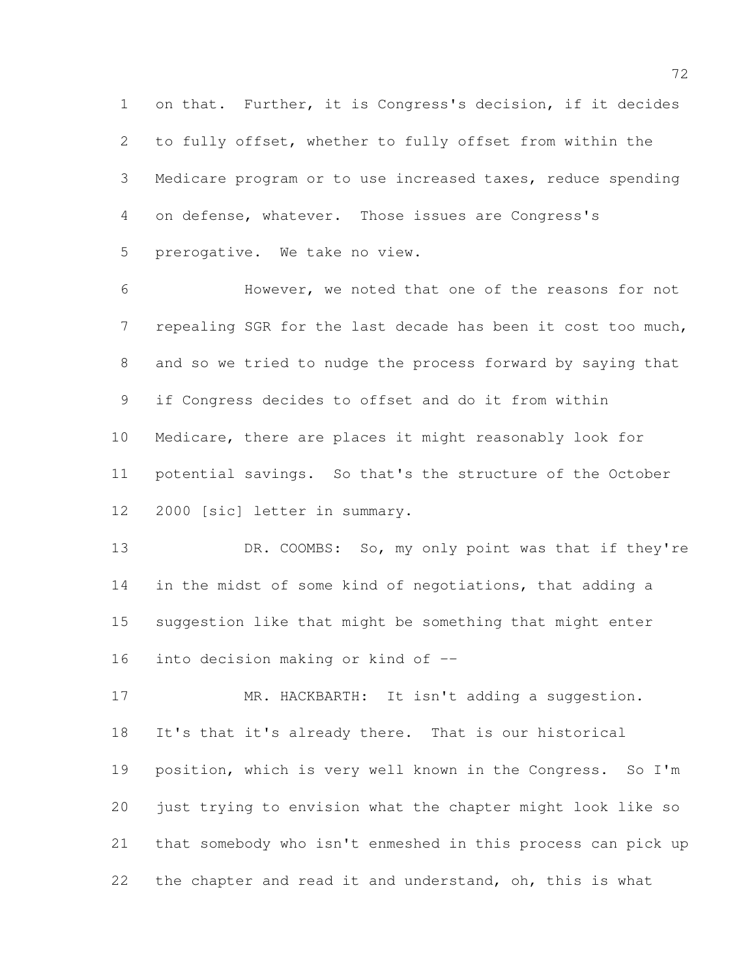on that. Further, it is Congress's decision, if it decides to fully offset, whether to fully offset from within the Medicare program or to use increased taxes, reduce spending on defense, whatever. Those issues are Congress's prerogative. We take no view.

 However, we noted that one of the reasons for not repealing SGR for the last decade has been it cost too much, and so we tried to nudge the process forward by saying that if Congress decides to offset and do it from within Medicare, there are places it might reasonably look for potential savings. So that's the structure of the October 2000 [sic] letter in summary.

13 DR. COOMBS: So, my only point was that if they're in the midst of some kind of negotiations, that adding a suggestion like that might be something that might enter into decision making or kind of --

17 MR. HACKBARTH: It isn't adding a suggestion. It's that it's already there. That is our historical position, which is very well known in the Congress. So I'm just trying to envision what the chapter might look like so that somebody who isn't enmeshed in this process can pick up 22 the chapter and read it and understand, oh, this is what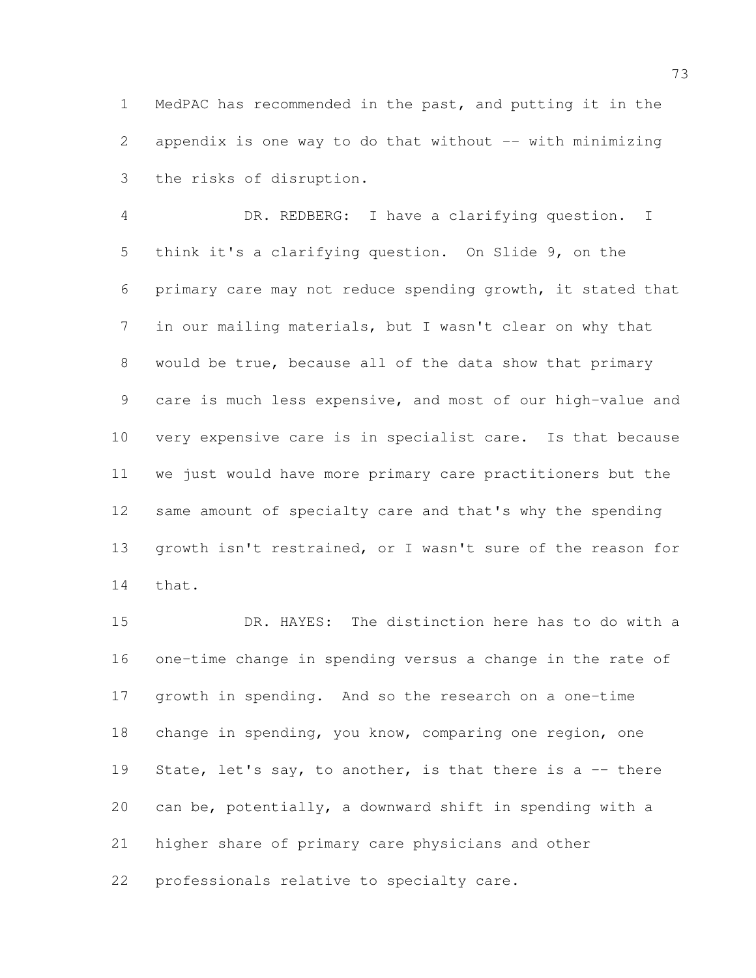MedPAC has recommended in the past, and putting it in the 2 appendix is one way to do that without  $-$ - with minimizing the risks of disruption.

 DR. REDBERG: I have a clarifying question. I think it's a clarifying question. On Slide 9, on the primary care may not reduce spending growth, it stated that in our mailing materials, but I wasn't clear on why that would be true, because all of the data show that primary care is much less expensive, and most of our high-value and very expensive care is in specialist care. Is that because we just would have more primary care practitioners but the same amount of specialty care and that's why the spending growth isn't restrained, or I wasn't sure of the reason for that.

 DR. HAYES: The distinction here has to do with a one-time change in spending versus a change in the rate of growth in spending. And so the research on a one-time change in spending, you know, comparing one region, one 19 State, let's say, to another, is that there is a  $-$ - there can be, potentially, a downward shift in spending with a higher share of primary care physicians and other professionals relative to specialty care.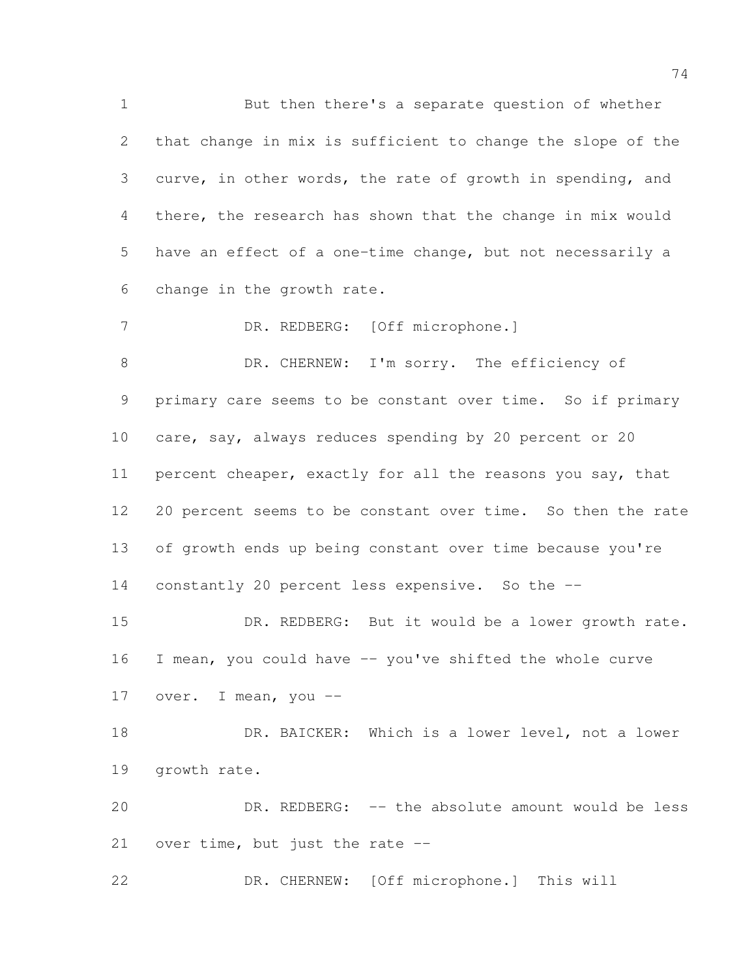But then there's a separate question of whether that change in mix is sufficient to change the slope of the curve, in other words, the rate of growth in spending, and there, the research has shown that the change in mix would have an effect of a one-time change, but not necessarily a change in the growth rate. DR. REDBERG: [Off microphone.]

8 DR. CHERNEW: I'm sorry. The efficiency of primary care seems to be constant over time. So if primary 10 care, say, always reduces spending by 20 percent or 20 percent cheaper, exactly for all the reasons you say, that 20 percent seems to be constant over time. So then the rate 13 of growth ends up being constant over time because you're constantly 20 percent less expensive. So the --

 DR. REDBERG: But it would be a lower growth rate. I mean, you could have -- you've shifted the whole curve 17 over. I mean, you --

18 DR. BAICKER: Which is a lower level, not a lower growth rate.

 DR. REDBERG: -- the absolute amount would be less over time, but just the rate --

DR. CHERNEW: [Off microphone.] This will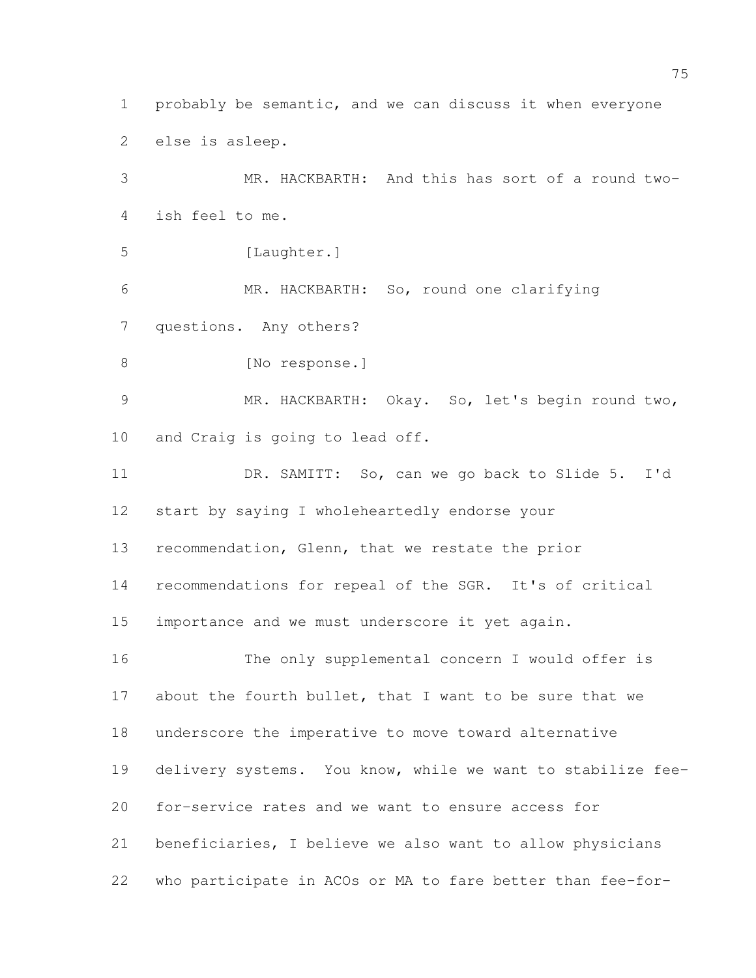probably be semantic, and we can discuss it when everyone else is asleep.

 MR. HACKBARTH: And this has sort of a round two- ish feel to me. 5 [Laughter.] MR. HACKBARTH: So, round one clarifying questions. Any others? 8 [No response.] MR. HACKBARTH: Okay. So, let's begin round two, and Craig is going to lead off. DR. SAMITT: So, can we go back to Slide 5. I'd start by saying I wholeheartedly endorse your recommendation, Glenn, that we restate the prior recommendations for repeal of the SGR. It's of critical importance and we must underscore it yet again. The only supplemental concern I would offer is about the fourth bullet, that I want to be sure that we underscore the imperative to move toward alternative delivery systems. You know, while we want to stabilize fee- for-service rates and we want to ensure access for beneficiaries, I believe we also want to allow physicians

who participate in ACOs or MA to fare better than fee-for-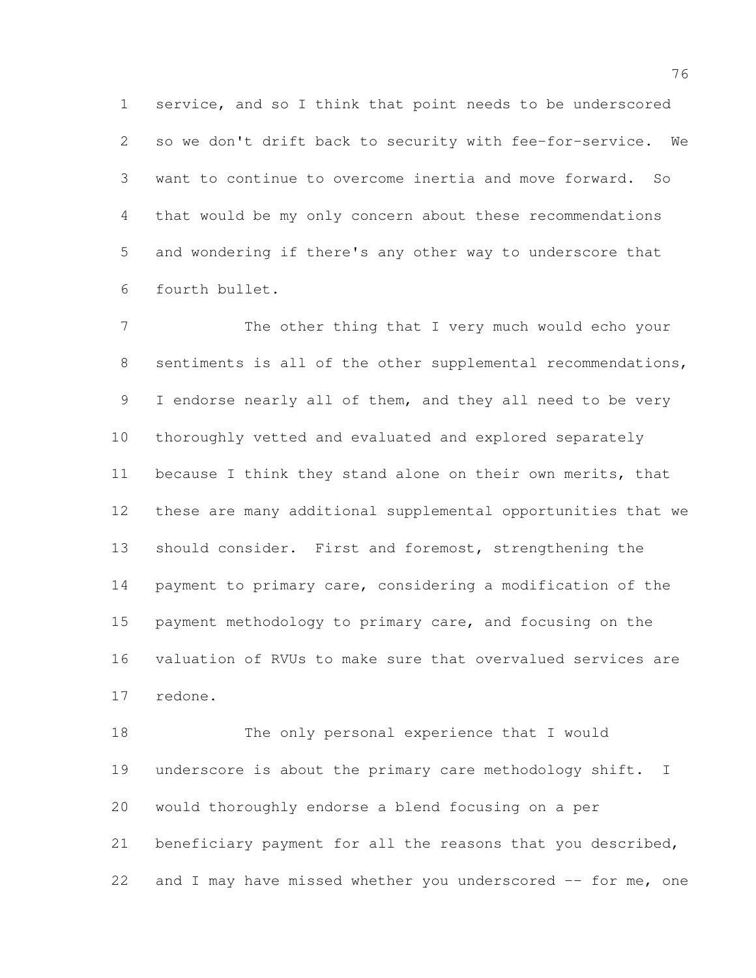service, and so I think that point needs to be underscored so we don't drift back to security with fee-for-service. We want to continue to overcome inertia and move forward. So that would be my only concern about these recommendations and wondering if there's any other way to underscore that fourth bullet.

 The other thing that I very much would echo your 8 sentiments is all of the other supplemental recommendations, 9 I endorse nearly all of them, and they all need to be very thoroughly vetted and evaluated and explored separately 11 because I think they stand alone on their own merits, that these are many additional supplemental opportunities that we should consider. First and foremost, strengthening the payment to primary care, considering a modification of the payment methodology to primary care, and focusing on the valuation of RVUs to make sure that overvalued services are redone.

 The only personal experience that I would underscore is about the primary care methodology shift. I would thoroughly endorse a blend focusing on a per beneficiary payment for all the reasons that you described, 22 and I may have missed whether you underscored -- for me, one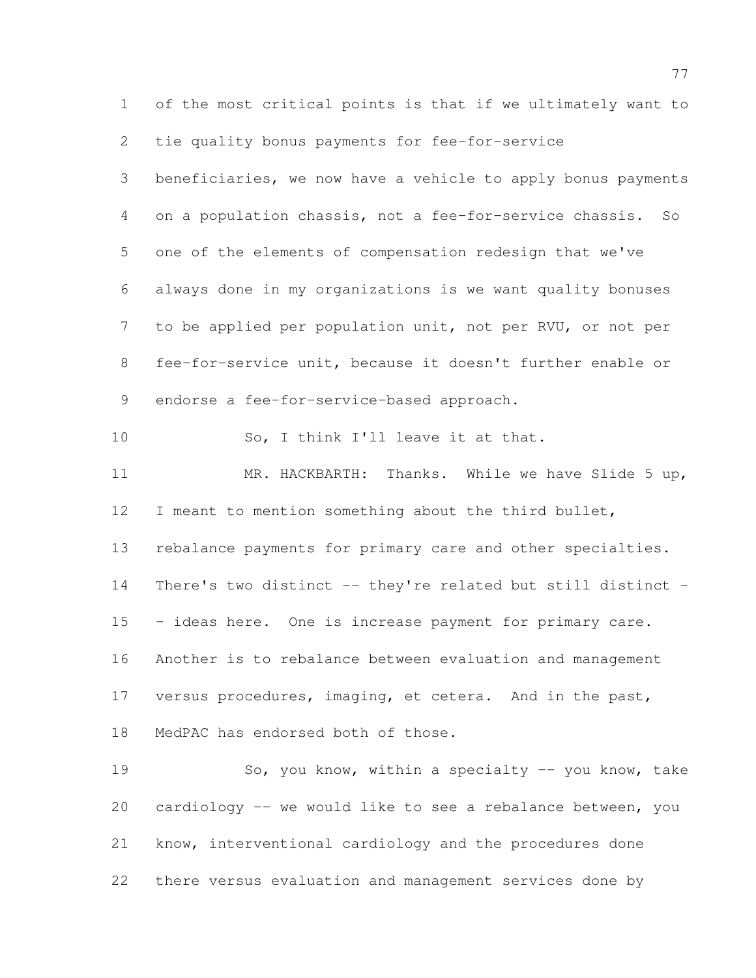of the most critical points is that if we ultimately want to tie quality bonus payments for fee-for-service beneficiaries, we now have a vehicle to apply bonus payments on a population chassis, not a fee-for-service chassis. So one of the elements of compensation redesign that we've always done in my organizations is we want quality bonuses to be applied per population unit, not per RVU, or not per fee-for-service unit, because it doesn't further enable or 9 endorse a fee-for-service-based approach. So, I think I'll leave it at that. MR. HACKBARTH: Thanks. While we have Slide 5 up, I meant to mention something about the third bullet, rebalance payments for primary care and other specialties. There's two distinct -- they're related but still distinct - 15 - ideas here. One is increase payment for primary care. Another is to rebalance between evaluation and management versus procedures, imaging, et cetera. And in the past, MedPAC has endorsed both of those. So, you know, within a specialty -- you know, take cardiology -- we would like to see a rebalance between, you know, interventional cardiology and the procedures done there versus evaluation and management services done by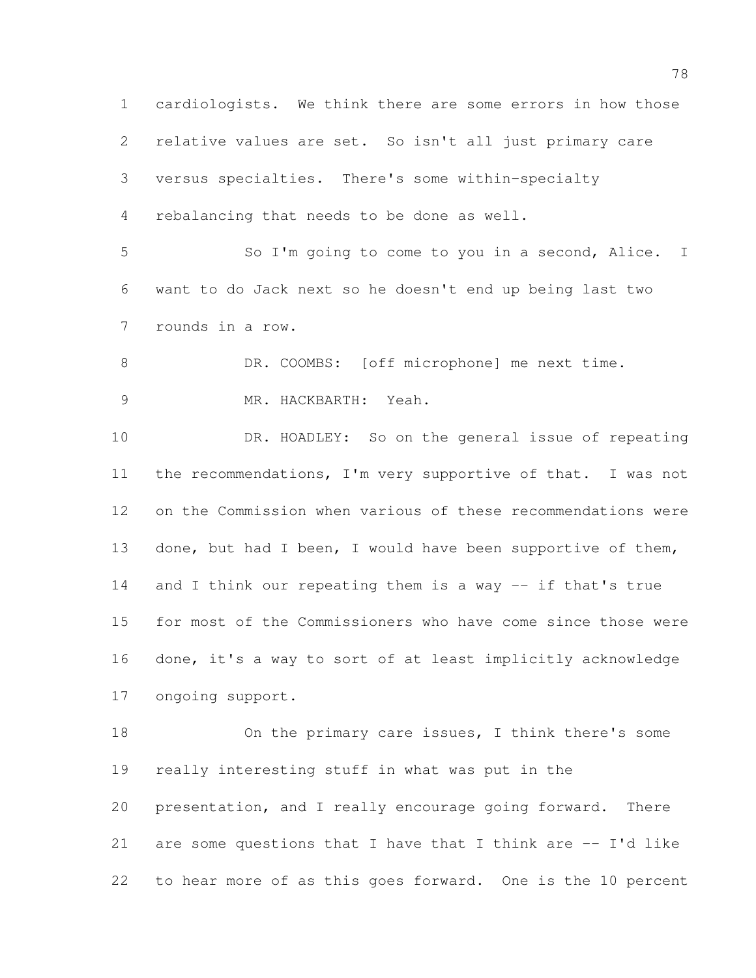cardiologists. We think there are some errors in how those relative values are set. So isn't all just primary care versus specialties. There's some within-specialty rebalancing that needs to be done as well. So I'm going to come to you in a second, Alice. I want to do Jack next so he doesn't end up being last two rounds in a row. 8 DR. COOMBS: [off microphone] me next time. MR. HACKBARTH: Yeah. DR. HOADLEY: So on the general issue of repeating the recommendations, I'm very supportive of that. I was not on the Commission when various of these recommendations were 13 done, but had I been, I would have been supportive of them, and I think our repeating them is a way -- if that's true for most of the Commissioners who have come since those were done, it's a way to sort of at least implicitly acknowledge ongoing support. 18 On the primary care issues, I think there's some really interesting stuff in what was put in the presentation, and I really encourage going forward. There are some questions that I have that I think are -- I'd like to hear more of as this goes forward. One is the 10 percent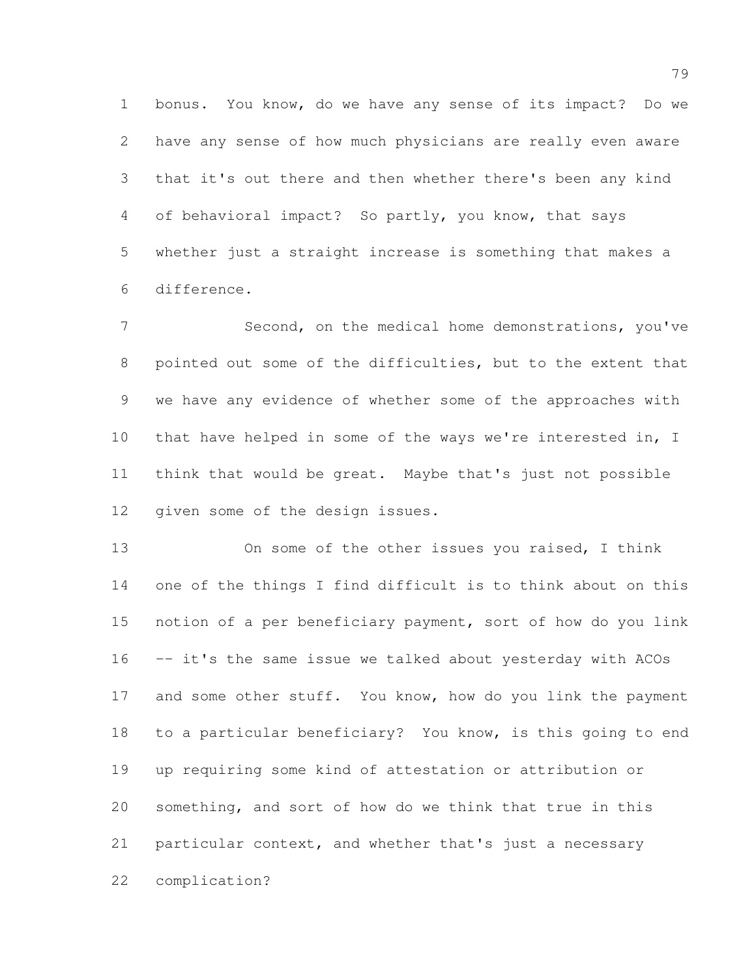bonus. You know, do we have any sense of its impact? Do we have any sense of how much physicians are really even aware that it's out there and then whether there's been any kind of behavioral impact? So partly, you know, that says whether just a straight increase is something that makes a difference.

 Second, on the medical home demonstrations, you've pointed out some of the difficulties, but to the extent that we have any evidence of whether some of the approaches with that have helped in some of the ways we're interested in, I think that would be great. Maybe that's just not possible given some of the design issues.

 On some of the other issues you raised, I think one of the things I find difficult is to think about on this notion of a per beneficiary payment, sort of how do you link -- it's the same issue we talked about yesterday with ACOs 17 and some other stuff. You know, how do you link the payment to a particular beneficiary? You know, is this going to end up requiring some kind of attestation or attribution or something, and sort of how do we think that true in this particular context, and whether that's just a necessary complication?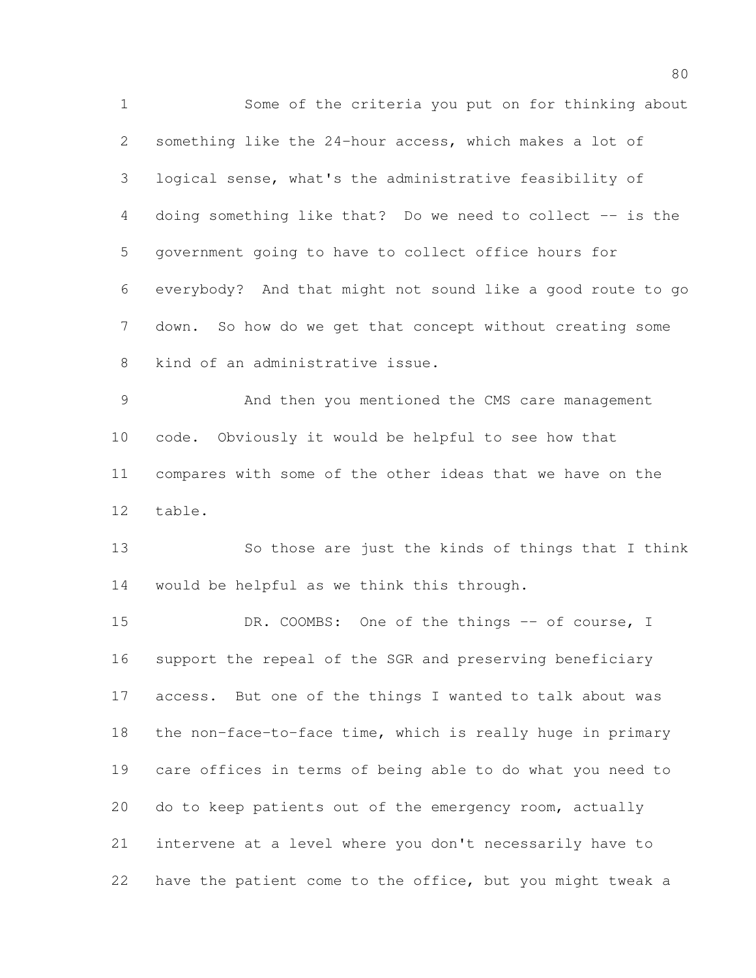Some of the criteria you put on for thinking about something like the 24-hour access, which makes a lot of logical sense, what's the administrative feasibility of doing something like that? Do we need to collect -- is the government going to have to collect office hours for everybody? And that might not sound like a good route to go down. So how do we get that concept without creating some kind of an administrative issue. And then you mentioned the CMS care management code. Obviously it would be helpful to see how that compares with some of the other ideas that we have on the table. So those are just the kinds of things that I think would be helpful as we think this through. 15 DR. COOMBS: One of the things -- of course, I support the repeal of the SGR and preserving beneficiary access. But one of the things I wanted to talk about was the non-face-to-face time, which is really huge in primary care offices in terms of being able to do what you need to do to keep patients out of the emergency room, actually intervene at a level where you don't necessarily have to have the patient come to the office, but you might tweak a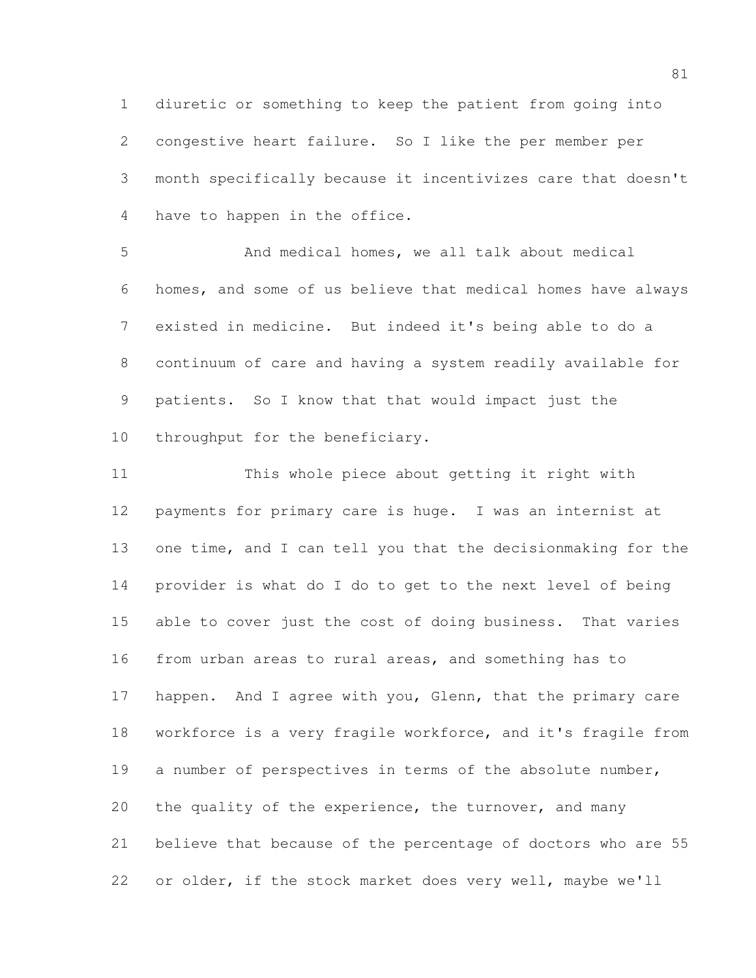diuretic or something to keep the patient from going into congestive heart failure. So I like the per member per month specifically because it incentivizes care that doesn't have to happen in the office.

 And medical homes, we all talk about medical homes, and some of us believe that medical homes have always existed in medicine. But indeed it's being able to do a continuum of care and having a system readily available for patients. So I know that that would impact just the 10 throughput for the beneficiary.

 This whole piece about getting it right with payments for primary care is huge. I was an internist at one time, and I can tell you that the decisionmaking for the provider is what do I do to get to the next level of being able to cover just the cost of doing business. That varies from urban areas to rural areas, and something has to 17 happen. And I agree with you, Glenn, that the primary care workforce is a very fragile workforce, and it's fragile from 19 a number of perspectives in terms of the absolute number, the quality of the experience, the turnover, and many believe that because of the percentage of doctors who are 55 or older, if the stock market does very well, maybe we'll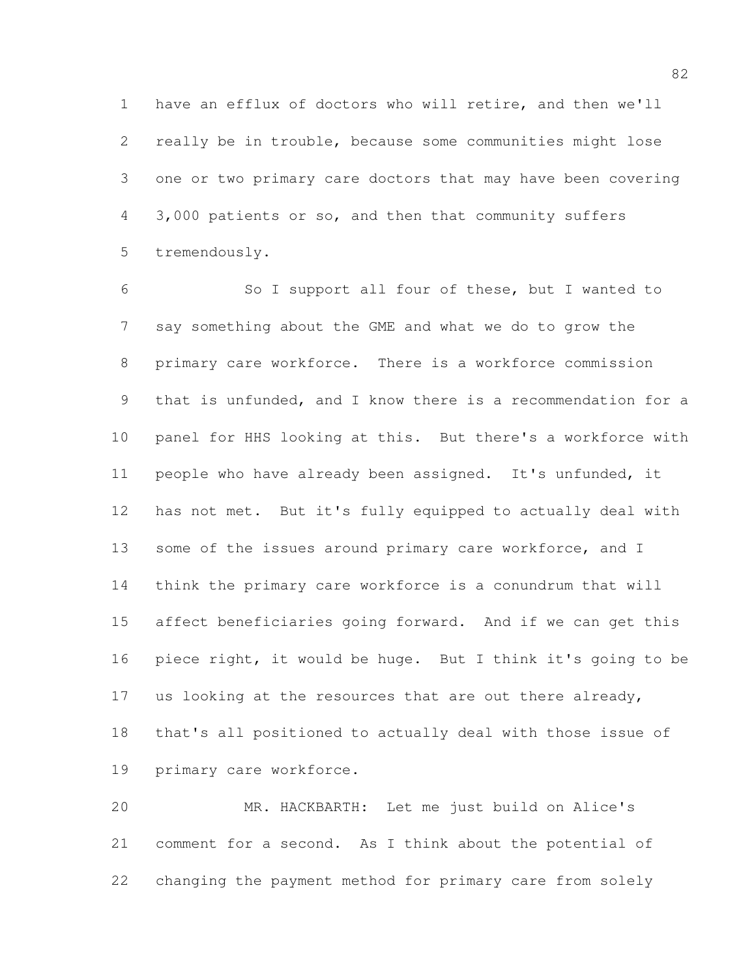have an efflux of doctors who will retire, and then we'll really be in trouble, because some communities might lose one or two primary care doctors that may have been covering 3,000 patients or so, and then that community suffers tremendously.

 So I support all four of these, but I wanted to say something about the GME and what we do to grow the primary care workforce. There is a workforce commission that is unfunded, and I know there is a recommendation for a panel for HHS looking at this. But there's a workforce with people who have already been assigned. It's unfunded, it has not met. But it's fully equipped to actually deal with 13 some of the issues around primary care workforce, and I think the primary care workforce is a conundrum that will affect beneficiaries going forward. And if we can get this piece right, it would be huge. But I think it's going to be 17 us looking at the resources that are out there already, that's all positioned to actually deal with those issue of primary care workforce.

 MR. HACKBARTH: Let me just build on Alice's comment for a second. As I think about the potential of changing the payment method for primary care from solely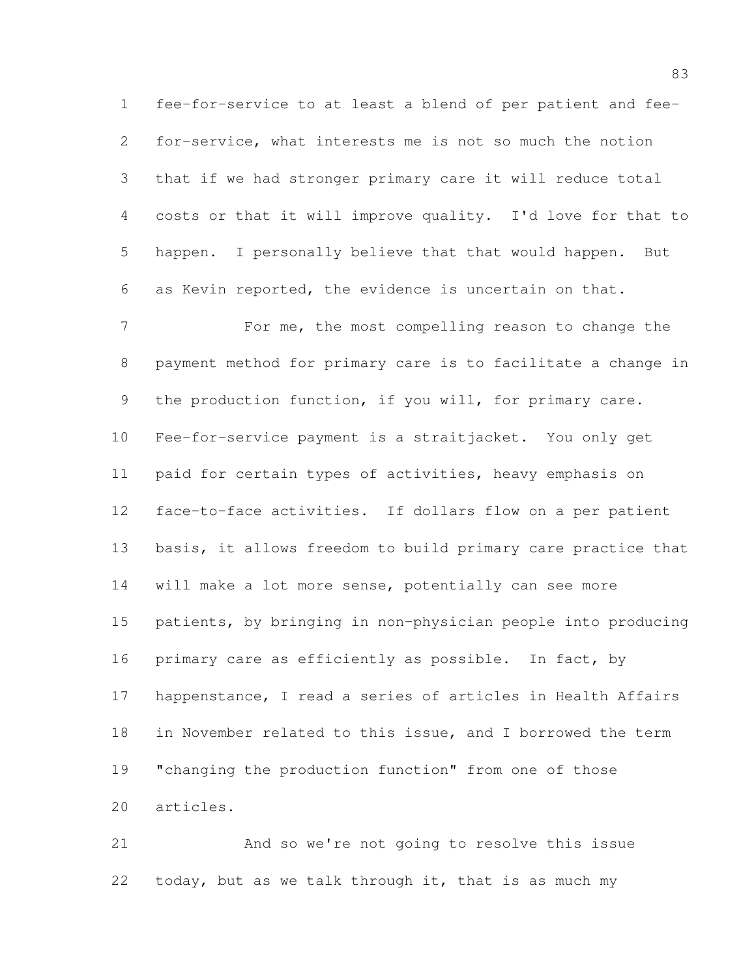fee-for-service to at least a blend of per patient and fee- for-service, what interests me is not so much the notion that if we had stronger primary care it will reduce total costs or that it will improve quality. I'd love for that to happen. I personally believe that that would happen. But as Kevin reported, the evidence is uncertain on that.

 For me, the most compelling reason to change the payment method for primary care is to facilitate a change in 9 the production function, if you will, for primary care. Fee-for-service payment is a straitjacket. You only get paid for certain types of activities, heavy emphasis on face-to-face activities. If dollars flow on a per patient basis, it allows freedom to build primary care practice that will make a lot more sense, potentially can see more patients, by bringing in non-physician people into producing 16 primary care as efficiently as possible. In fact, by happenstance, I read a series of articles in Health Affairs in November related to this issue, and I borrowed the term "changing the production function" from one of those articles.

 And so we're not going to resolve this issue today, but as we talk through it, that is as much my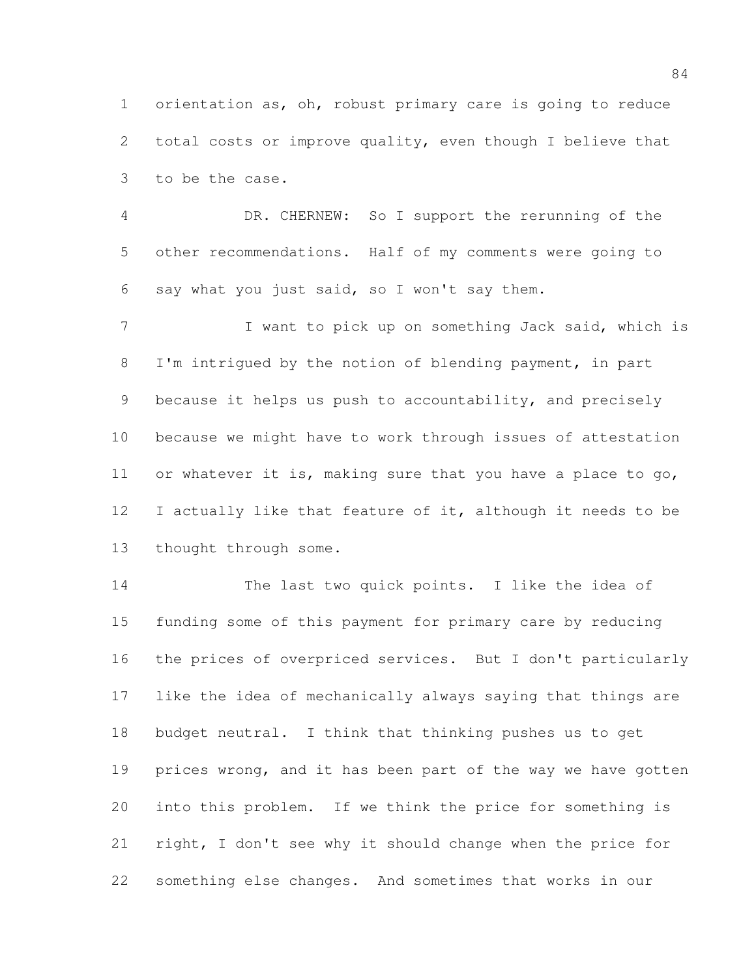orientation as, oh, robust primary care is going to reduce total costs or improve quality, even though I believe that to be the case.

 DR. CHERNEW: So I support the rerunning of the other recommendations. Half of my comments were going to say what you just said, so I won't say them.

7 I want to pick up on something Jack said, which is I'm intrigued by the notion of blending payment, in part because it helps us push to accountability, and precisely because we might have to work through issues of attestation 11 or whatever it is, making sure that you have a place to go, 12 I actually like that feature of it, although it needs to be thought through some.

 The last two quick points. I like the idea of funding some of this payment for primary care by reducing the prices of overpriced services. But I don't particularly like the idea of mechanically always saying that things are budget neutral. I think that thinking pushes us to get 19 prices wrong, and it has been part of the way we have gotten into this problem. If we think the price for something is right, I don't see why it should change when the price for something else changes. And sometimes that works in our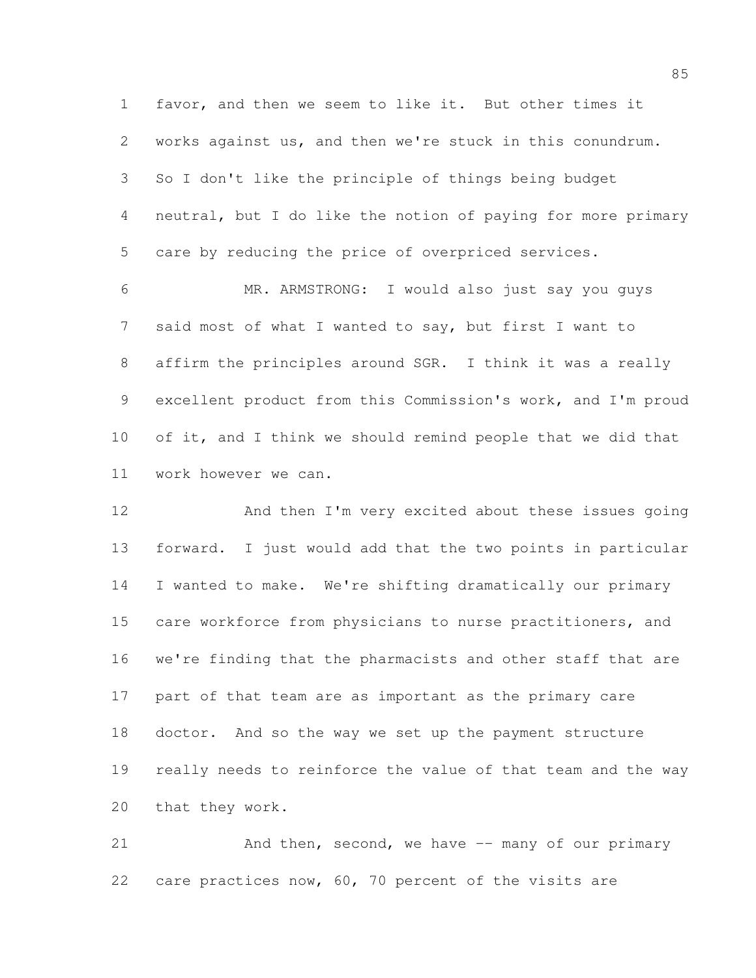favor, and then we seem to like it. But other times it works against us, and then we're stuck in this conundrum. So I don't like the principle of things being budget neutral, but I do like the notion of paying for more primary care by reducing the price of overpriced services.

 MR. ARMSTRONG: I would also just say you guys said most of what I wanted to say, but first I want to affirm the principles around SGR. I think it was a really excellent product from this Commission's work, and I'm proud 10 of it, and I think we should remind people that we did that work however we can.

 And then I'm very excited about these issues going forward. I just would add that the two points in particular I wanted to make. We're shifting dramatically our primary care workforce from physicians to nurse practitioners, and we're finding that the pharmacists and other staff that are part of that team are as important as the primary care doctor. And so the way we set up the payment structure really needs to reinforce the value of that team and the way that they work.

21 And then, second, we have -- many of our primary care practices now, 60, 70 percent of the visits are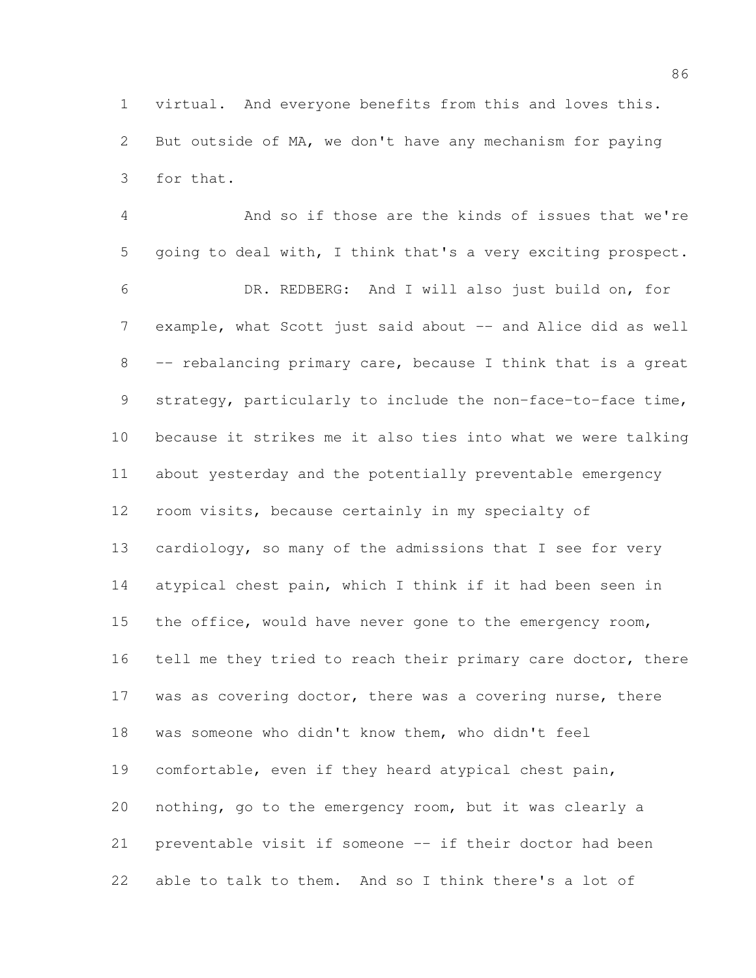virtual. And everyone benefits from this and loves this. But outside of MA, we don't have any mechanism for paying for that.

 And so if those are the kinds of issues that we're going to deal with, I think that's a very exciting prospect. DR. REDBERG: And I will also just build on, for 7 example, what Scott just said about -- and Alice did as well -- rebalancing primary care, because I think that is a great strategy, particularly to include the non-face-to-face time, because it strikes me it also ties into what we were talking about yesterday and the potentially preventable emergency room visits, because certainly in my specialty of cardiology, so many of the admissions that I see for very atypical chest pain, which I think if it had been seen in the office, would have never gone to the emergency room, 16 tell me they tried to reach their primary care doctor, there 17 was as covering doctor, there was a covering nurse, there was someone who didn't know them, who didn't feel comfortable, even if they heard atypical chest pain, nothing, go to the emergency room, but it was clearly a preventable visit if someone -- if their doctor had been able to talk to them. And so I think there's a lot of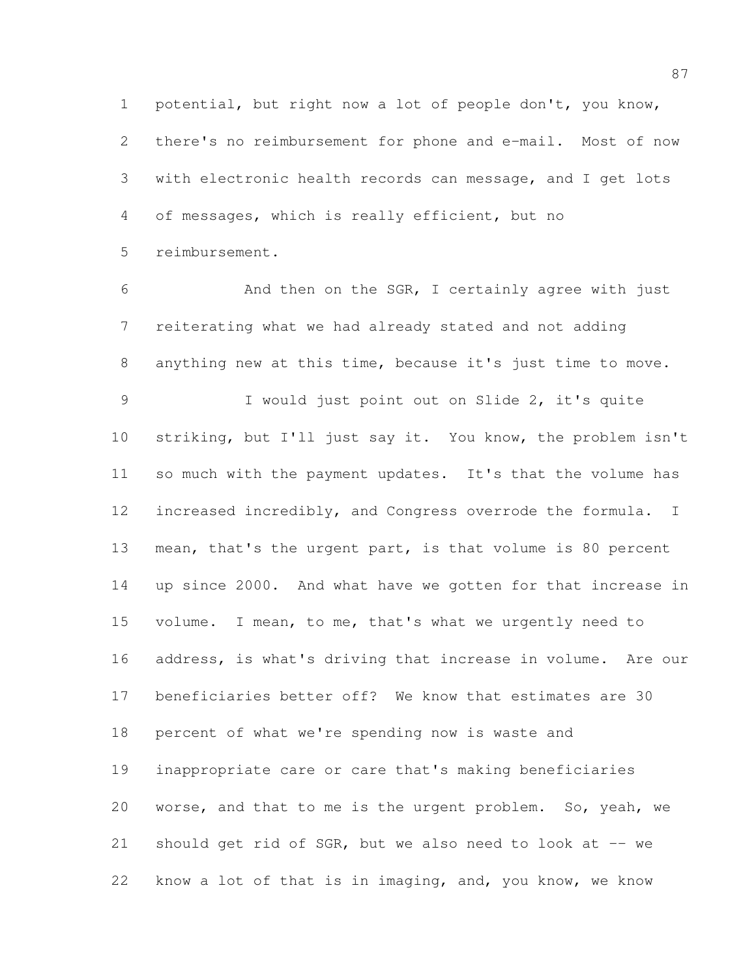potential, but right now a lot of people don't, you know, there's no reimbursement for phone and e-mail. Most of now with electronic health records can message, and I get lots of messages, which is really efficient, but no reimbursement.

 And then on the SGR, I certainly agree with just reiterating what we had already stated and not adding anything new at this time, because it's just time to move. I would just point out on Slide 2, it's quite striking, but I'll just say it. You know, the problem isn't so much with the payment updates. It's that the volume has increased incredibly, and Congress overrode the formula. I mean, that's the urgent part, is that volume is 80 percent up since 2000. And what have we gotten for that increase in volume. I mean, to me, that's what we urgently need to address, is what's driving that increase in volume. Are our beneficiaries better off? We know that estimates are 30 percent of what we're spending now is waste and inappropriate care or care that's making beneficiaries worse, and that to me is the urgent problem. So, yeah, we 21 should get rid of SGR, but we also need to look at -- we know a lot of that is in imaging, and, you know, we know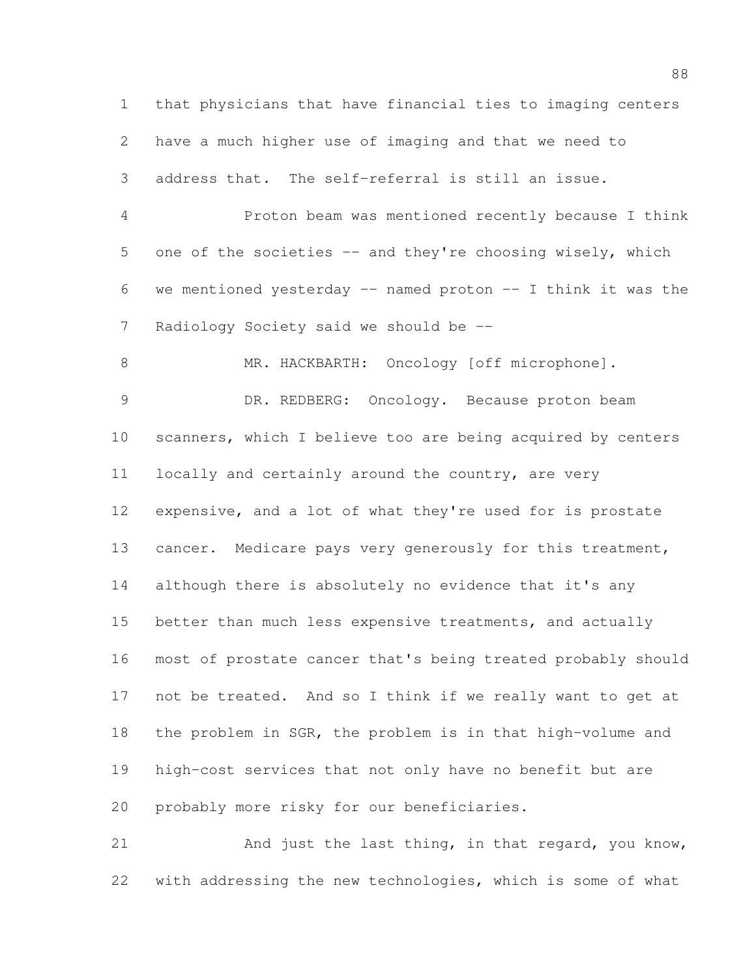that physicians that have financial ties to imaging centers have a much higher use of imaging and that we need to address that. The self-referral is still an issue. Proton beam was mentioned recently because I think 5 one of the societies -- and they're choosing wisely, which we mentioned yesterday -- named proton -- I think it was the Radiology Society said we should be -- 8 MR. HACKBARTH: Oncology [off microphone]. DR. REDBERG: Oncology. Because proton beam scanners, which I believe too are being acquired by centers 11 locally and certainly around the country, are very expensive, and a lot of what they're used for is prostate 13 cancer. Medicare pays very generously for this treatment, although there is absolutely no evidence that it's any better than much less expensive treatments, and actually most of prostate cancer that's being treated probably should not be treated. And so I think if we really want to get at the problem in SGR, the problem is in that high-volume and high-cost services that not only have no benefit but are probably more risky for our beneficiaries.

 And just the last thing, in that regard, you know, with addressing the new technologies, which is some of what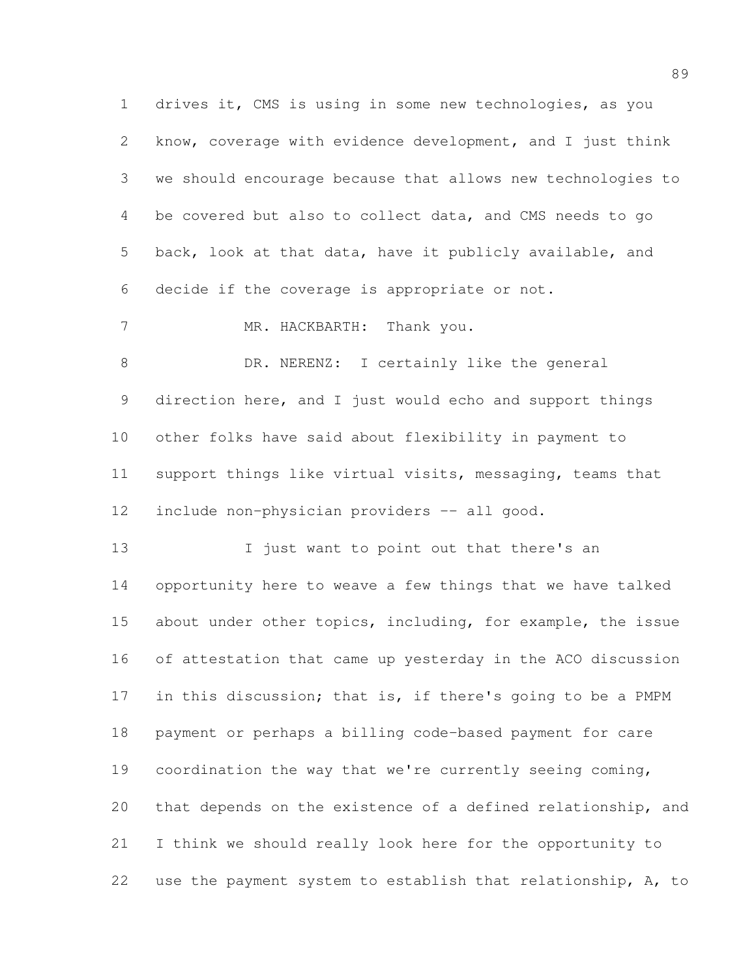drives it, CMS is using in some new technologies, as you know, coverage with evidence development, and I just think we should encourage because that allows new technologies to be covered but also to collect data, and CMS needs to go back, look at that data, have it publicly available, and decide if the coverage is appropriate or not. 7 MR. HACKBARTH: Thank you. 8 DR. NERENZ: I certainly like the general direction here, and I just would echo and support things other folks have said about flexibility in payment to support things like virtual visits, messaging, teams that include non-physician providers -- all good. 13 I just want to point out that there's an opportunity here to weave a few things that we have talked about under other topics, including, for example, the issue of attestation that came up yesterday in the ACO discussion 17 in this discussion; that is, if there's going to be a PMPM payment or perhaps a billing code-based payment for care coordination the way that we're currently seeing coming, that depends on the existence of a defined relationship, and I think we should really look here for the opportunity to use the payment system to establish that relationship, A, to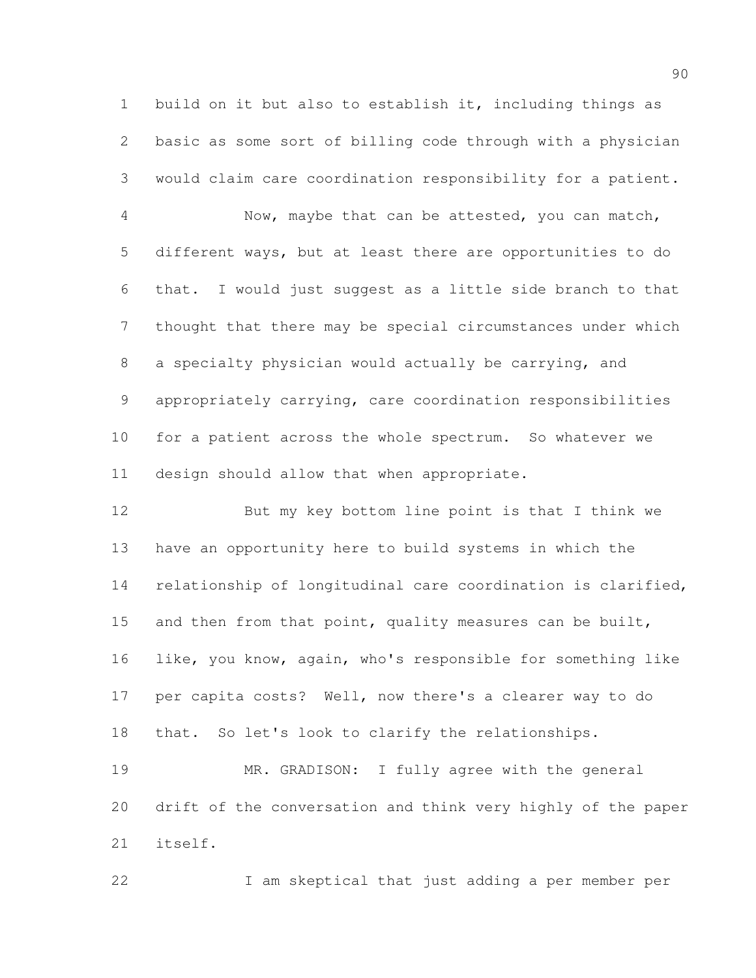build on it but also to establish it, including things as basic as some sort of billing code through with a physician would claim care coordination responsibility for a patient.

 Now, maybe that can be attested, you can match, different ways, but at least there are opportunities to do that. I would just suggest as a little side branch to that thought that there may be special circumstances under which a specialty physician would actually be carrying, and appropriately carrying, care coordination responsibilities for a patient across the whole spectrum. So whatever we design should allow that when appropriate.

 But my key bottom line point is that I think we have an opportunity here to build systems in which the relationship of longitudinal care coordination is clarified, 15 and then from that point, quality measures can be built, like, you know, again, who's responsible for something like per capita costs? Well, now there's a clearer way to do that. So let's look to clarify the relationships. MR. GRADISON: I fully agree with the general drift of the conversation and think very highly of the paper

I am skeptical that just adding a per member per

itself.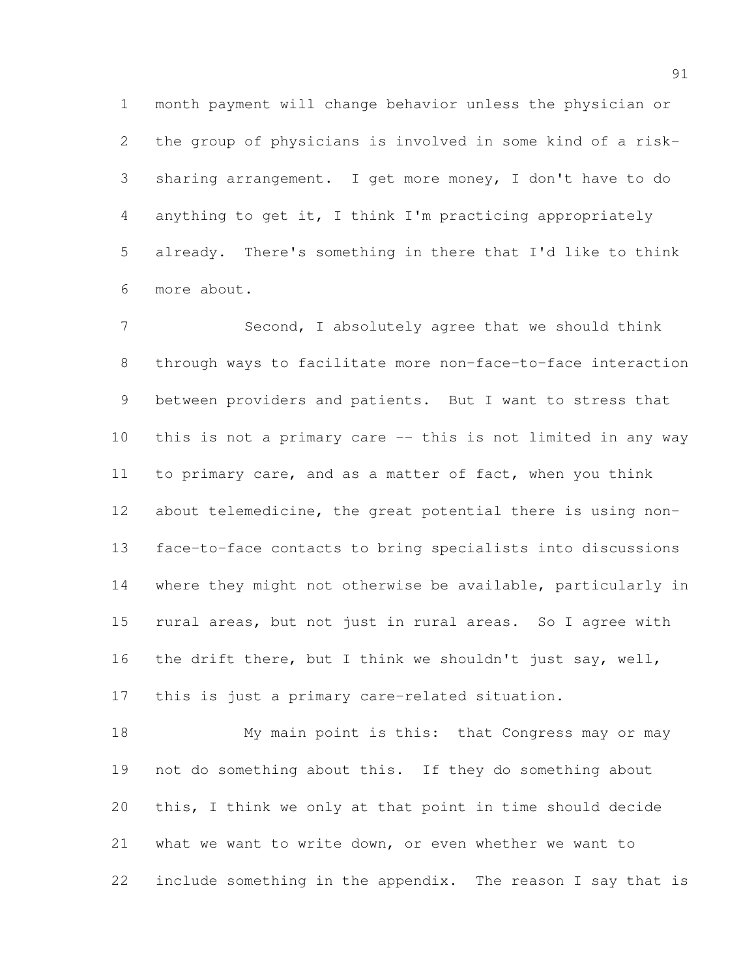month payment will change behavior unless the physician or the group of physicians is involved in some kind of a risk- sharing arrangement. I get more money, I don't have to do anything to get it, I think I'm practicing appropriately already. There's something in there that I'd like to think more about.

 Second, I absolutely agree that we should think through ways to facilitate more non-face-to-face interaction between providers and patients. But I want to stress that this is not a primary care -- this is not limited in any way to primary care, and as a matter of fact, when you think about telemedicine, the great potential there is using non- face-to-face contacts to bring specialists into discussions where they might not otherwise be available, particularly in rural areas, but not just in rural areas. So I agree with the drift there, but I think we shouldn't just say, well, this is just a primary care-related situation.

 My main point is this: that Congress may or may not do something about this. If they do something about this, I think we only at that point in time should decide what we want to write down, or even whether we want to include something in the appendix. The reason I say that is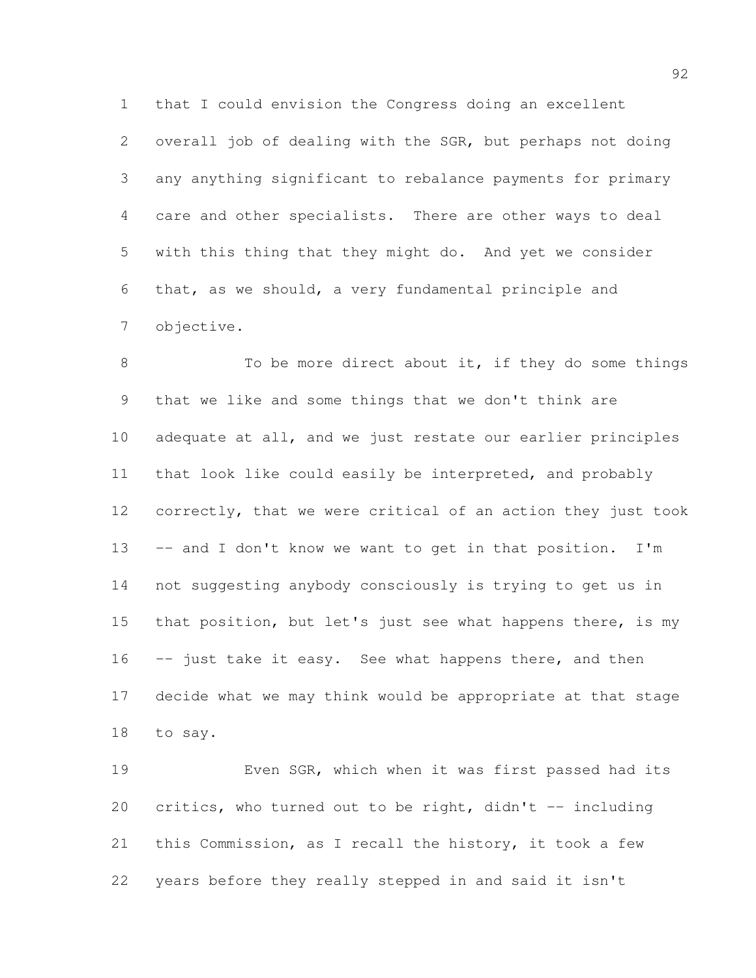that I could envision the Congress doing an excellent overall job of dealing with the SGR, but perhaps not doing any anything significant to rebalance payments for primary care and other specialists. There are other ways to deal with this thing that they might do. And yet we consider that, as we should, a very fundamental principle and objective.

8 To be more direct about it, if they do some things that we like and some things that we don't think are adequate at all, and we just restate our earlier principles that look like could easily be interpreted, and probably correctly, that we were critical of an action they just took -- and I don't know we want to get in that position. I'm not suggesting anybody consciously is trying to get us in 15 that position, but let's just see what happens there, is my 16 -- just take it easy. See what happens there, and then decide what we may think would be appropriate at that stage to say.

 Even SGR, which when it was first passed had its critics, who turned out to be right, didn't -- including this Commission, as I recall the history, it took a few years before they really stepped in and said it isn't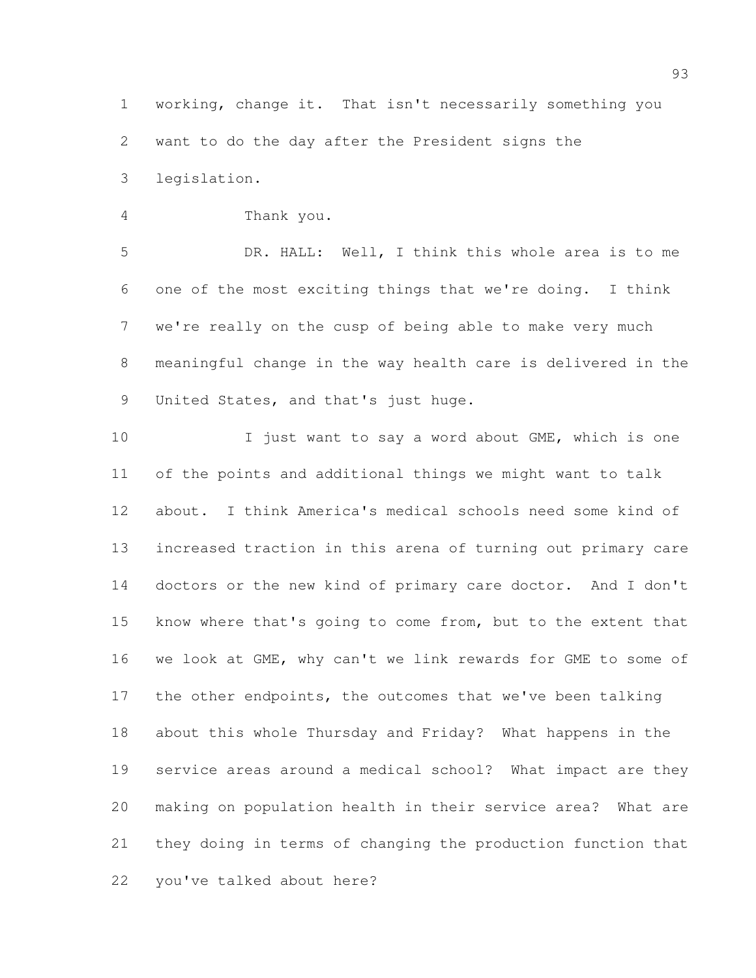working, change it. That isn't necessarily something you want to do the day after the President signs the legislation.

Thank you.

 DR. HALL: Well, I think this whole area is to me one of the most exciting things that we're doing. I think we're really on the cusp of being able to make very much meaningful change in the way health care is delivered in the United States, and that's just huge.

10 I just want to say a word about GME, which is one of the points and additional things we might want to talk about. I think America's medical schools need some kind of increased traction in this arena of turning out primary care doctors or the new kind of primary care doctor. And I don't know where that's going to come from, but to the extent that we look at GME, why can't we link rewards for GME to some of 17 the other endpoints, the outcomes that we've been talking about this whole Thursday and Friday? What happens in the service areas around a medical school? What impact are they making on population health in their service area? What are they doing in terms of changing the production function that you've talked about here?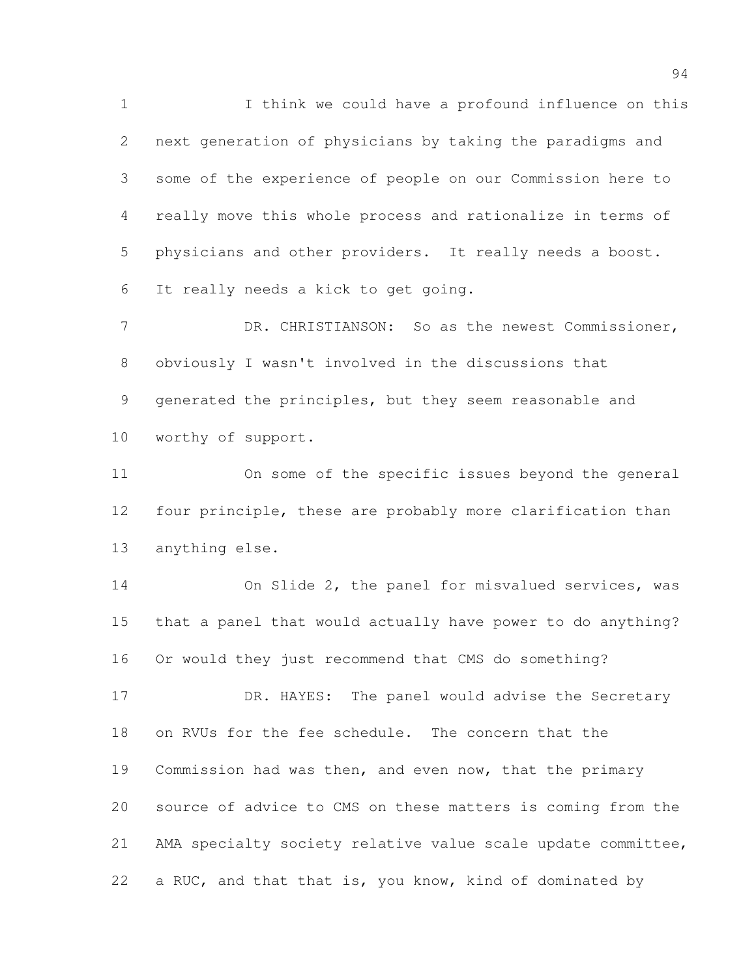I think we could have a profound influence on this next generation of physicians by taking the paradigms and some of the experience of people on our Commission here to really move this whole process and rationalize in terms of physicians and other providers. It really needs a boost. It really needs a kick to get going.

7 DR. CHRISTIANSON: So as the newest Commissioner, obviously I wasn't involved in the discussions that generated the principles, but they seem reasonable and worthy of support.

 On some of the specific issues beyond the general four principle, these are probably more clarification than anything else.

 On Slide 2, the panel for misvalued services, was that a panel that would actually have power to do anything? Or would they just recommend that CMS do something?

17 DR. HAYES: The panel would advise the Secretary on RVUs for the fee schedule. The concern that the Commission had was then, and even now, that the primary source of advice to CMS on these matters is coming from the AMA specialty society relative value scale update committee, a RUC, and that that is, you know, kind of dominated by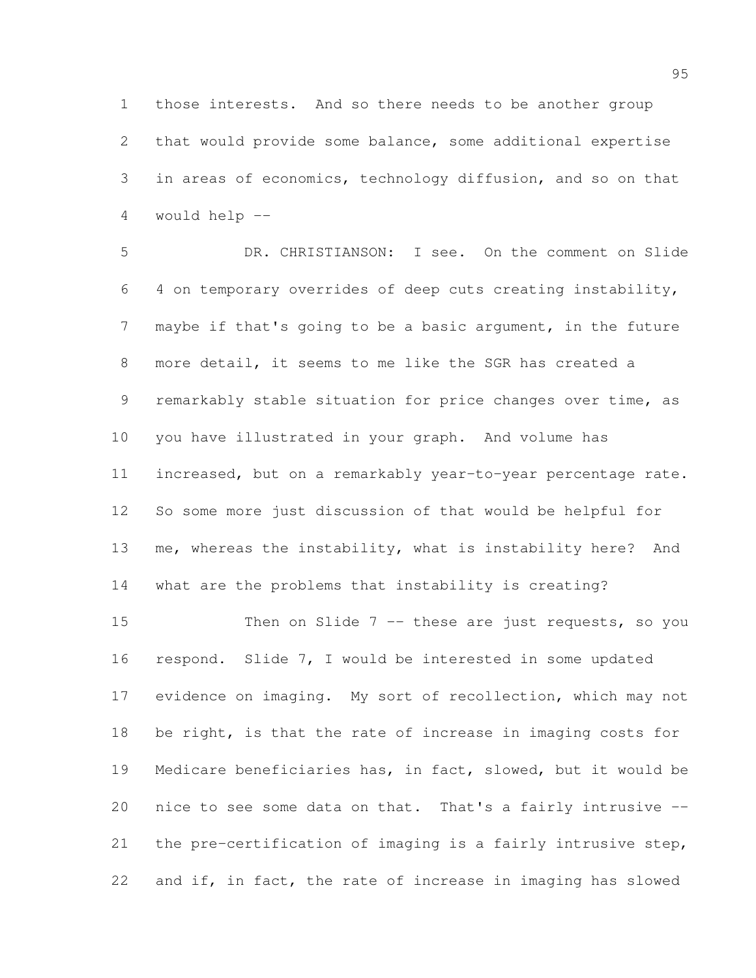those interests. And so there needs to be another group that would provide some balance, some additional expertise in areas of economics, technology diffusion, and so on that would help --

 DR. CHRISTIANSON: I see. On the comment on Slide 4 on temporary overrides of deep cuts creating instability, maybe if that's going to be a basic argument, in the future more detail, it seems to me like the SGR has created a remarkably stable situation for price changes over time, as you have illustrated in your graph. And volume has increased, but on a remarkably year-to-year percentage rate. So some more just discussion of that would be helpful for me, whereas the instability, what is instability here? And what are the problems that instability is creating?

 Then on Slide 7 -- these are just requests, so you respond. Slide 7, I would be interested in some updated evidence on imaging. My sort of recollection, which may not be right, is that the rate of increase in imaging costs for Medicare beneficiaries has, in fact, slowed, but it would be nice to see some data on that. That's a fairly intrusive -- the pre-certification of imaging is a fairly intrusive step, and if, in fact, the rate of increase in imaging has slowed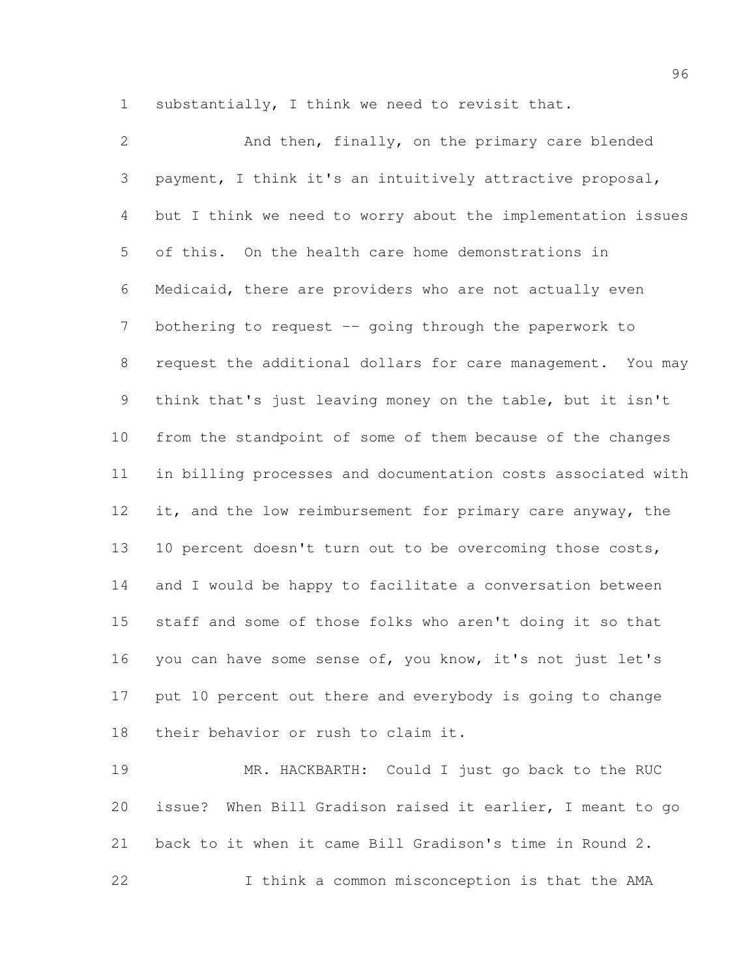substantially, I think we need to revisit that.

 And then, finally, on the primary care blended payment, I think it's an intuitively attractive proposal, but I think we need to worry about the implementation issues of this. On the health care home demonstrations in Medicaid, there are providers who are not actually even 7 bothering to request -- going through the paperwork to request the additional dollars for care management. You may think that's just leaving money on the table, but it isn't from the standpoint of some of them because of the changes in billing processes and documentation costs associated with 12 it, and the low reimbursement for primary care anyway, the 10 percent doesn't turn out to be overcoming those costs, and I would be happy to facilitate a conversation between staff and some of those folks who aren't doing it so that you can have some sense of, you know, it's not just let's put 10 percent out there and everybody is going to change their behavior or rush to claim it.

 MR. HACKBARTH: Could I just go back to the RUC issue? When Bill Gradison raised it earlier, I meant to go back to it when it came Bill Gradison's time in Round 2. I think a common misconception is that the AMA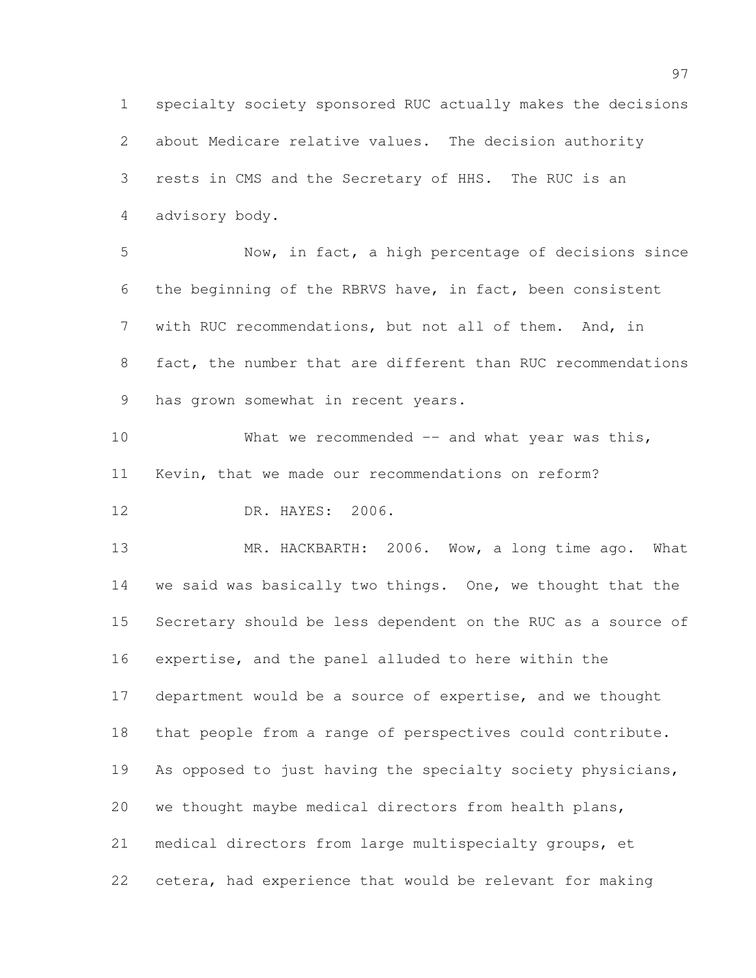specialty society sponsored RUC actually makes the decisions about Medicare relative values. The decision authority rests in CMS and the Secretary of HHS. The RUC is an advisory body.

 Now, in fact, a high percentage of decisions since the beginning of the RBRVS have, in fact, been consistent with RUC recommendations, but not all of them. And, in fact, the number that are different than RUC recommendations has grown somewhat in recent years.

10 What we recommended -- and what year was this, Kevin, that we made our recommendations on reform?

DR. HAYES: 2006.

13 MR. HACKBARTH: 2006. Wow, a long time ago. What we said was basically two things. One, we thought that the Secretary should be less dependent on the RUC as a source of expertise, and the panel alluded to here within the department would be a source of expertise, and we thought that people from a range of perspectives could contribute. As opposed to just having the specialty society physicians, we thought maybe medical directors from health plans, medical directors from large multispecialty groups, et cetera, had experience that would be relevant for making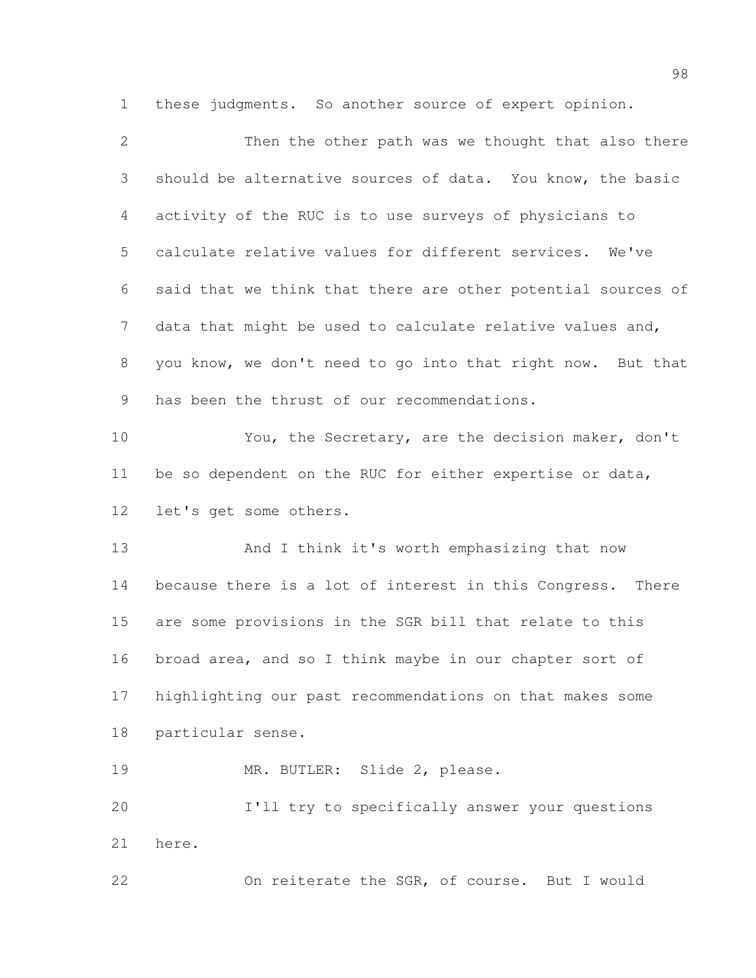these judgments. So another source of expert opinion.

| $\mathbf{2}$    | Then the other path was we thought that also there            |
|-----------------|---------------------------------------------------------------|
| 3               | should be alternative sources of data. You know, the basic    |
| 4               | activity of the RUC is to use surveys of physicians to        |
| 5               | calculate relative values for different services. We've       |
| 6               | said that we think that there are other potential sources of  |
| 7               | data that might be used to calculate relative values and,     |
| 8               | you know, we don't need to go into that right now. But that   |
| 9               | has been the thrust of our recommendations.                   |
| 10              | You, the Secretary, are the decision maker, don't             |
| 11              | be so dependent on the RUC for either expertise or data,      |
| 12 <sup>°</sup> | let's get some others.                                        |
| 13              | And I think it's worth emphasizing that now                   |
| 14              | because there is a lot of interest in this Congress.<br>There |
| 15              | are some provisions in the SGR bill that relate to this       |
| 16              | broad area, and so I think maybe in our chapter sort of       |
| 17              | highlighting our past recommendations on that makes some      |
| 18              | particular sense.                                             |
| 19              | MR. BUTLER: Slide 2, please.                                  |
| 20              | I'll try to specifically answer your questions                |
| 21              | here.                                                         |
| 22              | On reiterate the SGR, of course. But I would                  |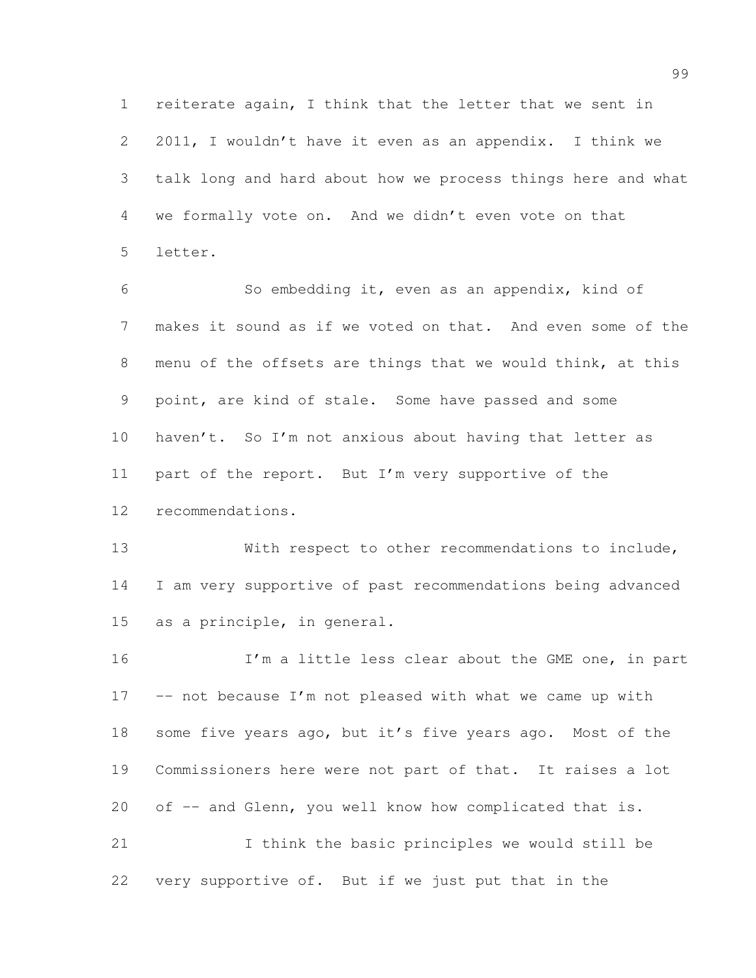reiterate again, I think that the letter that we sent in 2011, I wouldn't have it even as an appendix. I think we talk long and hard about how we process things here and what we formally vote on. And we didn't even vote on that letter.

 So embedding it, even as an appendix, kind of makes it sound as if we voted on that. And even some of the menu of the offsets are things that we would think, at this point, are kind of stale. Some have passed and some haven't. So I'm not anxious about having that letter as part of the report. But I'm very supportive of the recommendations.

 With respect to other recommendations to include, I am very supportive of past recommendations being advanced as a principle, in general.

16 I'm a little less clear about the GME one, in part 17 -- not because I'm not pleased with what we came up with some five years ago, but it's five years ago. Most of the Commissioners here were not part of that. It raises a lot 20 of -- and Glenn, you well know how complicated that is. I think the basic principles we would still be

very supportive of. But if we just put that in the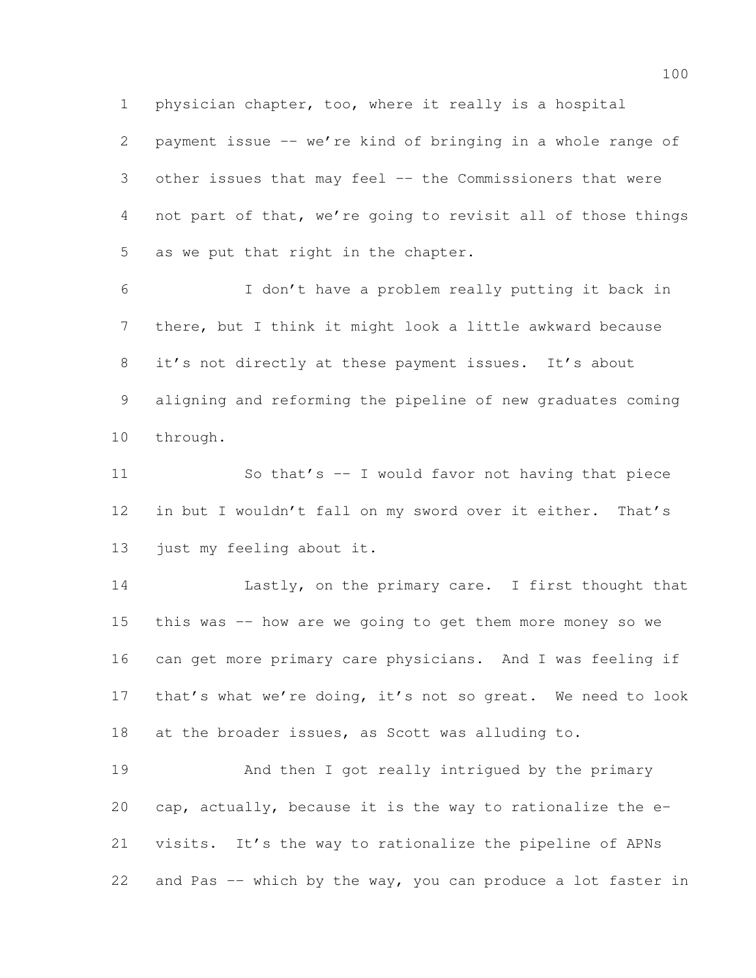physician chapter, too, where it really is a hospital

 payment issue -- we're kind of bringing in a whole range of other issues that may feel -- the Commissioners that were not part of that, we're going to revisit all of those things as we put that right in the chapter.

 I don't have a problem really putting it back in there, but I think it might look a little awkward because it's not directly at these payment issues. It's about aligning and reforming the pipeline of new graduates coming through.

 So that's -- I would favor not having that piece in but I wouldn't fall on my sword over it either. That's just my feeling about it.

 Lastly, on the primary care. I first thought that this was -- how are we going to get them more money so we can get more primary care physicians. And I was feeling if that's what we're doing, it's not so great. We need to look at the broader issues, as Scott was alluding to.

 And then I got really intrigued by the primary cap, actually, because it is the way to rationalize the e- visits. It's the way to rationalize the pipeline of APNs and Pas -- which by the way, you can produce a lot faster in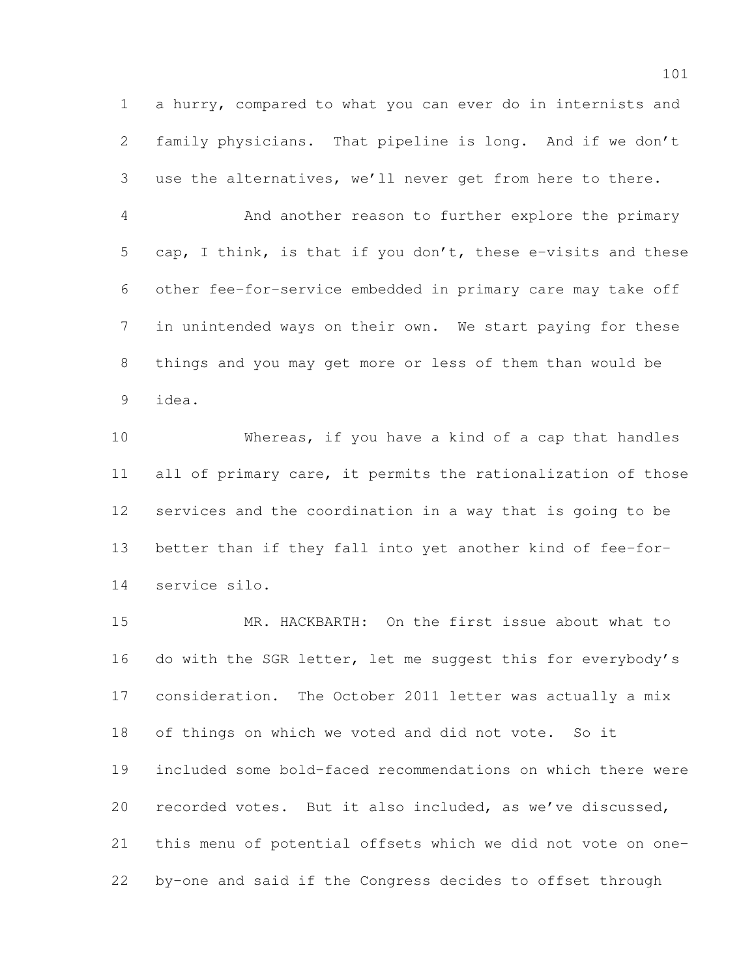a hurry, compared to what you can ever do in internists and family physicians. That pipeline is long. And if we don't use the alternatives, we'll never get from here to there.

 And another reason to further explore the primary cap, I think, is that if you don't, these e-visits and these other fee-for-service embedded in primary care may take off in unintended ways on their own. We start paying for these things and you may get more or less of them than would be idea.

 Whereas, if you have a kind of a cap that handles all of primary care, it permits the rationalization of those services and the coordination in a way that is going to be better than if they fall into yet another kind of fee-for-service silo.

 MR. HACKBARTH: On the first issue about what to 16 do with the SGR letter, let me suggest this for everybody's consideration. The October 2011 letter was actually a mix of things on which we voted and did not vote. So it included some bold-faced recommendations on which there were recorded votes. But it also included, as we've discussed, this menu of potential offsets which we did not vote on one-by-one and said if the Congress decides to offset through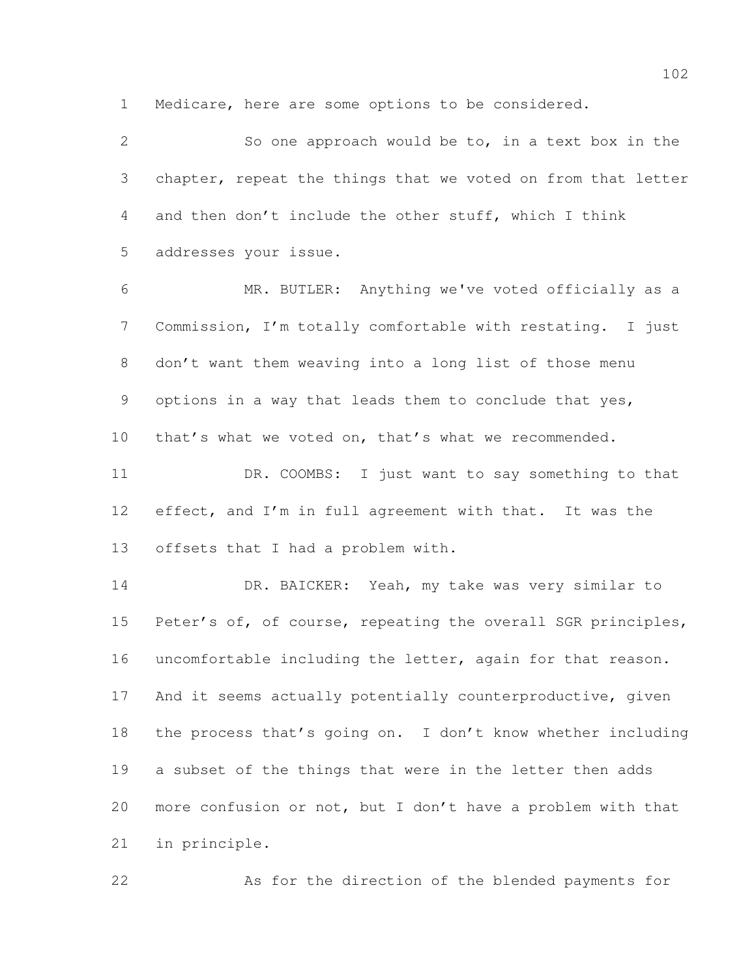Medicare, here are some options to be considered.

 So one approach would be to, in a text box in the chapter, repeat the things that we voted on from that letter and then don't include the other stuff, which I think addresses your issue. MR. BUTLER: Anything we've voted officially as a Commission, I'm totally comfortable with restating. I just don't want them weaving into a long list of those menu options in a way that leads them to conclude that yes, that's what we voted on, that's what we recommended. DR. COOMBS: I just want to say something to that 12 effect, and I'm in full agreement with that. It was the offsets that I had a problem with. DR. BAICKER: Yeah, my take was very similar to 15 Peter's of, of course, repeating the overall SGR principles, uncomfortable including the letter, again for that reason. 17 And it seems actually potentially counterproductive, given the process that's going on. I don't know whether including a subset of the things that were in the letter then adds more confusion or not, but I don't have a problem with that in principle.

As for the direction of the blended payments for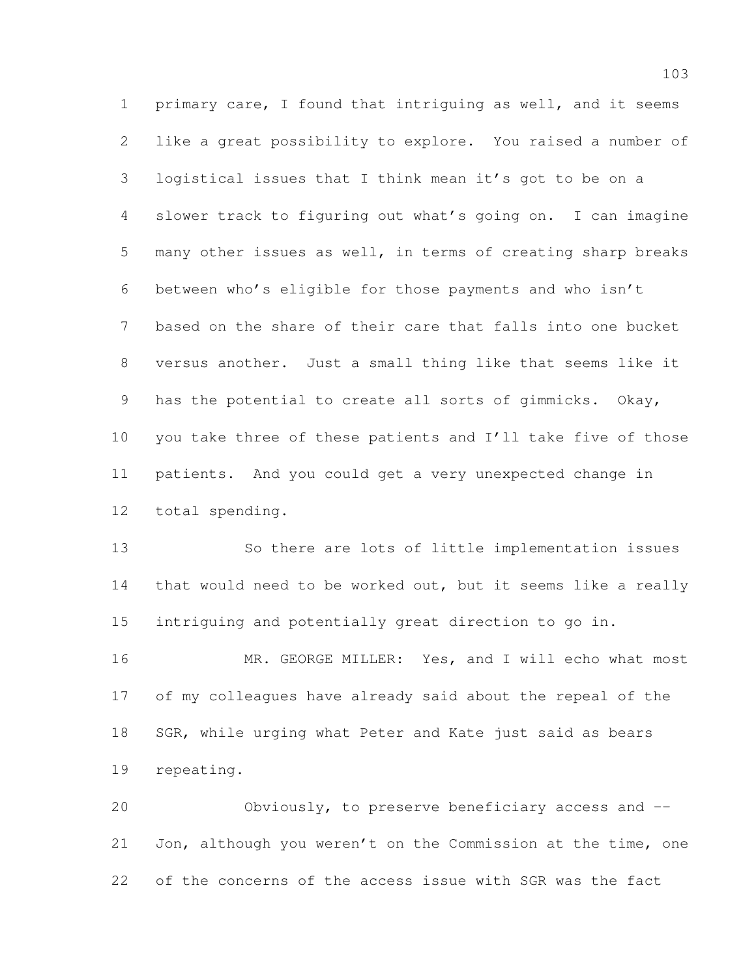primary care, I found that intriguing as well, and it seems like a great possibility to explore. You raised a number of logistical issues that I think mean it's got to be on a slower track to figuring out what's going on. I can imagine many other issues as well, in terms of creating sharp breaks between who's eligible for those payments and who isn't based on the share of their care that falls into one bucket versus another. Just a small thing like that seems like it has the potential to create all sorts of gimmicks. Okay, you take three of these patients and I'll take five of those patients. And you could get a very unexpected change in total spending.

 So there are lots of little implementation issues that would need to be worked out, but it seems like a really intriguing and potentially great direction to go in.

16 MR. GEORGE MILLER: Yes, and I will echo what most of my colleagues have already said about the repeal of the 18 SGR, while urging what Peter and Kate just said as bears repeating.

 Obviously, to preserve beneficiary access and -- Jon, although you weren't on the Commission at the time, one of the concerns of the access issue with SGR was the fact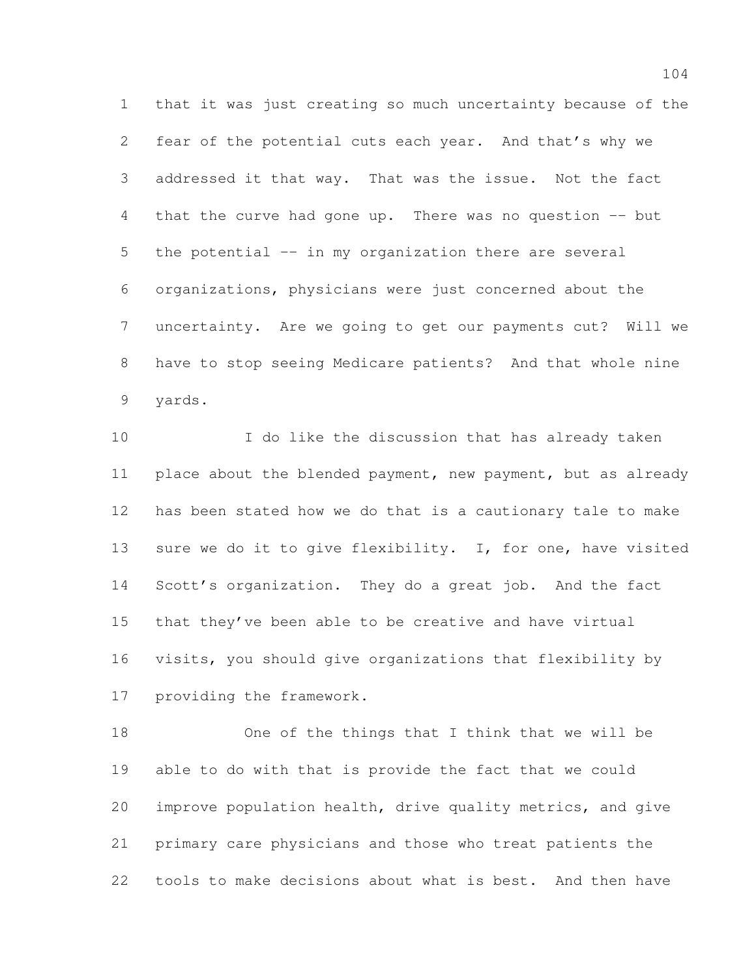that it was just creating so much uncertainty because of the fear of the potential cuts each year. And that's why we addressed it that way. That was the issue. Not the fact that the curve had gone up. There was no question -- but the potential -- in my organization there are several organizations, physicians were just concerned about the uncertainty. Are we going to get our payments cut? Will we have to stop seeing Medicare patients? And that whole nine yards.

 I do like the discussion that has already taken place about the blended payment, new payment, but as already has been stated how we do that is a cautionary tale to make 13 sure we do it to give flexibility. I, for one, have visited Scott's organization. They do a great job. And the fact that they've been able to be creative and have virtual visits, you should give organizations that flexibility by providing the framework.

 One of the things that I think that we will be able to do with that is provide the fact that we could improve population health, drive quality metrics, and give primary care physicians and those who treat patients the tools to make decisions about what is best. And then have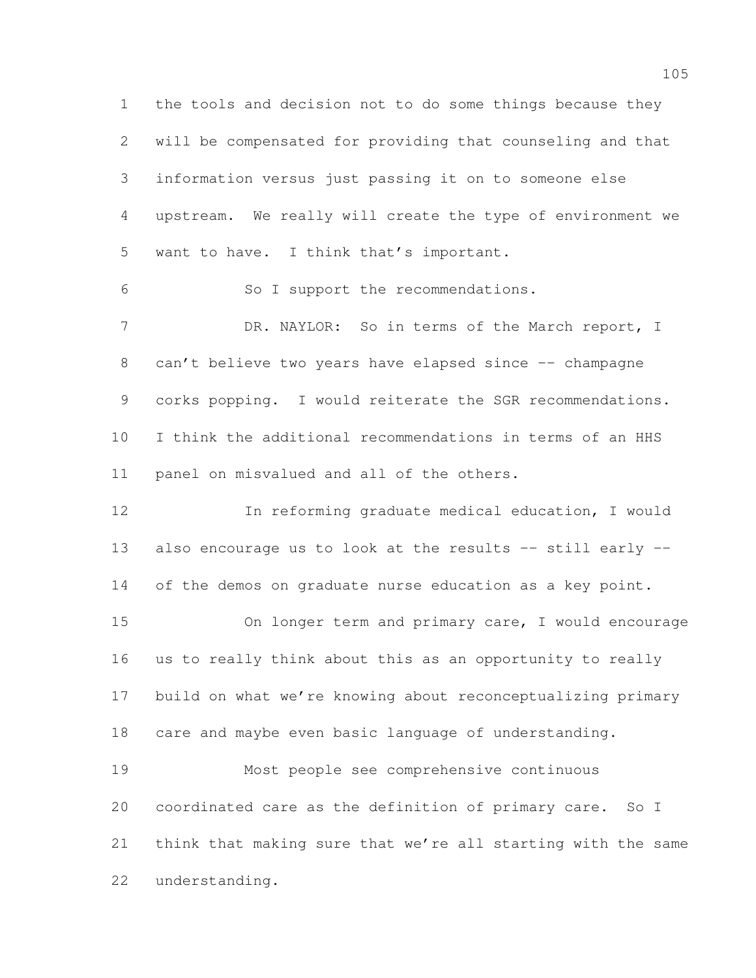the tools and decision not to do some things because they will be compensated for providing that counseling and that information versus just passing it on to someone else upstream. We really will create the type of environment we want to have. I think that's important. So I support the recommendations. 7 DR. NAYLOR: So in terms of the March report, I 8 can't believe two years have elapsed since -- champagne corks popping. I would reiterate the SGR recommendations. I think the additional recommendations in terms of an HHS panel on misvalued and all of the others. In reforming graduate medical education, I would also encourage us to look at the results -- still early -- 14 of the demos on graduate nurse education as a key point. On longer term and primary care, I would encourage

 us to really think about this as an opportunity to really build on what we're knowing about reconceptualizing primary care and maybe even basic language of understanding.

 Most people see comprehensive continuous coordinated care as the definition of primary care. So I think that making sure that we're all starting with the same understanding.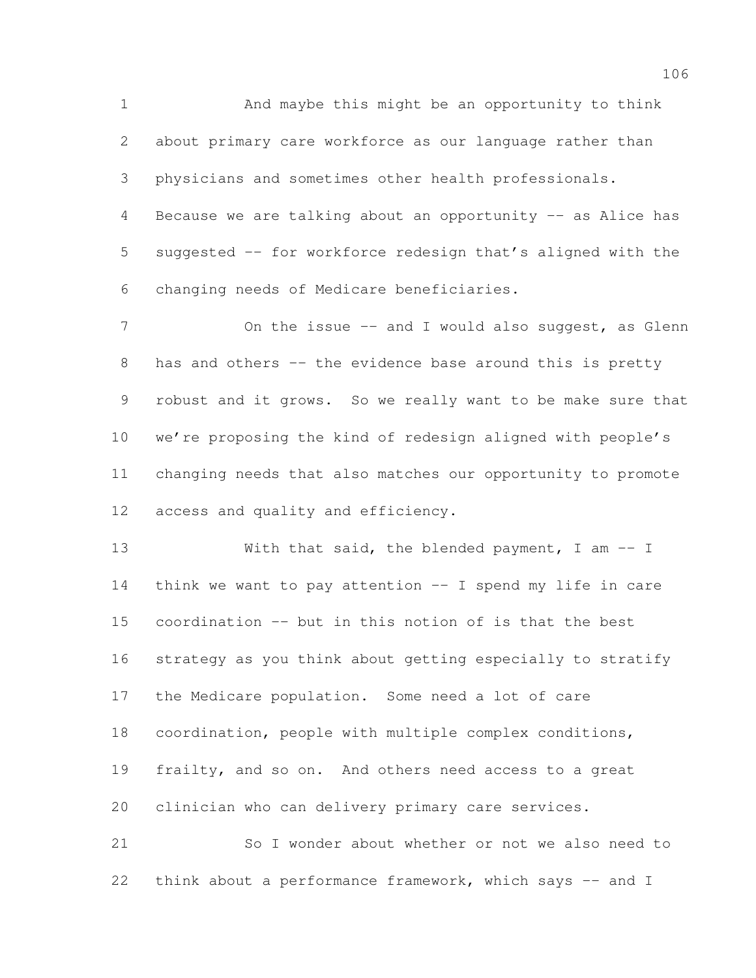And maybe this might be an opportunity to think about primary care workforce as our language rather than physicians and sometimes other health professionals. 4 Because we are talking about an opportunity -- as Alice has suggested -- for workforce redesign that's aligned with the changing needs of Medicare beneficiaries.

7 On the issue -- and I would also suggest, as Glenn 8 has and others -- the evidence base around this is pretty robust and it grows. So we really want to be make sure that we're proposing the kind of redesign aligned with people's changing needs that also matches our opportunity to promote access and quality and efficiency.

13 With that said, the blended payment, I am -- I think we want to pay attention -- I spend my life in care coordination -- but in this notion of is that the best strategy as you think about getting especially to stratify the Medicare population. Some need a lot of care coordination, people with multiple complex conditions, frailty, and so on. And others need access to a great clinician who can delivery primary care services.

 So I wonder about whether or not we also need to 22 think about a performance framework, which says -- and I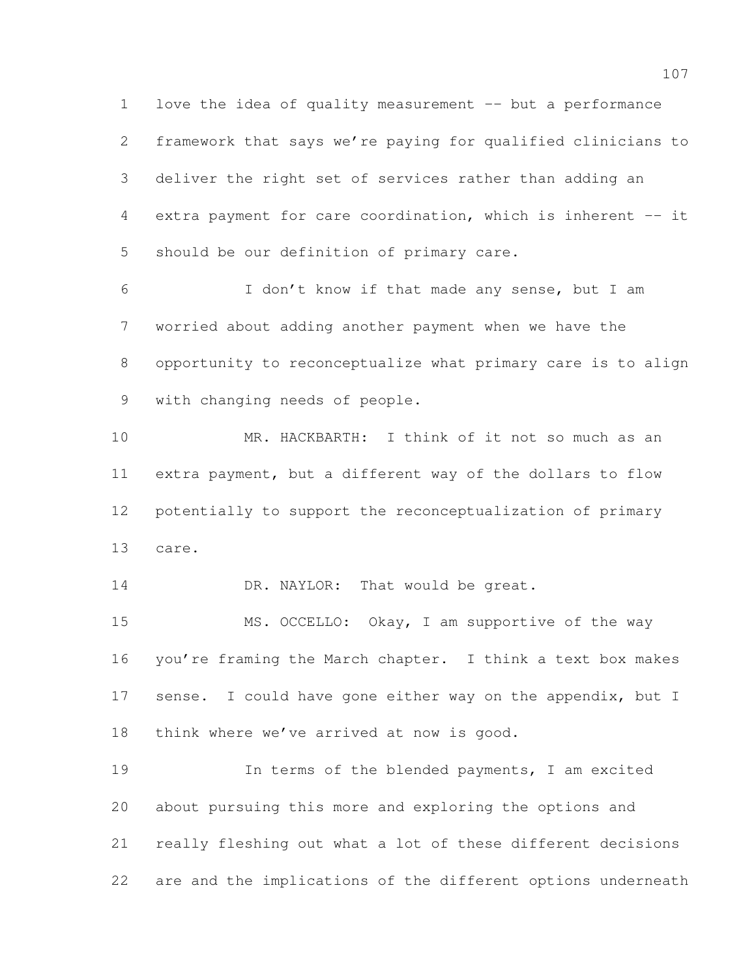love the idea of quality measurement -- but a performance framework that says we're paying for qualified clinicians to deliver the right set of services rather than adding an extra payment for care coordination, which is inherent -- it should be our definition of primary care.

 I don't know if that made any sense, but I am worried about adding another payment when we have the opportunity to reconceptualize what primary care is to align with changing needs of people.

 MR. HACKBARTH: I think of it not so much as an extra payment, but a different way of the dollars to flow potentially to support the reconceptualization of primary care.

14 DR. NAYLOR: That would be great.

 MS. OCCELLO: Okay, I am supportive of the way you're framing the March chapter. I think a text box makes 17 sense. I could have gone either way on the appendix, but I 18 think where we've arrived at now is good.

 In terms of the blended payments, I am excited about pursuing this more and exploring the options and really fleshing out what a lot of these different decisions are and the implications of the different options underneath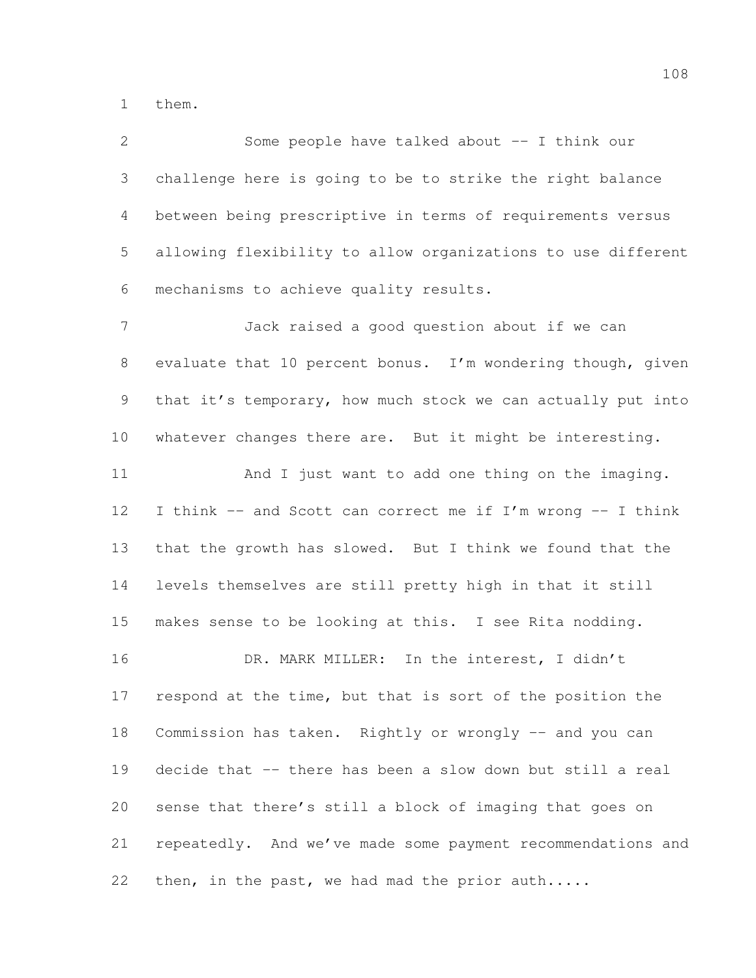them.

| $\mathbf{2}$    | Some people have talked about -- I think our                 |
|-----------------|--------------------------------------------------------------|
| 3               | challenge here is going to be to strike the right balance    |
| 4               | between being prescriptive in terms of requirements versus   |
| 5               | allowing flexibility to allow organizations to use different |
| 6               | mechanisms to achieve quality results.                       |
| $7\phantom{.}$  | Jack raised a good question about if we can                  |
| $8\,$           | evaluate that 10 percent bonus. I'm wondering though, given  |
| $\mathcal{G}$   | that it's temporary, how much stock we can actually put into |
| 10              | whatever changes there are. But it might be interesting.     |
| 11              | And I just want to add one thing on the imaging.             |
| 12              | I think -- and Scott can correct me if I'm wrong -- I think  |
| 13              | that the growth has slowed. But I think we found that the    |
| 14              | levels themselves are still pretty high in that it still     |
| 15              | makes sense to be looking at this. I see Rita nodding.       |
| 16              | DR. MARK MILLER: In the interest, I didn't                   |
| 17 <sub>2</sub> | respond at the time, but that is sort of the position the    |
| 18              | Commission has taken. Rightly or wrongly -- and you can      |
| 19              | decide that -- there has been a slow down but still a real   |
| 20              | sense that there's still a block of imaging that goes on     |
| 21              | repeatedly. And we've made some payment recommendations and  |
| 22              | then, in the past, we had mad the prior auth                 |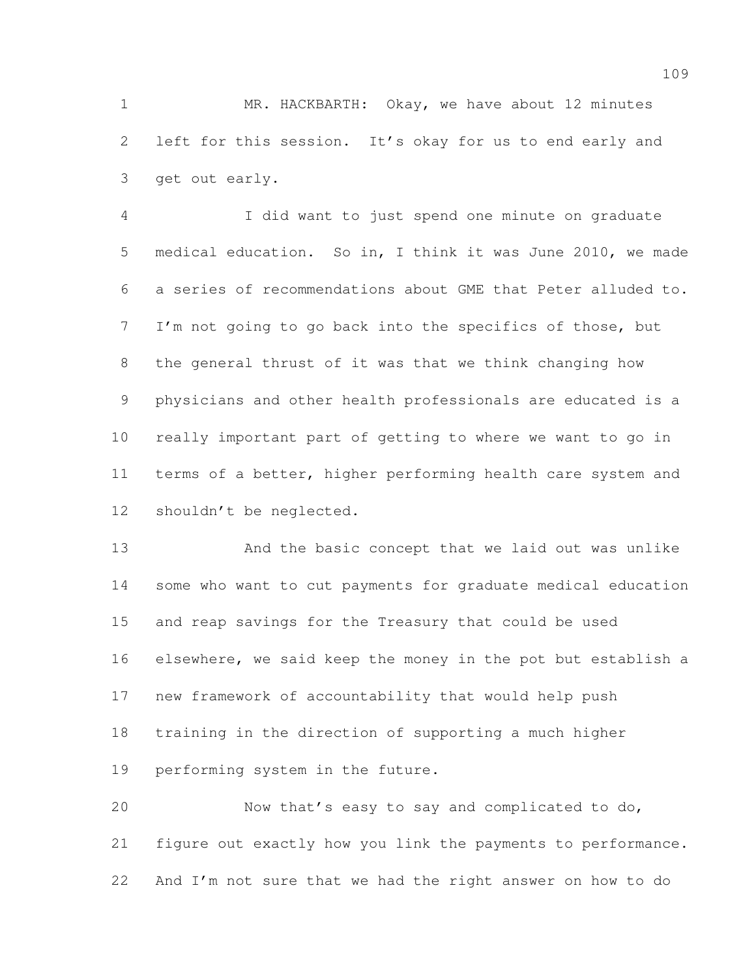MR. HACKBARTH: Okay, we have about 12 minutes left for this session. It's okay for us to end early and get out early.

 I did want to just spend one minute on graduate medical education. So in, I think it was June 2010, we made a series of recommendations about GME that Peter alluded to. I'm not going to go back into the specifics of those, but the general thrust of it was that we think changing how physicians and other health professionals are educated is a really important part of getting to where we want to go in terms of a better, higher performing health care system and shouldn't be neglected.

 And the basic concept that we laid out was unlike some who want to cut payments for graduate medical education and reap savings for the Treasury that could be used elsewhere, we said keep the money in the pot but establish a new framework of accountability that would help push training in the direction of supporting a much higher performing system in the future.

 Now that's easy to say and complicated to do, figure out exactly how you link the payments to performance. And I'm not sure that we had the right answer on how to do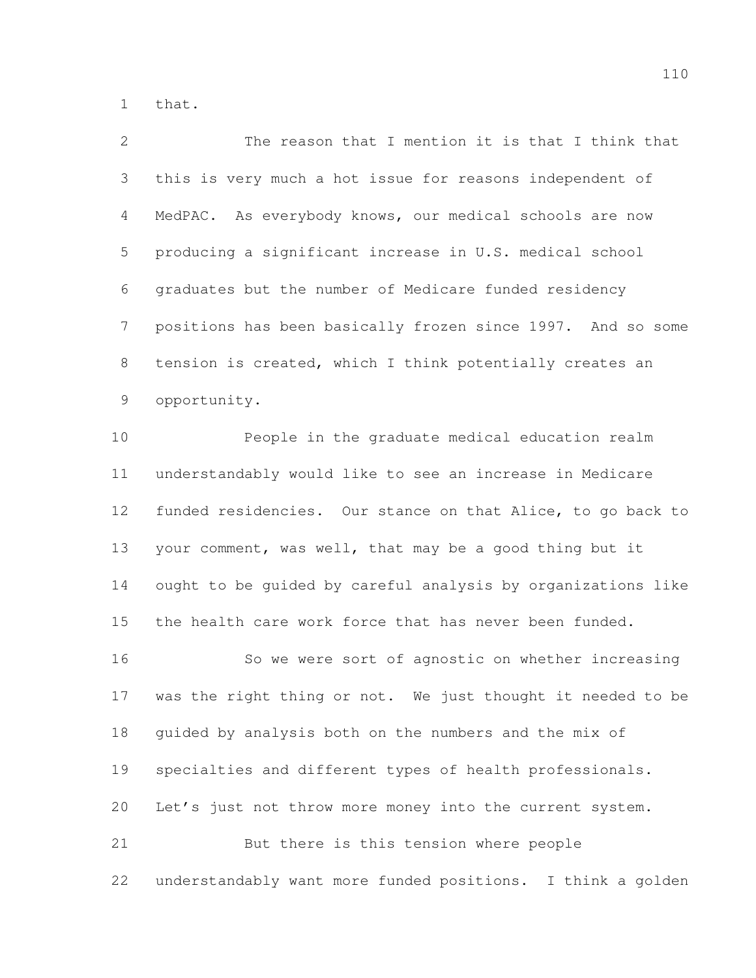that.

 The reason that I mention it is that I think that this is very much a hot issue for reasons independent of MedPAC. As everybody knows, our medical schools are now producing a significant increase in U.S. medical school graduates but the number of Medicare funded residency positions has been basically frozen since 1997. And so some tension is created, which I think potentially creates an opportunity.

 People in the graduate medical education realm understandably would like to see an increase in Medicare funded residencies. Our stance on that Alice, to go back to your comment, was well, that may be a good thing but it ought to be guided by careful analysis by organizations like the health care work force that has never been funded.

 So we were sort of agnostic on whether increasing was the right thing or not. We just thought it needed to be guided by analysis both on the numbers and the mix of specialties and different types of health professionals. Let's just not throw more money into the current system. But there is this tension where people

understandably want more funded positions. I think a golden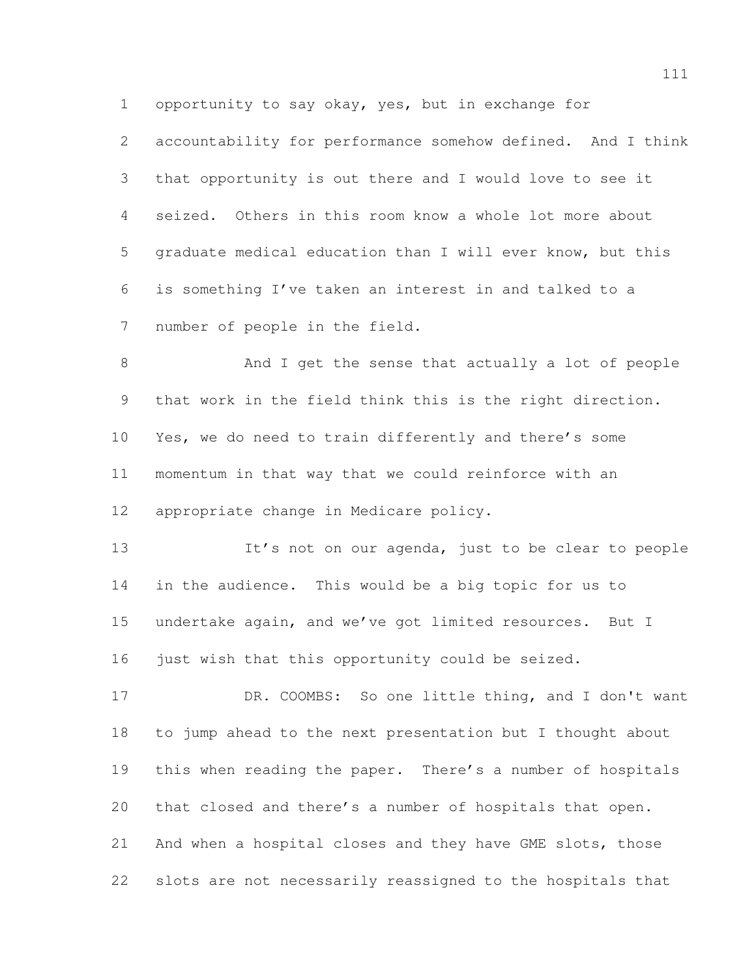opportunity to say okay, yes, but in exchange for

 accountability for performance somehow defined. And I think that opportunity is out there and I would love to see it seized. Others in this room know a whole lot more about graduate medical education than I will ever know, but this is something I've taken an interest in and talked to a number of people in the field.

 And I get the sense that actually a lot of people that work in the field think this is the right direction. Yes, we do need to train differently and there's some momentum in that way that we could reinforce with an appropriate change in Medicare policy.

13 It's not on our agenda, just to be clear to people in the audience. This would be a big topic for us to undertake again, and we've got limited resources. But I 16 just wish that this opportunity could be seized.

17 DR. COOMBS: So one little thing, and I don't want to jump ahead to the next presentation but I thought about this when reading the paper. There's a number of hospitals that closed and there's a number of hospitals that open. And when a hospital closes and they have GME slots, those slots are not necessarily reassigned to the hospitals that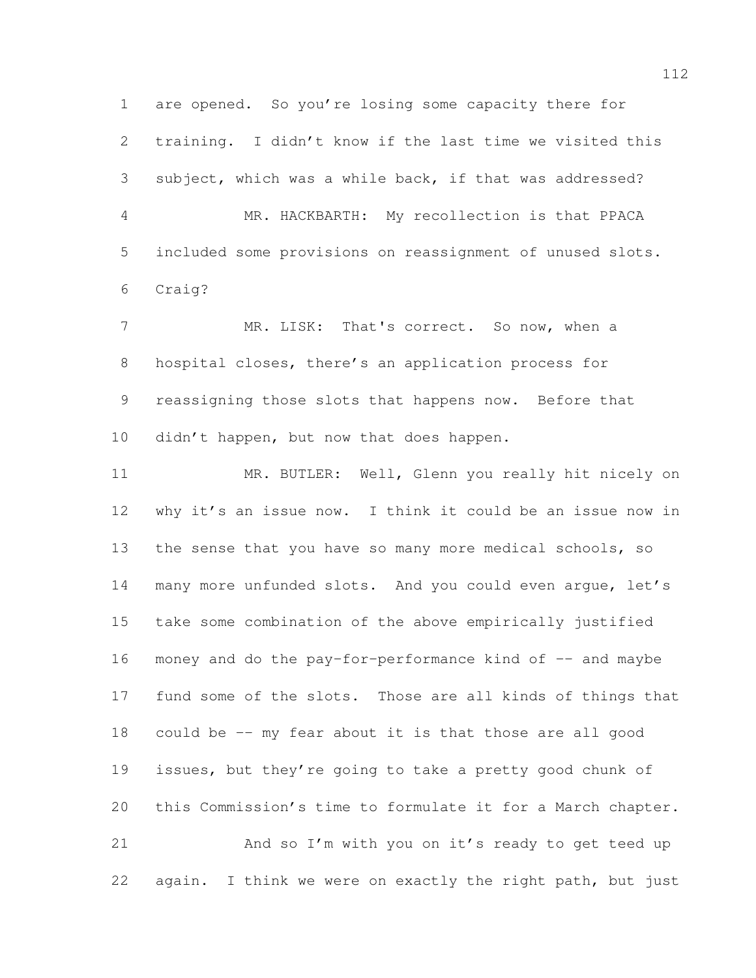are opened. So you're losing some capacity there for training. I didn't know if the last time we visited this subject, which was a while back, if that was addressed? MR. HACKBARTH: My recollection is that PPACA included some provisions on reassignment of unused slots. Craig? 7 MR. LISK: That's correct. So now, when a hospital closes, there's an application process for reassigning those slots that happens now. Before that 10 didn't happen, but now that does happen. MR. BUTLER: Well, Glenn you really hit nicely on why it's an issue now. I think it could be an issue now in 13 the sense that you have so many more medical schools, so many more unfunded slots. And you could even argue, let's take some combination of the above empirically justified 16 money and do the pay-for-performance kind of  $-$  and maybe fund some of the slots. Those are all kinds of things that could be -- my fear about it is that those are all good issues, but they're going to take a pretty good chunk of this Commission's time to formulate it for a March chapter. And so I'm with you on it's ready to get teed up 22 again. I think we were on exactly the right path, but just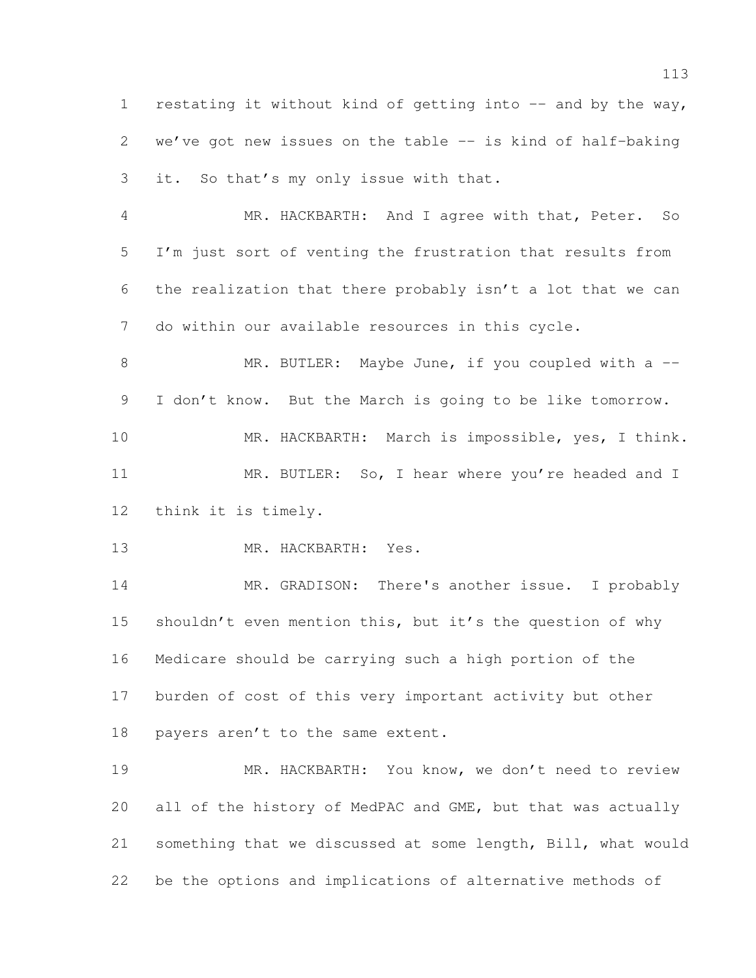1 restating it without kind of getting into -- and by the way, we've got new issues on the table -- is kind of half-baking it. So that's my only issue with that.

 MR. HACKBARTH: And I agree with that, Peter. So I'm just sort of venting the frustration that results from the realization that there probably isn't a lot that we can do within our available resources in this cycle.

8 MR. BUTLER: Maybe June, if you coupled with a --I don't know. But the March is going to be like tomorrow.

 MR. HACKBARTH: March is impossible, yes, I think. 11 MR. BUTLER: So, I hear where you're headed and I think it is timely.

MR. HACKBARTH: Yes.

 MR. GRADISON: There's another issue. I probably shouldn't even mention this, but it's the question of why Medicare should be carrying such a high portion of the burden of cost of this very important activity but other 18 payers aren't to the same extent.

 MR. HACKBARTH: You know, we don't need to review all of the history of MedPAC and GME, but that was actually something that we discussed at some length, Bill, what would be the options and implications of alternative methods of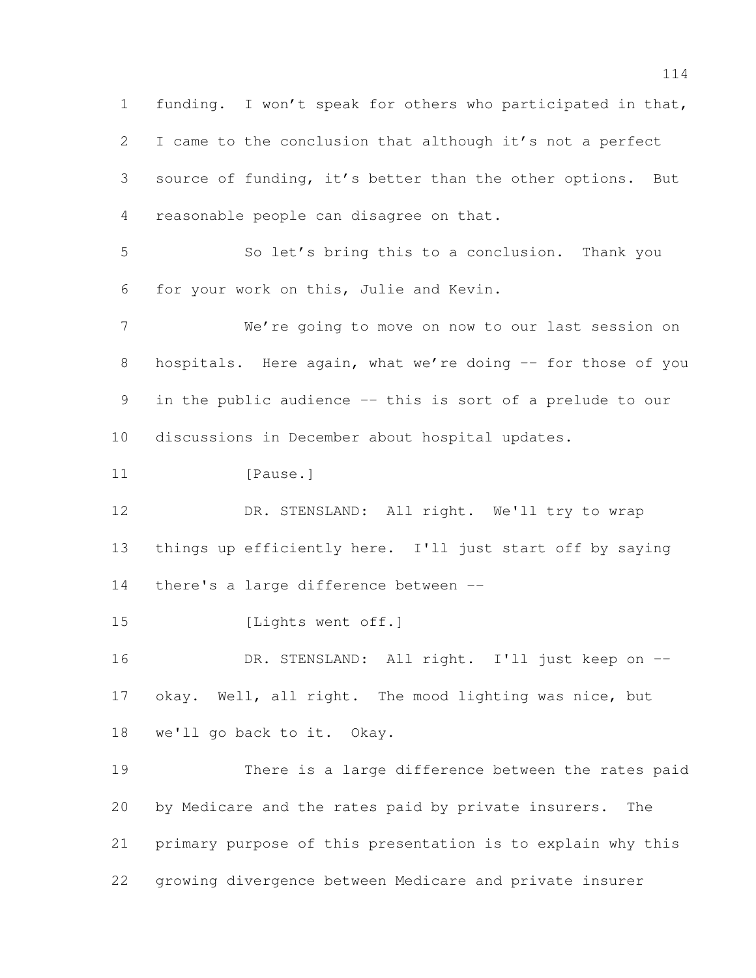funding. I won't speak for others who participated in that, I came to the conclusion that although it's not a perfect source of funding, it's better than the other options. But reasonable people can disagree on that. So let's bring this to a conclusion. Thank you for your work on this, Julie and Kevin. We're going to move on now to our last session on 8 hospitals. Here again, what we're doing -- for those of you in the public audience -- this is sort of a prelude to our discussions in December about hospital updates. 11 [Pause.] 12 DR. STENSLAND: All right. We'll try to wrap things up efficiently here. I'll just start off by saying there's a large difference between -- [Lights went off.] 16 DR. STENSLAND: All right. I'll just keep on -- okay. Well, all right. The mood lighting was nice, but we'll go back to it. Okay. There is a large difference between the rates paid by Medicare and the rates paid by private insurers. The primary purpose of this presentation is to explain why this growing divergence between Medicare and private insurer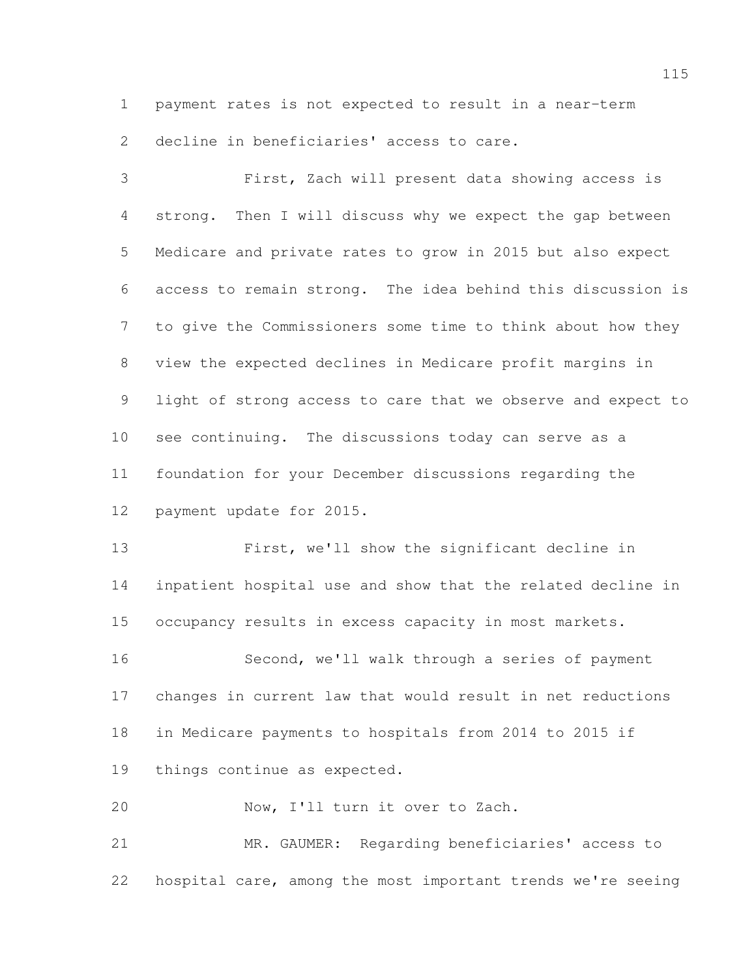payment rates is not expected to result in a near-term

decline in beneficiaries' access to care.

 First, Zach will present data showing access is strong. Then I will discuss why we expect the gap between Medicare and private rates to grow in 2015 but also expect access to remain strong. The idea behind this discussion is to give the Commissioners some time to think about how they view the expected declines in Medicare profit margins in light of strong access to care that we observe and expect to see continuing. The discussions today can serve as a foundation for your December discussions regarding the payment update for 2015.

 First, we'll show the significant decline in inpatient hospital use and show that the related decline in occupancy results in excess capacity in most markets. Second, we'll walk through a series of payment changes in current law that would result in net reductions

in Medicare payments to hospitals from 2014 to 2015 if

things continue as expected.

Now, I'll turn it over to Zach.

 MR. GAUMER: Regarding beneficiaries' access to hospital care, among the most important trends we're seeing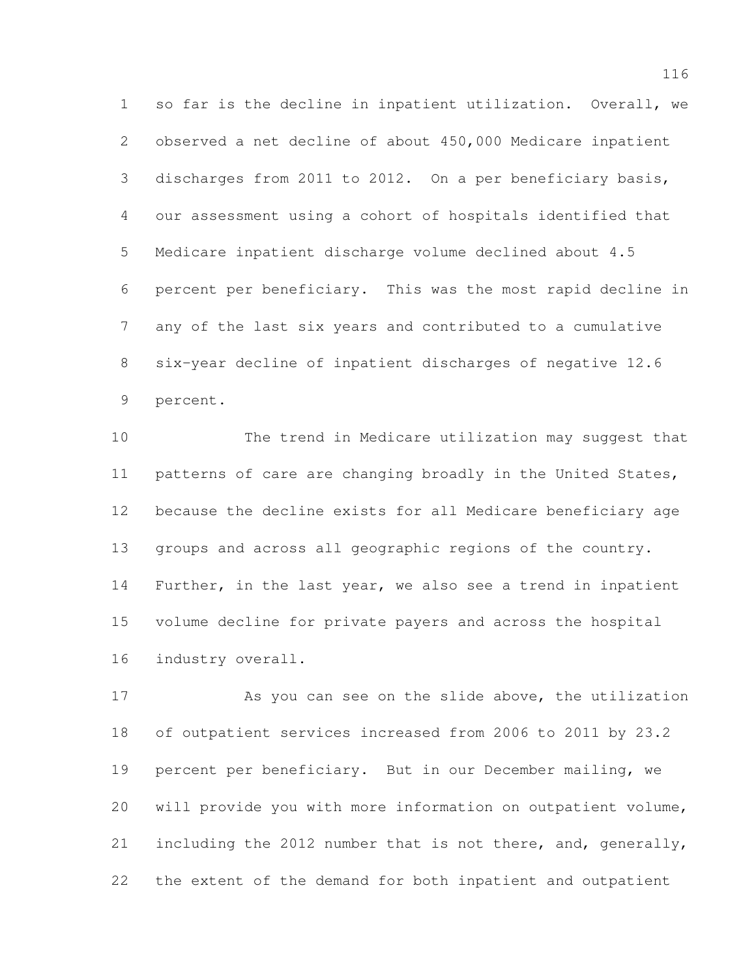so far is the decline in inpatient utilization. Overall, we observed a net decline of about 450,000 Medicare inpatient discharges from 2011 to 2012. On a per beneficiary basis, our assessment using a cohort of hospitals identified that Medicare inpatient discharge volume declined about 4.5 percent per beneficiary. This was the most rapid decline in any of the last six years and contributed to a cumulative six-year decline of inpatient discharges of negative 12.6 percent.

 The trend in Medicare utilization may suggest that patterns of care are changing broadly in the United States, because the decline exists for all Medicare beneficiary age groups and across all geographic regions of the country. Further, in the last year, we also see a trend in inpatient volume decline for private payers and across the hospital industry overall.

 As you can see on the slide above, the utilization of outpatient services increased from 2006 to 2011 by 23.2 percent per beneficiary. But in our December mailing, we will provide you with more information on outpatient volume, 21 including the 2012 number that is not there, and, generally, the extent of the demand for both inpatient and outpatient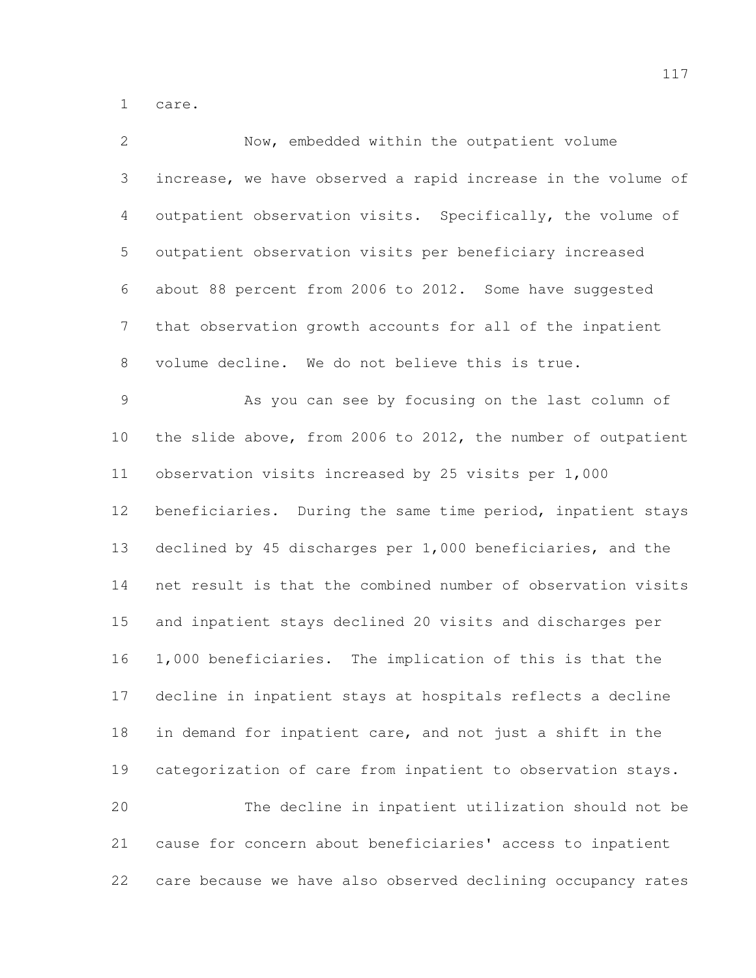care.

| $\mathbf{2}$   | Now, embedded within the outpatient volume                   |
|----------------|--------------------------------------------------------------|
| 3              | increase, we have observed a rapid increase in the volume of |
| 4              | outpatient observation visits. Specifically, the volume of   |
| 5              | outpatient observation visits per beneficiary increased      |
| 6              | about 88 percent from 2006 to 2012. Some have suggested      |
| $7\phantom{.}$ | that observation growth accounts for all of the inpatient    |
| 8              | volume decline. We do not believe this is true.              |
| $\mathsf 9$    | As you can see by focusing on the last column of             |
| 10             | the slide above, from 2006 to 2012, the number of outpatient |
| 11             | observation visits increased by 25 visits per 1,000          |
| 12             | beneficiaries. During the same time period, inpatient stays  |
| 13             | declined by 45 discharges per 1,000 beneficiaries, and the   |
| 14             | net result is that the combined number of observation visits |
| 15             | and inpatient stays declined 20 visits and discharges per    |
| 16             | 1,000 beneficiaries. The implication of this is that the     |
| 17             | decline in inpatient stays at hospitals reflects a decline   |
| 18             | in demand for inpatient care, and not just a shift in the    |
| 19             | categorization of care from inpatient to observation stays.  |
| 20             | The decline in inpatient utilization should not be           |
| 21             | cause for concern about beneficiaries' access to inpatient   |
| 22             | care because we have also observed declining occupancy rates |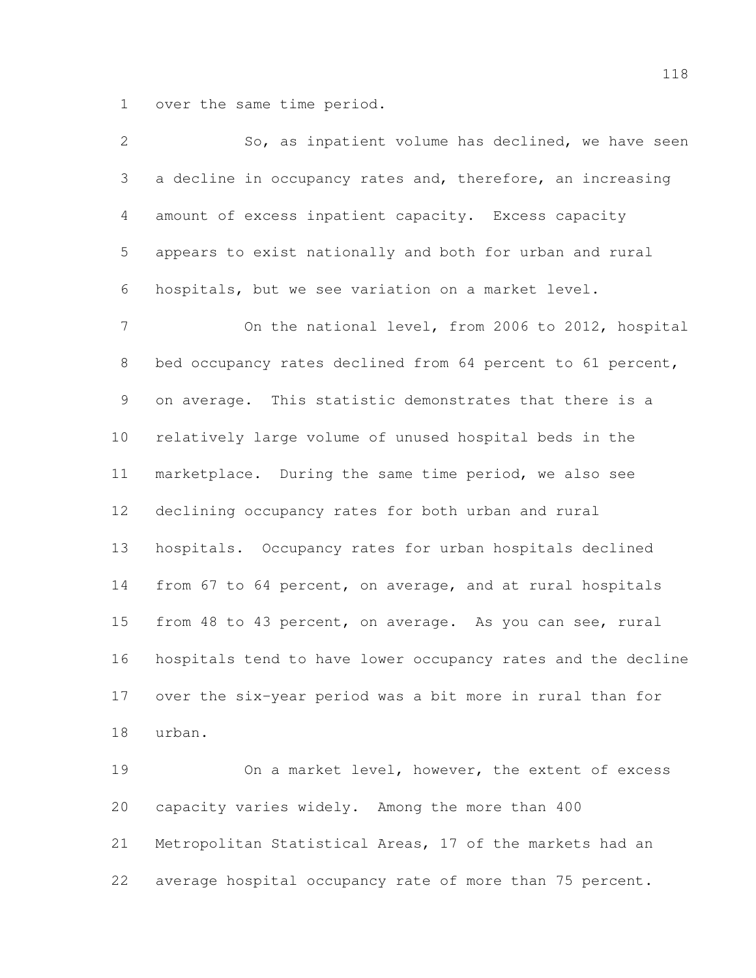over the same time period.

| $\overline{2}$  | So, as inpatient volume has declined, we have seen           |
|-----------------|--------------------------------------------------------------|
| 3               | a decline in occupancy rates and, therefore, an increasing   |
| 4               | amount of excess inpatient capacity. Excess capacity         |
| 5               | appears to exist nationally and both for urban and rural     |
| 6               | hospitals, but we see variation on a market level.           |
| $\overline{7}$  | On the national level, from 2006 to 2012, hospital           |
| $8\,$           | bed occupancy rates declined from 64 percent to 61 percent,  |
| 9               | on average. This statistic demonstrates that there is a      |
| 10 <sub>o</sub> | relatively large volume of unused hospital beds in the       |
| 11              | marketplace. During the same time period, we also see        |
| 12              | declining occupancy rates for both urban and rural           |
| 13              | hospitals. Occupancy rates for urban hospitals declined      |
| 14              | from 67 to 64 percent, on average, and at rural hospitals    |
| 15              | from 48 to 43 percent, on average. As you can see, rural     |
| 16              | hospitals tend to have lower occupancy rates and the decline |
| 17              | over the six-year period was a bit more in rural than for    |
| 18              | urban.                                                       |
| 19              | On a market level, however, the extent of excess             |
| 20              | capacity varies widely. Among the more than 400              |
| 21              | Metropolitan Statistical Areas, 17 of the markets had an     |
| 22              | average hospital occupancy rate of more than 75 percent.     |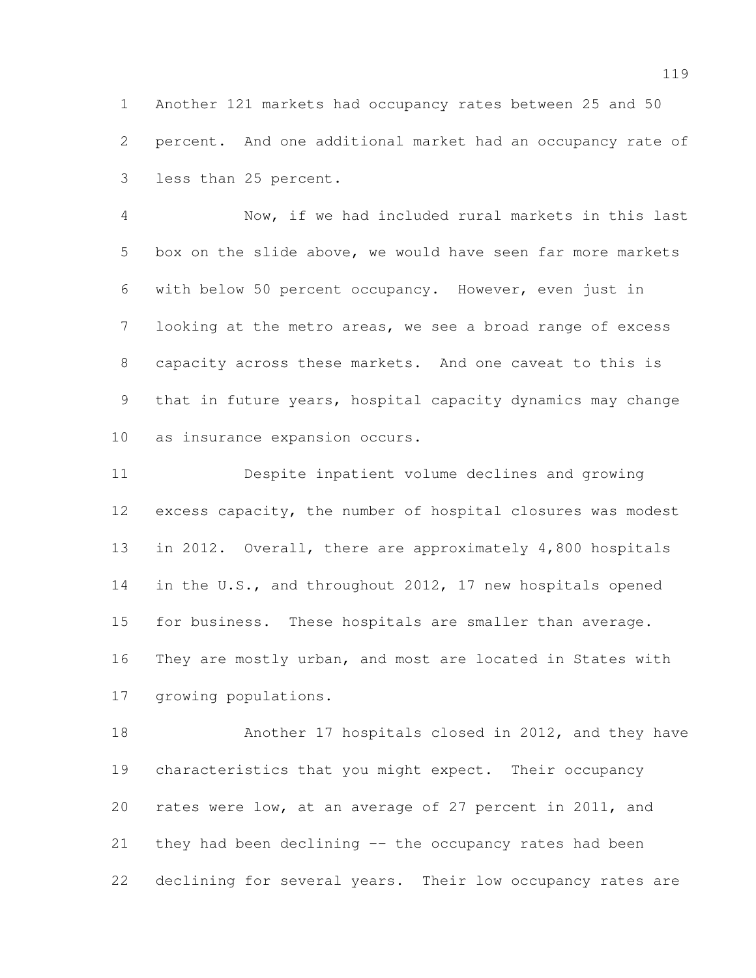Another 121 markets had occupancy rates between 25 and 50 percent. And one additional market had an occupancy rate of less than 25 percent.

 Now, if we had included rural markets in this last box on the slide above, we would have seen far more markets with below 50 percent occupancy. However, even just in looking at the metro areas, we see a broad range of excess capacity across these markets. And one caveat to this is that in future years, hospital capacity dynamics may change as insurance expansion occurs.

 Despite inpatient volume declines and growing excess capacity, the number of hospital closures was modest in 2012. Overall, there are approximately 4,800 hospitals 14 in the U.S., and throughout 2012, 17 new hospitals opened for business. These hospitals are smaller than average. They are mostly urban, and most are located in States with growing populations.

 Another 17 hospitals closed in 2012, and they have characteristics that you might expect. Their occupancy rates were low, at an average of 27 percent in 2011, and they had been declining -- the occupancy rates had been declining for several years. Their low occupancy rates are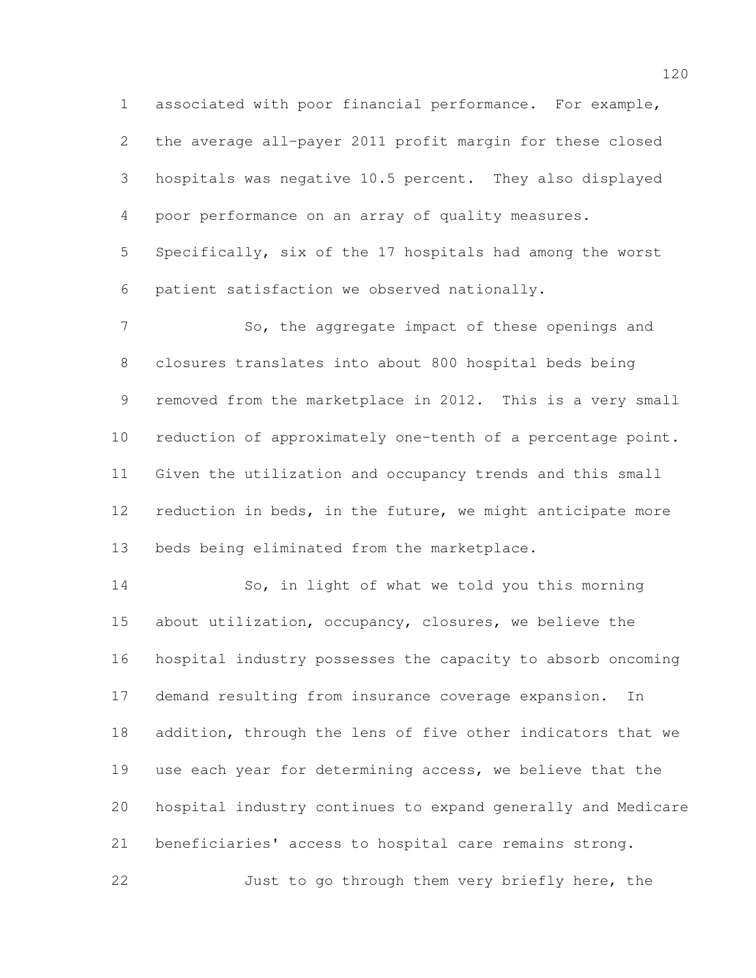associated with poor financial performance. For example, the average all-payer 2011 profit margin for these closed hospitals was negative 10.5 percent. They also displayed poor performance on an array of quality measures.

 Specifically, six of the 17 hospitals had among the worst patient satisfaction we observed nationally.

 So, the aggregate impact of these openings and closures translates into about 800 hospital beds being removed from the marketplace in 2012. This is a very small reduction of approximately one-tenth of a percentage point. Given the utilization and occupancy trends and this small 12 reduction in beds, in the future, we might anticipate more beds being eliminated from the marketplace.

 So, in light of what we told you this morning about utilization, occupancy, closures, we believe the hospital industry possesses the capacity to absorb oncoming demand resulting from insurance coverage expansion. In addition, through the lens of five other indicators that we use each year for determining access, we believe that the hospital industry continues to expand generally and Medicare beneficiaries' access to hospital care remains strong. 22 Just to go through them very briefly here, the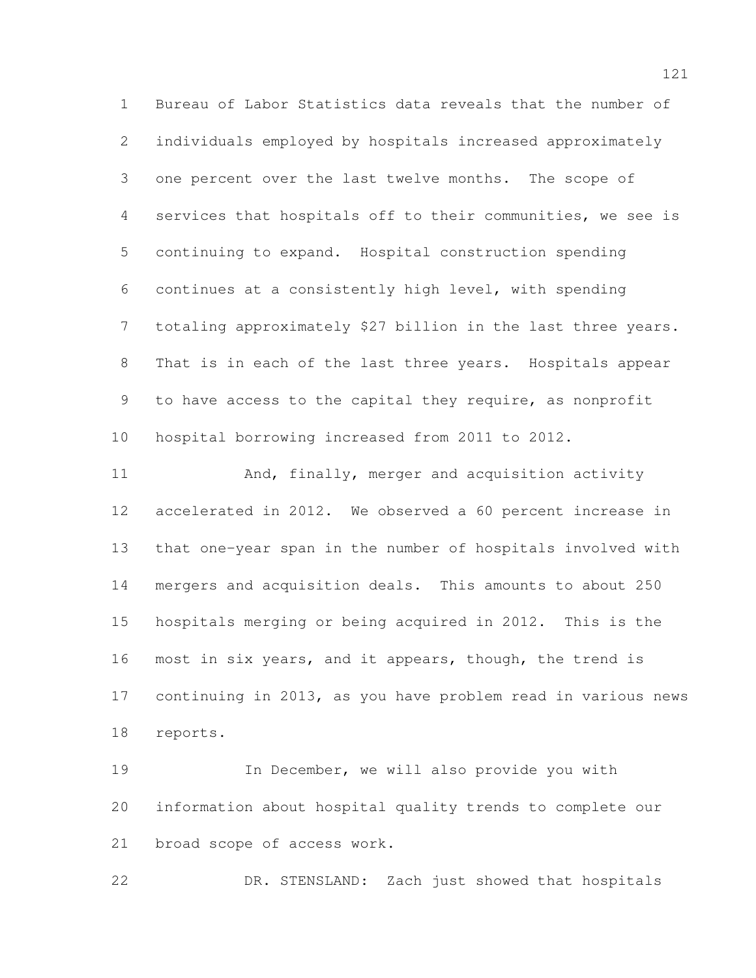Bureau of Labor Statistics data reveals that the number of individuals employed by hospitals increased approximately one percent over the last twelve months. The scope of services that hospitals off to their communities, we see is continuing to expand. Hospital construction spending continues at a consistently high level, with spending totaling approximately \$27 billion in the last three years. That is in each of the last three years. Hospitals appear to have access to the capital they require, as nonprofit hospital borrowing increased from 2011 to 2012. And, finally, merger and acquisition activity accelerated in 2012. We observed a 60 percent increase in that one-year span in the number of hospitals involved with mergers and acquisition deals. This amounts to about 250 hospitals merging or being acquired in 2012. This is the most in six years, and it appears, though, the trend is continuing in 2013, as you have problem read in various news reports. In December, we will also provide you with

 information about hospital quality trends to complete our broad scope of access work.

DR. STENSLAND: Zach just showed that hospitals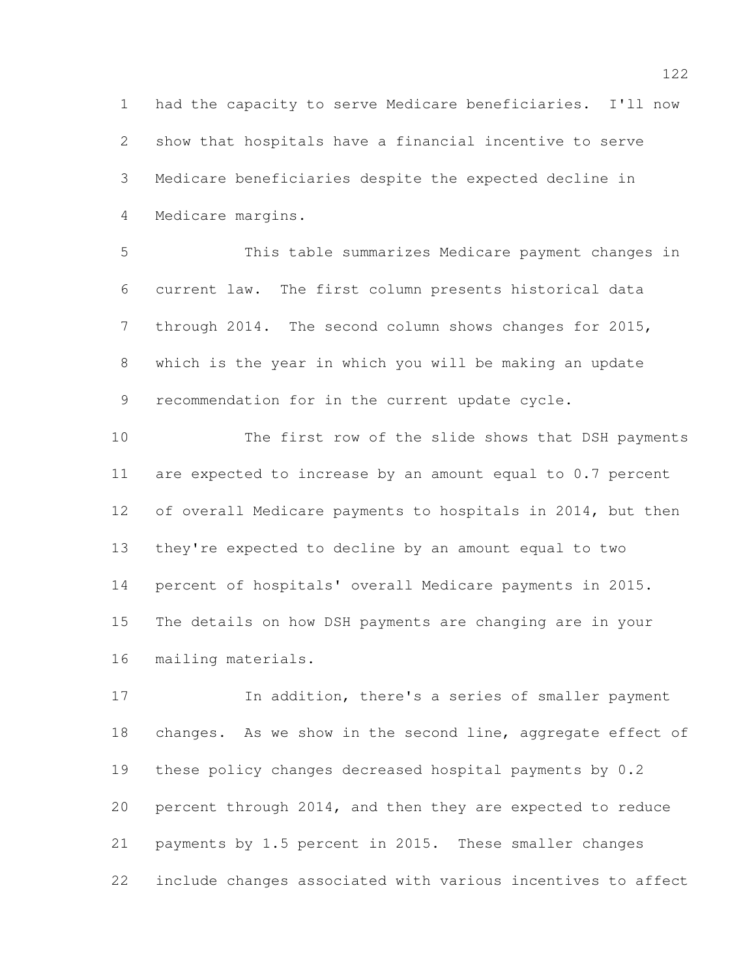had the capacity to serve Medicare beneficiaries. I'll now show that hospitals have a financial incentive to serve Medicare beneficiaries despite the expected decline in Medicare margins.

 This table summarizes Medicare payment changes in current law. The first column presents historical data through 2014. The second column shows changes for 2015, which is the year in which you will be making an update recommendation for in the current update cycle.

 The first row of the slide shows that DSH payments are expected to increase by an amount equal to 0.7 percent 12 of overall Medicare payments to hospitals in 2014, but then they're expected to decline by an amount equal to two percent of hospitals' overall Medicare payments in 2015. The details on how DSH payments are changing are in your mailing materials.

 In addition, there's a series of smaller payment 18 changes. As we show in the second line, aggregate effect of these policy changes decreased hospital payments by 0.2 percent through 2014, and then they are expected to reduce payments by 1.5 percent in 2015. These smaller changes include changes associated with various incentives to affect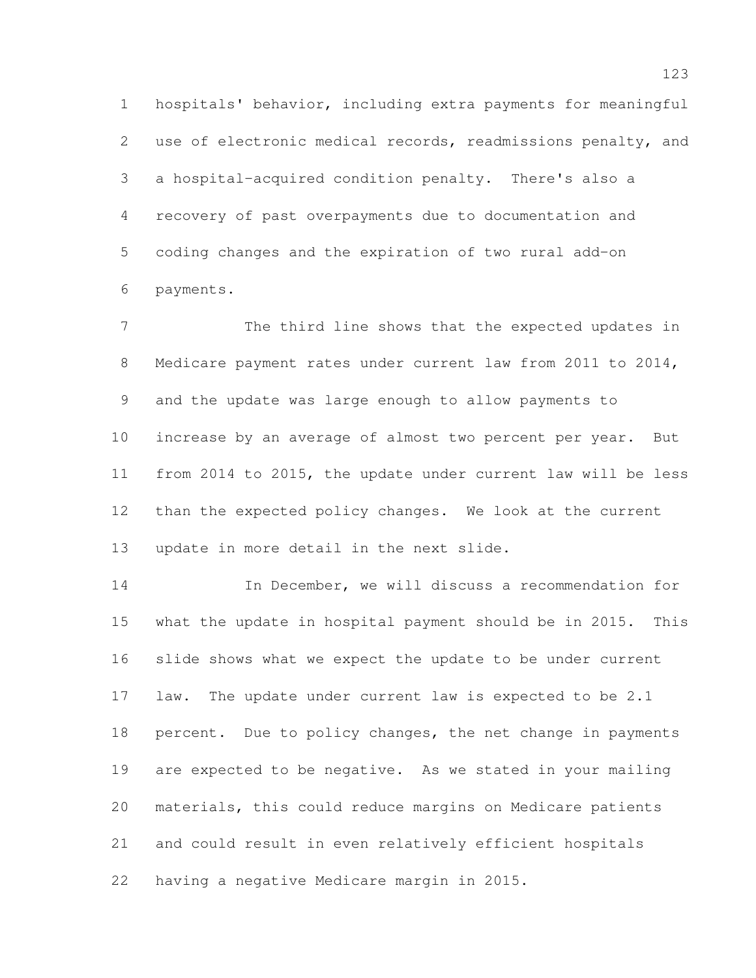hospitals' behavior, including extra payments for meaningful use of electronic medical records, readmissions penalty, and a hospital-acquired condition penalty. There's also a recovery of past overpayments due to documentation and coding changes and the expiration of two rural add-on payments.

 The third line shows that the expected updates in Medicare payment rates under current law from 2011 to 2014, and the update was large enough to allow payments to increase by an average of almost two percent per year. But from 2014 to 2015, the update under current law will be less than the expected policy changes. We look at the current update in more detail in the next slide.

 In December, we will discuss a recommendation for what the update in hospital payment should be in 2015. This slide shows what we expect the update to be under current law. The update under current law is expected to be 2.1 18 percent. Due to policy changes, the net change in payments are expected to be negative. As we stated in your mailing materials, this could reduce margins on Medicare patients and could result in even relatively efficient hospitals having a negative Medicare margin in 2015.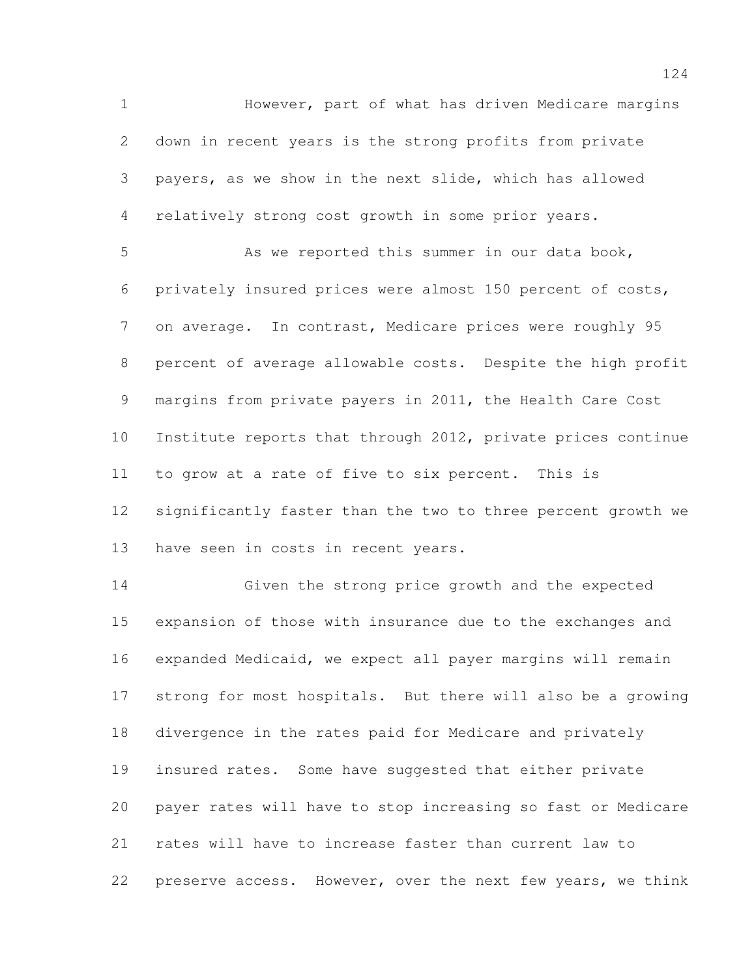However, part of what has driven Medicare margins down in recent years is the strong profits from private payers, as we show in the next slide, which has allowed relatively strong cost growth in some prior years.

5 As we reported this summer in our data book, privately insured prices were almost 150 percent of costs, on average. In contrast, Medicare prices were roughly 95 percent of average allowable costs. Despite the high profit margins from private payers in 2011, the Health Care Cost Institute reports that through 2012, private prices continue to grow at a rate of five to six percent. This is significantly faster than the two to three percent growth we have seen in costs in recent years.

 Given the strong price growth and the expected expansion of those with insurance due to the exchanges and expanded Medicaid, we expect all payer margins will remain strong for most hospitals. But there will also be a growing divergence in the rates paid for Medicare and privately insured rates. Some have suggested that either private payer rates will have to stop increasing so fast or Medicare rates will have to increase faster than current law to preserve access. However, over the next few years, we think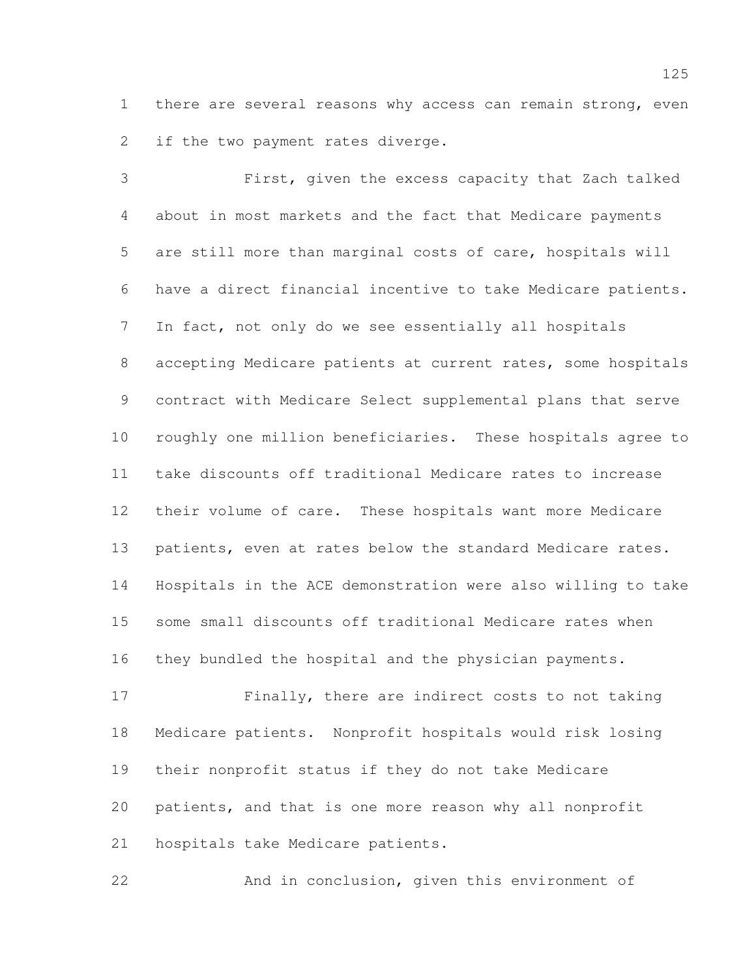there are several reasons why access can remain strong, even if the two payment rates diverge.

 First, given the excess capacity that Zach talked about in most markets and the fact that Medicare payments are still more than marginal costs of care, hospitals will have a direct financial incentive to take Medicare patients. In fact, not only do we see essentially all hospitals accepting Medicare patients at current rates, some hospitals contract with Medicare Select supplemental plans that serve roughly one million beneficiaries. These hospitals agree to take discounts off traditional Medicare rates to increase their volume of care. These hospitals want more Medicare patients, even at rates below the standard Medicare rates. Hospitals in the ACE demonstration were also willing to take some small discounts off traditional Medicare rates when they bundled the hospital and the physician payments.

 Finally, there are indirect costs to not taking Medicare patients. Nonprofit hospitals would risk losing their nonprofit status if they do not take Medicare patients, and that is one more reason why all nonprofit hospitals take Medicare patients.

And in conclusion, given this environment of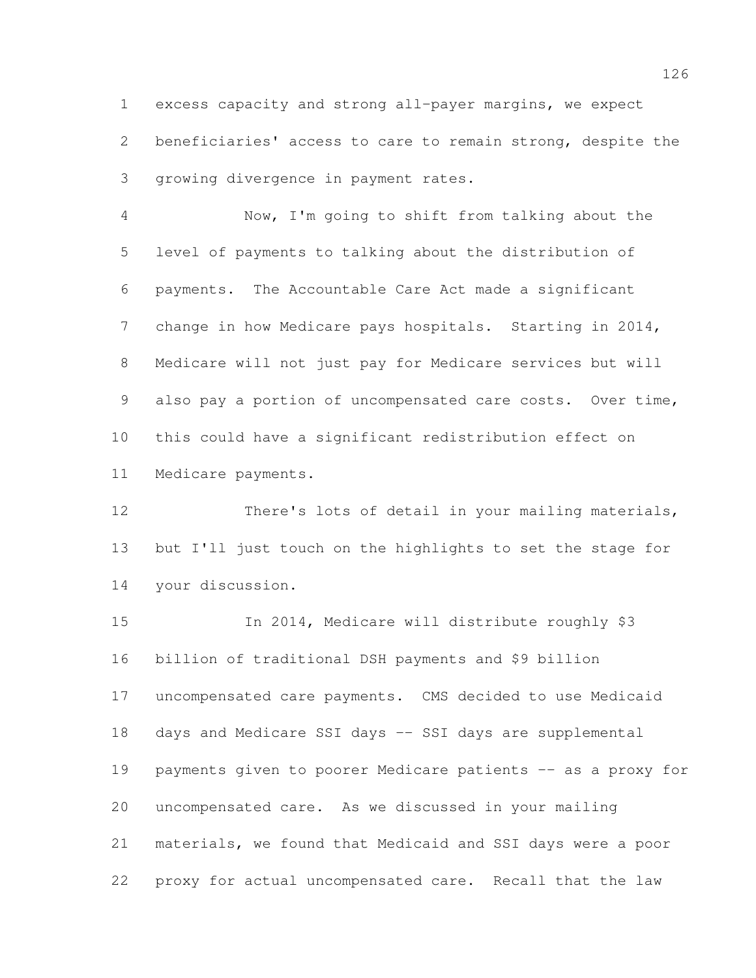excess capacity and strong all-payer margins, we expect beneficiaries' access to care to remain strong, despite the growing divergence in payment rates.

 Now, I'm going to shift from talking about the level of payments to talking about the distribution of payments. The Accountable Care Act made a significant change in how Medicare pays hospitals. Starting in 2014, Medicare will not just pay for Medicare services but will also pay a portion of uncompensated care costs. Over time, this could have a significant redistribution effect on Medicare payments.

 There's lots of detail in your mailing materials, but I'll just touch on the highlights to set the stage for your discussion.

 In 2014, Medicare will distribute roughly \$3 billion of traditional DSH payments and \$9 billion uncompensated care payments. CMS decided to use Medicaid days and Medicare SSI days -- SSI days are supplemental payments given to poorer Medicare patients -- as a proxy for uncompensated care. As we discussed in your mailing materials, we found that Medicaid and SSI days were a poor proxy for actual uncompensated care. Recall that the law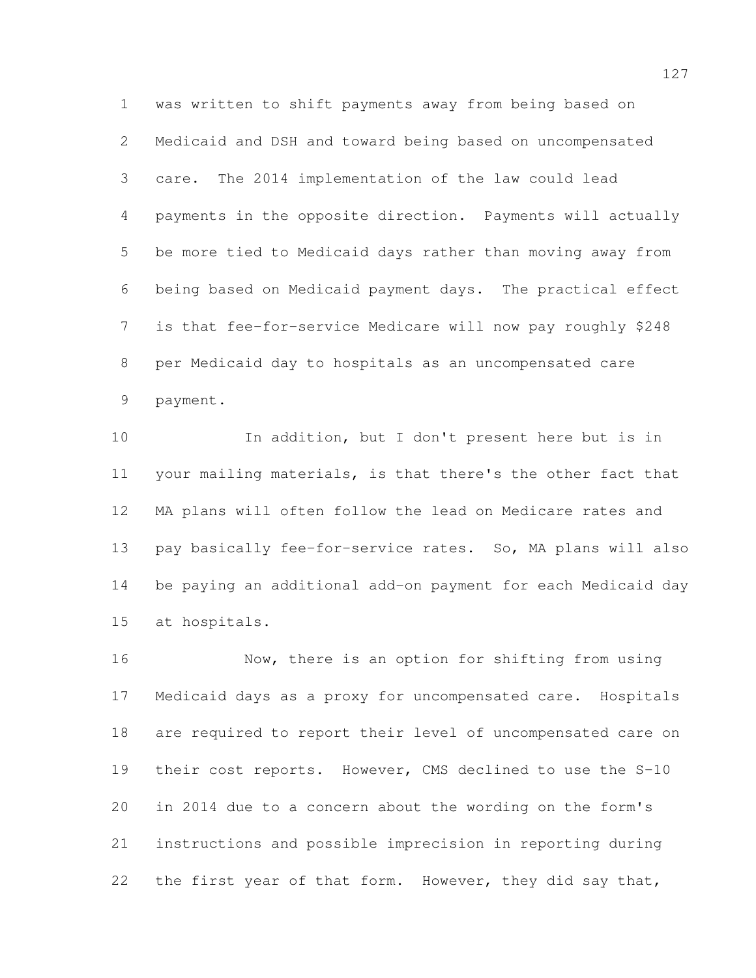was written to shift payments away from being based on Medicaid and DSH and toward being based on uncompensated care. The 2014 implementation of the law could lead payments in the opposite direction. Payments will actually be more tied to Medicaid days rather than moving away from being based on Medicaid payment days. The practical effect is that fee-for-service Medicare will now pay roughly \$248 per Medicaid day to hospitals as an uncompensated care payment.

 In addition, but I don't present here but is in your mailing materials, is that there's the other fact that MA plans will often follow the lead on Medicare rates and pay basically fee-for-service rates. So, MA plans will also be paying an additional add-on payment for each Medicaid day at hospitals.

 Now, there is an option for shifting from using Medicaid days as a proxy for uncompensated care. Hospitals are required to report their level of uncompensated care on their cost reports. However, CMS declined to use the S-10 in 2014 due to a concern about the wording on the form's instructions and possible imprecision in reporting during the first year of that form. However, they did say that,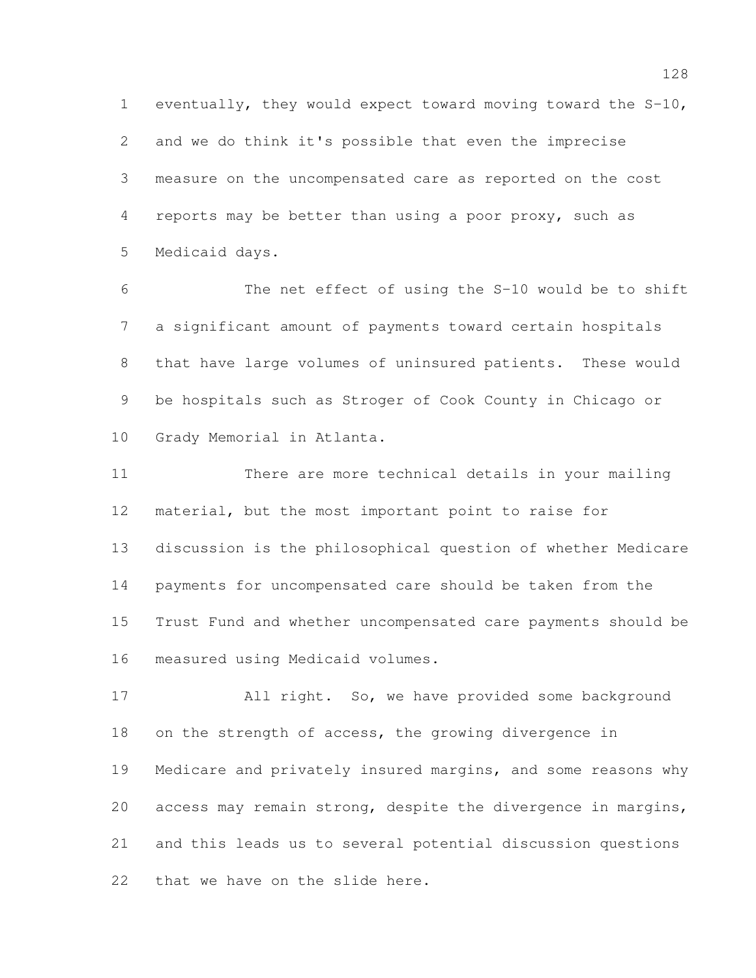eventually, they would expect toward moving toward the S-10, and we do think it's possible that even the imprecise measure on the uncompensated care as reported on the cost reports may be better than using a poor proxy, such as Medicaid days.

 The net effect of using the S-10 would be to shift a significant amount of payments toward certain hospitals that have large volumes of uninsured patients. These would be hospitals such as Stroger of Cook County in Chicago or Grady Memorial in Atlanta.

 There are more technical details in your mailing material, but the most important point to raise for discussion is the philosophical question of whether Medicare payments for uncompensated care should be taken from the Trust Fund and whether uncompensated care payments should be measured using Medicaid volumes.

 All right. So, we have provided some background on the strength of access, the growing divergence in Medicare and privately insured margins, and some reasons why access may remain strong, despite the divergence in margins, and this leads us to several potential discussion questions that we have on the slide here.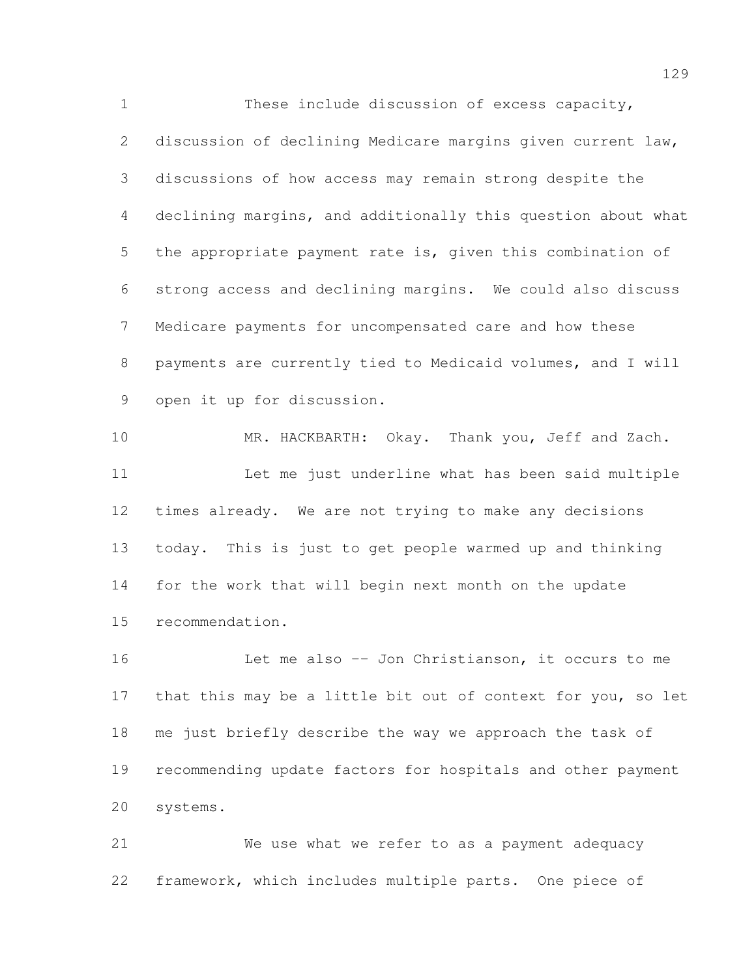These include discussion of excess capacity, discussion of declining Medicare margins given current law, discussions of how access may remain strong despite the declining margins, and additionally this question about what the appropriate payment rate is, given this combination of strong access and declining margins. We could also discuss Medicare payments for uncompensated care and how these payments are currently tied to Medicaid volumes, and I will open it up for discussion.

 MR. HACKBARTH: Okay. Thank you, Jeff and Zach. Let me just underline what has been said multiple times already. We are not trying to make any decisions today. This is just to get people warmed up and thinking for the work that will begin next month on the update recommendation.

 Let me also -- Jon Christianson, it occurs to me 17 that this may be a little bit out of context for you, so let me just briefly describe the way we approach the task of recommending update factors for hospitals and other payment systems.

 We use what we refer to as a payment adequacy framework, which includes multiple parts. One piece of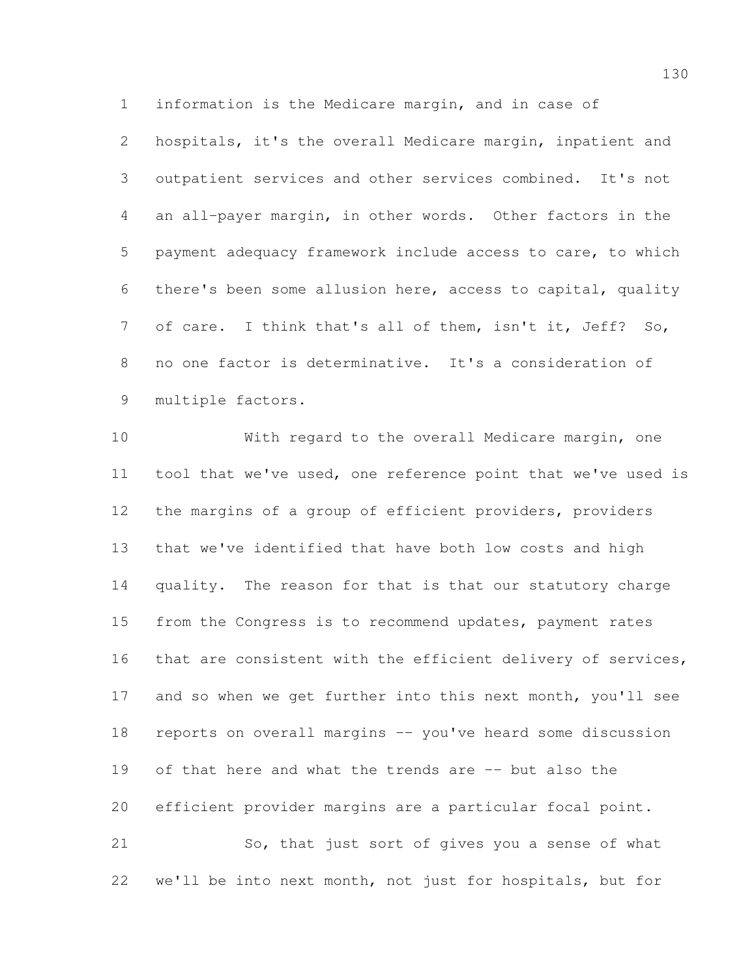information is the Medicare margin, and in case of

 hospitals, it's the overall Medicare margin, inpatient and outpatient services and other services combined. It's not an all-payer margin, in other words. Other factors in the payment adequacy framework include access to care, to which there's been some allusion here, access to capital, quality of care. I think that's all of them, isn't it, Jeff? So, no one factor is determinative. It's a consideration of multiple factors.

 With regard to the overall Medicare margin, one tool that we've used, one reference point that we've used is the margins of a group of efficient providers, providers that we've identified that have both low costs and high quality. The reason for that is that our statutory charge from the Congress is to recommend updates, payment rates 16 that are consistent with the efficient delivery of services, 17 and so when we get further into this next month, you'll see reports on overall margins -- you've heard some discussion of that here and what the trends are -- but also the efficient provider margins are a particular focal point. So, that just sort of gives you a sense of what

we'll be into next month, not just for hospitals, but for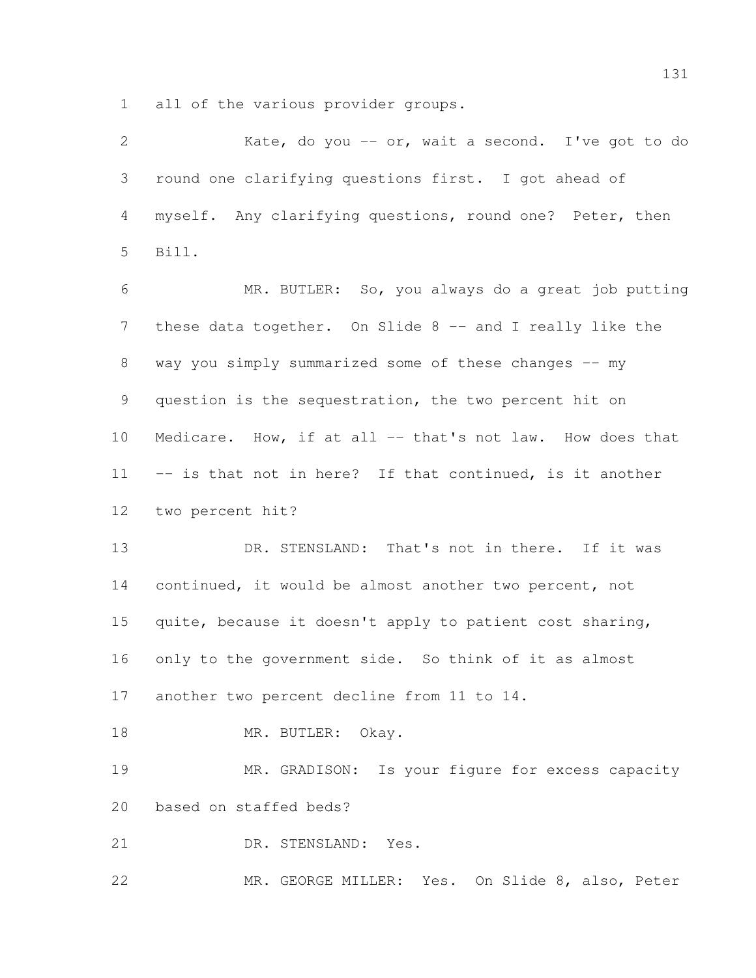all of the various provider groups.

| $\overline{2}$ | Kate, do you -- or, wait a second. I've got to do         |
|----------------|-----------------------------------------------------------|
| 3              | round one clarifying questions first. I got ahead of      |
| 4              | myself. Any clarifying questions, round one? Peter, then  |
| 5              | Bill.                                                     |
| 6              | MR. BUTLER: So, you always do a great job putting         |
| $\overline{7}$ | these data together. On Slide 8 -- and I really like the  |
| 8              | way you simply summarized some of these changes -- my     |
| 9              | question is the sequestration, the two percent hit on     |
| 10             | Medicare. How, if at all -- that's not law. How does that |
| 11             | -- is that not in here? If that continued, is it another  |
| 12             | two percent hit?                                          |
| 13             | DR. STENSLAND: That's not in there. If it was             |
| 14             | continued, it would be almost another two percent, not    |
| 15             | quite, because it doesn't apply to patient cost sharing,  |
| 16             | only to the government side. So think of it as almost     |
| 17             | another two percent decline from 11 to 14.                |
| 18             | MR. BUTLER: Okay.                                         |
| 19             | MR. GRADISON: Is your figure for excess capacity          |
| 20             | based on staffed beds?                                    |
| 21             | DR. STENSLAND: Yes.                                       |
| 22             | MR. GEORGE MILLER: Yes. On Slide 8, also, Peter           |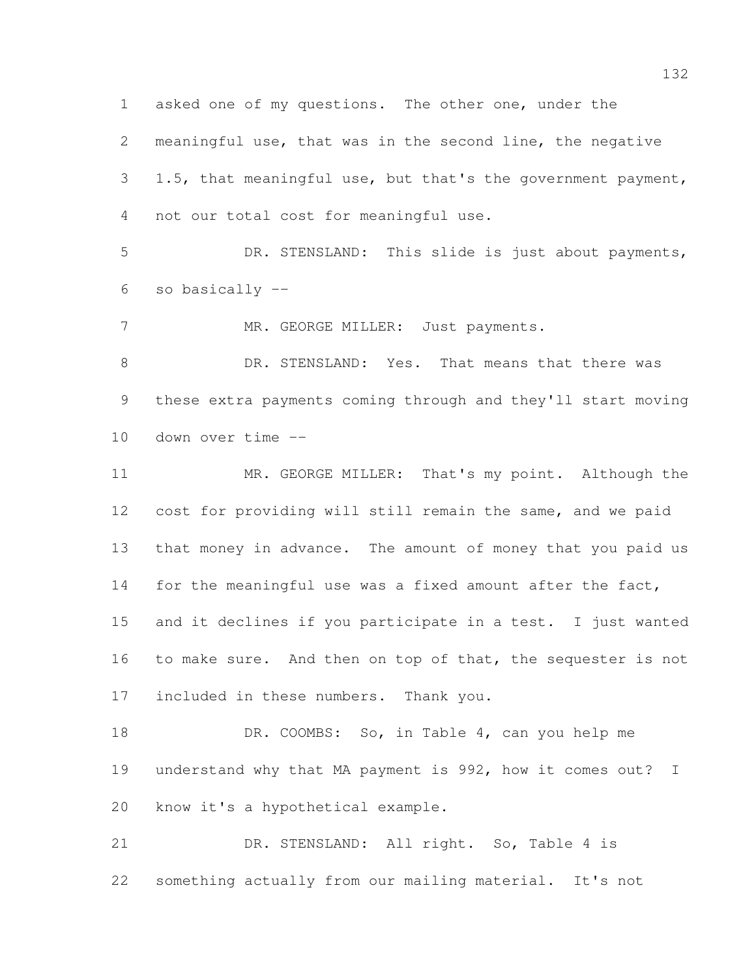meaningful use, that was in the second line, the negative 1.5, that meaningful use, but that's the government payment, not our total cost for meaningful use.

asked one of my questions. The other one, under the

 DR. STENSLAND: This slide is just about payments, so basically --

7 MR. GEORGE MILLER: Just payments.

8 DR. STENSLAND: Yes. That means that there was these extra payments coming through and they'll start moving down over time --

 MR. GEORGE MILLER: That's my point. Although the cost for providing will still remain the same, and we paid that money in advance. The amount of money that you paid us 14 for the meaningful use was a fixed amount after the fact, and it declines if you participate in a test. I just wanted 16 to make sure. And then on top of that, the sequester is not included in these numbers. Thank you.

 DR. COOMBS: So, in Table 4, can you help me understand why that MA payment is 992, how it comes out? I know it's a hypothetical example.

 DR. STENSLAND: All right. So, Table 4 is something actually from our mailing material. It's not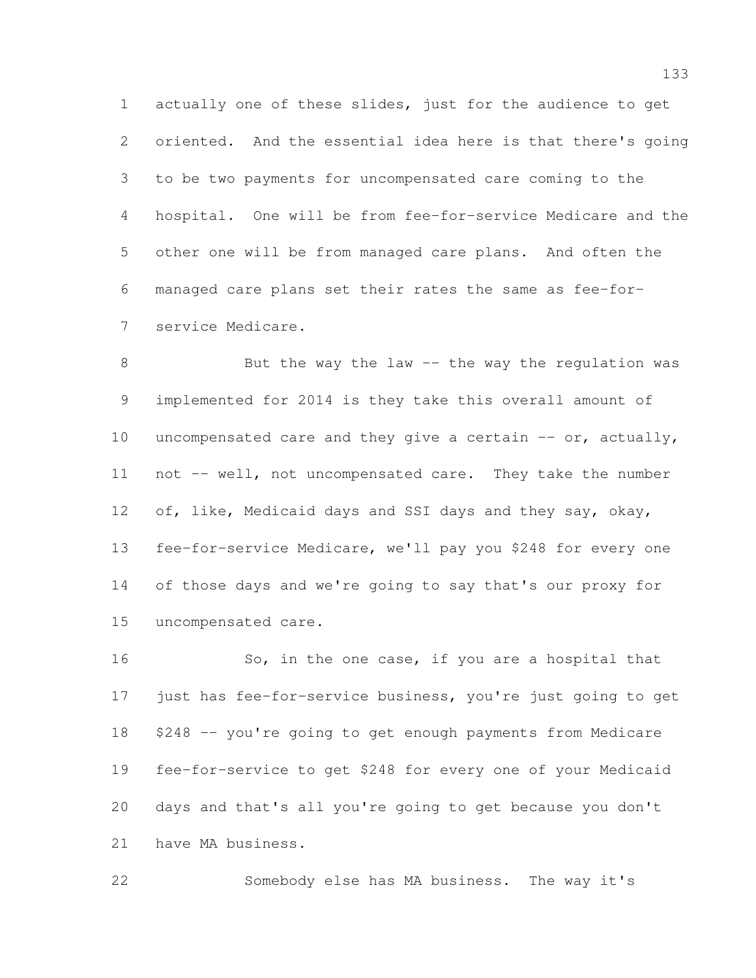actually one of these slides, just for the audience to get oriented. And the essential idea here is that there's going to be two payments for uncompensated care coming to the hospital. One will be from fee-for-service Medicare and the other one will be from managed care plans. And often the managed care plans set their rates the same as fee-for-service Medicare.

8 But the way the law -- the way the regulation was implemented for 2014 is they take this overall amount of uncompensated care and they give a certain -- or, actually, not -- well, not uncompensated care. They take the number 12 of, like, Medicaid days and SSI days and they say, okay, fee-for-service Medicare, we'll pay you \$248 for every one of those days and we're going to say that's our proxy for uncompensated care.

 So, in the one case, if you are a hospital that just has fee-for-service business, you're just going to get \$248 -- you're going to get enough payments from Medicare fee-for-service to get \$248 for every one of your Medicaid days and that's all you're going to get because you don't have MA business.

Somebody else has MA business. The way it's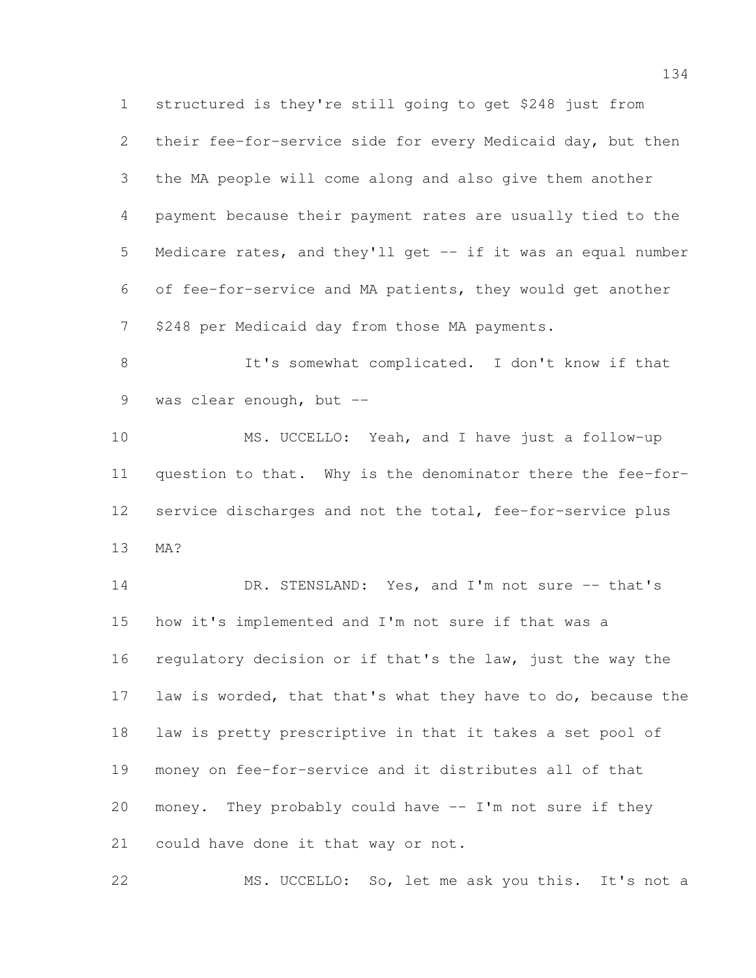structured is they're still going to get \$248 just from their fee-for-service side for every Medicaid day, but then the MA people will come along and also give them another payment because their payment rates are usually tied to the Medicare rates, and they'll get -- if it was an equal number of fee-for-service and MA patients, they would get another \$248 per Medicaid day from those MA payments. It's somewhat complicated. I don't know if that 9 was clear enough, but -- MS. UCCELLO: Yeah, and I have just a follow-up question to that. Why is the denominator there the fee-for-12 service discharges and not the total, fee-for-service plus MA? 14 DR. STENSLAND: Yes, and I'm not sure -- that's how it's implemented and I'm not sure if that was a regulatory decision or if that's the law, just the way the law is worded, that that's what they have to do, because the law is pretty prescriptive in that it takes a set pool of money on fee-for-service and it distributes all of that money. They probably could have -- I'm not sure if they could have done it that way or not. MS. UCCELLO: So, let me ask you this. It's not a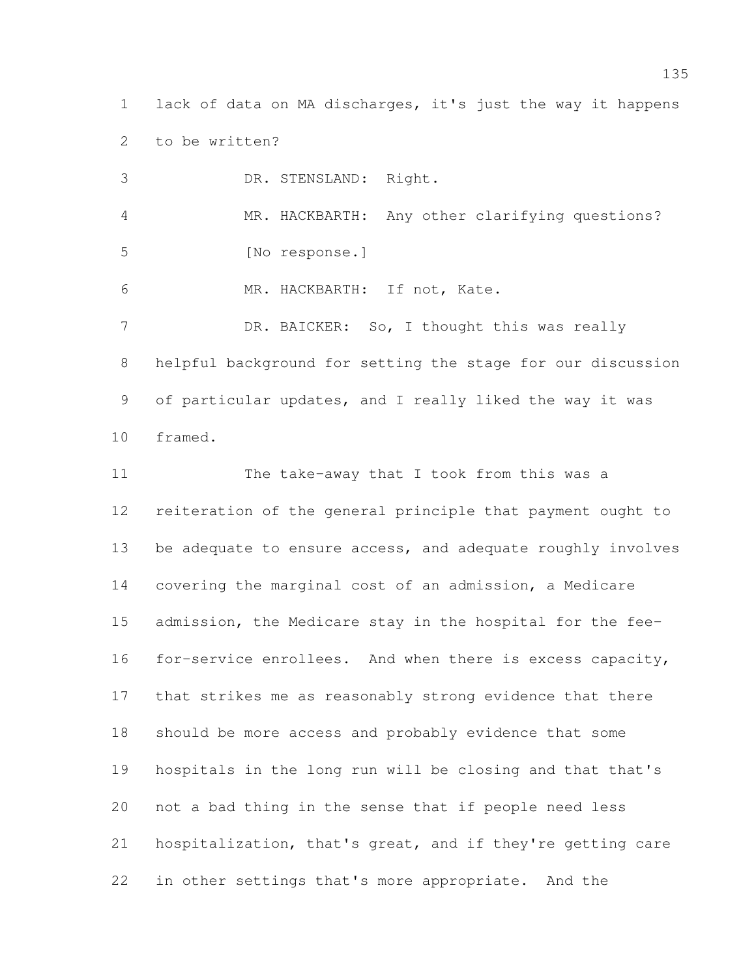lack of data on MA discharges, it's just the way it happens to be written?

 DR. STENSLAND: Right. MR. HACKBARTH: Any other clarifying questions? [No response.] MR. HACKBARTH: If not, Kate. 7 DR. BAICKER: So, I thought this was really helpful background for setting the stage for our discussion of particular updates, and I really liked the way it was framed.

 The take-away that I took from this was a reiteration of the general principle that payment ought to be adequate to ensure access, and adequate roughly involves covering the marginal cost of an admission, a Medicare admission, the Medicare stay in the hospital for the fee- for-service enrollees. And when there is excess capacity, that strikes me as reasonably strong evidence that there should be more access and probably evidence that some hospitals in the long run will be closing and that that's not a bad thing in the sense that if people need less hospitalization, that's great, and if they're getting care in other settings that's more appropriate. And the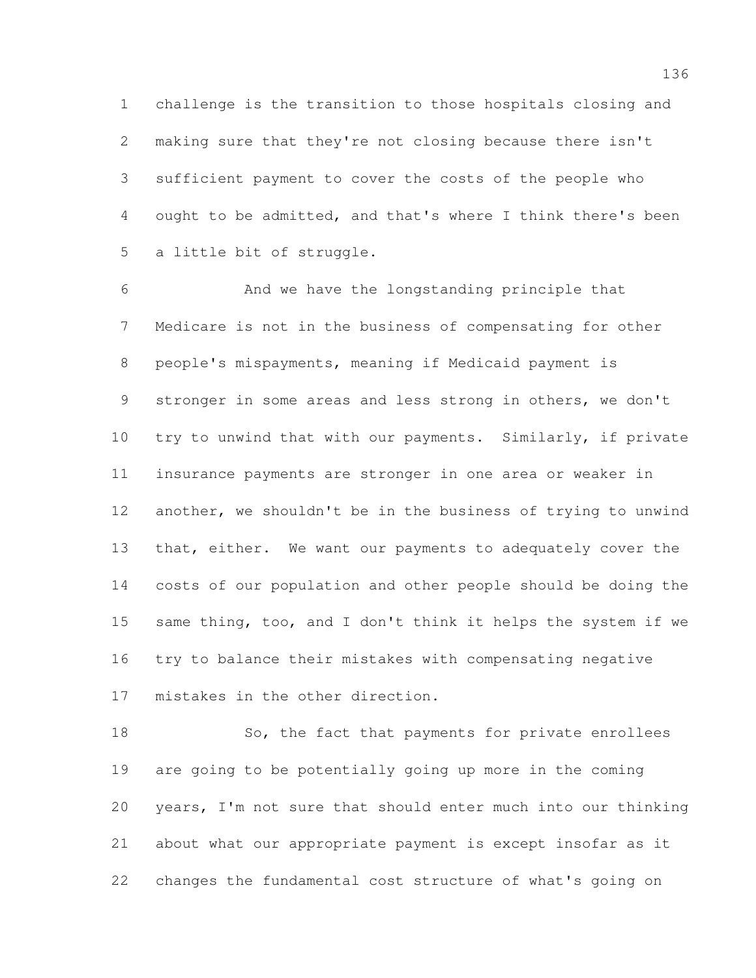challenge is the transition to those hospitals closing and making sure that they're not closing because there isn't sufficient payment to cover the costs of the people who ought to be admitted, and that's where I think there's been a little bit of struggle.

 And we have the longstanding principle that Medicare is not in the business of compensating for other people's mispayments, meaning if Medicaid payment is stronger in some areas and less strong in others, we don't try to unwind that with our payments. Similarly, if private insurance payments are stronger in one area or weaker in another, we shouldn't be in the business of trying to unwind 13 that, either. We want our payments to adequately cover the costs of our population and other people should be doing the same thing, too, and I don't think it helps the system if we try to balance their mistakes with compensating negative mistakes in the other direction.

18 So, the fact that payments for private enrollees are going to be potentially going up more in the coming years, I'm not sure that should enter much into our thinking about what our appropriate payment is except insofar as it changes the fundamental cost structure of what's going on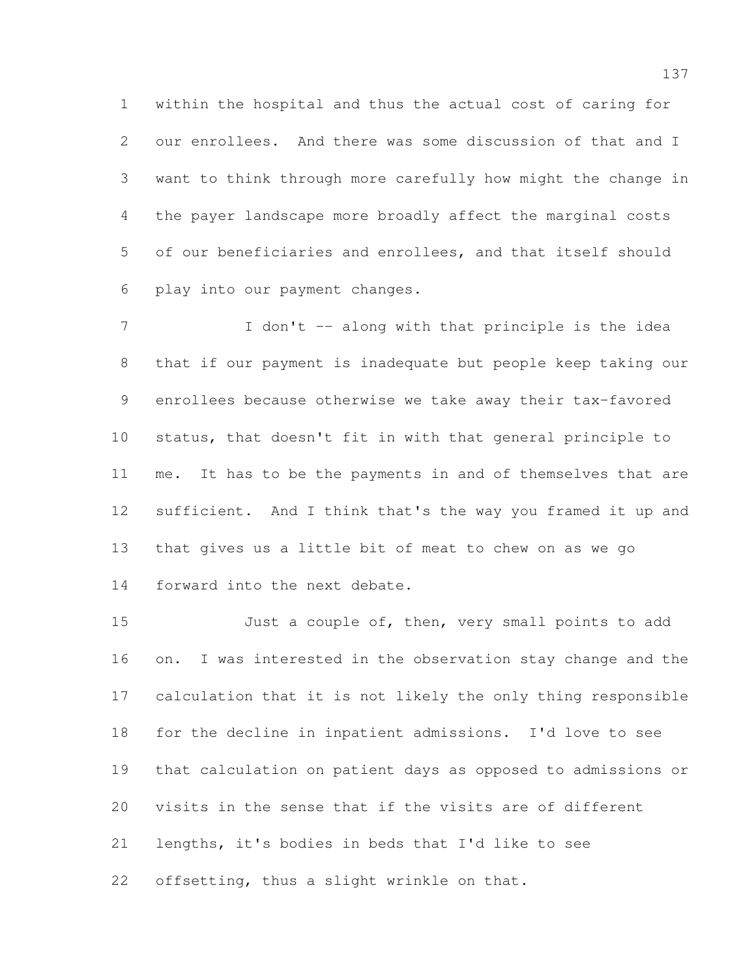within the hospital and thus the actual cost of caring for our enrollees. And there was some discussion of that and I want to think through more carefully how might the change in the payer landscape more broadly affect the marginal costs of our beneficiaries and enrollees, and that itself should play into our payment changes.

7 I don't -- along with that principle is the idea that if our payment is inadequate but people keep taking our enrollees because otherwise we take away their tax-favored status, that doesn't fit in with that general principle to me. It has to be the payments in and of themselves that are sufficient. And I think that's the way you framed it up and that gives us a little bit of meat to chew on as we go forward into the next debate.

15 Just a couple of, then, very small points to add on. I was interested in the observation stay change and the calculation that it is not likely the only thing responsible for the decline in inpatient admissions. I'd love to see that calculation on patient days as opposed to admissions or visits in the sense that if the visits are of different lengths, it's bodies in beds that I'd like to see offsetting, thus a slight wrinkle on that.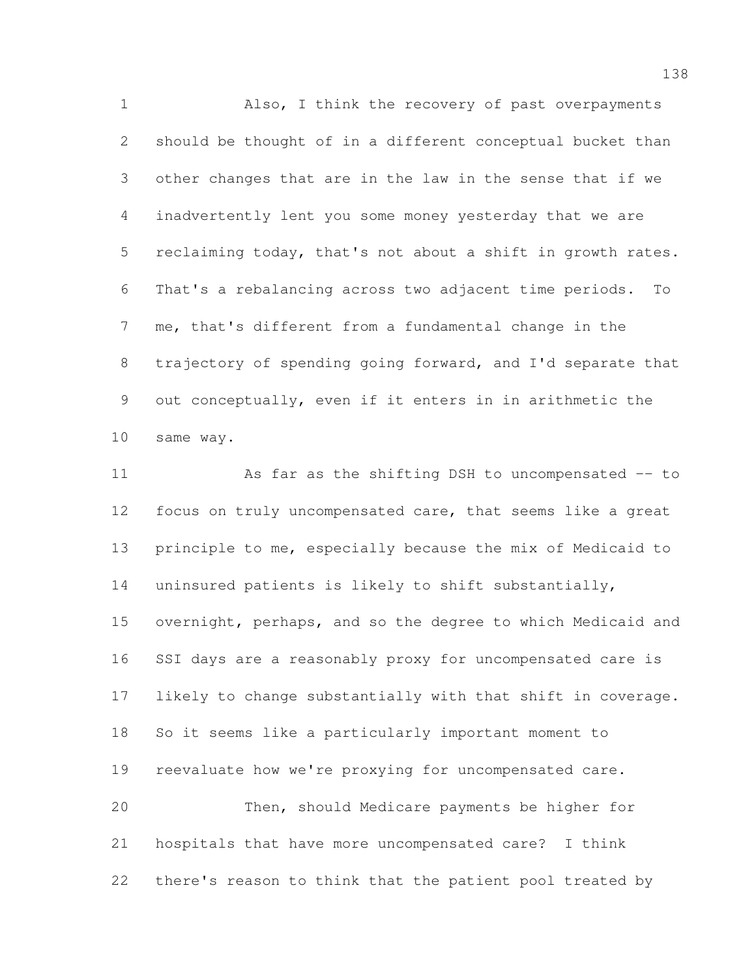Also, I think the recovery of past overpayments should be thought of in a different conceptual bucket than other changes that are in the law in the sense that if we inadvertently lent you some money yesterday that we are reclaiming today, that's not about a shift in growth rates. That's a rebalancing across two adjacent time periods. To me, that's different from a fundamental change in the trajectory of spending going forward, and I'd separate that out conceptually, even if it enters in in arithmetic the same way.

11 As far as the shifting DSH to uncompensated -- to focus on truly uncompensated care, that seems like a great principle to me, especially because the mix of Medicaid to uninsured patients is likely to shift substantially, overnight, perhaps, and so the degree to which Medicaid and SSI days are a reasonably proxy for uncompensated care is likely to change substantially with that shift in coverage. So it seems like a particularly important moment to reevaluate how we're proxying for uncompensated care. Then, should Medicare payments be higher for hospitals that have more uncompensated care? I think there's reason to think that the patient pool treated by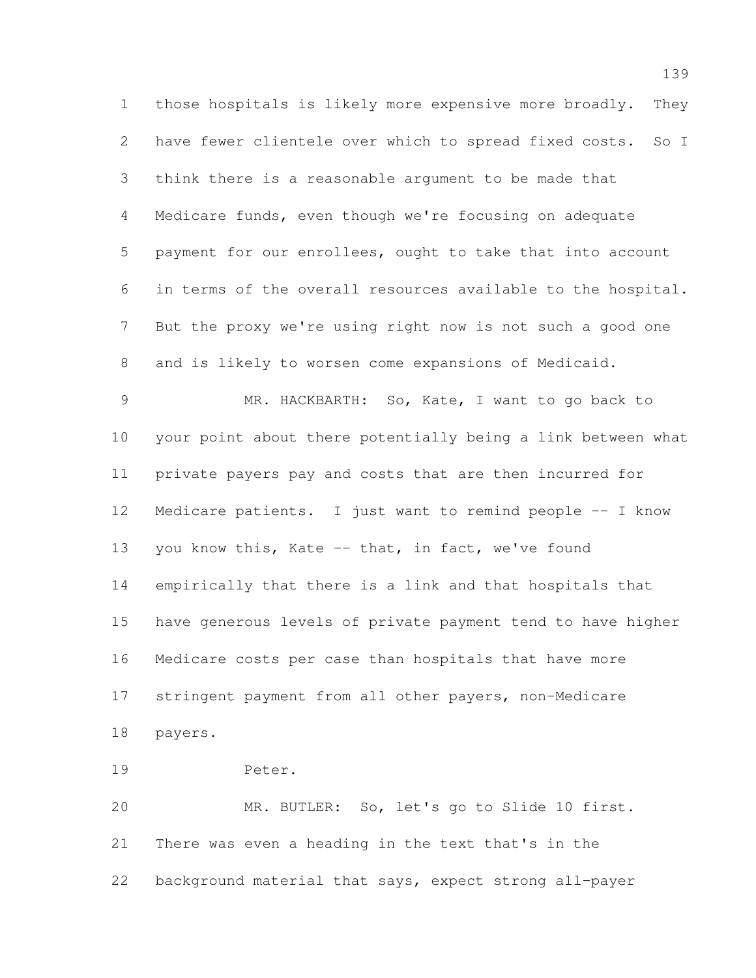those hospitals is likely more expensive more broadly. They have fewer clientele over which to spread fixed costs. So I think there is a reasonable argument to be made that Medicare funds, even though we're focusing on adequate payment for our enrollees, ought to take that into account in terms of the overall resources available to the hospital. But the proxy we're using right now is not such a good one and is likely to worsen come expansions of Medicaid. MR. HACKBARTH: So, Kate, I want to go back to your point about there potentially being a link between what private payers pay and costs that are then incurred for Medicare patients. I just want to remind people -- I know you know this, Kate -- that, in fact, we've found empirically that there is a link and that hospitals that have generous levels of private payment tend to have higher Medicare costs per case than hospitals that have more stringent payment from all other payers, non-Medicare payers. Peter.

 MR. BUTLER: So, let's go to Slide 10 first. There was even a heading in the text that's in the background material that says, expect strong all-payer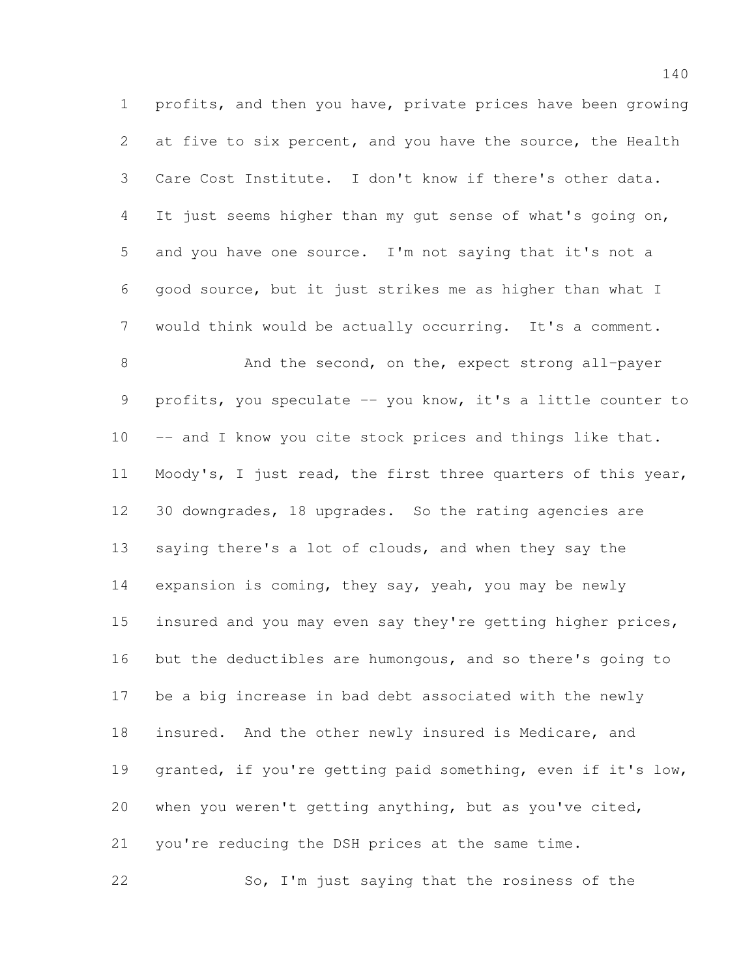profits, and then you have, private prices have been growing at five to six percent, and you have the source, the Health Care Cost Institute. I don't know if there's other data. It just seems higher than my gut sense of what's going on, and you have one source. I'm not saying that it's not a good source, but it just strikes me as higher than what I would think would be actually occurring. It's a comment. 8 And the second, on the, expect strong all-payer 9 profits, you speculate -- you know, it's a little counter to 10 -- and I know you cite stock prices and things like that. Moody's, I just read, the first three quarters of this year, 30 downgrades, 18 upgrades. So the rating agencies are saying there's a lot of clouds, and when they say the 14 expansion is coming, they say, yeah, you may be newly

15 insured and you may even say they're getting higher prices, but the deductibles are humongous, and so there's going to be a big increase in bad debt associated with the newly insured. And the other newly insured is Medicare, and granted, if you're getting paid something, even if it's low, when you weren't getting anything, but as you've cited, you're reducing the DSH prices at the same time.

So, I'm just saying that the rosiness of the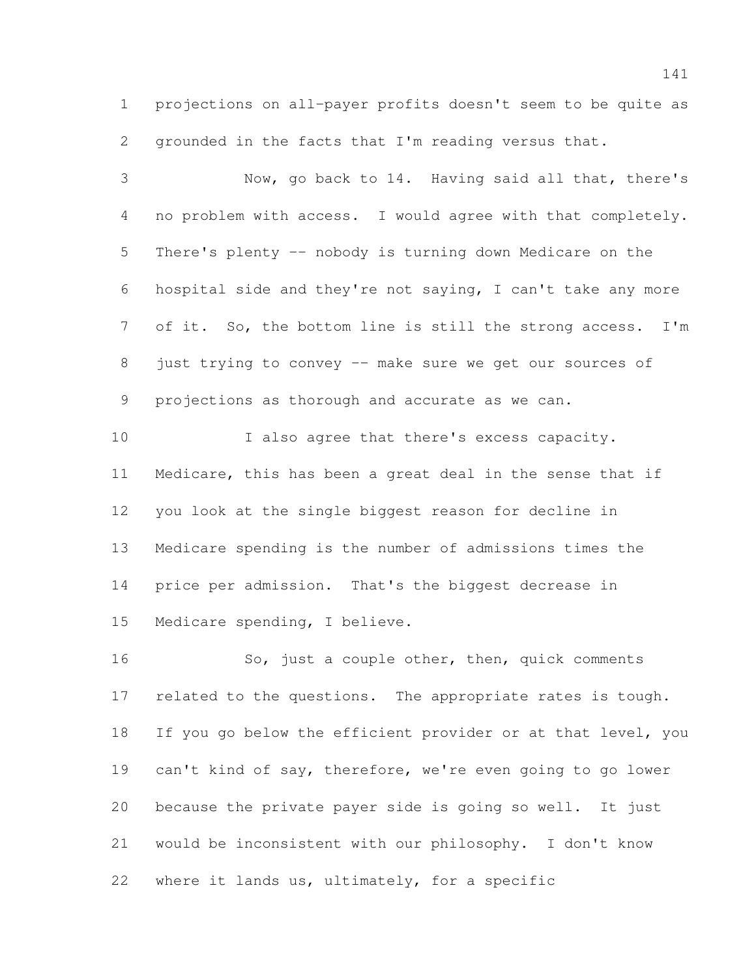projections on all-payer profits doesn't seem to be quite as grounded in the facts that I'm reading versus that.

 Now, go back to 14. Having said all that, there's no problem with access. I would agree with that completely. There's plenty -- nobody is turning down Medicare on the hospital side and they're not saying, I can't take any more of it. So, the bottom line is still the strong access. I'm just trying to convey -- make sure we get our sources of projections as thorough and accurate as we can. 10 I also agree that there's excess capacity.

 Medicare, this has been a great deal in the sense that if you look at the single biggest reason for decline in Medicare spending is the number of admissions times the price per admission. That's the biggest decrease in Medicare spending, I believe.

 So, just a couple other, then, quick comments 17 related to the questions. The appropriate rates is tough. 18 If you go below the efficient provider or at that level, you can't kind of say, therefore, we're even going to go lower because the private payer side is going so well. It just would be inconsistent with our philosophy. I don't know where it lands us, ultimately, for a specific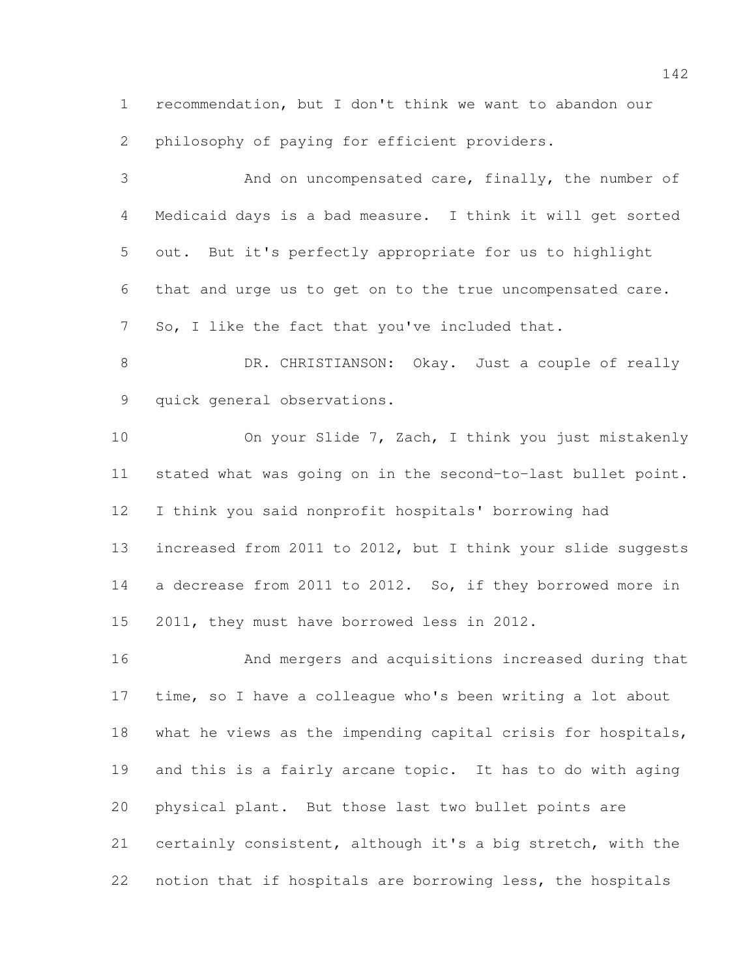recommendation, but I don't think we want to abandon our philosophy of paying for efficient providers.

 And on uncompensated care, finally, the number of Medicaid days is a bad measure. I think it will get sorted out. But it's perfectly appropriate for us to highlight that and urge us to get on to the true uncompensated care. So, I like the fact that you've included that. 8 DR. CHRISTIANSON: Okay. Just a couple of really quick general observations. On your Slide 7, Zach, I think you just mistakenly stated what was going on in the second-to-last bullet point. I think you said nonprofit hospitals' borrowing had increased from 2011 to 2012, but I think your slide suggests a decrease from 2011 to 2012. So, if they borrowed more in 2011, they must have borrowed less in 2012.

 And mergers and acquisitions increased during that time, so I have a colleague who's been writing a lot about what he views as the impending capital crisis for hospitals, and this is a fairly arcane topic. It has to do with aging physical plant. But those last two bullet points are certainly consistent, although it's a big stretch, with the notion that if hospitals are borrowing less, the hospitals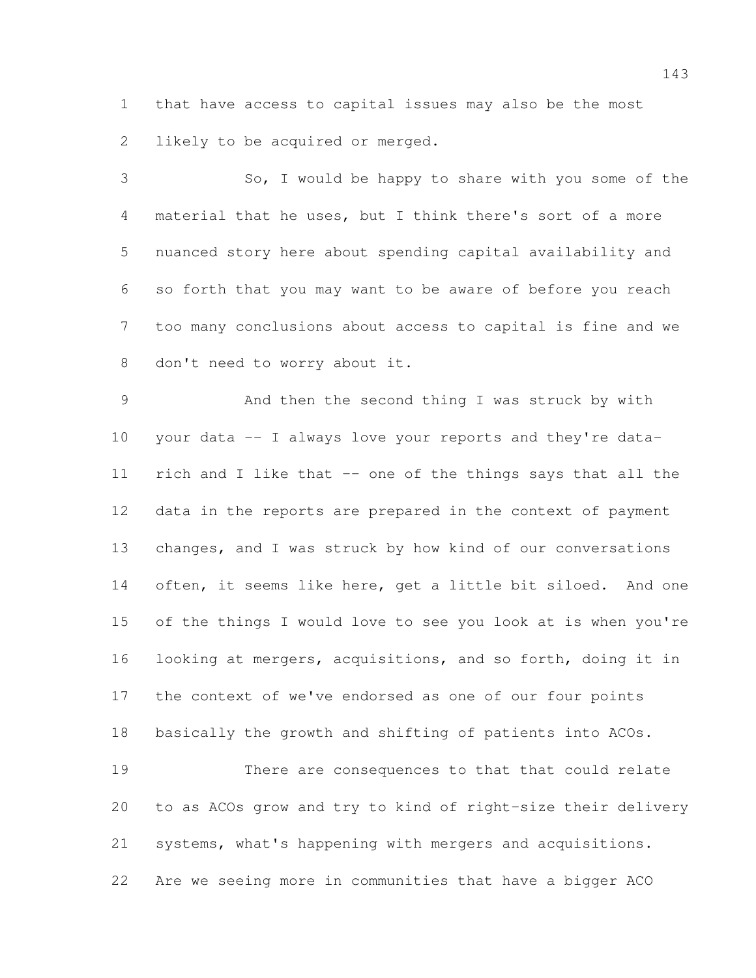that have access to capital issues may also be the most likely to be acquired or merged.

 So, I would be happy to share with you some of the material that he uses, but I think there's sort of a more nuanced story here about spending capital availability and so forth that you may want to be aware of before you reach too many conclusions about access to capital is fine and we don't need to worry about it.

 And then the second thing I was struck by with your data -- I always love your reports and they're data- rich and I like that -- one of the things says that all the data in the reports are prepared in the context of payment changes, and I was struck by how kind of our conversations 14 often, it seems like here, get a little bit siloed. And one of the things I would love to see you look at is when you're looking at mergers, acquisitions, and so forth, doing it in the context of we've endorsed as one of our four points basically the growth and shifting of patients into ACOs. There are consequences to that that could relate

 to as ACOs grow and try to kind of right-size their delivery systems, what's happening with mergers and acquisitions. Are we seeing more in communities that have a bigger ACO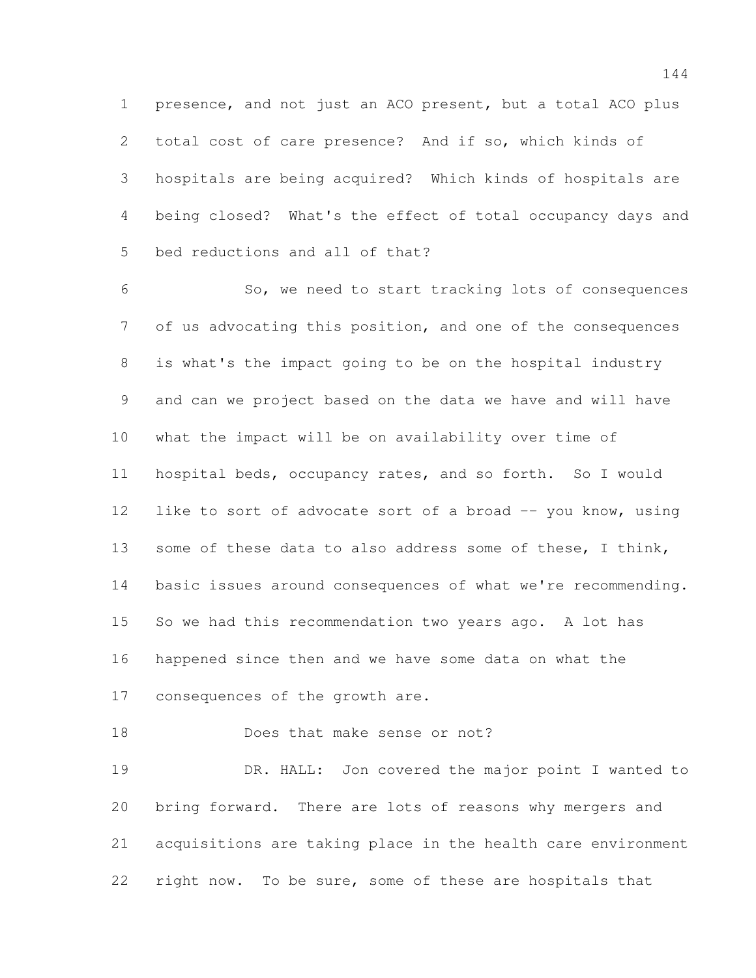presence, and not just an ACO present, but a total ACO plus total cost of care presence? And if so, which kinds of hospitals are being acquired? Which kinds of hospitals are being closed? What's the effect of total occupancy days and bed reductions and all of that?

 So, we need to start tracking lots of consequences of us advocating this position, and one of the consequences is what's the impact going to be on the hospital industry and can we project based on the data we have and will have what the impact will be on availability over time of hospital beds, occupancy rates, and so forth. So I would 12 like to sort of advocate sort of a broad -- you know, using 13 some of these data to also address some of these, I think, basic issues around consequences of what we're recommending. So we had this recommendation two years ago. A lot has happened since then and we have some data on what the consequences of the growth are.

18 Does that make sense or not?

 DR. HALL: Jon covered the major point I wanted to bring forward. There are lots of reasons why mergers and acquisitions are taking place in the health care environment right now. To be sure, some of these are hospitals that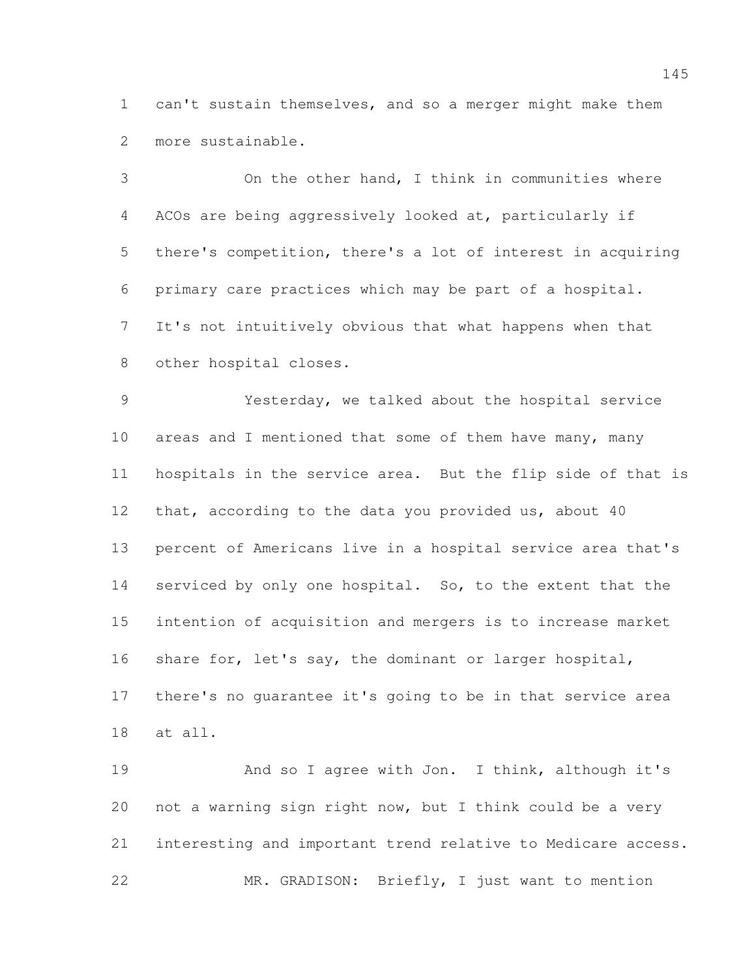can't sustain themselves, and so a merger might make them more sustainable.

 On the other hand, I think in communities where ACOs are being aggressively looked at, particularly if there's competition, there's a lot of interest in acquiring primary care practices which may be part of a hospital. It's not intuitively obvious that what happens when that other hospital closes.

 Yesterday, we talked about the hospital service 10 areas and I mentioned that some of them have many, many hospitals in the service area. But the flip side of that is 12 that, according to the data you provided us, about 40 percent of Americans live in a hospital service area that's 14 serviced by only one hospital. So, to the extent that the intention of acquisition and mergers is to increase market 16 share for, let's say, the dominant or larger hospital, there's no guarantee it's going to be in that service area at all.

19 And so I agree with Jon. I think, although it's not a warning sign right now, but I think could be a very interesting and important trend relative to Medicare access. MR. GRADISON: Briefly, I just want to mention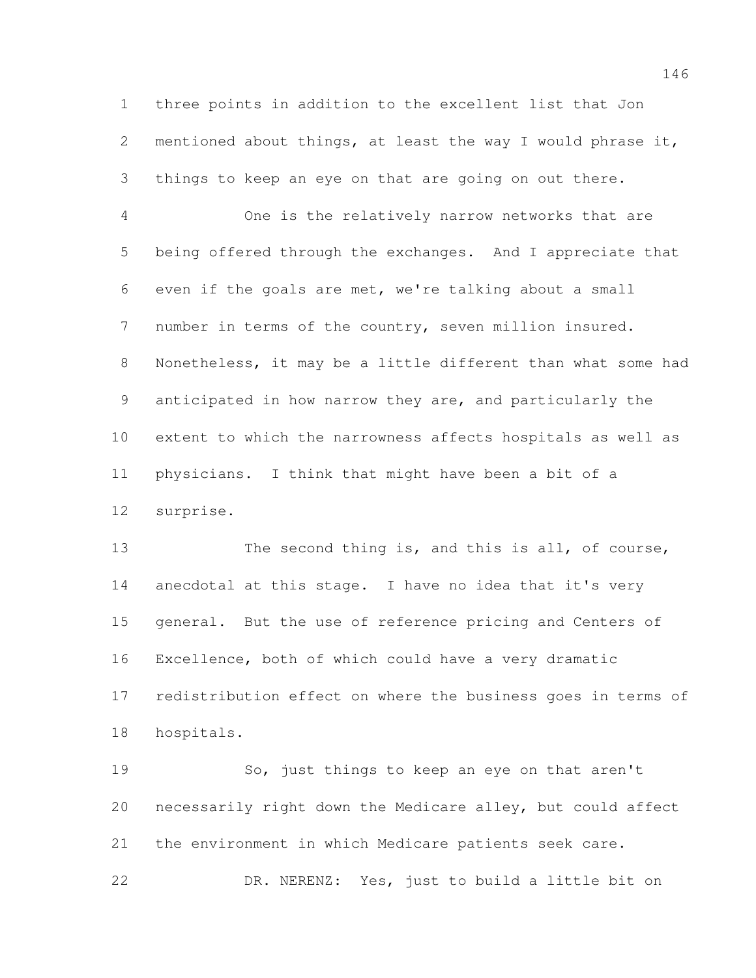three points in addition to the excellent list that Jon mentioned about things, at least the way I would phrase it, things to keep an eye on that are going on out there.

 One is the relatively narrow networks that are being offered through the exchanges. And I appreciate that even if the goals are met, we're talking about a small number in terms of the country, seven million insured. Nonetheless, it may be a little different than what some had anticipated in how narrow they are, and particularly the extent to which the narrowness affects hospitals as well as physicians. I think that might have been a bit of a surprise.

13 The second thing is, and this is all, of course, anecdotal at this stage. I have no idea that it's very general. But the use of reference pricing and Centers of Excellence, both of which could have a very dramatic redistribution effect on where the business goes in terms of hospitals.

 So, just things to keep an eye on that aren't necessarily right down the Medicare alley, but could affect the environment in which Medicare patients seek care. DR. NERENZ: Yes, just to build a little bit on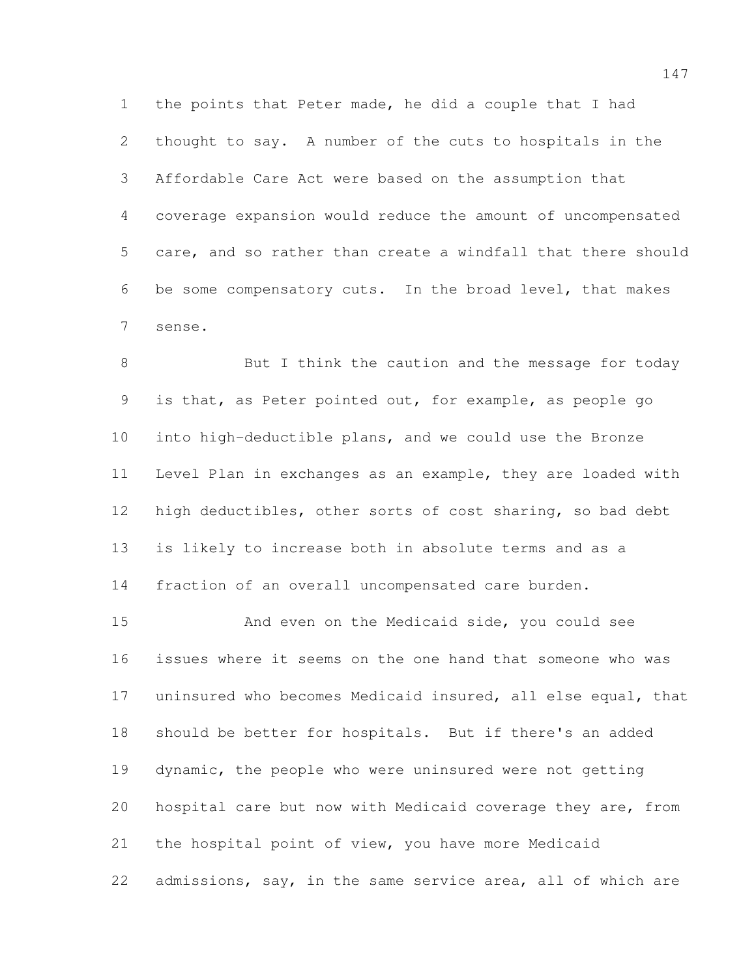the points that Peter made, he did a couple that I had thought to say. A number of the cuts to hospitals in the Affordable Care Act were based on the assumption that coverage expansion would reduce the amount of uncompensated care, and so rather than create a windfall that there should be some compensatory cuts. In the broad level, that makes sense.

8 But I think the caution and the message for today is that, as Peter pointed out, for example, as people go into high-deductible plans, and we could use the Bronze Level Plan in exchanges as an example, they are loaded with high deductibles, other sorts of cost sharing, so bad debt is likely to increase both in absolute terms and as a fraction of an overall uncompensated care burden.

 And even on the Medicaid side, you could see issues where it seems on the one hand that someone who was uninsured who becomes Medicaid insured, all else equal, that should be better for hospitals. But if there's an added dynamic, the people who were uninsured were not getting hospital care but now with Medicaid coverage they are, from the hospital point of view, you have more Medicaid admissions, say, in the same service area, all of which are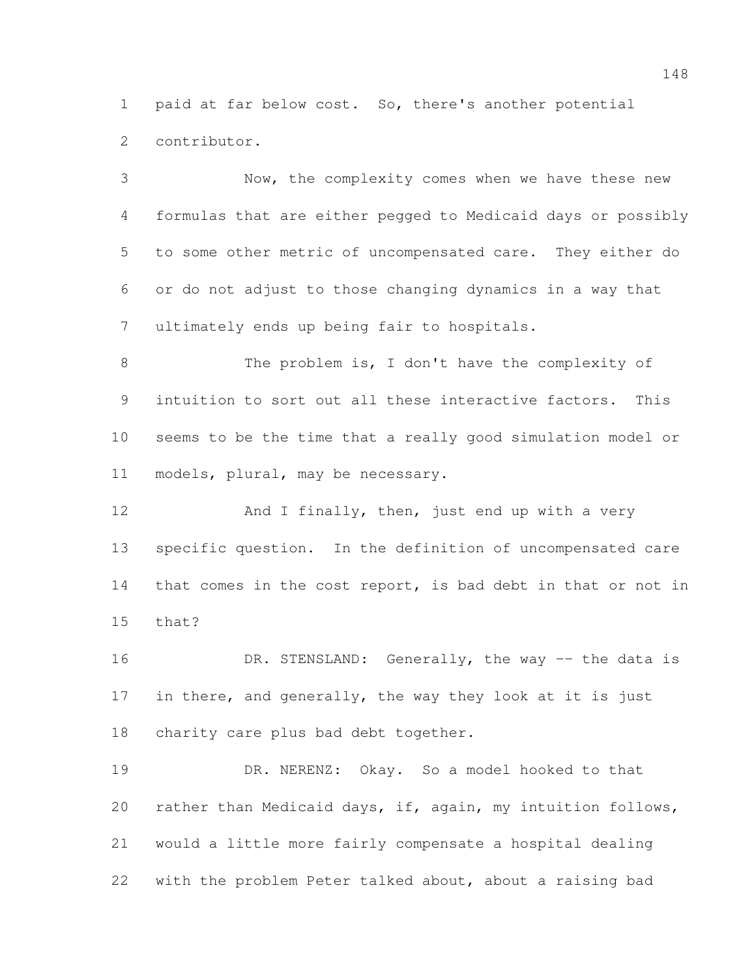paid at far below cost. So, there's another potential contributor.

 Now, the complexity comes when we have these new formulas that are either pegged to Medicaid days or possibly to some other metric of uncompensated care. They either do or do not adjust to those changing dynamics in a way that ultimately ends up being fair to hospitals.

8 The problem is, I don't have the complexity of intuition to sort out all these interactive factors. This seems to be the time that a really good simulation model or models, plural, may be necessary.

 And I finally, then, just end up with a very specific question. In the definition of uncompensated care that comes in the cost report, is bad debt in that or not in that?

16 DR. STENSLAND: Generally, the way -- the data is in there, and generally, the way they look at it is just charity care plus bad debt together.

 DR. NERENZ: Okay. So a model hooked to that rather than Medicaid days, if, again, my intuition follows, would a little more fairly compensate a hospital dealing with the problem Peter talked about, about a raising bad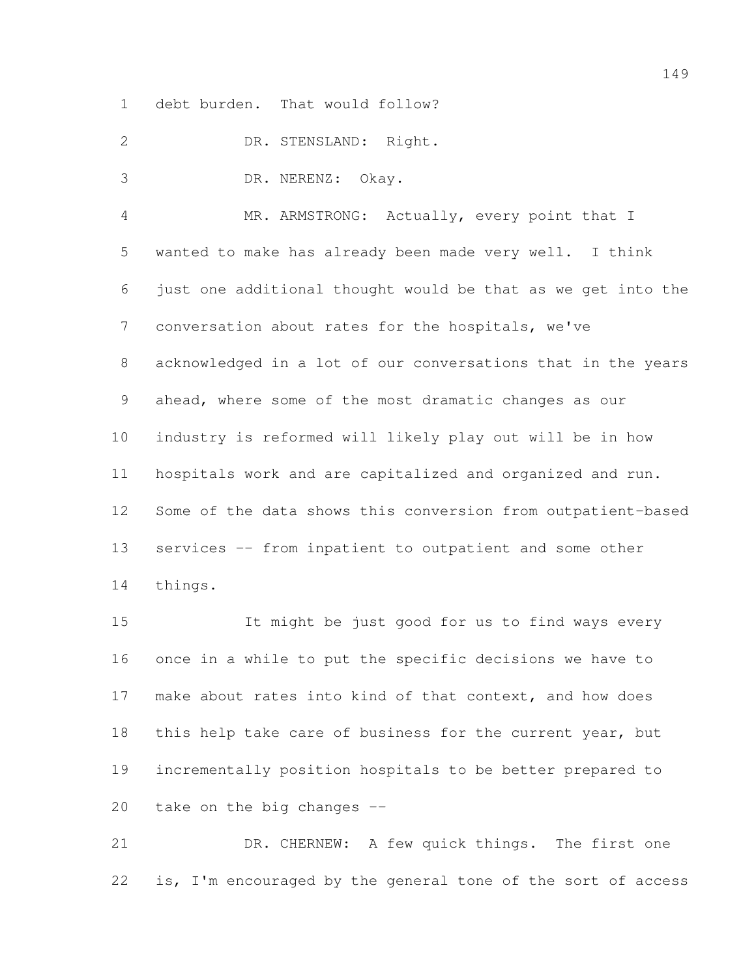debt burden. That would follow?

DR. STENSLAND: Right.

DR. NERENZ: Okay.

 MR. ARMSTRONG: Actually, every point that I wanted to make has already been made very well. I think just one additional thought would be that as we get into the conversation about rates for the hospitals, we've acknowledged in a lot of our conversations that in the years ahead, where some of the most dramatic changes as our industry is reformed will likely play out will be in how hospitals work and are capitalized and organized and run. Some of the data shows this conversion from outpatient-based services -- from inpatient to outpatient and some other things.

 It might be just good for us to find ways every once in a while to put the specific decisions we have to make about rates into kind of that context, and how does 18 this help take care of business for the current year, but incrementally position hospitals to be better prepared to take on the big changes --

 DR. CHERNEW: A few quick things. The first one is, I'm encouraged by the general tone of the sort of access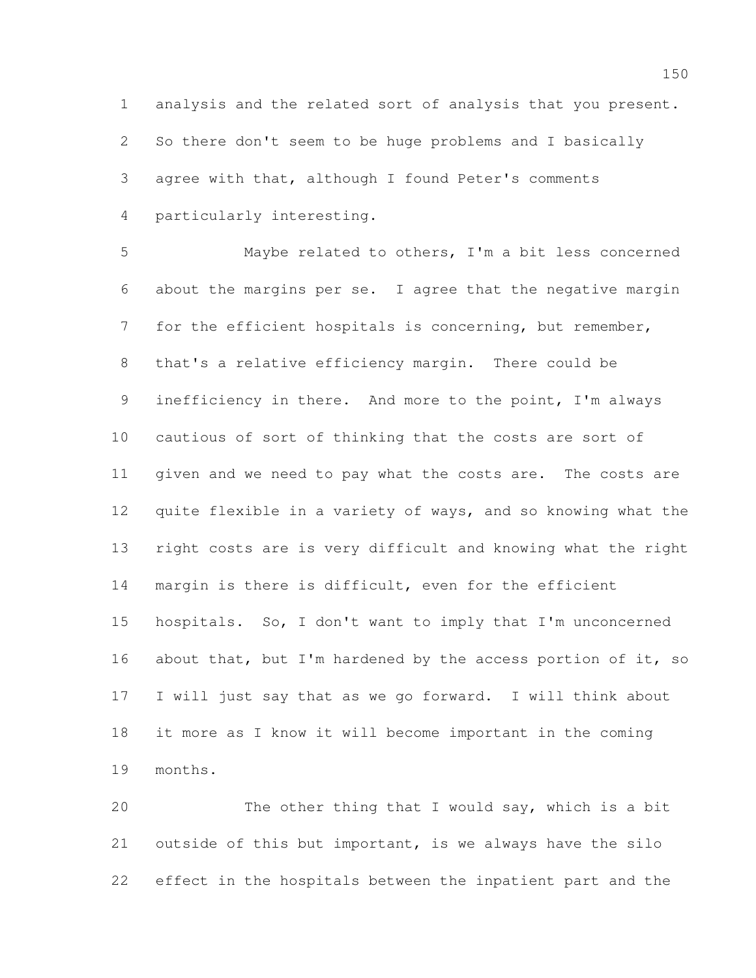analysis and the related sort of analysis that you present. So there don't seem to be huge problems and I basically agree with that, although I found Peter's comments particularly interesting.

 Maybe related to others, I'm a bit less concerned about the margins per se. I agree that the negative margin for the efficient hospitals is concerning, but remember, that's a relative efficiency margin. There could be inefficiency in there. And more to the point, I'm always cautious of sort of thinking that the costs are sort of given and we need to pay what the costs are. The costs are quite flexible in a variety of ways, and so knowing what the right costs are is very difficult and knowing what the right margin is there is difficult, even for the efficient hospitals. So, I don't want to imply that I'm unconcerned 16 about that, but I'm hardened by the access portion of it, so I will just say that as we go forward. I will think about it more as I know it will become important in the coming months.

 The other thing that I would say, which is a bit outside of this but important, is we always have the silo effect in the hospitals between the inpatient part and the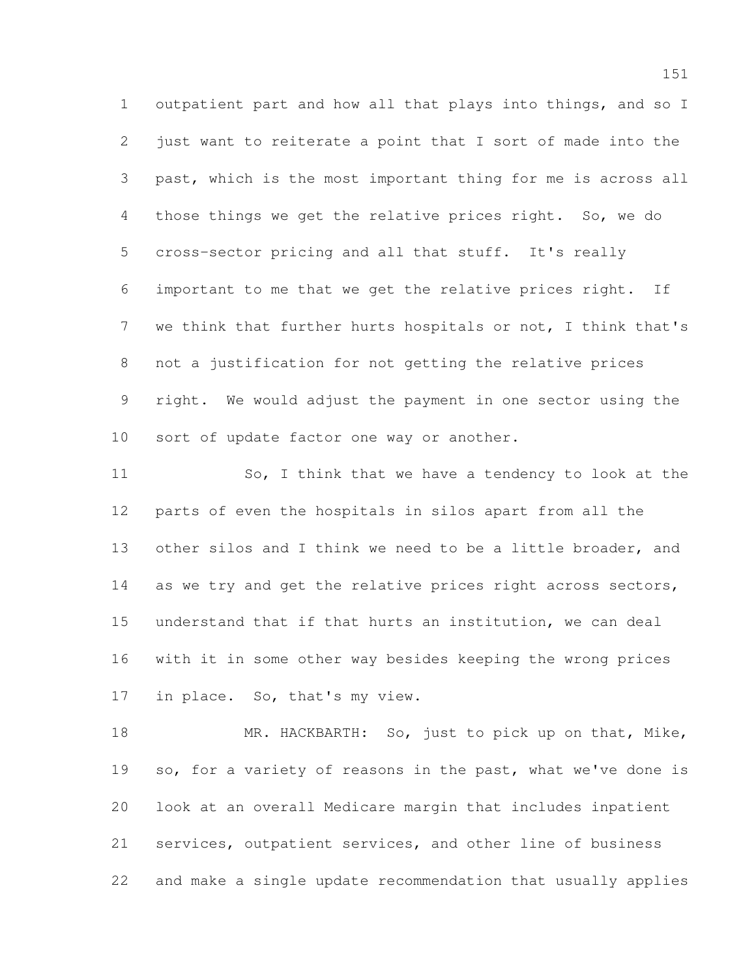outpatient part and how all that plays into things, and so I just want to reiterate a point that I sort of made into the past, which is the most important thing for me is across all those things we get the relative prices right. So, we do cross-sector pricing and all that stuff. It's really important to me that we get the relative prices right. If we think that further hurts hospitals or not, I think that's not a justification for not getting the relative prices right. We would adjust the payment in one sector using the sort of update factor one way or another.

11 So, I think that we have a tendency to look at the parts of even the hospitals in silos apart from all the other silos and I think we need to be a little broader, and 14 as we try and get the relative prices right across sectors, understand that if that hurts an institution, we can deal with it in some other way besides keeping the wrong prices in place. So, that's my view.

18 MR. HACKBARTH: So, just to pick up on that, Mike, so, for a variety of reasons in the past, what we've done is look at an overall Medicare margin that includes inpatient services, outpatient services, and other line of business and make a single update recommendation that usually applies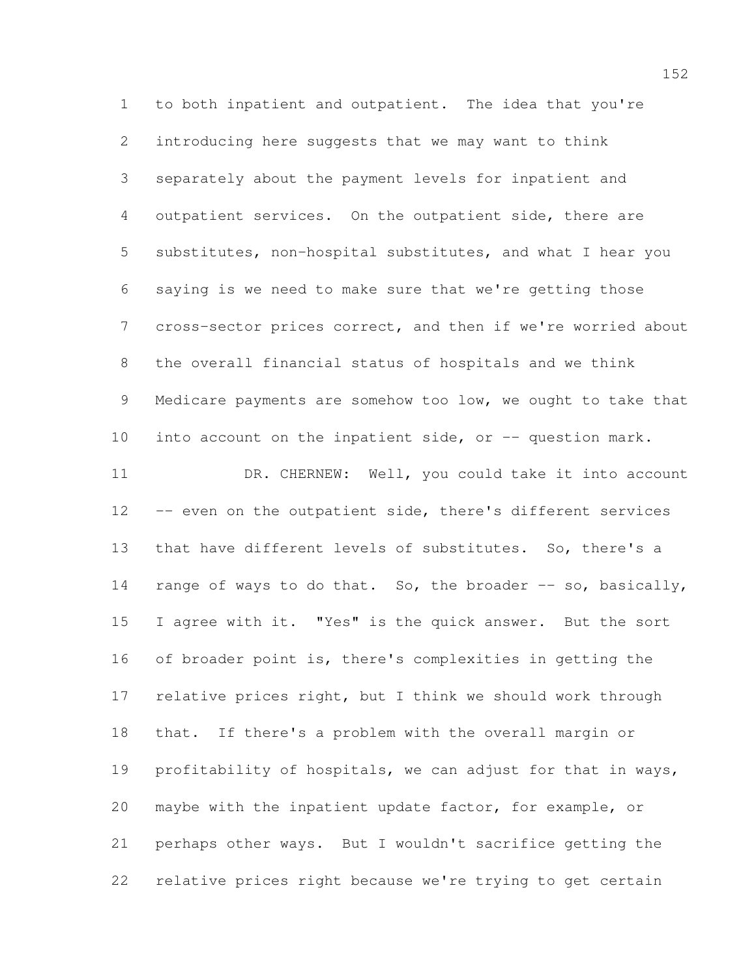to both inpatient and outpatient. The idea that you're introducing here suggests that we may want to think separately about the payment levels for inpatient and outpatient services. On the outpatient side, there are substitutes, non-hospital substitutes, and what I hear you saying is we need to make sure that we're getting those cross-sector prices correct, and then if we're worried about the overall financial status of hospitals and we think 9 Medicare payments are somehow too low, we ought to take that 10 into account on the inpatient side, or -- question mark. 11 DR. CHERNEW: Well, you could take it into account 12 -- even on the outpatient side, there's different services that have different levels of substitutes. So, there's a 14 range of ways to do that. So, the broader  $-$ - so, basically, I agree with it. "Yes" is the quick answer. But the sort of broader point is, there's complexities in getting the relative prices right, but I think we should work through that. If there's a problem with the overall margin or profitability of hospitals, we can adjust for that in ways, maybe with the inpatient update factor, for example, or perhaps other ways. But I wouldn't sacrifice getting the relative prices right because we're trying to get certain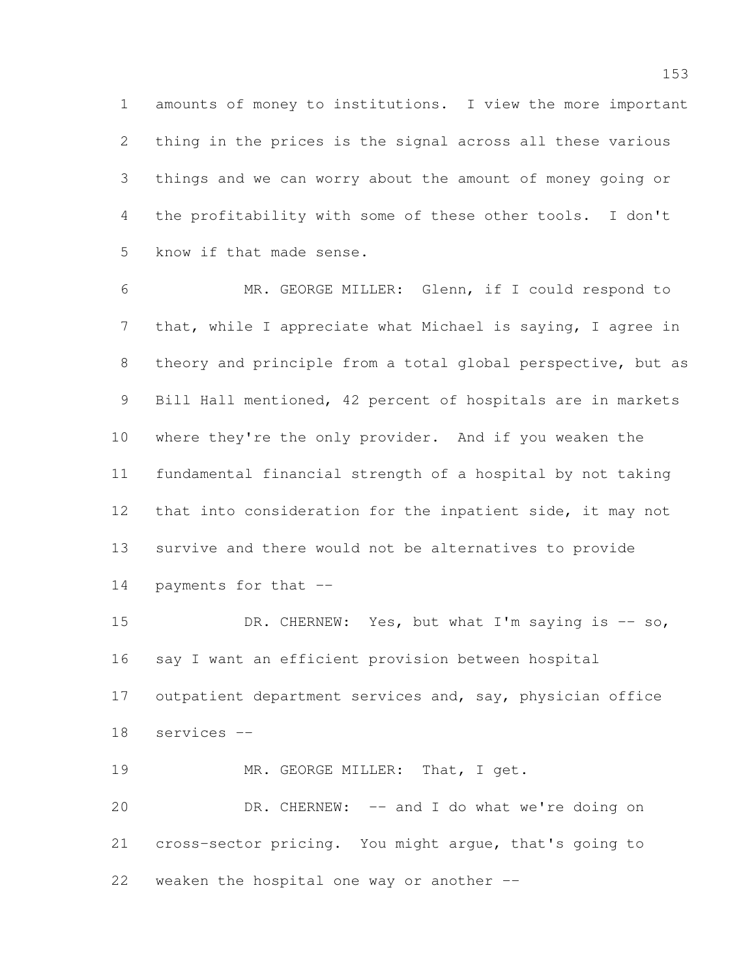amounts of money to institutions. I view the more important thing in the prices is the signal across all these various things and we can worry about the amount of money going or the profitability with some of these other tools. I don't know if that made sense.

 MR. GEORGE MILLER: Glenn, if I could respond to that, while I appreciate what Michael is saying, I agree in theory and principle from a total global perspective, but as Bill Hall mentioned, 42 percent of hospitals are in markets where they're the only provider. And if you weaken the fundamental financial strength of a hospital by not taking that into consideration for the inpatient side, it may not survive and there would not be alternatives to provide payments for that --

15 DR. CHERNEW: Yes, but what I'm saying is -- so, say I want an efficient provision between hospital 17 outpatient department services and, say, physician office services --

19 MR. GEORGE MILLER: That, I get.

 DR. CHERNEW: -- and I do what we're doing on cross-sector pricing. You might argue, that's going to weaken the hospital one way or another --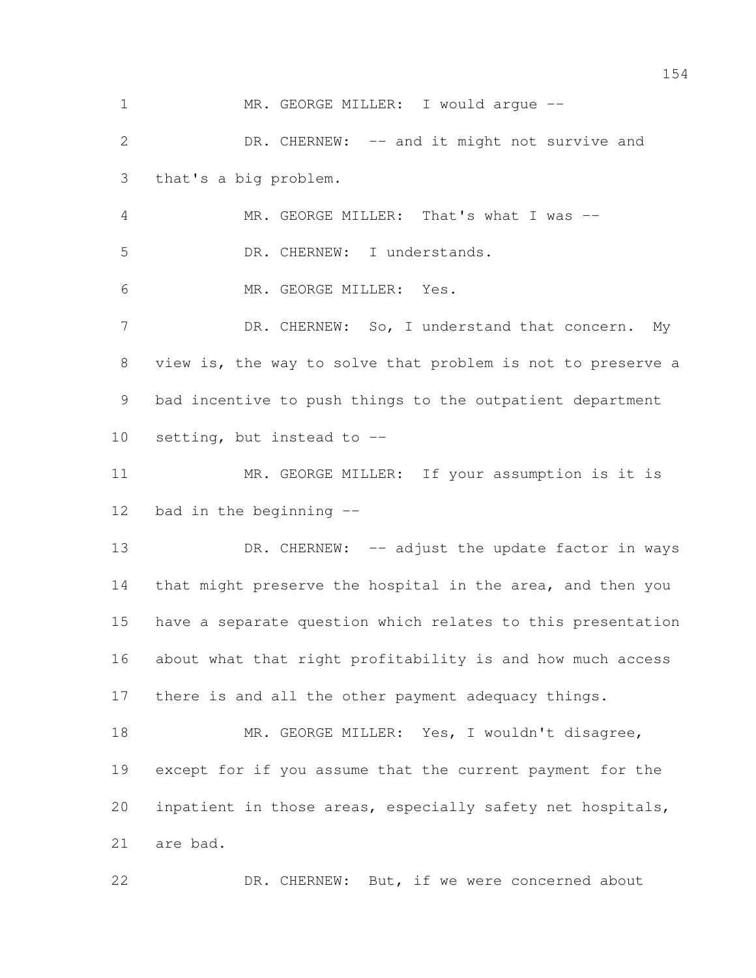1 MR. GEORGE MILLER: I would arque -- DR. CHERNEW: -- and it might not survive and that's a big problem. MR. GEORGE MILLER: That's what I was -- DR. CHERNEW: I understands. MR. GEORGE MILLER: Yes. 7 DR. CHERNEW: So, I understand that concern. My view is, the way to solve that problem is not to preserve a bad incentive to push things to the outpatient department setting, but instead to -- MR. GEORGE MILLER: If your assumption is it is bad in the beginning -- 13 DR. CHERNEW: -- adjust the update factor in ways 14 that might preserve the hospital in the area, and then you have a separate question which relates to this presentation about what that right profitability is and how much access there is and all the other payment adequacy things. 18 MR. GEORGE MILLER: Yes, I wouldn't disagree, except for if you assume that the current payment for the inpatient in those areas, especially safety net hospitals, are bad. 22 DR. CHERNEW: But, if we were concerned about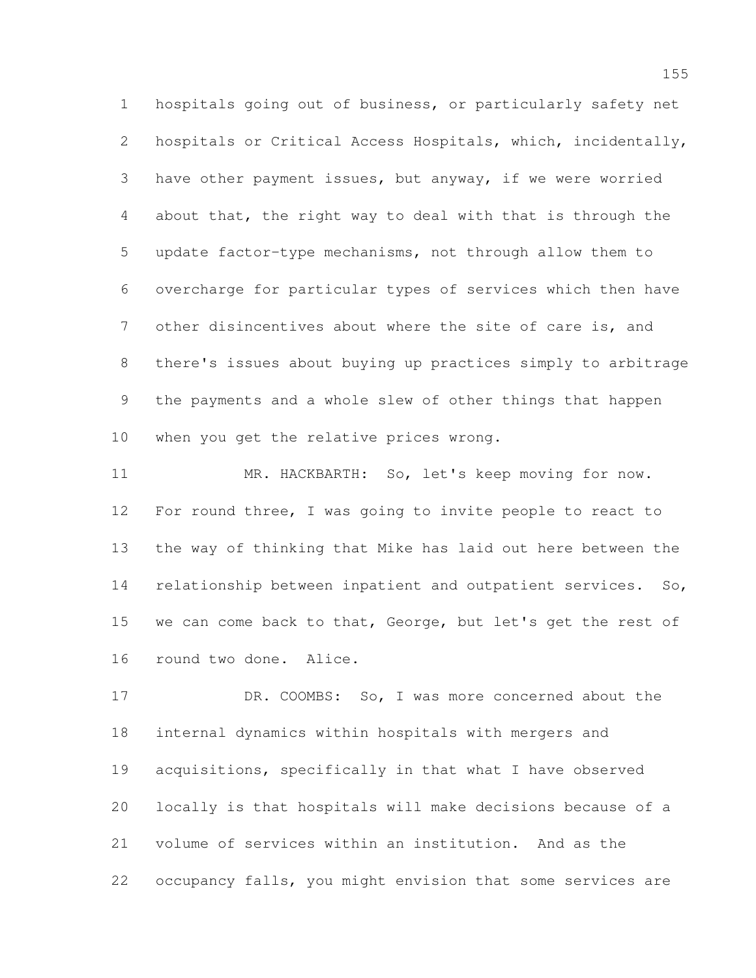hospitals going out of business, or particularly safety net hospitals or Critical Access Hospitals, which, incidentally, have other payment issues, but anyway, if we were worried about that, the right way to deal with that is through the update factor-type mechanisms, not through allow them to overcharge for particular types of services which then have other disincentives about where the site of care is, and there's issues about buying up practices simply to arbitrage the payments and a whole slew of other things that happen when you get the relative prices wrong.

 MR. HACKBARTH: So, let's keep moving for now. For round three, I was going to invite people to react to the way of thinking that Mike has laid out here between the 14 relationship between inpatient and outpatient services. So, we can come back to that, George, but let's get the rest of round two done. Alice.

 DR. COOMBS: So, I was more concerned about the internal dynamics within hospitals with mergers and acquisitions, specifically in that what I have observed locally is that hospitals will make decisions because of a volume of services within an institution. And as the occupancy falls, you might envision that some services are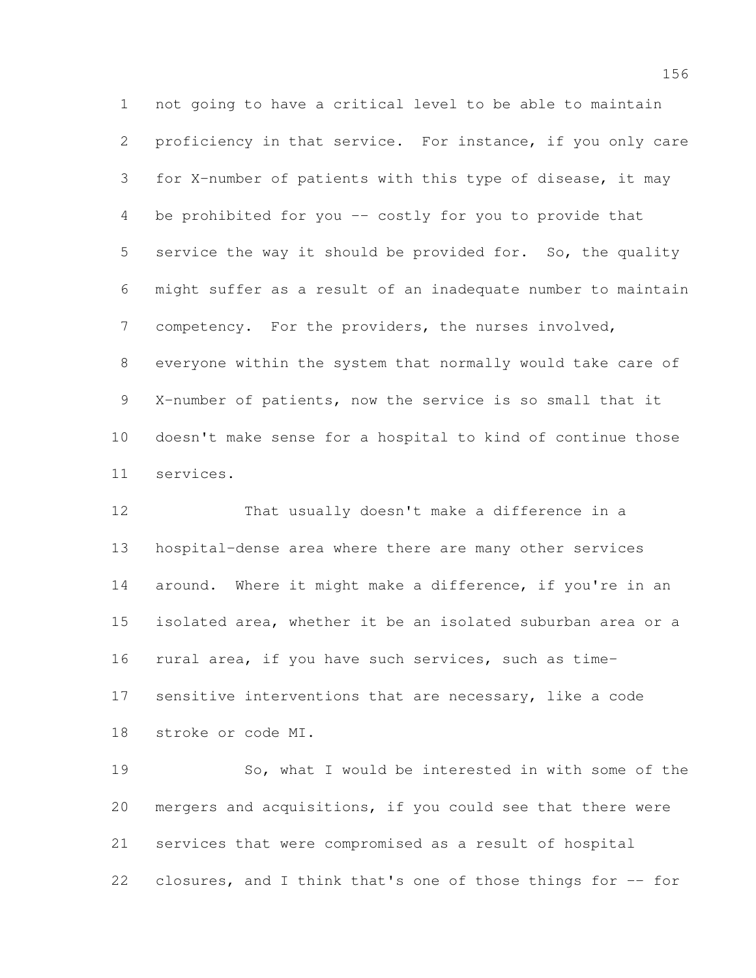not going to have a critical level to be able to maintain proficiency in that service. For instance, if you only care for X-number of patients with this type of disease, it may be prohibited for you -- costly for you to provide that service the way it should be provided for. So, the quality might suffer as a result of an inadequate number to maintain competency. For the providers, the nurses involved, everyone within the system that normally would take care of X-number of patients, now the service is so small that it doesn't make sense for a hospital to kind of continue those services.

 That usually doesn't make a difference in a hospital-dense area where there are many other services around. Where it might make a difference, if you're in an isolated area, whether it be an isolated suburban area or a rural area, if you have such services, such as time-17 sensitive interventions that are necessary, like a code stroke or code MI.

 So, what I would be interested in with some of the mergers and acquisitions, if you could see that there were services that were compromised as a result of hospital 22 closures, and I think that's one of those things for -- for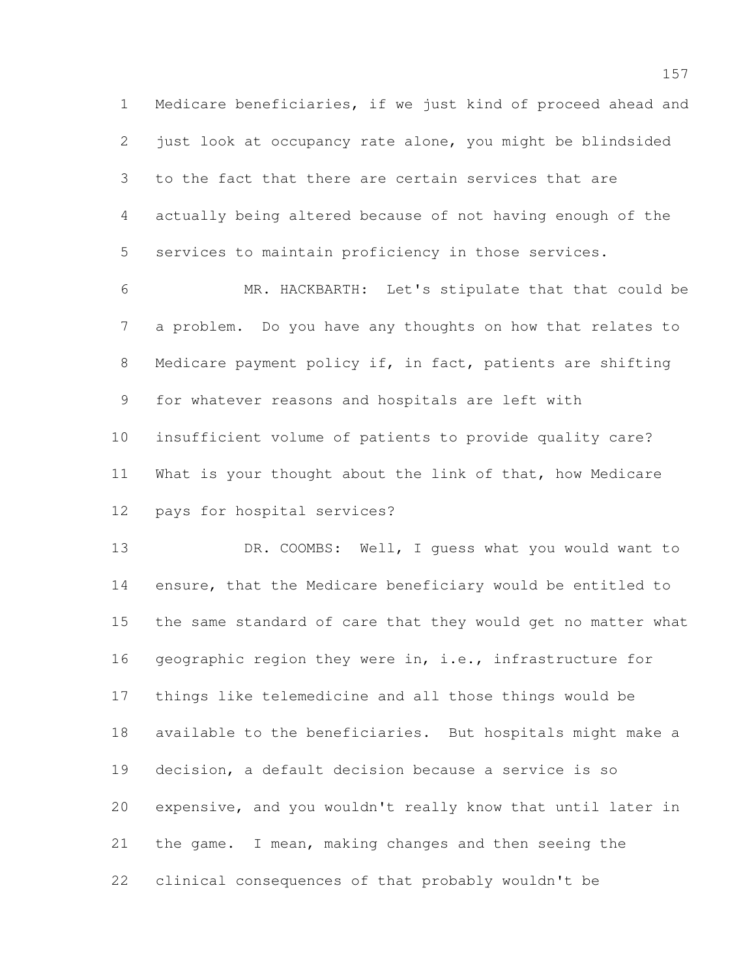Medicare beneficiaries, if we just kind of proceed ahead and just look at occupancy rate alone, you might be blindsided to the fact that there are certain services that are actually being altered because of not having enough of the services to maintain proficiency in those services.

 MR. HACKBARTH: Let's stipulate that that could be a problem. Do you have any thoughts on how that relates to Medicare payment policy if, in fact, patients are shifting for whatever reasons and hospitals are left with insufficient volume of patients to provide quality care? What is your thought about the link of that, how Medicare pays for hospital services?

 DR. COOMBS: Well, I guess what you would want to ensure, that the Medicare beneficiary would be entitled to the same standard of care that they would get no matter what 16 geographic region they were in, i.e., infrastructure for things like telemedicine and all those things would be available to the beneficiaries. But hospitals might make a decision, a default decision because a service is so expensive, and you wouldn't really know that until later in the game. I mean, making changes and then seeing the clinical consequences of that probably wouldn't be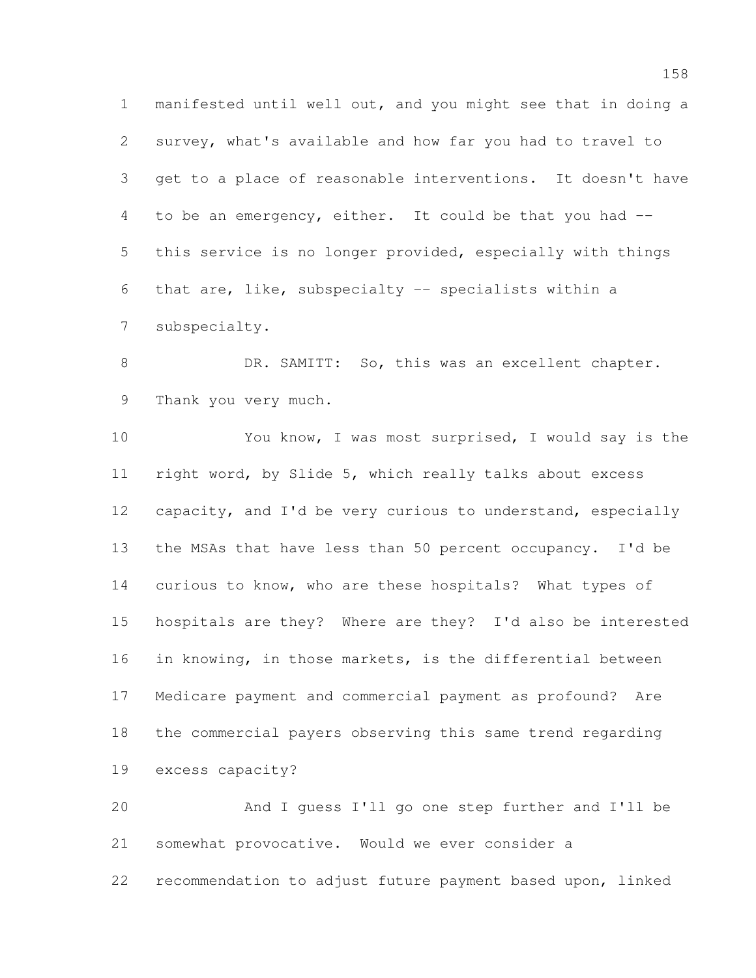manifested until well out, and you might see that in doing a survey, what's available and how far you had to travel to get to a place of reasonable interventions. It doesn't have to be an emergency, either. It could be that you had -- this service is no longer provided, especially with things that are, like, subspecialty -- specialists within a subspecialty.

8 DR. SAMITT: So, this was an excellent chapter. Thank you very much.

 You know, I was most surprised, I would say is the right word, by Slide 5, which really talks about excess capacity, and I'd be very curious to understand, especially the MSAs that have less than 50 percent occupancy. I'd be curious to know, who are these hospitals? What types of hospitals are they? Where are they? I'd also be interested in knowing, in those markets, is the differential between Medicare payment and commercial payment as profound? Are the commercial payers observing this same trend regarding excess capacity?

 And I guess I'll go one step further and I'll be somewhat provocative. Would we ever consider a recommendation to adjust future payment based upon, linked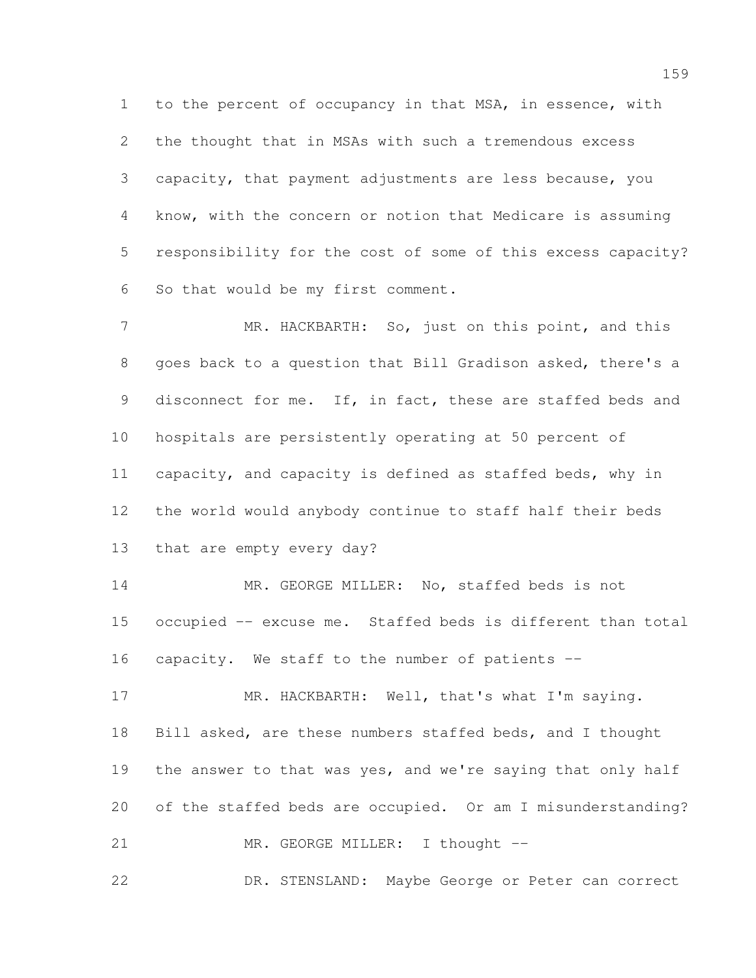to the percent of occupancy in that MSA, in essence, with the thought that in MSAs with such a tremendous excess capacity, that payment adjustments are less because, you know, with the concern or notion that Medicare is assuming responsibility for the cost of some of this excess capacity? So that would be my first comment.

7 MR. HACKBARTH: So, just on this point, and this goes back to a question that Bill Gradison asked, there's a 9 disconnect for me. If, in fact, these are staffed beds and hospitals are persistently operating at 50 percent of capacity, and capacity is defined as staffed beds, why in the world would anybody continue to staff half their beds that are empty every day?

 MR. GEORGE MILLER: No, staffed beds is not occupied -- excuse me. Staffed beds is different than total 16 capacity. We staff to the number of patients --

17 MR. HACKBARTH: Well, that's what I'm saying. Bill asked, are these numbers staffed beds, and I thought 19 the answer to that was yes, and we're saying that only half of the staffed beds are occupied. Or am I misunderstanding? 21 MR. GEORGE MILLER: I thought --

DR. STENSLAND: Maybe George or Peter can correct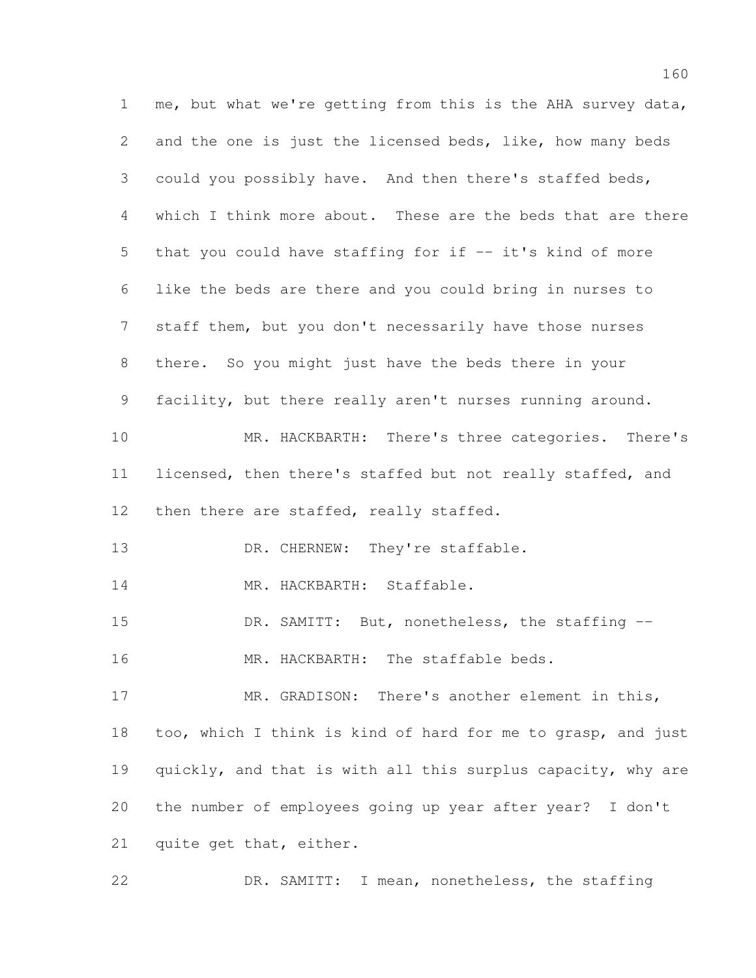me, but what we're getting from this is the AHA survey data, and the one is just the licensed beds, like, how many beds could you possibly have. And then there's staffed beds, which I think more about. These are the beds that are there that you could have staffing for if -- it's kind of more like the beds are there and you could bring in nurses to staff them, but you don't necessarily have those nurses there. So you might just have the beds there in your facility, but there really aren't nurses running around. MR. HACKBARTH: There's three categories. There's licensed, then there's staffed but not really staffed, and 12 then there are staffed, really staffed. 13 DR. CHERNEW: They're staffable. 14 MR. HACKBARTH: Staffable. DR. SAMITT: But, nonetheless, the staffing -- 16 MR. HACKBARTH: The staffable beds. MR. GRADISON: There's another element in this, too, which I think is kind of hard for me to grasp, and just quickly, and that is with all this surplus capacity, why are the number of employees going up year after year? I don't quite get that, either. DR. SAMITT: I mean, nonetheless, the staffing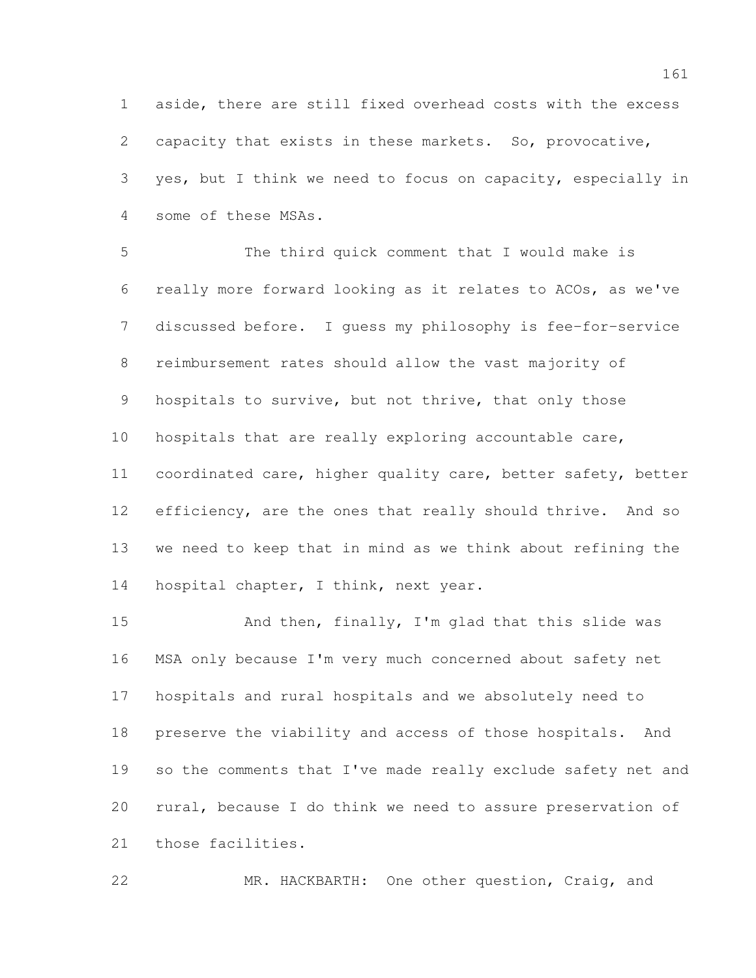aside, there are still fixed overhead costs with the excess capacity that exists in these markets. So, provocative, yes, but I think we need to focus on capacity, especially in some of these MSAs.

 The third quick comment that I would make is really more forward looking as it relates to ACOs, as we've discussed before. I guess my philosophy is fee-for-service reimbursement rates should allow the vast majority of 9 hospitals to survive, but not thrive, that only those hospitals that are really exploring accountable care, coordinated care, higher quality care, better safety, better 12 efficiency, are the ones that really should thrive. And so we need to keep that in mind as we think about refining the 14 hospital chapter, I think, next year.

 And then, finally, I'm glad that this slide was MSA only because I'm very much concerned about safety net hospitals and rural hospitals and we absolutely need to preserve the viability and access of those hospitals. And so the comments that I've made really exclude safety net and rural, because I do think we need to assure preservation of those facilities.

MR. HACKBARTH: One other question, Craig, and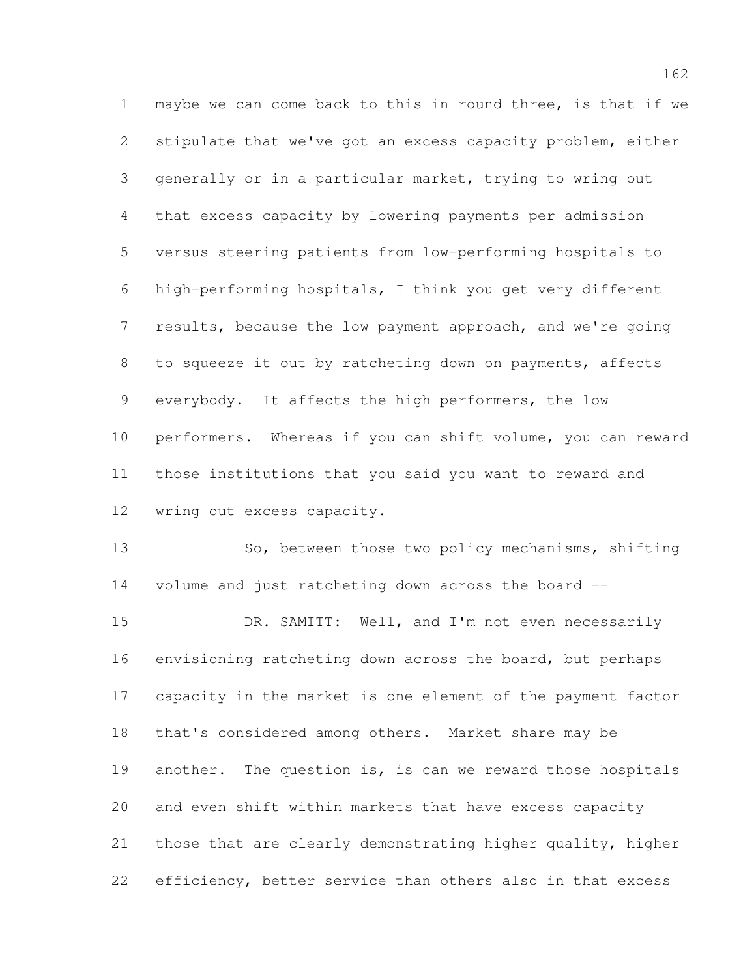maybe we can come back to this in round three, is that if we stipulate that we've got an excess capacity problem, either generally or in a particular market, trying to wring out that excess capacity by lowering payments per admission versus steering patients from low-performing hospitals to high-performing hospitals, I think you get very different results, because the low payment approach, and we're going to squeeze it out by ratcheting down on payments, affects everybody. It affects the high performers, the low performers. Whereas if you can shift volume, you can reward those institutions that you said you want to reward and wring out excess capacity.

13 So, between those two policy mechanisms, shifting volume and just ratcheting down across the board --

15 DR. SAMITT: Well, and I'm not even necessarily envisioning ratcheting down across the board, but perhaps capacity in the market is one element of the payment factor that's considered among others. Market share may be 19 another. The question is, is can we reward those hospitals and even shift within markets that have excess capacity those that are clearly demonstrating higher quality, higher efficiency, better service than others also in that excess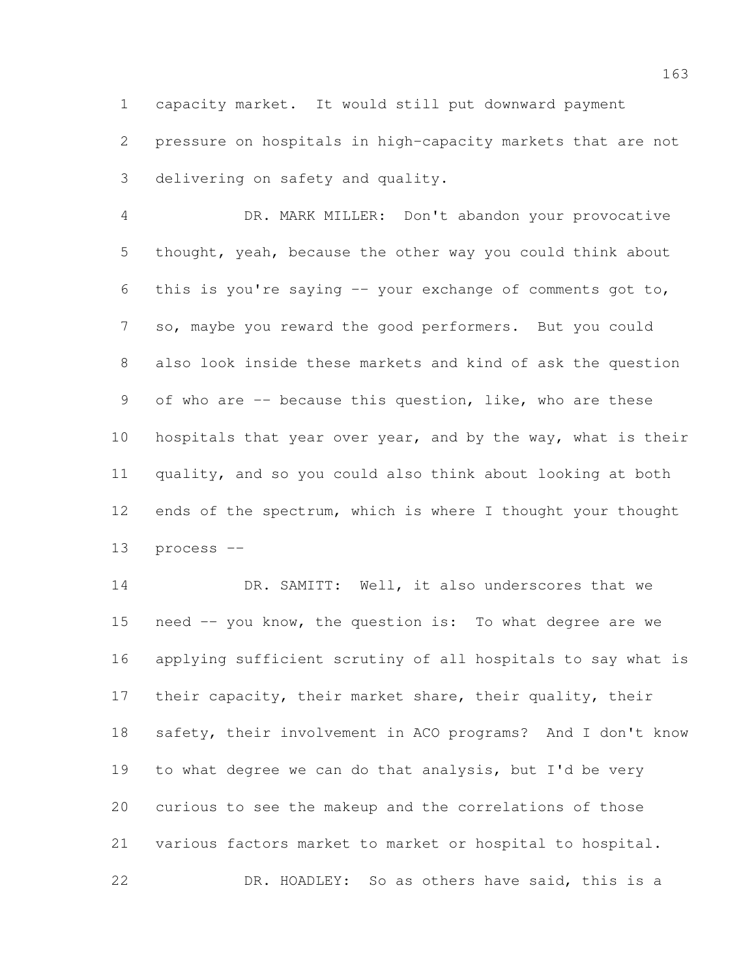capacity market. It would still put downward payment pressure on hospitals in high-capacity markets that are not delivering on safety and quality.

 DR. MARK MILLER: Don't abandon your provocative thought, yeah, because the other way you could think about this is you're saying -- your exchange of comments got to, so, maybe you reward the good performers. But you could also look inside these markets and kind of ask the question of who are -- because this question, like, who are these hospitals that year over year, and by the way, what is their quality, and so you could also think about looking at both ends of the spectrum, which is where I thought your thought process --

14 DR. SAMITT: Well, it also underscores that we need -- you know, the question is: To what degree are we applying sufficient scrutiny of all hospitals to say what is their capacity, their market share, their quality, their safety, their involvement in ACO programs? And I don't know to what degree we can do that analysis, but I'd be very curious to see the makeup and the correlations of those 21 various factors market to market or hospital to hospital. DR. HOADLEY: So as others have said, this is a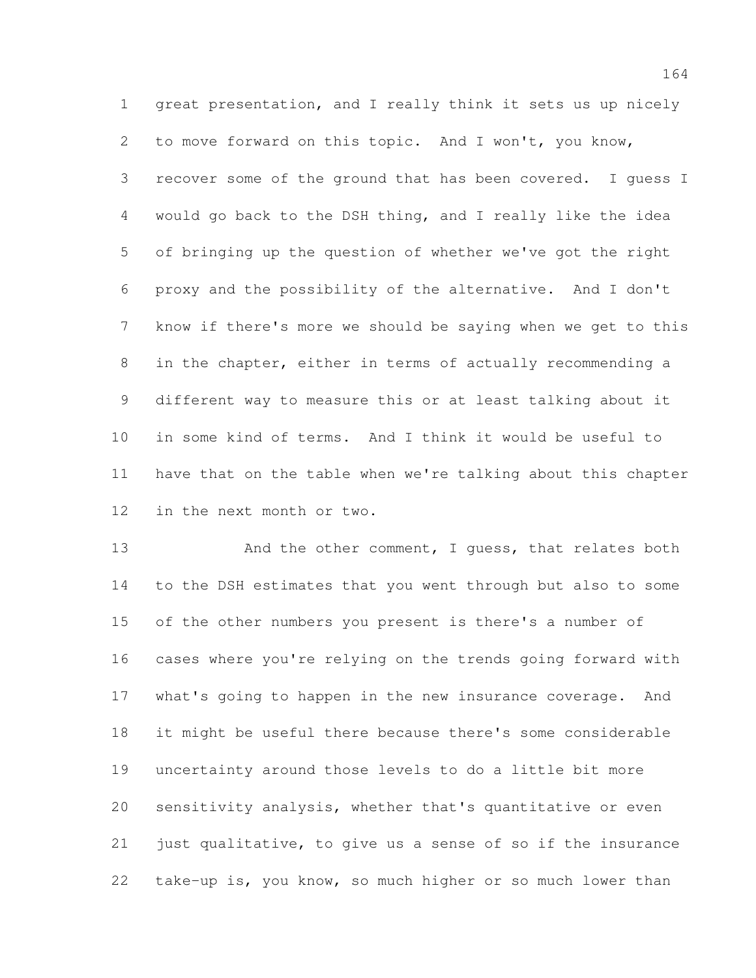great presentation, and I really think it sets us up nicely to move forward on this topic. And I won't, you know, recover some of the ground that has been covered. I guess I would go back to the DSH thing, and I really like the idea of bringing up the question of whether we've got the right proxy and the possibility of the alternative. And I don't know if there's more we should be saying when we get to this in the chapter, either in terms of actually recommending a different way to measure this or at least talking about it in some kind of terms. And I think it would be useful to have that on the table when we're talking about this chapter in the next month or two.

13 And the other comment, I quess, that relates both to the DSH estimates that you went through but also to some of the other numbers you present is there's a number of cases where you're relying on the trends going forward with what's going to happen in the new insurance coverage. And it might be useful there because there's some considerable uncertainty around those levels to do a little bit more sensitivity analysis, whether that's quantitative or even 21 just qualitative, to give us a sense of so if the insurance take-up is, you know, so much higher or so much lower than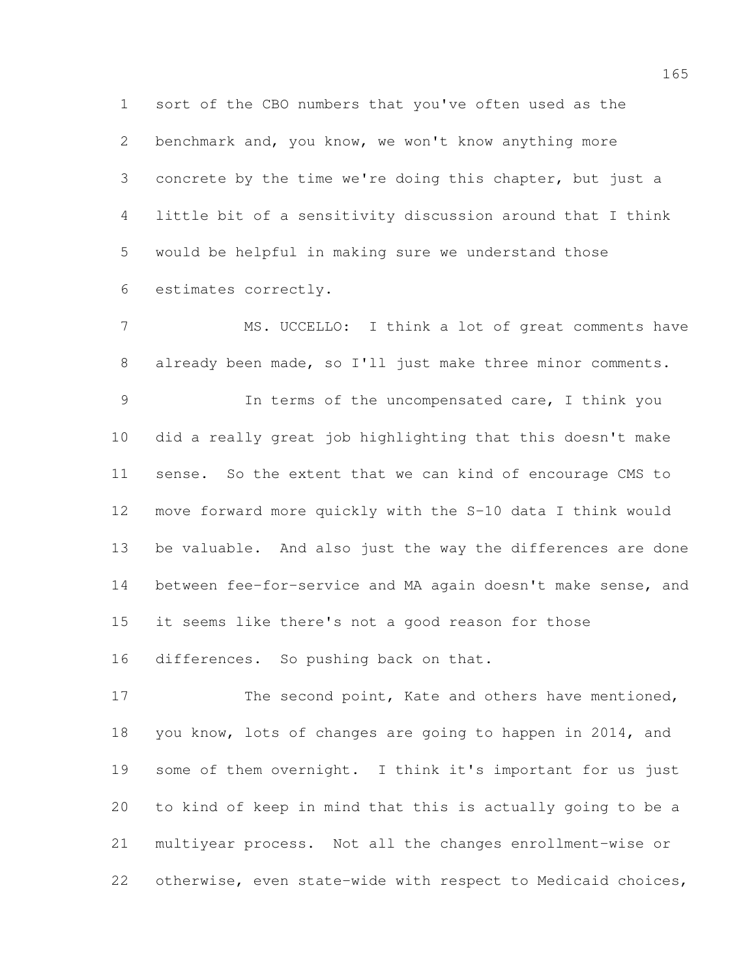sort of the CBO numbers that you've often used as the benchmark and, you know, we won't know anything more concrete by the time we're doing this chapter, but just a little bit of a sensitivity discussion around that I think would be helpful in making sure we understand those estimates correctly.

 MS. UCCELLO: I think a lot of great comments have already been made, so I'll just make three minor comments. In terms of the uncompensated care, I think you did a really great job highlighting that this doesn't make sense. So the extent that we can kind of encourage CMS to move forward more quickly with the S-10 data I think would be valuable. And also just the way the differences are done between fee-for-service and MA again doesn't make sense, and it seems like there's not a good reason for those differences. So pushing back on that.

17 The second point, Kate and others have mentioned, you know, lots of changes are going to happen in 2014, and some of them overnight. I think it's important for us just to kind of keep in mind that this is actually going to be a multiyear process. Not all the changes enrollment-wise or otherwise, even state-wide with respect to Medicaid choices,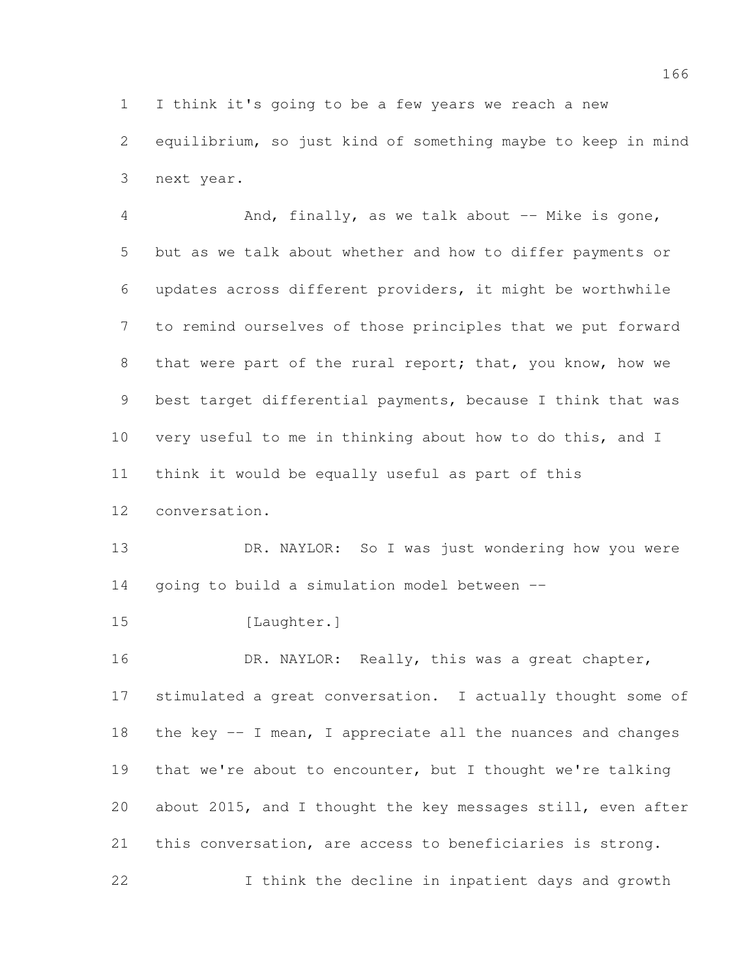I think it's going to be a few years we reach a new

 equilibrium, so just kind of something maybe to keep in mind next year.

4 And, finally, as we talk about -- Mike is gone, but as we talk about whether and how to differ payments or updates across different providers, it might be worthwhile to remind ourselves of those principles that we put forward 8 that were part of the rural report; that, you know, how we best target differential payments, because I think that was very useful to me in thinking about how to do this, and I think it would be equally useful as part of this

conversation.

 DR. NAYLOR: So I was just wondering how you were going to build a simulation model between --

15 [Laughter.]

16 DR. NAYLOR: Really, this was a great chapter, stimulated a great conversation. I actually thought some of the key -- I mean, I appreciate all the nuances and changes 19 that we're about to encounter, but I thought we're talking about 2015, and I thought the key messages still, even after this conversation, are access to beneficiaries is strong. I think the decline in inpatient days and growth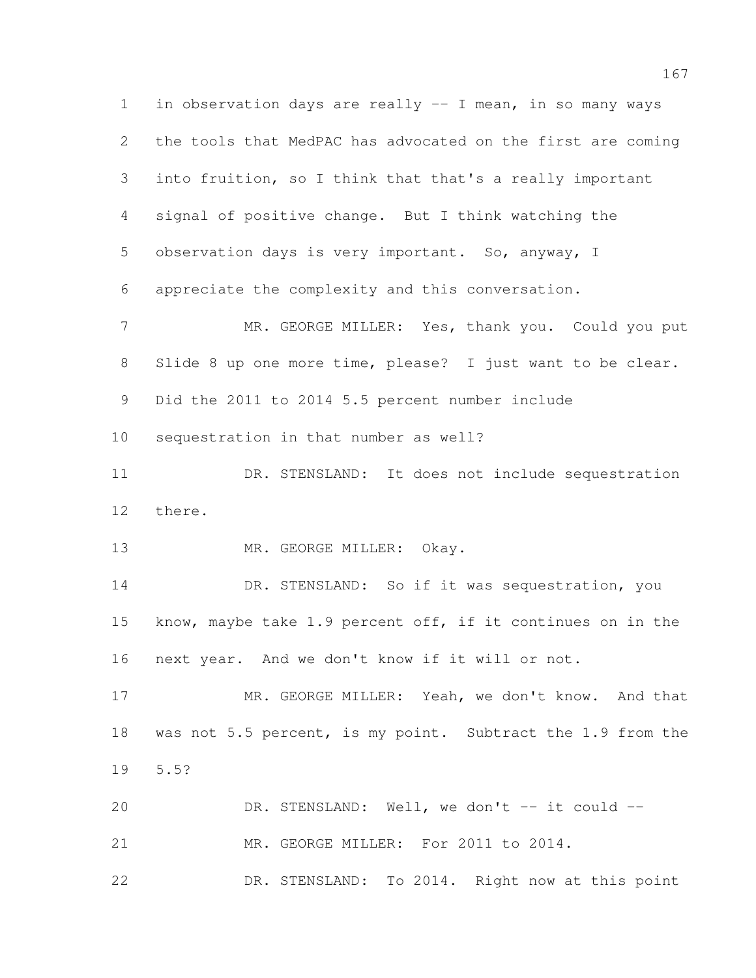in observation days are really -- I mean, in so many ways the tools that MedPAC has advocated on the first are coming into fruition, so I think that that's a really important signal of positive change. But I think watching the observation days is very important. So, anyway, I appreciate the complexity and this conversation. 7 MR. GEORGE MILLER: Yes, thank you. Could you put Slide 8 up one more time, please? I just want to be clear. Did the 2011 to 2014 5.5 percent number include sequestration in that number as well? DR. STENSLAND: It does not include sequestration there. 13 MR. GEORGE MILLER: Okay. DR. STENSLAND: So if it was sequestration, you know, maybe take 1.9 percent off, if it continues on in the next year. And we don't know if it will or not. MR. GEORGE MILLER: Yeah, we don't know. And that 18 was not 5.5 percent, is my point. Subtract the 1.9 from the 5.5? 20 DR. STENSLAND: Well, we don't -- it could -- MR. GEORGE MILLER: For 2011 to 2014. DR. STENSLAND: To 2014. Right now at this point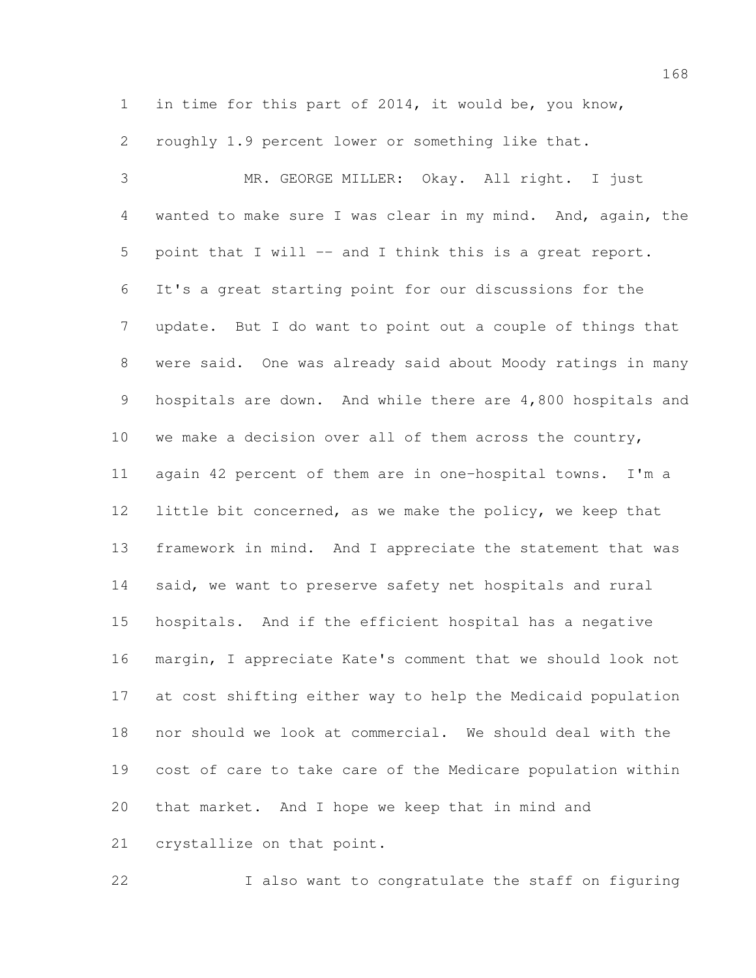in time for this part of 2014, it would be, you know,

roughly 1.9 percent lower or something like that.

 MR. GEORGE MILLER: Okay. All right. I just wanted to make sure I was clear in my mind. And, again, the point that I will -- and I think this is a great report. It's a great starting point for our discussions for the update. But I do want to point out a couple of things that were said. One was already said about Moody ratings in many hospitals are down. And while there are 4,800 hospitals and we make a decision over all of them across the country, again 42 percent of them are in one-hospital towns. I'm a little bit concerned, as we make the policy, we keep that framework in mind. And I appreciate the statement that was said, we want to preserve safety net hospitals and rural hospitals. And if the efficient hospital has a negative margin, I appreciate Kate's comment that we should look not at cost shifting either way to help the Medicaid population nor should we look at commercial. We should deal with the cost of care to take care of the Medicare population within that market. And I hope we keep that in mind and crystallize on that point.

I also want to congratulate the staff on figuring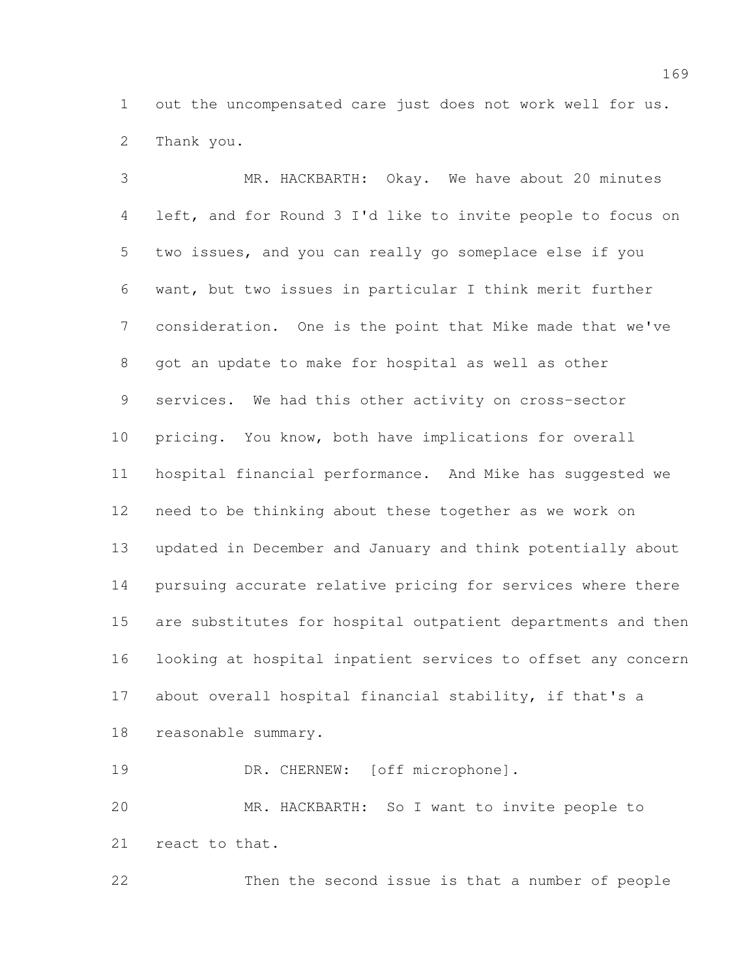out the uncompensated care just does not work well for us. Thank you.

 MR. HACKBARTH: Okay. We have about 20 minutes left, and for Round 3 I'd like to invite people to focus on two issues, and you can really go someplace else if you want, but two issues in particular I think merit further consideration. One is the point that Mike made that we've got an update to make for hospital as well as other services. We had this other activity on cross-sector pricing. You know, both have implications for overall hospital financial performance. And Mike has suggested we need to be thinking about these together as we work on updated in December and January and think potentially about pursuing accurate relative pricing for services where there are substitutes for hospital outpatient departments and then looking at hospital inpatient services to offset any concern about overall hospital financial stability, if that's a reasonable summary. 19 DR. CHERNEW: [off microphone].

 MR. HACKBARTH: So I want to invite people to react to that.

Then the second issue is that a number of people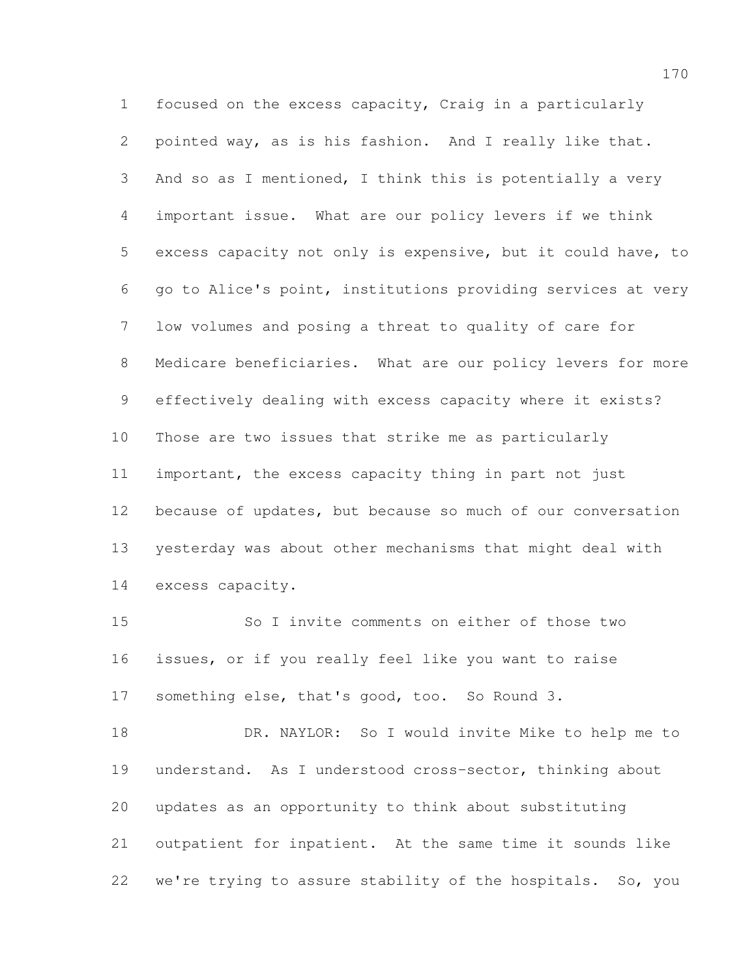focused on the excess capacity, Craig in a particularly pointed way, as is his fashion. And I really like that. And so as I mentioned, I think this is potentially a very important issue. What are our policy levers if we think excess capacity not only is expensive, but it could have, to go to Alice's point, institutions providing services at very low volumes and posing a threat to quality of care for Medicare beneficiaries. What are our policy levers for more effectively dealing with excess capacity where it exists? Those are two issues that strike me as particularly important, the excess capacity thing in part not just because of updates, but because so much of our conversation yesterday was about other mechanisms that might deal with excess capacity.

 So I invite comments on either of those two issues, or if you really feel like you want to raise something else, that's good, too. So Round 3.

 DR. NAYLOR: So I would invite Mike to help me to understand. As I understood cross-sector, thinking about updates as an opportunity to think about substituting outpatient for inpatient. At the same time it sounds like we're trying to assure stability of the hospitals. So, you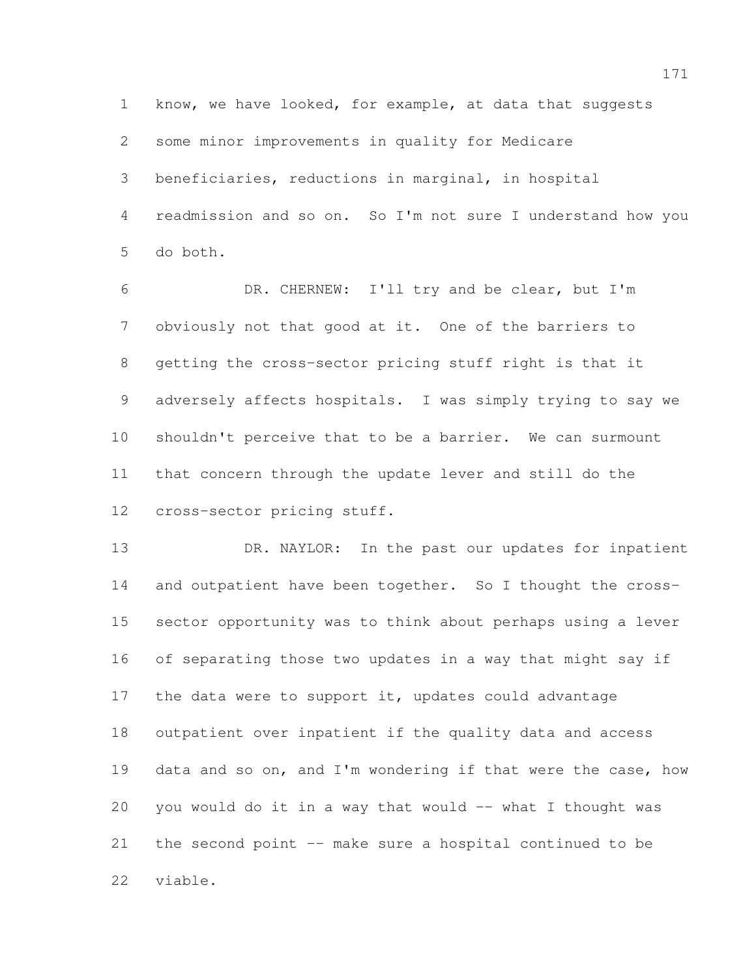know, we have looked, for example, at data that suggests some minor improvements in quality for Medicare beneficiaries, reductions in marginal, in hospital readmission and so on. So I'm not sure I understand how you do both.

 DR. CHERNEW: I'll try and be clear, but I'm obviously not that good at it. One of the barriers to getting the cross-sector pricing stuff right is that it adversely affects hospitals. I was simply trying to say we shouldn't perceive that to be a barrier. We can surmount that concern through the update lever and still do the cross-sector pricing stuff.

 DR. NAYLOR: In the past our updates for inpatient 14 and outpatient have been together. So I thought the cross- sector opportunity was to think about perhaps using a lever of separating those two updates in a way that might say if 17 the data were to support it, updates could advantage outpatient over inpatient if the quality data and access 19 data and so on, and I'm wondering if that were the case, how 20 you would do it in a way that would  $-$  what I thought was the second point -- make sure a hospital continued to be viable.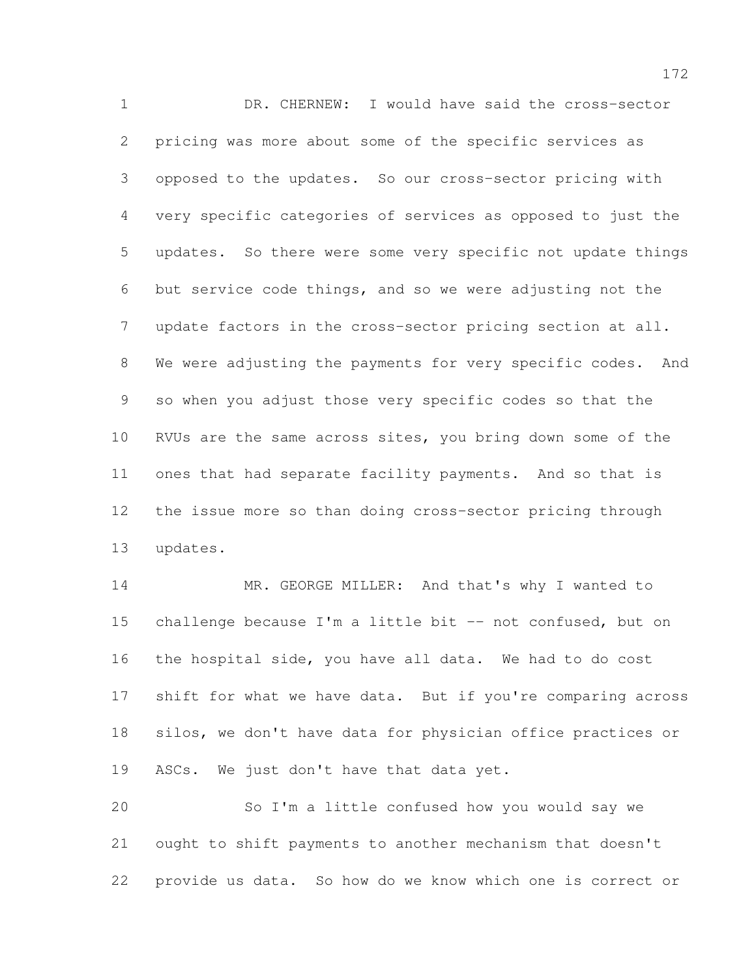DR. CHERNEW: I would have said the cross-sector pricing was more about some of the specific services as opposed to the updates. So our cross-sector pricing with very specific categories of services as opposed to just the updates. So there were some very specific not update things but service code things, and so we were adjusting not the update factors in the cross-sector pricing section at all. We were adjusting the payments for very specific codes. And so when you adjust those very specific codes so that the RVUs are the same across sites, you bring down some of the ones that had separate facility payments. And so that is the issue more so than doing cross-sector pricing through updates.

14 MR. GEORGE MILLER: And that's why I wanted to 15 challenge because I'm a little bit -- not confused, but on the hospital side, you have all data. We had to do cost shift for what we have data. But if you're comparing across silos, we don't have data for physician office practices or 19 ASCs. We just don't have that data yet.

 So I'm a little confused how you would say we ought to shift payments to another mechanism that doesn't provide us data. So how do we know which one is correct or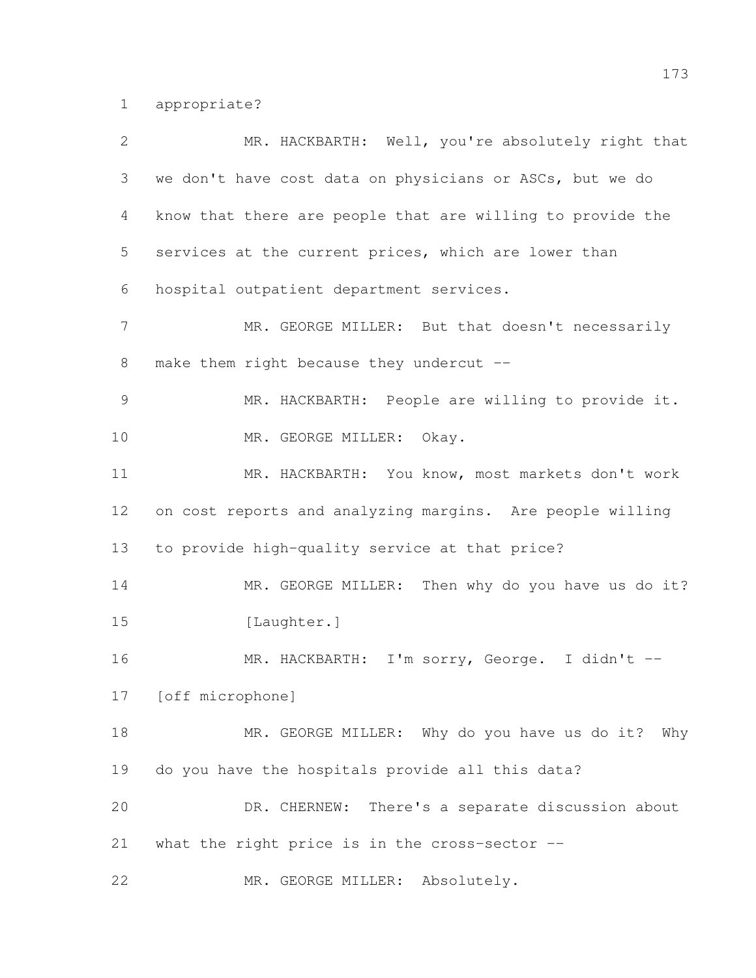appropriate?

| $\overline{2}$ | MR. HACKBARTH: Well, you're absolutely right that          |
|----------------|------------------------------------------------------------|
| 3              | we don't have cost data on physicians or ASCs, but we do   |
| 4              | know that there are people that are willing to provide the |
| 5              | services at the current prices, which are lower than       |
| 6              | hospital outpatient department services.                   |
| $\overline{7}$ | MR. GEORGE MILLER: But that doesn't necessarily            |
| $8\,$          | make them right because they undercut --                   |
| $\mathcal{G}$  | MR. HACKBARTH: People are willing to provide it.           |
| 10             | MR. GEORGE MILLER: Okay.                                   |
| 11             | MR. HACKBARTH: You know, most markets don't work           |
| 12             | on cost reports and analyzing margins. Are people willing  |
| 13             | to provide high-quality service at that price?             |
| 14             | MR. GEORGE MILLER: Then why do you have us do it?          |
| 15             | [Laughter.]                                                |
| 16             | MR. HACKBARTH: I'm sorry, George. I didn't --              |
| 17             | [off microphone]                                           |
| 18             | MR. GEORGE MILLER: Why do you have us do it? Why           |
| 19             | do you have the hospitals provide all this data?           |
| 20             | DR. CHERNEW: There's a separate discussion about           |
| 21             | what the right price is in the cross-sector --             |
| 22             | MR. GEORGE MILLER:<br>Absolutely.                          |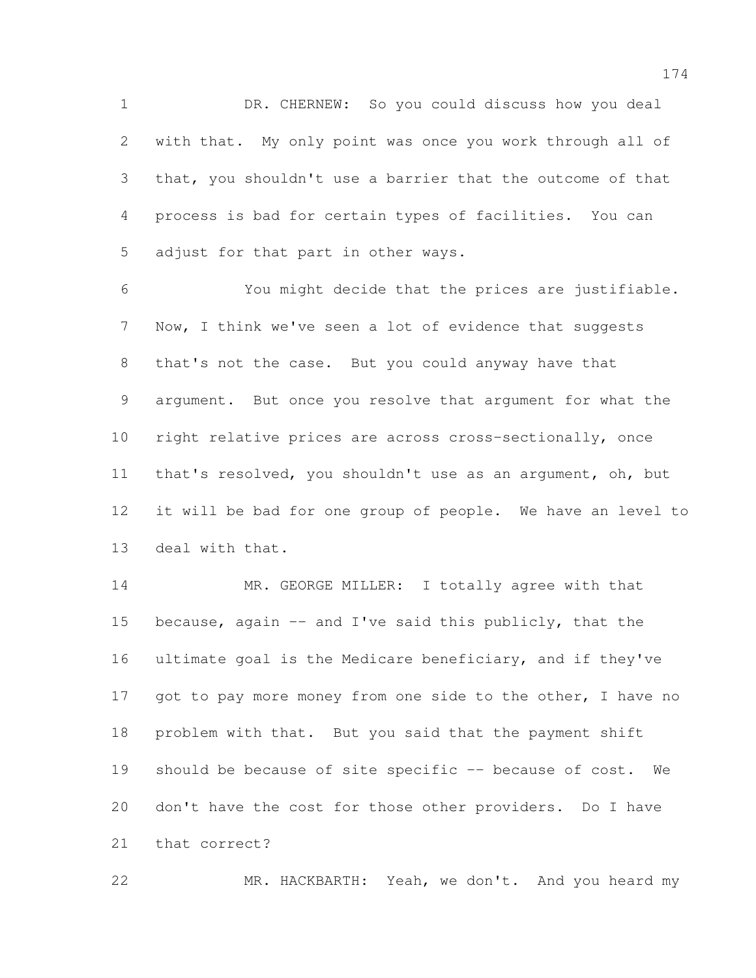DR. CHERNEW: So you could discuss how you deal with that. My only point was once you work through all of that, you shouldn't use a barrier that the outcome of that process is bad for certain types of facilities. You can adjust for that part in other ways.

 You might decide that the prices are justifiable. Now, I think we've seen a lot of evidence that suggests that's not the case. But you could anyway have that argument. But once you resolve that argument for what the right relative prices are across cross-sectionally, once that's resolved, you shouldn't use as an argument, oh, but it will be bad for one group of people. We have an level to deal with that.

14 MR. GEORGE MILLER: I totally agree with that because, again -- and I've said this publicly, that the ultimate goal is the Medicare beneficiary, and if they've 17 got to pay more money from one side to the other, I have no problem with that. But you said that the payment shift 19 should be because of site specific -- because of cost. We don't have the cost for those other providers. Do I have that correct?

MR. HACKBARTH: Yeah, we don't. And you heard my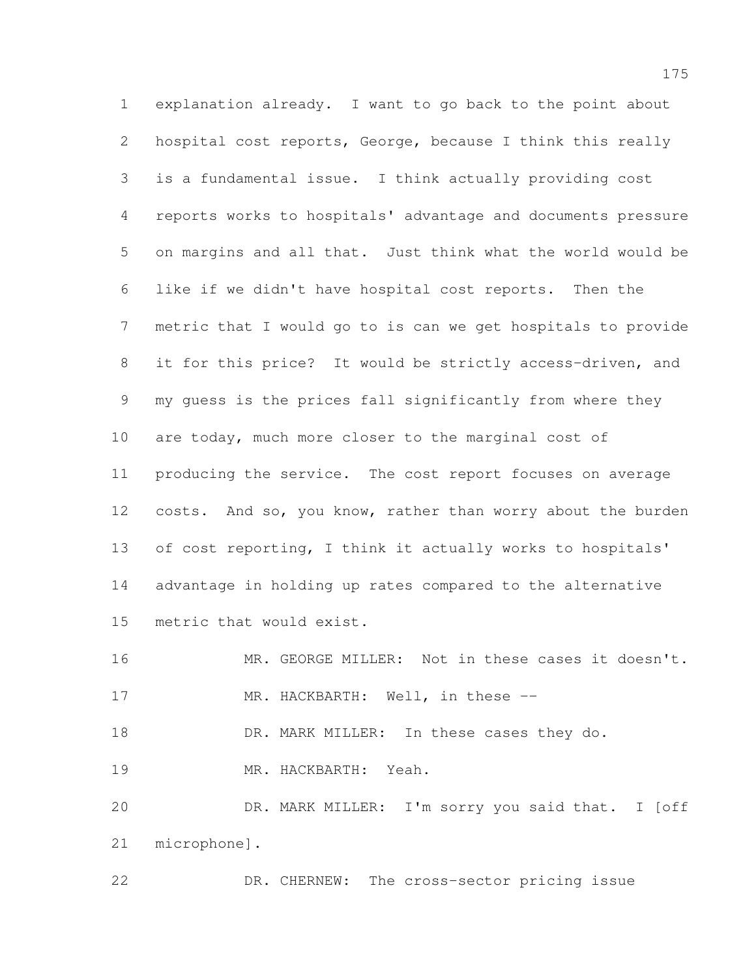explanation already. I want to go back to the point about hospital cost reports, George, because I think this really is a fundamental issue. I think actually providing cost reports works to hospitals' advantage and documents pressure on margins and all that. Just think what the world would be like if we didn't have hospital cost reports. Then the metric that I would go to is can we get hospitals to provide it for this price? It would be strictly access-driven, and my guess is the prices fall significantly from where they are today, much more closer to the marginal cost of producing the service. The cost report focuses on average costs. And so, you know, rather than worry about the burden of cost reporting, I think it actually works to hospitals' advantage in holding up rates compared to the alternative metric that would exist. MR. GEORGE MILLER: Not in these cases it doesn't.

17 MR. HACKBARTH: Well, in these --

18 DR. MARK MILLER: In these cases they do.

MR. HACKBARTH: Yeah.

 DR. MARK MILLER: I'm sorry you said that. I [off microphone].

DR. CHERNEW: The cross-sector pricing issue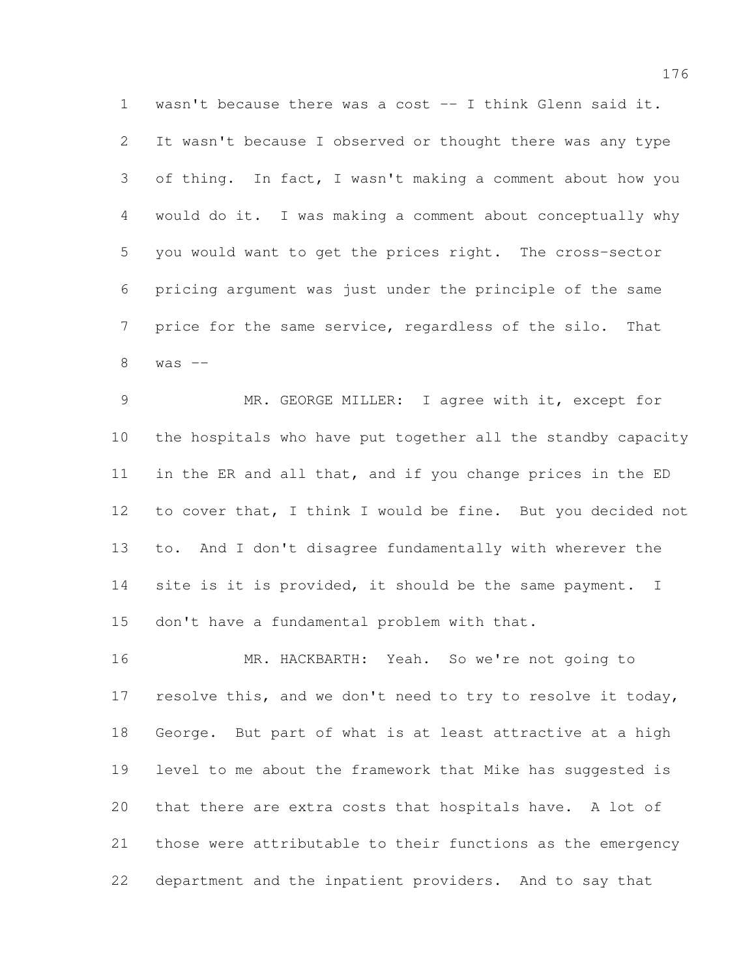wasn't because there was a cost -- I think Glenn said it. It wasn't because I observed or thought there was any type of thing. In fact, I wasn't making a comment about how you would do it. I was making a comment about conceptually why you would want to get the prices right. The cross-sector pricing argument was just under the principle of the same price for the same service, regardless of the silo. That was  $-$ 

 MR. GEORGE MILLER: I agree with it, except for the hospitals who have put together all the standby capacity in the ER and all that, and if you change prices in the ED to cover that, I think I would be fine. But you decided not to. And I don't disagree fundamentally with wherever the 14 site is it is provided, it should be the same payment. I don't have a fundamental problem with that.

 MR. HACKBARTH: Yeah. So we're not going to 17 resolve this, and we don't need to try to resolve it today, George. But part of what is at least attractive at a high level to me about the framework that Mike has suggested is that there are extra costs that hospitals have. A lot of those were attributable to their functions as the emergency department and the inpatient providers. And to say that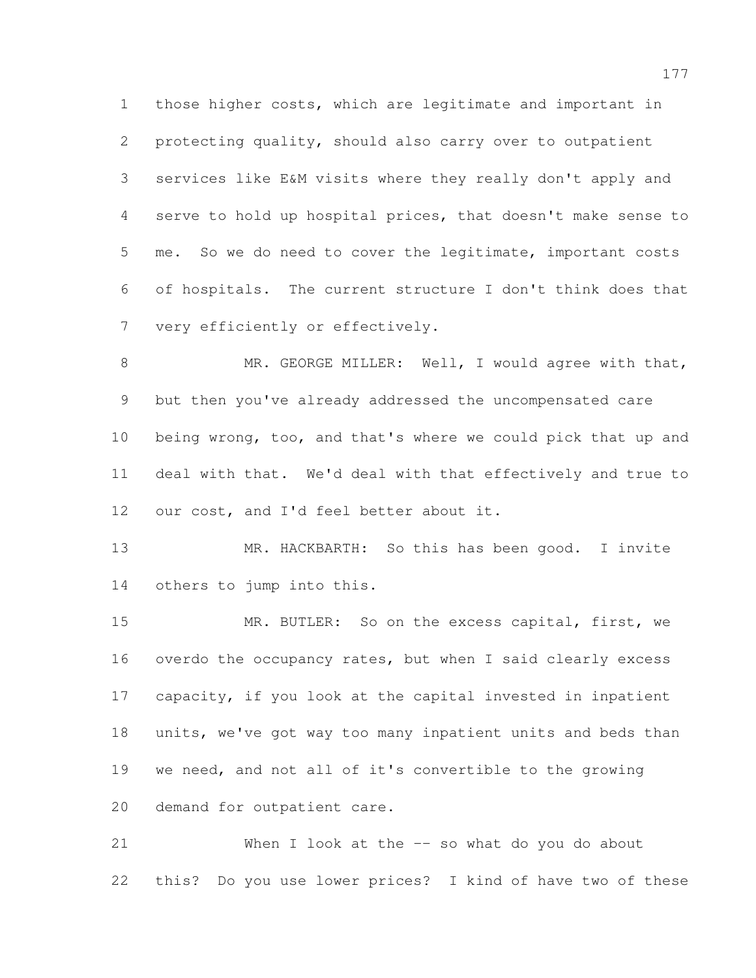those higher costs, which are legitimate and important in protecting quality, should also carry over to outpatient services like E&M visits where they really don't apply and serve to hold up hospital prices, that doesn't make sense to me. So we do need to cover the legitimate, important costs of hospitals. The current structure I don't think does that very efficiently or effectively.

8 MR. GEORGE MILLER: Well, I would agree with that, but then you've already addressed the uncompensated care being wrong, too, and that's where we could pick that up and deal with that. We'd deal with that effectively and true to our cost, and I'd feel better about it.

13 MR. HACKBARTH: So this has been good. I invite others to jump into this.

 MR. BUTLER: So on the excess capital, first, we overdo the occupancy rates, but when I said clearly excess capacity, if you look at the capital invested in inpatient units, we've got way too many inpatient units and beds than we need, and not all of it's convertible to the growing demand for outpatient care.

 When I look at the -- so what do you do about this? Do you use lower prices? I kind of have two of these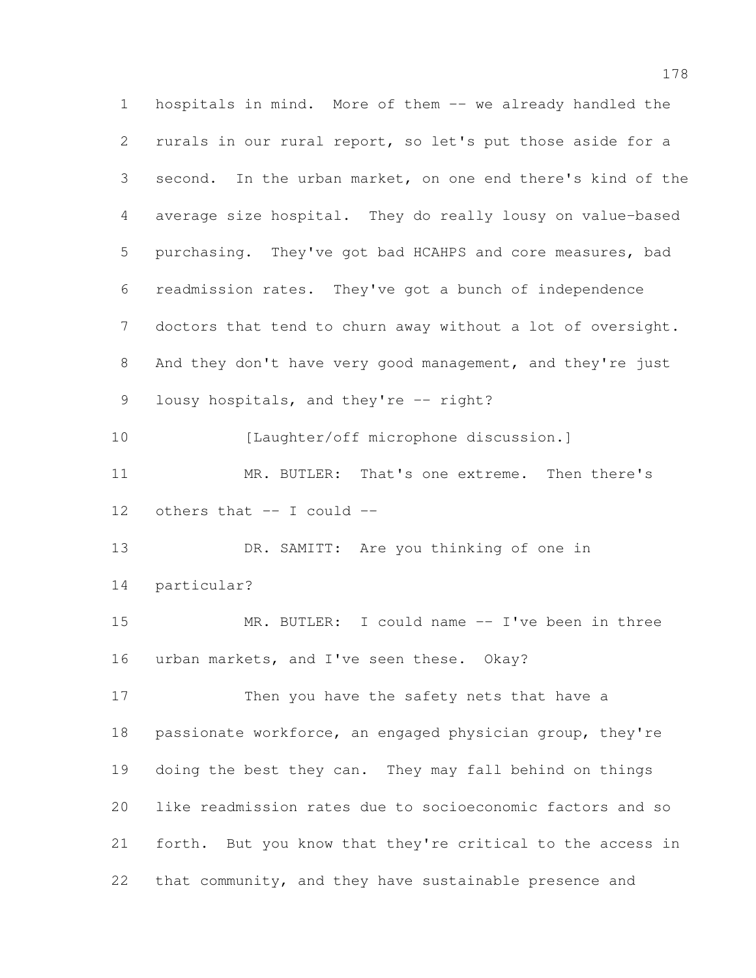hospitals in mind. More of them -- we already handled the rurals in our rural report, so let's put those aside for a second. In the urban market, on one end there's kind of the average size hospital. They do really lousy on value-based purchasing. They've got bad HCAHPS and core measures, bad readmission rates. They've got a bunch of independence doctors that tend to churn away without a lot of oversight. And they don't have very good management, and they're just 9 lousy hospitals, and they're -- right? [Laughter/off microphone discussion.] MR. BUTLER: That's one extreme. Then there's others that -- I could -- DR. SAMITT: Are you thinking of one in particular? MR. BUTLER: I could name -- I've been in three 16 urban markets, and I've seen these. Okay? Then you have the safety nets that have a passionate workforce, an engaged physician group, they're doing the best they can. They may fall behind on things like readmission rates due to socioeconomic factors and so forth. But you know that they're critical to the access in that community, and they have sustainable presence and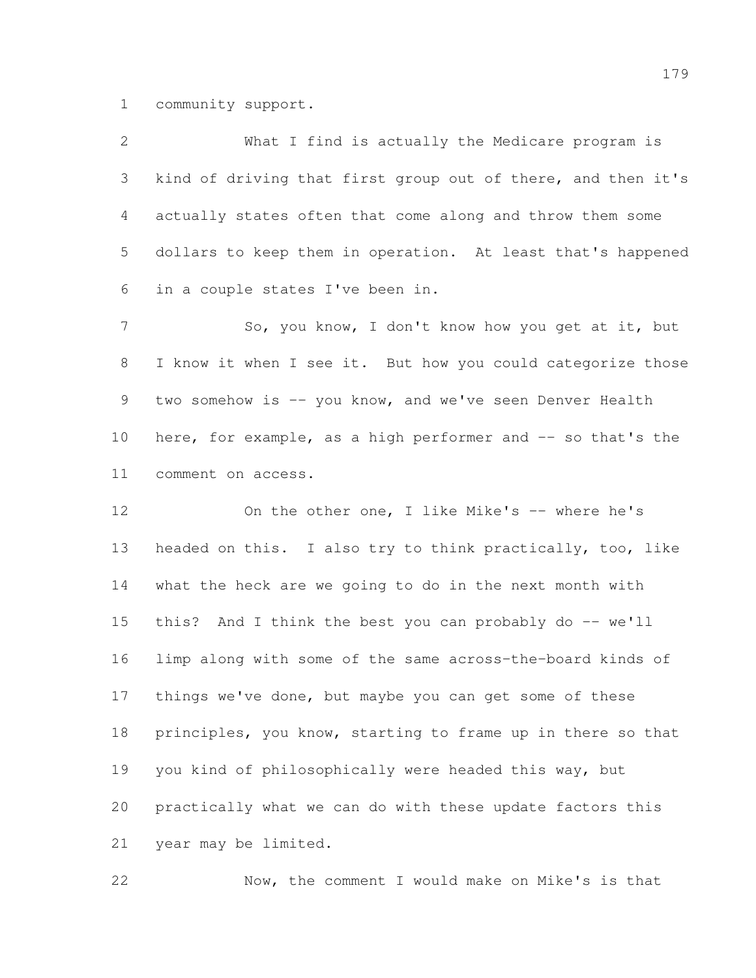community support.

| $\overline{2}$ | What I find is actually the Medicare program is              |
|----------------|--------------------------------------------------------------|
| 3              | kind of driving that first group out of there, and then it's |
| 4              | actually states often that come along and throw them some    |
| 5              | dollars to keep them in operation. At least that's happened  |
| 6              | in a couple states I've been in.                             |
| $\overline{7}$ | So, you know, I don't know how you get at it, but            |
| 8              | I know it when I see it. But how you could categorize those  |
| 9              | two somehow is -- you know, and we've seen Denver Health     |
| 10             | here, for example, as a high performer and -- so that's the  |
| 11             | comment on access.                                           |
| 12             | On the other one, I like Mike's -- where he's                |
| 13             | headed on this. I also try to think practically, too, like   |
| 14             | what the heck are we going to do in the next month with      |
| 15             | this? And I think the best you can probably do -- we'll      |
| 16             | limp along with some of the same across-the-board kinds of   |
| 17             | things we've done, but maybe you can get some of these       |
| 18             | principles, you know, starting to frame up in there so that  |
| 19             | you kind of philosophically were headed this way, but        |
| 20             | practically what we can do with these update factors this    |
| 21             | year may be limited.                                         |

Now, the comment I would make on Mike's is that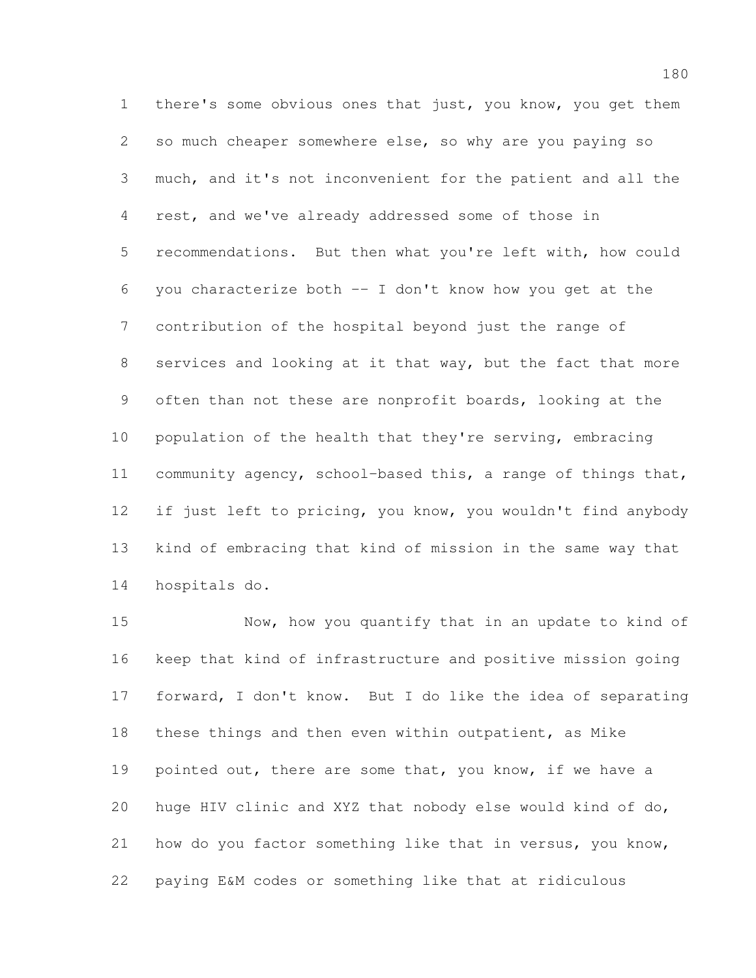there's some obvious ones that just, you know, you get them so much cheaper somewhere else, so why are you paying so much, and it's not inconvenient for the patient and all the rest, and we've already addressed some of those in recommendations. But then what you're left with, how could you characterize both -- I don't know how you get at the contribution of the hospital beyond just the range of services and looking at it that way, but the fact that more often than not these are nonprofit boards, looking at the population of the health that they're serving, embracing community agency, school-based this, a range of things that, if just left to pricing, you know, you wouldn't find anybody kind of embracing that kind of mission in the same way that hospitals do.

 Now, how you quantify that in an update to kind of keep that kind of infrastructure and positive mission going forward, I don't know. But I do like the idea of separating these things and then even within outpatient, as Mike 19 pointed out, there are some that, you know, if we have a huge HIV clinic and XYZ that nobody else would kind of do, how do you factor something like that in versus, you know, paying E&M codes or something like that at ridiculous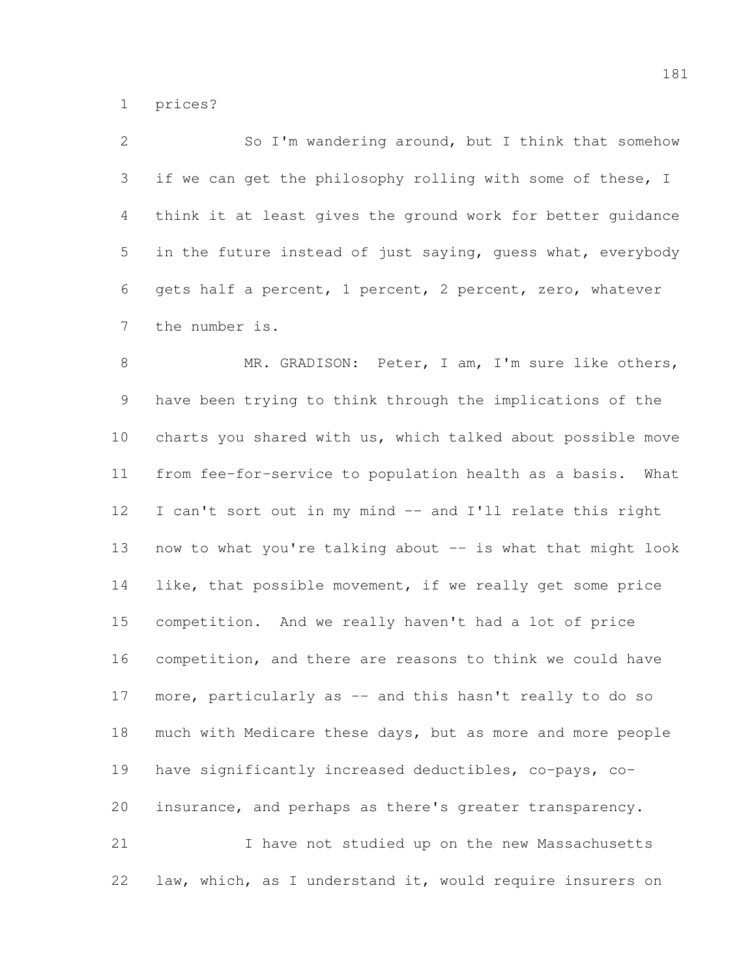prices?

 So I'm wandering around, but I think that somehow 3 if we can get the philosophy rolling with some of these, I think it at least gives the ground work for better guidance in the future instead of just saying, guess what, everybody gets half a percent, 1 percent, 2 percent, zero, whatever the number is.

8 MR. GRADISON: Peter, I am, I'm sure like others, have been trying to think through the implications of the charts you shared with us, which talked about possible move from fee-for-service to population health as a basis. What I can't sort out in my mind -- and I'll relate this right 13 now to what you're talking about -- is what that might look like, that possible movement, if we really get some price competition. And we really haven't had a lot of price competition, and there are reasons to think we could have 17 more, particularly as -- and this hasn't really to do so 18 much with Medicare these days, but as more and more people have significantly increased deductibles, co-pays, co- insurance, and perhaps as there's greater transparency. I have not studied up on the new Massachusetts

law, which, as I understand it, would require insurers on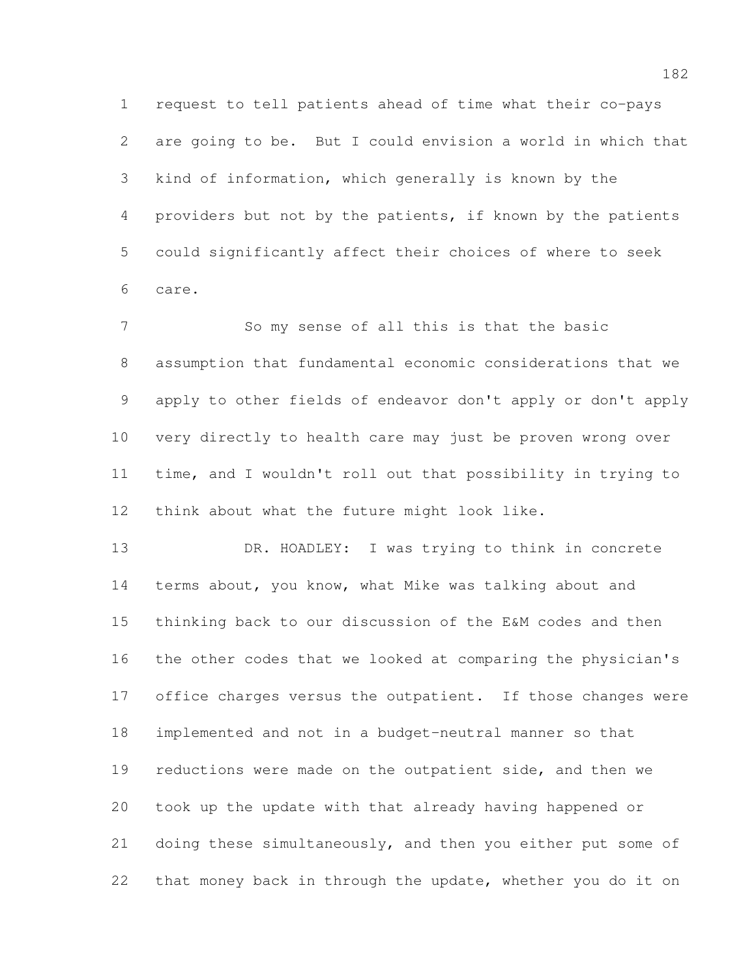request to tell patients ahead of time what their co-pays are going to be. But I could envision a world in which that kind of information, which generally is known by the providers but not by the patients, if known by the patients could significantly affect their choices of where to seek care.

 So my sense of all this is that the basic assumption that fundamental economic considerations that we apply to other fields of endeavor don't apply or don't apply very directly to health care may just be proven wrong over time, and I wouldn't roll out that possibility in trying to think about what the future might look like.

13 DR. HOADLEY: I was trying to think in concrete terms about, you know, what Mike was talking about and thinking back to our discussion of the E&M codes and then the other codes that we looked at comparing the physician's 17 office charges versus the outpatient. If those changes were implemented and not in a budget-neutral manner so that reductions were made on the outpatient side, and then we took up the update with that already having happened or 21 doing these simultaneously, and then you either put some of that money back in through the update, whether you do it on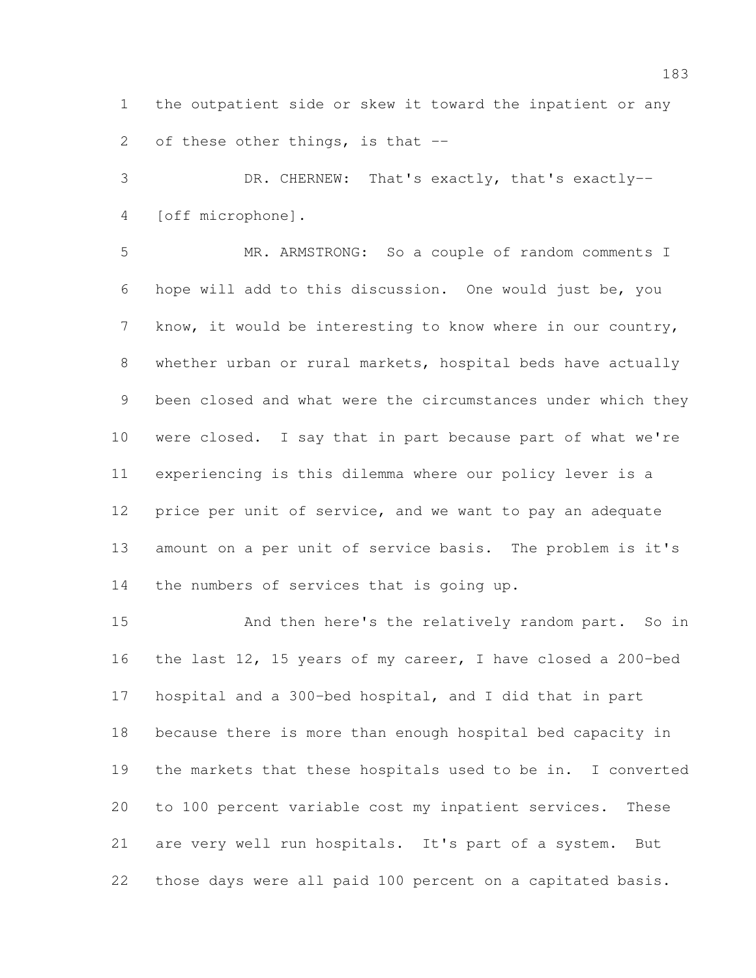the outpatient side or skew it toward the inpatient or any

2 of these other things, is that --

 DR. CHERNEW: That's exactly, that's exactly-- [off microphone].

 MR. ARMSTRONG: So a couple of random comments I hope will add to this discussion. One would just be, you know, it would be interesting to know where in our country, whether urban or rural markets, hospital beds have actually been closed and what were the circumstances under which they were closed. I say that in part because part of what we're experiencing is this dilemma where our policy lever is a price per unit of service, and we want to pay an adequate amount on a per unit of service basis. The problem is it's the numbers of services that is going up.

 And then here's the relatively random part. So in the last 12, 15 years of my career, I have closed a 200-bed hospital and a 300-bed hospital, and I did that in part because there is more than enough hospital bed capacity in the markets that these hospitals used to be in. I converted to 100 percent variable cost my inpatient services. These are very well run hospitals. It's part of a system. But those days were all paid 100 percent on a capitated basis.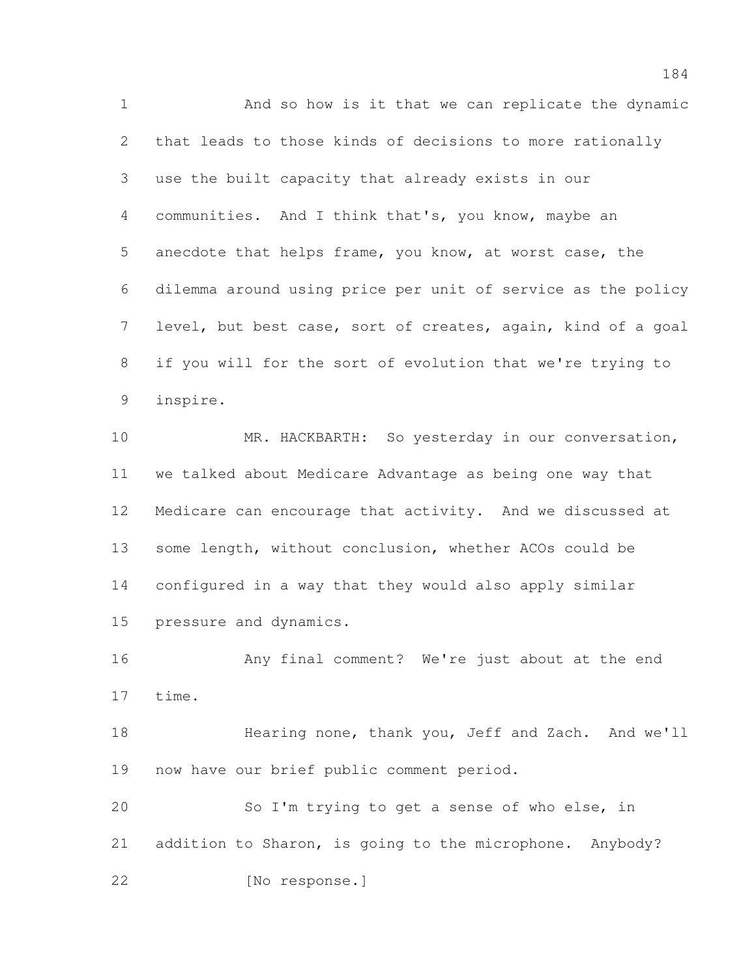And so how is it that we can replicate the dynamic that leads to those kinds of decisions to more rationally use the built capacity that already exists in our communities. And I think that's, you know, maybe an anecdote that helps frame, you know, at worst case, the dilemma around using price per unit of service as the policy level, but best case, sort of creates, again, kind of a goal if you will for the sort of evolution that we're trying to inspire.

10 MR. HACKBARTH: So yesterday in our conversation, we talked about Medicare Advantage as being one way that Medicare can encourage that activity. And we discussed at some length, without conclusion, whether ACOs could be configured in a way that they would also apply similar pressure and dynamics.

 Any final comment? We're just about at the end time.

 Hearing none, thank you, Jeff and Zach. And we'll now have our brief public comment period.

 So I'm trying to get a sense of who else, in addition to Sharon, is going to the microphone. Anybody? [No response.]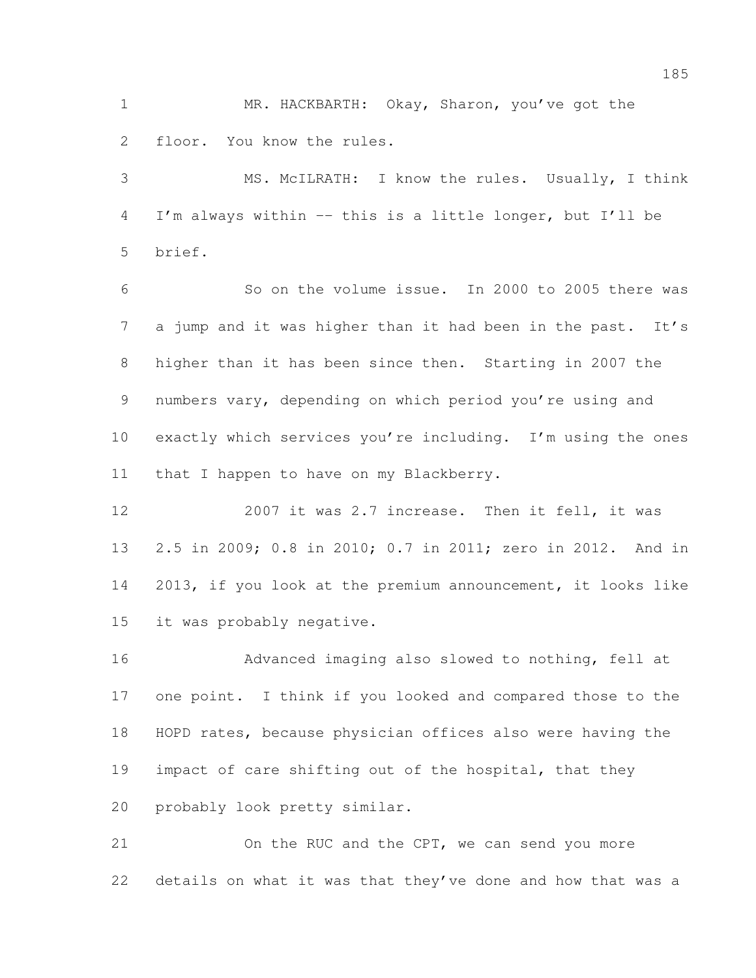MR. HACKBARTH: Okay, Sharon, you've got the floor. You know the rules.

 MS. McILRATH: I know the rules. Usually, I think I'm always within -- this is a little longer, but I'll be brief.

 So on the volume issue. In 2000 to 2005 there was 7 a jump and it was higher than it had been in the past. It's higher than it has been since then. Starting in 2007 the numbers vary, depending on which period you're using and exactly which services you're including. I'm using the ones that I happen to have on my Blackberry.

 2007 it was 2.7 increase. Then it fell, it was 2.5 in 2009; 0.8 in 2010; 0.7 in 2011; zero in 2012. And in 2013, if you look at the premium announcement, it looks like it was probably negative.

 Advanced imaging also slowed to nothing, fell at one point. I think if you looked and compared those to the HOPD rates, because physician offices also were having the impact of care shifting out of the hospital, that they probably look pretty similar.

 On the RUC and the CPT, we can send you more details on what it was that they've done and how that was a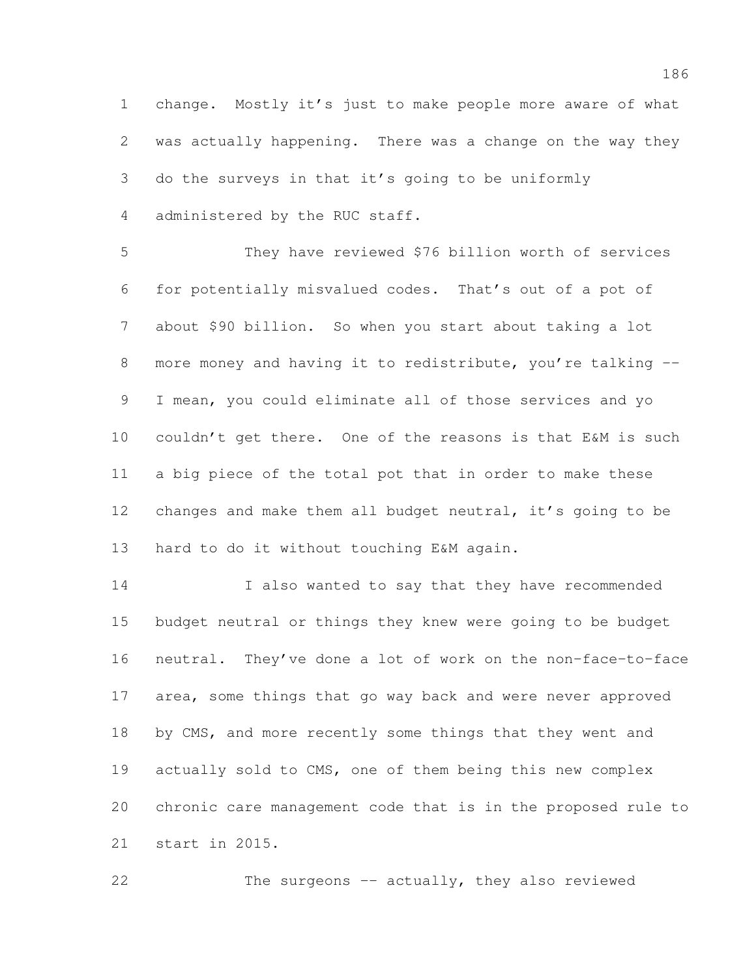change. Mostly it's just to make people more aware of what was actually happening. There was a change on the way they do the surveys in that it's going to be uniformly administered by the RUC staff.

 They have reviewed \$76 billion worth of services for potentially misvalued codes. That's out of a pot of about \$90 billion. So when you start about taking a lot 8 more money and having it to redistribute, you're talking -- I mean, you could eliminate all of those services and yo couldn't get there. One of the reasons is that E&M is such a big piece of the total pot that in order to make these 12 changes and make them all budget neutral, it's going to be hard to do it without touching E&M again.

14 I also wanted to say that they have recommended budget neutral or things they knew were going to be budget neutral. They've done a lot of work on the non-face-to-face area, some things that go way back and were never approved 18 by CMS, and more recently some things that they went and actually sold to CMS, one of them being this new complex chronic care management code that is in the proposed rule to start in 2015.

The surgeons -- actually, they also reviewed